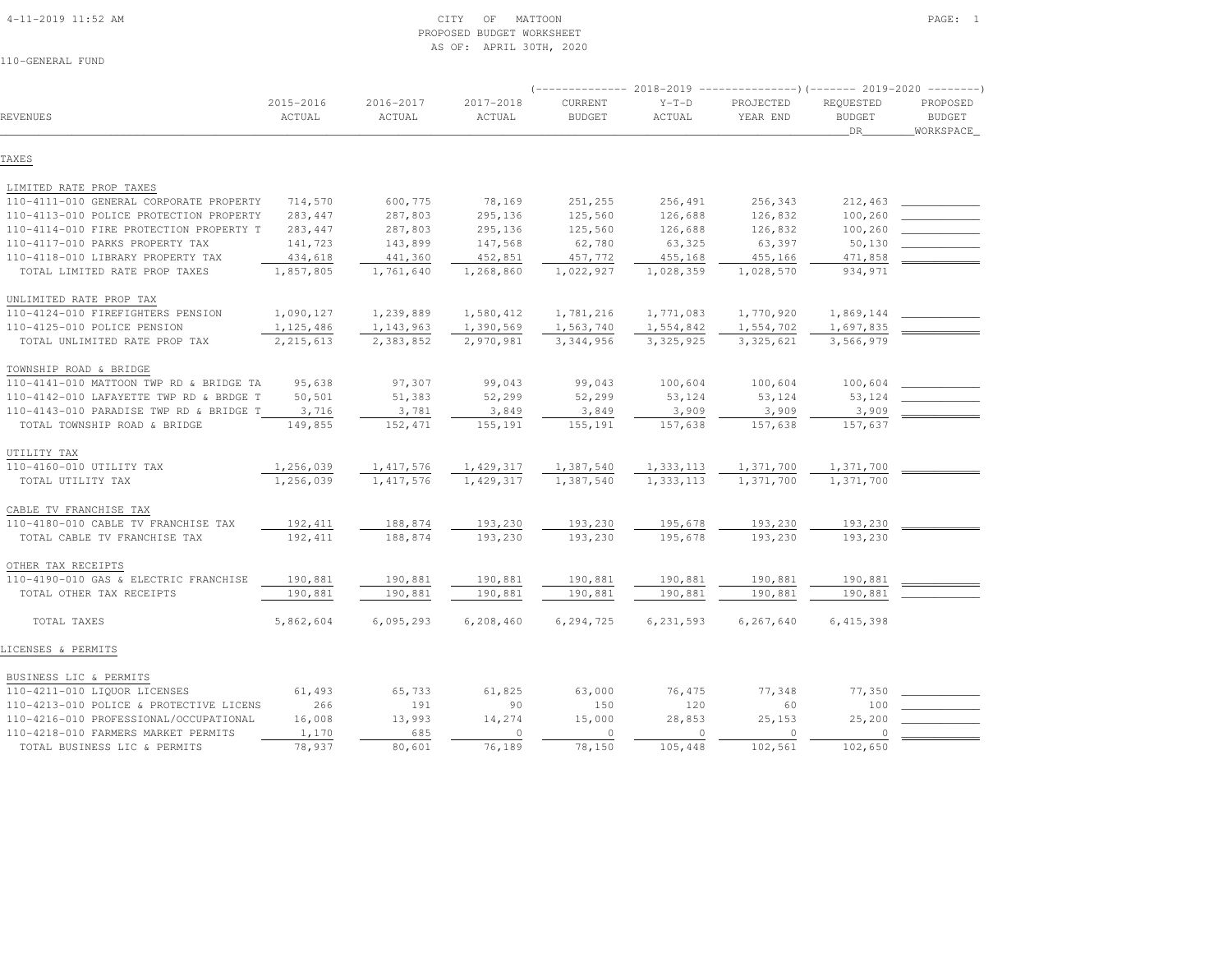#### 4-11-2019 11:52 AM CITY OF MATTOON PAGE: 1 PROPOSED BUDGET WORKSHEETAS OF: APRIL 30TH, 2020

|                                         |                     |                         |                     | $----------- 2018-2019$  |                   |                       | -----------)(------- 2019-2020 -------- |                                        |
|-----------------------------------------|---------------------|-------------------------|---------------------|--------------------------|-------------------|-----------------------|-----------------------------------------|----------------------------------------|
| REVENUES                                | 2015-2016<br>ACTUAL | $2016 - 2017$<br>ACTUAL | 2017-2018<br>ACTUAL | CURRENT<br><b>BUDGET</b> | $Y-T-D$<br>ACTUAL | PROJECTED<br>YEAR END | REQUESTED<br><b>BUDGET</b><br>DR.       | PROPOSED<br><b>BUDGET</b><br>WORKSPACE |
| TAXES                                   |                     |                         |                     |                          |                   |                       |                                         |                                        |
| LIMITED RATE PROP TAXES                 |                     |                         |                     |                          |                   |                       |                                         |                                        |
| 110-4111-010 GENERAL CORPORATE PROPERTY | 714,570             | 600,775                 | 78,169              | 251,255                  | 256,491           | 256,343               | 212,463                                 |                                        |
| 110-4113-010 POLICE PROTECTION PROPERTY | 283,447             | 287,803                 | 295,136             | 125,560                  | 126,688           | 126,832               | 100,260                                 |                                        |
| 110-4114-010 FIRE PROTECTION PROPERTY T | 283,447             | 287,803                 | 295,136             | 125,560                  | 126,688           | 126,832               | 100,260                                 |                                        |
| 110-4117-010 PARKS PROPERTY TAX         | 141,723             | 143,899                 | 147,568             | 62,780                   | 63,325            | 63,397                | 50,130                                  |                                        |
| 110-4118-010 LIBRARY PROPERTY TAX       | 434,618             | 441,360                 | 452,851             | 457,772                  | 455,168           | 455,166               | 471,858                                 |                                        |
| TOTAL LIMITED RATE PROP TAXES           | 1,857,805           | 1,761,640               | 1,268,860           | 1,022,927                | 1,028,359         | 1,028,570             | 934,971                                 |                                        |
| UNLIMITED RATE PROP TAX                 |                     |                         |                     |                          |                   |                       |                                         |                                        |
| 110-4124-010 FIREFIGHTERS PENSION       | 1,090,127           | 1,239,889               | 1,580,412           | 1,781,216                | 1,771,083         | 1,770,920             | 1,869,144                               |                                        |
| 110-4125-010 POLICE PENSION             | 1, 125, 486         | 1,143,963               | 1,390,569           | 1,563,740                | 1,554,842         | 1,554,702             | 1,697,835                               |                                        |
| TOTAL UNLIMITED RATE PROP TAX           | 2, 215, 613         | 2,383,852               | 2,970,981           | 3,344,956                | 3, 325, 925       | 3,325,621             | 3,566,979                               |                                        |
| TOWNSHIP ROAD & BRIDGE                  |                     |                         |                     |                          |                   |                       |                                         |                                        |
| 110-4141-010 MATTOON TWP RD & BRIDGE TA | 95,638              | 97,307                  | 99,043              | 99,043                   | 100,604           | 100,604               | 100,604                                 |                                        |
| 110-4142-010 LAFAYETTE TWP RD & BRDGE T | 50,501              | 51,383                  | 52,299              | 52,299                   | 53,124            | 53,124                | 53,124                                  |                                        |
| 110-4143-010 PARADISE TWP RD & BRIDGE T | 3,716               | 3,781                   | 3,849               | 3,849                    | 3,909             | 3,909                 | 3,909                                   |                                        |
| TOTAL TOWNSHIP ROAD & BRIDGE            | 149,855             | 152,471                 | 155,191             | 155,191                  | 157,638           | 157,638               | 157,637                                 |                                        |
| UTILITY TAX                             |                     |                         |                     |                          |                   |                       |                                         |                                        |
| 110-4160-010 UTILITY TAX                | 1,256,039           | 1, 417, 576             | 1,429,317           | 1,387,540                | 1,333,113         | 1,371,700             | 1,371,700                               |                                        |
| TOTAL UTILITY TAX                       | 1,256,039           | 1, 417, 576             | 1,429,317           | 1,387,540                | 1,333,113         | 1,371,700             | 1,371,700                               |                                        |
| CABLE TV FRANCHISE TAX                  |                     |                         |                     |                          |                   |                       |                                         |                                        |
| 110-4180-010 CABLE TV FRANCHISE TAX     | 192,411             | 188,874                 | 193,230             | 193,230                  | 195,678           | 193,230               | 193,230                                 |                                        |
| TOTAL CABLE TV FRANCHISE TAX            | 192,411             | 188,874                 | 193,230             | 193,230                  | 195,678           | 193,230               | 193,230                                 |                                        |
| OTHER TAX RECEIPTS                      |                     |                         |                     |                          |                   |                       |                                         |                                        |
| 110-4190-010 GAS & ELECTRIC FRANCHISE   | 190,881             | 190,881                 | 190,881             | 190,881                  | 190,881           | 190,881               | 190,881                                 |                                        |
| TOTAL OTHER TAX RECEIPTS                | 190,881             | 190,881                 | 190,881             | 190,881                  | 190,881           | 190,881               | 190,881                                 |                                        |
| TOTAL TAXES                             | 5,862,604           | 6,095,293               | 6,208,460           | 6,294,725                | 6,231,593         | 6,267,640             | 6, 415, 398                             |                                        |
| LICENSES & PERMITS                      |                     |                         |                     |                          |                   |                       |                                         |                                        |
| BUSINESS LIC & PERMITS                  |                     |                         |                     |                          |                   |                       |                                         |                                        |
| 110-4211-010 LIQUOR LICENSES            | 61,493              | 65,733                  | 61,825              | 63,000                   | 76,475            | 77,348                | 77,350                                  |                                        |
| 110-4213-010 POLICE & PROTECTIVE LICENS | 266                 | 191                     | 90                  | 150                      | 120               | 60                    | 100                                     |                                        |
| 110-4216-010 PROFESSIONAL/OCCUPATIONAL  | 16,008              | 13,993                  | 14,274              | 15,000                   | 28,853            | 25,153                | 25,200                                  |                                        |
| 110-4218-010 FARMERS MARKET PERMITS     | 1,170               | 685                     | $\circ$             | $\circ$                  | $\circ$           | $\circ$               | 0                                       |                                        |
| TOTAL BUSINESS LIC & PERMITS            | 78,937              | 80,601                  | 76,189              | 78,150                   | 105,448           | 102,561               | 102,650                                 |                                        |
|                                         |                     |                         |                     |                          |                   |                       |                                         |                                        |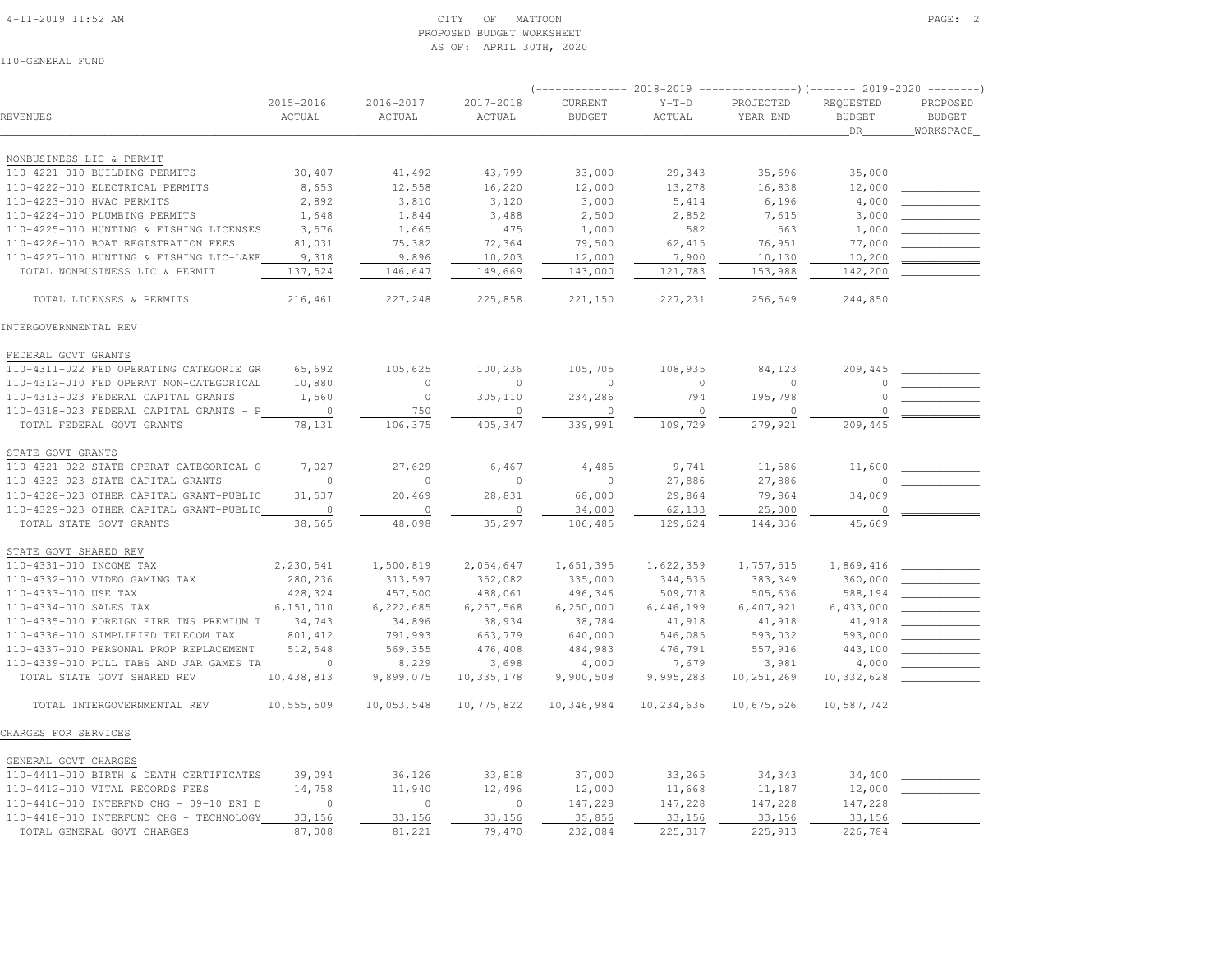#### 4-11-2019 11:52 AM CITY OF MATTOON PAGE: 2 PROPOSED BUDGET WORKSHEETAS OF: APRIL 30TH, 2020

|                                                                        |                              |                     |                     | ----------- 2018-2019    |                    | ----------------)(------- 2019-2020 ---------) |                                    |                                         |
|------------------------------------------------------------------------|------------------------------|---------------------|---------------------|--------------------------|--------------------|------------------------------------------------|------------------------------------|-----------------------------------------|
| <b>REVENUES</b>                                                        | 2015-2016<br>ACTUAL          | 2016-2017<br>ACTUAL | 2017-2018<br>ACTUAL | CURRENT<br><b>BUDGET</b> | $Y-T-D$<br>ACTUAL  | PROJECTED<br>YEAR END                          | REQUESTED<br><b>BUDGET</b><br>_DR_ | PROPOSED<br><b>BUDGET</b><br>WORKSPACE_ |
| NONBUSINESS LIC & PERMIT                                               |                              |                     |                     |                          |                    |                                                |                                    |                                         |
| 110-4221-010 BUILDING PERMITS                                          | 30,407                       | 41,492              | 43,799              | 33,000                   | 29,343             | 35,696                                         | 35,000                             |                                         |
| 110-4222-010 ELECTRICAL PERMITS                                        | 8,653                        | 12,558              | 16,220              | 12,000                   | 13,278             | 16,838                                         | 12,000                             |                                         |
| 110-4223-010 HVAC PERMITS                                              | 2,892                        | 3,810               | 3,120               | 3,000                    | 5,414              | 6,196                                          | 4,000                              |                                         |
| 110-4224-010 PLUMBING PERMITS                                          | 1,648                        | 1,844               | 3,488               | 2,500                    | 2,852              | 7,615                                          | 3,000                              |                                         |
| 110-4225-010 HUNTING & FISHING LICENSES                                | 3,576                        | 1,665               | 475                 | 1,000                    | 582                | 563                                            | 1,000                              |                                         |
| 110-4226-010 BOAT REGISTRATION FEES                                    | 81,031                       | 75,382              | 72,364              | 79,500                   | 62,415             | 76,951                                         | 77,000                             |                                         |
| 110-4227-010 HUNTING & FISHING LIC-LAKE                                | 9,318                        | 9,896               | 10,203              | 12,000                   | 7,900              | 10,130                                         | 10,200                             |                                         |
| TOTAL NONBUSINESS LIC & PERMIT                                         | 137,524                      | 146,647             | 149,669             | 143,000                  | 121,783            | 153,988                                        | 142,200                            |                                         |
| TOTAL LICENSES & PERMITS                                               | 216,461                      | 227,248             | 225,858             | 221,150                  | 227,231            | 256,549                                        | 244,850                            |                                         |
| INTERGOVERNMENTAL REV                                                  |                              |                     |                     |                          |                    |                                                |                                    |                                         |
| FEDERAL GOVT GRANTS                                                    |                              |                     |                     |                          |                    |                                                |                                    |                                         |
| 110-4311-022 FED OPERATING CATEGORIE GR                                | 65,692                       | 105,625             | 100,236             | 105,705                  | 108,935            | 84,123                                         | 209,445                            |                                         |
| 110-4312-010 FED OPERAT NON-CATEGORICAL                                | 10,880                       | 0                   | $\circ$             | $\mathbf{0}$             | $\circ$            | $\circ$                                        | $\Omega$                           |                                         |
| 110-4313-023 FEDERAL CAPITAL GRANTS                                    | 1,560                        | $\circ$             | 305,110             | 234,286                  | 794                | 195,798                                        | $\circ$                            |                                         |
| 110-4318-023 FEDERAL CAPITAL GRANTS - P                                | $\circ$                      | 750                 | $\circ$             | $\circ$                  | $\circ$            | $\circ$                                        | $\circ$                            |                                         |
| TOTAL FEDERAL GOVT GRANTS                                              | 78,131                       | 106,375             | 405,347             | 339,991                  | 109,729            | 279,921                                        | 209,445                            |                                         |
| STATE GOVT GRANTS                                                      |                              |                     |                     |                          |                    |                                                |                                    |                                         |
| 110-4321-022 STATE OPERAT CATEGORICAL G                                | 7,027                        | 27,629              | 6,467               | 4,485                    | 9,741              | 11,586                                         | 11,600                             |                                         |
| 110-4323-023 STATE CAPITAL GRANTS                                      | $\circ$                      | $\circ$             | $\circ$             | $\circ$                  | 27,886             | 27,886                                         | $\Omega$                           |                                         |
| 110-4328-023 OTHER CAPITAL GRANT-PUBLIC                                | 31,537                       | 20,469              | 28,831              | 68,000                   | 29,864             | 79,864                                         | 34,069                             |                                         |
| 110-4329-023 OTHER CAPITAL GRANT-PUBLIC                                | $\overline{0}$               | $\circ$             | $\circ$             | 34,000                   | 62,133             | 25,000                                         | $\mathbb O$                        |                                         |
| TOTAL STATE GOVT GRANTS                                                | 38,565                       | 48,098              | 35,297              | 106,485                  | 129,624            | 144,336                                        | 45,669                             |                                         |
| STATE GOVT SHARED REV                                                  |                              |                     |                     |                          |                    |                                                |                                    |                                         |
| 110-4331-010 INCOME TAX                                                | 2,230,541                    | 1,500,819           | 2,054,647           | 1,651,395                | 1,622,359          | 1,757,515                                      | 1,869,416                          |                                         |
| 110-4332-010 VIDEO GAMING TAX                                          | 280,236                      | 313,597             | 352,082             | 335,000                  | 344,535            | 383,349                                        | 360,000                            |                                         |
| 110-4333-010 USE TAX                                                   | 428,324                      | 457,500             | 488,061             | 496,346                  | 509,718            | 505,636                                        | 588,194                            |                                         |
| 110-4334-010 SALES TAX                                                 | 6,151,010                    | 6,222,685           | 6,257,568           | 6, 250, 000              | 6,446,199          | 6,407,921                                      | 6,433,000                          |                                         |
| 110-4335-010 FOREIGN FIRE INS PREMIUM T                                | 34,743                       | 34,896              | 38,934              | 38,784                   | 41,918             | 41,918                                         | 41,918                             |                                         |
| 110-4336-010 SIMPLIFIED TELECOM TAX                                    | 801,412                      | 791,993             | 663,779             | 640,000                  | 546,085            | 593,032                                        | 593,000                            |                                         |
| 110-4337-010 PERSONAL PROP REPLACEMENT                                 | 512,548                      | 569,355             | 476,408             | 484,983                  | 476,791            | 557,916                                        | 443,100                            |                                         |
| 110-4339-010 PULL TABS AND JAR GAMES TA<br>TOTAL STATE GOVT SHARED REV | $\overline{0}$<br>10,438,813 | 8,229<br>9,899,075  | 3,698<br>10,335,178 | 4,000<br>9,900,508       | 7,679<br>9,995,283 | 3,981<br>10,251,269                            | 4,000<br>10,332,628                |                                         |
|                                                                        |                              |                     |                     |                          |                    |                                                |                                    |                                         |
| TOTAL INTERGOVERNMENTAL REV                                            | 10,555,509                   | 10,053,548          | 10,775,822          | 10,346,984               | 10,234,636         | 10,675,526                                     | 10,587,742                         |                                         |
| CHARGES FOR SERVICES                                                   |                              |                     |                     |                          |                    |                                                |                                    |                                         |
| GENERAL GOVT CHARGES                                                   |                              |                     |                     |                          |                    |                                                |                                    |                                         |
| 110-4411-010 BIRTH & DEATH CERTIFICATES                                | 39,094                       | 36,126              | 33,818              | 37,000                   | 33,265             | 34,343                                         | 34,400                             |                                         |
| 110-4412-010 VITAL RECORDS FEES                                        | 14,758                       | 11,940              | 12,496              | 12,000                   | 11,668             | 11,187                                         | 12,000                             |                                         |
| 110-4416-010 INTERFND CHG - 09-10 ERI D                                | $\mathbf{0}$                 | $\circ$             | $\circ$             | 147,228                  | 147,228            | 147,228                                        | 147,228                            |                                         |
| 110-4418-010 INTERFUND CHG - TECHNOLOGY                                | 33,156                       | 33,156              | 33,156              | 35,856                   | 33,156             | 33,156                                         | 33,156                             |                                         |
| TOTAL GENERAL GOVT CHARGES                                             | 87,008                       | 81,221              | 79,470              | 232,084                  | 225,317            | 225,913                                        | 226,784                            |                                         |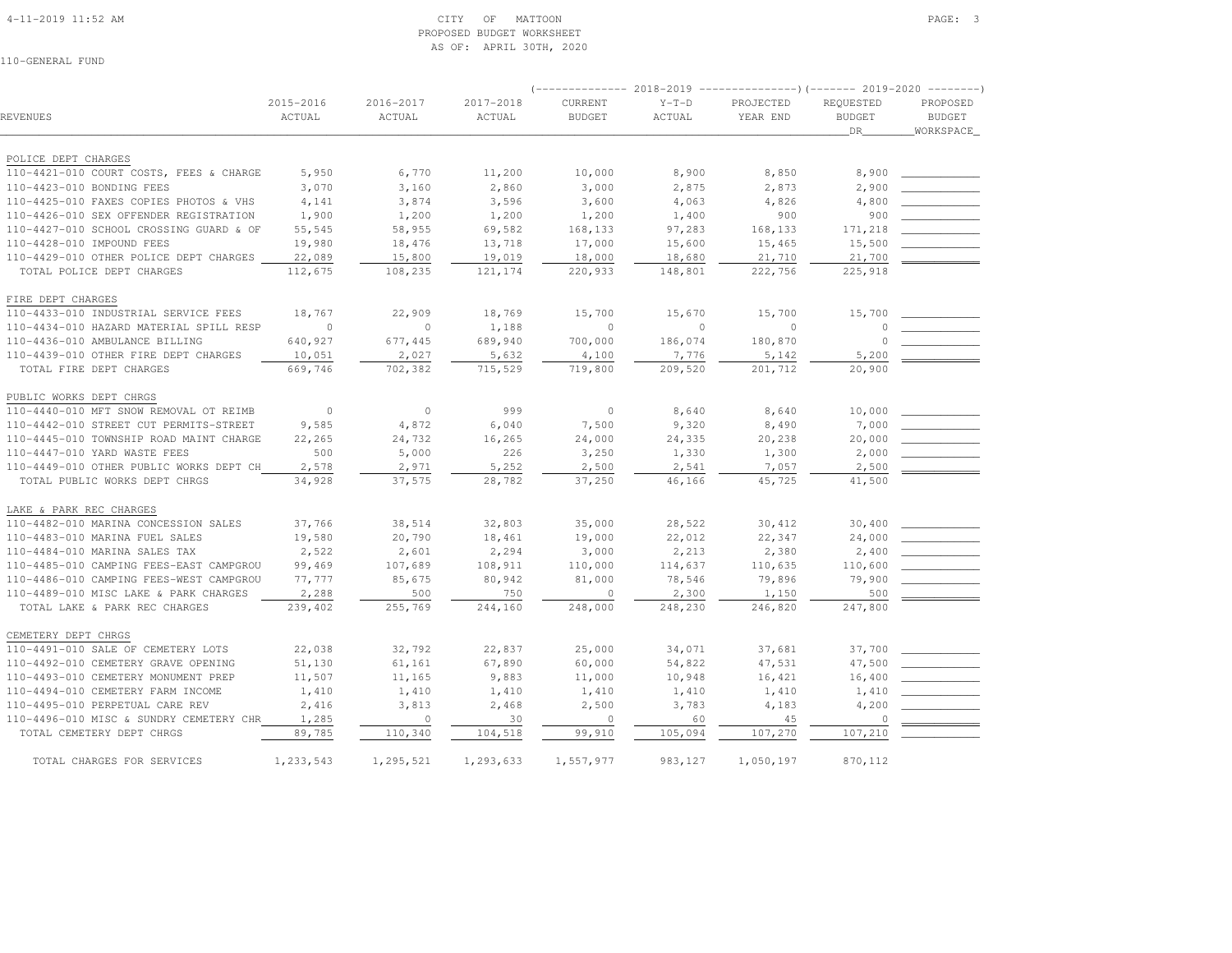#### 4-11-2019 11:52 AM CITY OF MATTOON PAGE: 3 PROPOSED BUDGET WORKSHEETAS OF: APRIL 30TH, 2020

|                                         |           |           |           | -----------    | 2018-2019    | ----------------) (------- 2019-2020 -------- |               |               |
|-----------------------------------------|-----------|-----------|-----------|----------------|--------------|-----------------------------------------------|---------------|---------------|
|                                         | 2015-2016 | 2016-2017 | 2017-2018 | CURRENT        | $Y-T-D$      | PROJECTED                                     | REQUESTED     | PROPOSED      |
| <b>REVENUES</b>                         | ACTUAL    | ACTUAL    | ACTUAL    | <b>BUDGET</b>  | ACTUAL       | YEAR END                                      | <b>BUDGET</b> | <b>BUDGET</b> |
|                                         |           |           |           |                |              |                                               | DR            | WORKSPACE     |
|                                         |           |           |           |                |              |                                               |               |               |
| POLICE DEPT CHARGES                     |           |           |           |                |              |                                               |               |               |
| 110-4421-010 COURT COSTS, FEES & CHARGE | 5,950     | 6,770     | 11,200    | 10,000         | 8,900        | 8,850                                         | 8,900         |               |
| 110-4423-010 BONDING FEES               | 3,070     | 3,160     | 2,860     | 3,000          | 2,875        | 2,873                                         | 2,900         |               |
| 110-4425-010 FAXES COPIES PHOTOS & VHS  | 4,141     | 3,874     | 3,596     | 3,600          | 4,063        | 4,826                                         | 4,800         |               |
| 110-4426-010 SEX OFFENDER REGISTRATION  | 1,900     | 1,200     | 1,200     | 1,200          | 1,400        | 900                                           | 900           |               |
| 110-4427-010 SCHOOL CROSSING GUARD & OF | 55,545    | 58,955    | 69,582    | 168,133        | 97,283       | 168,133                                       | 171,218       |               |
| 110-4428-010 IMPOUND FEES               | 19,980    | 18,476    | 13,718    | 17,000         | 15,600       | 15,465                                        | 15,500        |               |
| 110-4429-010 OTHER POLICE DEPT CHARGES  | 22,089    | 15,800    | 19,019    | 18,000         | 18,680       | 21,710                                        | 21,700        |               |
| TOTAL POLICE DEPT CHARGES               | 112,675   | 108,235   | 121,174   | 220,933        | 148,801      | 222,756                                       | 225,918       |               |
| FIRE DEPT CHARGES                       |           |           |           |                |              |                                               |               |               |
| 110-4433-010 INDUSTRIAL SERVICE FEES    | 18,767    | 22,909    | 18,769    | 15,700         | 15,670       | 15,700                                        | 15,700        |               |
| 110-4434-010 HAZARD MATERIAL SPILL RESP | $\circ$   | $\circ$   | 1,188     | $\circ$        | $\mathbf{0}$ | $\circ$                                       |               |               |
| 110-4436-010 AMBULANCE BILLING          | 640,927   | 677,445   | 689,940   | 700,000        | 186,074      | 180,870                                       | $\Omega$      |               |
| 110-4439-010 OTHER FIRE DEPT CHARGES    | 10,051    | 2,027     | 5,632     | 4,100          | 7,776        | 5,142                                         | 5,200         |               |
| TOTAL FIRE DEPT CHARGES                 | 669,746   | 702,382   | 715,529   | 719,800        | 209,520      | 201,712                                       | 20,900        |               |
| PUBLIC WORKS DEPT CHRGS                 |           |           |           |                |              |                                               |               |               |
| 110-4440-010 MFT SNOW REMOVAL OT REIMB  | $\circ$   | $\circ$   | 999       | $\circ$        | 8,640        | 8,640                                         | 10,000        |               |
| 110-4442-010 STREET CUT PERMITS-STREET  | 9,585     | 4,872     | 6,040     | 7,500          | 9,320        | 8,490                                         | 7,000         |               |
| 110-4445-010 TOWNSHIP ROAD MAINT CHARGE | 22,265    | 24,732    | 16,265    | 24,000         | 24,335       | 20,238                                        | 20,000        |               |
| 110-4447-010 YARD WASTE FEES            | 500       | 5,000     | 226       | 3,250          | 1,330        | 1,300                                         | 2,000         |               |
| 110-4449-010 OTHER PUBLIC WORKS DEPT CH | 2,578     | 2,971     | 5,252     | 2,500          | 2,541        | 7,057                                         | 2,500         |               |
| TOTAL PUBLIC WORKS DEPT CHRGS           | 34,928    | 37,575    | 28,782    | 37,250         | 46,166       | 45,725                                        | 41,500        |               |
| LAKE & PARK REC CHARGES                 |           |           |           |                |              |                                               |               |               |
| 110-4482-010 MARINA CONCESSION SALES    | 37,766    | 38,514    | 32,803    | 35,000         | 28,522       | 30,412                                        | 30,400        |               |
| 110-4483-010 MARINA FUEL SALES          | 19,580    | 20,790    | 18,461    | 19,000         | 22,012       | 22,347                                        | 24,000        |               |
| 110-4484-010 MARINA SALES TAX           | 2,522     | 2,601     | 2,294     | 3,000          | 2,213        | 2,380                                         | 2,400         |               |
| 110-4485-010 CAMPING FEES-EAST CAMPGROU | 99,469    | 107,689   | 108,911   | 110,000        | 114,637      | 110,635                                       | 110,600       |               |
| 110-4486-010 CAMPING FEES-WEST CAMPGROU | 77,777    | 85,675    | 80,942    | 81,000         | 78,546       | 79,896                                        | 79,900        |               |
| 110-4489-010 MISC LAKE & PARK CHARGES   | 2,288     | 500       | 750       | $\Omega$       | 2,300        | 1,150                                         | 500           |               |
| TOTAL LAKE & PARK REC CHARGES           | 239,402   | 255,769   | 244,160   | 248,000        | 248,230      | 246,820                                       | 247,800       |               |
| CEMETERY DEPT CHRGS                     |           |           |           |                |              |                                               |               |               |
| 110-4491-010 SALE OF CEMETERY LOTS      | 22,038    | 32,792    | 22,837    | 25,000         | 34,071       | 37,681                                        | 37,700        |               |
| 110-4492-010 CEMETERY GRAVE OPENING     | 51,130    | 61,161    | 67,890    | 60,000         | 54,822       | 47,531                                        | 47,500        |               |
| 110-4493-010 CEMETERY MONUMENT PREP     | 11,507    | 11,165    | 9,883     | 11,000         | 10,948       | 16,421                                        | 16,400        |               |
| 110-4494-010 CEMETERY FARM INCOME       | 1,410     | 1,410     | 1,410     | 1,410          | 1,410        | 1,410                                         | 1,410         |               |
| 110-4495-010 PERPETUAL CARE REV         | 2,416     | 3,813     | 2,468     | 2,500          | 3,783        | 4,183                                         | 4,200         |               |
| 110-4496-010 MISC & SUNDRY CEMETERY CHR | 1,285     | $\circ$   | 30        | $\overline{0}$ | 60           | 45                                            | $\circ$       |               |
| TOTAL CEMETERY DEPT CHRGS               | 89,785    | 110,340   | 104,518   | 99,910         | 105,094      | 107,270                                       | 107,210       |               |
| TOTAL CHARGES FOR SERVICES              | 1,233,543 | 1,295,521 | 1,293,633 | 1,557,977      | 983,127      | 1,050,197                                     | 870,112       |               |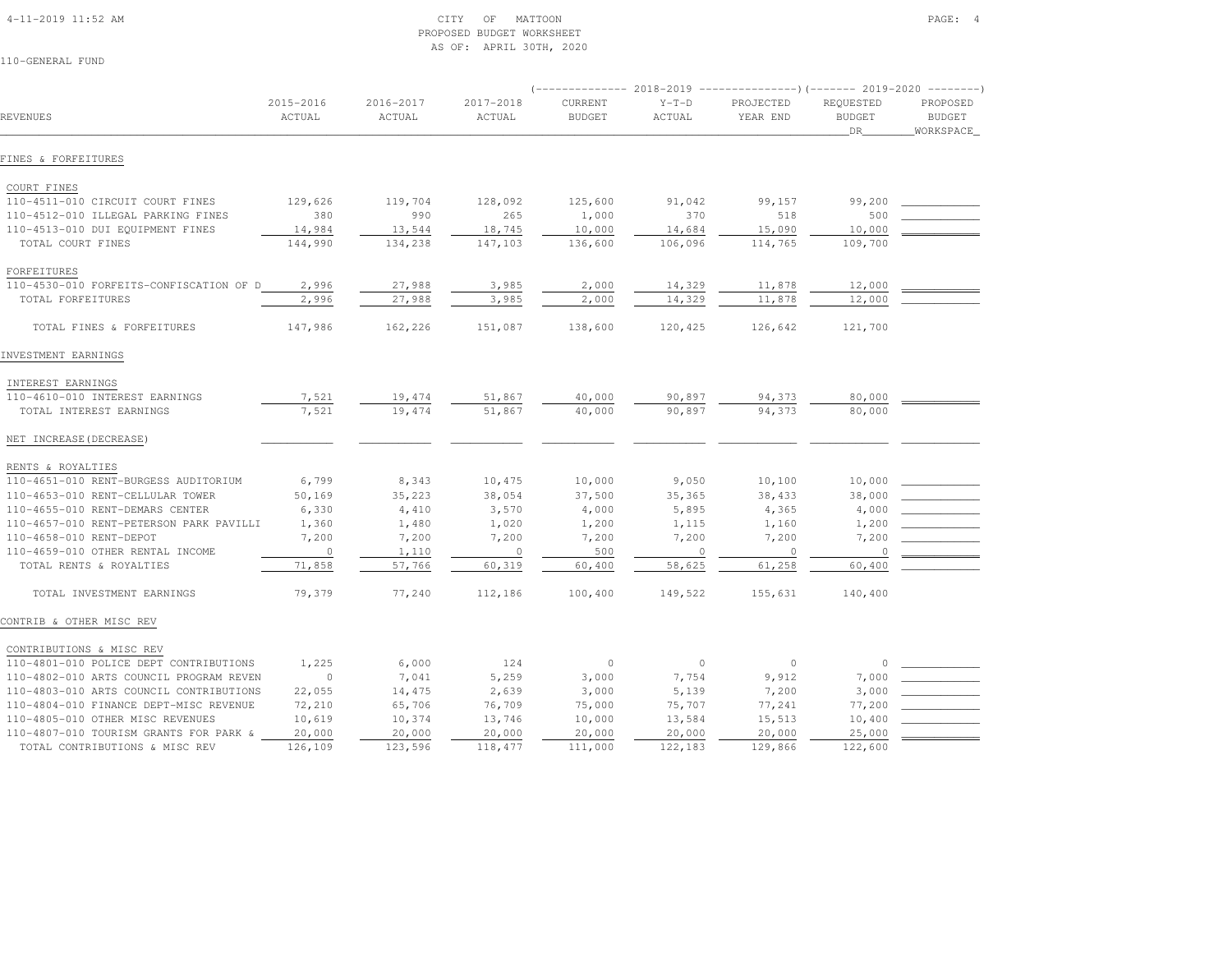# 4-11-2019 11:52 AM CITY OF MATTOON PAGE: 4 PROPOSED BUDGET WORKSHEETAS OF: APRIL 30TH, 2020

|                                         |                     |                         |                     | $---------2018-2019$     |                   | ----------------) (------- 2019-2020 ---------) |                                         |                                        |
|-----------------------------------------|---------------------|-------------------------|---------------------|--------------------------|-------------------|-------------------------------------------------|-----------------------------------------|----------------------------------------|
| REVENUES                                | 2015-2016<br>ACTUAL | $2016 - 2017$<br>ACTUAL | 2017-2018<br>ACTUAL | CURRENT<br><b>BUDGET</b> | $Y-T-D$<br>ACTUAL | PROJECTED<br>YEAR END                           | REQUESTED<br><b>BUDGET</b><br><b>DR</b> | PROPOSED<br><b>BUDGET</b><br>WORKSPACE |
| FINES & FORFEITURES                     |                     |                         |                     |                          |                   |                                                 |                                         |                                        |
| COURT FINES                             |                     |                         |                     |                          |                   |                                                 |                                         |                                        |
| 110-4511-010 CIRCUIT COURT FINES        | 129,626             | 119,704                 | 128,092             | 125,600                  | 91,042            | 99,157                                          | 99,200                                  |                                        |
| 110-4512-010 ILLEGAL PARKING FINES      | 380                 | 990                     | 265                 | 1,000                    | 370               | 518                                             | 500                                     |                                        |
| 110-4513-010 DUI EQUIPMENT FINES        | 14,984              | 13,544                  | 18,745              | 10,000                   | 14,684            | 15,090                                          | 10,000                                  |                                        |
| TOTAL COURT FINES                       | 144,990             | 134,238                 | 147,103             | 136,600                  | 106,096           | 114,765                                         | 109,700                                 |                                        |
| FORFEITURES                             |                     |                         |                     |                          |                   |                                                 |                                         |                                        |
| 110-4530-010 FORFEITS-CONFISCATION OF D | 2,996               | 27,988                  | 3,985               | 2,000                    | 14,329            | 11,878                                          | 12,000                                  |                                        |
| TOTAL FORFEITURES                       | 2,996               | 27,988                  | 3,985               | 2,000                    | 14,329            | 11,878                                          | 12,000                                  |                                        |
| TOTAL FINES & FORFEITURES               | 147,986             | 162,226                 | 151,087             | 138,600                  | 120,425           | 126,642                                         | 121,700                                 |                                        |
| INVESTMENT EARNINGS                     |                     |                         |                     |                          |                   |                                                 |                                         |                                        |
| INTEREST EARNINGS                       |                     |                         |                     |                          |                   |                                                 |                                         |                                        |
| 110-4610-010 INTEREST EARNINGS          | 7,521               | 19,474                  | 51,867              | 40,000                   | 90,897            | 94,373                                          | 80,000                                  |                                        |
| TOTAL INTEREST EARNINGS                 | 7,521               | 19,474                  | 51,867              | 40,000                   | 90,897            | 94,373                                          | 80,000                                  |                                        |
| NET INCREASE (DECREASE)                 |                     |                         |                     |                          |                   |                                                 |                                         |                                        |
| RENTS & ROYALTIES                       |                     |                         |                     |                          |                   |                                                 |                                         |                                        |
| 110-4651-010 RENT-BURGESS AUDITORIUM    | 6,799               | 8,343                   | 10,475              | 10,000                   | 9,050             | 10,100                                          | 10,000                                  |                                        |
| 110-4653-010 RENT-CELLULAR TOWER        | 50,169              | 35,223                  | 38,054              | 37,500                   | 35,365            | 38,433                                          | 38,000                                  |                                        |
| 110-4655-010 RENT-DEMARS CENTER         | 6,330               | 4,410                   | 3,570               | 4,000                    | 5,895             | 4,365                                           | 4,000                                   |                                        |
| 110-4657-010 RENT-PETERSON PARK PAVILLI | 1,360               | 1,480                   | 1,020               | 1,200                    | 1,115             | 1,160                                           | 1,200                                   |                                        |
| 110-4658-010 RENT-DEPOT                 | 7,200               | 7,200                   | 7,200               | 7,200                    | 7,200             | 7,200                                           | 7,200                                   |                                        |
| 110-4659-010 OTHER RENTAL INCOME        | $\circ$             | 1,110                   | $\circ$             | 500                      | $\mathbf{0}$      | $\circ$                                         | $\circ$                                 |                                        |
| TOTAL RENTS & ROYALTIES                 | 71,858              | 57,766                  | 60,319              | 60,400                   | 58,625            | 61,258                                          | 60,400                                  |                                        |
| TOTAL INVESTMENT EARNINGS               | 79,379              | 77,240                  | 112,186             | 100,400                  | 149,522           | 155,631                                         | 140,400                                 |                                        |
| CONTRIB & OTHER MISC REV                |                     |                         |                     |                          |                   |                                                 |                                         |                                        |
| CONTRIBUTIONS & MISC REV                |                     |                         |                     |                          |                   |                                                 |                                         |                                        |
| 110-4801-010 POLICE DEPT CONTRIBUTIONS  | 1,225               | 6,000                   | 124                 | $\mathbf{0}$             | $\circ$           | $\circ$                                         | $\Omega$                                |                                        |
| 110-4802-010 ARTS COUNCIL PROGRAM REVEN | $\circ$             | 7,041                   | 5,259               | 3,000                    | 7,754             | 9,912                                           | 7,000                                   |                                        |
| 110-4803-010 ARTS COUNCIL CONTRIBUTIONS | 22,055              | 14,475                  | 2,639               | 3,000                    | 5,139             | 7,200                                           | 3,000                                   |                                        |
| 110-4804-010 FINANCE DEPT-MISC REVENUE  | 72,210              | 65,706                  | 76,709              | 75,000                   | 75,707            | 77,241                                          | 77,200                                  |                                        |
| 110-4805-010 OTHER MISC REVENUES        | 10,619              | 10,374                  | 13,746              | 10,000                   | 13,584            | 15,513                                          | 10,400                                  |                                        |
| 110-4807-010 TOURISM GRANTS FOR PARK &  | 20,000              | 20,000                  | 20,000              | 20,000                   | 20,000            | 20,000                                          | 25,000                                  |                                        |
| TOTAL CONTRIBUTIONS & MISC REV          | 126,109             | 123,596                 | 118,477             | 111,000                  | 122,183           | 129,866                                         | 122,600                                 |                                        |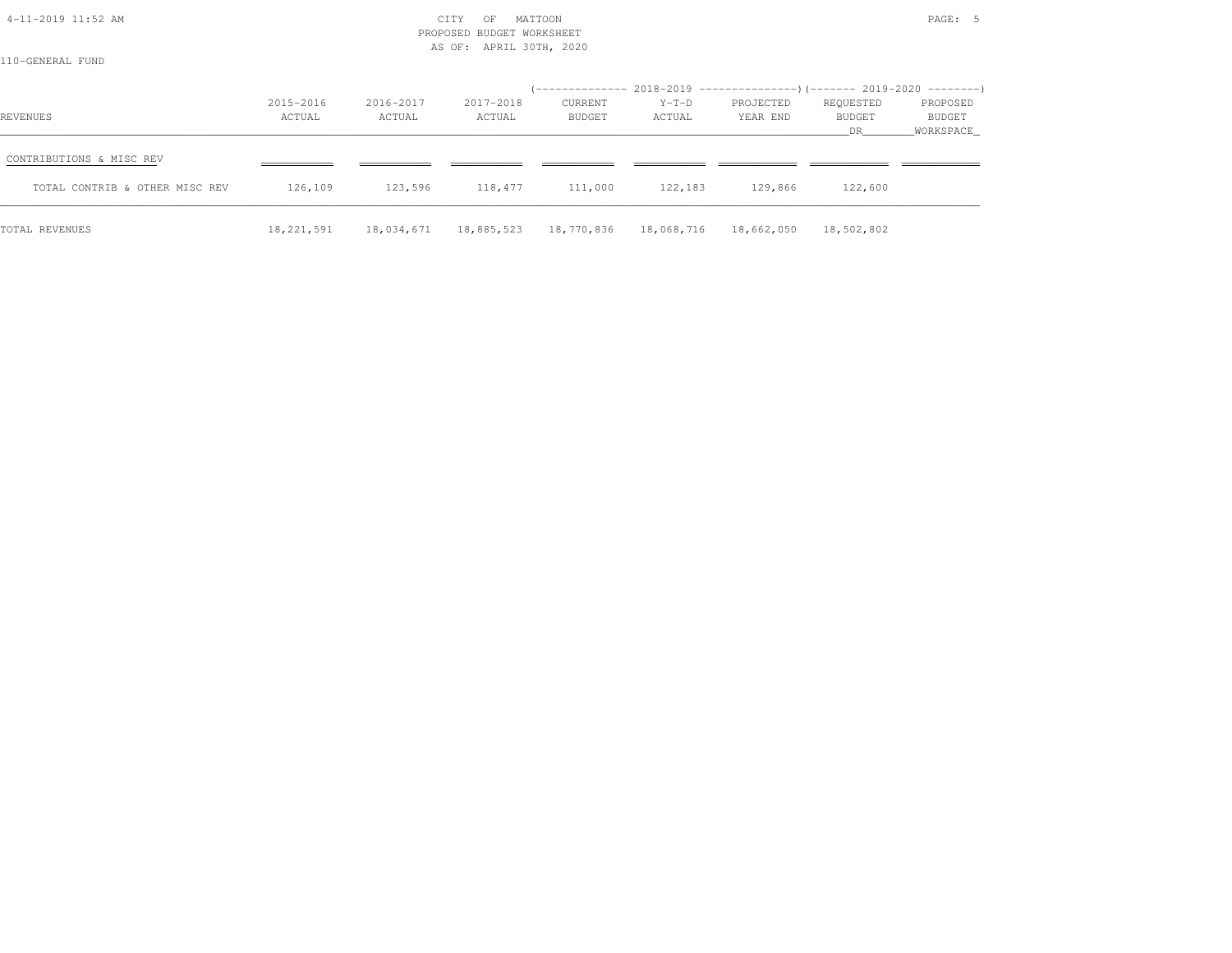| 4-11-2019 11:52 AM<br>110-GENERAL FUND |                     |                     | CITY<br>OF<br>PROPOSED BUDGET WORKSHEET<br>AS OF: APRIL 30TH, 2020 | MATTOON                                        |                   |                       |                            | PAGE: 5                                |
|----------------------------------------|---------------------|---------------------|--------------------------------------------------------------------|------------------------------------------------|-------------------|-----------------------|----------------------------|----------------------------------------|
|                                        |                     |                     |                                                                    |                                                |                   |                       |                            |                                        |
| REVENUES                               | 2015-2016<br>ACTUAL | 2016-2017<br>ACTUAL | 2017-2018<br>ACTUAL                                                | CURRENT<br>BUDGET                              | $Y-T-D$<br>ACTUAL | PROJECTED<br>YEAR END | REQUESTED<br>BUDGET<br>DR. | PROPOSED<br><b>BUDGET</b><br>WORKSPACE |
| CONTRIBUTIONS & MISC REV               |                     |                     |                                                                    |                                                |                   |                       |                            |                                        |
| TOTAL CONTRIB & OTHER MISC REV         | 126,109             | 123,596             | 118,477                                                            | 111,000                                        | 122,183           | 129,866               | 122,600                    |                                        |
| TOTAL REVENUES                         | 18,221,591          | 18,034,671          |                                                                    | 18,885,523  18,770,836  18,068,716  18,662,050 |                   |                       | 18,502,802                 |                                        |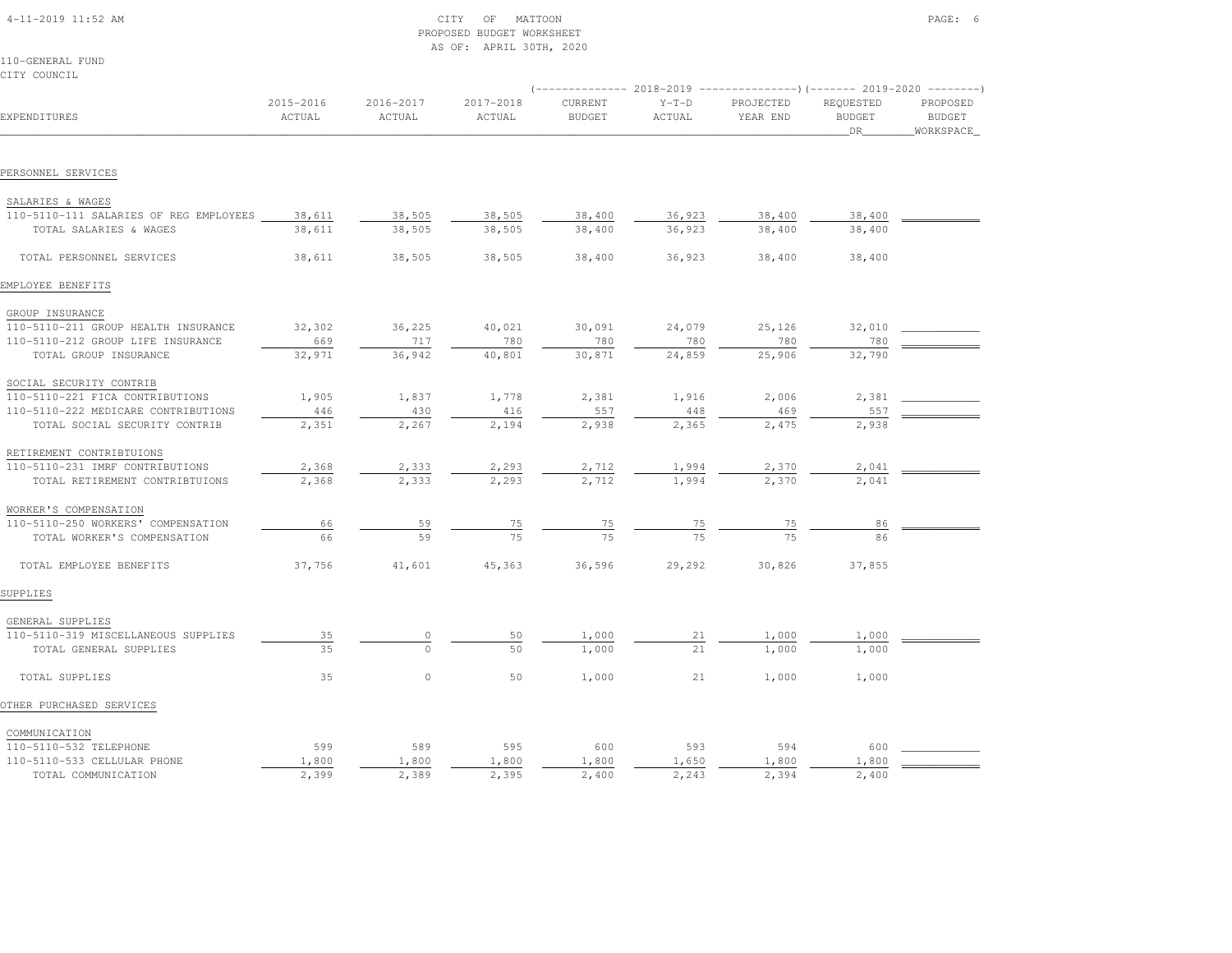| 4-11-2019 11:52 AM |  |
|--------------------|--|

# $\begin{array}{ccc} \text{CITY} & \text{OF} & \text{MATTOON} \end{array}$  PROPOSED BUDGET WORKSHEETAS OF: APRIL 30TH, 2020

110-GENERAL FUNDCITY COUNCIL

| EXPENDITURES                           | 2015-2016<br>ACTUAL | 2016-2017<br>ACTUAL | 2017-2018<br>ACTUAL | CURRENT<br><b>BUDGET</b> | $Y-T-D$<br>ACTUAL | PROJECTED<br>YEAR END | REQUESTED<br><b>BUDGET</b><br>DR | PROPOSED<br><b>BUDGET</b><br>WORKSPACE |
|----------------------------------------|---------------------|---------------------|---------------------|--------------------------|-------------------|-----------------------|----------------------------------|----------------------------------------|
|                                        |                     |                     |                     |                          |                   |                       |                                  |                                        |
| PERSONNEL SERVICES                     |                     |                     |                     |                          |                   |                       |                                  |                                        |
| SALARIES & WAGES                       |                     |                     |                     |                          |                   |                       |                                  |                                        |
| 110-5110-111 SALARIES OF REG EMPLOYEES | 38,611              | 38,505              | 38,505              | 38,400                   | 36,923            | 38,400                | 38,400                           |                                        |
| TOTAL SALARIES & WAGES                 | 38,611              | 38,505              | 38,505              | 38,400                   | 36,923            | 38,400                | 38,400                           |                                        |
| TOTAL PERSONNEL SERVICES               | 38,611              | 38,505              | 38,505              | 38,400                   | 36,923            | 38,400                | 38,400                           |                                        |
| EMPLOYEE BENEFITS                      |                     |                     |                     |                          |                   |                       |                                  |                                        |
| GROUP INSURANCE                        |                     |                     |                     |                          |                   |                       |                                  |                                        |
| 110-5110-211 GROUP HEALTH INSURANCE    | 32,302              | 36,225              | 40,021              | 30,091                   | 24,079            | 25,126                | 32,010                           |                                        |
| 110-5110-212 GROUP LIFE INSURANCE      | 669                 | 717                 | 780                 | 780                      | 780               | 780                   | 780                              |                                        |
| TOTAL GROUP INSURANCE                  | 32,971              | 36,942              | 40,801              | 30,871                   | 24,859            | 25,906                | 32,790                           |                                        |
| SOCIAL SECURITY CONTRIB                |                     |                     |                     |                          |                   |                       |                                  |                                        |
| 110-5110-221 FICA CONTRIBUTIONS        | 1,905               | 1,837               | 1,778               | 2,381                    | 1,916             | 2,006                 | 2,381                            |                                        |
| 110-5110-222 MEDICARE CONTRIBUTIONS    | 446                 | 430                 | 416                 | 557                      | 448               | 469                   | 557                              |                                        |
| TOTAL SOCIAL SECURITY CONTRIB          | 2,351               | 2,267               | 2,194               | 2,938                    | 2,365             | 2,475                 | 2,938                            |                                        |
| RETIREMENT CONTRIBTUIONS               |                     |                     |                     |                          |                   |                       |                                  |                                        |
| 110-5110-231 IMRF CONTRIBUTIONS        | 2,368               | 2,333               | 2,293               | 2,712                    | 1,994             | 2,370                 | 2,041                            |                                        |
| TOTAL RETIREMENT CONTRIBTUIONS         | 2,368               | 2,333               | 2,293               | 2,712                    | 1,994             | 2,370                 | 2,041                            |                                        |
| WORKER'S COMPENSATION                  |                     |                     |                     |                          |                   |                       |                                  |                                        |
| 110-5110-250 WORKERS' COMPENSATION     | 66                  | 59                  | 75                  | 75                       |                   | 75                    | 86                               |                                        |
| TOTAL WORKER'S COMPENSATION            | 66                  | 59                  | 75                  | 75                       | $\frac{75}{75}$   |                       |                                  |                                        |
| TOTAL EMPLOYEE BENEFITS                | 37,756              | 41,601              | 45,363              | 36,596                   | 29,292            | 30,826                | 37,855                           |                                        |
| SUPPLIES                               |                     |                     |                     |                          |                   |                       |                                  |                                        |
| GENERAL SUPPLIES                       |                     |                     |                     |                          |                   |                       |                                  |                                        |
| 110-5110-319 MISCELLANEOUS SUPPLIES    | 35                  | $\Omega$            | 50                  | 1,000                    | 21                | 1,000                 | 1,000                            |                                        |
| TOTAL GENERAL SUPPLIES                 | 35                  | $\Omega$            | 50                  | 1,000                    | 21                | 1,000                 | 1,000                            |                                        |
| TOTAL SUPPLIES                         | 35                  | $\circ$             | 50                  | 1,000                    | 21                | 1,000                 | 1,000                            |                                        |
| OTHER PURCHASED SERVICES               |                     |                     |                     |                          |                   |                       |                                  |                                        |
| COMMUNICATION                          |                     |                     |                     |                          |                   |                       |                                  |                                        |
| 110-5110-532 TELEPHONE                 | 599                 | 589                 | 595                 | 600                      | 593               | 594                   | 600                              |                                        |
| 110-5110-533 CELLULAR PHONE            | 1,800               | 1,800               | 1,800               | 1,800                    | 1,650             | 1,800                 | 1,800                            |                                        |

TOTAL COMMUNICATION 2,399 2,389 2,395 2,400 2,243 2,394 2,400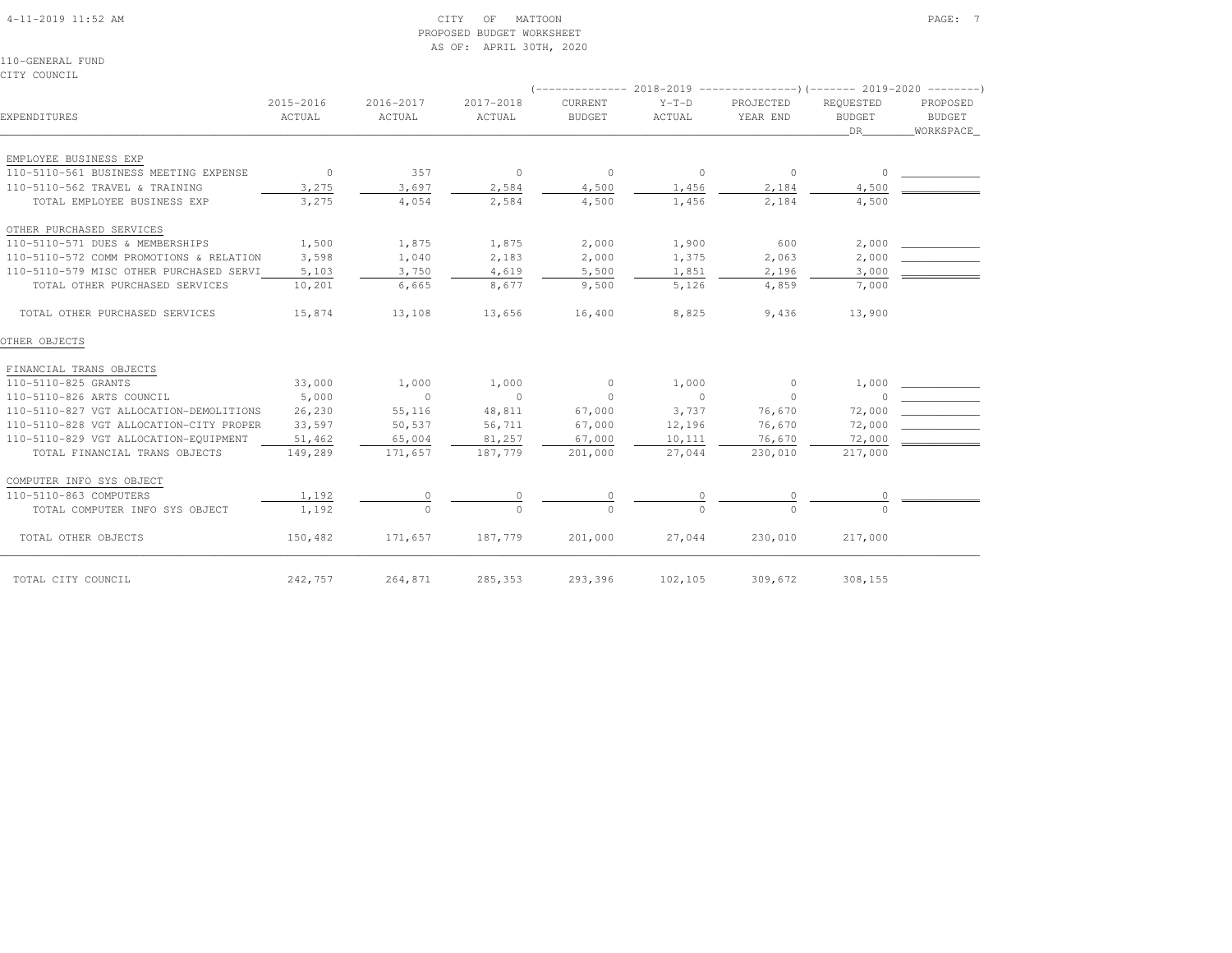#### 4-11-2019 11:52 AM CITY OF MATTOON PAGE: 7 PROPOSED BUDGET WORKSHEETAS OF: APRIL 30TH, 2020

110-GENERAL FUNDCITY COUNCIL

|                                         |                     |                     |                     | <i>l --------------</i>  |                   |                       | 2018-2019 ---------------------- (-------- 2019-2020 ----------- |                                 |  |
|-----------------------------------------|---------------------|---------------------|---------------------|--------------------------|-------------------|-----------------------|------------------------------------------------------------------|---------------------------------|--|
| EXPENDITURES                            | 2015-2016<br>ACTUAL | 2016-2017<br>ACTUAL | 2017-2018<br>ACTUAL | CURRENT<br><b>BUDGET</b> | $Y-T-D$<br>ACTUAL | PROJECTED<br>YEAR END | REOUESTED<br><b>BUDGET</b><br>DR                                 | PROPOSED<br>BUDGET<br>WORKSPACE |  |
| EMPLOYEE BUSINESS EXP                   |                     |                     |                     |                          |                   |                       |                                                                  |                                 |  |
| 110-5110-561 BUSINESS MEETING EXPENSE   | $\sim$ 0            | 357                 | $\overline{0}$      | $\overline{0}$           | $\overline{0}$    | $\circ$               | $\circ$                                                          |                                 |  |
| 110-5110-562 TRAVEL & TRAINING          | 3,275               | 3,697               | 2,584               | 4,500                    | 1,456             | 2,184                 | 4,500                                                            |                                 |  |
| TOTAL EMPLOYEE BUSINESS EXP             | 3,275               | 4,054               | 2,584               | 4,500                    | 1,456             | 2,184                 | 4,500                                                            |                                 |  |
| OTHER PURCHASED SERVICES                |                     |                     |                     |                          |                   |                       |                                                                  |                                 |  |
| 110-5110-571 DUES & MEMBERSHIPS         | 1,500               | 1,875               | 1,875               | 2,000                    | 1,900             | 600                   | 2,000                                                            |                                 |  |
| 110-5110-572 COMM PROMOTIONS & RELATION | 3,598               | 1,040               | 2,183               | 2,000                    | 1,375             | 2,063                 | 2,000                                                            |                                 |  |
| 110-5110-579 MISC OTHER PURCHASED SERVI | 5,103               | 3,750               | 4,619               | 5,500                    | 1,851             | 2,196                 | 3,000                                                            |                                 |  |
| TOTAL OTHER PURCHASED SERVICES          | 10,201              | 6,665               | 8,677               | 9,500                    | 5,126             | 4,859                 | 7,000                                                            |                                 |  |
| TOTAL OTHER PURCHASED SERVICES          | 15,874              | 13,108              | 13,656              | 16,400                   | 8,825             | 9,436                 | 13,900                                                           |                                 |  |
| OTHER OBJECTS                           |                     |                     |                     |                          |                   |                       |                                                                  |                                 |  |
| FINANCIAL TRANS OBJECTS                 |                     |                     |                     |                          |                   |                       |                                                                  |                                 |  |
| 110-5110-825 GRANTS                     | 33,000              | 1,000               | 1,000               | $\circ$                  | 1,000             | $\circ$               | 1,000                                                            |                                 |  |
| 110-5110-826 ARTS COUNCIL               | 5,000               | $\circ$             | $\sim$ 0            | $\circ$                  | $\sim$ 0          | $\circ$               |                                                                  |                                 |  |
| 110-5110-827 VGT ALLOCATION-DEMOLITIONS | 26,230              | 55,116              | 48,811              | 67,000                   | 3,737             | 76,670                | 72,000                                                           |                                 |  |
| 110-5110-828 VGT ALLOCATION-CITY PROPER | 33,597              | 50,537              | 56,711              | 67,000                   | 12,196            | 76,670                | 72,000                                                           |                                 |  |
| 110-5110-829 VGT ALLOCATION-EQUIPMENT   | 51,462              | 65,004              | 81,257              | 67,000                   | 10,111            | 76,670                | 72,000                                                           |                                 |  |
| TOTAL FINANCIAL TRANS OBJECTS           | 149,289             | 171,657             | 187,779             | 201,000                  | 27,044            | 230,010               | 217,000                                                          |                                 |  |
| COMPUTER INFO SYS OBJECT                |                     |                     |                     |                          |                   |                       |                                                                  |                                 |  |
| 110-5110-863 COMPUTERS                  | 1,192               | $\circ$             | 0                   | $\circ$                  | $\circ$           | 0                     |                                                                  |                                 |  |
| TOTAL COMPUTER INFO SYS OBJECT          | 1,192               | $\bigcap$           | $\Omega$            | $\Omega$                 | $\Omega$          | $\Omega$              |                                                                  |                                 |  |
| TOTAL OTHER OBJECTS                     | 150,482             | 171,657             | 187,779             | 201,000                  | 27,044            | 230,010               | 217,000                                                          |                                 |  |
| TOTAL CITY COUNCIL                      | 242,757             | 264,871             | 285,353             | 293,396                  | 102,105           | 309,672               | 308,155                                                          |                                 |  |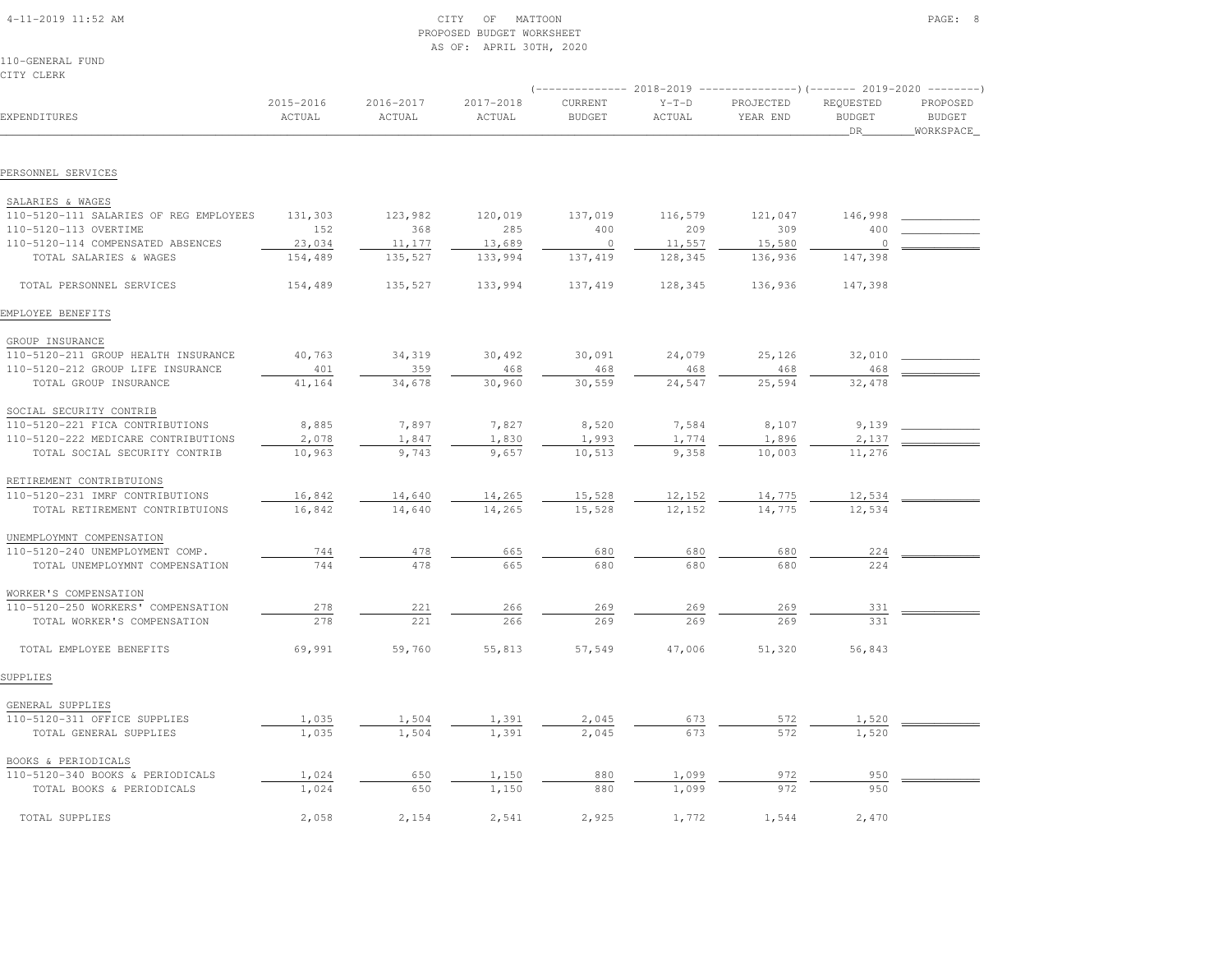| 4-11-2019 11:52 AM |  |  |
|--------------------|--|--|

# $\begin{array}{ccc} \textrm{CITY} & \textrm{OF} & \textrm{MATION} \end{array}$  PROPOSED BUDGET WORKSHEETAS OF: APRIL 30TH, 2020

110-GENERAL FUNDCITY CLERK

|                                        |                     |                     |                     |                          | (-------------- 2018-2019 ----------------)(------- 2019-2020 --------) |                       |                                   |                                         |
|----------------------------------------|---------------------|---------------------|---------------------|--------------------------|-------------------------------------------------------------------------|-----------------------|-----------------------------------|-----------------------------------------|
| EXPENDITURES                           | 2015-2016<br>ACTUAL | 2016-2017<br>ACTUAL | 2017-2018<br>ACTUAL | CURRENT<br><b>BUDGET</b> | $Y-T-D$<br>ACTUAL                                                       | PROJECTED<br>YEAR END | REQUESTED<br><b>BUDGET</b><br>DR. | PROPOSED<br><b>BUDGET</b><br>WORKSPACE_ |
|                                        |                     |                     |                     |                          |                                                                         |                       |                                   |                                         |
| PERSONNEL SERVICES                     |                     |                     |                     |                          |                                                                         |                       |                                   |                                         |
| SALARIES & WAGES                       |                     |                     |                     |                          |                                                                         |                       |                                   |                                         |
| 110-5120-111 SALARIES OF REG EMPLOYEES | 131,303             | 123,982             | 120,019             | 137,019                  | 116,579                                                                 | 121,047               | 146,998                           |                                         |
| 110-5120-113 OVERTIME                  | 152                 | 368                 | 285                 | 400                      | 209                                                                     | 309                   | 400                               |                                         |
| 110-5120-114 COMPENSATED ABSENCES      | 23,034              | 11,177              | 13,689              | $\circ$                  | 11,557                                                                  | 15,580                | 0                                 |                                         |
| TOTAL SALARIES & WAGES                 | 154,489             | 135,527             | 133,994             | 137, 419                 | 128,345                                                                 | 136,936               | 147,398                           |                                         |
| TOTAL PERSONNEL SERVICES               | 154,489             | 135,527             | 133,994             | 137, 419                 | 128,345                                                                 | 136,936               | 147,398                           |                                         |
| EMPLOYEE BENEFITS                      |                     |                     |                     |                          |                                                                         |                       |                                   |                                         |
| GROUP INSURANCE                        |                     |                     |                     |                          |                                                                         |                       |                                   |                                         |
| 110-5120-211 GROUP HEALTH INSURANCE    | 40,763              | 34,319              | 30,492              | 30,091                   | 24,079                                                                  | 25,126                | 32,010                            |                                         |
| 110-5120-212 GROUP LIFE INSURANCE      | 401                 | 359                 | 468                 | 468                      | 468                                                                     | 468                   | 468                               |                                         |
| TOTAL GROUP INSURANCE                  | 41,164              | 34,678              | 30,960              | 30,559                   | 24,547                                                                  | 25,594                | 32,478                            |                                         |
| SOCIAL SECURITY CONTRIB                |                     |                     |                     |                          |                                                                         |                       |                                   |                                         |
| 110-5120-221 FICA CONTRIBUTIONS        | 8,885               | 7,897               | 7,827               | 8,520                    | 7,584                                                                   | 8,107                 | 9,139                             |                                         |
| 110-5120-222 MEDICARE CONTRIBUTIONS    | 2,078               | 1,847               | 1,830               | 1,993                    | 1,774                                                                   | 1,896                 | 2,137                             |                                         |
| TOTAL SOCIAL SECURITY CONTRIB          | 10,963              | 9,743               | 9,657               | 10,513                   | 9,358                                                                   | 10,003                | 11,276                            |                                         |
| RETIREMENT CONTRIBTUIONS               |                     |                     |                     |                          |                                                                         |                       |                                   |                                         |
| 110-5120-231 IMRF CONTRIBUTIONS        | 16,842              | 14,640              | 14,265              | 15,528                   | 12,152                                                                  | 14,775                | 12,534                            |                                         |
| TOTAL RETIREMENT CONTRIBTUIONS         | 16,842              | 14,640              | 14,265              | 15,528                   | 12,152                                                                  | 14,775                | 12,534                            |                                         |
| UNEMPLOYMNT COMPENSATION               |                     |                     |                     |                          |                                                                         |                       |                                   |                                         |
| 110-5120-240 UNEMPLOYMENT COMP.        | 744                 | 478                 | 665                 | 680                      | 680                                                                     | 680                   | 224                               |                                         |
| TOTAL UNEMPLOYMNT COMPENSATION         | 744                 | 478                 | 665                 | 680                      | 680                                                                     | 680                   | 224                               |                                         |
| WORKER'S COMPENSATION                  |                     |                     |                     |                          |                                                                         |                       |                                   |                                         |
| 110-5120-250 WORKERS' COMPENSATION     | 278                 | 221                 | 266                 | 269                      | 269                                                                     | 269                   | 331                               |                                         |
| TOTAL WORKER'S COMPENSATION            | 278                 | 221                 | 266                 | 269                      | 269                                                                     | 269                   | 331                               |                                         |
| TOTAL EMPLOYEE BENEFITS                | 69,991              | 59,760              | 55,813              | 57,549                   | 47,006                                                                  | 51,320                | 56,843                            |                                         |
| SUPPLIES                               |                     |                     |                     |                          |                                                                         |                       |                                   |                                         |
| GENERAL SUPPLIES                       |                     |                     |                     |                          |                                                                         |                       |                                   |                                         |
| 110-5120-311 OFFICE SUPPLIES           | 1,035               | 1,504               | 1,391               | 2,045                    | 673                                                                     | 572                   | 1,520                             |                                         |
| TOTAL GENERAL SUPPLIES                 | 1,035               | 1,504               | 1,391               | 2,045                    | 673                                                                     | 572                   | 1,520                             |                                         |
| BOOKS & PERIODICALS                    |                     |                     |                     |                          |                                                                         |                       |                                   |                                         |
| 110-5120-340 BOOKS & PERIODICALS       | 1,024               | 650                 | 1,150               | 880                      | 1,099                                                                   | 972                   | 950                               |                                         |
| TOTAL BOOKS & PERIODICALS              | 1,024               | 650                 | 1,150               | 880                      | 1,099                                                                   | 972                   | 950                               |                                         |
| TOTAL SUPPLIES                         | 2,058               | 2,154               | 2,541               | 2,925                    | 1,772                                                                   | 1,544                 | 2,470                             |                                         |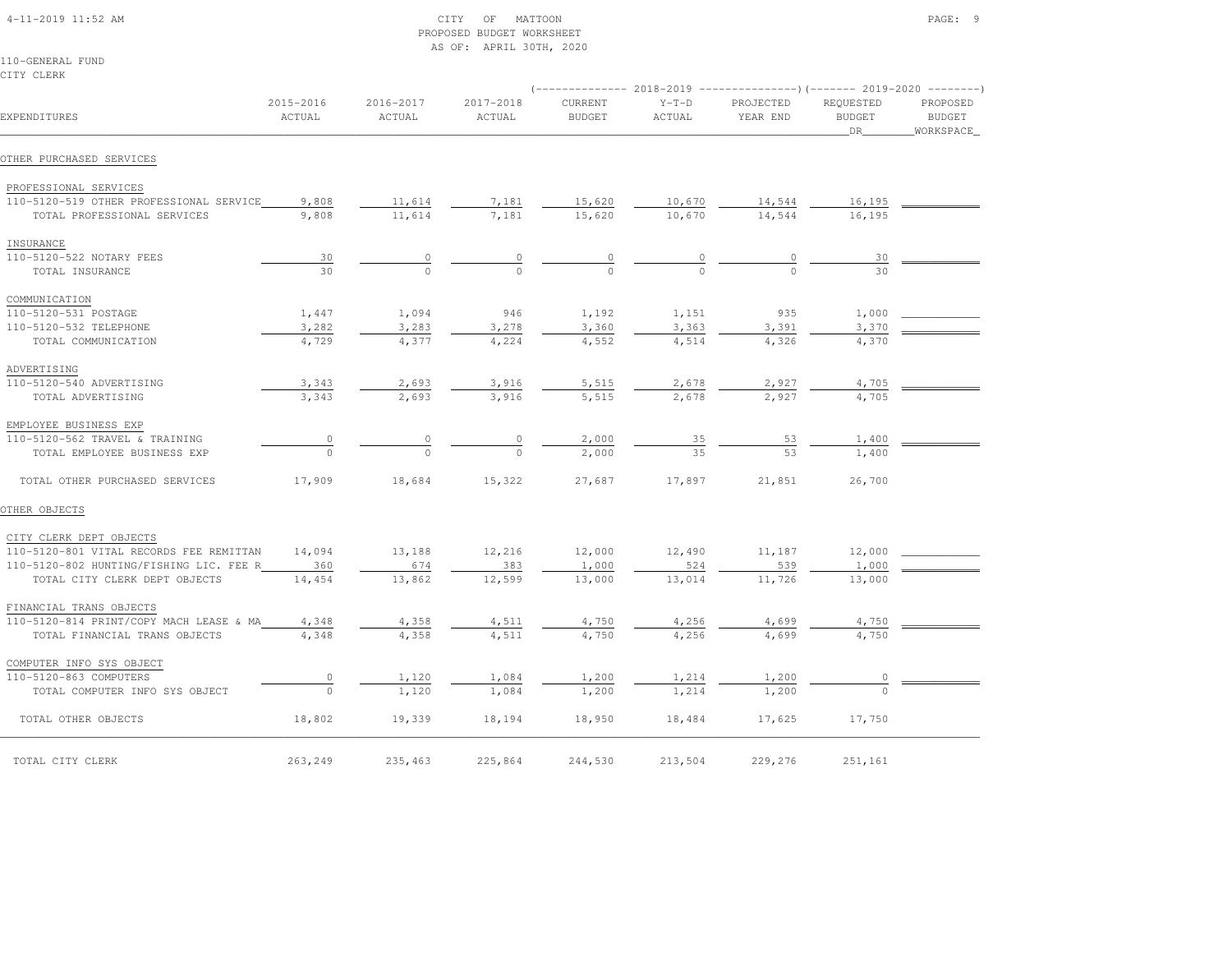|                                         |                     |                     | PROPOSED BUDGET WORKSHEET<br>AS OF: APRIL 30TH, 2020 |                          |                   |                       |                                    |                                         |
|-----------------------------------------|---------------------|---------------------|------------------------------------------------------|--------------------------|-------------------|-----------------------|------------------------------------|-----------------------------------------|
| 110-GENERAL FUND<br>CITY CLERK          |                     |                     |                                                      |                          |                   |                       |                                    |                                         |
|                                         |                     |                     |                                                      |                          |                   |                       |                                    |                                         |
| EXPENDITURES                            | 2015-2016<br>ACTUAL | 2016-2017<br>ACTUAL | 2017-2018<br>ACTUAL                                  | CURRENT<br><b>BUDGET</b> | $Y-T-D$<br>ACTUAL | PROJECTED<br>YEAR END | REQUESTED<br><b>BUDGET</b><br>_DR_ | PROPOSED<br><b>BUDGET</b><br>WORKSPACE_ |
| OTHER PURCHASED SERVICES                |                     |                     |                                                      |                          |                   |                       |                                    |                                         |
| PROFESSIONAL SERVICES                   |                     |                     |                                                      |                          |                   |                       |                                    |                                         |
| 110-5120-519 OTHER PROFESSIONAL SERVICE | 9,808               | 11,614              | 7,181                                                | 15,620                   | 10,670            | 14,544                | 16,195                             |                                         |
| TOTAL PROFESSIONAL SERVICES             | 9,808               | 11,614              | 7,181                                                | 15,620                   | 10,670            | 14,544                | 16,195                             |                                         |
| INSURANCE                               |                     |                     |                                                      |                          |                   |                       |                                    |                                         |
| 110-5120-522 NOTARY FEES                | 30                  | $\frac{0}{0}$       | $\frac{0}{0}$                                        | $\frac{0}{0}$            | $\frac{0}{0}$     | $\frac{0}{0}$         | 30                                 |                                         |
| TOTAL INSURANCE                         | 30                  |                     |                                                      |                          |                   |                       | 30                                 |                                         |
| COMMUNICATION                           |                     |                     |                                                      |                          |                   |                       |                                    |                                         |
| 110-5120-531 POSTAGE                    | 1,447               | 1,094               | 946                                                  | 1,192                    | 1,151             | 935                   | 1,000                              |                                         |
| 110-5120-532 TELEPHONE                  | 3,282               | 3,283               | 3,278                                                | 3,360                    | 3,363             | 3,391                 | 3,370                              |                                         |
| TOTAL COMMUNICATION                     | 4,729               | 4,377               | 4,224                                                | 4,552                    | 4,514             | 4,326                 | 4,370                              |                                         |
| ADVERTISING                             |                     |                     |                                                      |                          |                   |                       |                                    |                                         |
| 110-5120-540 ADVERTISING                | 3,343               | 2,693               | 3,916                                                | 5,515                    | 2,678             | 2,927                 | 4,705                              |                                         |
| TOTAL ADVERTISING                       | 3,343               | 2,693               | 3,916                                                | 5,515                    | 2,678             | 2,927                 | 4,705                              |                                         |
| EMPLOYEE BUSINESS EXP                   |                     |                     |                                                      |                          |                   |                       |                                    |                                         |
| 110-5120-562 TRAVEL & TRAINING          | $\circ$             | $\mathbb O$         | $\circ$                                              | 2,000                    | 35                | 53                    | 1,400                              |                                         |
| TOTAL EMPLOYEE BUSINESS EXP             | $\cap$              | $\cap$              | $\bigcap$                                            | 2,000                    | 35                | 53                    | 1,400                              |                                         |
| TOTAL OTHER PURCHASED SERVICES          | 17,909              | 18,684              | 15,322                                               | 27,687                   | 17,897            | 21,851                | 26,700                             |                                         |
| OTHER OBJECTS                           |                     |                     |                                                      |                          |                   |                       |                                    |                                         |
| CITY CLERK DEPT OBJECTS                 |                     |                     |                                                      |                          |                   |                       |                                    |                                         |
| 110-5120-801 VITAL RECORDS FEE REMITTAN | 14,094              | 13,188              | 12,216                                               | 12,000                   | 12,490            | 11,187                | 12,000                             |                                         |
| 110-5120-802 HUNTING/FISHING LIC. FEE R | 360                 | 674                 | 383                                                  | 1,000                    | 524               | 539                   | 1,000                              |                                         |
| TOTAL CITY CLERK DEPT OBJECTS           | 14,454              | 13,862              | 12,599                                               | 13,000                   | 13,014            | 11,726                | 13,000                             |                                         |
| FINANCIAL TRANS OBJECTS                 |                     |                     |                                                      |                          |                   |                       |                                    |                                         |
| 110-5120-814 PRINT/COPY MACH LEASE & MA | 4,348               | 4,358               | 4,511                                                | 4,750                    | 4,256             | 4,699                 | 4,750                              |                                         |
| TOTAL FINANCIAL TRANS OBJECTS           | 4,348               | 4,358               | 4,511                                                | 4,750                    | 4,256             | 4,699                 | 4,750                              |                                         |
| COMPUTER INFO SYS OBJECT                |                     |                     |                                                      |                          |                   |                       |                                    |                                         |
| 110-5120-863 COMPUTERS                  | $\circ$             | 1,120               | 1,084                                                | 1,200                    | 1,214             | 1,200                 | $\circ$                            |                                         |
| TOTAL COMPUTER INFO SYS OBJECT          | $\Omega$            | 1,120               | 1,084                                                | 1,200                    | 1,214             | 1,200                 | $\cap$                             |                                         |
| TOTAL OTHER OBJECTS                     | 18,802              | 19,339              | 18,194                                               | 18,950                   | 18,484            | 17,625                | 17,750                             |                                         |
| TOTAL CITY CLERK                        | 263,249             | 235,463             | 225,864                                              | 244,530                  | 213,504           | 229,276               | 251,161                            |                                         |

4-11-2019 11:52 AM CITY OF MATTOON PAGE: 9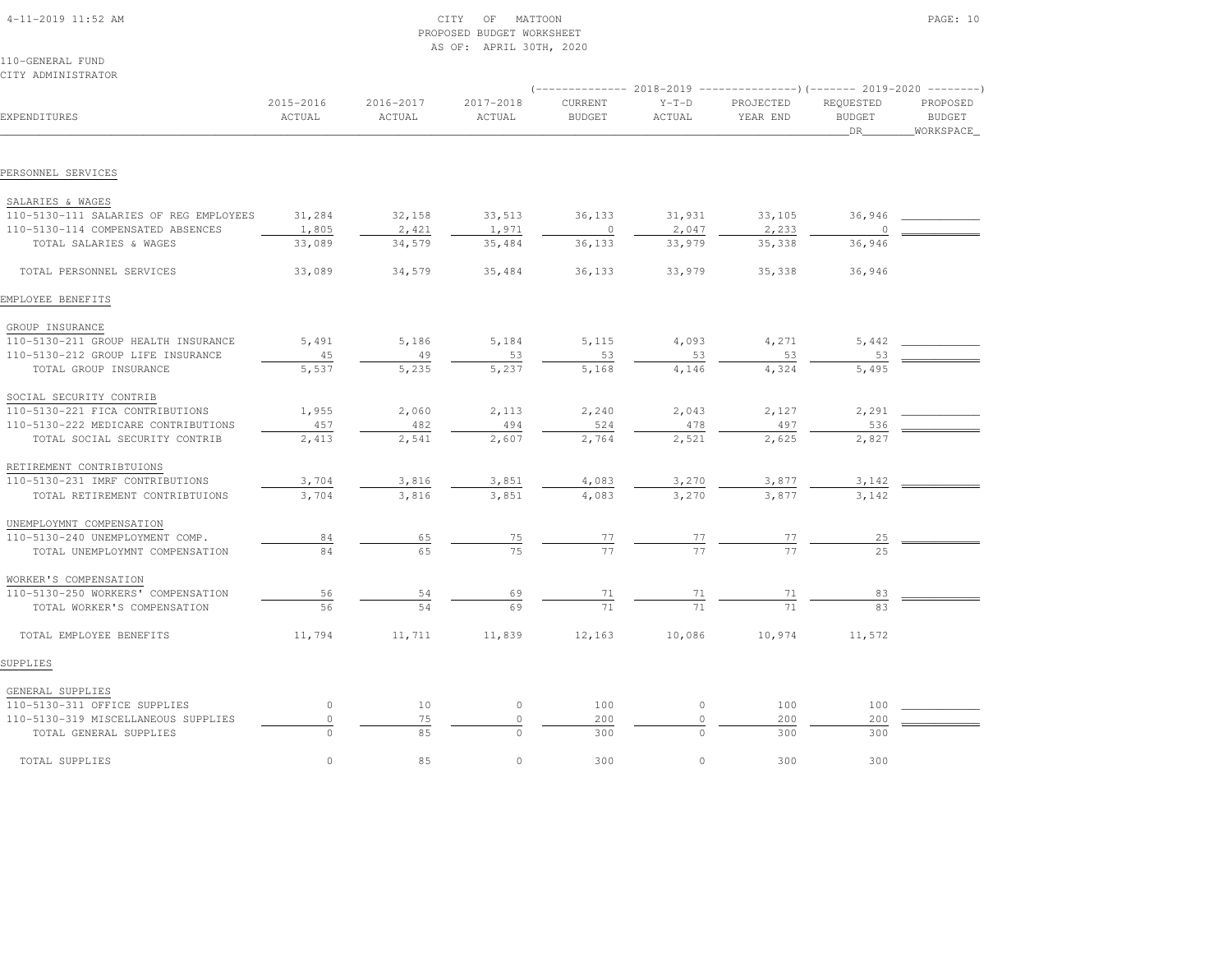| $4 - 11 - 2019$ 11:52 AM |  |
|--------------------------|--|
|                          |  |

# $\begin{array}{ccc} \text{CITY} & \text{OF} & \text{MATION} \end{array}$  PROPOSED BUDGET WORKSHEETAS OF: APRIL 30TH, 2020

| CITY ADMINISTRATOR                     |                     |                     |                     |                          |                   |                       |                                         |                                        |
|----------------------------------------|---------------------|---------------------|---------------------|--------------------------|-------------------|-----------------------|-----------------------------------------|----------------------------------------|
| EXPENDITURES                           | 2015-2016<br>ACTUAL | 2016-2017<br>ACTUAL | 2017-2018<br>ACTUAL | CURRENT<br><b>BUDGET</b> | $Y-T-D$<br>ACTUAL | PROJECTED<br>YEAR END | REQUESTED<br><b>BUDGET</b><br><b>DR</b> | PROPOSED<br><b>BUDGET</b><br>WORKSPACE |
|                                        |                     |                     |                     |                          |                   |                       |                                         |                                        |
| PERSONNEL SERVICES                     |                     |                     |                     |                          |                   |                       |                                         |                                        |
| SALARIES & WAGES                       |                     |                     |                     |                          |                   |                       |                                         |                                        |
| 110-5130-111 SALARIES OF REG EMPLOYEES | 31,284              | 32,158              | 33,513              | 36,133                   | 31,931            | 33,105                | 36,946                                  |                                        |
| 110-5130-114 COMPENSATED ABSENCES      | 1,805               | 2,421               | 1,971               | $\mathbf 0$              | 2,047             | 2,233                 |                                         |                                        |
| TOTAL SALARIES & WAGES                 | 33,089              | 34,579              | 35,484              | 36,133                   | 33,979            | 35,338                | 36,946                                  |                                        |
| TOTAL PERSONNEL SERVICES               | 33,089              | 34,579              | 35,484              | 36,133                   | 33,979            | 35,338                | 36,946                                  |                                        |
| EMPLOYEE BENEFITS                      |                     |                     |                     |                          |                   |                       |                                         |                                        |
| GROUP INSURANCE                        |                     |                     |                     |                          |                   |                       |                                         |                                        |
| 110-5130-211 GROUP HEALTH INSURANCE    | 5,491               | 5,186               | 5,184               | 5,115                    | 4,093             | 4,271                 | 5,442                                   |                                        |
| 110-5130-212 GROUP LIFE INSURANCE      | 45                  | 49                  | 53                  | 53                       | 53                | 53                    | 53                                      |                                        |
| TOTAL GROUP INSURANCE                  | 5,537               | 5,235               | 5,237               | 5,168                    | 4,146             | 4,324                 | 5,495                                   |                                        |
| SOCIAL SECURITY CONTRIB                |                     |                     |                     |                          |                   |                       |                                         |                                        |
| 110-5130-221 FICA CONTRIBUTIONS        | 1,955               | 2,060               | 2,113               | 2,240                    | 2,043             | 2,127                 | 2,291                                   |                                        |
| 110-5130-222 MEDICARE CONTRIBUTIONS    | 457                 | 482                 | 494                 | 524                      | 478               | 497                   | 536                                     |                                        |
| TOTAL SOCIAL SECURITY CONTRIB          | 2,413               | 2,541               | 2,607               | 2,764                    | 2,521             | 2,625                 | 2,827                                   |                                        |
| RETIREMENT CONTRIBTUIONS               |                     |                     |                     |                          |                   |                       |                                         |                                        |
| 110-5130-231 IMRF CONTRIBUTIONS        | 3,704               | 3,816               | 3,851               | 4,083                    | 3,270             | 3,877                 | 3,142                                   |                                        |
| TOTAL RETIREMENT CONTRIBTUIONS         | 3,704               | 3,816               | 3,851               | 4,083                    | 3,270             | 3,877                 | 3,142                                   |                                        |
| UNEMPLOYMNT COMPENSATION               |                     |                     |                     |                          |                   |                       |                                         |                                        |
| 110-5130-240 UNEMPLOYMENT COMP.        | 84                  | 65                  | $\frac{75}{2}$      | $\frac{77}{77}$          | $\frac{77}{77}$   |                       | $^{25}$                                 |                                        |
| TOTAL UNEMPLOYMNT COMPENSATION         | 84                  | 65                  | 75                  |                          |                   | 77                    | 2.5                                     |                                        |
| WORKER'S COMPENSATION                  |                     |                     |                     |                          |                   |                       |                                         |                                        |
| 110-5130-250 WORKERS' COMPENSATION     | 56                  | 54                  | 69                  | 71                       | 71                | 71                    | 83                                      |                                        |
| TOTAL WORKER'S COMPENSATION            | 56                  | 54                  | 69                  | 71                       | 71                | 71                    | 83                                      |                                        |
| TOTAL EMPLOYEE BENEFITS                | 11,794              | 11,711              | 11,839              | 12,163                   | 10,086            | 10,974                | 11,572                                  |                                        |
| SUPPLIES                               |                     |                     |                     |                          |                   |                       |                                         |                                        |
| GENERAL SUPPLIES                       |                     |                     |                     |                          |                   |                       |                                         |                                        |
| 110-5130-311 OFFICE SUPPLIES           | $\circ$             | 10                  | $\circ$             | 100                      | $\circ$           | 100                   | 100                                     |                                        |
| 110-5130-319 MISCELLANEOUS SUPPLIES    | $\mathbb O$         | 75                  | $\cap$              | 200                      | $\Omega$          | 200                   | 200                                     |                                        |
| TOTAL GENERAL SUPPLIES                 | $\cap$              | 85                  | $\Omega$            | 300                      | $\Omega$          | 300                   | 300                                     |                                        |
| TOTAL SUPPLIES                         | $\Omega$            | 85                  | $\Omega$            | 300                      | $\Omega$          | 300                   | 300                                     |                                        |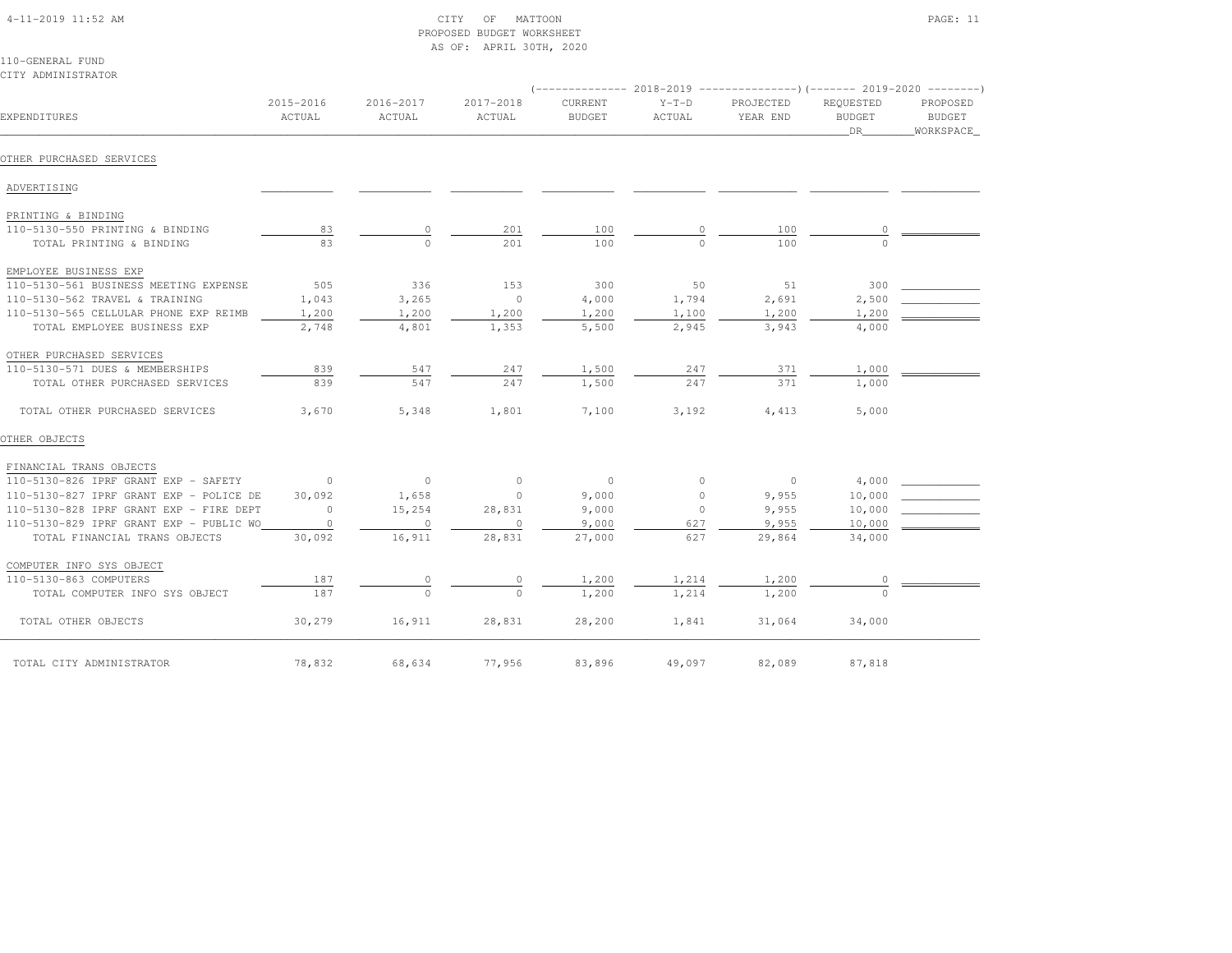| $4 - 11 - 2019$ 11:52 AM |  |
|--------------------------|--|

# $\begin{array}{ccc} \text{CITY} & \text{OF} & \text{MATTOON} \end{array}$  PROPOSED BUDGET WORKSHEETAS OF: APRIL 30TH, 2020

110-GENERAL FUNDCITY ADMINISTRATOR

| EXPENDITURES                            | 2015-2016<br>ACTUAL | 2016-2017<br>ACTUAL | 2017-2018<br>ACTUAL | CURRENT<br><b>BUDGET</b> | $Y-T-D$<br>ACTUAL | PROJECTED<br>YEAR END | REOUESTED<br><b>BUDGET</b><br>DR | PROPOSED<br>BUDGET<br>WORKSPACE |
|-----------------------------------------|---------------------|---------------------|---------------------|--------------------------|-------------------|-----------------------|----------------------------------|---------------------------------|
| OTHER PURCHASED SERVICES                |                     |                     |                     |                          |                   |                       |                                  |                                 |
| ADVERTISING                             |                     |                     |                     |                          |                   |                       |                                  |                                 |
| PRINTING & BINDING                      |                     |                     |                     |                          |                   |                       |                                  |                                 |
| 110-5130-550 PRINTING & BINDING         | 83                  | 0                   | 201                 | 100                      | 0                 | 100                   | $\circ$                          |                                 |
| TOTAL PRINTING & BINDING                | 83                  | $\Omega$            | 201                 | 100                      | $\Omega$          | 100                   | $\cap$                           |                                 |
| EMPLOYEE BUSINESS EXP                   |                     |                     |                     |                          |                   |                       |                                  |                                 |
| 110-5130-561 BUSINESS MEETING EXPENSE   | 505                 | 336                 | 153                 | 300                      | 50                | 51                    | 300                              |                                 |
| 110-5130-562 TRAVEL & TRAINING          | 1,043               | 3,265               | $\overline{0}$      | 4,000                    | 1,794             | 2,691                 | 2,500                            |                                 |
| 110-5130-565 CELLULAR PHONE EXP REIMB   | 1,200               | 1,200               | 1,200               | 1,200                    | 1,100             | 1,200                 | 1,200                            |                                 |
| TOTAL EMPLOYEE BUSINESS EXP             | 2,748               | 4,801               | 1,353               | 5,500                    | 2,945             | 3,943                 | 4,000                            |                                 |
| OTHER PURCHASED SERVICES                |                     |                     |                     |                          |                   |                       |                                  |                                 |
| 110-5130-571 DUES & MEMBERSHIPS         | 839                 | 547                 | 247                 | 1,500                    | 247               | 371                   | 1,000                            |                                 |
| TOTAL OTHER PURCHASED SERVICES          | 839                 | 547                 | 247                 | 1,500                    | 247               | 371                   | 1,000                            |                                 |
| TOTAL OTHER PURCHASED SERVICES          | 3,670               | 5,348               | 1,801               | 7,100                    | 3,192             | 4,413                 | 5,000                            |                                 |
| OTHER OBJECTS                           |                     |                     |                     |                          |                   |                       |                                  |                                 |
| FINANCIAL TRANS OBJECTS                 |                     |                     |                     |                          |                   |                       |                                  |                                 |
| 110-5130-826 IPRF GRANT EXP - SAFETY    | $\overline{0}$      | $\overline{0}$      | $\sim$ 0            | $\overline{0}$           | $\circ$           | $\overline{0}$        | 4,000                            |                                 |
| 110-5130-827 IPRF GRANT EXP - POLICE DE | 30,092              | 1,658               | $\overline{0}$      | 9,000                    | $\circ$           | 9,955                 | 10,000                           |                                 |
| 110-5130-828 IPRF GRANT EXP - FIRE DEPT | $\Omega$            | 15,254              | 28,831              | 9,000                    | $\Omega$          | 9,955                 | 10,000                           |                                 |
| 110-5130-829 IPRF GRANT EXP - PUBLIC WO | $\circ$             | $\circ$             | $\circ$             | 9,000                    | 627               | 9,955                 | 10,000                           |                                 |
| TOTAL FINANCIAL TRANS OBJECTS           | 30,092              | 16,911              | 28,831              | 27,000                   | 627               | 29,864                | 34,000                           |                                 |
| COMPUTER INFO SYS OBJECT                |                     |                     |                     |                          |                   |                       |                                  |                                 |
| 110-5130-863 COMPUTERS                  | 187                 | $\circ$             | 0                   | 1,200                    | 1,214             | 1,200                 | $\circ$                          |                                 |
| TOTAL COMPUTER INFO SYS OBJECT          | 187                 | $\bigcap$           | $\Omega$            | 1,200                    | 1,214             | 1,200                 | $\cap$                           |                                 |
| TOTAL OTHER OBJECTS                     | 30,279              | 16,911              | 28,831              | 28,200                   | 1,841             | 31,064                | 34,000                           |                                 |
| TOTAL CITY ADMINISTRATOR                | 78,832              | 68,634              | 77,956              | 83,896                   | 49,097            | 82,089                | 87,818                           |                                 |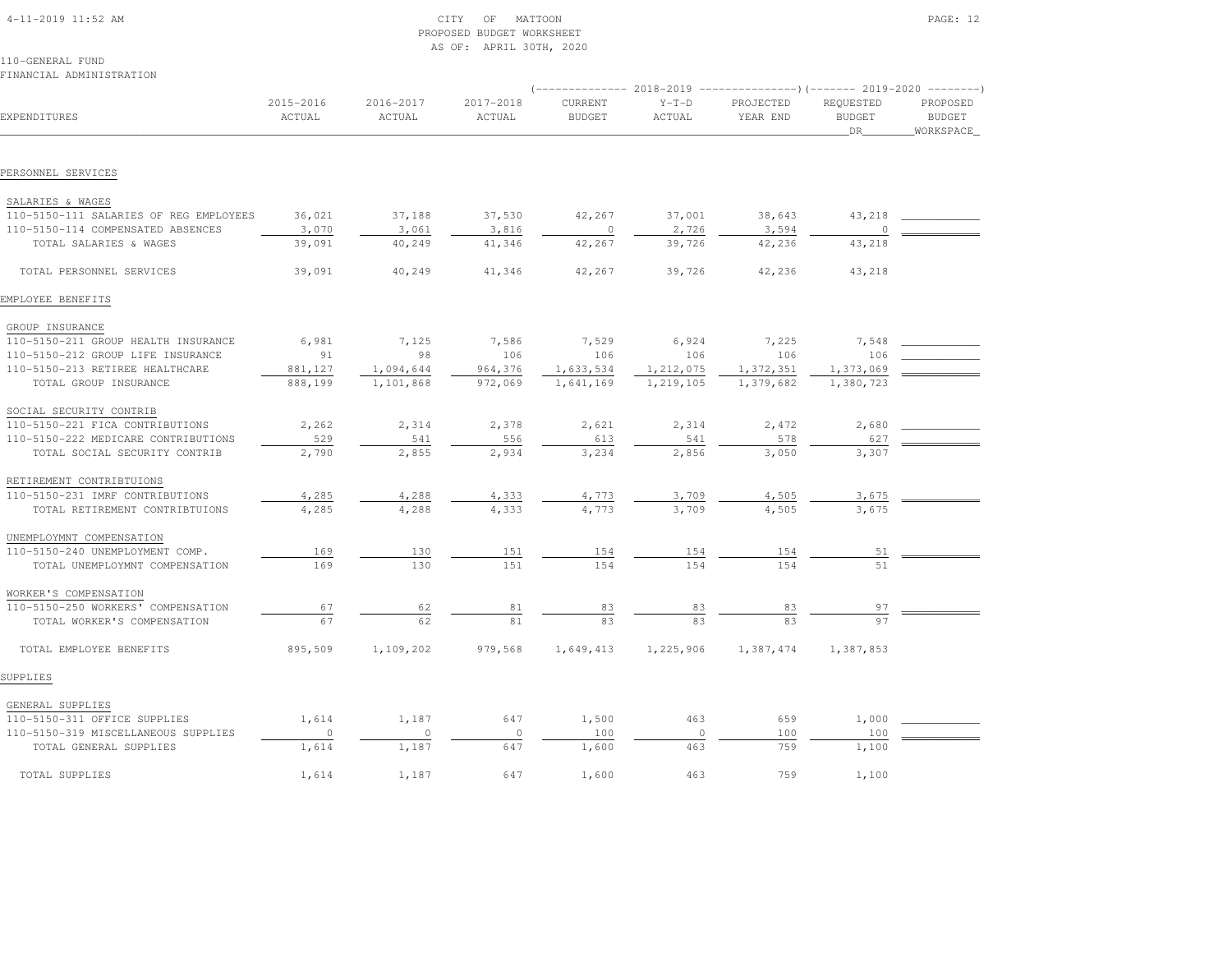| $4-11-2019$ $11:52$ AM |  |
|------------------------|--|
|                        |  |

# $\text{CITY}$  of MATTOON  $\blacksquare$  PROPOSED BUDGET WORKSHEETAS OF: APRIL 30TH, 2020

|                                        |                     |                     |                     |                          |                   | $(-$ ------------- 2018-2019 ------------------) (------- 2019-2020 ---------) |                                  |                                        |
|----------------------------------------|---------------------|---------------------|---------------------|--------------------------|-------------------|--------------------------------------------------------------------------------|----------------------------------|----------------------------------------|
| EXPENDITURES                           | 2015-2016<br>ACTUAL | 2016-2017<br>ACTUAL | 2017-2018<br>ACTUAL | CURRENT<br><b>BUDGET</b> | $Y-T-D$<br>ACTUAL | PROJECTED<br>YEAR END                                                          | REQUESTED<br><b>BUDGET</b><br>DR | PROPOSED<br><b>BUDGET</b><br>WORKSPACE |
|                                        |                     |                     |                     |                          |                   |                                                                                |                                  |                                        |
| PERSONNEL SERVICES                     |                     |                     |                     |                          |                   |                                                                                |                                  |                                        |
| SALARIES & WAGES                       |                     |                     |                     |                          |                   |                                                                                |                                  |                                        |
| 110-5150-111 SALARIES OF REG EMPLOYEES | 36,021              | 37,188              | 37,530              | 42,267                   | 37,001            | 38,643                                                                         | 43,218                           |                                        |
| 110-5150-114 COMPENSATED ABSENCES      | 3,070               | 3,061               | 3,816               | $\circ$                  | 2,726             | 3,594                                                                          | $\circ$                          |                                        |
| TOTAL SALARIES & WAGES                 | 39,091              | 40,249              | 41,346              | 42,267                   | 39,726            | 42,236                                                                         | 43,218                           |                                        |
| TOTAL PERSONNEL SERVICES               | 39,091              | 40,249              | 41,346              | 42,267                   | 39,726            | 42,236                                                                         | 43,218                           |                                        |
| EMPLOYEE BENEFITS                      |                     |                     |                     |                          |                   |                                                                                |                                  |                                        |
|                                        |                     |                     |                     |                          |                   |                                                                                |                                  |                                        |
| GROUP INSURANCE                        |                     |                     |                     |                          |                   |                                                                                |                                  |                                        |
| 110-5150-211 GROUP HEALTH INSURANCE    | 6,981<br>91         | 7,125<br>98         | 7,586               | 7,529                    | 6,924             | 7,225                                                                          | 7,548<br>106                     |                                        |
| 110-5150-212 GROUP LIFE INSURANCE      |                     |                     | 106                 | 106                      | 106               | 106                                                                            |                                  |                                        |
| 110-5150-213 RETIREE HEALTHCARE        | 881,127             | 1,094,644           | 964,376             | 1,633,534                | 1,212,075         | 1,372,351                                                                      | 1,373,069                        |                                        |
| TOTAL GROUP INSURANCE                  | 888,199             | 1,101,868           | 972,069             | 1,641,169                | 1,219,105         | 1,379,682                                                                      | 1,380,723                        |                                        |
| SOCIAL SECURITY CONTRIB                |                     |                     |                     |                          |                   |                                                                                |                                  |                                        |
| 110-5150-221 FICA CONTRIBUTIONS        | 2,262               | 2,314               | 2,378               | 2,621                    | 2,314             | 2,472                                                                          | 2,680                            |                                        |
| 110-5150-222 MEDICARE CONTRIBUTIONS    | 529                 | 541                 | 556                 | 613                      | 541               | 578                                                                            | 627                              |                                        |
| TOTAL SOCIAL SECURITY CONTRIB          | 2,790               | 2,855               | 2,934               | 3,234                    | 2,856             | 3,050                                                                          | 3,307                            |                                        |
| RETIREMENT CONTRIBTUIONS               |                     |                     |                     |                          |                   |                                                                                |                                  |                                        |
| 110-5150-231 IMRF CONTRIBUTIONS        | 4,285               | 4,288               | 4,333               | 4,773                    | 3,709             | 4,505                                                                          | 3,675                            |                                        |
| TOTAL RETIREMENT CONTRIBTUIONS         | 4,285               | 4,288               | 4,333               | 4,773                    | 3,709             | 4,505                                                                          | 3,675                            |                                        |
| UNEMPLOYMNT COMPENSATION               |                     |                     |                     |                          |                   |                                                                                |                                  |                                        |
| 110-5150-240 UNEMPLOYMENT COMP.        | 169                 | 130                 | 151                 | <u>154</u>               | 154               | 154                                                                            | 51                               |                                        |
| TOTAL UNEMPLOYMNT COMPENSATION         | 169                 | 130                 | 151                 | 154                      | 154               | 154                                                                            |                                  |                                        |
|                                        |                     |                     |                     |                          |                   |                                                                                |                                  |                                        |
| WORKER'S COMPENSATION                  |                     |                     |                     |                          |                   |                                                                                |                                  |                                        |
| 110-5150-250 WORKERS' COMPENSATION     | 67                  | 62                  | 81                  | <u>83</u>                | 83                | 83                                                                             | 97                               |                                        |
| TOTAL WORKER'S COMPENSATION            | 67                  | 62                  | 81                  | 83                       | 83                |                                                                                | 97                               |                                        |
| TOTAL EMPLOYEE BENEFITS                | 895,509             | 1,109,202           | 979,568             | 1,649,413                | 1,225,906         | 1,387,474                                                                      | 1,387,853                        |                                        |
| SUPPLIES                               |                     |                     |                     |                          |                   |                                                                                |                                  |                                        |
| GENERAL SUPPLIES                       |                     |                     |                     |                          |                   |                                                                                |                                  |                                        |
| 110-5150-311 OFFICE SUPPLIES           | 1,614               | 1,187               | 647                 | 1,500                    | 463               | 659                                                                            | 1,000                            |                                        |
| 110-5150-319 MISCELLANEOUS SUPPLIES    | $\circ$             | $\circ$             | $\circ$             | 100                      | $\circ$           | 100                                                                            | 100                              |                                        |
| TOTAL GENERAL SUPPLIES                 | 1,614               | 1,187               | 647                 | 1,600                    | 463               | 759                                                                            | 1,100                            |                                        |
| TOTAL SUPPLIES                         | 1,614               | 1,187               | 647                 | 1,600                    | 463               | 759                                                                            | 1,100                            |                                        |
|                                        |                     |                     |                     |                          |                   |                                                                                |                                  |                                        |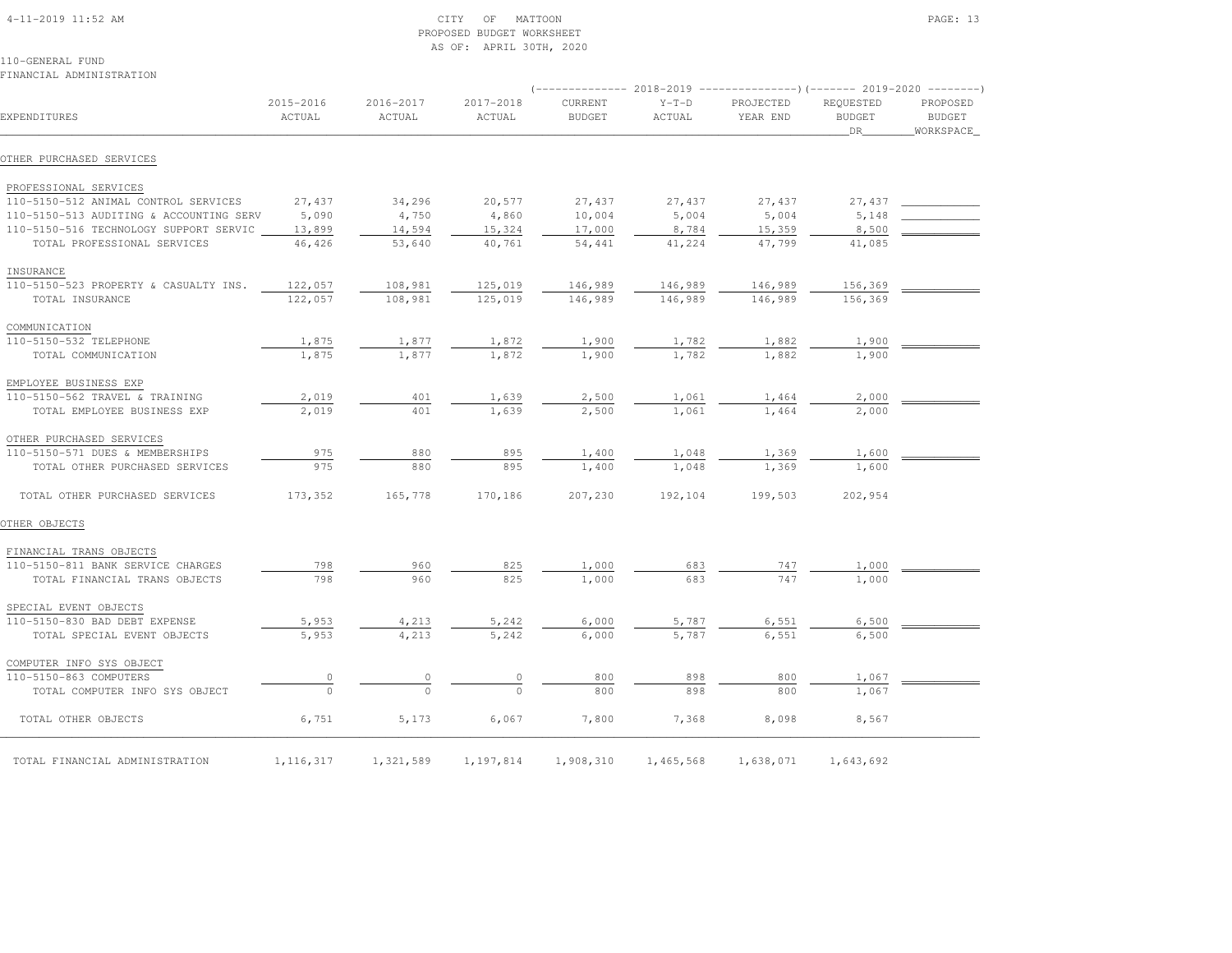# 4-11-2019 11:52 AM CITY OF MATTOON PAGE: 13 PROPOSED BUDGET WORKSHEETAS OF: APRIL 30TH, 2020

110-GENERAL FUNDFINANCIAL ADMINISTRATION

|                                         |                     | (-------------- 2018-2019 ---------------------       2019-2020 ---------       ) |                     |                                 |                   |                       |                                          |                                         |  |
|-----------------------------------------|---------------------|-----------------------------------------------------------------------------------|---------------------|---------------------------------|-------------------|-----------------------|------------------------------------------|-----------------------------------------|--|
| EXPENDITURES                            | 2015-2016<br>ACTUAL | 2016-2017<br>ACTUAL                                                               | 2017-2018<br>ACTUAL | <b>CURRENT</b><br><b>BUDGET</b> | $Y-T-D$<br>ACTUAL | PROJECTED<br>YEAR END | <b>REOUESTED</b><br><b>BUDGET</b><br>DR. | PROPOSED<br><b>BUDGET</b><br>WORKSPACE_ |  |
| OTHER PURCHASED SERVICES                |                     |                                                                                   |                     |                                 |                   |                       |                                          |                                         |  |
| PROFESSIONAL SERVICES                   |                     |                                                                                   |                     |                                 |                   |                       |                                          |                                         |  |
| 110-5150-512 ANIMAL CONTROL SERVICES    | 27,437              | 34,296                                                                            | 20,577              | 27,437                          | 27,437            | 27,437                | 27,437                                   |                                         |  |
| 110-5150-513 AUDITING & ACCOUNTING SERV | 5,090               | 4,750                                                                             | 4,860               | 10,004                          | 5,004             | 5,004                 | 5,148                                    |                                         |  |
| 110-5150-516 TECHNOLOGY SUPPORT SERVIC  | 13,899              | 14,594                                                                            | 15,324              | 17,000                          | 8,784             | 15,359                | 8,500                                    |                                         |  |
| TOTAL PROFESSIONAL SERVICES             | 46,426              | 53,640                                                                            | 40,761              | 54,441                          | 41,224            | 47,799                | 41,085                                   |                                         |  |
| INSURANCE                               |                     |                                                                                   |                     |                                 |                   |                       |                                          |                                         |  |
| 110-5150-523 PROPERTY & CASUALTY INS.   | 122,057             | 108,981                                                                           | 125,019             | 146,989                         | 146,989           | 146,989               | 156,369                                  |                                         |  |
| TOTAL INSURANCE                         | 122,057             | 108,981                                                                           | 125,019             | 146,989                         | 146,989           | 146,989               | 156,369                                  |                                         |  |
| COMMUNICATION                           |                     |                                                                                   |                     |                                 |                   |                       |                                          |                                         |  |
| 110-5150-532 TELEPHONE                  | 1,875               | 1,877                                                                             | 1,872               | 1,900                           | 1,782             | 1,882                 | 1,900                                    |                                         |  |
| TOTAL COMMUNICATION                     | 1,875               | 1,877                                                                             | 1,872               | 1,900                           | 1,782             | 1,882                 | 1,900                                    |                                         |  |
| EMPLOYEE BUSINESS EXP                   |                     |                                                                                   |                     |                                 |                   |                       |                                          |                                         |  |
| 110-5150-562 TRAVEL & TRAINING          | 2,019               | 401                                                                               | 1,639               | 2,500                           | 1,061             | 1,464                 | 2,000                                    |                                         |  |
| TOTAL EMPLOYEE BUSINESS EXP             | 2,019               | 401                                                                               | 1,639               | 2,500                           | 1,061             | 1,464                 | 2,000                                    |                                         |  |
| OTHER PURCHASED SERVICES                |                     |                                                                                   |                     |                                 |                   |                       |                                          |                                         |  |
| 110-5150-571 DUES & MEMBERSHIPS         | 975                 | 880                                                                               | 895                 | 1,400                           | 1,048             | 1,369                 | 1,600                                    |                                         |  |
| TOTAL OTHER PURCHASED SERVICES          | 975                 | 880                                                                               | 895                 | 1,400                           | 1,048             | 1,369                 | 1,600                                    |                                         |  |
| TOTAL OTHER PURCHASED SERVICES          | 173,352             | 165,778                                                                           | 170,186             | 207,230                         | 192,104           | 199,503               | 202,954                                  |                                         |  |
| OTHER OBJECTS                           |                     |                                                                                   |                     |                                 |                   |                       |                                          |                                         |  |
| FINANCIAL TRANS OBJECTS                 |                     |                                                                                   |                     |                                 |                   |                       |                                          |                                         |  |
| 110-5150-811 BANK SERVICE CHARGES       | 798                 | 960                                                                               | 825                 | 1,000                           | 683               | 747                   | 1,000                                    |                                         |  |
| TOTAL FINANCIAL TRANS OBJECTS           | 798                 | 960                                                                               | 825                 | 1,000                           | 683               | 747                   | 1,000                                    |                                         |  |
| SPECIAL EVENT OBJECTS                   |                     |                                                                                   |                     |                                 |                   |                       |                                          |                                         |  |
| 110-5150-830 BAD DEBT EXPENSE           | 5,953               | 4,213                                                                             | 5,242               | 6,000                           | 5,787             | 6,551                 | 6,500                                    |                                         |  |
| TOTAL SPECIAL EVENT OBJECTS             | 5,953               | 4,213                                                                             | 5,242               | 6,000                           | 5,787             | 6,551                 | 6,500                                    |                                         |  |
| COMPUTER INFO SYS OBJECT                |                     |                                                                                   |                     |                                 |                   |                       |                                          |                                         |  |
| 110-5150-863 COMPUTERS                  | 0                   | 0                                                                                 |                     | 800                             | 898               | 800                   | 1,067                                    |                                         |  |
| TOTAL COMPUTER INFO SYS OBJECT          | $\Omega$            | $\Omega$                                                                          | $\cap$              | 800                             | 898               | 800                   | 1,067                                    |                                         |  |

TOTAL OTHER OBJECTS 6,751 6,173 6,067 7,800 7,368 8,098 8,567

TOTAL FINANCIAL ADMINISTRATION 1,116,317 1,321,589 1,197,814 1,908,310 1,465,568 1,638,071 1,643,692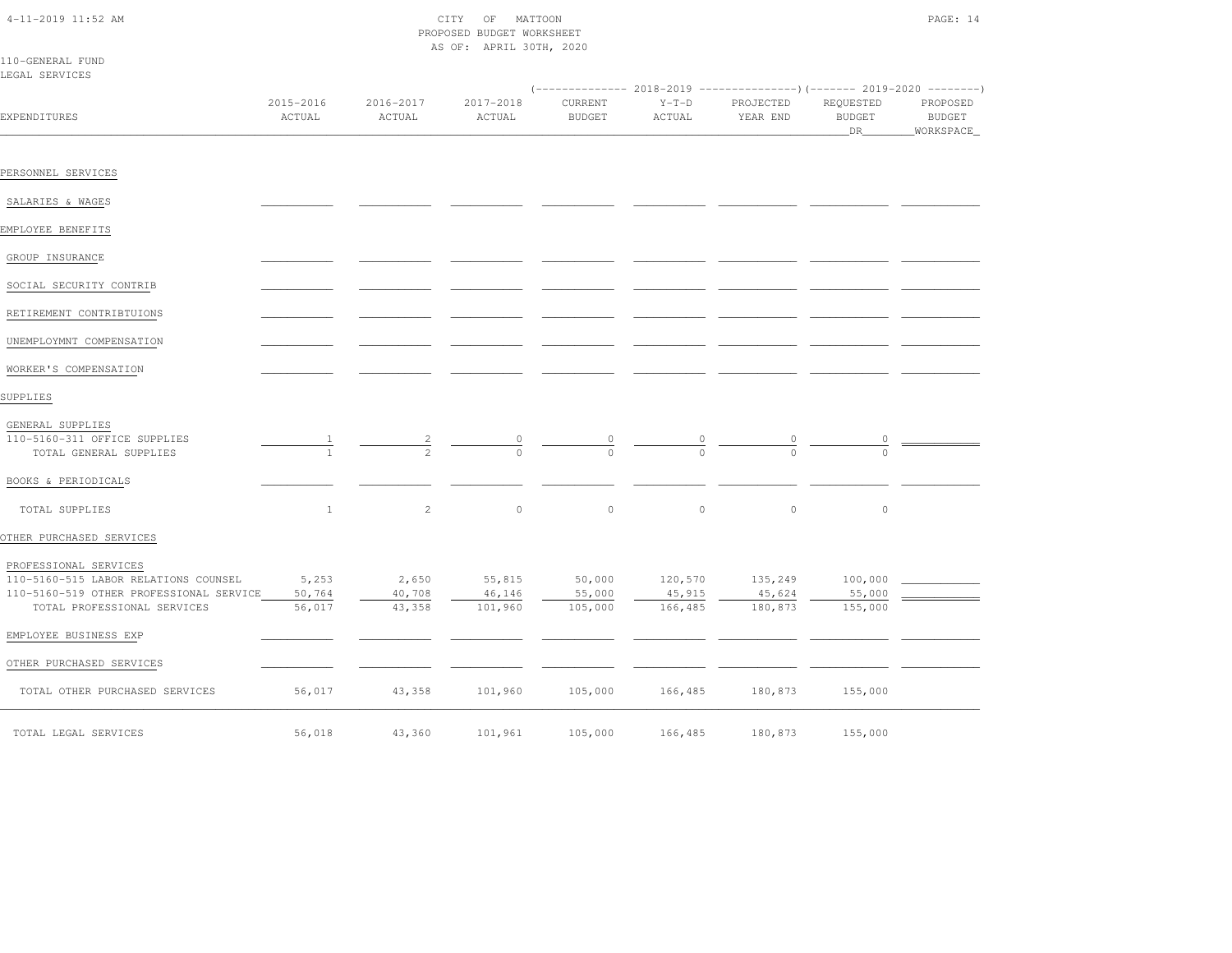| ×<br>٧ |  |
|--------|--|
|--------|--|

|                                                                            | PROPOSED BUDGET WORKSHEET<br>AS OF: APRIL 30TH, 2020 |                     |                     |                                |                   |                       |                                  |                                          |
|----------------------------------------------------------------------------|------------------------------------------------------|---------------------|---------------------|--------------------------------|-------------------|-----------------------|----------------------------------|------------------------------------------|
| 110-GENERAL FUND<br>LEGAL SERVICES                                         |                                                      |                     |                     |                                |                   |                       |                                  |                                          |
| EXPENDITURES                                                               | 2015-2016<br>ACTUAL                                  | 2016-2017<br>ACTUAL | 2017-2018<br>ACTUAL | CURRENT<br><b>BUDGET</b>       | $Y-T-D$<br>ACTUAL | PROJECTED<br>YEAR END | REQUESTED<br><b>BUDGET</b><br>DR | PROPOSED<br><b>BUDGET</b><br>_WORKSPACE_ |
|                                                                            |                                                      |                     |                     |                                |                   |                       |                                  |                                          |
| PERSONNEL SERVICES                                                         |                                                      |                     |                     |                                |                   |                       |                                  |                                          |
| SALARIES & WAGES                                                           |                                                      |                     |                     |                                |                   |                       |                                  |                                          |
| EMPLOYEE BENEFITS                                                          |                                                      |                     |                     |                                |                   |                       |                                  |                                          |
| GROUP INSURANCE                                                            |                                                      |                     |                     |                                |                   |                       |                                  |                                          |
| SOCIAL SECURITY CONTRIB                                                    |                                                      |                     |                     |                                |                   |                       |                                  |                                          |
| RETIREMENT CONTRIBTUIONS                                                   |                                                      |                     |                     |                                |                   |                       |                                  |                                          |
| UNEMPLOYMNT COMPENSATION                                                   |                                                      |                     |                     |                                |                   |                       |                                  |                                          |
| WORKER'S COMPENSATION                                                      |                                                      |                     |                     |                                |                   |                       |                                  |                                          |
| SUPPLIES                                                                   |                                                      |                     |                     |                                |                   |                       |                                  |                                          |
| GENERAL SUPPLIES<br>110-5160-311 OFFICE SUPPLIES<br>TOTAL GENERAL SUPPLIES |                                                      | $\frac{2}{2}$       |                     | $\frac{0}{0}$<br>$\frac{0}{0}$ |                   |                       |                                  |                                          |
| BOOKS & PERIODICALS                                                        |                                                      |                     |                     |                                |                   |                       |                                  |                                          |

| TOTAL SUPPLIES                          |        | 2      | $\Omega$ | $\mathbf{0}$ | $\Omega$ | $\circ$ |         |  |
|-----------------------------------------|--------|--------|----------|--------------|----------|---------|---------|--|
| OTHER PURCHASED SERVICES                |        |        |          |              |          |         |         |  |
| PROFESSIONAL SERVICES                   |        |        |          |              |          |         |         |  |
| 110-5160-515 LABOR RELATIONS COUNSEL    | 5,253  | 2,650  | 55,815   | 50,000       | 120,570  | 135,249 | 100,000 |  |
| 110-5160-519 OTHER PROFESSIONAL SERVICE | 50,764 | 40,708 | 46,146   | 55,000       | 45,915   | 45,624  | 55,000  |  |
| TOTAL PROFESSIONAL SERVICES             | 56,017 | 43,358 | 101,960  | 105,000      | 166,485  | 180,873 | 155,000 |  |
| EMPLOYEE BUSINESS EXP                   |        |        |          |              |          |         |         |  |
| OTHER PURCHASED SERVICES                |        |        |          |              |          |         |         |  |
| TOTAL OTHER PURCHASED SERVICES          | 56,017 | 43,358 | 101,960  | 105,000      | 166,485  | 180,873 | 155,000 |  |
| TOTAL LEGAL SERVICES                    | 56,018 | 43,360 | 101,961  | 105,000      | 166,485  | 180,873 | 155,000 |  |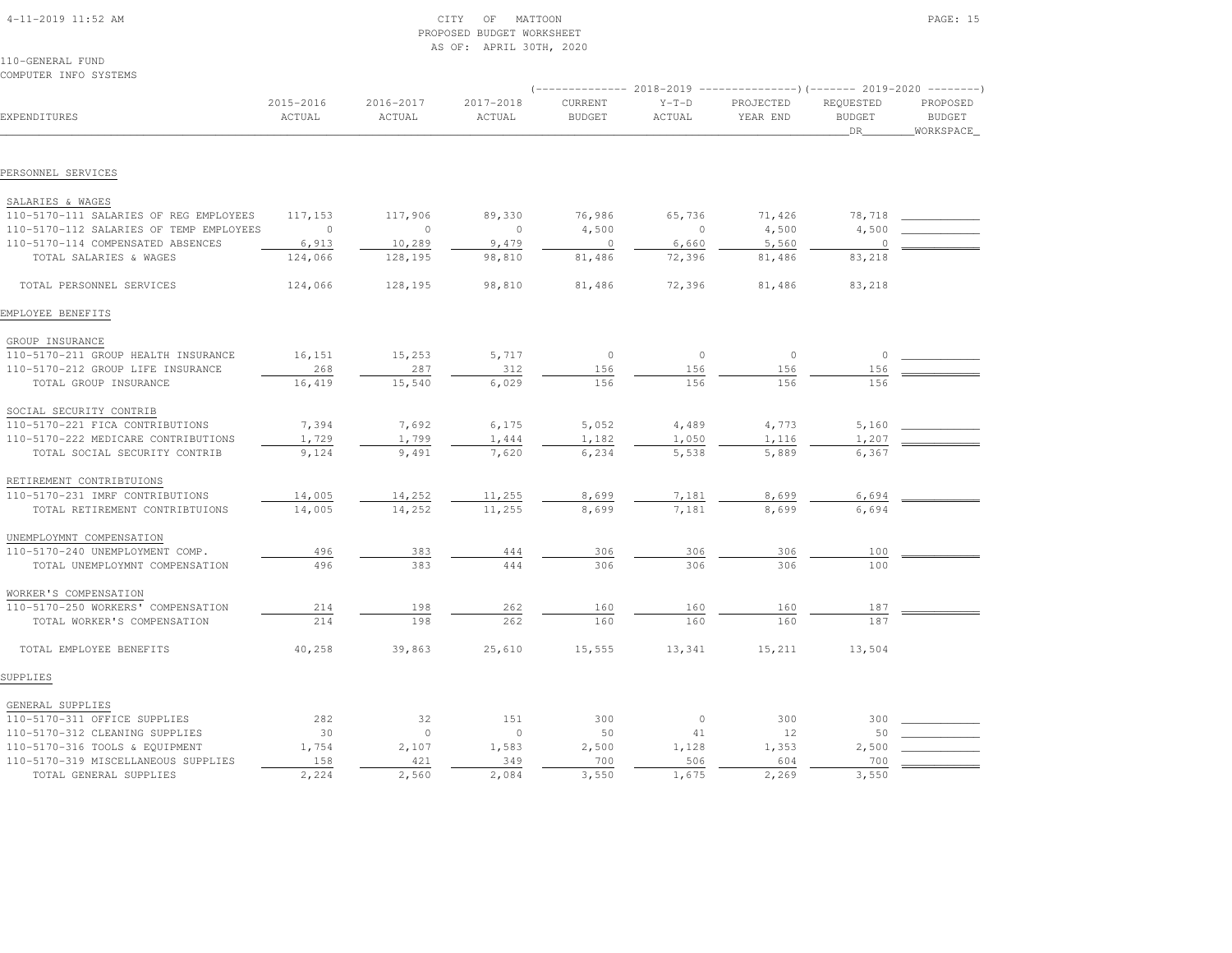| $4 - 11 - 2019$ 11:52 AM |  |
|--------------------------|--|

# $\begin{array}{ccc} \text{CITY} & \text{OF} & \text{MATTOON} \end{array}$  PROPOSED BUDGET WORKSHEETAS OF: APRIL 30TH, 2020

110-GENERAL FUNDCOMPUTER INFO SYSTEMS

|                                         |                     |                     |                     |                          |                   |                       | (-------------- 2018-2019 ----------------) (------- 2019-2020 --------) |                                        |  |
|-----------------------------------------|---------------------|---------------------|---------------------|--------------------------|-------------------|-----------------------|--------------------------------------------------------------------------|----------------------------------------|--|
| EXPENDITURES                            | 2015-2016<br>ACTUAL | 2016-2017<br>ACTUAL | 2017-2018<br>ACTUAL | CURRENT<br><b>BUDGET</b> | $Y-T-D$<br>ACTUAL | PROJECTED<br>YEAR END | REQUESTED<br><b>BUDGET</b><br>DR                                         | PROPOSED<br><b>BUDGET</b><br>WORKSPACE |  |
|                                         |                     |                     |                     |                          |                   |                       |                                                                          |                                        |  |
| PERSONNEL SERVICES                      |                     |                     |                     |                          |                   |                       |                                                                          |                                        |  |
| SALARIES & WAGES                        |                     |                     |                     |                          |                   |                       |                                                                          |                                        |  |
| 110-5170-111 SALARIES OF REG EMPLOYEES  | 117,153             | 117,906             | 89,330              | 76,986                   | 65,736            | 71,426                | 78,718                                                                   |                                        |  |
| 110-5170-112 SALARIES OF TEMP EMPLOYEES | $\Omega$            | $\circ$             | $\circ$             | 4,500                    | $\mathbf{0}$      | 4,500                 | 4,500                                                                    |                                        |  |
| 110-5170-114 COMPENSATED ABSENCES       | 6,913               | 10,289              | 9,479               | $\overline{0}$           | 6,660             | 5,560                 | $\Omega$                                                                 |                                        |  |
| TOTAL SALARIES & WAGES                  | 124,066             | 128,195             | 98,810              | 81,486                   | 72,396            | 81,486                | 83,218                                                                   |                                        |  |
| TOTAL PERSONNEL SERVICES                | 124,066             | 128,195             | 98,810              | 81,486                   | 72,396            | 81,486                | 83,218                                                                   |                                        |  |
| EMPLOYEE BENEFITS                       |                     |                     |                     |                          |                   |                       |                                                                          |                                        |  |
| GROUP INSURANCE                         |                     |                     |                     |                          |                   |                       |                                                                          |                                        |  |
| 110-5170-211 GROUP HEALTH INSURANCE     | 16,151              | 15,253              | 5,717               | $\circ$                  | $\overline{0}$    | $\circ$               | $\Omega$                                                                 |                                        |  |
| 110-5170-212 GROUP LIFE INSURANCE       | 268                 | 287                 | 312                 | 156                      | 156               | 156                   | 156                                                                      |                                        |  |
| TOTAL GROUP INSURANCE                   | 16,419              | 15,540              | 6,029               | 156                      | 156               | 156                   | 156                                                                      |                                        |  |
| SOCIAL SECURITY CONTRIB                 |                     |                     |                     |                          |                   |                       |                                                                          |                                        |  |
| 110-5170-221 FICA CONTRIBUTIONS         | 7,394               | 7,692               | 6,175               | 5,052                    | 4,489             | 4,773                 | 5,160                                                                    |                                        |  |
| 110-5170-222 MEDICARE CONTRIBUTIONS     | 1,729               | 1,799               | 1,444               | 1,182                    | 1,050             | 1,116                 | 1,207                                                                    |                                        |  |
| TOTAL SOCIAL SECURITY CONTRIB           | 9,124               | 9,491               | 7,620               | 6,234                    | 5,538             | 5,889                 | 6,367                                                                    |                                        |  |
| RETIREMENT CONTRIBTUIONS                |                     |                     |                     |                          |                   |                       |                                                                          |                                        |  |
| 110-5170-231 IMRF CONTRIBUTIONS         | 14,005              | 14,252              | 11,255              | 8,699                    | 7,181             | 8,699                 | 6,694                                                                    |                                        |  |
| TOTAL RETIREMENT CONTRIBTUIONS          | 14,005              | 14,252              | 11,255              | 8,699                    | 7,181             | 8,699                 | 6,694                                                                    |                                        |  |
| UNEMPLOYMNT COMPENSATION                |                     |                     |                     |                          |                   |                       |                                                                          |                                        |  |
| 110-5170-240 UNEMPLOYMENT COMP.         | 496                 | 383                 | 444                 | 306                      | 306               | 306                   | 100                                                                      |                                        |  |
| TOTAL UNEMPLOYMNT COMPENSATION          | 496                 | 383                 | 444                 | 306                      | 306               | 306                   | 100                                                                      |                                        |  |
| WORKER'S COMPENSATION                   |                     |                     |                     |                          |                   |                       |                                                                          |                                        |  |
| 110-5170-250 WORKERS' COMPENSATION      | 214                 | 198                 | 262                 | 160                      | 160               | 160                   | 187                                                                      |                                        |  |
| TOTAL WORKER'S COMPENSATION             | 214                 | 198                 | 262                 | 160                      | 160               | 160                   | 187                                                                      |                                        |  |
| TOTAL EMPLOYEE BENEFITS                 | 40,258              | 39,863              | 25,610              | 15,555                   | 13,341            | 15,211                | 13,504                                                                   |                                        |  |
| SUPPLIES                                |                     |                     |                     |                          |                   |                       |                                                                          |                                        |  |
| GENERAL SUPPLIES                        |                     |                     |                     |                          |                   |                       |                                                                          |                                        |  |
| 110-5170-311 OFFICE SUPPLIES            | 282                 | 32                  | 151                 | 300                      | $\circ$           | 300                   | 300                                                                      |                                        |  |
| 110-5170-312 CLEANING SUPPLIES          | 30                  | $\circ$             | $\circ$             | 50                       | 41                | 12                    | 50                                                                       |                                        |  |
| 110-5170-316 TOOLS & EQUIPMENT          | 1,754               | 2,107               | 1,583               | 2,500                    | 1,128             | 1,353                 | 2,500                                                                    |                                        |  |
| 110-5170-319 MISCELLANEOUS SUPPLIES     | 158                 | 421                 | 349                 | 700                      | 506               | 604                   | 700                                                                      |                                        |  |
| TOTAL GENERAL SUPPLIES                  | 2,224               | 2,560               | 2,084               | 3,550                    | 1,675             | 2,269                 | 3,550                                                                    |                                        |  |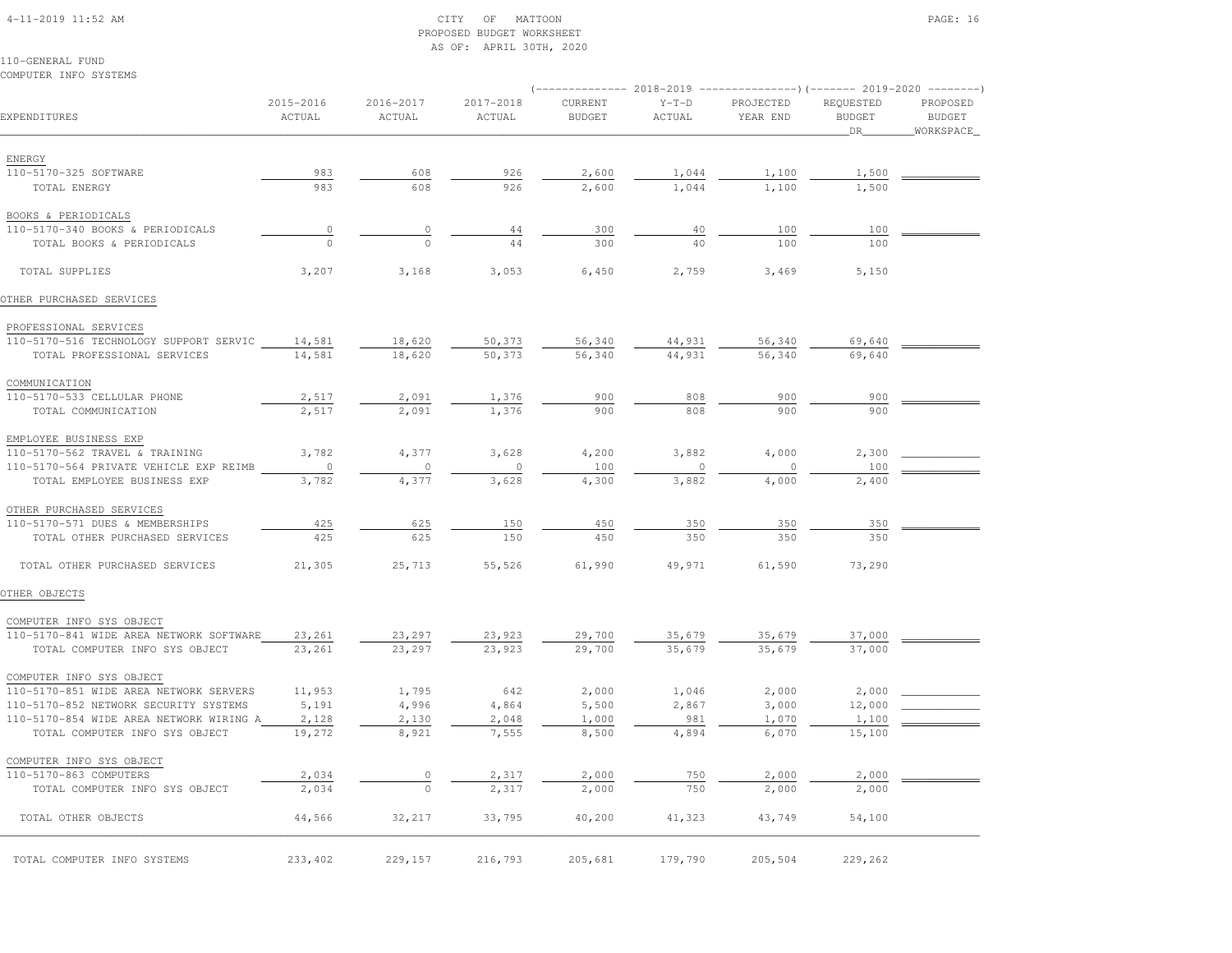#### 4-11-2019 11:52 AM CITY OF MATTOON PAGE: 16 PROPOSED BUDGET WORKSHEETAS OF: APRIL 30TH, 2020

| COMPUTER INFO SYSTEMS                   |                     |                     |                     |                          |                   |                                                                                                 |                                    |                                        |
|-----------------------------------------|---------------------|---------------------|---------------------|--------------------------|-------------------|-------------------------------------------------------------------------------------------------|------------------------------------|----------------------------------------|
| EXPENDITURES                            | 2015-2016<br>ACTUAL | 2016-2017<br>ACTUAL | 2017-2018<br>ACTUAL | CURRENT<br><b>BUDGET</b> | $Y-T-D$<br>ACTUAL | (-------------- 2018-2019 ----------------)(------- 2019-2020 --------<br>PROJECTED<br>YEAR END | REQUESTED<br><b>BUDGET</b><br>_DR_ | PROPOSED<br><b>BUDGET</b><br>WORKSPACE |
| ENERGY                                  |                     |                     |                     |                          |                   |                                                                                                 |                                    |                                        |
| 110-5170-325 SOFTWARE                   | 983                 | 608                 | 926                 | 2,600                    | 1,044             | 1,100                                                                                           | 1,500                              |                                        |
| TOTAL ENERGY                            | 983                 | 608                 | 926                 | 2,600                    | 1,044             | 1,100                                                                                           | 1,500                              |                                        |
| BOOKS & PERIODICALS                     |                     |                     |                     |                          |                   |                                                                                                 |                                    |                                        |
| 110-5170-340 BOOKS & PERIODICALS        | $\circ$             | $\circ$             | 44                  | 300                      | 40                | 100                                                                                             | 100                                |                                        |
| TOTAL BOOKS & PERIODICALS               | $\Omega$            | $\Omega$            | 44                  | 300                      | 40                | 100                                                                                             | 100                                |                                        |
| TOTAL SUPPLIES                          | 3,207               | 3,168               | 3,053               | 6,450                    | 2,759             | 3,469                                                                                           | 5,150                              |                                        |
| OTHER PURCHASED SERVICES                |                     |                     |                     |                          |                   |                                                                                                 |                                    |                                        |
| PROFESSIONAL SERVICES                   |                     |                     |                     |                          |                   |                                                                                                 |                                    |                                        |
| 110-5170-516 TECHNOLOGY SUPPORT SERVIC  | 14,581              | 18,620              | 50,373              | 56,340                   | 44,931            | 56,340                                                                                          | 69,640                             |                                        |
| TOTAL PROFESSIONAL SERVICES             | 14,581              | 18,620              | 50,373              | 56,340                   | 44,931            | 56,340                                                                                          | 69,640                             |                                        |
| COMMUNICATION                           |                     |                     |                     |                          |                   |                                                                                                 |                                    |                                        |
| 110-5170-533 CELLULAR PHONE             | 2,517               | 2,091               | 1,376               | 900                      | 808               | 900                                                                                             | 900                                |                                        |
| TOTAL COMMUNICATION                     | 2,517               | 2,091               | 1,376               | 900                      | 808               | 900                                                                                             | 900                                |                                        |
| EMPLOYEE BUSINESS EXP                   |                     |                     |                     |                          |                   |                                                                                                 |                                    |                                        |
| 110-5170-562 TRAVEL & TRAINING          | 3,782               | 4,377               | 3,628               | 4,200                    | 3,882             | 4,000                                                                                           | 2,300                              |                                        |
| 110-5170-564 PRIVATE VEHICLE EXP REIMB  | $\circ$             | $\circ$             | $\mathbf{0}$        | 100                      | $\mathbf{0}$      | $\circ$                                                                                         | 100                                |                                        |
| TOTAL EMPLOYEE BUSINESS EXP             | 3,782               | 4,377               | 3,628               | 4,300                    | 3,882             | 4,000                                                                                           | 2,400                              |                                        |
| OTHER PURCHASED SERVICES                |                     |                     |                     |                          |                   |                                                                                                 |                                    |                                        |
| 110-5170-571 DUES & MEMBERSHIPS         | 425                 | 625                 | 150                 | 450                      | 350               | 350                                                                                             | 350                                |                                        |
| TOTAL OTHER PURCHASED SERVICES          | 425                 | 625                 | 150                 | 450                      | 350               | 350                                                                                             | 350                                |                                        |
| TOTAL OTHER PURCHASED SERVICES          | 21,305              | 25,713              | 55,526              | 61,990                   | 49,971            | 61,590                                                                                          | 73,290                             |                                        |
| OTHER OBJECTS                           |                     |                     |                     |                          |                   |                                                                                                 |                                    |                                        |
| COMPUTER INFO SYS OBJECT                |                     |                     |                     |                          |                   |                                                                                                 |                                    |                                        |
| 110-5170-841 WIDE AREA NETWORK SOFTWARE | 23,261              | 23,297              | 23,923              | 29,700                   | 35,679            | 35,679                                                                                          | 37,000                             |                                        |
| TOTAL COMPUTER INFO SYS OBJECT          | 23,261              | 23,297              | 23,923              | 29,700                   | 35,679            | 35,679                                                                                          | 37,000                             |                                        |
| COMPUTER INFO SYS OBJECT                |                     |                     |                     |                          |                   |                                                                                                 |                                    |                                        |
| 110-5170-851 WIDE AREA NETWORK SERVERS  | 11,953              | 1,795               | 642                 | 2,000                    | 1,046             | 2,000                                                                                           | 2,000                              |                                        |
| 110-5170-852 NETWORK SECURITY SYSTEMS   | 5,191               | 4,996               | 4,864               | 5,500                    | 2,867             | 3,000                                                                                           | 12,000                             |                                        |
| 110-5170-854 WIDE AREA NETWORK WIRING A | 2,128               | 2,130               | 2,048               | 1,000                    | 981               | 1,070                                                                                           | 1,100                              |                                        |
| TOTAL COMPUTER INFO SYS OBJECT          | 19,272              | 8,921               | 7,555               | 8,500                    | 4,894             | 6,070                                                                                           | 15,100                             |                                        |
| COMPUTER INFO SYS OBJECT                |                     |                     |                     |                          |                   |                                                                                                 |                                    |                                        |
| 110-5170-863 COMPUTERS                  | 2,034               |                     | 2,317               | 2,000                    | 750               | 2,000                                                                                           | 2,000                              |                                        |
| TOTAL COMPUTER INFO SYS OBJECT          | 2,034               | $\circ$             | 2,317               | 2,000                    | 750               | 2,000                                                                                           | 2,000                              |                                        |
| TOTAL OTHER OBJECTS                     | 44,566              | 32,217              | 33,795              | 40,200                   | 41,323            | 43,749                                                                                          | 54,100                             |                                        |
| TOTAL COMPUTER INFO SYSTEMS             | 233,402             | 229,157             | 216,793             | 205,681                  | 179,790           | 205,504                                                                                         | 229,262                            |                                        |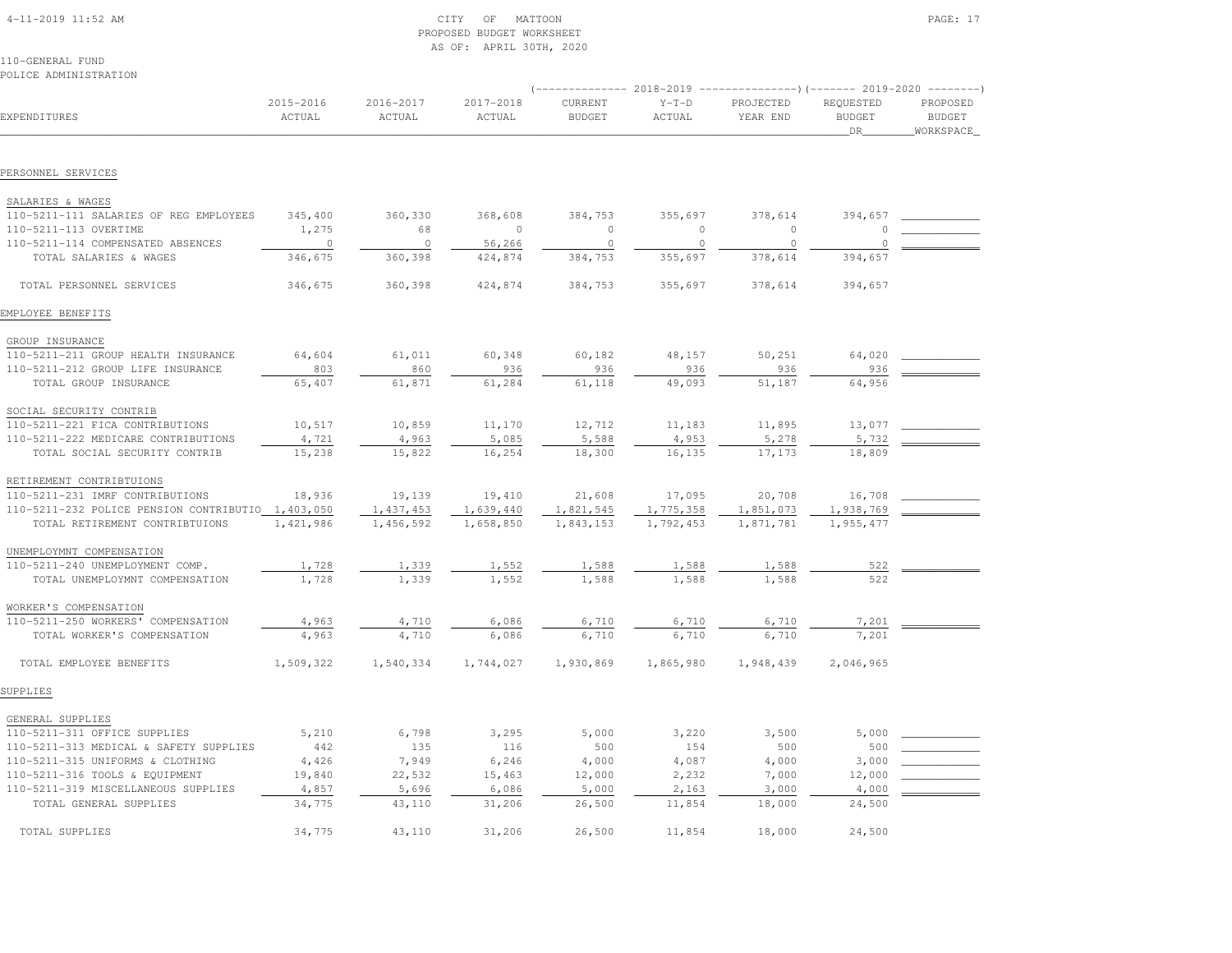#### 4-11-2019 11:52 AM CITY OF MATTOON PAGE: 17 PROPOSED BUDGET WORKSHEETAS OF: APRIL 30TH, 2020

| POLICE ADMINISTRATION                                                |                     |                     |                     |                          |                   |                       |                                   |                                          |
|----------------------------------------------------------------------|---------------------|---------------------|---------------------|--------------------------|-------------------|-----------------------|-----------------------------------|------------------------------------------|
| EXPENDITURES                                                         | 2015-2016<br>ACTUAL | 2016-2017<br>ACTUAL | 2017-2018<br>ACTUAL | CURRENT<br><b>BUDGET</b> | $Y-T-D$<br>ACTUAL | PROJECTED<br>YEAR END | REQUESTED<br><b>BUDGET</b><br>DR. | PROPOSED<br><b>BUDGET</b><br>_WORKSPACE_ |
| PERSONNEL SERVICES                                                   |                     |                     |                     |                          |                   |                       |                                   |                                          |
|                                                                      |                     |                     |                     |                          |                   |                       |                                   |                                          |
| SALARIES & WAGES                                                     |                     |                     |                     |                          |                   |                       |                                   |                                          |
| 110-5211-111 SALARIES OF REG EMPLOYEES                               | 345,400             | 360,330             | 368,608             | 384,753                  | 355,697           | 378,614               | 394,657                           |                                          |
| 110-5211-113 OVERTIME                                                | 1,275               | 68                  | $\circ$             | $\circ$                  | $\circ$           | $\Omega$              |                                   |                                          |
| 110-5211-114 COMPENSATED ABSENCES                                    | $\overline{0}$      | $\overline{0}$      | 56,266              | $\circ$                  | $\circ$           | $\circ$               | $\Omega$                          |                                          |
| TOTAL SALARIES & WAGES                                               | 346,675             | 360,398             | 424,874             | 384,753                  | 355,697           | 378,614               | 394,657                           |                                          |
| TOTAL PERSONNEL SERVICES                                             | 346,675             | 360,398             | 424,874             | 384,753                  | 355,697           | 378,614               | 394,657                           |                                          |
| EMPLOYEE BENEFITS                                                    |                     |                     |                     |                          |                   |                       |                                   |                                          |
| GROUP INSURANCE                                                      |                     |                     |                     |                          |                   |                       |                                   |                                          |
| 110-5211-211 GROUP HEALTH INSURANCE                                  | 64,604              | 61,011              | 60,348              | 60,182                   | 48,157            | 50,251                | 64,020                            |                                          |
| 110-5211-212 GROUP LIFE INSURANCE                                    | 803                 | 860                 | 936                 | 936                      | 936               | 936                   | 936                               |                                          |
| TOTAL GROUP INSURANCE                                                | 65,407              | 61,871              | 61,284              | 61,118                   | 49,093            | 51,187                | 64,956                            |                                          |
| SOCIAL SECURITY CONTRIB                                              |                     |                     |                     |                          |                   |                       |                                   |                                          |
|                                                                      | 10,517              | 10,859              | 11,170              | 12,712                   | 11,183            | 11,895                | 13,077                            |                                          |
| 110-5211-221 FICA CONTRIBUTIONS                                      |                     |                     |                     |                          |                   |                       |                                   |                                          |
| 110-5211-222 MEDICARE CONTRIBUTIONS<br>TOTAL SOCIAL SECURITY CONTRIB | 4,721<br>15,238     | 4,963<br>15,822     | 5,085<br>16,254     | 5,588<br>18,300          | 4,953<br>16,135   | 5,278<br>17,173       | 5,732<br>18,809                   |                                          |
|                                                                      |                     |                     |                     |                          |                   |                       |                                   |                                          |
| RETIREMENT CONTRIBTUIONS                                             |                     |                     |                     |                          |                   |                       |                                   |                                          |
| 110-5211-231 IMRF CONTRIBUTIONS                                      | 18,936              | 19,139              | 19,410              | 21,608                   | 17,095            | 20,708                | 16,708                            |                                          |
| 110-5211-232 POLICE PENSION CONTRIBUTIO 1,403,050                    |                     | 1,437,453           | 1,639,440           | 1,821,545                | 1,775,358         | 1,851,073             | 1,938,769                         |                                          |
| TOTAL RETIREMENT CONTRIBTUIONS                                       | 1,421,986           | 1,456,592           | 1,658,850           | 1,843,153                | 1,792,453         | 1,871,781             | 1,955,477                         |                                          |
| UNEMPLOYMNT COMPENSATION                                             |                     |                     |                     |                          |                   |                       |                                   |                                          |
| 110-5211-240 UNEMPLOYMENT COMP.                                      | 1,728               | 1,339               | 1,552               | 1,588                    | 1,588             | 1,588                 | 522                               |                                          |
| TOTAL UNEMPLOYMNT COMPENSATION                                       | 1,728               | 1,339               | 1,552               | 1,588                    | 1,588             | 1,588                 | 522                               |                                          |
| WORKER'S COMPENSATION                                                |                     |                     |                     |                          |                   |                       |                                   |                                          |
| 110-5211-250 WORKERS' COMPENSATION                                   | 4,963               | 4,710               | 6,086               | 6,710                    | 6,710             | 6,710                 | 7,201                             |                                          |
| TOTAL WORKER'S COMPENSATION                                          | 4,963               | 4,710               | 6,086               | 6,710                    | 6,710             | 6,710                 | 7,201                             |                                          |
| TOTAL EMPLOYEE BENEFITS                                              | 1,509,322           | 1,540,334           | 1,744,027           | 1,930,869                | 1,865,980         | 1,948,439             | 2,046,965                         |                                          |
| SUPPLIES                                                             |                     |                     |                     |                          |                   |                       |                                   |                                          |
|                                                                      |                     |                     |                     |                          |                   |                       |                                   |                                          |
| GENERAL SUPPLIES                                                     |                     |                     |                     |                          |                   |                       |                                   |                                          |
| 110-5211-311 OFFICE SUPPLIES                                         | 5,210               | 6,798               | 3,295               | 5,000                    | 3,220             | 3,500                 | 5,000                             |                                          |
| 110-5211-313 MEDICAL & SAFETY SUPPLIES                               | 442                 | 135                 | 116                 | 500                      | 154               | 500                   | 500                               |                                          |
| 110-5211-315 UNIFORMS & CLOTHING                                     | 4,426               | 7,949               | 6,246               | 4,000                    | 4,087             | 4,000                 | 3,000                             |                                          |
| 110-5211-316 TOOLS & EQUIPMENT                                       | 19,840              | 22,532              | 15,463              | 12,000                   | 2,232             | 7,000                 | 12,000                            |                                          |
| 110-5211-319 MISCELLANEOUS SUPPLIES                                  | 4,857               | 5,696               | 6,086               | 5,000                    | 2,163             | 3,000                 | 4,000                             |                                          |
| TOTAL GENERAL SUPPLIES                                               | 34,775              | 43,110              | 31,206              | 26,500                   | 11,854            | 18,000                | 24,500                            |                                          |
| TOTAL SUPPLIES                                                       | 34,775              | 43,110              | 31,206              | 26,500                   | 11,854            | 18,000                | 24,500                            |                                          |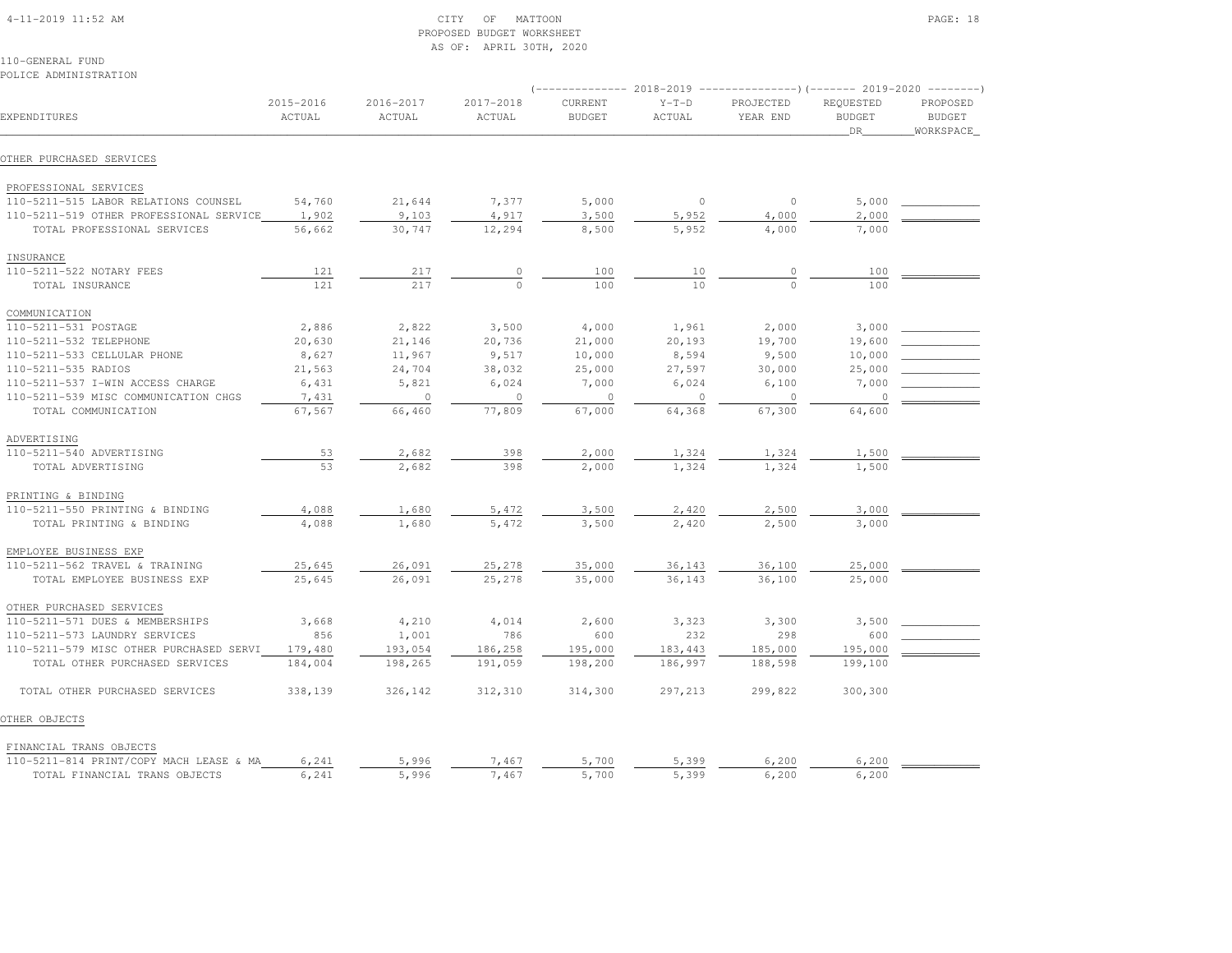|  | $4-11-2019$ $11:52$ AM |  |  |
|--|------------------------|--|--|

# $\begin{array}{ccc} \text{CITY} & \text{OF} & \text{MATTON} \end{array}$  PROPOSED BUDGET WORKSHEETAS OF: APRIL 30TH, 2020

110-GENERAL FUNDPOLICE ADMINISTRATION

| EXPENDITURES                            | 2015-2016<br>ACTUAL | 2016-2017<br>ACTUAL | 2017-2018<br>ACTUAL | CURRENT<br><b>BUDGET</b> | $Y-T-D$<br>ACTUAL | PROJECTED<br>YEAR END | REQUESTED<br><b>BUDGET</b><br>DR | PROPOSED<br><b>BUDGET</b><br>WORKSPACE |
|-----------------------------------------|---------------------|---------------------|---------------------|--------------------------|-------------------|-----------------------|----------------------------------|----------------------------------------|
| OTHER PURCHASED SERVICES                |                     |                     |                     |                          |                   |                       |                                  |                                        |
| PROFESSIONAL SERVICES                   |                     |                     |                     |                          |                   |                       |                                  |                                        |
| 110-5211-515 LABOR RELATIONS COUNSEL    | 54,760              | 21,644              | 7,377               | 5,000                    | $\circ$           | $\circ$               | 5,000                            |                                        |
| 110-5211-519 OTHER PROFESSIONAL SERVICE | 1,902               | 9,103               | 4,917               | 3,500                    | 5,952             | 4,000                 | 2,000                            |                                        |
| TOTAL PROFESSIONAL SERVICES             | 56,662              | 30,747              | 12,294              | 8,500                    | 5,952             | 4,000                 | 7,000                            |                                        |
| INSURANCE                               |                     |                     |                     |                          |                   |                       |                                  |                                        |
| 110-5211-522 NOTARY FEES                | 121                 | 217                 |                     | 100                      | 10                | $\circ$               | 100                              |                                        |
| TOTAL INSURANCE                         | 121                 | 217                 |                     | 100                      | 10                |                       | 100                              |                                        |
| COMMUNICATION                           |                     |                     |                     |                          |                   |                       |                                  |                                        |
| 110-5211-531 POSTAGE                    | 2,886               | 2,822               | 3,500               | 4,000                    | 1,961             | 2,000                 | 3,000                            |                                        |
| 110-5211-532 TELEPHONE                  | 20,630              | 21,146              | 20,736              | 21,000                   | 20,193            | 19,700                | 19,600                           |                                        |
| 110-5211-533 CELLULAR PHONE             | 8,627               | 11,967              | 9,517               | 10,000                   | 8,594             | 9,500                 | 10,000                           |                                        |
| 110-5211-535 RADIOS                     | 21,563              | 24,704              | 38,032              | 25,000                   | 27,597            | 30,000                | 25,000                           |                                        |
| 110-5211-537 I-WIN ACCESS CHARGE        | 6,431               | 5,821               | 6,024               | 7,000                    | 6,024             | 6,100                 | 7,000                            |                                        |
| 110-5211-539 MISC COMMUNICATION CHGS    | 7,431               | $\circ$             | $\circ$             | $\circ$                  | $\circ$           | $\circ$               | $\circ$                          |                                        |
| TOTAL COMMUNICATION                     | 67,567              | 66,460              | 77,809              | 67,000                   | 64,368            | 67,300                | 64,600                           |                                        |
| ADVERTISING                             |                     |                     |                     |                          |                   |                       |                                  |                                        |
| 110-5211-540 ADVERTISING                | 53                  | 2,682               | 398                 | 2,000                    | 1,324             | 1,324                 | 1,500                            |                                        |
| TOTAL ADVERTISING                       | 53                  | 2,682               | 398                 | 2,000                    | 1,324             | 1,324                 | 1,500                            |                                        |
| PRINTING & BINDING                      |                     |                     |                     |                          |                   |                       |                                  |                                        |
| 110-5211-550 PRINTING & BINDING         | 4,088               | 1,680               | 5,472               | 3,500                    | 2,420             | 2,500                 | 3,000                            |                                        |
| TOTAL PRINTING & BINDING                | 4,088               | 1,680               | 5,472               | 3,500                    | 2,420             | 2,500                 | 3,000                            |                                        |
| EMPLOYEE BUSINESS EXP                   |                     |                     |                     |                          |                   |                       |                                  |                                        |
| 110-5211-562 TRAVEL & TRAINING          | 25,645              | 26,091              | 25,278              | 35,000                   | 36,143            | 36,100                | 25,000                           |                                        |
| TOTAL EMPLOYEE BUSINESS EXP             | 25,645              | 26,091              | 25,278              | 35,000                   | 36,143            | 36,100                | 25,000                           |                                        |
| OTHER PURCHASED SERVICES                |                     |                     |                     |                          |                   |                       |                                  |                                        |
| 110-5211-571 DUES & MEMBERSHIPS         | 3,668               | 4,210               | 4,014               | 2,600                    | 3,323             | 3,300                 | 3,500                            |                                        |
| 110-5211-573 LAUNDRY SERVICES           | 856                 | 1,001               | 786                 | 600                      | 232               | 298                   | 600                              |                                        |
| 110-5211-579 MISC OTHER PURCHASED SERVI | 179,480             | 193,054             | 186,258             | 195,000                  | 183,443           | 185,000               | 195,000                          |                                        |
| TOTAL OTHER PURCHASED SERVICES          | 184,004             | 198,265             | 191,059             | 198,200                  | 186,997           | 188,598               | 199,100                          |                                        |
| TOTAL OTHER PURCHASED SERVICES          | 338,139             | 326,142             | 312,310             | 314,300                  | 297,213           | 299,822               | 300,300                          |                                        |
| OTHER OBJECTS                           |                     |                     |                     |                          |                   |                       |                                  |                                        |
| FINANCIAL TRANS OBJECTS                 |                     |                     |                     |                          |                   |                       |                                  |                                        |
| 110-5211-814 PRINT/COPY MACH LEASE & MA | 6,241               | 5,996               | 7,467               | 5,700                    | 5,399             | 6,200                 | 6,200                            |                                        |
| TOTAL FINANCIAL TRANS OBJECTS           | 6,241               | 5,996               | 7,467               | 5,700                    | 5,399             | 6,200                 | 6,200                            |                                        |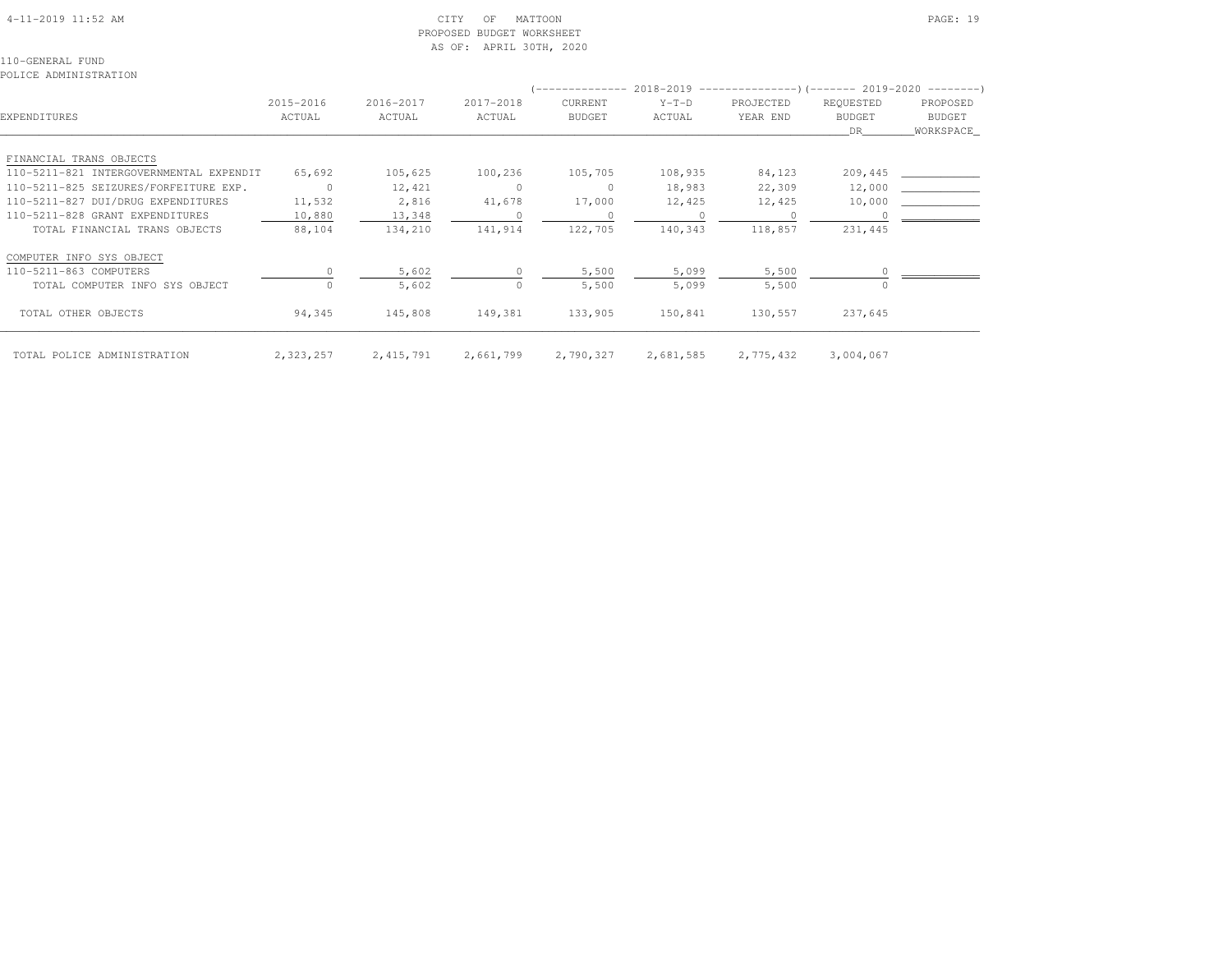| $4-11-2019$ 11:52 AM |  |
|----------------------|--|

# $\begin{array}{ccc} \text{CITY} & \text{OF} & \text{MATTOON} \end{array}$  PROPOSED BUDGET WORKSHEETAS OF: APRIL 30TH, 2020

| POLICE ADMINISTRATION                   |                     |                     |                     |                          |                   |                                                                                                 |                                  |                                                |
|-----------------------------------------|---------------------|---------------------|---------------------|--------------------------|-------------------|-------------------------------------------------------------------------------------------------|----------------------------------|------------------------------------------------|
| EXPENDITURES                            | 2015-2016<br>ACTUAL | 2016-2017<br>ACTUAL | 2017-2018<br>ACTUAL | CURRENT<br><b>BUDGET</b> | $Y-T-D$<br>ACTUAL | (-------------- 2018-2019 --------------------- 2019-2020 ---------- )<br>PROJECTED<br>YEAR END | REQUESTED<br><b>BUDGET</b><br>DR | PROPOSED<br>BUDGET<br>WORKSPACE_               |
| FINANCIAL TRANS OBJECTS                 |                     |                     |                     |                          |                   |                                                                                                 |                                  |                                                |
| 110-5211-821 INTERGOVERNMENTAL EXPENDIT | 65,692              | 105,625             | 100,236             | 105,705                  | 108,935           | 84,123                                                                                          | 209,445                          | <u>and the state of the state of the state</u> |
| 110-5211-825 SEIZURES/FORFEITURE EXP.   | $\overline{0}$      | 12,421              | $\circ$             | $\circ$                  | 18,983            | 22,309                                                                                          | 12,000                           |                                                |
| 110-5211-827 DUI/DRUG EXPENDITURES      | 11,532              | 2,816               | 41,678              | 17,000                   | 12,425            | 12,425                                                                                          | 10,000                           |                                                |
| 110-5211-828 GRANT EXPENDITURES         | 10,880              | 13,348              | $\Omega$            | $\circ$                  |                   |                                                                                                 |                                  |                                                |
| TOTAL FINANCIAL TRANS OBJECTS           | 88,104              | 134,210             | 141,914             | 122,705                  | 140,343           | 118,857                                                                                         | 231,445                          |                                                |
| COMPUTER INFO SYS OBJECT                |                     |                     |                     |                          |                   |                                                                                                 |                                  |                                                |
| 110-5211-863 COMPUTERS                  |                     | 5,602               | $\cap$              | 5,500                    | 5,099             | 5,500                                                                                           |                                  |                                                |
| TOTAL COMPUTER INFO SYS OBJECT          |                     | 5,602               | $\bigcap$           | 5,500                    | 5,099             | 5,500                                                                                           |                                  |                                                |
| TOTAL OTHER OBJECTS                     | 94,345              | 145,808             | 149,381             | 133,905                  | 150,841           | 130,557                                                                                         | 237,645                          |                                                |
| TOTAL POLICE ADMINISTRATION             | 2,323,257           | 2, 415, 791         | 2,661,799           | 2,790,327                | 2,681,585         | 2,775,432                                                                                       | 3,004,067                        |                                                |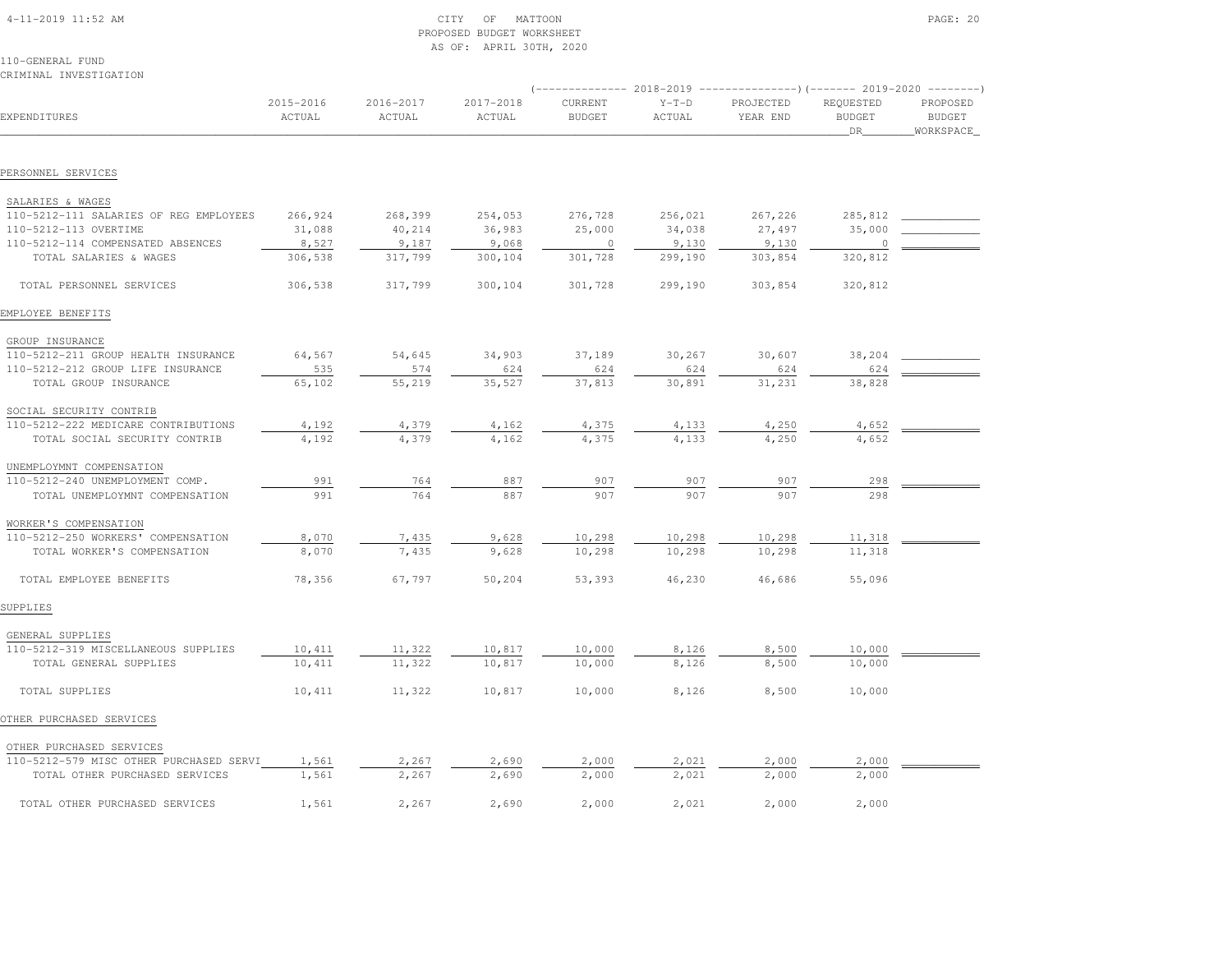| $4 - 11 - 2019$ 11:52 AM |  |
|--------------------------|--|

# 4-11-2019 CITY OF MATTOON CITY OF MATTOON PAGE: 20 PROPOSED BUDGET WORKSHEETAS OF: APRIL 30TH, 2020

| CRIMINAL INVESTIGATION                  |                     |                     |                     |                          |                   |                                                                                                  |                                    |                                         |
|-----------------------------------------|---------------------|---------------------|---------------------|--------------------------|-------------------|--------------------------------------------------------------------------------------------------|------------------------------------|-----------------------------------------|
| EXPENDITURES                            | 2015-2016<br>ACTUAL | 2016-2017<br>ACTUAL | 2017-2018<br>ACTUAL | CURRENT<br><b>BUDGET</b> | $Y-T-D$<br>ACTUAL | (-------------- 2018-2019 ----------------)(------- 2019-2020 --------)<br>PROJECTED<br>YEAR END | REQUESTED<br><b>BUDGET</b><br>_DR_ | PROPOSED<br><b>BUDGET</b><br>WORKSPACE_ |
|                                         |                     |                     |                     |                          |                   |                                                                                                  |                                    |                                         |
| PERSONNEL SERVICES                      |                     |                     |                     |                          |                   |                                                                                                  |                                    |                                         |
| SALARIES & WAGES                        |                     |                     |                     |                          |                   |                                                                                                  |                                    |                                         |
| 110-5212-111 SALARIES OF REG EMPLOYEES  | 266,924             | 268,399             | 254,053             | 276,728                  | 256,021           | 267,226                                                                                          | 285,812                            |                                         |
| 110-5212-113 OVERTIME                   | 31,088              | 40,214              | 36,983              | 25,000                   | 34,038            | 27,497                                                                                           | 35,000                             |                                         |
| 110-5212-114 COMPENSATED ABSENCES       | 8,527               | 9,187               | 9,068               | $\circ$                  | 9,130             | 9,130                                                                                            |                                    |                                         |
| TOTAL SALARIES & WAGES                  | 306,538             | 317,799             | 300,104             | 301,728                  | 299,190           | 303,854                                                                                          | 320,812                            |                                         |
| TOTAL PERSONNEL SERVICES                | 306,538             | 317,799             | 300,104             | 301,728                  | 299,190           | 303,854                                                                                          | 320,812                            |                                         |
| EMPLOYEE BENEFITS                       |                     |                     |                     |                          |                   |                                                                                                  |                                    |                                         |
| GROUP INSURANCE                         |                     |                     |                     |                          |                   |                                                                                                  |                                    |                                         |
| 110-5212-211 GROUP HEALTH INSURANCE     | 64,567              | 54,645              | 34,903              | 37,189                   | 30,267            | 30,607                                                                                           | 38,204                             |                                         |
| 110-5212-212 GROUP LIFE INSURANCE       | 535                 | 574                 | 624                 | 624                      | 624               | 624                                                                                              | 624                                |                                         |
| TOTAL GROUP INSURANCE                   | 65,102              | 55,219              | 35,527              | 37,813                   | 30,891            | 31,231                                                                                           | 38,828                             |                                         |
| SOCIAL SECURITY CONTRIB                 |                     |                     |                     |                          |                   |                                                                                                  |                                    |                                         |
| 110-5212-222 MEDICARE CONTRIBUTIONS     | 4,192               | 4,379               | 4,162               | 4,375                    | 4,133             | 4,250                                                                                            | 4,652                              |                                         |
| TOTAL SOCIAL SECURITY CONTRIB           | 4,192               | 4,379               | 4,162               | 4,375                    | 4,133             | 4,250                                                                                            | 4,652                              |                                         |
| UNEMPLOYMNT COMPENSATION                |                     |                     |                     |                          |                   |                                                                                                  |                                    |                                         |
| 110-5212-240 UNEMPLOYMENT COMP.         | 991                 | 764                 | 887                 | 907                      | 907               | 907                                                                                              | 298                                |                                         |
| TOTAL UNEMPLOYMNT COMPENSATION          | 991                 | 764                 | 887                 | 907                      | 907               | 907                                                                                              | 298                                |                                         |
| WORKER'S COMPENSATION                   |                     |                     |                     |                          |                   |                                                                                                  |                                    |                                         |
| 110-5212-250 WORKERS' COMPENSATION      | 8,070               | 7,435               | 9,628               | 10,298                   | 10,298            | 10,298                                                                                           | 11,318                             |                                         |
| TOTAL WORKER'S COMPENSATION             | 8,070               | 7,435               | 9,628               | 10,298                   | 10,298            | 10,298                                                                                           | 11,318                             |                                         |
| TOTAL EMPLOYEE BENEFITS                 | 78,356              | 67,797              | 50,204              | 53,393                   | 46,230            | 46,686                                                                                           | 55,096                             |                                         |
| SUPPLIES                                |                     |                     |                     |                          |                   |                                                                                                  |                                    |                                         |
| GENERAL SUPPLIES                        |                     |                     |                     |                          |                   |                                                                                                  |                                    |                                         |
| 110-5212-319 MISCELLANEOUS SUPPLIES     | 10,411              | 11,322              | 10,817              | 10,000                   | 8,126             | 8,500                                                                                            | 10,000                             |                                         |
| TOTAL GENERAL SUPPLIES                  | 10,411              | 11,322              | 10,817              | 10,000                   | 8,126             | 8,500                                                                                            | 10,000                             |                                         |
| TOTAL SUPPLIES                          | 10,411              | 11,322              | 10,817              | 10,000                   | 8,126             | 8,500                                                                                            | 10,000                             |                                         |
| OTHER PURCHASED SERVICES                |                     |                     |                     |                          |                   |                                                                                                  |                                    |                                         |
| OTHER PURCHASED SERVICES                |                     |                     |                     |                          |                   |                                                                                                  |                                    |                                         |
| 110-5212-579 MISC OTHER PURCHASED SERVI | 1,561               | 2,267               | 2,690               | 2,000                    | 2,021             | 2,000                                                                                            | 2,000                              |                                         |
| TOTAL OTHER PURCHASED SERVICES          | 1,561               | 2,267               | 2,690               | 2,000                    | 2,021             | 2,000                                                                                            | 2,000                              |                                         |
| TOTAL OTHER PURCHASED SERVICES          | 1,561               | 2,267               | 2,690               | 2,000                    | 2,021             | 2,000                                                                                            | 2,000                              |                                         |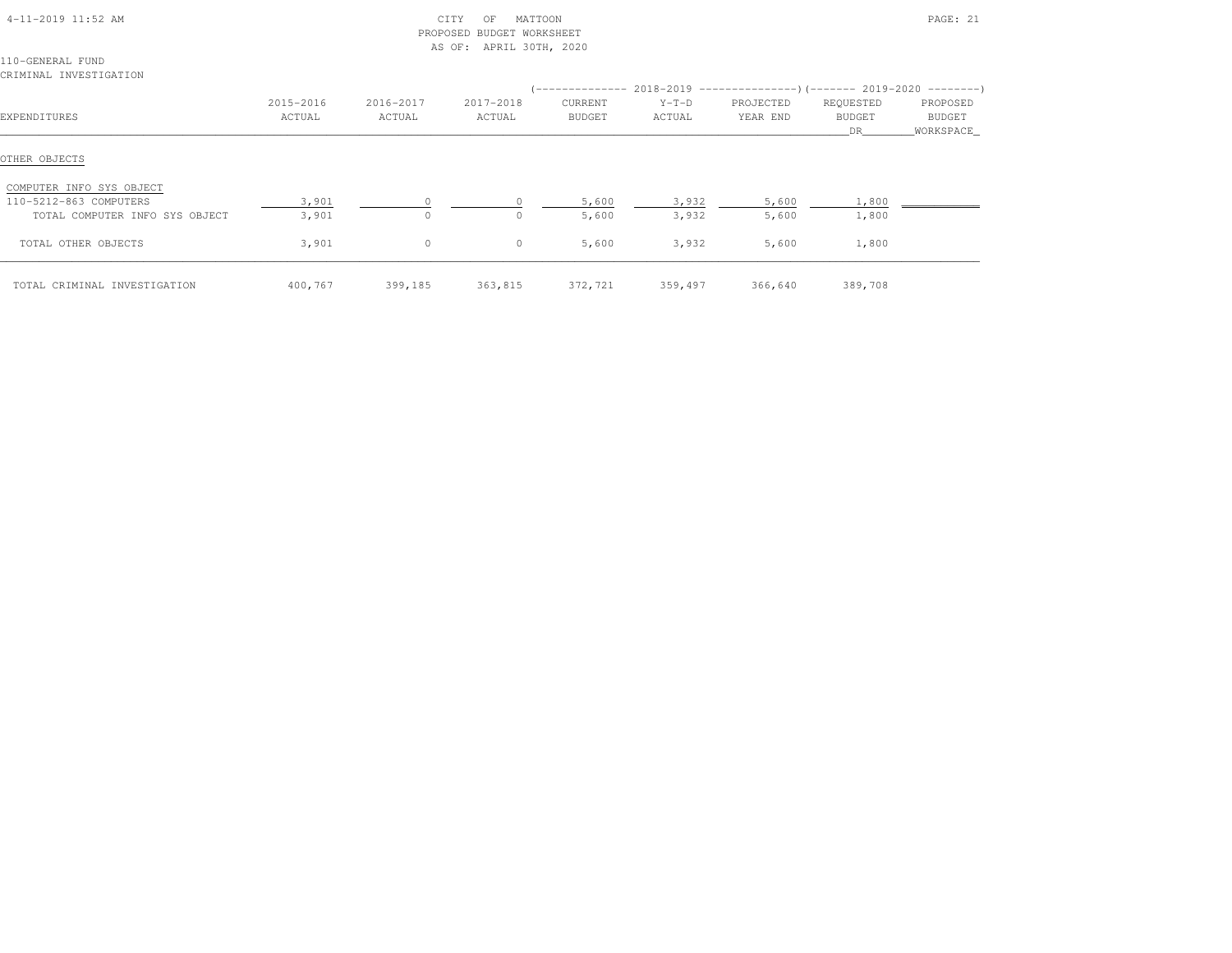|                                                                                      |                     |                     | PROPOSED BUDGET WORKSHEET<br>AS OF: APRIL 30TH, 2020 |                   |                         |                       |                             |                                   |
|--------------------------------------------------------------------------------------|---------------------|---------------------|------------------------------------------------------|-------------------|-------------------------|-----------------------|-----------------------------|-----------------------------------|
| 110-GENERAL FUND<br>CRIMINAL INVESTIGATION                                           |                     |                     |                                                      |                   |                         |                       |                             |                                   |
| EXPENDITURES                                                                         | 2015-2016<br>ACTUAL | 2016-2017<br>ACTUAL | 2017-2018<br>ACTUAL                                  | CURRENT<br>BUDGET | $Y-T-D$<br>ACTUAL       | PROJECTED<br>YEAR END | REQUESTED<br>BUDGET<br>DR — | PROPOSED<br>BUDGET<br>_WORKSPACE_ |
| OTHER OBJECTS                                                                        |                     |                     |                                                      |                   |                         |                       |                             |                                   |
| COMPUTER INFO SYS OBJECT<br>110-5212-863 COMPUTERS<br>TOTAL COMPUTER INFO SYS OBJECT | 3,901<br>3,901      | $\bigcap$           | $\Omega$                                             | 5,600<br>5,600    | 3,932<br>3,932          | 5,600<br>5,600        | 1,800<br>1,800              |                                   |
| TOTAL OTHER OBJECTS                                                                  | 3,901               | $\circ$             | $\circ$                                              | 5,600             | 3,932                   | 5,600                 | 1,800                       |                                   |
| TOTAL CRIMINAL INVESTIGATION                                                         | 400,767             | 399,185 363,815     |                                                      |                   | 372,721 359,497 366,640 |                       | 389,708                     |                                   |

4-11-2019 11:52 AM CITY OF MATTOON PAGE: 21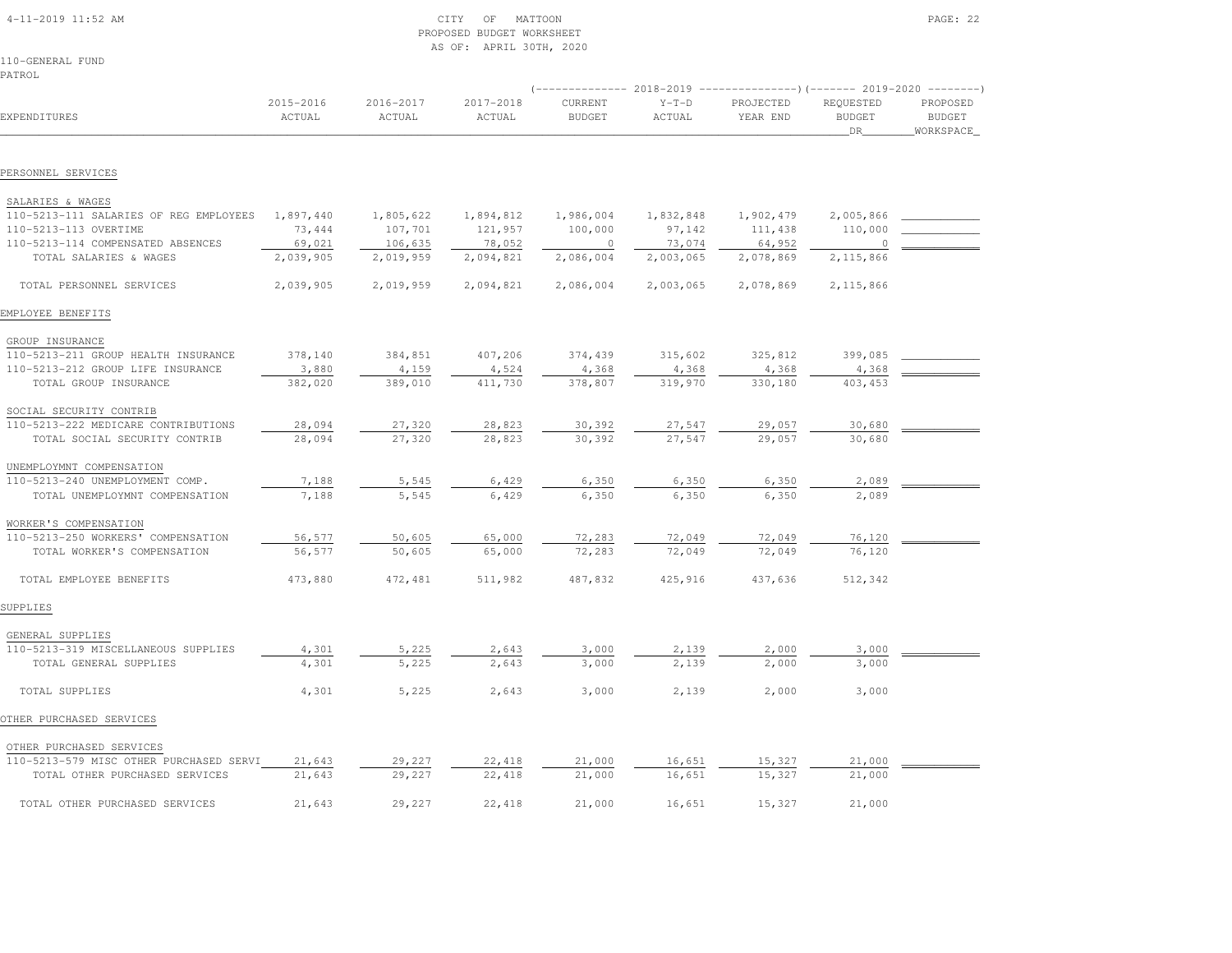| $4-11-2019$ $11:52$ AM |  |
|------------------------|--|

# $\begin{array}{ccc} \text{CITY} & \text{OF} & \text{MATTON} \end{array}$  PROPOSED BUDGET WORKSHEETAS OF: APRIL 30TH, 2020

110-GENERAL FUNDPATROL

|                                         |                     |                     |                     |                          |                   | (-------------- 2018-2019 ----------------)(------- 2019-2020 --------) |                                   |                                        |  |
|-----------------------------------------|---------------------|---------------------|---------------------|--------------------------|-------------------|-------------------------------------------------------------------------|-----------------------------------|----------------------------------------|--|
| EXPENDITURES                            | 2015-2016<br>ACTUAL | 2016-2017<br>ACTUAL | 2017-2018<br>ACTUAL | CURRENT<br><b>BUDGET</b> | $Y-T-D$<br>ACTUAL | PROJECTED<br>YEAR END                                                   | REQUESTED<br><b>BUDGET</b><br>DR. | PROPOSED<br><b>BUDGET</b><br>WORKSPACE |  |
|                                         |                     |                     |                     |                          |                   |                                                                         |                                   |                                        |  |
| PERSONNEL SERVICES                      |                     |                     |                     |                          |                   |                                                                         |                                   |                                        |  |
| SALARIES & WAGES                        |                     |                     |                     |                          |                   |                                                                         |                                   |                                        |  |
| 110-5213-111 SALARIES OF REG EMPLOYEES  | 1,897,440           | 1,805,622           | 1,894,812           | 1,986,004                | 1,832,848         | 1,902,479                                                               | 2,005,866                         |                                        |  |
| 110-5213-113 OVERTIME                   | 73,444              | 107,701             | 121,957             | 100,000                  | 97,142            | 111,438                                                                 | 110,000                           |                                        |  |
| 110-5213-114 COMPENSATED ABSENCES       | 69,021              | 106,635             | 78,052              | $\overline{0}$           | 73,074            | 64,952                                                                  | $\circ$                           |                                        |  |
| TOTAL SALARIES & WAGES                  | 2,039,905           | 2,019,959           | 2,094,821           | 2,086,004                | 2,003,065         | 2,078,869                                                               | 2,115,866                         |                                        |  |
| TOTAL PERSONNEL SERVICES                | 2,039,905           | 2,019,959           | 2,094,821           | 2,086,004                | 2,003,065         | 2,078,869                                                               | 2,115,866                         |                                        |  |
| EMPLOYEE BENEFITS                       |                     |                     |                     |                          |                   |                                                                         |                                   |                                        |  |
| GROUP INSURANCE                         |                     |                     |                     |                          |                   |                                                                         |                                   |                                        |  |
| 110-5213-211 GROUP HEALTH INSURANCE     | 378,140             | 384,851             | 407,206             | 374,439                  | 315,602           | 325,812                                                                 | 399,085                           |                                        |  |
| 110-5213-212 GROUP LIFE INSURANCE       | 3,880               | 4,159               | 4,524               | 4,368                    | 4,368             | 4,368                                                                   | 4,368                             |                                        |  |
| TOTAL GROUP INSURANCE                   | 382,020             | 389,010             | 411,730             | 378,807                  | 319,970           | 330,180                                                                 | 403, 453                          |                                        |  |
| SOCIAL SECURITY CONTRIB                 |                     |                     |                     |                          |                   |                                                                         |                                   |                                        |  |
| 110-5213-222 MEDICARE CONTRIBUTIONS     | 28,094              | 27,320              | 28,823              | 30,392                   | 27,547            | 29,057                                                                  | 30,680                            |                                        |  |
| TOTAL SOCIAL SECURITY CONTRIB           | 28,094              | 27,320              | 28,823              | 30,392                   | 27,547            | 29,057                                                                  | 30,680                            |                                        |  |
| UNEMPLOYMNT COMPENSATION                |                     |                     |                     |                          |                   |                                                                         |                                   |                                        |  |
| 110-5213-240 UNEMPLOYMENT COMP.         | 7,188               | 5,545               | 6,429               | 6,350                    | 6,350             | 6,350                                                                   | 2,089                             |                                        |  |
| TOTAL UNEMPLOYMNT COMPENSATION          | 7,188               | 5,545               | 6,429               | 6,350                    | 6,350             | 6,350                                                                   | 2,089                             |                                        |  |
| WORKER'S COMPENSATION                   |                     |                     |                     |                          |                   |                                                                         |                                   |                                        |  |
| 110-5213-250 WORKERS' COMPENSATION      | 56,577              | 50,605              | 65,000              | 72,283                   | 72,049            | 72,049                                                                  | 76,120                            |                                        |  |
| TOTAL WORKER'S COMPENSATION             | 56,577              | 50,605              | 65,000              | 72,283                   | 72,049            | 72,049                                                                  | 76,120                            |                                        |  |
| TOTAL EMPLOYEE BENEFITS                 | 473,880             | 472,481             | 511,982             | 487,832                  | 425,916           | 437,636                                                                 | 512,342                           |                                        |  |
| SUPPLIES                                |                     |                     |                     |                          |                   |                                                                         |                                   |                                        |  |
| GENERAL SUPPLIES                        |                     |                     |                     |                          |                   |                                                                         |                                   |                                        |  |
| 110-5213-319 MISCELLANEOUS SUPPLIES     | 4,301               | 5,225               | 2,643               | 3,000                    | 2,139             | 2,000                                                                   | 3,000                             |                                        |  |
| TOTAL GENERAL SUPPLIES                  | 4,301               | 5,225               | 2,643               | 3,000                    | 2,139             | 2,000                                                                   | 3,000                             |                                        |  |
| TOTAL SUPPLIES                          | 4,301               | 5,225               | 2,643               | 3,000                    | 2,139             | 2,000                                                                   | 3,000                             |                                        |  |
| OTHER PURCHASED SERVICES                |                     |                     |                     |                          |                   |                                                                         |                                   |                                        |  |
| OTHER PURCHASED SERVICES                |                     |                     |                     |                          |                   |                                                                         |                                   |                                        |  |
| 110-5213-579 MISC OTHER PURCHASED SERVI | 21,643              | 29,227              | 22,418              | 21,000                   | 16,651            | 15,327                                                                  | 21,000                            |                                        |  |
| TOTAL OTHER PURCHASED SERVICES          | 21,643              | 29,227              | 22, 418             | 21,000                   | 16,651            | 15,327                                                                  | 21,000                            |                                        |  |
| TOTAL OTHER PURCHASED SERVICES          | 21,643              | 29,227              | 22,418              | 21,000                   | 16,651            | 15,327                                                                  | 21,000                            |                                        |  |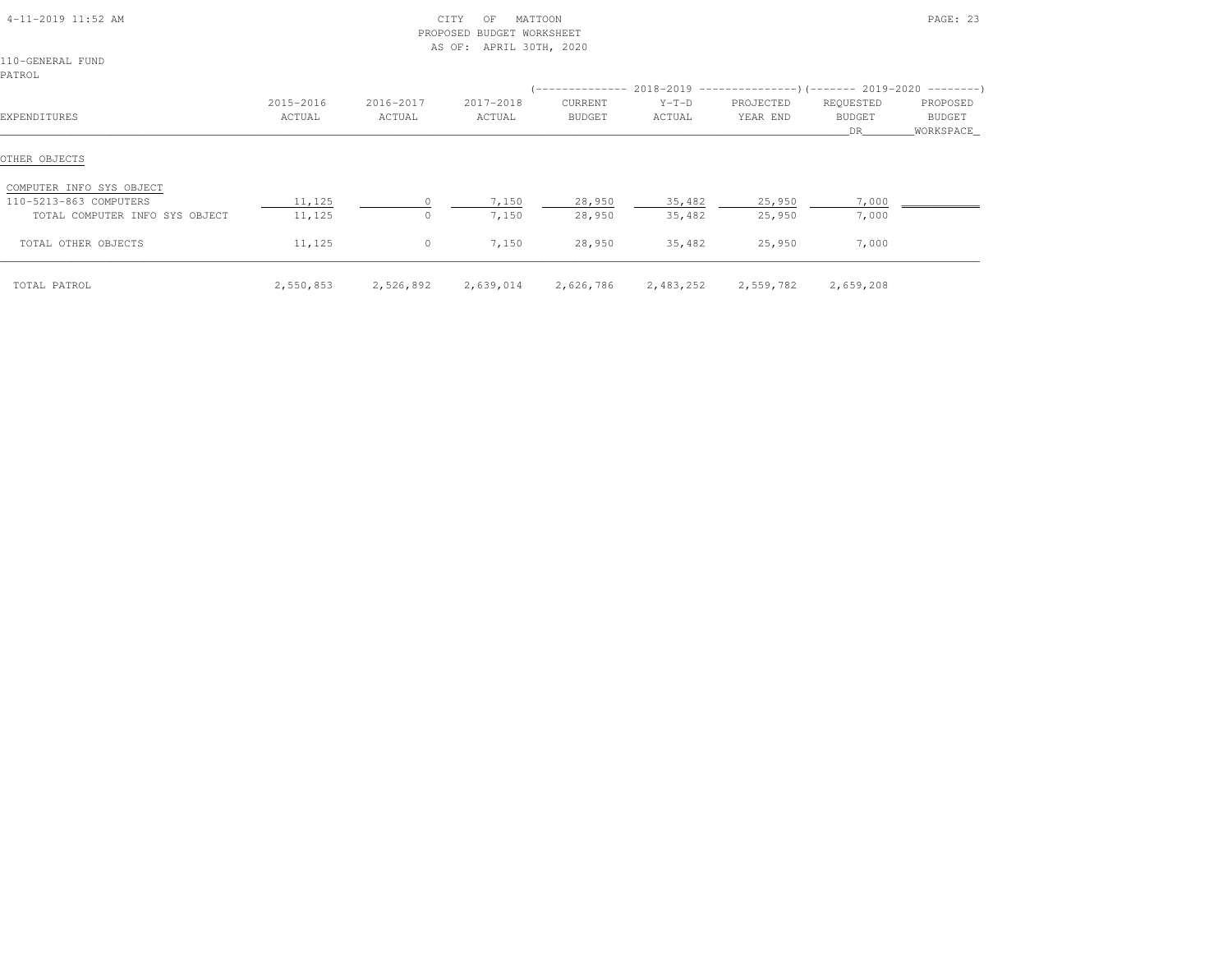| 4-11-2019 11:52 AM                        |                     | PROPOSED            | CITY<br>ΟF<br><b>BUDGET WORKSHEET</b><br>APRIL 30TH, 2020<br>AS OF: | MATTOON           |                     |                                                                         |                                   | PAGE: 23                        |
|-------------------------------------------|---------------------|---------------------|---------------------------------------------------------------------|-------------------|---------------------|-------------------------------------------------------------------------|-----------------------------------|---------------------------------|
| 110-GENERAL FUND<br>PATROL                |                     |                     |                                                                     |                   |                     |                                                                         |                                   |                                 |
|                                           |                     |                     |                                                                     |                   |                     | (-------------- 2018-2019 ----------------)(------- 2019-2020 --------) |                                   |                                 |
| EXPENDITURES                              | 2015-2016<br>ACTUAL | 2016-2017<br>ACTUAL | 2017-2018<br>ACTUAL                                                 | CURRENT<br>BUDGET | $Y-T-D$<br>ACTUAL   | PROJECTED<br>YEAR END                                                   | REQUESTED<br><b>BUDGET</b><br>DR. | PROPOSED<br>BUDGET<br>WORKSPACE |
| OTHER OBJECTS<br>COMPUTER INFO SYS OBJECT |                     |                     |                                                                     |                   |                     |                                                                         |                                   |                                 |
| 110-5213-863 COMPUTERS                    | 11,125              |                     | 7,150                                                               | 28,950            | 35,482              | 25,950                                                                  | 7,000                             |                                 |
| TOTAL COMPUTER INFO SYS OBJECT            | 11,125              | $\Omega$            | 7,150                                                               | 28,950            | 35,482              | 25,950                                                                  | 7,000                             |                                 |
| TOTAL OTHER OBJECTS                       | 11,125              | $\circ$             | 7,150                                                               | 28,950            | 35,482              | 25,950                                                                  | 7,000                             |                                 |
| TOTAL PATROL                              | 2,550,853           | 2,526,892 2,639,014 |                                                                     | 2,626,786         | 2,483,252 2,559,782 |                                                                         | 2,659,208                         |                                 |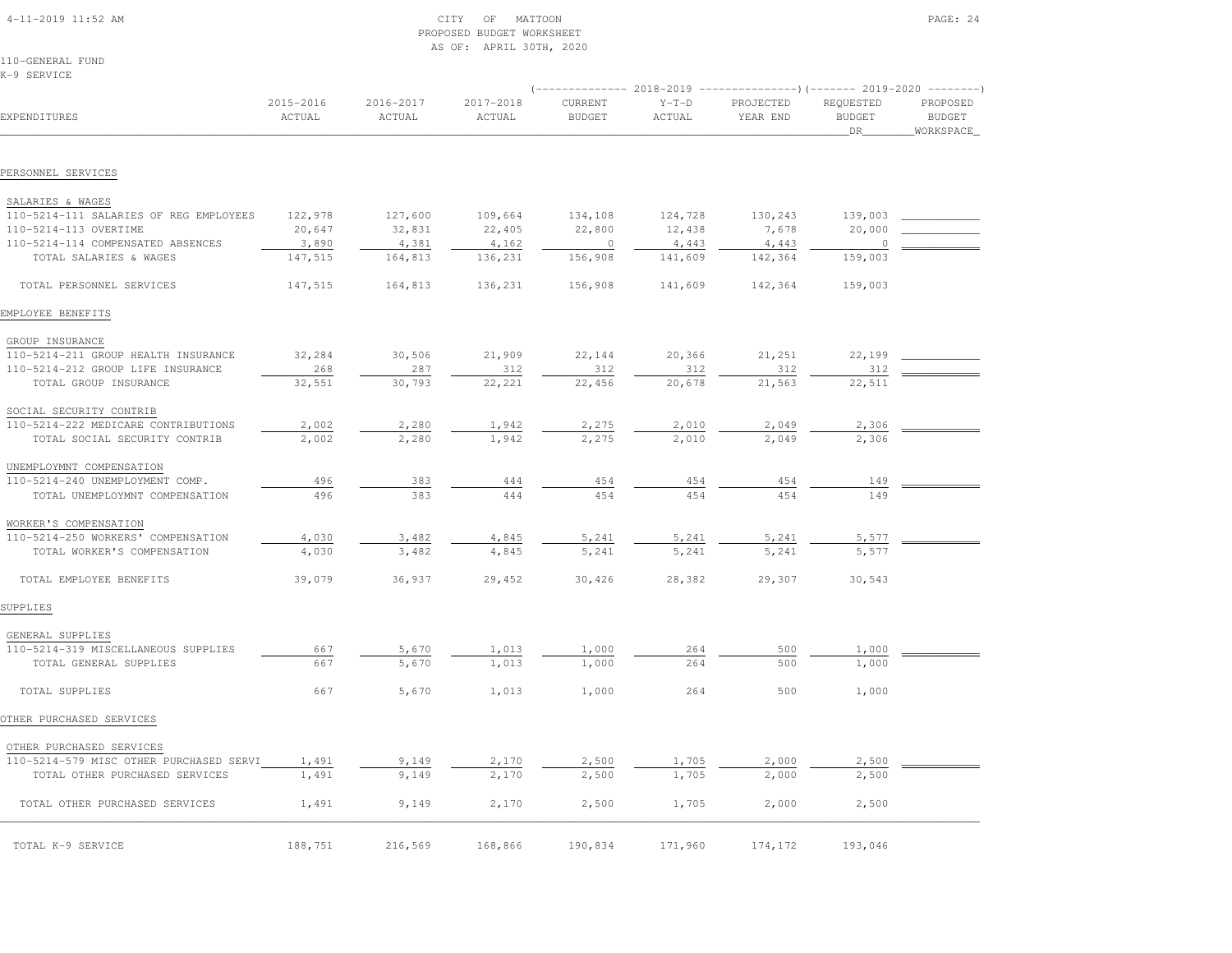# 4-11-2019 11:52 AM CITY OF MATTOON PAGE: 24 PROPOSED BUDGET WORKSHEETAS OF: APRIL 30TH, 2020

110-GENERAL FUNDK-9 SERVICE

|                                         |                     |                     | ------------ 2018-2019 |                          |                   |                       |                                         |                                        |  |  |
|-----------------------------------------|---------------------|---------------------|------------------------|--------------------------|-------------------|-----------------------|-----------------------------------------|----------------------------------------|--|--|
| EXPENDITURES                            | 2015-2016<br>ACTUAL | 2016-2017<br>ACTUAL | 2017-2018<br>ACTUAL    | CURRENT<br><b>BUDGET</b> | $Y-T-D$<br>ACTUAL | PROJECTED<br>YEAR END | REQUESTED<br><b>BUDGET</b><br><b>DR</b> | PROPOSED<br><b>BUDGET</b><br>WORKSPACE |  |  |
|                                         |                     |                     |                        |                          |                   |                       |                                         |                                        |  |  |
| PERSONNEL SERVICES                      |                     |                     |                        |                          |                   |                       |                                         |                                        |  |  |
| SALARIES & WAGES                        |                     |                     |                        |                          |                   |                       |                                         |                                        |  |  |
| 110-5214-111 SALARIES OF REG EMPLOYEES  | 122,978             | 127,600             | 109,664                | 134,108                  | 124,728           | 130,243               | 139,003                                 |                                        |  |  |
| 110-5214-113 OVERTIME                   | 20,647              | 32,831              | 22,405                 | 22,800                   | 12,438            | 7,678                 | 20,000                                  |                                        |  |  |
| 110-5214-114 COMPENSATED ABSENCES       | 3,890               | 4,381               | 4,162                  | $\overline{0}$           | 4,443             | 4,443                 | $\overline{0}$                          |                                        |  |  |
| TOTAL SALARIES & WAGES                  | 147,515             | 164,813             | 136,231                | 156,908                  | 141,609           | 142,364               | 159,003                                 |                                        |  |  |
| TOTAL PERSONNEL SERVICES                | 147,515             | 164,813             | 136,231                | 156,908                  | 141,609           | 142,364               | 159,003                                 |                                        |  |  |
| EMPLOYEE BENEFITS                       |                     |                     |                        |                          |                   |                       |                                         |                                        |  |  |
| GROUP INSURANCE                         |                     |                     |                        |                          |                   |                       |                                         |                                        |  |  |
| 110-5214-211 GROUP HEALTH INSURANCE     | 32,284              | 30,506              | 21,909                 | 22,144                   | 20,366            | 21,251                | 22,199                                  |                                        |  |  |
| 110-5214-212 GROUP LIFE INSURANCE       | 268                 | 287                 | 312                    | 312                      | 312               | 312                   | 312                                     |                                        |  |  |
| TOTAL GROUP INSURANCE                   | 32,551              | 30,793              | 22, 221                | 22,456                   | 20,678            | 21,563                | 22,511                                  |                                        |  |  |
| SOCIAL SECURITY CONTRIB                 |                     |                     |                        |                          |                   |                       |                                         |                                        |  |  |
| 110-5214-222 MEDICARE CONTRIBUTIONS     | 2,002               | 2,280               | 1,942                  | 2,275                    | 2,010             | 2,049                 | 2,306                                   |                                        |  |  |
| TOTAL SOCIAL SECURITY CONTRIB           | 2,002               | 2,280               | 1,942                  | 2,275                    | 2,010             | 2,049                 | 2,306                                   |                                        |  |  |
| UNEMPLOYMNT COMPENSATION                |                     |                     |                        |                          |                   |                       |                                         |                                        |  |  |
| 110-5214-240 UNEMPLOYMENT COMP.         | 496                 | 383                 | 444                    | 454                      | 454               | 454                   | 149                                     |                                        |  |  |
| TOTAL UNEMPLOYMNT COMPENSATION          | 496                 | 383                 | 444                    | 454                      | 454               | 454                   | 149                                     |                                        |  |  |
| WORKER'S COMPENSATION                   |                     |                     |                        |                          |                   |                       |                                         |                                        |  |  |
| 110-5214-250 WORKERS' COMPENSATION      | 4,030               | 3,482               | 4,845                  | 5,241                    | 5,241             | 5,241                 | 5,577                                   |                                        |  |  |
| TOTAL WORKER'S COMPENSATION             | 4,030               | 3,482               | 4,845                  | 5,241                    | 5,241             | 5,241                 | 5,577                                   |                                        |  |  |
| TOTAL EMPLOYEE BENEFITS                 | 39,079              | 36,937              | 29,452                 | 30,426                   | 28,382            | 29,307                | 30,543                                  |                                        |  |  |
| SUPPLIES                                |                     |                     |                        |                          |                   |                       |                                         |                                        |  |  |
| GENERAL SUPPLIES                        |                     |                     |                        |                          |                   |                       |                                         |                                        |  |  |
| 110-5214-319 MISCELLANEOUS SUPPLIES     | 667                 | 5,670               | 1,013                  | 1,000                    | 264               | 500                   | 1,000                                   |                                        |  |  |
| TOTAL GENERAL SUPPLIES                  | 667                 | 5,670               | 1,013                  | 1,000                    | 264               | 500                   | 1,000                                   |                                        |  |  |
| TOTAL SUPPLIES                          | 667                 | 5,670               | 1,013                  | 1,000                    | 264               | 500                   | 1,000                                   |                                        |  |  |
| OTHER PURCHASED SERVICES                |                     |                     |                        |                          |                   |                       |                                         |                                        |  |  |
| OTHER PURCHASED SERVICES                |                     |                     |                        |                          |                   |                       |                                         |                                        |  |  |
| 110-5214-579 MISC OTHER PURCHASED SERVI | 1,491               | 9,149               | 2,170                  | 2,500                    | 1,705             | 2,000                 | 2,500                                   |                                        |  |  |
| TOTAL OTHER PURCHASED SERVICES          | 1,491               | 9,149               | 2,170                  | 2,500                    | 1,705             | 2,000                 | 2,500                                   |                                        |  |  |
| TOTAL OTHER PURCHASED SERVICES          | 1,491               | 9,149               | 2,170                  | 2,500                    | 1,705             | 2,000                 | 2,500                                   |                                        |  |  |
| TOTAL K-9 SERVICE                       | 188,751             | 216,569             | 168,866                | 190,834                  | 171,960           | 174,172               | 193,046                                 |                                        |  |  |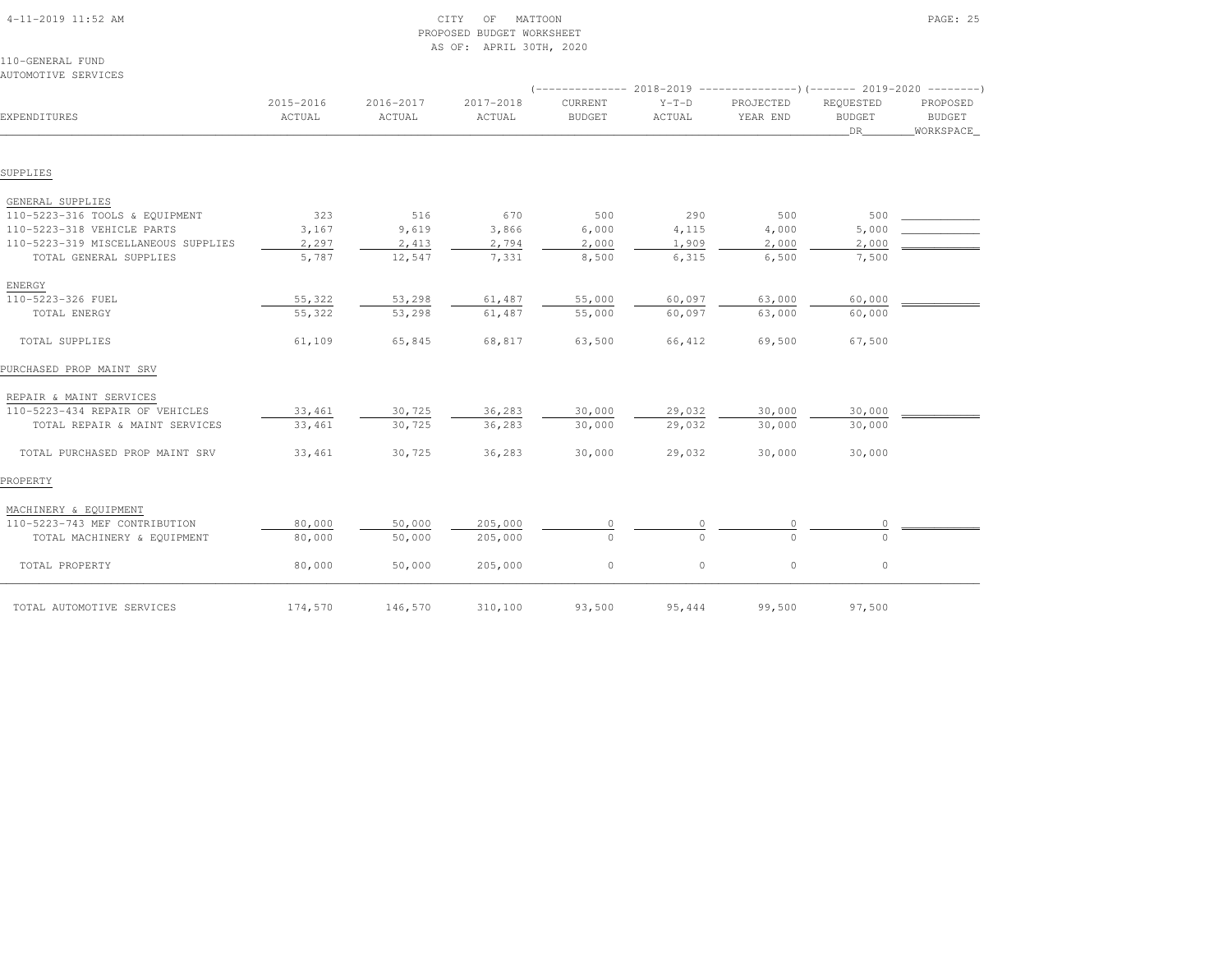| AUTOMOTIVE SERVICES                 |                     |                     |                     |                          |                   |                                                                                                |                                  |                                 |
|-------------------------------------|---------------------|---------------------|---------------------|--------------------------|-------------------|------------------------------------------------------------------------------------------------|----------------------------------|---------------------------------|
| EXPENDITURES                        | 2015-2016<br>ACTUAL | 2016-2017<br>ACTUAL | 2017-2018<br>ACTUAL | CURRENT<br><b>BUDGET</b> | $Y-T-D$<br>ACTUAL | (-------------- 2018-2019 --------------------- 2019-2020 --------- )<br>PROJECTED<br>YEAR END | REQUESTED<br><b>BUDGET</b><br>DR | PROPOSED<br>BUDGET<br>WORKSPACE |
| SUPPLIES                            |                     |                     |                     |                          |                   |                                                                                                |                                  |                                 |
| GENERAL SUPPLIES                    |                     |                     |                     |                          |                   |                                                                                                |                                  |                                 |
| 110-5223-316 TOOLS & EQUIPMENT      | 323                 | 516                 | 670                 | 500                      | 290               | 500                                                                                            | 500                              |                                 |
| 110-5223-318 VEHICLE PARTS          | 3,167               | 9,619               | 3,866               | 6,000                    | 4,115             | 4,000                                                                                          | 5,000                            |                                 |
| 110-5223-319 MISCELLANEOUS SUPPLIES | 2,297               | 2,413               | 2,794               | 2,000                    | 1,909             | 2,000                                                                                          | 2,000                            |                                 |
| TOTAL GENERAL SUPPLIES              | 5,787               | 12,547              | 7,331               | 8,500                    | 6,315             | 6,500                                                                                          | 7,500                            |                                 |
| ENERGY                              |                     |                     |                     |                          |                   |                                                                                                |                                  |                                 |
| 110-5223-326 FUEL                   | 55,322              | 53,298              | 61,487              | 55,000                   | 60,097            | 63,000                                                                                         | 60,000                           |                                 |
| TOTAL ENERGY                        | 55,322              | 53,298              | 61,487              | 55,000                   | 60,097            | 63,000                                                                                         | 60,000                           |                                 |
| TOTAL SUPPLIES                      | 61,109              | 65,845              | 68,817              | 63,500                   | 66,412            | 69,500                                                                                         | 67,500                           |                                 |
| PURCHASED PROP MAINT SRV            |                     |                     |                     |                          |                   |                                                                                                |                                  |                                 |
| REPAIR & MAINT SERVICES             |                     |                     |                     |                          |                   |                                                                                                |                                  |                                 |
| 110-5223-434 REPAIR OF VEHICLES     | 33,461              | 30,725              | 36,283              | 30,000                   | 29,032            | 30,000                                                                                         | 30,000                           |                                 |
| TOTAL REPAIR & MAINT SERVICES       | 33,461              | 30,725              | 36,283              | 30,000                   | 29,032            | 30,000                                                                                         | 30,000                           |                                 |
| TOTAL PURCHASED PROP MAINT SRV      | 33,461              | 30,725              | 36,283              | 30,000                   | 29,032            | 30,000                                                                                         | 30,000                           |                                 |
| PROPERTY                            |                     |                     |                     |                          |                   |                                                                                                |                                  |                                 |
| MACHINERY & EQUIPMENT               |                     |                     |                     |                          |                   |                                                                                                |                                  |                                 |
| 110-5223-743 MEF CONTRIBUTION       | 80,000              | 50,000              | 205,000             | $\circ$                  | 0                 |                                                                                                | 0                                |                                 |
| TOTAL MACHINERY & EQUIPMENT         | 80,000              | 50,000              | 205,000             | $\Omega$                 | $\Omega$          |                                                                                                | $\cap$                           |                                 |
| TOTAL PROPERTY                      | 80,000              | 50,000              | 205,000             | $\circ$                  | $\circ$           | $\circ$                                                                                        | $\circ$                          |                                 |
| TOTAL AUTOMOTIVE SERVICES           | 174,570             | 146,570             | 310,100             | 93,500                   | 95,444            | 99,500                                                                                         | 97,500                           |                                 |

 4-11-2019 11:52 AM CITY OF MATTOON PAGE: 25PROPOSED BUDGET WORKSHEET

AS OF: APRIL 30TH, 2020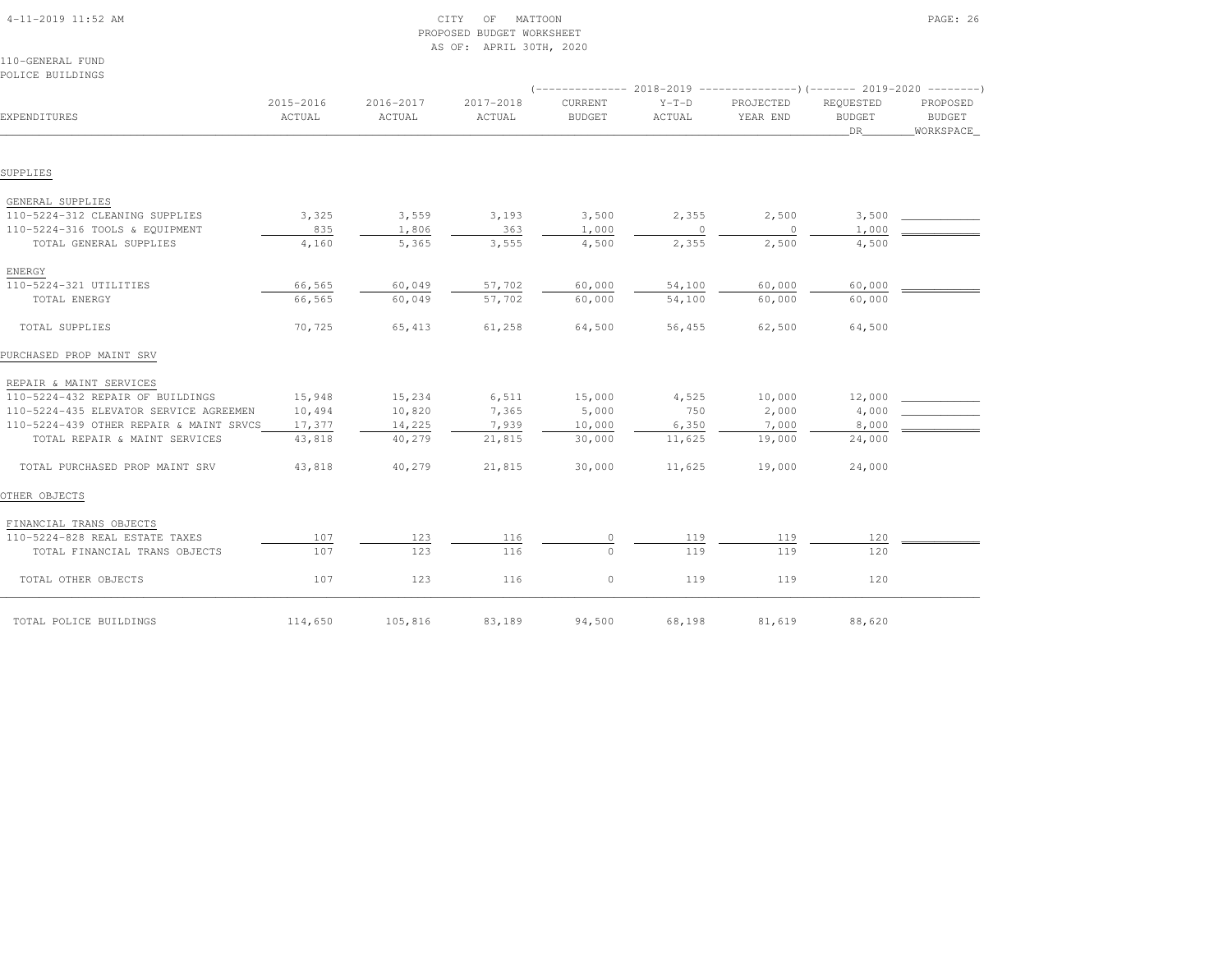| $4-11-2019$ 11:52 AM                    | CITY<br>OF<br>MATTOON<br>PROPOSED BUDGET WORKSHEET<br>AS OF: APRIL 30TH, 2020 |                     |                     |                          |                   |                                                                                                  |                            |                           |
|-----------------------------------------|-------------------------------------------------------------------------------|---------------------|---------------------|--------------------------|-------------------|--------------------------------------------------------------------------------------------------|----------------------------|---------------------------|
| 110-GENERAL FUND                        |                                                                               |                     |                     |                          |                   |                                                                                                  |                            |                           |
| POLICE BUILDINGS                        |                                                                               |                     |                     |                          |                   |                                                                                                  |                            |                           |
| EXPENDITURES                            | 2015-2016<br>ACTUAL                                                           | 2016-2017<br>ACTUAL | 2017-2018<br>ACTUAL | CURRENT<br><b>BUDGET</b> | $Y-T-D$<br>ACTUAL | (-------------- 2018-2019 ----------------)(------- 2019-2020 --------)<br>PROJECTED<br>YEAR END | REQUESTED<br><b>BUDGET</b> | PROPOSED<br><b>BUDGET</b> |
|                                         |                                                                               |                     |                     |                          |                   |                                                                                                  | DR                         | WORKSPACE                 |
| SUPPLIES                                |                                                                               |                     |                     |                          |                   |                                                                                                  |                            |                           |
|                                         |                                                                               |                     |                     |                          |                   |                                                                                                  |                            |                           |
| GENERAL SUPPLIES                        |                                                                               |                     |                     |                          |                   |                                                                                                  |                            |                           |
| 110-5224-312 CLEANING SUPPLIES          | 3,325                                                                         | 3,559               | 3,193               | 3,500                    | 2,355             | 2,500                                                                                            | 3,500                      |                           |
| 110-5224-316 TOOLS & EQUIPMENT          | 835                                                                           | 1,806               | 363                 | 1,000                    |                   | $\circ$                                                                                          | 1,000                      |                           |
| TOTAL GENERAL SUPPLIES                  | 4,160                                                                         | 5,365               | 3,555               | 4,500                    | 2,355             | 2,500                                                                                            | 4,500                      |                           |
| ENERGY                                  |                                                                               |                     |                     |                          |                   |                                                                                                  |                            |                           |
| 110-5224-321 UTILITIES                  | 66,565                                                                        | 60,049              | 57,702              | 60,000                   | 54,100            | 60,000                                                                                           | 60,000                     |                           |
| TOTAL ENERGY                            | 66,565                                                                        | 60,049              | 57,702              | 60,000                   | 54,100            | 60,000                                                                                           | 60,000                     |                           |
| TOTAL SUPPLIES                          | 70,725                                                                        | 65,413              | 61,258              | 64,500                   | 56,455            | 62,500                                                                                           | 64,500                     |                           |
| PURCHASED PROP MAINT SRV                |                                                                               |                     |                     |                          |                   |                                                                                                  |                            |                           |
| REPAIR & MAINT SERVICES                 |                                                                               |                     |                     |                          |                   |                                                                                                  |                            |                           |
| 110-5224-432 REPAIR OF BUILDINGS        | 15,948                                                                        | 15,234              | 6,511               | 15,000                   | 4,525             | 10,000                                                                                           | 12,000                     |                           |
| 110-5224-435 ELEVATOR SERVICE AGREEMEN  | 10,494                                                                        | 10,820              | 7,365               | 5,000                    | 750               | 2,000                                                                                            | 4,000                      |                           |
| 110-5224-439 OTHER REPAIR & MAINT SRVCS | 17,377                                                                        | 14,225              | 7,939               | 10,000                   | 6,350             | 7,000                                                                                            | 8,000                      |                           |
| TOTAL REPAIR & MAINT SERVICES           | 43,818                                                                        | 40,279              | 21,815              | 30,000                   | 11,625            | 19,000                                                                                           | 24,000                     |                           |
| TOTAL PURCHASED PROP MAINT SRV          | 43,818                                                                        | 40,279              | 21,815              | 30,000                   | 11,625            | 19,000                                                                                           | 24,000                     |                           |
| OTHER OBJECTS                           |                                                                               |                     |                     |                          |                   |                                                                                                  |                            |                           |
| FINANCIAL TRANS OBJECTS                 |                                                                               |                     |                     |                          |                   |                                                                                                  |                            |                           |
| 110-5224-828 REAL ESTATE TAXES          | 107                                                                           | 123                 | 116                 |                          | 119               | 119                                                                                              | 120                        |                           |
| TOTAL FINANCIAL TRANS OBJECTS           | 107                                                                           | 123                 | 116                 | $\Omega$                 | 119               | 119                                                                                              | 120                        |                           |
| TOTAL OTHER OBJECTS                     | 107                                                                           | 123                 | 116                 | $\circ$                  | 119               | 119                                                                                              | 120                        |                           |
| TOTAL POLICE BUILDINGS                  | 114,650                                                                       | 105,816             | 83,189              | 94,500                   | 68,198            | 81,619                                                                                           | 88,620                     |                           |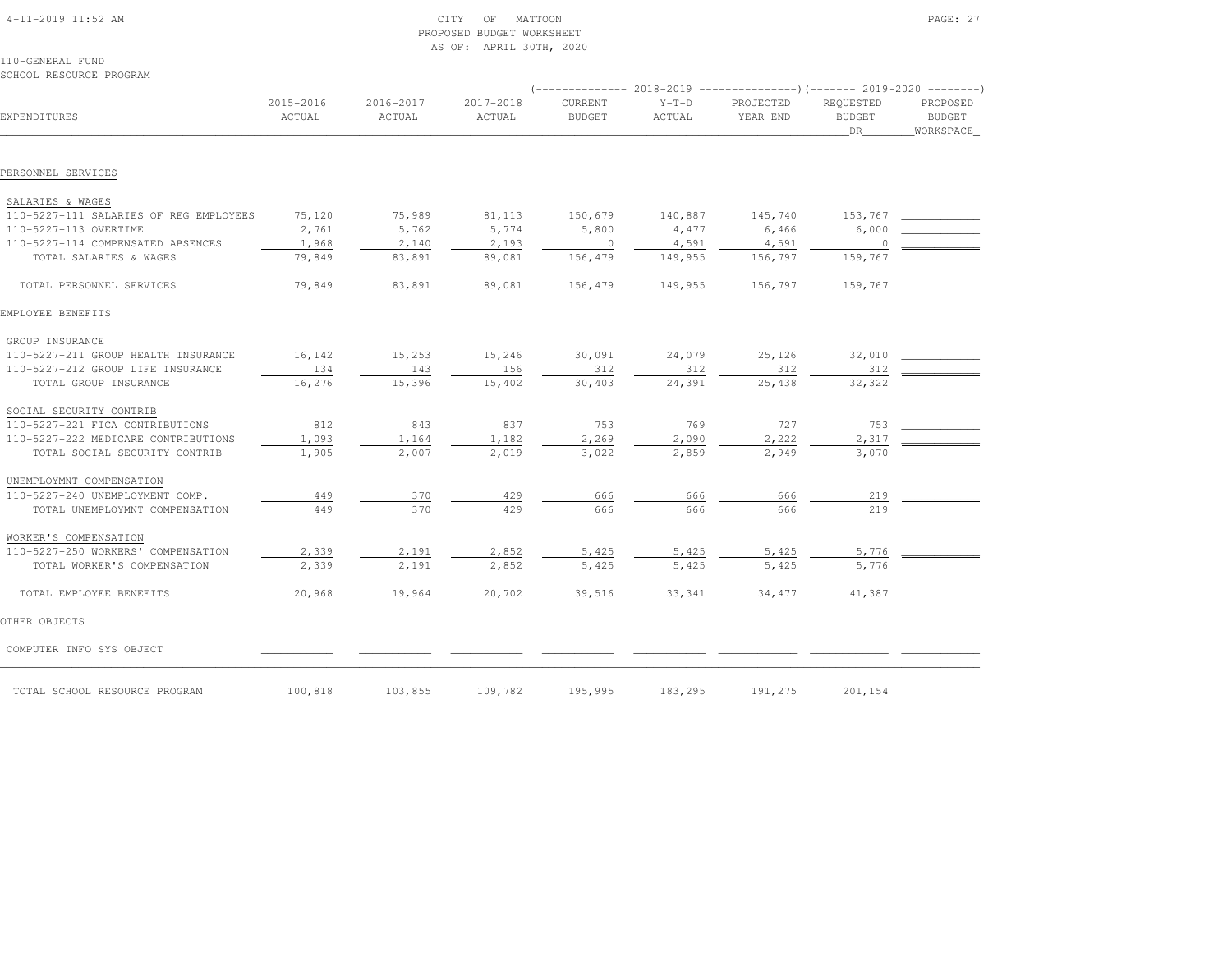| $4-11-2019$ 11:52 AM |  |  |
|----------------------|--|--|

SCHOOL RESOURCE PROGRAM

# $\text{CITY}$  of MATTOON  $\text{PAGE: } 27$  PROPOSED BUDGET WORKSHEETAS OF: APRIL 30TH, 2020

| EXPENDITURES                                               | 2015-2016<br>ACTUAL | 2016-2017<br>ACTUAL | 2017-2018<br>ACTUAL | CURRENT<br><b>BUDGET</b> | $Y-T-D$<br>ACTUAL | PROJECTED<br>YEAR END | REQUESTED<br><b>BUDGET</b><br><b>DR</b> | PROPOSED<br><b>BUDGET</b><br>WORKSPACE |
|------------------------------------------------------------|---------------------|---------------------|---------------------|--------------------------|-------------------|-----------------------|-----------------------------------------|----------------------------------------|
| PERSONNEL SERVICES                                         |                     |                     |                     |                          |                   |                       |                                         |                                        |
|                                                            |                     |                     |                     |                          |                   |                       |                                         |                                        |
| SALARIES & WAGES<br>110-5227-111 SALARIES OF REG EMPLOYEES | 75,120              | 75,989              | 81,113              | 150,679                  | 140,887           | 145,740               | 153,767                                 |                                        |
| 110-5227-113 OVERTIME                                      | 2,761               | 5,762               | 5,774               | 5,800                    | 4,477             | 6,466                 | 6,000                                   |                                        |
| 110-5227-114 COMPENSATED ABSENCES                          | 1,968               | 2,140               | 2,193               | $\circ$                  | 4,591             | 4,591                 | $\cap$                                  |                                        |
| TOTAL SALARIES & WAGES                                     | 79,849              | 83,891              | 89,081              | 156,479                  | 149,955           | 156,797               | 159,767                                 |                                        |
| TOTAL PERSONNEL SERVICES                                   | 79,849              | 83,891              | 89,081              | 156,479                  | 149,955           | 156,797               | 159,767                                 |                                        |
| EMPLOYEE BENEFITS                                          |                     |                     |                     |                          |                   |                       |                                         |                                        |
| GROUP INSURANCE                                            |                     |                     |                     |                          |                   |                       |                                         |                                        |
| 110-5227-211 GROUP HEALTH INSURANCE                        | 16,142              | 15,253              | 15,246              | 30,091                   | 24,079            | 25,126                | 32,010                                  |                                        |
| 110-5227-212 GROUP LIFE INSURANCE                          | 134                 | 143                 | 156                 | 312                      | 312               | 312                   | 312                                     |                                        |
| TOTAL GROUP INSURANCE                                      | 16,276              | 15,396              | 15,402              | 30,403                   | 24,391            | 25,438                | 32,322                                  |                                        |
| SOCIAL SECURITY CONTRIB                                    |                     |                     |                     |                          |                   |                       |                                         |                                        |
| 110-5227-221 FICA CONTRIBUTIONS                            | 812                 | 843                 | 837                 | 753                      | 769               | 727                   | 753                                     |                                        |
| 110-5227-222 MEDICARE CONTRIBUTIONS                        | 1,093               | 1,164               | 1,182               | 2,269                    | 2,090             | 2,222                 | 2,317                                   |                                        |
| TOTAL SOCIAL SECURITY CONTRIB                              | 1,905               | 2,007               | 2,019               | 3,022                    | 2,859             | 2,949                 | 3,070                                   |                                        |
| UNEMPLOYMNT COMPENSATION                                   |                     |                     |                     |                          |                   |                       |                                         |                                        |
| 110-5227-240 UNEMPLOYMENT COMP.                            | 449                 | 370                 | 429                 | 666                      | 666               | 666                   | 219                                     |                                        |
| TOTAL UNEMPLOYMNT COMPENSATION                             | 449                 | 370                 | 429                 | 666                      | 666               | 666                   | 219                                     |                                        |
| WORKER'S COMPENSATION                                      |                     |                     |                     |                          |                   |                       |                                         |                                        |
| 110-5227-250 WORKERS' COMPENSATION                         | 2,339               | 2,191               | 2,852               | 5,425                    | 5,425             | 5,425                 | 5,776                                   |                                        |
| TOTAL WORKER'S COMPENSATION                                | 2,339               | 2,191               | 2,852               | 5,425                    | 5,425             | 5,425                 | 5,776                                   |                                        |
| TOTAL EMPLOYEE BENEFITS                                    | 20,968              | 19,964              | 20,702              | 39,516                   | 33,341            | 34,477                | 41,387                                  |                                        |
| OTHER OBJECTS                                              |                     |                     |                     |                          |                   |                       |                                         |                                        |
| COMPUTER INFO SYS OBJECT                                   |                     |                     |                     |                          |                   |                       |                                         |                                        |
| TOTAL SCHOOL RESOURCE PROGRAM                              | 100,818             | 103,855             | 109,782             | 195,995                  | 183,295           | 191,275               | 201,154                                 |                                        |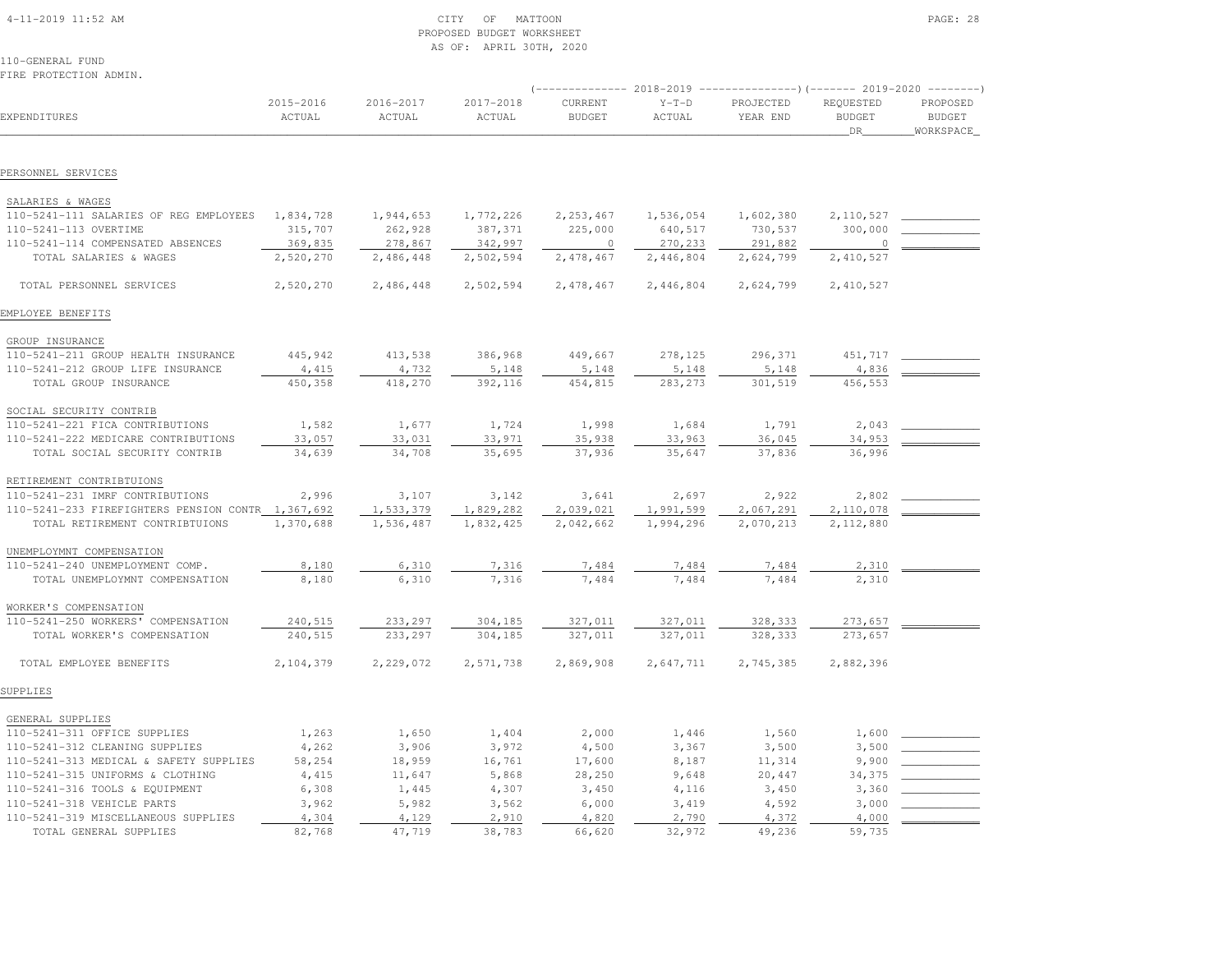| $4-11-2019$ $11:52$ AM |  |
|------------------------|--|
|                        |  |

# 4-11-2019 CITY OF MATTOON CITY OF MATTOON PAGE: 28 PROPOSED BUDGET WORKSHEETAS OF: APRIL 30TH, 2020

110-GENERAL FUNDFIRE PROTECTION ADMIN.

| EXPENDITURES                                      | 2015-2016<br>ACTUAL | 2016-2017<br>ACTUAL | 2017-2018<br>ACTUAL | CURRENT<br><b>BUDGET</b> | $Y-T-D$<br>ACTUAL | PROJECTED<br>YEAR END | REQUESTED<br><b>BUDGET</b><br>DR | PROPOSED<br><b>BUDGET</b><br>WORKSPACE |
|---------------------------------------------------|---------------------|---------------------|---------------------|--------------------------|-------------------|-----------------------|----------------------------------|----------------------------------------|
|                                                   |                     |                     |                     |                          |                   |                       |                                  |                                        |
| PERSONNEL SERVICES                                |                     |                     |                     |                          |                   |                       |                                  |                                        |
| SALARIES & WAGES                                  |                     |                     |                     |                          |                   |                       |                                  |                                        |
| 110-5241-111 SALARIES OF REG EMPLOYEES            | 1,834,728           | 1,944,653           | 1,772,226           | 2,253,467                | 1,536,054         | 1,602,380             | 2,110,527                        |                                        |
| 110-5241-113 OVERTIME                             | 315,707             | 262,928             | 387,371             | 225,000                  | 640,517           | 730,537               | 300,000                          |                                        |
| 110-5241-114 COMPENSATED ABSENCES                 | 369,835             | 278,867             | 342,997             | $\circ$                  | 270,233           | 291,882               |                                  |                                        |
| TOTAL SALARIES & WAGES                            | 2,520,270           | 2,486,448           | 2,502,594           | 2,478,467                | 2,446,804         | 2,624,799             | 2,410,527                        |                                        |
| TOTAL PERSONNEL SERVICES                          | 2,520,270           | 2,486,448           | 2,502,594           | 2,478,467                | 2,446,804         | 2,624,799             | 2,410,527                        |                                        |
| EMPLOYEE BENEFITS                                 |                     |                     |                     |                          |                   |                       |                                  |                                        |
| GROUP INSURANCE                                   |                     |                     |                     |                          |                   |                       |                                  |                                        |
| 110-5241-211 GROUP HEALTH INSURANCE               | 445,942             | 413,538             | 386,968             | 449,667                  | 278,125           | 296,371               | 451,717                          |                                        |
| 110-5241-212 GROUP LIFE INSURANCE                 | 4,415               | 4,732               | 5,148               | 5,148                    | 5,148             | 5,148                 | 4,836                            |                                        |
| TOTAL GROUP INSURANCE                             | 450,358             | 418,270             | 392,116             | 454,815                  | 283, 273          | 301,519               | 456,553                          |                                        |
| SOCIAL SECURITY CONTRIB                           |                     |                     |                     |                          |                   |                       |                                  |                                        |
| 110-5241-221 FICA CONTRIBUTIONS                   | 1,582               | 1,677               | 1,724               | 1,998                    | 1,684             | 1,791                 | 2,043                            |                                        |
| 110-5241-222 MEDICARE CONTRIBUTIONS               | 33,057              | 33,031              | 33,971              | 35,938                   | 33,963            | 36,045                | 34,953                           |                                        |
| TOTAL SOCIAL SECURITY CONTRIB                     | 34,639              | 34,708              | 35,695              | 37,936                   | 35,647            | 37,836                | 36,996                           |                                        |
| RETIREMENT CONTRIBTUIONS                          |                     |                     |                     |                          |                   |                       |                                  |                                        |
| 110-5241-231 IMRF CONTRIBUTIONS                   | 2,996               | 3,107               | 3,142               | 3,641                    | 2,697             | 2,922                 | 2,802                            |                                        |
| 110-5241-233 FIREFIGHTERS PENSION CONTR 1,367,692 |                     | 1,533,379           | 1,829,282           | 2,039,021                | 1,991,599         | 2,067,291             | 2,110,078                        |                                        |
| TOTAL RETIREMENT CONTRIBTUIONS                    | 1,370,688           | 1,536,487           | 1,832,425           | 2,042,662                | 1,994,296         | 2,070,213             | 2,112,880                        |                                        |
| UNEMPLOYMNT COMPENSATION                          |                     |                     |                     |                          |                   |                       |                                  |                                        |
| 110-5241-240 UNEMPLOYMENT COMP.                   | 8,180               | 6,310               | 7,316               | 7,484                    | 7,484             | 7,484                 | 2,310                            |                                        |
| TOTAL UNEMPLOYMNT COMPENSATION                    | 8,180               | 6,310               | 7,316               | 7,484                    | 7,484             | 7,484                 | 2,310                            |                                        |
| WORKER'S COMPENSATION                             |                     |                     |                     |                          |                   |                       |                                  |                                        |
| 110-5241-250 WORKERS' COMPENSATION                | 240,515             | 233,297             | 304,185             | 327,011                  | 327,011           | 328,333               | 273,657                          |                                        |
| TOTAL WORKER'S COMPENSATION                       | 240,515             | 233,297             | 304,185             | 327,011                  | 327,011           | 328,333               | 273,657                          |                                        |
| TOTAL EMPLOYEE BENEFITS                           | 2,104,379           | 2,229,072           | 2,571,738           | 2,869,908                | 2,647,711         | 2,745,385             | 2,882,396                        |                                        |
| SUPPLIES                                          |                     |                     |                     |                          |                   |                       |                                  |                                        |
| GENERAL SUPPLIES                                  |                     |                     |                     |                          |                   |                       |                                  |                                        |
| 110-5241-311 OFFICE SUPPLIES                      | 1,263               | 1,650               | 1,404               | 2,000                    | 1,446             | 1,560                 | 1,600                            |                                        |
| 110-5241-312 CLEANING SUPPLIES                    | 4,262               | 3,906               | 3,972               | 4,500                    | 3,367             | 3,500                 | 3,500                            |                                        |
| 110-5241-313 MEDICAL & SAFETY SUPPLIES            | 58,254              | 18,959              | 16,761              | 17,600                   | 8,187             | 11,314                | 9,900                            |                                        |
| 110-5241-315 UNIFORMS & CLOTHING                  | 4,415               | 11,647              | 5,868               | 28,250                   | 9,648             | 20,447                | 34,375                           |                                        |
| 110-5241-316 TOOLS & EQUIPMENT                    | 6,308               | 1,445               | 4,307               | 3,450                    | 4,116             | 3,450                 | 3,360                            |                                        |
| 110-5241-318 VEHICLE PARTS                        | 3,962               | 5,982               | 3,562               | 6,000                    | 3,419             | 4,592                 | 3,000                            |                                        |
| 110-5241-319 MISCELLANEOUS SUPPLIES               | 4,304               | 4,129               | 2,910               | 4,820                    | 2,790             | 4,372                 | 4,000                            |                                        |
| TOTAL GENERAL SUPPLIES                            | 82,768              | 47,719              | 38,783              | 66,620                   | 32,972            | 49,236                | 59,735                           |                                        |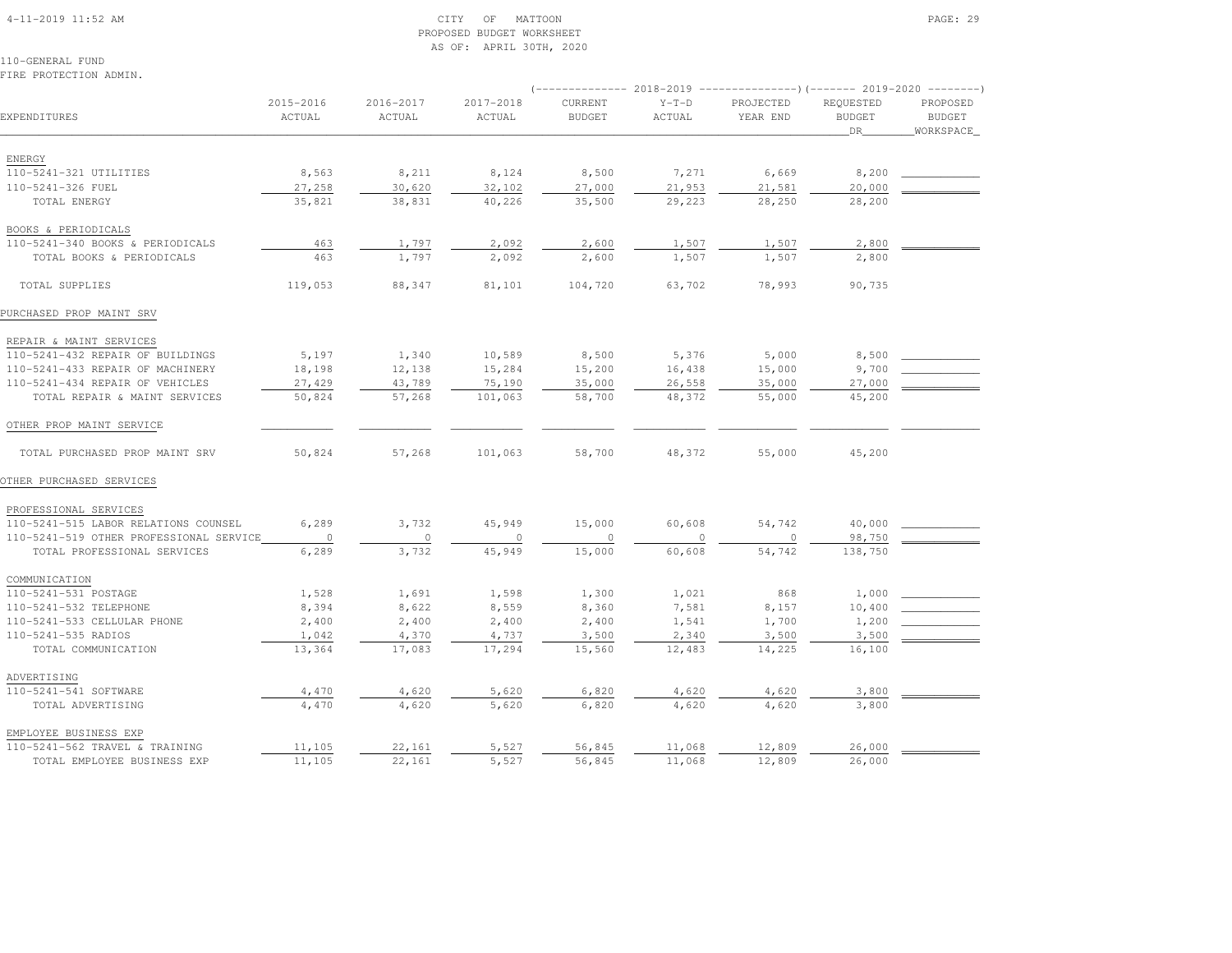#### 4-11-2019 11:52 AM CITY OF MATTOON PAGE: 29 PROPOSED BUDGET WORKSHEETAS OF: APRIL 30TH, 2020

110-GENERAL FUNDFIRE PROTECTION ADMIN.

|                                         |                     |                     |                     |                          |                   | (-------------- 2018-2019 ----------------)(------- 2019-2020 --------) |                                  |                                        |
|-----------------------------------------|---------------------|---------------------|---------------------|--------------------------|-------------------|-------------------------------------------------------------------------|----------------------------------|----------------------------------------|
| EXPENDITURES                            | 2015-2016<br>ACTUAL | 2016-2017<br>ACTUAL | 2017-2018<br>ACTUAL | CURRENT<br><b>BUDGET</b> | $Y-T-D$<br>ACTUAL | PROJECTED<br>YEAR END                                                   | REQUESTED<br><b>BUDGET</b><br>DR | PROPOSED<br><b>BUDGET</b><br>WORKSPACE |
| ENERGY                                  |                     |                     |                     |                          |                   |                                                                         |                                  |                                        |
| 110-5241-321 UTILITIES                  | 8,563               | 8,211               | 8,124               | 8,500                    | 7,271             | 6,669                                                                   | 8,200                            |                                        |
| 110-5241-326 FUEL                       | 27,258              | 30,620              | 32,102              | 27,000                   | 21,953            | 21,581                                                                  | 20,000                           |                                        |
| TOTAL ENERGY                            | 35,821              | 38,831              | 40,226              | 35,500                   | 29,223            | 28,250                                                                  | 28,200                           |                                        |
| BOOKS & PERIODICALS                     |                     |                     |                     |                          |                   |                                                                         |                                  |                                        |
| 110-5241-340 BOOKS & PERIODICALS        | 463                 | 1,797               | 2,092               | 2,600                    | 1,507             | 1,507                                                                   | 2,800                            |                                        |
| TOTAL BOOKS & PERIODICALS               | 463                 | 1,797               | 2,092               | 2,600                    | 1,507             | 1,507                                                                   | 2,800                            |                                        |
| TOTAL SUPPLIES                          | 119,053             | 88,347              | 81,101              | 104,720                  | 63,702            | 78,993                                                                  | 90,735                           |                                        |
| PURCHASED PROP MAINT SRV                |                     |                     |                     |                          |                   |                                                                         |                                  |                                        |
| REPAIR & MAINT SERVICES                 |                     |                     |                     |                          |                   |                                                                         |                                  |                                        |
| 110-5241-432 REPAIR OF BUILDINGS        | 5,197               | 1,340               | 10,589              | 8,500                    | 5,376             | 5,000                                                                   | 8,500                            |                                        |
| 110-5241-433 REPAIR OF MACHINERY        | 18,198              | 12,138              | 15,284              | 15,200                   | 16,438            | 15,000                                                                  | 9,700                            |                                        |
| 110-5241-434 REPAIR OF VEHICLES         | 27,429              | 43,789              | 75,190              | 35,000                   | 26,558            | 35,000                                                                  | 27,000                           |                                        |
| TOTAL REPAIR & MAINT SERVICES           | 50,824              | 57,268              | 101,063             | 58,700                   | 48,372            | 55,000                                                                  | 45,200                           |                                        |
| OTHER PROP MAINT SERVICE                |                     |                     |                     |                          |                   |                                                                         |                                  |                                        |
| TOTAL PURCHASED PROP MAINT SRV          | 50,824              | 57,268              | 101,063             | 58,700                   | 48,372            | 55,000                                                                  | 45,200                           |                                        |
| OTHER PURCHASED SERVICES                |                     |                     |                     |                          |                   |                                                                         |                                  |                                        |
| PROFESSIONAL SERVICES                   |                     |                     |                     |                          |                   |                                                                         |                                  |                                        |
| 110-5241-515 LABOR RELATIONS COUNSEL    | 6,289               | 3,732               | 45,949              | 15,000                   | 60,608            | 54,742                                                                  | 40,000                           |                                        |
| 110-5241-519 OTHER PROFESSIONAL SERVICE | $\circ$             | $\circ$             | $\circ$             | 0                        | $\circ$           | $\circ$                                                                 | 98,750                           |                                        |
| TOTAL PROFESSIONAL SERVICES             | 6,289               | 3,732               | 45,949              | 15,000                   | 60,608            | 54,742                                                                  | 138,750                          |                                        |
| COMMUNICATION                           |                     |                     |                     |                          |                   |                                                                         |                                  |                                        |
| 110-5241-531 POSTAGE                    | 1,528               | 1,691               | 1,598               | 1,300                    | 1,021             | 868                                                                     | 1,000                            |                                        |
| 110-5241-532 TELEPHONE                  | 8,394               | 8,622               | 8,559               | 8,360                    | 7,581             | 8,157                                                                   | 10,400                           |                                        |
| 110-5241-533 CELLULAR PHONE             | 2,400               | 2,400               | 2,400               | 2,400                    | 1,541             | 1,700                                                                   | 1,200                            |                                        |
| 110-5241-535 RADIOS                     | 1,042               | 4,370               | 4,737               | 3,500                    | 2,340             | 3,500                                                                   | 3,500                            |                                        |
| TOTAL COMMUNICATION                     | 13,364              | 17,083              | 17,294              | 15,560                   | 12,483            | 14,225                                                                  | 16,100                           |                                        |
| ADVERTISING                             |                     |                     |                     |                          |                   |                                                                         |                                  |                                        |
| 110-5241-541 SOFTWARE                   | 4,470               | 4,620               | 5,620               | 6,820                    | 4,620             | 4,620                                                                   | 3,800                            |                                        |
| TOTAL ADVERTISING                       | 4,470               | 4,620               | 5,620               | 6,820                    | 4,620             | 4,620                                                                   | 3,800                            |                                        |
| EMPLOYEE BUSINESS EXP                   |                     |                     |                     |                          |                   |                                                                         |                                  |                                        |
| 110-5241-562 TRAVEL & TRAINING          | 11,105              | 22,161              | 5,527               | 56,845                   | 11,068            | 12,809                                                                  | 26,000                           |                                        |
| TOTAL EMPLOYEE BUSINESS EXP             | 11,105              | 22,161              | 5,527               | 56,845                   | 11,068            | 12,809                                                                  | 26,000                           |                                        |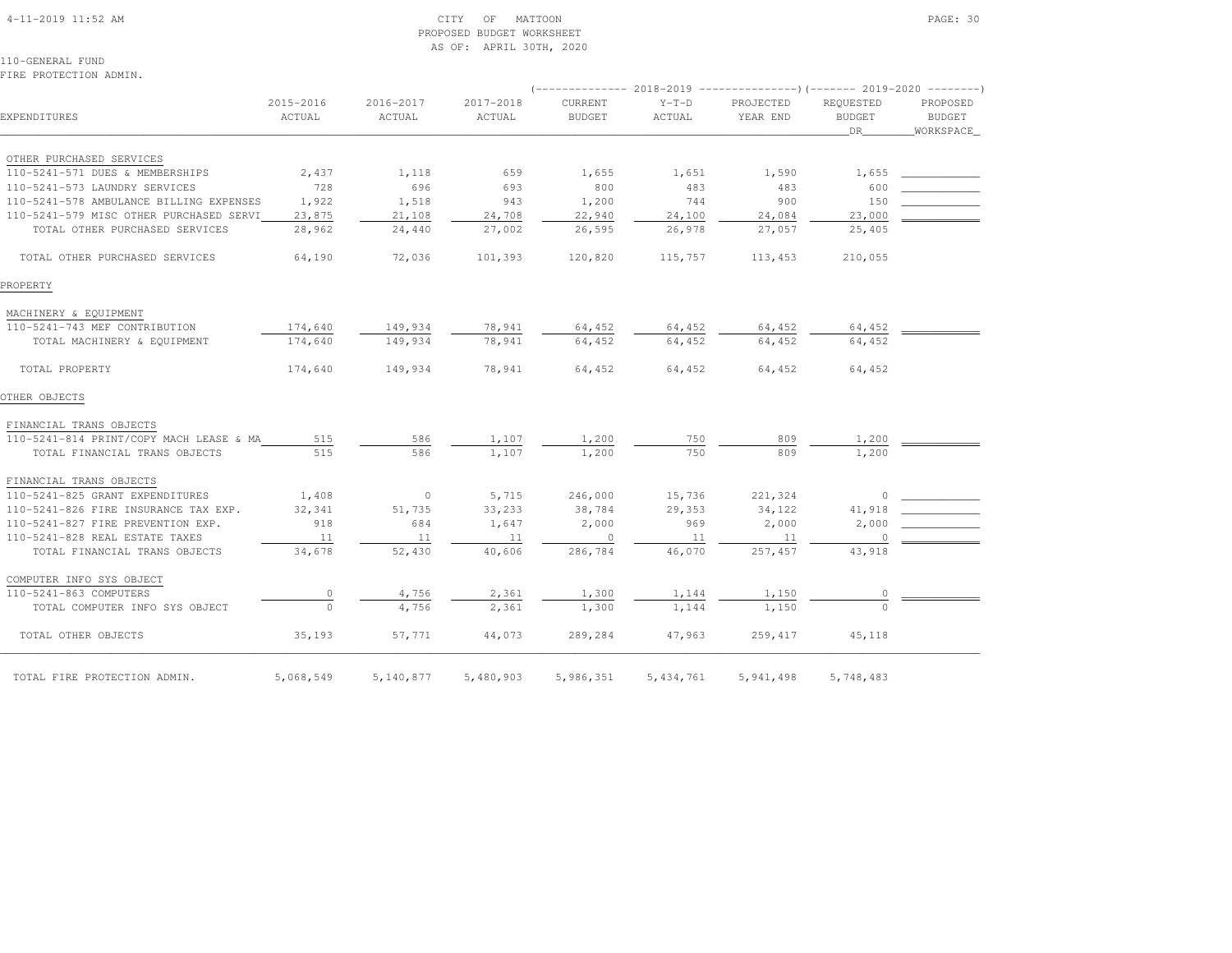#### 4-11-2019 11:52 AM CITY OF MATTOON PAGE: 30 PROPOSED BUDGET WORKSHEETAS OF: APRIL 30TH, 2020

110-GENERAL FUNDFIRE PROTECTION ADMIN.

| 2015-2016<br>2016-2017<br>2017-2018<br>CURRENT<br>$Y-T-D$<br>PROJECTED<br>REQUESTED<br>ACTUAL<br>ACTUAL<br><b>BUDGET</b><br>ACTUAL<br>YEAR END<br><b>BUDGET</b><br>ACTUAL<br>DR 1<br>OTHER PURCHASED SERVICES<br>110-5241-571 DUES & MEMBERSHIPS<br>2,437<br>1,118<br>659<br>1,655<br>1,651<br>1,655<br>1,590<br>728<br>600<br>110-5241-573 LAUNDRY SERVICES<br>696<br>693<br>800<br>483<br>483<br>1,922<br>110-5241-578 AMBULANCE BILLING EXPENSES<br>1,518<br>943<br>1,200<br>744<br>900<br>150<br>110-5241-579 MISC OTHER PURCHASED SERVI<br>23,000<br>23,875<br>22,940<br>24,100<br>21,108<br>24,708<br>24,084<br>25,405<br>TOTAL OTHER PURCHASED SERVICES<br>28,962<br>27,002<br>26,595<br>26,978<br>27,057<br>24,440<br>64,190<br>72,036<br>101,393<br>120,820<br>115,757<br>113,453<br>210,055<br>TOTAL OTHER PURCHASED SERVICES<br>MACHINERY & EQUIPMENT<br>110-5241-743 MEF CONTRIBUTION<br>174,640<br>149,934<br>78,941<br>64,452<br>64,452<br>64,452<br>64,452<br>149,934<br>64,452<br>64,452<br>174,640<br>78,941<br>64,452<br>64,452<br>TOTAL MACHINERY & EQUIPMENT<br>78,941<br>64,452<br>174,640<br>149,934<br>64,452<br>64,452<br>64,452<br>TOTAL PROPERTY<br>FINANCIAL TRANS OBJECTS<br>515<br>586<br>1,107<br>1,200<br>750<br>809<br>1,200<br>110-5241-814 PRINT/COPY MACH LEASE & MA<br>586<br>515<br>1,107<br>1,200<br>750<br>809<br>1,200<br>TOTAL FINANCIAL TRANS OBJECTS<br>FINANCIAL TRANS OBJECTS<br>1,408<br>$\sim$ 0<br>5,715<br>246,000<br>15,736<br>221,324<br>110-5241-825 GRANT EXPENDITURES<br>$\circ$<br>41,918<br>110-5241-826 FIRE INSURANCE TAX EXP.<br>32,341<br>51,735<br>33,233<br>38,784<br>29,353<br>34,122<br>110-5241-827 FIRE PREVENTION EXP.<br>918<br>969<br>2,000<br>684<br>1,647<br>2,000<br>2,000<br>110-5241-828 REAL ESTATE TAXES<br>11<br>11<br>11<br>$\sim$ 0<br>11<br>11<br>$\circ$<br>TOTAL FINANCIAL TRANS OBJECTS<br>52,430<br>286,784<br>43,918<br>34,678<br>40,606<br>46,070<br>257,457<br>COMPUTER INFO SYS OBJECT<br>110-5241-863 COMPUTERS<br>2,361<br>1,144<br>1,150<br>4,756<br>1,300<br>$\circ$<br>0<br>TOTAL COMPUTER INFO SYS OBJECT<br>2,361<br>1,300<br>1,144<br>1,150<br>4,756 |                     |        |        |        |         |        |         |        |             |
|------------------------------------------------------------------------------------------------------------------------------------------------------------------------------------------------------------------------------------------------------------------------------------------------------------------------------------------------------------------------------------------------------------------------------------------------------------------------------------------------------------------------------------------------------------------------------------------------------------------------------------------------------------------------------------------------------------------------------------------------------------------------------------------------------------------------------------------------------------------------------------------------------------------------------------------------------------------------------------------------------------------------------------------------------------------------------------------------------------------------------------------------------------------------------------------------------------------------------------------------------------------------------------------------------------------------------------------------------------------------------------------------------------------------------------------------------------------------------------------------------------------------------------------------------------------------------------------------------------------------------------------------------------------------------------------------------------------------------------------------------------------------------------------------------------------------------------------------------------------------------------------------------------------------------------------------------------------------------------------------------------------------------------------------------------------------------------------------------------------------------------------------------|---------------------|--------|--------|--------|---------|--------|---------|--------|-------------|
|                                                                                                                                                                                                                                                                                                                                                                                                                                                                                                                                                                                                                                                                                                                                                                                                                                                                                                                                                                                                                                                                                                                                                                                                                                                                                                                                                                                                                                                                                                                                                                                                                                                                                                                                                                                                                                                                                                                                                                                                                                                                                                                                                      |                     |        |        |        |         |        |         |        | PROPOSED    |
|                                                                                                                                                                                                                                                                                                                                                                                                                                                                                                                                                                                                                                                                                                                                                                                                                                                                                                                                                                                                                                                                                                                                                                                                                                                                                                                                                                                                                                                                                                                                                                                                                                                                                                                                                                                                                                                                                                                                                                                                                                                                                                                                                      | EXPENDITURES        |        |        |        |         |        |         |        | BUDGET      |
|                                                                                                                                                                                                                                                                                                                                                                                                                                                                                                                                                                                                                                                                                                                                                                                                                                                                                                                                                                                                                                                                                                                                                                                                                                                                                                                                                                                                                                                                                                                                                                                                                                                                                                                                                                                                                                                                                                                                                                                                                                                                                                                                                      |                     |        |        |        |         |        |         |        | _WORKSPACE_ |
|                                                                                                                                                                                                                                                                                                                                                                                                                                                                                                                                                                                                                                                                                                                                                                                                                                                                                                                                                                                                                                                                                                                                                                                                                                                                                                                                                                                                                                                                                                                                                                                                                                                                                                                                                                                                                                                                                                                                                                                                                                                                                                                                                      |                     |        |        |        |         |        |         |        |             |
|                                                                                                                                                                                                                                                                                                                                                                                                                                                                                                                                                                                                                                                                                                                                                                                                                                                                                                                                                                                                                                                                                                                                                                                                                                                                                                                                                                                                                                                                                                                                                                                                                                                                                                                                                                                                                                                                                                                                                                                                                                                                                                                                                      |                     |        |        |        |         |        |         |        |             |
|                                                                                                                                                                                                                                                                                                                                                                                                                                                                                                                                                                                                                                                                                                                                                                                                                                                                                                                                                                                                                                                                                                                                                                                                                                                                                                                                                                                                                                                                                                                                                                                                                                                                                                                                                                                                                                                                                                                                                                                                                                                                                                                                                      |                     |        |        |        |         |        |         |        |             |
|                                                                                                                                                                                                                                                                                                                                                                                                                                                                                                                                                                                                                                                                                                                                                                                                                                                                                                                                                                                                                                                                                                                                                                                                                                                                                                                                                                                                                                                                                                                                                                                                                                                                                                                                                                                                                                                                                                                                                                                                                                                                                                                                                      |                     |        |        |        |         |        |         |        |             |
|                                                                                                                                                                                                                                                                                                                                                                                                                                                                                                                                                                                                                                                                                                                                                                                                                                                                                                                                                                                                                                                                                                                                                                                                                                                                                                                                                                                                                                                                                                                                                                                                                                                                                                                                                                                                                                                                                                                                                                                                                                                                                                                                                      |                     |        |        |        |         |        |         |        |             |
|                                                                                                                                                                                                                                                                                                                                                                                                                                                                                                                                                                                                                                                                                                                                                                                                                                                                                                                                                                                                                                                                                                                                                                                                                                                                                                                                                                                                                                                                                                                                                                                                                                                                                                                                                                                                                                                                                                                                                                                                                                                                                                                                                      |                     |        |        |        |         |        |         |        |             |
|                                                                                                                                                                                                                                                                                                                                                                                                                                                                                                                                                                                                                                                                                                                                                                                                                                                                                                                                                                                                                                                                                                                                                                                                                                                                                                                                                                                                                                                                                                                                                                                                                                                                                                                                                                                                                                                                                                                                                                                                                                                                                                                                                      |                     |        |        |        |         |        |         |        |             |
| PROPERTY                                                                                                                                                                                                                                                                                                                                                                                                                                                                                                                                                                                                                                                                                                                                                                                                                                                                                                                                                                                                                                                                                                                                                                                                                                                                                                                                                                                                                                                                                                                                                                                                                                                                                                                                                                                                                                                                                                                                                                                                                                                                                                                                             |                     |        |        |        |         |        |         |        |             |
|                                                                                                                                                                                                                                                                                                                                                                                                                                                                                                                                                                                                                                                                                                                                                                                                                                                                                                                                                                                                                                                                                                                                                                                                                                                                                                                                                                                                                                                                                                                                                                                                                                                                                                                                                                                                                                                                                                                                                                                                                                                                                                                                                      |                     |        |        |        |         |        |         |        |             |
|                                                                                                                                                                                                                                                                                                                                                                                                                                                                                                                                                                                                                                                                                                                                                                                                                                                                                                                                                                                                                                                                                                                                                                                                                                                                                                                                                                                                                                                                                                                                                                                                                                                                                                                                                                                                                                                                                                                                                                                                                                                                                                                                                      |                     |        |        |        |         |        |         |        |             |
|                                                                                                                                                                                                                                                                                                                                                                                                                                                                                                                                                                                                                                                                                                                                                                                                                                                                                                                                                                                                                                                                                                                                                                                                                                                                                                                                                                                                                                                                                                                                                                                                                                                                                                                                                                                                                                                                                                                                                                                                                                                                                                                                                      |                     |        |        |        |         |        |         |        |             |
|                                                                                                                                                                                                                                                                                                                                                                                                                                                                                                                                                                                                                                                                                                                                                                                                                                                                                                                                                                                                                                                                                                                                                                                                                                                                                                                                                                                                                                                                                                                                                                                                                                                                                                                                                                                                                                                                                                                                                                                                                                                                                                                                                      |                     |        |        |        |         |        |         |        |             |
| OTHER OBJECTS                                                                                                                                                                                                                                                                                                                                                                                                                                                                                                                                                                                                                                                                                                                                                                                                                                                                                                                                                                                                                                                                                                                                                                                                                                                                                                                                                                                                                                                                                                                                                                                                                                                                                                                                                                                                                                                                                                                                                                                                                                                                                                                                        |                     |        |        |        |         |        |         |        |             |
|                                                                                                                                                                                                                                                                                                                                                                                                                                                                                                                                                                                                                                                                                                                                                                                                                                                                                                                                                                                                                                                                                                                                                                                                                                                                                                                                                                                                                                                                                                                                                                                                                                                                                                                                                                                                                                                                                                                                                                                                                                                                                                                                                      |                     |        |        |        |         |        |         |        |             |
|                                                                                                                                                                                                                                                                                                                                                                                                                                                                                                                                                                                                                                                                                                                                                                                                                                                                                                                                                                                                                                                                                                                                                                                                                                                                                                                                                                                                                                                                                                                                                                                                                                                                                                                                                                                                                                                                                                                                                                                                                                                                                                                                                      |                     |        |        |        |         |        |         |        |             |
|                                                                                                                                                                                                                                                                                                                                                                                                                                                                                                                                                                                                                                                                                                                                                                                                                                                                                                                                                                                                                                                                                                                                                                                                                                                                                                                                                                                                                                                                                                                                                                                                                                                                                                                                                                                                                                                                                                                                                                                                                                                                                                                                                      |                     |        |        |        |         |        |         |        |             |
|                                                                                                                                                                                                                                                                                                                                                                                                                                                                                                                                                                                                                                                                                                                                                                                                                                                                                                                                                                                                                                                                                                                                                                                                                                                                                                                                                                                                                                                                                                                                                                                                                                                                                                                                                                                                                                                                                                                                                                                                                                                                                                                                                      |                     |        |        |        |         |        |         |        |             |
|                                                                                                                                                                                                                                                                                                                                                                                                                                                                                                                                                                                                                                                                                                                                                                                                                                                                                                                                                                                                                                                                                                                                                                                                                                                                                                                                                                                                                                                                                                                                                                                                                                                                                                                                                                                                                                                                                                                                                                                                                                                                                                                                                      |                     |        |        |        |         |        |         |        |             |
|                                                                                                                                                                                                                                                                                                                                                                                                                                                                                                                                                                                                                                                                                                                                                                                                                                                                                                                                                                                                                                                                                                                                                                                                                                                                                                                                                                                                                                                                                                                                                                                                                                                                                                                                                                                                                                                                                                                                                                                                                                                                                                                                                      |                     |        |        |        |         |        |         |        |             |
|                                                                                                                                                                                                                                                                                                                                                                                                                                                                                                                                                                                                                                                                                                                                                                                                                                                                                                                                                                                                                                                                                                                                                                                                                                                                                                                                                                                                                                                                                                                                                                                                                                                                                                                                                                                                                                                                                                                                                                                                                                                                                                                                                      |                     |        |        |        |         |        |         |        |             |
|                                                                                                                                                                                                                                                                                                                                                                                                                                                                                                                                                                                                                                                                                                                                                                                                                                                                                                                                                                                                                                                                                                                                                                                                                                                                                                                                                                                                                                                                                                                                                                                                                                                                                                                                                                                                                                                                                                                                                                                                                                                                                                                                                      |                     |        |        |        |         |        |         |        |             |
|                                                                                                                                                                                                                                                                                                                                                                                                                                                                                                                                                                                                                                                                                                                                                                                                                                                                                                                                                                                                                                                                                                                                                                                                                                                                                                                                                                                                                                                                                                                                                                                                                                                                                                                                                                                                                                                                                                                                                                                                                                                                                                                                                      |                     |        |        |        |         |        |         |        |             |
|                                                                                                                                                                                                                                                                                                                                                                                                                                                                                                                                                                                                                                                                                                                                                                                                                                                                                                                                                                                                                                                                                                                                                                                                                                                                                                                                                                                                                                                                                                                                                                                                                                                                                                                                                                                                                                                                                                                                                                                                                                                                                                                                                      |                     |        |        |        |         |        |         |        |             |
|                                                                                                                                                                                                                                                                                                                                                                                                                                                                                                                                                                                                                                                                                                                                                                                                                                                                                                                                                                                                                                                                                                                                                                                                                                                                                                                                                                                                                                                                                                                                                                                                                                                                                                                                                                                                                                                                                                                                                                                                                                                                                                                                                      |                     |        |        |        |         |        |         |        |             |
|                                                                                                                                                                                                                                                                                                                                                                                                                                                                                                                                                                                                                                                                                                                                                                                                                                                                                                                                                                                                                                                                                                                                                                                                                                                                                                                                                                                                                                                                                                                                                                                                                                                                                                                                                                                                                                                                                                                                                                                                                                                                                                                                                      |                     |        |        |        |         |        |         |        |             |
|                                                                                                                                                                                                                                                                                                                                                                                                                                                                                                                                                                                                                                                                                                                                                                                                                                                                                                                                                                                                                                                                                                                                                                                                                                                                                                                                                                                                                                                                                                                                                                                                                                                                                                                                                                                                                                                                                                                                                                                                                                                                                                                                                      |                     |        |        |        |         |        |         |        |             |
|                                                                                                                                                                                                                                                                                                                                                                                                                                                                                                                                                                                                                                                                                                                                                                                                                                                                                                                                                                                                                                                                                                                                                                                                                                                                                                                                                                                                                                                                                                                                                                                                                                                                                                                                                                                                                                                                                                                                                                                                                                                                                                                                                      | TOTAL OTHER OBJECTS | 35,193 | 57,771 | 44,073 | 289,284 | 47,963 | 259,417 | 45,118 |             |
| 5,068,549<br>5, 140, 877<br>5,480,903<br>5,986,351<br>5, 434, 761<br>5,941,498<br>5,748,483<br>TOTAL FIRE PROTECTION ADMIN.                                                                                                                                                                                                                                                                                                                                                                                                                                                                                                                                                                                                                                                                                                                                                                                                                                                                                                                                                                                                                                                                                                                                                                                                                                                                                                                                                                                                                                                                                                                                                                                                                                                                                                                                                                                                                                                                                                                                                                                                                          |                     |        |        |        |         |        |         |        |             |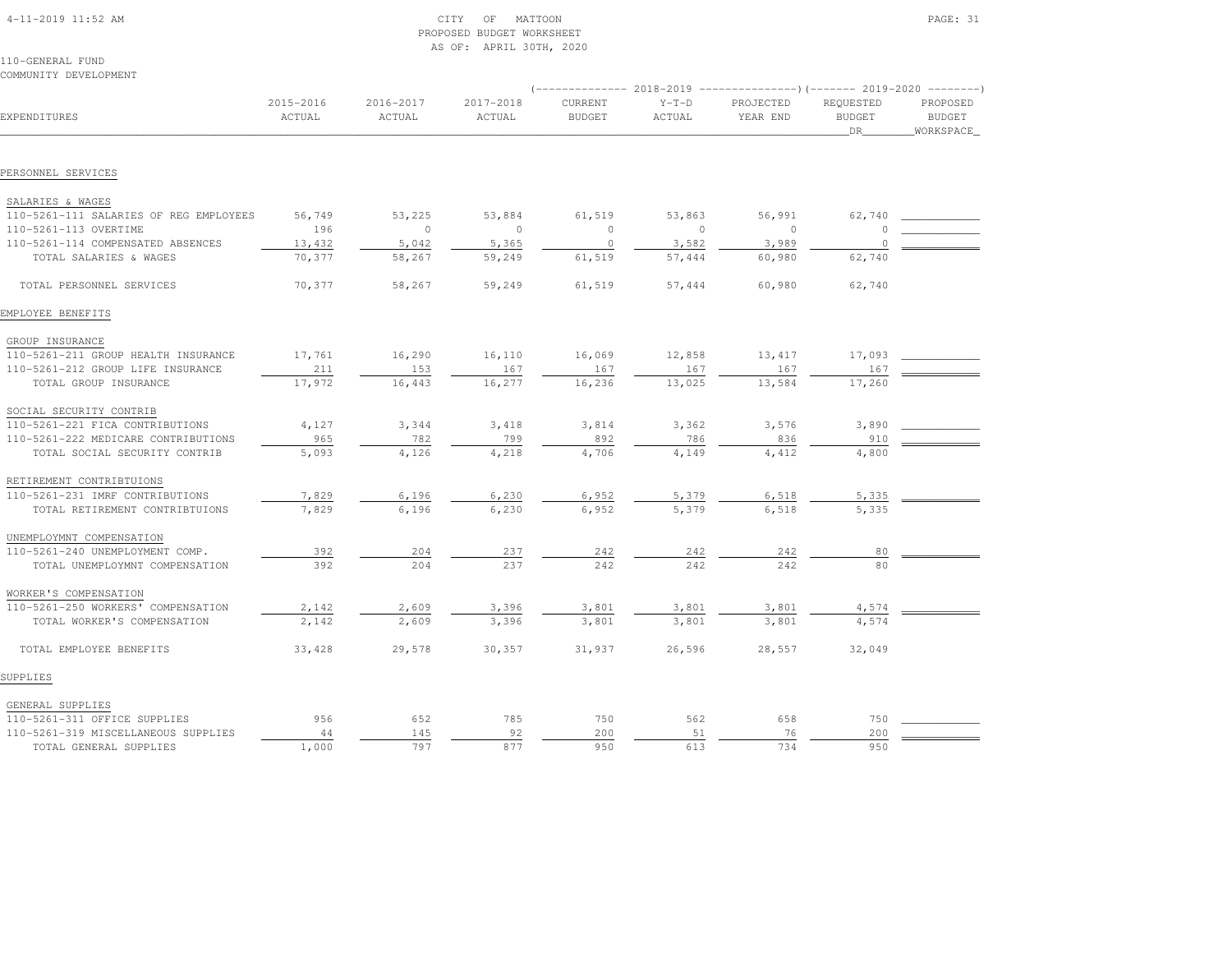| 4-11-2019 11:52 AM |  |
|--------------------|--|

# $\text{CITY}$  of MATTOON PAGE: 31 PROPOSED BUDGET WORKSHEETAS OF: APRIL 30TH, 2020

110-GENERAL FUNDCOMMUNITY DEVELOPMENT

|                                        | 2018-2019<br>----------------) (------- 2019-2020 ---------)<br>----------- |                     |                     |                          |                   |                       |                            |                           |  |  |
|----------------------------------------|-----------------------------------------------------------------------------|---------------------|---------------------|--------------------------|-------------------|-----------------------|----------------------------|---------------------------|--|--|
| EXPENDITURES                           | 2015-2016<br>ACTUAL                                                         | 2016-2017<br>ACTUAL | 2017-2018<br>ACTUAL | CURRENT<br><b>BUDGET</b> | $Y-T-D$<br>ACTUAL | PROJECTED<br>YEAR END | REQUESTED<br><b>BUDGET</b> | PROPOSED<br><b>BUDGET</b> |  |  |
|                                        |                                                                             |                     |                     |                          |                   |                       | DR                         | WORKSPACE_                |  |  |
|                                        |                                                                             |                     |                     |                          |                   |                       |                            |                           |  |  |
| PERSONNEL SERVICES                     |                                                                             |                     |                     |                          |                   |                       |                            |                           |  |  |
| SALARIES & WAGES                       |                                                                             |                     |                     |                          |                   |                       |                            |                           |  |  |
| 110-5261-111 SALARIES OF REG EMPLOYEES | 56,749                                                                      | 53,225              | 53,884              | 61,519                   | 53,863            | 56,991                | 62,740                     |                           |  |  |
| 110-5261-113 OVERTIME                  | 196                                                                         | $\circ$             | $\circ$             | $\circ$                  | $\circ$           | $\overline{0}$        | 0                          |                           |  |  |
| 110-5261-114 COMPENSATED ABSENCES      | 13,432                                                                      | 5,042               | 5,365               | $\circ$                  | 3,582             | 3,989                 | $\Omega$                   |                           |  |  |
| TOTAL SALARIES & WAGES                 | 70,377                                                                      | 58,267              | 59,249              | 61,519                   | 57,444            | 60,980                | 62,740                     |                           |  |  |
| TOTAL PERSONNEL SERVICES               | 70,377                                                                      | 58,267              | 59,249              | 61,519                   | 57,444            | 60,980                | 62,740                     |                           |  |  |
| EMPLOYEE BENEFITS                      |                                                                             |                     |                     |                          |                   |                       |                            |                           |  |  |
| GROUP INSURANCE                        |                                                                             |                     |                     |                          |                   |                       |                            |                           |  |  |
| 110-5261-211 GROUP HEALTH INSURANCE    | 17,761                                                                      | 16,290              | 16,110              | 16,069                   | 12,858            | 13,417                | 17,093                     |                           |  |  |
| 110-5261-212 GROUP LIFE INSURANCE      | 211                                                                         | 153                 | 167                 | 167                      | 167               | 167                   | 167                        |                           |  |  |
| TOTAL GROUP INSURANCE                  | 17,972                                                                      | 16,443              | 16,277              | 16,236                   | 13,025            | 13,584                | 17,260                     |                           |  |  |
| SOCIAL SECURITY CONTRIB                |                                                                             |                     |                     |                          |                   |                       |                            |                           |  |  |
| 110-5261-221 FICA CONTRIBUTIONS        | 4,127                                                                       | 3,344               | 3,418               | 3,814                    | 3,362             | 3,576                 | 3,890                      |                           |  |  |
| 110-5261-222 MEDICARE CONTRIBUTIONS    | 965                                                                         | 782                 | 799                 | 892                      | 786               | 836                   | 910                        |                           |  |  |
| TOTAL SOCIAL SECURITY CONTRIB          | 5,093                                                                       | 4,126               | 4,218               | 4,706                    | 4,149             | 4,412                 | 4,800                      |                           |  |  |
| RETIREMENT CONTRIBTUIONS               |                                                                             |                     |                     |                          |                   |                       |                            |                           |  |  |
| 110-5261-231 IMRF CONTRIBUTIONS        | 7,829                                                                       | 6,196               | 6,230               | 6,952                    | 5,379             | 6,518                 | 5,335                      |                           |  |  |
| TOTAL RETIREMENT CONTRIBTUIONS         | 7,829                                                                       | 6,196               | 6,230               | 6,952                    | 5,379             | 6,518                 | 5,335                      |                           |  |  |
| UNEMPLOYMNT COMPENSATION               |                                                                             |                     |                     |                          |                   |                       |                            |                           |  |  |
| 110-5261-240 UNEMPLOYMENT COMP.        | 392                                                                         | 204                 | 237                 | 242                      | 242               | 242                   | 80                         |                           |  |  |
| TOTAL UNEMPLOYMNT COMPENSATION         | 392                                                                         | 204                 | 237                 | 242                      | 242               | 242                   | 80                         |                           |  |  |
| WORKER'S COMPENSATION                  |                                                                             |                     |                     |                          |                   |                       |                            |                           |  |  |
| 110-5261-250 WORKERS' COMPENSATION     | 2,142                                                                       | 2,609               | 3,396               | 3,801                    | 3,801             | 3,801                 | 4,574                      |                           |  |  |
| TOTAL WORKER'S COMPENSATION            | 2,142                                                                       | 2,609               | 3,396               | 3,801                    | 3,801             | 3,801                 | 4,574                      |                           |  |  |
| TOTAL EMPLOYEE BENEFITS                | 33,428                                                                      | 29,578              | 30,357              | 31,937                   | 26,596            | 28,557                | 32,049                     |                           |  |  |
| SUPPLIES                               |                                                                             |                     |                     |                          |                   |                       |                            |                           |  |  |
| GENERAL SUPPLIES                       |                                                                             |                     |                     |                          |                   |                       |                            |                           |  |  |
| 110-5261-311 OFFICE SUPPLIES           | 956                                                                         | 652                 | 785                 | 750                      | 562               | 658                   | 750                        |                           |  |  |
| 110-5261-319 MISCELLANEOUS SUPPLIES    | 44                                                                          | 145                 | 92                  | 200                      | 51                | 76                    | 200                        |                           |  |  |
| TOTAL GENERAL SUPPLIES                 | 1,000                                                                       | 797                 | 877                 | 950                      | 613               | 734                   | 950                        |                           |  |  |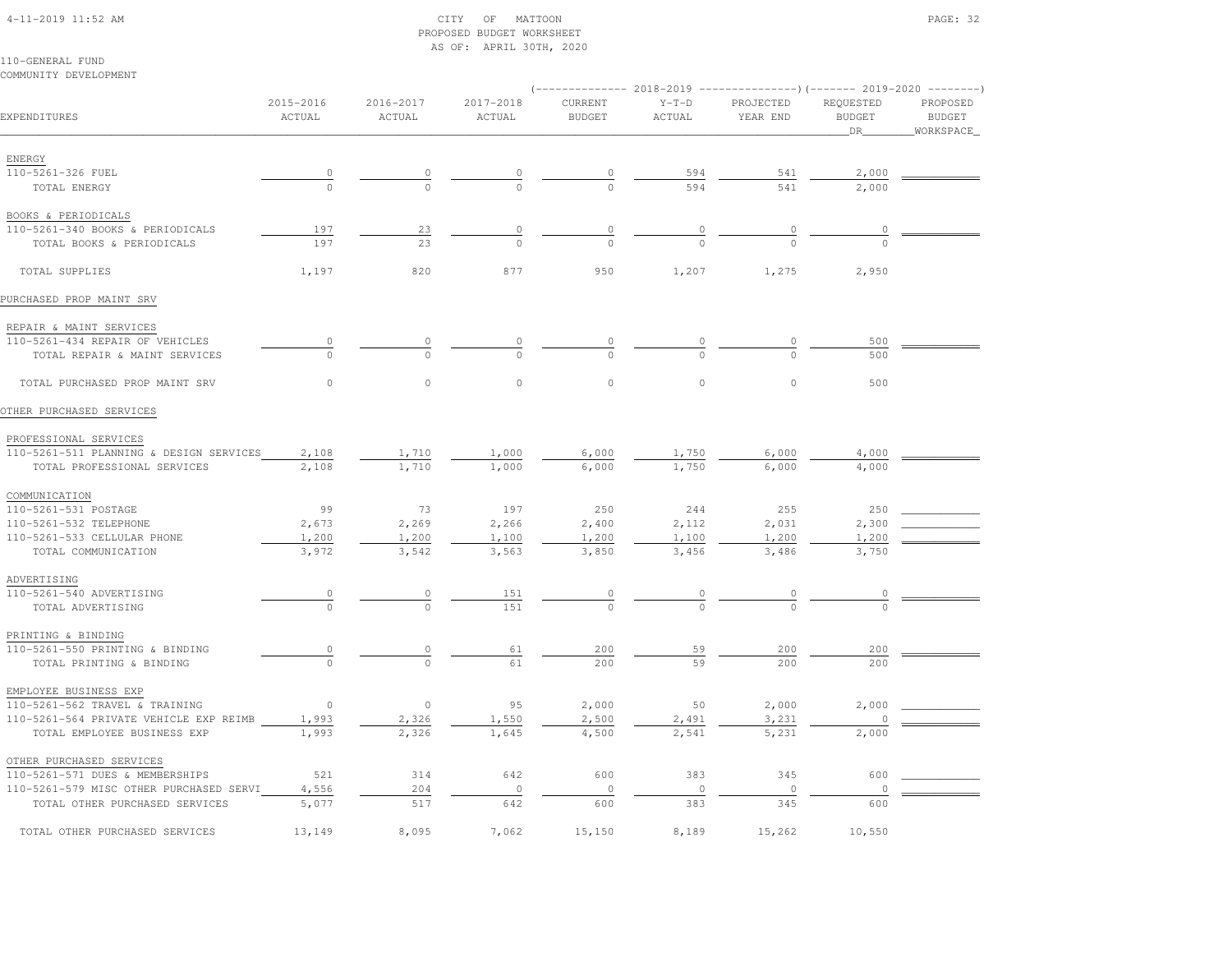# 4-11-2019 11:52 AM CITY OF MATTOON PAGE: 32 PROPOSED BUDGET WORKSHEETAS OF: APRIL 30TH, 2020

| COMMUNITY DEVELOPMENT                                       |                        |                     |                     |                          |                   | (-------------- 2018-2019 ----------------) (------- 2019-2020 --------) |                                    |                                        |
|-------------------------------------------------------------|------------------------|---------------------|---------------------|--------------------------|-------------------|--------------------------------------------------------------------------|------------------------------------|----------------------------------------|
| EXPENDITURES                                                | 2015-2016<br>ACTUAL    | 2016-2017<br>ACTUAL | 2017-2018<br>ACTUAL | CURRENT<br><b>BUDGET</b> | $Y-T-D$<br>ACTUAL | PROJECTED<br>YEAR END                                                    | REQUESTED<br><b>BUDGET</b><br>_DR_ | PROPOSED<br><b>BUDGET</b><br>WORKSPACE |
| ENERGY                                                      |                        |                     |                     |                          |                   |                                                                          |                                    |                                        |
| 110-5261-326 FUEL                                           |                        | $\overline{0}$      | $\overline{\circ}$  | $\overline{0}$           | 594               | 541                                                                      | 2,000                              |                                        |
| TOTAL ENERGY                                                | $\frac{0}{0}$          | $\Omega$            |                     | $\Omega$                 | 594               | 541                                                                      | 2,000                              |                                        |
| BOOKS & PERIODICALS                                         |                        |                     |                     |                          |                   |                                                                          |                                    |                                        |
| 110-5261-340 BOOKS & PERIODICALS                            | 197                    | 23                  | $\overline{0}$      | $\overline{0}$           | $\frac{0}{0}$     | $\overline{0}$                                                           |                                    |                                        |
| TOTAL BOOKS & PERIODICALS                                   | 197                    | 23                  | $\cap$              | $\Omega$                 |                   |                                                                          |                                    |                                        |
| TOTAL SUPPLIES                                              | 1,197                  | 820                 | 877                 | 950                      | 1,207             | 1,275                                                                    | 2,950                              |                                        |
| PURCHASED PROP MAINT SRV                                    |                        |                     |                     |                          |                   |                                                                          |                                    |                                        |
| REPAIR & MAINT SERVICES                                     |                        |                     |                     |                          |                   |                                                                          |                                    |                                        |
| 110-5261-434 REPAIR OF VEHICLES                             |                        |                     |                     |                          |                   |                                                                          | 500                                |                                        |
| TOTAL REPAIR & MAINT SERVICES                               | $\Omega$               | $\Omega$            | $\Omega$            | $\Omega$                 |                   | $\cap$                                                                   | 500                                |                                        |
| TOTAL PURCHASED PROP MAINT SRV                              | $\circ$                | $\circ$             | $\mathbb O$         | $\mathbb O$              | $\mathbb O$       | $\circ$                                                                  | 500                                |                                        |
| OTHER PURCHASED SERVICES                                    |                        |                     |                     |                          |                   |                                                                          |                                    |                                        |
| PROFESSIONAL SERVICES                                       |                        |                     |                     |                          |                   |                                                                          |                                    |                                        |
| 110-5261-511 PLANNING & DESIGN SERVICES                     | 2,108                  | 1,710               | 1,000               | 6,000                    | 1,750             | 6,000                                                                    | 4,000                              |                                        |
| TOTAL PROFESSIONAL SERVICES                                 | 2,108                  | 1,710               | 1,000               | 6,000                    | 1,750             | 6,000                                                                    | 4,000                              |                                        |
| COMMUNICATION                                               |                        |                     |                     |                          |                   |                                                                          |                                    |                                        |
| 110-5261-531 POSTAGE                                        | 99                     | 73                  | 197                 | 250                      | 244               | 255                                                                      | 250                                |                                        |
| 110-5261-532 TELEPHONE                                      | 2,673                  | 2,269               | 2,266               | 2,400                    | 2,112             | 2,031                                                                    | 2,300                              |                                        |
| 110-5261-533 CELLULAR PHONE                                 | 1,200                  | 1,200               | 1,100               | 1,200                    | 1,100             | 1,200                                                                    | 1,200                              |                                        |
| TOTAL COMMUNICATION                                         | 3,972                  | 3,542               | 3,563               | 3,850                    | 3,456             | 3,486                                                                    | 3,750                              |                                        |
| ADVERTISING                                                 |                        |                     |                     |                          |                   |                                                                          |                                    |                                        |
| 110-5261-540 ADVERTISING                                    | $\overline{0}$         | 0                   | 151                 | 0                        |                   |                                                                          | $\circ$                            |                                        |
| TOTAL ADVERTISING                                           |                        | $\Omega$            | 151                 |                          |                   |                                                                          |                                    |                                        |
| PRINTING & BINDING                                          |                        |                     |                     |                          |                   |                                                                          |                                    |                                        |
| 110-5261-550 PRINTING & BINDING<br>TOTAL PRINTING & BINDING | $\circ$<br>$\mathbf 0$ | 0<br>$\circ$        | 61<br>61            | 200<br>200               | 59<br>59          | 200<br>200                                                               | 200<br>200                         |                                        |
| EMPLOYEE BUSINESS EXP                                       |                        |                     |                     |                          |                   |                                                                          |                                    |                                        |
| 110-5261-562 TRAVEL & TRAINING                              | $\Omega$               | $\circ$             | 95                  | 2,000                    | 50                | 2,000                                                                    | 2,000                              |                                        |
| 110-5261-564 PRIVATE VEHICLE EXP REIMB                      | 1,993                  | 2,326               | 1,550               | 2,500                    | 2,491             | 3,231                                                                    |                                    |                                        |
| TOTAL EMPLOYEE BUSINESS EXP                                 | 1,993                  | 2,326               | 1,645               | 4,500                    | 2,541             | 5,231                                                                    | 2,000                              |                                        |
| OTHER PURCHASED SERVICES                                    |                        |                     |                     |                          |                   |                                                                          |                                    |                                        |
| 110-5261-571 DUES & MEMBERSHIPS                             | 521                    | 314                 | 642                 | 600                      | 383               | 345                                                                      | 600                                |                                        |
| 110-5261-579 MISC OTHER PURCHASED SERVI                     | 4,556                  | 204                 | $\circ$             | $\circ$                  | $\circ$           | $\circ$                                                                  | $\circ$                            |                                        |
| TOTAL OTHER PURCHASED SERVICES                              | 5,077                  | 517                 | 642                 | 600                      | 383               | 345                                                                      | 600                                |                                        |
| TOTAL OTHER PURCHASED SERVICES                              | 13,149                 | 8,095               | 7,062               | 15,150                   | 8,189             | 15,262                                                                   | 10,550                             |                                        |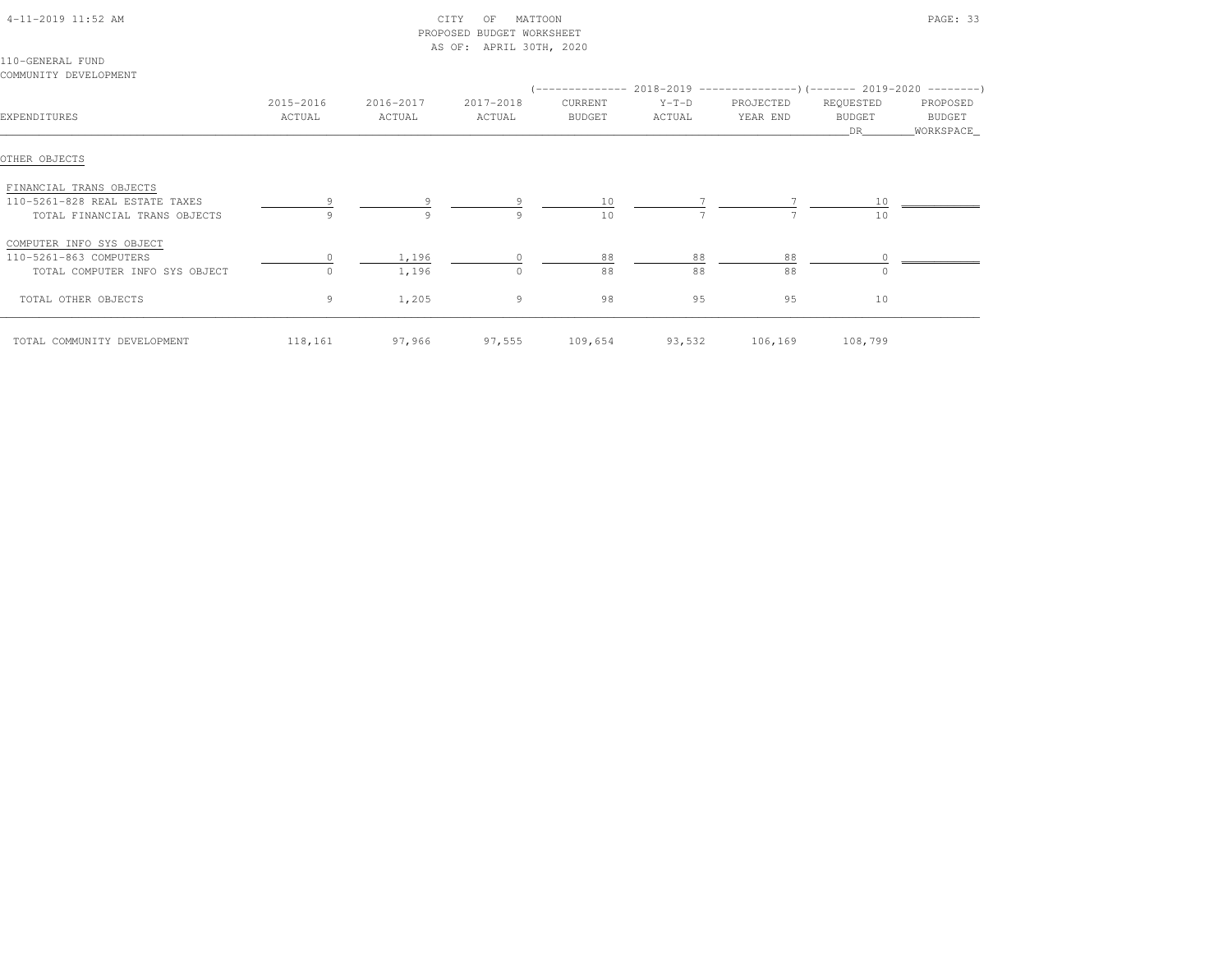| $4-11-2019$ $11:52$ AM |  |
|------------------------|--|

# $\begin{array}{ccc} \multicolumn{2}{l}{{\bf C} \setminus {\bf T}} & \multicolumn{2}{l}{\bf C} & \multicolumn{2}{l}{\bf D} \setminus {\bf T} & \multicolumn{2}{l}{\bf D} \setminus {\bf T} & \multicolumn{2}{l}{\bf D} \setminus {\bf T} & \multicolumn{2}{l}{\bf D} \setminus {\bf T} & \multicolumn{2}{l}{\bf D} \setminus {\bf T} & \multicolumn{2}{l}{\bf D} \setminus {\bf T} & \multicolumn{2}{l}{\bf D} \setminus {\bf T} & \multicolumn{2}{l}{\bf D} \setminus {\bf T} & \multicolumn{2}{l}{\$  PROPOSED BUDGET WORKSHEETAS OF: APRIL 30TH, 2020

110-GENERAL FUNDCOMMUNITY DEVELOPMENT

|                                |                     |                     |                     |                          | (-------------- 2018-2019 --------------------- 2019-2020 ---------- ) |                       |                            |                    |
|--------------------------------|---------------------|---------------------|---------------------|--------------------------|------------------------------------------------------------------------|-----------------------|----------------------------|--------------------|
| EXPENDITURES                   | 2015-2016<br>ACTUAL | 2016-2017<br>ACTUAL | 2017-2018<br>ACTUAL | CURRENT<br><b>BUDGET</b> | $Y-T-D$<br>ACTUAL                                                      | PROJECTED<br>YEAR END | REQUESTED<br><b>BUDGET</b> | PROPOSED<br>BUDGET |
|                                |                     |                     |                     |                          |                                                                        |                       | DR.                        | WORKSPACE_         |
| OTHER OBJECTS                  |                     |                     |                     |                          |                                                                        |                       |                            |                    |
| FINANCIAL TRANS OBJECTS        |                     |                     |                     |                          |                                                                        |                       |                            |                    |
| 110-5261-828 REAL ESTATE TAXES |                     | 9                   |                     | 10                       |                                                                        |                       | 10                         |                    |
| TOTAL FINANCIAL TRANS OBJECTS  |                     | 9                   | 9                   | 10                       |                                                                        |                       | 10                         |                    |
| COMPUTER INFO SYS OBJECT       |                     |                     |                     |                          |                                                                        |                       |                            |                    |
| 110-5261-863 COMPUTERS         |                     | 1,196               |                     | 88                       | 88                                                                     | 88                    |                            |                    |
| TOTAL COMPUTER INFO SYS OBJECT |                     | 1,196               | $\Omega$            | 88                       | 88                                                                     | 88                    | U                          |                    |
| TOTAL OTHER OBJECTS            | 9                   | 1,205               | $\overline{9}$      | 98                       | 95                                                                     | 95                    | 10                         |                    |
| TOTAL COMMUNITY DEVELOPMENT    | 118,161             | 97,966              | 97,555              | 109,654                  | 93,532                                                                 | 106,169               | 108,799                    |                    |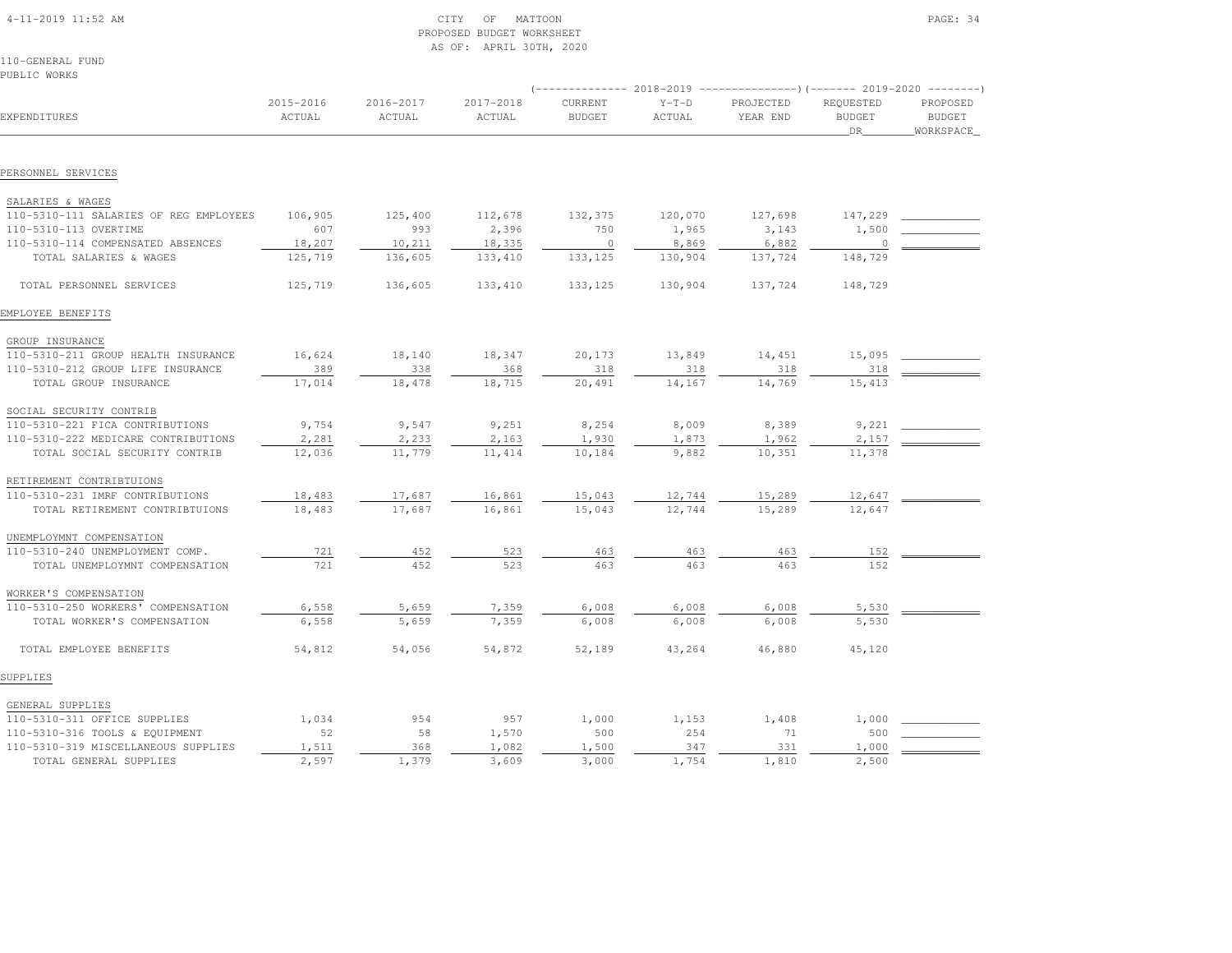| $4-11-2019$ $11:52$ AM |  |
|------------------------|--|

# $\begin{array}{ccc} \text{CITY} & \text{OF} & \text{MATTOON} \end{array}$  PROPOSED BUDGET WORKSHEETAS OF: APRIL 30TH, 2020

110-GENERAL FUNDPUBLIC WORKS

|                                                             | $---------2018-2019$ |                     |                     |                          |                   |                       |                                   |                                        |
|-------------------------------------------------------------|----------------------|---------------------|---------------------|--------------------------|-------------------|-----------------------|-----------------------------------|----------------------------------------|
| EXPENDITURES                                                | 2015-2016<br>ACTUAL  | 2016-2017<br>ACTUAL | 2017-2018<br>ACTUAL | CURRENT<br><b>BUDGET</b> | $Y-T-D$<br>ACTUAL | PROJECTED<br>YEAR END | REQUESTED<br><b>BUDGET</b><br>DR. | PROPOSED<br><b>BUDGET</b><br>WORKSPACE |
| PERSONNEL SERVICES                                          |                      |                     |                     |                          |                   |                       |                                   |                                        |
|                                                             |                      |                     |                     |                          |                   |                       |                                   |                                        |
| SALARIES & WAGES                                            |                      |                     |                     |                          |                   |                       |                                   |                                        |
| 110-5310-111 SALARIES OF REG EMPLOYEES                      | 106,905              | 125,400             | 112,678             | 132,375                  | 120,070           | 127,698               | 147,229                           |                                        |
| 110-5310-113 OVERTIME                                       | 607                  | 993                 | 2,396               | 750                      | 1,965             | 3,143                 | 1,500                             |                                        |
| 110-5310-114 COMPENSATED ABSENCES                           | 18,207               | 10,211              | 18,335              | $\overline{0}$           | 8,869             | 6,882                 | $\circ$                           |                                        |
| TOTAL SALARIES & WAGES                                      | 125,719              | 136,605             | 133, 410            | 133,125                  | 130,904           | 137,724               | 148,729                           |                                        |
| TOTAL PERSONNEL SERVICES                                    | 125,719              | 136,605             | 133,410             | 133, 125                 | 130,904           | 137,724               | 148,729                           |                                        |
| EMPLOYEE BENEFITS                                           |                      |                     |                     |                          |                   |                       |                                   |                                        |
| GROUP INSURANCE                                             |                      |                     |                     |                          |                   |                       |                                   |                                        |
| 110-5310-211 GROUP HEALTH INSURANCE                         | 16,624               | 18,140              | 18,347              | 20,173                   | 13,849            | 14,451                | 15,095                            |                                        |
| 110-5310-212 GROUP LIFE INSURANCE                           | 389                  | 338                 | 368                 | 318                      | 318               | 318                   | 318                               |                                        |
| TOTAL GROUP INSURANCE                                       | 17,014               | 18,478              | 18,715              | 20,491                   | 14,167            | 14,769                | 15,413                            |                                        |
| SOCIAL SECURITY CONTRIB                                     |                      |                     |                     |                          |                   |                       |                                   |                                        |
| 110-5310-221 FICA CONTRIBUTIONS                             | 9,754                | 9,547               | 9,251               | 8,254                    | 8,009             | 8,389                 | 9,221                             |                                        |
| 110-5310-222 MEDICARE CONTRIBUTIONS                         | 2,281                | 2,233               | 2,163               | 1,930                    | 1,873             | 1,962                 | 2,157                             |                                        |
| TOTAL SOCIAL SECURITY CONTRIB                               | 12,036               | 11,779              | 11, 414             | 10,184                   | 9,882             | 10,351                | 11,378                            |                                        |
| RETIREMENT CONTRIBTUIONS                                    |                      |                     |                     |                          |                   |                       |                                   |                                        |
| 110-5310-231 IMRF CONTRIBUTIONS                             | 18,483               | 17,687              | 16,861              | 15,043                   | 12,744            | 15,289                | 12,647                            |                                        |
| TOTAL RETIREMENT CONTRIBTUIONS                              | 18,483               | 17,687              | 16,861              | 15,043                   | 12,744            | 15,289                | 12,647                            |                                        |
|                                                             |                      |                     |                     |                          |                   |                       |                                   |                                        |
| UNEMPLOYMNT COMPENSATION<br>110-5310-240 UNEMPLOYMENT COMP. | 721                  | 452                 | 523                 | 463                      | 463               | 463                   |                                   |                                        |
| TOTAL UNEMPLOYMNT COMPENSATION                              | 721                  | 452                 | 523                 | 463                      | 463               | 463                   | 152<br>152                        |                                        |
|                                                             |                      |                     |                     |                          |                   |                       |                                   |                                        |
| WORKER'S COMPENSATION<br>110-5310-250 WORKERS' COMPENSATION | 6,558                | 5,659               | 7,359               | 6,008                    | 6,008             | 6,008                 | 5,530                             |                                        |
| TOTAL WORKER'S COMPENSATION                                 | 6,558                | 5,659               | 7,359               | 6,008                    | 6,008             | 6,008                 | 5,530                             |                                        |
| TOTAL EMPLOYEE BENEFITS                                     | 54,812               | 54,056              | 54,872              | 52,189                   | 43,264            | 46,880                | 45,120                            |                                        |
| SUPPLIES                                                    |                      |                     |                     |                          |                   |                       |                                   |                                        |
| GENERAL SUPPLIES                                            |                      |                     |                     |                          |                   |                       |                                   |                                        |
| 110-5310-311 OFFICE SUPPLIES                                | 1,034                | 954                 | 957                 | 1,000                    | 1,153             | 1,408                 | 1,000                             |                                        |
| 110-5310-316 TOOLS & EQUIPMENT                              | 52                   | 58                  | 1,570               | 500                      | 254               | 71                    | 500                               |                                        |
| 110-5310-319 MISCELLANEOUS SUPPLIES                         | 1,511                | 368                 | 1,082               | 1,500                    | 347               | 331                   | 1,000                             |                                        |
| TOTAL GENERAL SUPPLIES                                      | 2,597                | 1,379               | 3,609               | 3,000                    | 1,754             | 1,810                 | 2,500                             |                                        |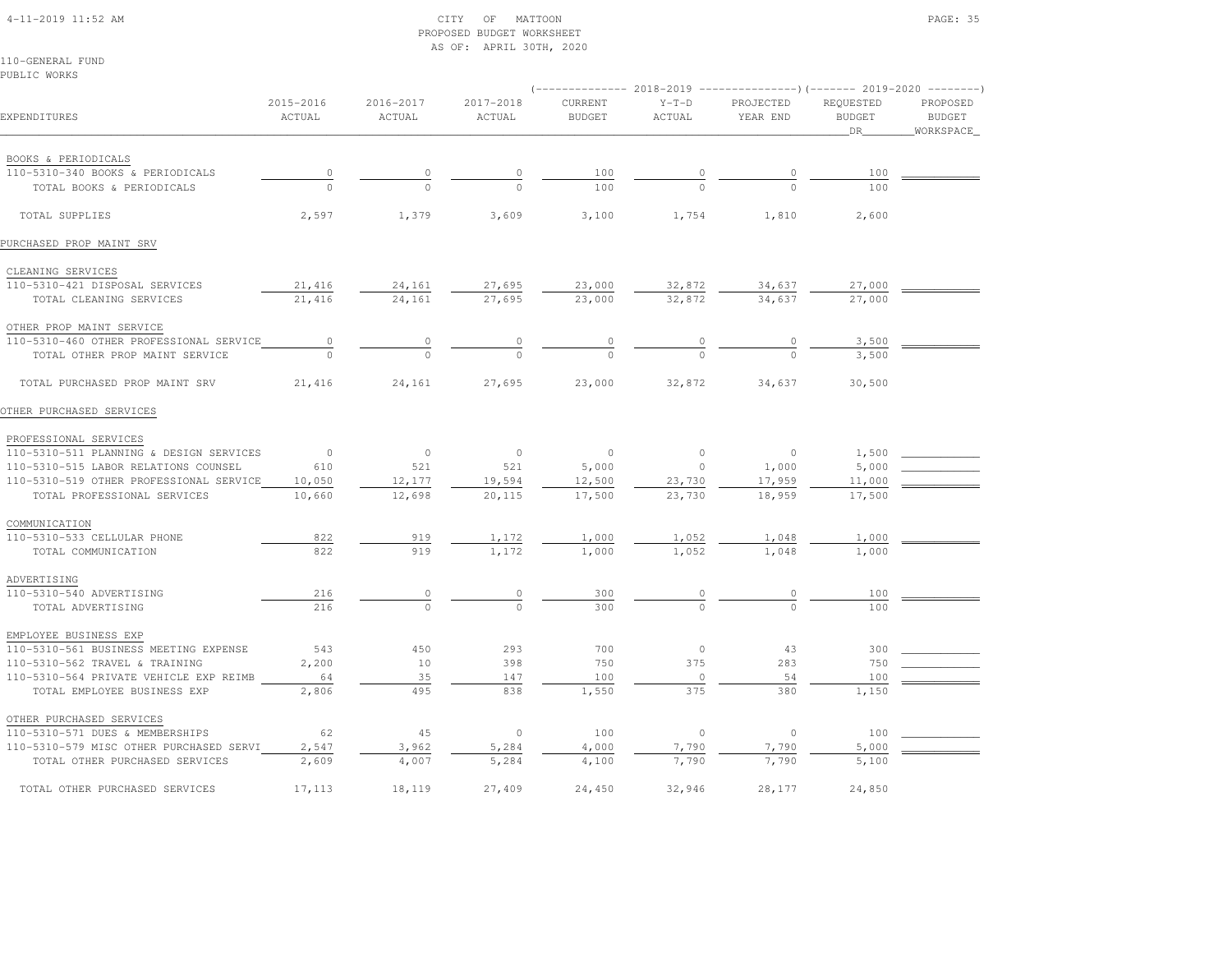# 4-11-2019 11:52 AM CITY OF MATTOON PAGE: 35 PROPOSED BUDGET WORKSHEETAS OF: APRIL 30TH, 2020

110-GENERAL FUNDPUBLIC WORKS

|                                                         |                     |                         |                     | (-------------- 2018-2019 ----------------)(------- 2019-2020 --------) |                   |                       |                                   |                                        |
|---------------------------------------------------------|---------------------|-------------------------|---------------------|-------------------------------------------------------------------------|-------------------|-----------------------|-----------------------------------|----------------------------------------|
| EXPENDITURES                                            | 2015-2016<br>ACTUAL | $2016 - 2017$<br>ACTUAL | 2017-2018<br>ACTUAL | CURRENT<br><b>BUDGET</b>                                                | $Y-T-D$<br>ACTUAL | PROJECTED<br>YEAR END | REQUESTED<br><b>BUDGET</b><br>DR. | PROPOSED<br><b>BUDGET</b><br>WORKSPACE |
|                                                         |                     |                         |                     |                                                                         |                   |                       |                                   |                                        |
| BOOKS & PERIODICALS<br>110-5310-340 BOOKS & PERIODICALS |                     |                         |                     |                                                                         |                   |                       |                                   |                                        |
| TOTAL BOOKS & PERIODICALS                               | $\overline{0}$      | $\circ$<br>$\Omega$     |                     | 100<br>100                                                              |                   | $\circ$               | 100<br>100                        |                                        |
| TOTAL SUPPLIES                                          | 2,597               | 1,379                   | 3,609               | 3,100                                                                   | 1,754             | 1,810                 | 2,600                             |                                        |
| PURCHASED PROP MAINT SRV                                |                     |                         |                     |                                                                         |                   |                       |                                   |                                        |
| CLEANING SERVICES                                       |                     |                         |                     |                                                                         |                   |                       |                                   |                                        |
| 110-5310-421 DISPOSAL SERVICES                          | 21,416              | 24,161                  | 27,695              | 23,000                                                                  | 32,872            | 34,637                | 27,000                            |                                        |
| TOTAL CLEANING SERVICES                                 | 21,416              | 24,161                  | 27,695              | 23,000                                                                  | 32,872            | 34,637                | 27,000                            |                                        |
|                                                         |                     |                         |                     |                                                                         |                   |                       |                                   |                                        |
| OTHER PROP MAINT SERVICE                                |                     |                         |                     |                                                                         |                   |                       |                                   |                                        |
| 110-5310-460 OTHER PROFESSIONAL SERVICE                 | $\circ$<br>$\cap$   |                         |                     |                                                                         |                   |                       | 3,500                             |                                        |
| TOTAL OTHER PROP MAINT SERVICE                          |                     |                         |                     |                                                                         |                   |                       | 3,500                             |                                        |
| TOTAL PURCHASED PROP MAINT SRV                          | 21,416              | 24,161                  | 27,695              | 23,000                                                                  | 32,872            | 34,637                | 30,500                            |                                        |
| OTHER PURCHASED SERVICES                                |                     |                         |                     |                                                                         |                   |                       |                                   |                                        |
| PROFESSIONAL SERVICES                                   |                     |                         |                     |                                                                         |                   |                       |                                   |                                        |
| 110-5310-511 PLANNING & DESIGN SERVICES                 | $\overline{0}$      | $\circ$                 | $\overline{0}$      | $\overline{0}$                                                          | $\circ$           | $\overline{0}$        | 1,500                             |                                        |
| 110-5310-515 LABOR RELATIONS COUNSEL                    | 610                 | 521                     | 521                 | 5,000                                                                   | $\circ$           | 1,000                 | 5,000                             |                                        |
| 110-5310-519 OTHER PROFESSIONAL SERVICE                 | 10,050              | 12,177                  | 19,594              | 12,500                                                                  | 23,730            | 17,959                | 11,000                            |                                        |
| TOTAL PROFESSIONAL SERVICES                             | 10,660              | 12,698                  | 20,115              | 17,500                                                                  | 23,730            | 18,959                | 17,500                            |                                        |
| COMMUNICATION                                           |                     |                         |                     |                                                                         |                   |                       |                                   |                                        |
| 110-5310-533 CELLULAR PHONE                             | 822                 | 919                     | 1,172               | 1,000                                                                   | 1,052             | 1,048                 | 1,000                             |                                        |
| TOTAL COMMUNICATION                                     | 822                 | 919                     | 1,172               | 1,000                                                                   | 1,052             | 1,048                 | 1,000                             |                                        |
|                                                         |                     |                         |                     |                                                                         |                   |                       |                                   |                                        |
| ADVERTISING                                             |                     |                         |                     |                                                                         |                   |                       |                                   |                                        |
| 110-5310-540 ADVERTISING                                | 216                 | $\circ$                 | $\circ$             | 300                                                                     | 0                 | 0                     | 100                               |                                        |
| TOTAL ADVERTISING                                       | 216                 | $\Omega$                | $\cap$              | 300                                                                     | $\Omega$          | $\cap$                | 100                               |                                        |
| EMPLOYEE BUSINESS EXP                                   |                     |                         |                     |                                                                         |                   |                       |                                   |                                        |
| 110-5310-561 BUSINESS MEETING EXPENSE                   | 543                 | 450                     | 293                 | 700                                                                     | $\circ$           | 43                    | 300                               |                                        |
| 110-5310-562 TRAVEL & TRAINING                          | 2,200               | 10                      | 398                 | 750                                                                     | 375               | 283                   | 750                               |                                        |
| 110-5310-564 PRIVATE VEHICLE EXP REIMB                  | 64                  | 35                      | 147                 | 100                                                                     | $\circ$           | 54                    | 100                               |                                        |
| TOTAL EMPLOYEE BUSINESS EXP                             | 2,806               | 495                     | 838                 | 1,550                                                                   | 375               | 380                   | 1,150                             |                                        |
| OTHER PURCHASED SERVICES                                |                     |                         |                     |                                                                         |                   |                       |                                   |                                        |
| 110-5310-571 DUES & MEMBERSHIPS                         | 62                  | 45                      | $\circ$             | 100                                                                     | $\circ$           | $\circ$               | 100                               |                                        |
| 110-5310-579 MISC OTHER PURCHASED SERVI                 | 2,547               | 3,962                   | 5,284               | 4,000                                                                   | 7,790             | 7,790                 | 5,000                             |                                        |
| TOTAL OTHER PURCHASED SERVICES                          | 2,609               | 4,007                   | 5,284               | 4,100                                                                   | 7,790             | 7,790                 | 5,100                             |                                        |
| TOTAL OTHER PURCHASED SERVICES                          | 17,113              | 18,119                  | 27,409              | 24,450                                                                  | 32,946            | 28,177                | 24,850                            |                                        |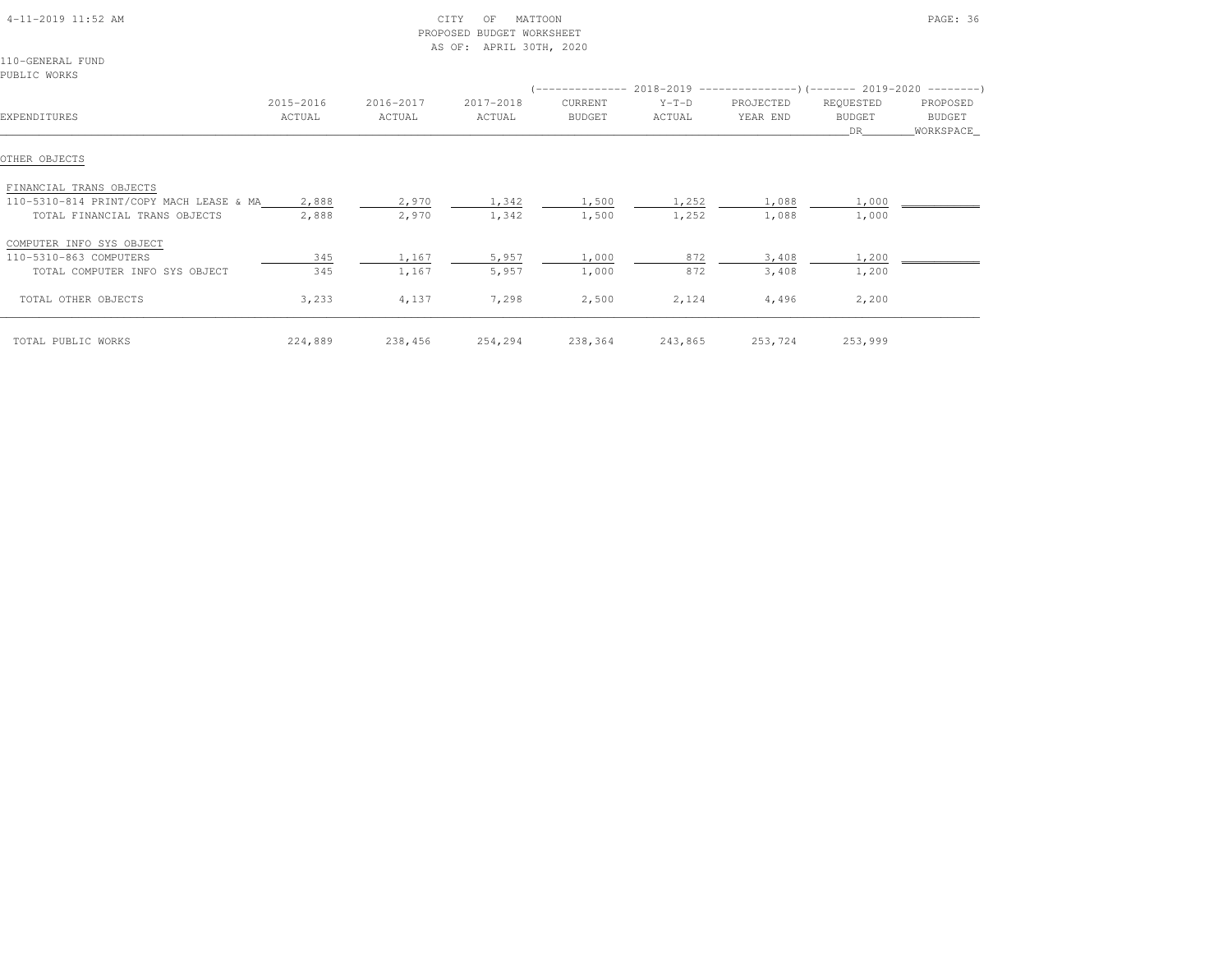| $4-11-2019$ $11:52$ AM                  |           |           | CITY<br>MATTOON<br>OF<br>PROPOSED BUDGET WORKSHEET<br>AS OF: APRIL 30TH, 2020 |               |         | PAGE: 36                                                               |               |           |
|-----------------------------------------|-----------|-----------|-------------------------------------------------------------------------------|---------------|---------|------------------------------------------------------------------------|---------------|-----------|
| 110-GENERAL FUND                        |           |           |                                                                               |               |         |                                                                        |               |           |
| PUBLIC WORKS                            |           |           |                                                                               |               |         |                                                                        |               |           |
|                                         |           |           |                                                                               |               |         | (-------------- 2018-2019 --------------------- 2019-2020 ---------- ) |               |           |
|                                         | 2015-2016 | 2016-2017 | 2017-2018                                                                     | CURRENT       | $Y-T-D$ | PROJECTED                                                              | REQUESTED     | PROPOSED  |
| EXPENDITURES                            | ACTUAL    | ACTUAL    | ACTUAL                                                                        | <b>BUDGET</b> | ACTUAL  | YEAR END                                                               | <b>BUDGET</b> | BUDGET    |
|                                         |           |           |                                                                               |               |         |                                                                        | DR.           | WORKSPACE |
| OTHER OBJECTS                           |           |           |                                                                               |               |         |                                                                        |               |           |
| FINANCIAL TRANS OBJECTS                 |           |           |                                                                               |               |         |                                                                        |               |           |
| 110-5310-814 PRINT/COPY MACH LEASE & MA | 2,888     | 2,970     | 1,342                                                                         | 1,500         | 1,252   | 1,088                                                                  | 1,000         |           |
| TOTAL FINANCIAL TRANS OBJECTS           | 2,888     | 2,970     | 1,342                                                                         | 1,500         | 1,252   | 1,088                                                                  | 1,000         |           |
| COMPUTER INFO SYS OBJECT                |           |           |                                                                               |               |         |                                                                        |               |           |
| 110-5310-863 COMPUTERS                  | 345       | 1,167     | 5,957                                                                         | 1,000         | 872     | 3,408                                                                  | 1,200         |           |
| TOTAL COMPUTER INFO SYS OBJECT          | 345       | 1,167     | 5,957                                                                         | 1,000         | 872     | 3,408                                                                  | 1,200         |           |
| TOTAL OTHER OBJECTS                     | 3,233     | 4,137     | 7,298                                                                         | 2,500         | 2,124   | 4,496                                                                  | 2,200         |           |
| TOTAL PUBLIC WORKS                      | 224,889   | 238,456   | 254,294                                                                       | 238,364       | 243,865 | 253,724                                                                | 253,999       |           |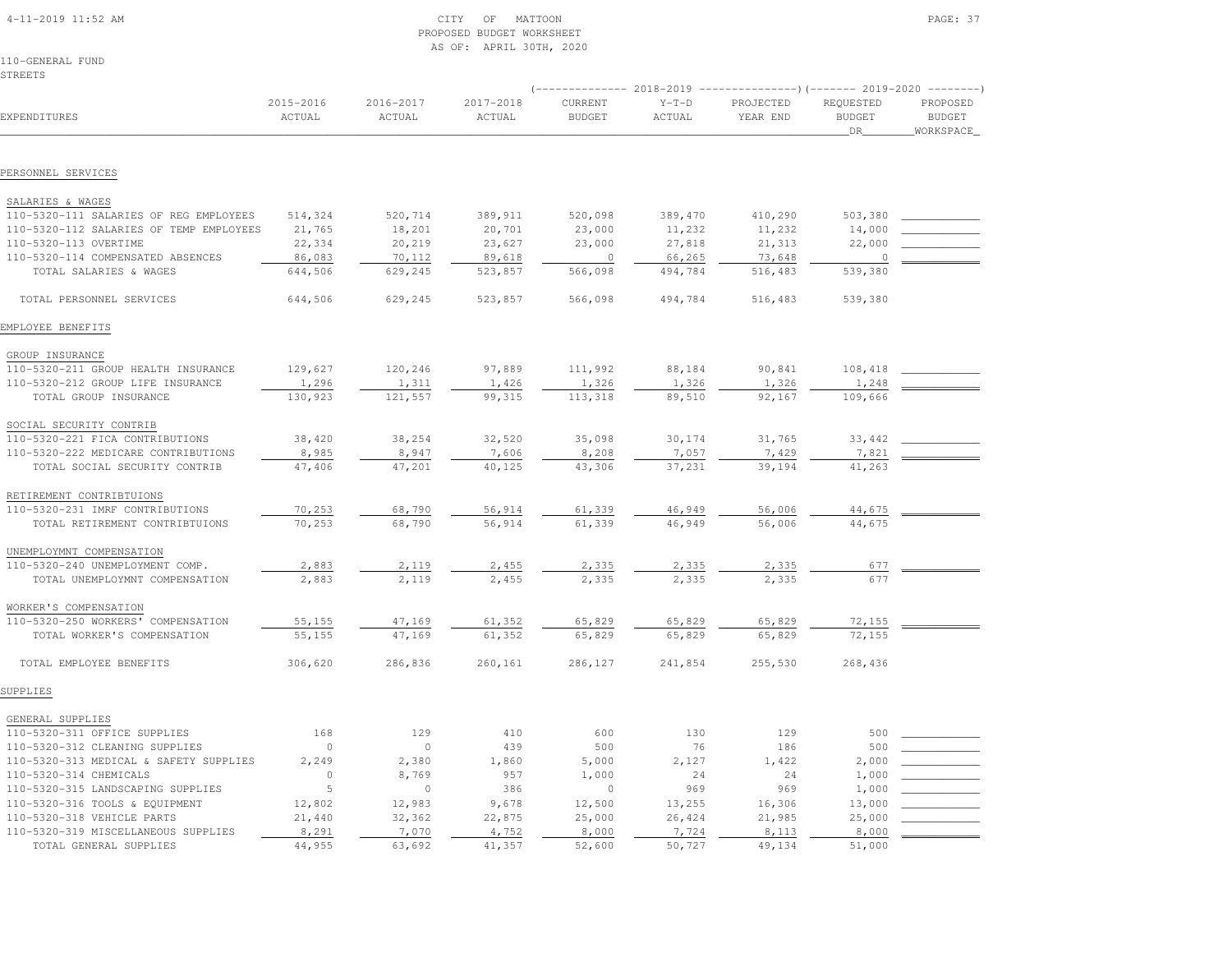|  | $4-11-2019$ $11:52$ AM |  |  |
|--|------------------------|--|--|

# 4-11-2019 11:52 AM CITY OF MATTOON PAGE: 37 PROPOSED BUDGET WORKSHEETAS OF: APRIL 30TH, 2020

110-GENERAL FUNDSTREETS

|                                                  |                     |                     |                     |                          | 2018-2019         |                       | ------)(------- 2019-2020 --------) |                                        |  |
|--------------------------------------------------|---------------------|---------------------|---------------------|--------------------------|-------------------|-----------------------|-------------------------------------|----------------------------------------|--|
| EXPENDITURES                                     | 2015-2016<br>ACTUAL | 2016-2017<br>ACTUAL | 2017-2018<br>ACTUAL | CURRENT<br><b>BUDGET</b> | $Y-T-D$<br>ACTUAL | PROJECTED<br>YEAR END | REQUESTED<br><b>BUDGET</b><br>DR    | PROPOSED<br><b>BUDGET</b><br>WORKSPACE |  |
| PERSONNEL SERVICES                               |                     |                     |                     |                          |                   |                       |                                     |                                        |  |
|                                                  |                     |                     |                     |                          |                   |                       |                                     |                                        |  |
| SALARIES & WAGES                                 |                     |                     |                     |                          |                   |                       |                                     |                                        |  |
| 110-5320-111 SALARIES OF REG EMPLOYEES           | 514,324             | 520,714             | 389,911             | 520,098                  | 389,470           | 410,290               | 503,380                             |                                        |  |
| 110-5320-112 SALARIES OF TEMP EMPLOYEES          | 21,765              | 18,201              | 20,701              | 23,000                   | 11,232            | 11,232                | 14,000                              |                                        |  |
| 110-5320-113 OVERTIME                            | 22,334              | 20,219              | 23,627              | 23,000                   | 27,818            | 21,313                | 22,000                              |                                        |  |
| 110-5320-114 COMPENSATED ABSENCES                | 86,083              | 70,112              | 89,618              | $\circ$                  | 66,265            | 73,648                | $\cup$                              |                                        |  |
| TOTAL SALARIES & WAGES                           | 644,506             | 629,245             | 523,857             | 566,098                  | 494,784           | 516,483               | 539,380                             |                                        |  |
| TOTAL PERSONNEL SERVICES                         | 644,506             | 629,245             | 523,857             | 566,098                  | 494,784           | 516,483               | 539,380                             |                                        |  |
| EMPLOYEE BENEFITS                                |                     |                     |                     |                          |                   |                       |                                     |                                        |  |
| GROUP INSURANCE                                  |                     |                     |                     |                          |                   |                       |                                     |                                        |  |
| 110-5320-211 GROUP HEALTH INSURANCE              | 129,627             | 120,246             | 97,889              | 111,992                  | 88,184            | 90,841                | 108,418                             |                                        |  |
| 110-5320-212 GROUP LIFE INSURANCE                | 1,296               | 1,311               | 1,426               | 1,326                    | 1,326             | 1,326                 | 1,248                               |                                        |  |
| TOTAL GROUP INSURANCE                            | 130,923             | 121,557             | 99,315              | 113,318                  | 89,510            | 92,167                | 109,666                             |                                        |  |
| SOCIAL SECURITY CONTRIB                          |                     |                     |                     |                          |                   |                       |                                     |                                        |  |
| 110-5320-221 FICA CONTRIBUTIONS                  | 38,420              | 38,254              | 32,520              | 35,098                   | 30,174            | 31,765                | 33,442                              |                                        |  |
| 110-5320-222 MEDICARE CONTRIBUTIONS              | 8,985               | 8,947               | 7,606               | 8,208                    | 7,057             | 7,429                 | 7,821                               |                                        |  |
| TOTAL SOCIAL SECURITY CONTRIB                    | 47,406              | 47,201              | 40,125              | 43,306                   | 37,231            | 39,194                | 41,263                              |                                        |  |
|                                                  |                     |                     |                     |                          |                   |                       |                                     |                                        |  |
| RETIREMENT CONTRIBTUIONS                         |                     |                     |                     |                          |                   |                       |                                     |                                        |  |
| 110-5320-231 IMRF CONTRIBUTIONS                  | 70,253              | 68,790              | 56,914              | 61,339                   | 46,949            | 56,006                | 44,675                              |                                        |  |
| TOTAL RETIREMENT CONTRIBTUIONS                   | 70,253              | 68,790              | 56,914              | 61,339                   | 46,949            | 56,006                | 44,675                              |                                        |  |
| UNEMPLOYMNT COMPENSATION                         |                     |                     |                     |                          |                   |                       |                                     |                                        |  |
| 110-5320-240 UNEMPLOYMENT COMP.                  | 2,883               | 2,119               | 2,455               | 2,335                    | 2,335             | 2,335                 | 677                                 |                                        |  |
| TOTAL UNEMPLOYMNT COMPENSATION                   | 2,883               | 2,119               | 2,455               | 2,335                    | 2,335             | 2,335                 | 677                                 |                                        |  |
| WORKER'S COMPENSATION                            |                     |                     |                     |                          |                   |                       |                                     |                                        |  |
| 110-5320-250 WORKERS' COMPENSATION               | 55,155              | 47,169              | 61,352              | 65,829                   | 65,829            | 65,829                | 72,155                              |                                        |  |
| TOTAL WORKER'S COMPENSATION                      | 55,155              | 47,169              | 61,352              | 65,829                   | 65,829            | 65,829                | 72,155                              |                                        |  |
| TOTAL EMPLOYEE BENEFITS                          | 306,620             | 286,836             | 260,161             | 286,127                  | 241,854           | 255,530               | 268,436                             |                                        |  |
| SUPPLIES                                         |                     |                     |                     |                          |                   |                       |                                     |                                        |  |
|                                                  |                     |                     |                     |                          |                   |                       |                                     |                                        |  |
| GENERAL SUPPLIES<br>110-5320-311 OFFICE SUPPLIES | 168                 | 129                 | 410                 | 600                      | 130               | 129                   | 500                                 |                                        |  |
| 110-5320-312 CLEANING SUPPLIES                   | $\circ$             | $\circ$             | 439                 | 500                      | 76                | 186                   | 500                                 |                                        |  |
| 110-5320-313 MEDICAL & SAFETY SUPPLIES           | 2,249               | 2,380               | 1,860               | 5,000                    | 2,127             | 1,422                 | 2,000                               |                                        |  |
| 110-5320-314 CHEMICALS                           | $\circ$             | 8,769               | 957                 | 1,000                    | 24                | 24                    | 1,000                               |                                        |  |
| 110-5320-315 LANDSCAPING SUPPLIES                | 5                   | $\circ$             | 386                 | $\mathbf 0$              | 969               | 969                   | 1,000                               |                                        |  |
| 110-5320-316 TOOLS & EQUIPMENT                   | 12,802              | 12,983              | 9,678               | 12,500                   | 13,255            | 16,306                | 13,000                              |                                        |  |
| 110-5320-318 VEHICLE PARTS                       | 21,440              | 32,362              | 22,875              | 25,000                   | 26,424            | 21,985                | 25,000                              |                                        |  |
| 110-5320-319 MISCELLANEOUS SUPPLIES              | 8,291               | 7,070               | 4,752               | 8,000                    | 7,724             | 8,113                 | 8,000                               |                                        |  |
| TOTAL GENERAL SUPPLIES                           | 44,955              | 63,692              | 41,357              | 52,600                   | 50,727            | 49,134                | 51,000                              |                                        |  |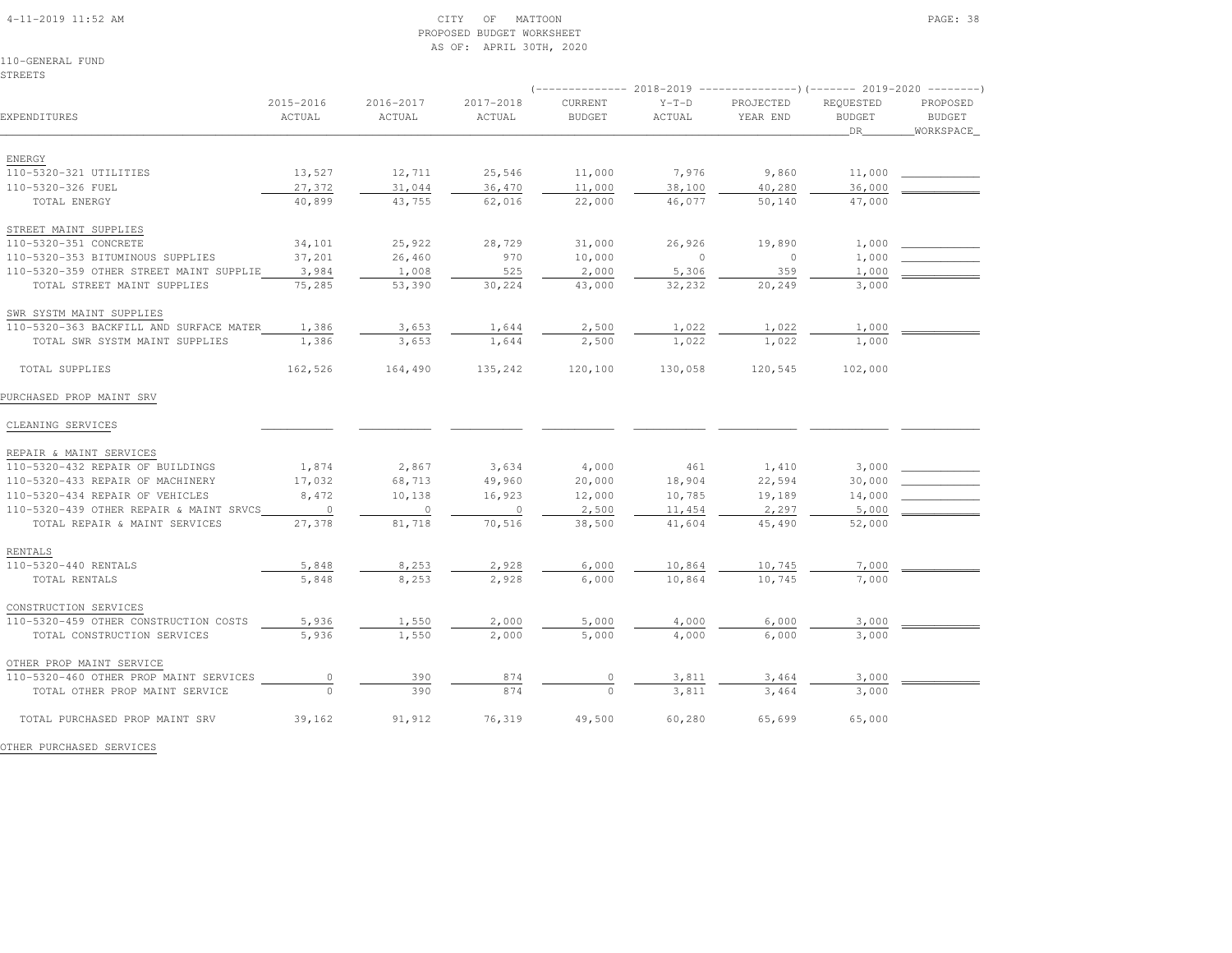# 4-11-2019 11:52 AM CITY OF MATTOON PAGE: 38 PROPOSED BUDGET WORKSHEETAS OF: APRIL 30TH, 2020

110-GENERAL FUNDSTREETS

|                                         |                     |                     |                     | 2018-2019                |                   |                       | ----------------)(------- 2019-2020 ---------) |                                        |  |
|-----------------------------------------|---------------------|---------------------|---------------------|--------------------------|-------------------|-----------------------|------------------------------------------------|----------------------------------------|--|
| EXPENDITURES                            | 2015-2016<br>ACTUAL | 2016-2017<br>ACTUAL | 2017-2018<br>ACTUAL | CURRENT<br><b>BUDGET</b> | $Y-T-D$<br>ACTUAL | PROJECTED<br>YEAR END | REQUESTED<br><b>BUDGET</b><br>DR               | PROPOSED<br><b>BUDGET</b><br>WORKSPACE |  |
| ENERGY                                  |                     |                     |                     |                          |                   |                       |                                                |                                        |  |
| 110-5320-321 UTILITIES                  | 13,527              | 12,711              | 25,546              | 11,000                   | 7,976             | 9,860                 | 11,000                                         |                                        |  |
| 110-5320-326 FUEL                       | 27,372              | 31,044              | 36,470              | 11,000                   | 38,100            | 40,280                | 36,000                                         |                                        |  |
| TOTAL ENERGY                            | 40,899              | 43,755              | 62,016              | 22,000                   | 46,077            | 50,140                | 47,000                                         |                                        |  |
| STREET MAINT SUPPLIES                   |                     |                     |                     |                          |                   |                       |                                                |                                        |  |
| 110-5320-351 CONCRETE                   | 34,101              | 25,922              | 28,729              | 31,000                   | 26,926            | 19,890                | 1,000                                          |                                        |  |
| 110-5320-353 BITUMINOUS SUPPLIES        | 37,201              | 26,460              | 970                 | 10,000                   | $\circ$           | $\circ$               | 1,000                                          |                                        |  |
| 110-5320-359 OTHER STREET MAINT SUPPLIE | 3,984               | 1,008               | 525                 | 2,000                    | 5,306             | 359                   | 1,000                                          |                                        |  |
| TOTAL STREET MAINT SUPPLIES             | 75,285              | 53,390              | 30,224              | 43,000                   | 32,232            | 20,249                | 3,000                                          |                                        |  |
| SWR SYSTM MAINT SUPPLIES                |                     |                     |                     |                          |                   |                       |                                                |                                        |  |
| 110-5320-363 BACKFILL AND SURFACE MATER | 1,386               | 3,653               | 1,644               | 2,500                    | 1,022             | 1,022                 | 1,000                                          |                                        |  |
| TOTAL SWR SYSTM MAINT SUPPLIES          | 1,386               | 3,653               | 1,644               | 2,500                    | 1,022             | 1,022                 | 1,000                                          |                                        |  |
| TOTAL SUPPLIES                          | 162,526             | 164,490             | 135,242             | 120,100                  | 130,058           | 120,545               | 102,000                                        |                                        |  |
| PURCHASED PROP MAINT SRV                |                     |                     |                     |                          |                   |                       |                                                |                                        |  |
| CLEANING SERVICES                       |                     |                     |                     |                          |                   |                       |                                                |                                        |  |
| REPAIR & MAINT SERVICES                 |                     |                     |                     |                          |                   |                       |                                                |                                        |  |
| 110-5320-432 REPAIR OF BUILDINGS        | 1,874               | 2,867               | 3,634               | 4,000                    | 461               | 1,410                 | 3,000                                          |                                        |  |
| 110-5320-433 REPAIR OF MACHINERY        | 17,032              | 68,713              | 49,960              | 20,000                   | 18,904            | 22,594                | 30,000                                         |                                        |  |
| 110-5320-434 REPAIR OF VEHICLES         | 8,472               | 10,138              | 16,923              | 12,000                   | 10,785            | 19,189                | 14,000                                         |                                        |  |
| 110-5320-439 OTHER REPAIR & MAINT SRVCS | $\overline{0}$      | $\circ$             | $\circ$             | 2,500                    | 11,454            | 2,297                 | 5,000                                          |                                        |  |
| TOTAL REPAIR & MAINT SERVICES           | 27,378              | 81,718              | 70,516              | 38,500                   | 41,604            | 45,490                | 52,000                                         |                                        |  |
| RENTALS                                 |                     |                     |                     |                          |                   |                       |                                                |                                        |  |
| 110-5320-440 RENTALS                    | 5,848               | 8,253               | 2,928               | 6,000                    | 10,864            | 10,745                | 7,000                                          |                                        |  |
| TOTAL RENTALS                           | 5,848               | 8,253               | 2,928               | 6,000                    | 10,864            | 10,745                | 7,000                                          |                                        |  |
| CONSTRUCTION SERVICES                   |                     |                     |                     |                          |                   |                       |                                                |                                        |  |
| 110-5320-459 OTHER CONSTRUCTION COSTS   | 5,936               | 1,550               | 2,000               | 5,000                    | 4,000             | 6,000                 | 3,000                                          |                                        |  |
| TOTAL CONSTRUCTION SERVICES             | 5,936               | 1,550               | 2,000               | 5,000                    | 4,000             | 6,000                 | 3,000                                          |                                        |  |
| OTHER PROP MAINT SERVICE                |                     |                     |                     |                          |                   |                       |                                                |                                        |  |
| 110-5320-460 OTHER PROP MAINT SERVICES  | $\circ$             | 390                 | 874                 | $\circ$                  | 3,811             | 3,464                 | 3,000                                          |                                        |  |
| TOTAL OTHER PROP MAINT SERVICE          | $\Omega$            | 390                 | 874                 | $\Omega$                 | 3,811             | 3,464                 | 3,000                                          |                                        |  |
| TOTAL PURCHASED PROP MAINT SRV          | 39,162              | 91,912              | 76,319              | 49,500                   | 60,280            | 65,699                | 65,000                                         |                                        |  |

OTHER PURCHASED SERVICES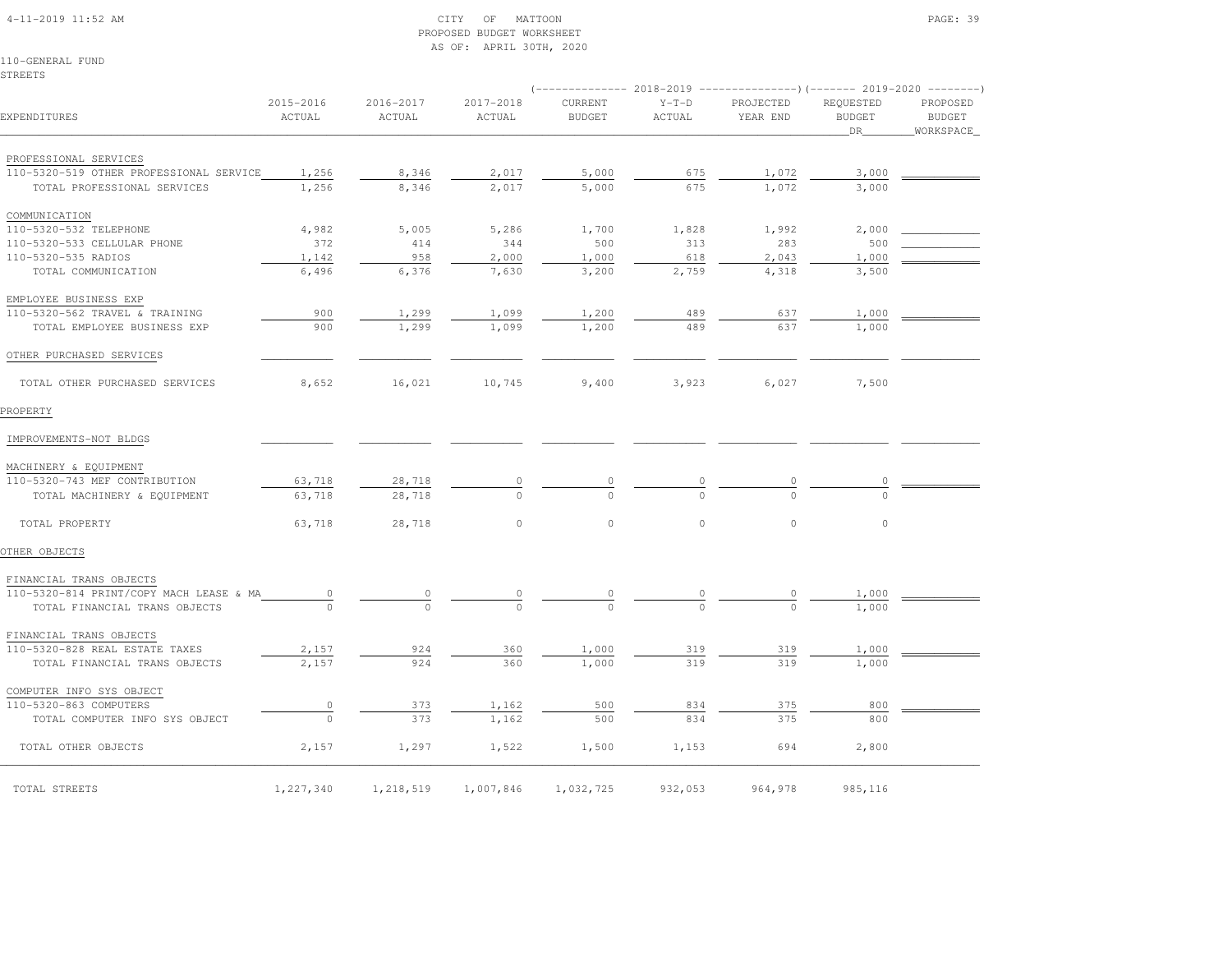# 4-11-2019 11:52 AM CITY OF MATTOON PAGE: 39 PROPOSED BUDGET WORKSHEETAS OF: APRIL 30TH, 2020

110-GENERAL FUNDSTREETS

|                                                                        |                     |                     |                     |                          |                      | (-------------- 2018-2019 ----------------)(------- 2019-2020 --------) |                                  |                                        |
|------------------------------------------------------------------------|---------------------|---------------------|---------------------|--------------------------|----------------------|-------------------------------------------------------------------------|----------------------------------|----------------------------------------|
| EXPENDITURES                                                           | 2015-2016<br>ACTUAL | 2016-2017<br>ACTUAL | 2017-2018<br>ACTUAL | CURRENT<br><b>BUDGET</b> | $Y-T-D$<br>ACTUAL    | PROJECTED<br>YEAR END                                                   | REQUESTED<br><b>BUDGET</b><br>DR | PROPOSED<br><b>BUDGET</b><br>WORKSPACE |
|                                                                        |                     |                     |                     |                          |                      |                                                                         |                                  |                                        |
| PROFESSIONAL SERVICES                                                  |                     |                     |                     |                          |                      |                                                                         |                                  |                                        |
| 110-5320-519 OTHER PROFESSIONAL SERVICE<br>TOTAL PROFESSIONAL SERVICES | 1,256<br>1,256      | 8,346<br>8,346      | 2,017<br>2,017      | 5,000<br>5,000           | 675<br>675           | 1,072<br>1,072                                                          | 3,000<br>3,000                   |                                        |
|                                                                        |                     |                     |                     |                          |                      |                                                                         |                                  |                                        |
| COMMUNICATION                                                          |                     |                     |                     |                          |                      |                                                                         |                                  |                                        |
| 110-5320-532 TELEPHONE                                                 | 4,982               | 5,005               | 5,286               | 1,700                    | 1,828                | 1,992                                                                   | 2,000                            |                                        |
| 110-5320-533 CELLULAR PHONE                                            | 372                 | 414                 | 344                 | 500                      | 313                  | 283                                                                     | 500                              |                                        |
| 110-5320-535 RADIOS                                                    | 1,142               | 958                 | 2,000               | 1,000                    | 618                  | 2,043                                                                   | 1,000                            |                                        |
| TOTAL COMMUNICATION                                                    | 6,496               | 6,376               | 7,630               | 3,200                    | 2,759                | 4,318                                                                   | 3,500                            |                                        |
| EMPLOYEE BUSINESS EXP                                                  |                     |                     |                     |                          |                      |                                                                         |                                  |                                        |
| 110-5320-562 TRAVEL & TRAINING                                         | 900                 | 1,299               | 1,099               | 1,200                    | 489                  | 637                                                                     | 1,000                            |                                        |
| TOTAL EMPLOYEE BUSINESS EXP                                            | 900                 | 1,299               | 1,099               | 1,200                    | 489                  | 637                                                                     | 1,000                            |                                        |
| OTHER PURCHASED SERVICES                                               |                     |                     |                     |                          |                      |                                                                         |                                  |                                        |
| TOTAL OTHER PURCHASED SERVICES                                         | 8,652               | 16,021              | 10,745              | 9,400                    | 3,923                | 6,027                                                                   | 7,500                            |                                        |
| PROPERTY                                                               |                     |                     |                     |                          |                      |                                                                         |                                  |                                        |
| IMPROVEMENTS-NOT BLDGS                                                 |                     |                     |                     |                          |                      |                                                                         |                                  |                                        |
|                                                                        |                     |                     |                     |                          |                      |                                                                         |                                  |                                        |
| MACHINERY & EQUIPMENT                                                  |                     |                     |                     |                          |                      |                                                                         |                                  |                                        |
| 110-5320-743 MEF CONTRIBUTION                                          | 63,718              | 28,718              | $\circ$             |                          | $\overline{0}$       |                                                                         | 0                                |                                        |
| TOTAL MACHINERY & EQUIPMENT                                            | 63,718              | 28,718              | $\cap$              |                          |                      |                                                                         | $\Omega$                         |                                        |
| TOTAL PROPERTY                                                         | 63,718              | 28,718              | $\circ$             | $\circ$                  | $\circ$              | $\circ$                                                                 | $\circ$                          |                                        |
| OTHER OBJECTS                                                          |                     |                     |                     |                          |                      |                                                                         |                                  |                                        |
| FINANCIAL TRANS OBJECTS                                                |                     |                     |                     |                          |                      |                                                                         |                                  |                                        |
| 110-5320-814 PRINT/COPY MACH LEASE & MA                                | $\circ$             | $\circ$             | $\circ$             | $\circ$                  | $\frac{0}{\sqrt{2}}$ | 0                                                                       | 1,000                            |                                        |
| TOTAL FINANCIAL TRANS OBJECTS                                          | $\Omega$            | $\Omega$            | $\cap$              | $\cap$                   | $\Omega$             | $\Omega$                                                                | 1,000                            |                                        |
| FINANCIAL TRANS OBJECTS                                                |                     |                     |                     |                          |                      |                                                                         |                                  |                                        |
| 110-5320-828 REAL ESTATE TAXES                                         | 2,157               | 924                 | 360                 | 1,000                    | 319                  | 319                                                                     | 1,000                            |                                        |
| TOTAL FINANCIAL TRANS OBJECTS                                          | 2,157               | 924                 | 360                 | 1,000                    | 319                  | 319                                                                     | 1,000                            |                                        |
| COMPUTER INFO SYS OBJECT                                               |                     |                     |                     |                          |                      |                                                                         |                                  |                                        |
|                                                                        |                     |                     |                     |                          |                      |                                                                         |                                  |                                        |
| 110-5320-863 COMPUTERS                                                 | 0<br>$\circ$        | 373                 | 1,162               | 500                      | 834                  | 375                                                                     | 800                              |                                        |
| TOTAL COMPUTER INFO SYS OBJECT                                         |                     | 373                 | 1,162               | 500                      | 834                  | 375                                                                     | 800                              |                                        |
| TOTAL OTHER OBJECTS                                                    | 2,157               | 1,297               | 1,522               | 1,500                    | 1,153                | 694                                                                     | 2,800                            |                                        |
| TOTAL STREETS                                                          | 1,227,340           | 1,218,519           | 1,007,846           | 1,032,725                | 932,053              | 964,978                                                                 | 985,116                          |                                        |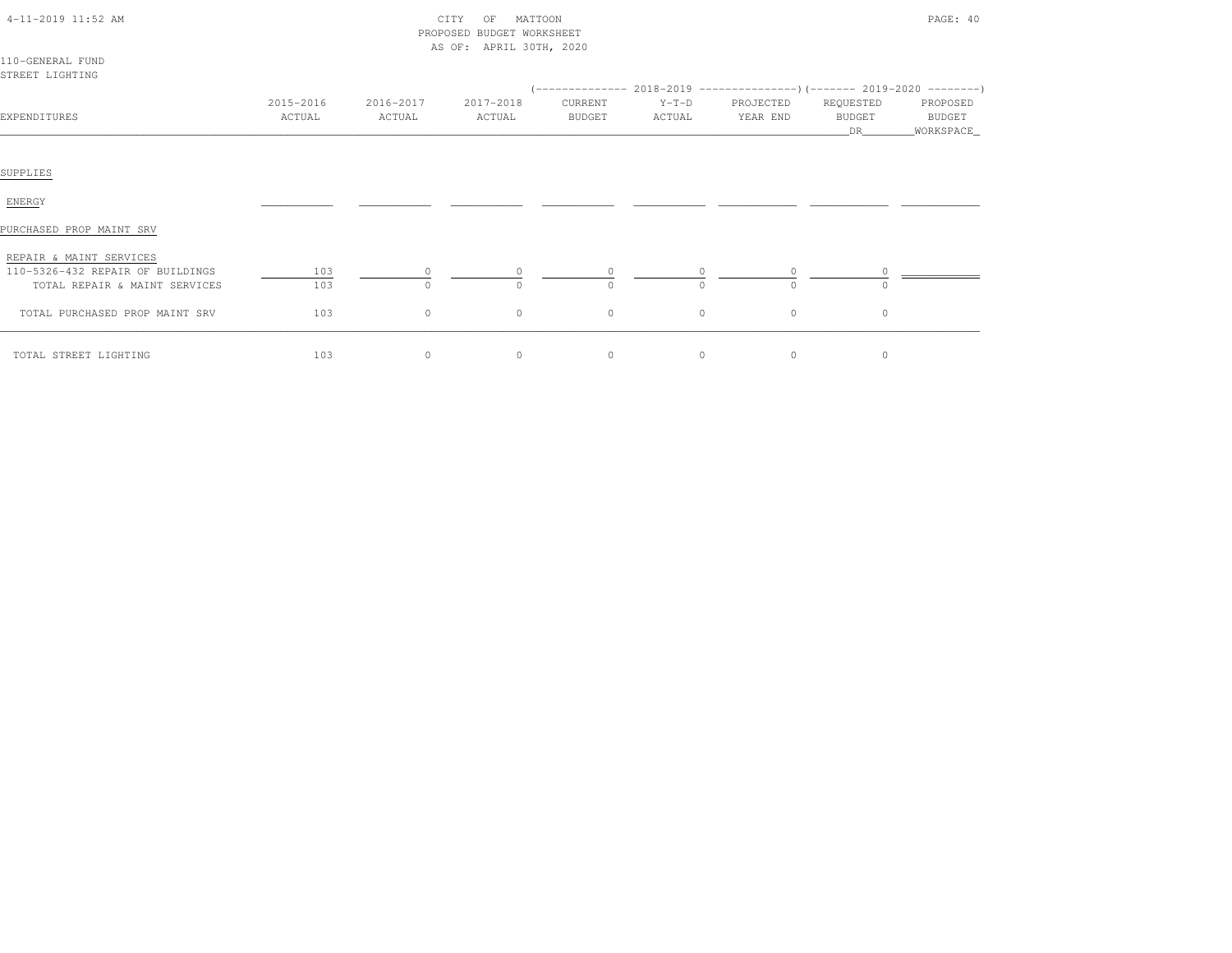| $4-11-2019$ $11:52$ AM |  |
|------------------------|--|
|                        |  |

# CITY OF MATTOON PROPOSED BUDGET WORKSHEETAS OF: APRIL 30TH, 2020

|--|--|

| 110-GENERAL FUND |  |
|------------------|--|
| ISTREET LIGHTING |  |

|                                  |           |           |           |               |          | (-------------- 2018-2019 ----------------)(------- 2019-2020 --------) |                     |                       |
|----------------------------------|-----------|-----------|-----------|---------------|----------|-------------------------------------------------------------------------|---------------------|-----------------------|
|                                  | 2015-2016 | 2016-2017 | 2017-2018 | CURRENT       | $Y-T-D$  | PROJECTED                                                               | REQUESTED           | PROPOSED              |
| EXPENDITURES                     | ACTUAL    | ACTUAL    | ACTUAL    | <b>BUDGET</b> | ACTUAL   | YEAR END                                                                | <b>BUDGET</b><br>DR | BUDGET<br>_WORKSPACE_ |
|                                  |           |           |           |               |          |                                                                         |                     |                       |
| SUPPLIES                         |           |           |           |               |          |                                                                         |                     |                       |
| ENERGY                           |           |           |           |               |          |                                                                         |                     |                       |
| PURCHASED PROP MAINT SRV         |           |           |           |               |          |                                                                         |                     |                       |
| REPAIR & MAINT SERVICES          |           |           |           |               |          |                                                                         |                     |                       |
| 110-5326-432 REPAIR OF BUILDINGS | 103       |           |           |               |          |                                                                         |                     |                       |
| TOTAL REPAIR & MAINT SERVICES    | 103       | $\Omega$  | $\cap$    | $\Omega$      | $\Omega$ | $\Omega$                                                                | $\cap$              |                       |
| TOTAL PURCHASED PROP MAINT SRV   | 103       | $\circ$   | $\circ$   | $\circ$       | $\circ$  | $\circ$                                                                 | $\circ$             |                       |
| TOTAL STREET LIGHTING            | 103       | $\circ$   | $\circ$   | $\circ$       | $\circ$  | $\circ$                                                                 | $\circ$             |                       |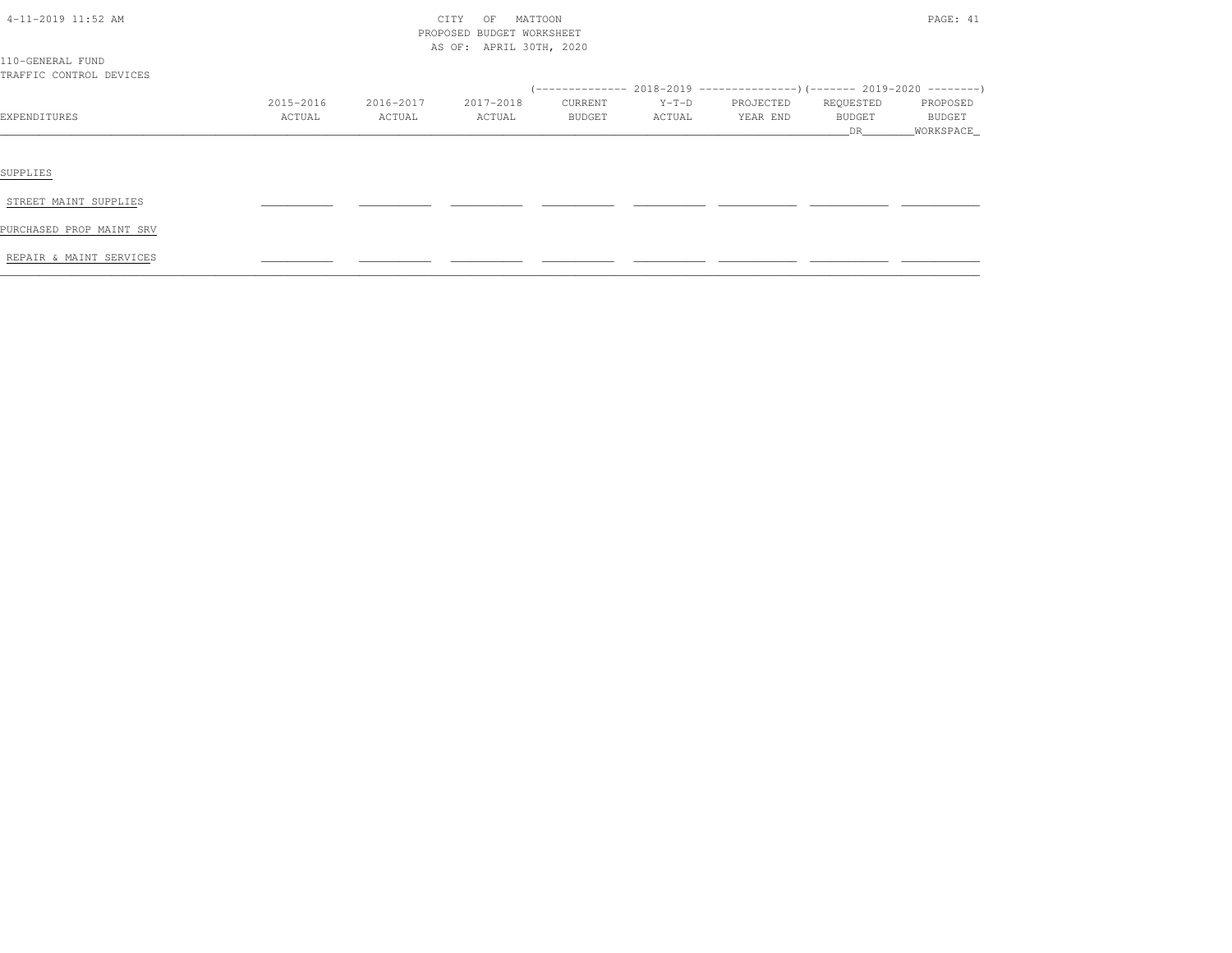| $4-11-2019$ 11:52 AM                        |           | CITY<br>OF<br>MATTOON |                           |         |         |           |               |           |  |
|---------------------------------------------|-----------|-----------------------|---------------------------|---------|---------|-----------|---------------|-----------|--|
|                                             |           |                       | PROPOSED BUDGET WORKSHEET |         |         |           |               |           |  |
|                                             |           |                       | AS OF: APRIL 30TH, 2020   |         |         |           |               |           |  |
| 110-GENERAL FUND<br>TRAFFIC CONTROL DEVICES |           |                       |                           |         |         |           |               |           |  |
|                                             |           |                       |                           |         |         |           |               |           |  |
|                                             | 2015-2016 | 2016-2017             | 2017-2018                 | CURRENT | $Y-T-D$ | PROJECTED | REQUESTED     | PROPOSED  |  |
| EXPENDITURES                                | ACTUAL    | ACTUAL                | ACTUAL                    | BUDGET  | ACTUAL  | YEAR END  | <b>BUDGET</b> | BUDGET    |  |
|                                             |           |                       |                           |         |         |           | DR            | WORKSPACE |  |
|                                             |           |                       |                           |         |         |           |               |           |  |
|                                             |           |                       |                           |         |         |           |               |           |  |
| SUPPLIES                                    |           |                       |                           |         |         |           |               |           |  |
| STREET MAINT SUPPLIES                       |           |                       |                           |         |         |           |               |           |  |
|                                             |           |                       |                           |         |         |           |               |           |  |
| PURCHASED PROP MAINT SRV                    |           |                       |                           |         |         |           |               |           |  |
|                                             |           |                       |                           |         |         |           |               |           |  |
| REPAIR & MAINT SERVICES                     |           |                       |                           |         |         |           |               |           |  |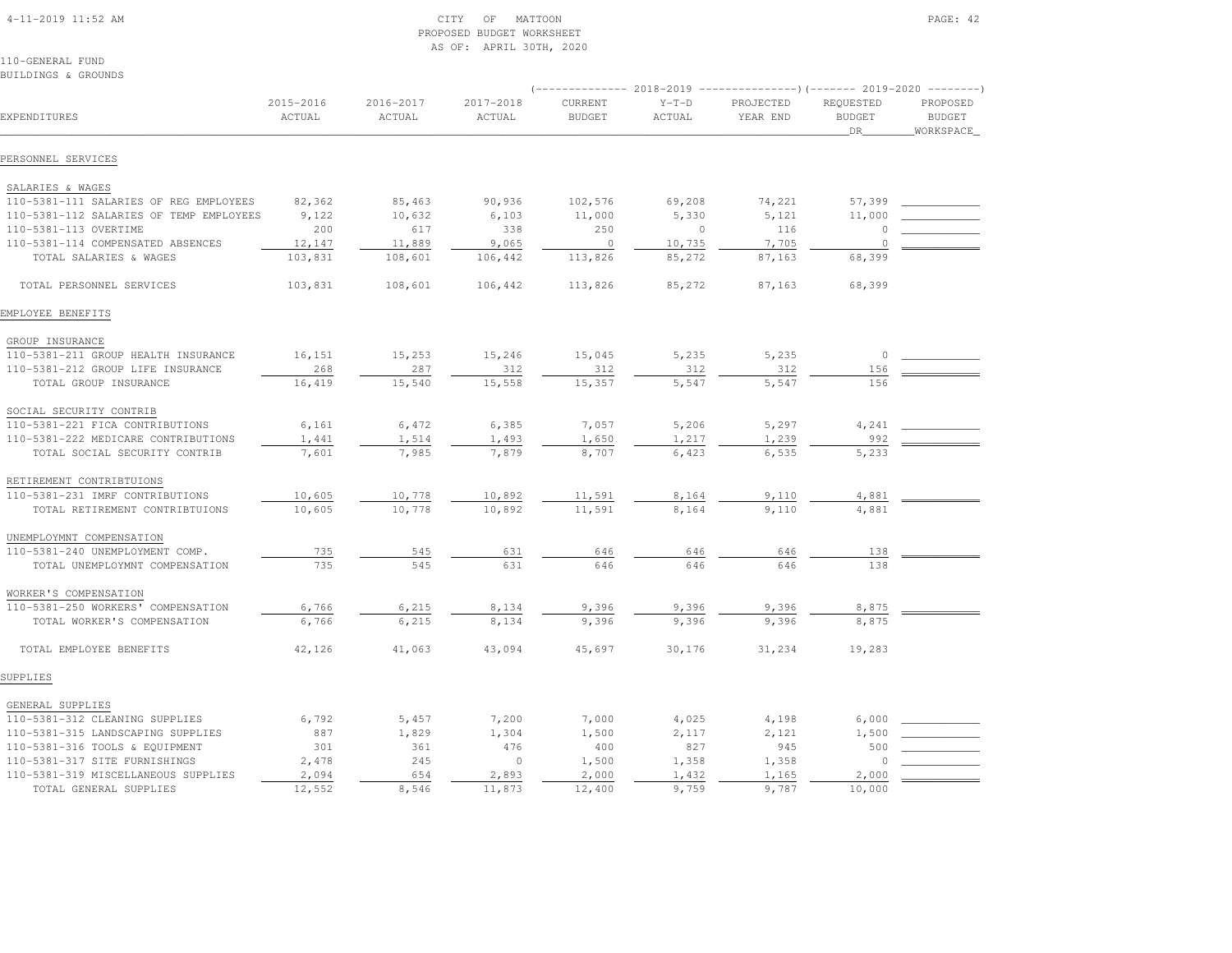### 4-11-2019 11:52 AM CITY OF MATTOON PAGE: 42 PROPOSED BUDGET WORKSHEETAS OF: APRIL 30TH, 2020

110-GENERAL FUND

| BUILDINGS & GROUNDS                     |                     |                     |                     |                          |                   |                                                                                                  |                                  |                                        |
|-----------------------------------------|---------------------|---------------------|---------------------|--------------------------|-------------------|--------------------------------------------------------------------------------------------------|----------------------------------|----------------------------------------|
| EXPENDITURES                            | 2015-2016<br>ACTUAL | 2016-2017<br>ACTUAL | 2017-2018<br>ACTUAL | CURRENT<br><b>BUDGET</b> | $Y-T-D$<br>ACTUAL | (-------------- 2018-2019 ----------------)(------- 2019-2020 --------)<br>PROJECTED<br>YEAR END | REQUESTED<br><b>BUDGET</b><br>DR | PROPOSED<br><b>BUDGET</b><br>WORKSPACE |
| PERSONNEL SERVICES                      |                     |                     |                     |                          |                   |                                                                                                  |                                  |                                        |
| SALARIES & WAGES                        |                     |                     |                     |                          |                   |                                                                                                  |                                  |                                        |
| 110-5381-111 SALARIES OF REG EMPLOYEES  | 82,362              | 85,463              | 90,936              | 102,576                  | 69,208            | 74,221                                                                                           | 57,399                           |                                        |
| 110-5381-112 SALARIES OF TEMP EMPLOYEES | 9,122               | 10,632              | 6,103               | 11,000                   | 5,330             | 5,121                                                                                            | 11,000                           |                                        |
| 110-5381-113 OVERTIME                   | 200                 | 617                 | 338                 | 250                      | $\circ$           | 116                                                                                              | 0                                |                                        |
| 110-5381-114 COMPENSATED ABSENCES       | 12,147              | 11,889              | 9,065               | $\circ$                  | 10,735            | 7,705                                                                                            | $\Omega$                         |                                        |
| TOTAL SALARIES & WAGES                  | 103,831             | 108,601             | 106,442             | 113,826                  | 85,272            | 87,163                                                                                           | 68,399                           |                                        |
| TOTAL PERSONNEL SERVICES                | 103,831             | 108,601             | 106,442             | 113,826                  | 85,272            | 87,163                                                                                           | 68,399                           |                                        |
| EMPLOYEE BENEFITS                       |                     |                     |                     |                          |                   |                                                                                                  |                                  |                                        |
| GROUP INSURANCE                         |                     |                     |                     |                          |                   |                                                                                                  |                                  |                                        |
| 110-5381-211 GROUP HEALTH INSURANCE     | 16,151              | 15,253              | 15,246              | 15,045                   | 5,235             | 5,235                                                                                            | $\circ$                          |                                        |
| 110-5381-212 GROUP LIFE INSURANCE       | 268                 | 287                 | 312                 | 312                      | 312               | 312                                                                                              | 156                              |                                        |
| TOTAL GROUP INSURANCE                   | 16,419              | 15,540              | 15,558              | 15,357                   | 5,547             | 5,547                                                                                            | 156                              |                                        |
| SOCIAL SECURITY CONTRIB                 |                     |                     |                     |                          |                   |                                                                                                  |                                  |                                        |
| 110-5381-221 FICA CONTRIBUTIONS         | 6,161               | 6,472               | 6,385               | 7,057                    | 5,206             | 5,297                                                                                            | 4,241                            |                                        |
| 110-5381-222 MEDICARE CONTRIBUTIONS     | 1,441               | 1,514               | 1,493               | 1,650                    | 1,217             | 1,239                                                                                            | 992                              |                                        |
| TOTAL SOCIAL SECURITY CONTRIB           | 7,601               | 7,985               | 7,879               | 8,707                    | 6,423             | 6,535                                                                                            | 5,233                            |                                        |
| RETIREMENT CONTRIBTUIONS                |                     |                     |                     |                          |                   |                                                                                                  |                                  |                                        |
| 110-5381-231 IMRF CONTRIBUTIONS         | 10,605              | 10,778              | 10,892              | 11,591                   | 8,164             | 9,110                                                                                            | 4,881                            |                                        |
| TOTAL RETIREMENT CONTRIBTUIONS          | 10,605              | 10,778              | 10,892              | 11,591                   | 8,164             | 9,110                                                                                            | 4,881                            |                                        |
| UNEMPLOYMNT COMPENSATION                |                     |                     |                     |                          |                   |                                                                                                  |                                  |                                        |
| 110-5381-240 UNEMPLOYMENT COMP.         | 735                 | 545                 | 631                 | 646                      | 646               | 646                                                                                              | 138                              |                                        |
| TOTAL UNEMPLOYMNT COMPENSATION          | 735                 | 545                 | 631                 | 646                      | 646               | 646                                                                                              | 138                              |                                        |
| WORKER'S COMPENSATION                   |                     |                     |                     |                          |                   |                                                                                                  |                                  |                                        |
| 110-5381-250 WORKERS' COMPENSATION      | 6,766               | 6,215               | 8,134               | 9,396                    | 9,396             | 9,396                                                                                            | 8,875                            |                                        |
| TOTAL WORKER'S COMPENSATION             | 6,766               | 6,215               | 8,134               | 9,396                    | 9,396             | 9,396                                                                                            | 8,875                            |                                        |
| TOTAL EMPLOYEE BENEFITS                 | 42,126              | 41,063              | 43,094              | 45,697                   | 30,176            | 31,234                                                                                           | 19,283                           |                                        |
| SUPPLIES                                |                     |                     |                     |                          |                   |                                                                                                  |                                  |                                        |
| GENERAL SUPPLIES                        |                     |                     |                     |                          |                   |                                                                                                  |                                  |                                        |
| 110-5381-312 CLEANING SUPPLIES          | 6,792               | 5,457               | 7,200               | 7,000                    | 4,025             | 4,198                                                                                            | 6,000                            |                                        |
| 110-5381-315 LANDSCAPING SUPPLIES       | 887                 | 1,829               | 1,304               | 1,500                    | 2,117             | 2,121                                                                                            | 1,500                            |                                        |
| 110-5381-316 TOOLS & EQUIPMENT          | 301                 | 361                 | 476                 | 400                      | 827               | 945                                                                                              | 500                              |                                        |
| 110-5381-317 SITE FURNISHINGS           | 2,478               | 245                 | $\circ$             | 1,500                    | 1,358             | 1,358                                                                                            |                                  |                                        |
| 110-5381-319 MISCELLANEOUS SUPPLIES     | 2,094               | 654                 | 2,893               | 2,000                    | 1,432             | 1,165                                                                                            | 2,000                            |                                        |
| TOTAL GENERAL SUPPLIES                  | 12,552              | 8,546               | 11,873              | 12,400                   | 9,759             | 9,787                                                                                            | 10,000                           |                                        |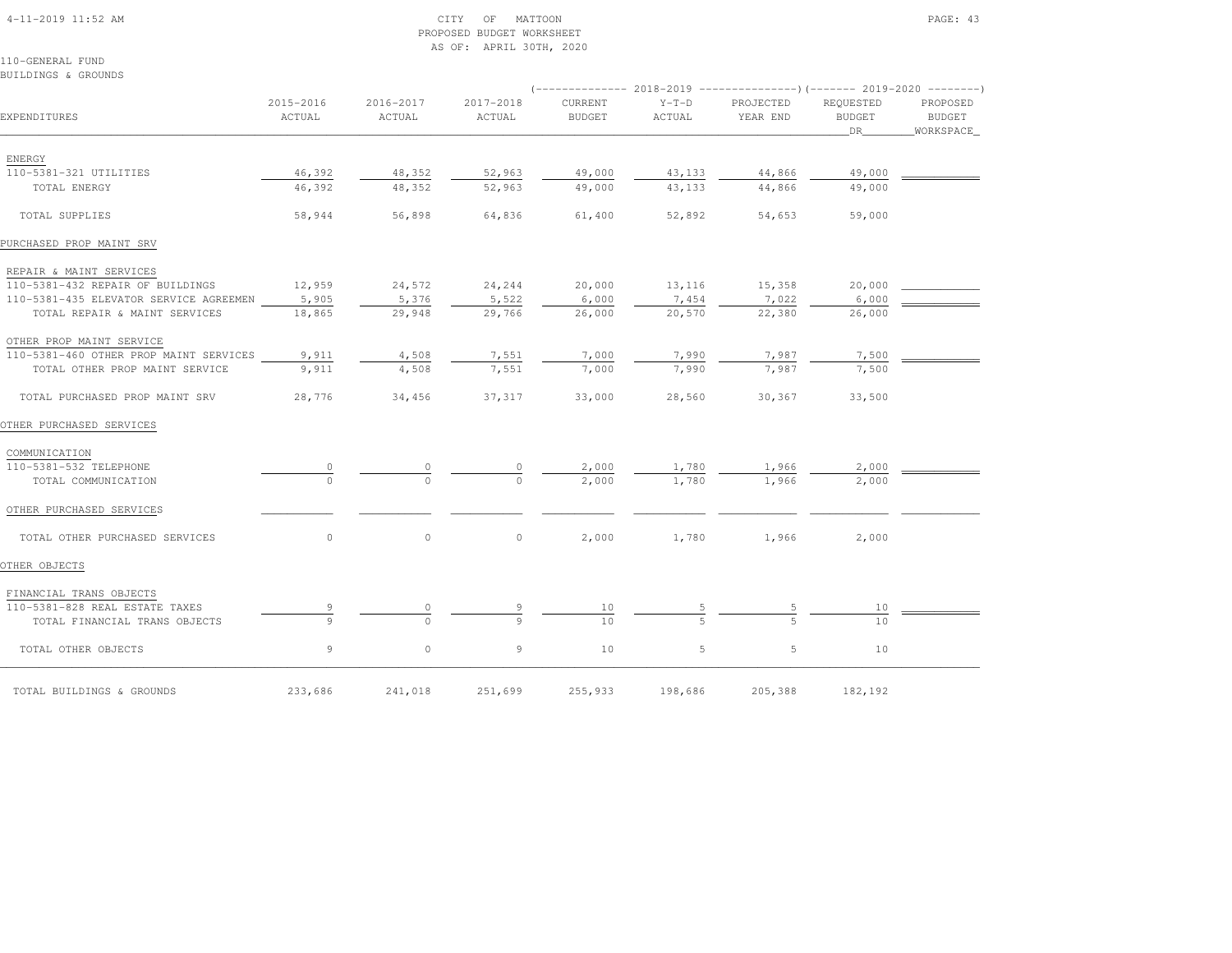# 4-11-2019 11:52 AM CITY OF MATTOON PAGE: 43 PROPOSED BUDGET WORKSHEETAS OF: APRIL 30TH, 2020

110-GENERAL FUNDBUILDINGS & GROUNDS

|                                              |                     |                     |                     |                          |                   | (-------------- 2018-2019 ----------------)(------- 2019-2020 --------) |                            |                    |
|----------------------------------------------|---------------------|---------------------|---------------------|--------------------------|-------------------|-------------------------------------------------------------------------|----------------------------|--------------------|
| EXPENDITURES                                 | 2015-2016<br>ACTUAL | 2016-2017<br>ACTUAL | 2017-2018<br>ACTUAL | CURRENT<br><b>BUDGET</b> | $Y-T-D$<br>ACTUAL | PROJECTED<br>YEAR END                                                   | REQUESTED<br><b>BUDGET</b> | PROPOSED<br>BUDGET |
|                                              |                     |                     |                     |                          |                   |                                                                         | DR                         | WORKSPACE          |
|                                              |                     |                     |                     |                          |                   |                                                                         |                            |                    |
| ENERGY<br>110-5381-321 UTILITIES             | 46,392              | 48,352              | 52,963              | 49,000                   | 43,133            | 44,866                                                                  | 49,000                     |                    |
| TOTAL ENERGY                                 | 46,392              | 48,352              | 52,963              | 49,000                   | 43,133            | 44,866                                                                  | 49,000                     |                    |
|                                              |                     |                     |                     |                          |                   |                                                                         |                            |                    |
| TOTAL SUPPLIES                               | 58,944              | 56,898              | 64,836              | 61,400                   | 52,892            | 54,653                                                                  | 59,000                     |                    |
| PURCHASED PROP MAINT SRV                     |                     |                     |                     |                          |                   |                                                                         |                            |                    |
| REPAIR & MAINT SERVICES                      |                     |                     |                     |                          |                   |                                                                         |                            |                    |
| 110-5381-432 REPAIR OF BUILDINGS             | 12,959              | 24,572              | 24,244              | 20,000                   | 13,116            | 15,358                                                                  | 20,000                     |                    |
| 110-5381-435 ELEVATOR SERVICE AGREEMEN 5,905 |                     | 5,376               | 5,522               | 6,000                    | 7,454             | 7,022                                                                   | 6,000                      |                    |
| TOTAL REPAIR & MAINT SERVICES                | 18,865              | 29,948              | 29,766              | 26,000                   | 20,570            | 22,380                                                                  | 26,000                     |                    |
| OTHER PROP MAINT SERVICE                     |                     |                     |                     |                          |                   |                                                                         |                            |                    |
| 110-5381-460 OTHER PROP MAINT SERVICES 9,911 |                     | 4,508               | 7,551               | 7,000                    | 7,990             | 7,987                                                                   | 7,500                      |                    |
| TOTAL OTHER PROP MAINT SERVICE               | 9,911               | 4,508               | 7.551               | 7,000                    | 7.990             | 7.987                                                                   | 7,500                      |                    |
| TOTAL PURCHASED PROP MAINT SRV               | 28,776              | 34,456              | 37,317              | 33,000                   | 28,560            | 30,367                                                                  | 33,500                     |                    |
| OTHER PURCHASED SERVICES                     |                     |                     |                     |                          |                   |                                                                         |                            |                    |
| COMMUNICATION                                |                     |                     |                     |                          |                   |                                                                         |                            |                    |
| 110-5381-532 TELEPHONE                       |                     |                     | $\frac{0}{0}$       | 2,000                    | 1,780             | 1,966                                                                   | 2,000                      |                    |
| TOTAL COMMUNICATION                          |                     |                     |                     | 2,000                    | 1,780             | 1,966                                                                   | 2,000                      |                    |
| OTHER PURCHASED SERVICES                     |                     |                     |                     |                          |                   |                                                                         |                            |                    |
| TOTAL OTHER PURCHASED SERVICES               | $\circ$             | $\circ$             | $\circ$             | 2,000                    | 1,780             | 1,966                                                                   | 2,000                      |                    |
| OTHER OBJECTS                                |                     |                     |                     |                          |                   |                                                                         |                            |                    |
| FINANCIAL TRANS OBJECTS                      |                     |                     |                     |                          |                   |                                                                         |                            |                    |
| 110-5381-828 REAL ESTATE TAXES               |                     |                     |                     | 10                       |                   |                                                                         | 10                         |                    |
| TOTAL FINANCIAL TRANS OBJECTS                |                     | $\cap$              |                     | 10                       |                   |                                                                         | 10                         |                    |
| TOTAL OTHER OBJECTS                          | 9                   | $\circ$             | 9                   | 10                       | 5                 | 5                                                                       | 10                         |                    |
| TOTAL BUILDINGS & GROUNDS                    | 233,686             | 241,018             | 251,699             | 255,933                  | 198,686           | 205,388                                                                 | 182,192                    |                    |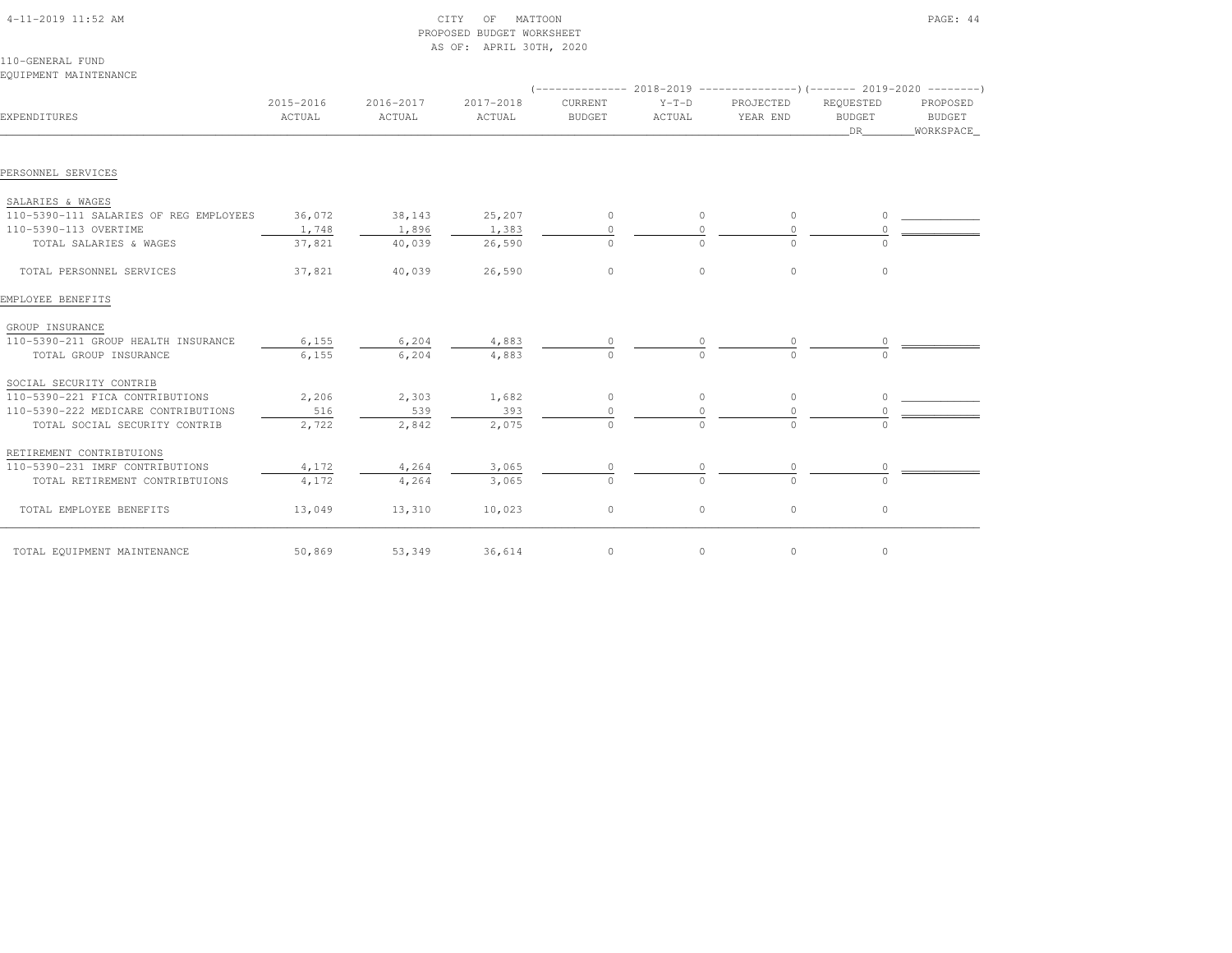| EQUIPMENT MAINTENANCE                  |                     |                     |                     |                          |                   |                                                                                               |                                  |                                        |
|----------------------------------------|---------------------|---------------------|---------------------|--------------------------|-------------------|-----------------------------------------------------------------------------------------------|----------------------------------|----------------------------------------|
| EXPENDITURES                           | 2015-2016<br>ACTUAL | 2016-2017<br>ACTUAL | 2017-2018<br>ACTUAL | CURRENT<br><b>BUDGET</b> | $Y-T-D$<br>ACTUAL | (-------------- 2018-2019 ---------------------- 2019-2020 ---------<br>PROJECTED<br>YEAR END | REQUESTED<br><b>BUDGET</b><br>DR | PROPOSED<br><b>BUDGET</b><br>WORKSPACE |
| PERSONNEL SERVICES                     |                     |                     |                     |                          |                   |                                                                                               |                                  |                                        |
| SALARIES & WAGES                       |                     |                     |                     |                          |                   |                                                                                               |                                  |                                        |
| 110-5390-111 SALARIES OF REG EMPLOYEES | 36,072              | 38,143              | 25,207              | 0                        | $\circ$           | $\circ$                                                                                       | $\Omega$                         |                                        |
| 110-5390-113 OVERTIME                  | 1,748               | 1,896               | 1,383               | $\circ$                  | $\Omega$          | $\Omega$                                                                                      |                                  |                                        |
| TOTAL SALARIES & WAGES                 | 37,821              | 40,039              | 26,590              | $\Omega$                 | $\Omega$          | $\Omega$                                                                                      | $\Omega$                         |                                        |
| TOTAL PERSONNEL SERVICES               | 37,821              | 40,039              | 26,590              | $\circ$                  | $\circ$           | $\circ$                                                                                       | $\circ$                          |                                        |
| EMPLOYEE BENEFITS                      |                     |                     |                     |                          |                   |                                                                                               |                                  |                                        |
| GROUP INSURANCE                        |                     |                     |                     |                          |                   |                                                                                               |                                  |                                        |
| 110-5390-211 GROUP HEALTH INSURANCE    | 6,155               | 6,204               | 4,883               |                          |                   |                                                                                               |                                  |                                        |
| TOTAL GROUP INSURANCE                  | 6,155               | 6,204               | 4,883               |                          |                   |                                                                                               |                                  |                                        |
| SOCIAL SECURITY CONTRIB                |                     |                     |                     |                          |                   |                                                                                               |                                  |                                        |
| 110-5390-221 FICA CONTRIBUTIONS        | 2,206               | 2,303               | 1,682               | $\circ$                  | $\circ$           | $\circ$                                                                                       | $\circ$                          |                                        |
| 110-5390-222 MEDICARE CONTRIBUTIONS    | 516                 | 539                 | 393                 |                          |                   | $\Omega$                                                                                      |                                  |                                        |
| TOTAL SOCIAL SECURITY CONTRIB          | 2,722               | 2,842               | 2,075               | $\circ$                  | $\circ$           | $\Omega$                                                                                      | $\bigcap$                        |                                        |
| RETIREMENT CONTRIBTUIONS               |                     |                     |                     |                          |                   |                                                                                               |                                  |                                        |
| 110-5390-231 IMRF CONTRIBUTIONS        | 4,172               | 4,264               | 3,065               | $\circ$                  | 0                 | 0                                                                                             | 0                                |                                        |
| TOTAL RETIREMENT CONTRIBTUIONS         | 4,172               | 4,264               | 3,065               | $\Omega$                 | $\Omega$          | $\Omega$                                                                                      | $\Omega$                         |                                        |
| TOTAL EMPLOYEE BENEFITS                | 13,049              | 13,310              | 10,023              | $\mathbb O$              | $\circ$           | $\circ$                                                                                       | $\circ$                          |                                        |
| TOTAL EQUIPMENT MAINTENANCE            | 50,869              | 53,349              | 36,614              | 0                        | $\circ$           | $\circ$                                                                                       | $\circ$                          |                                        |

 4-11-2019 11:52 AM CITY OF MATTOON PAGE: 44PROPOSED BUDGET WORKSHEET

AS OF: APRIL 30TH, 2020

110-GENERAL FUND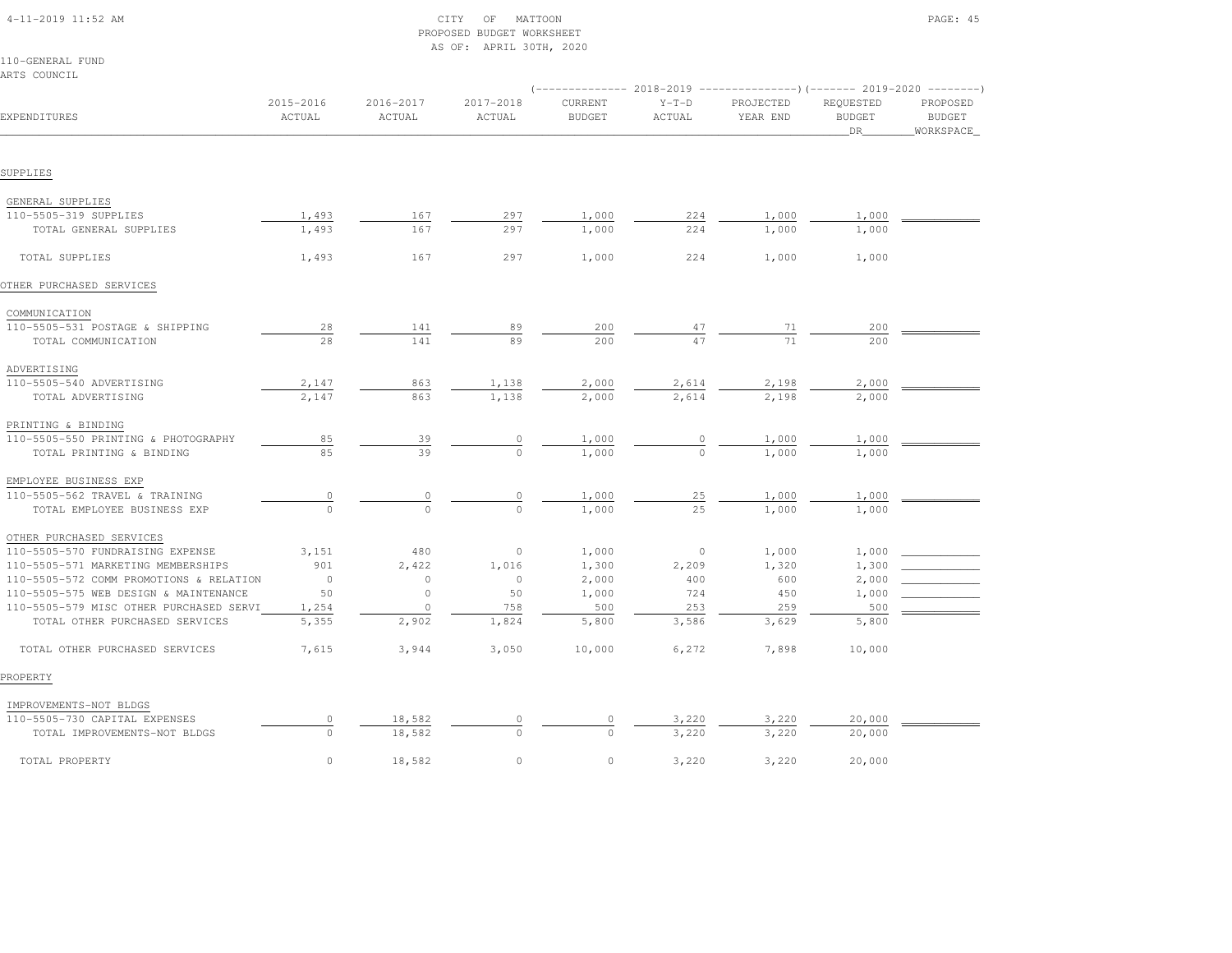| $4-11-2019$ $11:52$ AM |  |
|------------------------|--|

# $\begin{array}{ccc} \text{CITY} & \text{OF} & \text{MATTOON} \end{array}$  PROPOSED BUDGET WORKSHEETAS OF: APRIL 30TH, 2020

110-GENERAL FUNDARTS COUNCIL

|                                         |                     |                     |                     | (-------------- 2018-2019 ----------------) (------- 2019-2020 --------) |                   |                       |                                  |                                        |
|-----------------------------------------|---------------------|---------------------|---------------------|--------------------------------------------------------------------------|-------------------|-----------------------|----------------------------------|----------------------------------------|
| EXPENDITURES                            | 2015-2016<br>ACTUAL | 2016-2017<br>ACTUAL | 2017-2018<br>ACTUAL | CURRENT<br><b>BUDGET</b>                                                 | $Y-T-D$<br>ACTUAL | PROJECTED<br>YEAR END | REQUESTED<br><b>BUDGET</b><br>DR | PROPOSED<br><b>BUDGET</b><br>WORKSPACE |
|                                         |                     |                     |                     |                                                                          |                   |                       |                                  |                                        |
| SUPPLIES                                |                     |                     |                     |                                                                          |                   |                       |                                  |                                        |
| GENERAL SUPPLIES                        |                     |                     |                     |                                                                          |                   |                       |                                  |                                        |
| 110-5505-319 SUPPLIES                   | 1,493               | 167                 | 297                 | 1,000                                                                    | 224               | 1,000                 | 1,000                            |                                        |
| TOTAL GENERAL SUPPLIES                  | 1,493               | 167                 | 297                 | 1,000                                                                    | 224               | 1,000                 | 1,000                            |                                        |
| TOTAL SUPPLIES                          | 1,493               | 167                 | 297                 | 1,000                                                                    | 224               | 1,000                 | 1,000                            |                                        |
| OTHER PURCHASED SERVICES                |                     |                     |                     |                                                                          |                   |                       |                                  |                                        |
| COMMUNICATION                           |                     |                     |                     |                                                                          |                   |                       |                                  |                                        |
| 110-5505-531 POSTAGE & SHIPPING         | 28                  | 141                 | 89                  | 200                                                                      | 47                | 71                    | 200                              |                                        |
| TOTAL COMMUNICATION                     | 28                  | 141                 | 89                  | 200                                                                      | 47                | 71                    | 200                              |                                        |
| ADVERTISING                             |                     |                     |                     |                                                                          |                   |                       |                                  |                                        |
| 110-5505-540 ADVERTISING                | 2,147               | 863                 | 1,138               | 2,000                                                                    | 2,614             | 2,198                 | 2,000                            |                                        |
| TOTAL ADVERTISING                       | 2,147               | 863                 | 1,138               | 2,000                                                                    | 2,614             | 2,198                 | 2,000                            |                                        |
| PRINTING & BINDING                      |                     |                     |                     |                                                                          |                   |                       |                                  |                                        |
| 110-5505-550 PRINTING & PHOTOGRAPHY     | 85                  | 39                  | 0                   | 1,000                                                                    |                   | 1,000                 | 1,000                            |                                        |
| TOTAL PRINTING & BINDING                | 85                  | 39                  | $\Omega$            | 1,000                                                                    | $\Omega$          | 1,000                 | 1,000                            |                                        |
| EMPLOYEE BUSINESS EXP                   |                     |                     |                     |                                                                          |                   |                       |                                  |                                        |
| 110-5505-562 TRAVEL & TRAINING          | $\circ$             |                     | $\circ$             | 1,000                                                                    | 25                | 1,000                 | 1,000                            |                                        |
| TOTAL EMPLOYEE BUSINESS EXP             | $\circ$             | $\Omega$            | $\Omega$            | 1,000                                                                    | 25                | 1,000                 | 1,000                            |                                        |
| OTHER PURCHASED SERVICES                |                     |                     |                     |                                                                          |                   |                       |                                  |                                        |
| 110-5505-570 FUNDRAISING EXPENSE        | 3,151               | 480                 | $\circ$             | 1,000                                                                    | $\overline{0}$    | 1,000                 | 1,000                            |                                        |
| 110-5505-571 MARKETING MEMBERSHIPS      | 901                 | 2,422               | 1,016               | 1,300                                                                    | 2,209             | 1,320                 | 1,300                            |                                        |
| 110-5505-572 COMM PROMOTIONS & RELATION | $\overline{0}$      | $\circ$             | $\circ$             | 2,000                                                                    | 400               | 600                   | 2,000                            |                                        |
| 110-5505-575 WEB DESIGN & MAINTENANCE   | 50                  | $\circ$             | 50                  | 1,000                                                                    | 724               | 450                   | 1,000                            |                                        |
| 110-5505-579 MISC OTHER PURCHASED SERVI | 1,254               | $\circ$             | 758                 | 500                                                                      | 253               | 259                   | 500                              |                                        |
| TOTAL OTHER PURCHASED SERVICES          | 5,355               | 2,902               | 1,824               | 5,800                                                                    | 3,586             | 3,629                 | 5,800                            |                                        |
| TOTAL OTHER PURCHASED SERVICES          | 7,615               | 3,944               | 3,050               | 10,000                                                                   | 6,272             | 7,898                 | 10,000                           |                                        |
| PROPERTY                                |                     |                     |                     |                                                                          |                   |                       |                                  |                                        |
| IMPROVEMENTS-NOT BLDGS                  |                     |                     |                     |                                                                          |                   |                       |                                  |                                        |
| 110-5505-730 CAPITAL EXPENSES           | $\circ$             | 18,582              | 0                   | $\circ$                                                                  | 3,220             | 3,220                 | 20,000                           |                                        |
| TOTAL IMPROVEMENTS-NOT BLDGS            | $\Omega$            | 18,582              | $\Omega$            | $\Omega$                                                                 | 3,220             | 3,220                 | 20,000                           |                                        |
| TOTAL PROPERTY                          | $\circ$             | 18,582              | $\circ$             | $\circ$                                                                  | 3,220             | 3,220                 | 20,000                           |                                        |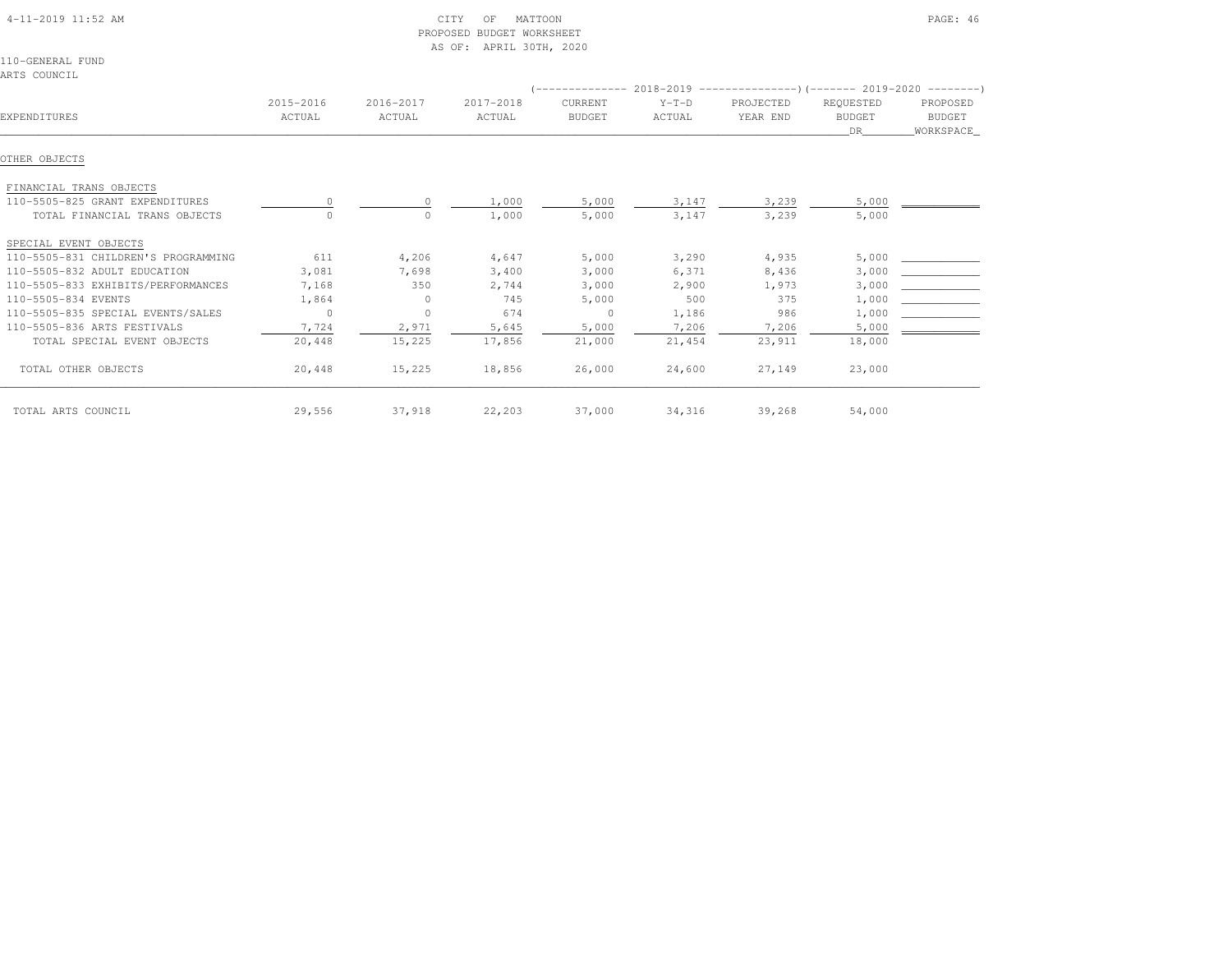| $4-11-2019$ $11:52$ AM |  |
|------------------------|--|

# CITY OF MATTOON PAGE: 46 PROPOSED BUDGET WORKSHEETAS OF: APRIL 30TH, 2020

110-GENERAL FUNDARTS COUNCIL

|                                     |           |           |           |                |         | -------------- 2018-2019 --------------------- (------- 2019-2020 ----------) |               |               |
|-------------------------------------|-----------|-----------|-----------|----------------|---------|-------------------------------------------------------------------------------|---------------|---------------|
|                                     | 2015-2016 | 2016-2017 | 2017-2018 | <b>CURRENT</b> | $Y-T-D$ | PROJECTED                                                                     | REQUESTED     | PROPOSED      |
| EXPENDITURES                        | ACTUAL    | ACTUAL    | ACTUAL    | <b>BUDGET</b>  | ACTUAL  | YEAR END                                                                      | <b>BUDGET</b> | <b>BUDGET</b> |
|                                     |           |           |           |                |         |                                                                               | DR.           | WORKSPACE_    |
|                                     |           |           |           |                |         |                                                                               |               |               |
| OTHER OBJECTS                       |           |           |           |                |         |                                                                               |               |               |
| FINANCIAL TRANS OBJECTS             |           |           |           |                |         |                                                                               |               |               |
| 110-5505-825 GRANT EXPENDITURES     |           | $\circ$   | 1,000     | 5,000          | 3,147   | 3,239                                                                         | 5,000         |               |
| TOTAL FINANCIAL TRANS OBJECTS       |           | 0         | 1,000     | 5,000          | 3,147   | 3,239                                                                         | 5,000         |               |
| SPECIAL EVENT OBJECTS               |           |           |           |                |         |                                                                               |               |               |
| 110-5505-831 CHILDREN'S PROGRAMMING | 611       | 4,206     | 4,647     | 5,000          | 3,290   | 4,935                                                                         | 5,000         |               |
| 110-5505-832 ADULT EDUCATION        | 3,081     | 7,698     | 3,400     | 3,000          | 6,371   | 8,436                                                                         | 3,000         |               |
| 110-5505-833 EXHIBITS/PERFORMANCES  | 7,168     | 350       | 2,744     | 3,000          | 2,900   | 1,973                                                                         | 3,000         |               |
| 110-5505-834 EVENTS                 | 1,864     | $\circ$   | 745       | 5,000          | 500     | 375                                                                           | 1,000         |               |
| 110-5505-835 SPECIAL EVENTS/SALES   | $\circ$   | $\circ$   | 674       | $\overline{0}$ | 1,186   | 986                                                                           | 1,000         |               |
| 110-5505-836 ARTS FESTIVALS         | 7,724     | 2,971     | 5,645     | 5,000          | 7,206   | 7,206                                                                         | 5,000         |               |
| TOTAL SPECIAL EVENT OBJECTS         | 20,448    | 15,225    | 17,856    | 21,000         | 21,454  | 23,911                                                                        | 18,000        |               |
| TOTAL OTHER OBJECTS                 | 20,448    | 15,225    | 18,856    | 26,000         | 24,600  | 27,149                                                                        | 23,000        |               |
| TOTAL ARTS COUNCIL                  | 29,556    | 37,918    | 22,203    | 37,000         | 34,316  | 39,268                                                                        | 54,000        |               |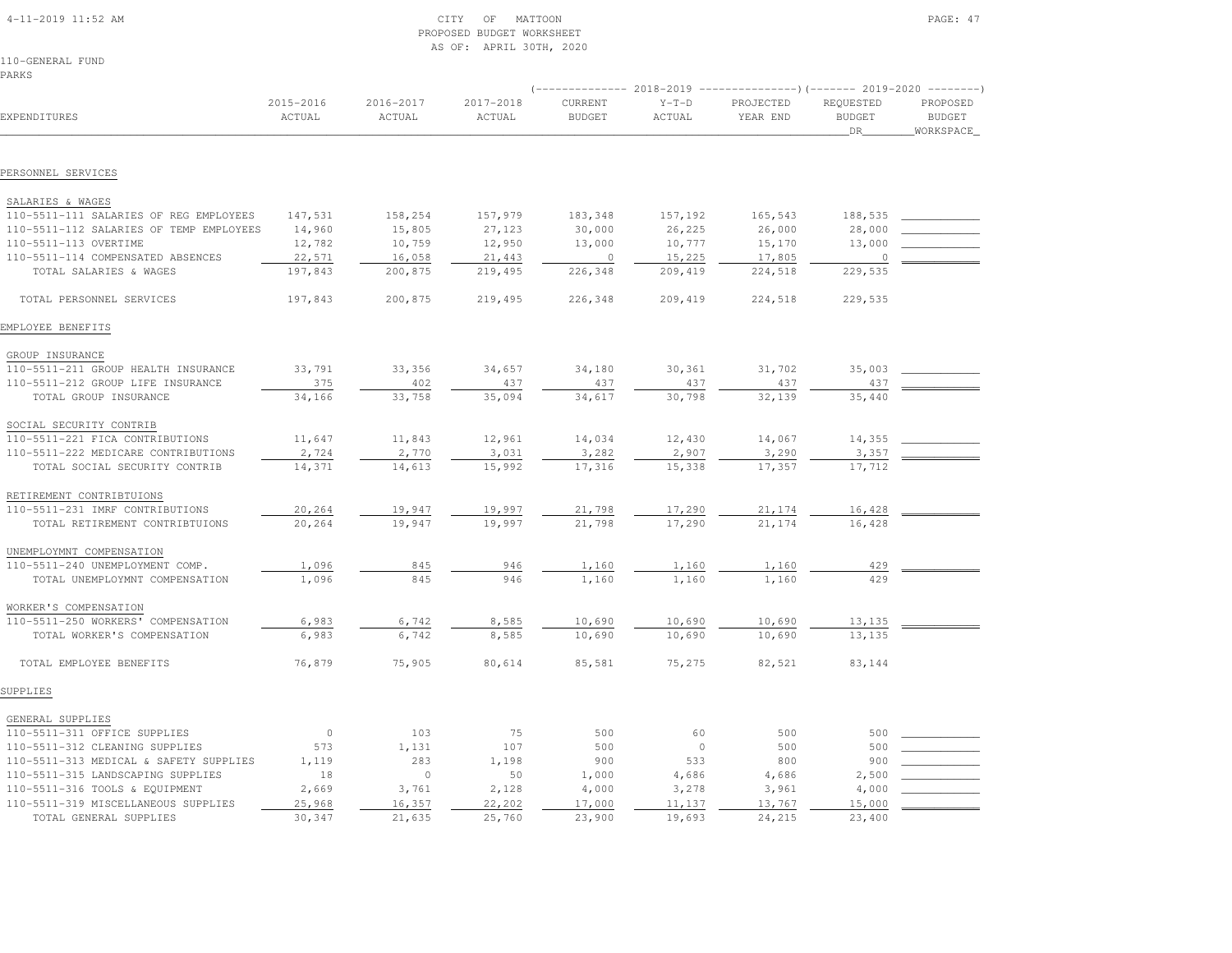|  | 4-11-2019 11:52 AM |  |
|--|--------------------|--|

# $\begin{array}{ccc} \text{CITY} & \text{OF} & \text{MATION} \end{array}$  PROPOSED BUDGET WORKSHEETAS OF: APRIL 30TH, 2020

110-GENERAL FUNDPARKS

|                                         | 2018-2019<br>---------------)(------- 2019-2020 --------- |                     |                     |                          |                   |                       |                                         |                                        |
|-----------------------------------------|-----------------------------------------------------------|---------------------|---------------------|--------------------------|-------------------|-----------------------|-----------------------------------------|----------------------------------------|
| EXPENDITURES                            | 2015-2016<br>ACTUAL                                       | 2016-2017<br>ACTUAL | 2017-2018<br>ACTUAL | CURRENT<br><b>BUDGET</b> | $Y-T-D$<br>ACTUAL | PROJECTED<br>YEAR END | REQUESTED<br><b>BUDGET</b><br><b>DR</b> | PROPOSED<br><b>BUDGET</b><br>WORKSPACE |
|                                         |                                                           |                     |                     |                          |                   |                       |                                         |                                        |
| PERSONNEL SERVICES                      |                                                           |                     |                     |                          |                   |                       |                                         |                                        |
| SALARIES & WAGES                        |                                                           |                     |                     |                          |                   |                       |                                         |                                        |
| 110-5511-111 SALARIES OF REG EMPLOYEES  | 147,531                                                   | 158,254             | 157,979             | 183,348                  | 157,192           | 165,543               | 188,535                                 |                                        |
| 110-5511-112 SALARIES OF TEMP EMPLOYEES | 14,960                                                    | 15,805              | 27,123              | 30,000                   | 26,225            | 26,000                | 28,000                                  |                                        |
| 110-5511-113 OVERTIME                   | 12,782                                                    | 10,759              | 12,950              | 13,000                   | 10,777            | 15,170                | 13,000                                  |                                        |
| 110-5511-114 COMPENSATED ABSENCES       | 22,571                                                    | 16,058              | 21,443              | $\overline{0}$           | 15,225            | 17,805                | 0                                       |                                        |
| TOTAL SALARIES & WAGES                  | 197,843                                                   | 200,875             | 219,495             | 226,348                  | 209,419           | 224,518               | 229,535                                 |                                        |
| TOTAL PERSONNEL SERVICES                | 197,843                                                   | 200,875             | 219,495             | 226,348                  | 209,419           | 224,518               | 229,535                                 |                                        |
| EMPLOYEE BENEFITS                       |                                                           |                     |                     |                          |                   |                       |                                         |                                        |
| GROUP INSURANCE                         |                                                           |                     |                     |                          |                   |                       |                                         |                                        |
| 110-5511-211 GROUP HEALTH INSURANCE     | 33,791                                                    | 33,356              | 34,657              | 34,180                   | 30,361            | 31,702                | 35,003                                  |                                        |
| 110-5511-212 GROUP LIFE INSURANCE       | 375                                                       | 402                 | 437                 | 437                      | 437               | 437                   | 437                                     |                                        |
| TOTAL GROUP INSURANCE                   | 34,166                                                    | 33,758              | 35,094              | 34,617                   | 30,798            | 32,139                | 35,440                                  |                                        |
| SOCIAL SECURITY CONTRIB                 |                                                           |                     |                     |                          |                   |                       |                                         |                                        |
| 110-5511-221 FICA CONTRIBUTIONS         | 11,647                                                    | 11,843              | 12,961              | 14,034                   | 12,430            | 14,067                | 14,355                                  |                                        |
| 110-5511-222 MEDICARE CONTRIBUTIONS     | 2,724                                                     | 2,770               | 3,031               | 3,282                    | 2,907             | 3,290                 | 3,357                                   |                                        |
| TOTAL SOCIAL SECURITY CONTRIB           | 14,371                                                    | 14,613              | 15,992              | 17,316                   | 15,338            | 17,357                | 17,712                                  |                                        |
| RETIREMENT CONTRIBTUIONS                |                                                           |                     |                     |                          |                   |                       |                                         |                                        |
| 110-5511-231 IMRF CONTRIBUTIONS         | 20,264                                                    | 19,947              | 19,997              | 21,798                   | 17,290            | 21,174                | 16,428                                  |                                        |
| TOTAL RETIREMENT CONTRIBTUIONS          | 20,264                                                    | 19,947              | 19,997              | 21,798                   | 17,290            | 21,174                | 16,428                                  |                                        |
| UNEMPLOYMNT COMPENSATION                |                                                           |                     |                     |                          |                   |                       |                                         |                                        |
| 110-5511-240 UNEMPLOYMENT COMP.         | 1,096                                                     | 845                 | 946                 | 1,160                    | 1,160             | 1,160                 | 429                                     |                                        |
| TOTAL UNEMPLOYMNT COMPENSATION          | 1,096                                                     | 845                 | 946                 | 1,160                    | 1,160             | 1,160                 | 429                                     |                                        |
| WORKER'S COMPENSATION                   |                                                           |                     |                     |                          |                   |                       |                                         |                                        |
| 110-5511-250 WORKERS' COMPENSATION      | 6,983                                                     | 6,742               | 8,585               | 10,690                   | 10,690            | 10,690                | 13,135                                  |                                        |
| TOTAL WORKER'S COMPENSATION             | 6,983                                                     | 6,742               | 8,585               | 10,690                   | 10,690            | 10,690                | 13,135                                  |                                        |
| TOTAL EMPLOYEE BENEFITS                 | 76,879                                                    | 75,905              | 80,614              | 85,581                   | 75,275            | 82,521                | 83,144                                  |                                        |
| SUPPLIES                                |                                                           |                     |                     |                          |                   |                       |                                         |                                        |
| GENERAL SUPPLIES                        |                                                           |                     |                     |                          |                   |                       |                                         |                                        |
| 110-5511-311 OFFICE SUPPLIES            | $\circ$                                                   | 103                 | 75                  | 500                      | 60                | 500                   | 500                                     |                                        |
| 110-5511-312 CLEANING SUPPLIES          | 573                                                       | 1,131               | 107                 | 500                      | $\circ$           | 500                   | 500                                     |                                        |
| 110-5511-313 MEDICAL & SAFETY SUPPLIES  | 1,119                                                     | 283                 | 1,198               | 900                      | 533               | 800                   | 900                                     |                                        |
| 110-5511-315 LANDSCAPING SUPPLIES       | 18                                                        | $\circ$             | 50                  | 1,000                    | 4,686             | 4,686                 | 2,500                                   |                                        |
| 110-5511-316 TOOLS & EQUIPMENT          | 2,669                                                     | 3,761               | 2,128               | 4,000                    | 3,278             | 3,961                 | 4,000                                   |                                        |
| 110-5511-319 MISCELLANEOUS SUPPLIES     | 25,968                                                    | 16,357              | 22,202              | 17,000                   | 11,137            | 13,767                | 15,000                                  |                                        |
| TOTAL GENERAL SUPPLIES                  | 30,347                                                    | 21,635              | 25,760              | 23,900                   | 19,693            | 24,215                | 23,400                                  |                                        |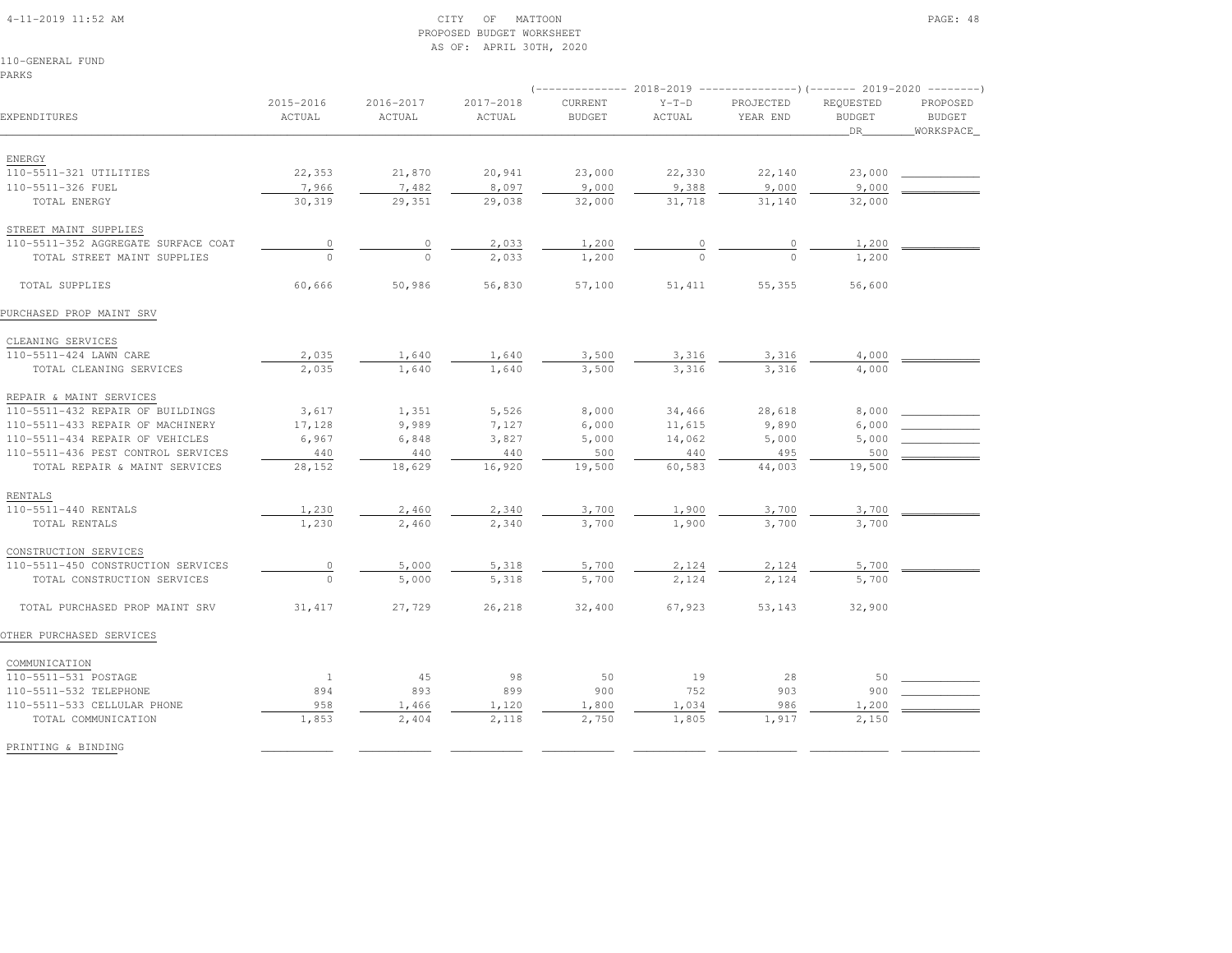### 4-11-2019 11:52 AM CITY OF MATTOON PAGE: 48 PROPOSED BUDGET WORKSHEETAS OF: APRIL 30TH, 2020

110-GENERAL FUNDPARKS

|                                     |                     |                     |                     |                          |                   | (-------------- 2018-2019 ----------------)(------- 2019-2020 --------) |                                  |                                        |
|-------------------------------------|---------------------|---------------------|---------------------|--------------------------|-------------------|-------------------------------------------------------------------------|----------------------------------|----------------------------------------|
| EXPENDITURES                        | 2015-2016<br>ACTUAL | 2016-2017<br>ACTUAL | 2017-2018<br>ACTUAL | CURRENT<br><b>BUDGET</b> | $Y-T-D$<br>ACTUAL | PROJECTED<br>YEAR END                                                   | REQUESTED<br><b>BUDGET</b><br>DR | PROPOSED<br><b>BUDGET</b><br>WORKSPACE |
|                                     |                     |                     |                     |                          |                   |                                                                         |                                  |                                        |
| ENERGY                              |                     |                     |                     |                          |                   |                                                                         |                                  |                                        |
| 110-5511-321 UTILITIES              | 22,353              | 21,870              | 20,941              | 23,000                   | 22,330            | 22,140                                                                  | 23,000                           |                                        |
| 110-5511-326 FUEL                   | 7,966               | 7,482               | 8,097               | 9,000                    | 9,388             | 9,000                                                                   | 9,000                            |                                        |
| TOTAL ENERGY                        | 30,319              | 29,351              | 29,038              | 32,000                   | 31,718            | 31,140                                                                  | 32,000                           |                                        |
| STREET MAINT SUPPLIES               |                     |                     |                     |                          |                   |                                                                         |                                  |                                        |
| 110-5511-352 AGGREGATE SURFACE COAT | $\circ$             | $\circ$             | 2,033               | 1,200                    | 0                 | 0                                                                       | 1,200                            |                                        |
| TOTAL STREET MAINT SUPPLIES         | $\Omega$            | $\Omega$            | 2,033               | 1,200                    |                   |                                                                         | 1,200                            |                                        |
| TOTAL SUPPLIES                      | 60,666              | 50,986              | 56,830              | 57,100                   | 51,411            | 55,355                                                                  | 56,600                           |                                        |
| PURCHASED PROP MAINT SRV            |                     |                     |                     |                          |                   |                                                                         |                                  |                                        |
| CLEANING SERVICES                   |                     |                     |                     |                          |                   |                                                                         |                                  |                                        |
| 110-5511-424 LAWN CARE              | 2,035               | 1,640               | 1,640               | 3,500                    | 3,316             | 3,316                                                                   | 4,000                            |                                        |
| TOTAL CLEANING SERVICES             | 2,035               | 1,640               | 1,640               | 3,500                    | 3,316             | 3,316                                                                   | 4,000                            |                                        |
| REPAIR & MAINT SERVICES             |                     |                     |                     |                          |                   |                                                                         |                                  |                                        |
| 110-5511-432 REPAIR OF BUILDINGS    | 3,617               | 1,351               | 5,526               | 8,000                    | 34,466            | 28,618                                                                  | 8,000                            |                                        |
| 110-5511-433 REPAIR OF MACHINERY    | 17,128              | 9,989               | 7,127               | 6,000                    | 11,615            | 9,890                                                                   | 6,000                            |                                        |
| 110-5511-434 REPAIR OF VEHICLES     | 6,967               | 6,848               | 3,827               | 5,000                    | 14,062            | 5,000                                                                   | 5,000                            |                                        |
| 110-5511-436 PEST CONTROL SERVICES  | 440                 | 440                 | 440                 | 500                      | 440               | 495                                                                     | 500                              |                                        |
| TOTAL REPAIR & MAINT SERVICES       | 28,152              | 18,629              | 16,920              | 19,500                   | 60,583            | 44,003                                                                  | 19,500                           |                                        |
| RENTALS                             |                     |                     |                     |                          |                   |                                                                         |                                  |                                        |
| 110-5511-440 RENTALS                | 1,230               | 2,460               | 2,340               | 3,700                    | 1,900             | 3,700                                                                   | 3,700                            |                                        |
| TOTAL RENTALS                       | 1,230               | 2,460               | 2,340               | 3,700                    | 1,900             | 3,700                                                                   | 3,700                            |                                        |
| CONSTRUCTION SERVICES               |                     |                     |                     |                          |                   |                                                                         |                                  |                                        |
| 110-5511-450 CONSTRUCTION SERVICES  | $\circ$             | 5,000               | 5,318               | 5,700                    | 2,124             | 2,124                                                                   | 5,700                            |                                        |
| TOTAL CONSTRUCTION SERVICES         | $\Omega$            | 5,000               | 5,318               | 5,700                    | 2,124             | 2,124                                                                   | 5,700                            |                                        |
| TOTAL PURCHASED PROP MAINT SRV      | 31,417              | 27,729              | 26,218              | 32,400                   | 67,923            | 53,143                                                                  | 32,900                           |                                        |
| OTHER PURCHASED SERVICES            |                     |                     |                     |                          |                   |                                                                         |                                  |                                        |
| COMMUNICATION                       |                     |                     |                     |                          |                   |                                                                         |                                  |                                        |
| 110-5511-531 POSTAGE                | <sup>1</sup>        | 45                  | 98                  | 50                       | 19                | 28                                                                      | 50                               |                                        |
| 110-5511-532 TELEPHONE              | 894                 | 893                 | 899                 | 900                      | 752               | 903                                                                     | 900                              |                                        |
| 110-5511-533 CELLULAR PHONE         | 958                 | 1,466               | 1,120               | 1,800                    | 1,034             | 986                                                                     | 1,200                            |                                        |
| TOTAL COMMUNICATION                 | 1,853               | 2,404               | 2,118               | 2,750                    | 1,805             | 1,917                                                                   | 2,150                            |                                        |
| PRINTING & BINDING                  |                     |                     |                     |                          |                   |                                                                         |                                  |                                        |
|                                     |                     |                     |                     |                          |                   |                                                                         |                                  |                                        |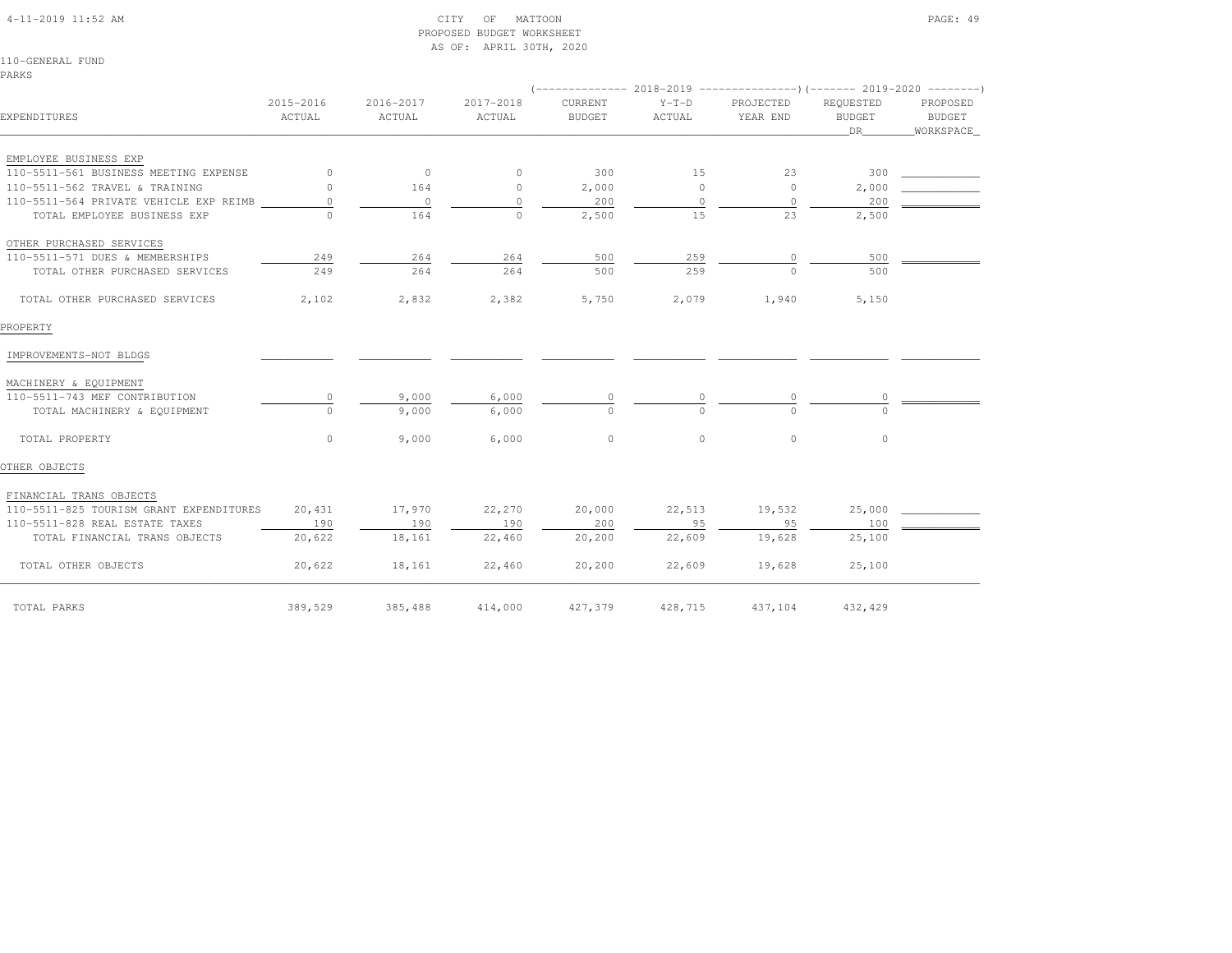|  | $4-11-2019$ $11:52$ AM |  |
|--|------------------------|--|

### $\begin{array}{ccc} \text{CITY} & \text{OF} & \text{MATION} \end{array}$  PROPOSED BUDGET WORKSHEETAS OF: APRIL 30TH, 2020

110-GENERAL FUNDPARKS

| EXPENDITURES                            | 2015-2016<br>ACTUAL | 2016-2017<br>ACTUAL | $2017 - 2018$<br>ACTUAL | CURRENT<br><b>BUDGET</b> | $Y-T-D$<br>ACTUAL | PROJECTED<br>YEAR END | REOUESTED<br><b>BUDGET</b><br>DR | PROPOSED<br>BUDGET<br>WORKSPACE |  |
|-----------------------------------------|---------------------|---------------------|-------------------------|--------------------------|-------------------|-----------------------|----------------------------------|---------------------------------|--|
| EMPLOYEE BUSINESS EXP                   |                     |                     |                         |                          |                   |                       |                                  |                                 |  |
| 110-5511-561 BUSINESS MEETING EXPENSE   | $\circ$             | $\circ$             | $\circ$                 | 300                      | 15                | 23                    | 300                              |                                 |  |
| 110-5511-562 TRAVEL & TRAINING          | $\Omega$            | 164                 | $\circ$                 | 2,000                    | $\circ$           | $\circ$               | 2,000                            |                                 |  |
| 110-5511-564 PRIVATE VEHICLE EXP REIMB  | $\circ$             | $\circ$             | $\circ$                 | 200                      | $\circ$           | $\circ$               | 200                              |                                 |  |
| TOTAL EMPLOYEE BUSINESS EXP             | $\cap$              | 164                 | $\Omega$                | 2,500                    | 15                | 23                    | 2,500                            |                                 |  |
| OTHER PURCHASED SERVICES                |                     |                     |                         |                          |                   |                       |                                  |                                 |  |
| 110-5511-571 DUES & MEMBERSHIPS         | 249                 | 264                 | 264                     | 500                      | 259               | $\circ$               | 500                              |                                 |  |
| TOTAL OTHER PURCHASED SERVICES          | 249                 | 264                 | 264                     | 500                      | 259               | $\Omega$              | 500                              |                                 |  |
| TOTAL OTHER PURCHASED SERVICES          | 2,102               | 2,832               | 2,382                   | 5,750                    | 2,079             | 1,940                 | 5,150                            |                                 |  |
| PROPERTY                                |                     |                     |                         |                          |                   |                       |                                  |                                 |  |
| IMPROVEMENTS-NOT BLDGS                  |                     |                     |                         |                          |                   |                       |                                  |                                 |  |
| MACHINERY & EQUIPMENT                   |                     |                     |                         |                          |                   |                       |                                  |                                 |  |
| 110-5511-743 MEF CONTRIBUTION           | $\circ$             | 9,000               | 6,000                   | $\circ$                  | 0                 | 0                     | 0                                |                                 |  |
| TOTAL MACHINERY & EQUIPMENT             | $\bigcap$           | 9,000               | 6,000                   | $\Omega$                 | $\cap$            | $\cap$                | $\cap$                           |                                 |  |
| TOTAL PROPERTY                          | $\circ$             | 9,000               | 6,000                   | $\circ$                  | $\circ$           | $\circ$               | $\circ$                          |                                 |  |
| OTHER OBJECTS                           |                     |                     |                         |                          |                   |                       |                                  |                                 |  |
| FINANCIAL TRANS OBJECTS                 |                     |                     |                         |                          |                   |                       |                                  |                                 |  |
| 110-5511-825 TOURISM GRANT EXPENDITURES | 20,431              | 17,970              | 22,270                  | 20,000                   | 22,513            | 19,532                | 25,000                           |                                 |  |
| 110-5511-828 REAL ESTATE TAXES          | 190                 | 190                 | 190                     | 200                      | 9.5               | 95                    | 100                              |                                 |  |
| TOTAL FINANCIAL TRANS OBJECTS           | 20,622              | 18,161              | 22,460                  | 20,200                   | 22,609            | 19,628                | 25,100                           |                                 |  |
| TOTAL OTHER OBJECTS                     | 20,622              | 18,161              | 22,460                  | 20, 200                  | 22,609            | 19,628                | 25,100                           |                                 |  |
| TOTAL PARKS                             | 389,529             | 385,488             | 414,000                 | 427,379                  | 428,715           | 437,104               | 432,429                          |                                 |  |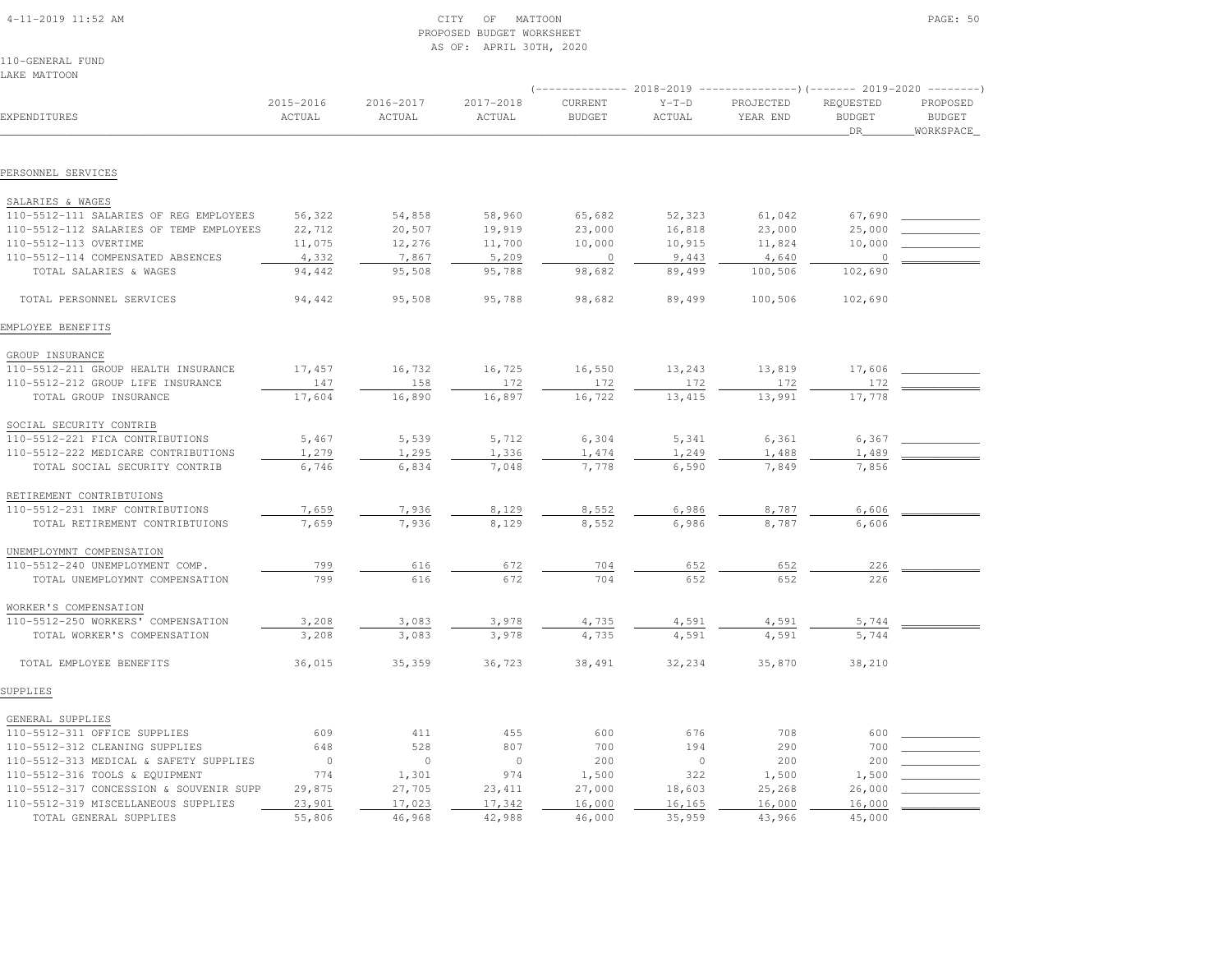# 4-11-2019 11:52 AM CITY OF MATTOON PAGE: 50 PROPOSED BUDGET WORKSHEETAS OF: APRIL 30TH, 2020

110-GENERAL FUNDLAKE MATTOON

| EXPENDITURES                            | 2015-2016<br>ACTUAL | 2016-2017<br>ACTUAL | 2017-2018<br>ACTUAL | CURRENT<br><b>BUDGET</b> | $Y-T-D$<br>ACTUAL | PROJECTED<br>YEAR END | REQUESTED<br><b>BUDGET</b><br>DR | PROPOSED<br><b>BUDGET</b><br>WORKSPACE |
|-----------------------------------------|---------------------|---------------------|---------------------|--------------------------|-------------------|-----------------------|----------------------------------|----------------------------------------|
| PERSONNEL SERVICES                      |                     |                     |                     |                          |                   |                       |                                  |                                        |
|                                         |                     |                     |                     |                          |                   |                       |                                  |                                        |
| SALARIES & WAGES                        |                     |                     |                     |                          |                   |                       |                                  |                                        |
| 110-5512-111 SALARIES OF REG EMPLOYEES  | 56,322              | 54,858              | 58,960              | 65,682                   | 52,323            | 61,042                | 67,690                           |                                        |
| 110-5512-112 SALARIES OF TEMP EMPLOYEES | 22,712              | 20,507              | 19,919              | 23,000                   | 16,818            | 23,000                | 25,000                           |                                        |
| 110-5512-113 OVERTIME                   | 11,075              | 12,276              | 11,700              | 10,000                   | 10,915            | 11,824                | 10,000                           |                                        |
| 110-5512-114 COMPENSATED ABSENCES       | 4,332               | 7,867               | 5,209               | $\circ$                  | 9,443             | 4,640                 | $\overline{0}$                   |                                        |
| TOTAL SALARIES & WAGES                  | 94,442              | 95,508              | 95,788              | 98,682                   | 89,499            | 100,506               | 102,690                          |                                        |
| TOTAL PERSONNEL SERVICES                | 94,442              | 95,508              | 95,788              | 98,682                   | 89,499            | 100,506               | 102,690                          |                                        |
| EMPLOYEE BENEFITS                       |                     |                     |                     |                          |                   |                       |                                  |                                        |
| GROUP INSURANCE                         |                     |                     |                     |                          |                   |                       |                                  |                                        |
| 110-5512-211 GROUP HEALTH INSURANCE     | 17,457              | 16,732              | 16,725              | 16,550                   | 13,243            | 13,819                | 17,606                           |                                        |
| 110-5512-212 GROUP LIFE INSURANCE       | 147                 | 158                 | 172                 | 172                      | 172               | 172                   | 172                              |                                        |
| TOTAL GROUP INSURANCE                   | 17,604              | 16,890              | 16,897              | 16,722                   | 13, 415           | 13,991                | 17,778                           |                                        |
| SOCIAL SECURITY CONTRIB                 |                     |                     |                     |                          |                   |                       |                                  |                                        |
| 110-5512-221 FICA CONTRIBUTIONS         | 5,467               | 5,539               | 5,712               | 6,304                    | 5,341             | 6,361                 | 6,367                            |                                        |
| 110-5512-222 MEDICARE CONTRIBUTIONS     | 1,279               | 1,295               | 1,336               | 1,474                    | 1,249             | 1,488                 | 1,489                            |                                        |
| TOTAL SOCIAL SECURITY CONTRIB           | 6,746               | 6,834               | 7,048               | 7,778                    | 6,590             | 7,849                 | 7,856                            |                                        |
| RETIREMENT CONTRIBTUIONS                |                     |                     |                     |                          |                   |                       |                                  |                                        |
| 110-5512-231 IMRF CONTRIBUTIONS         | 7,659               | 7,936               | 8,129               | 8,552                    | 6,986             | 8,787                 | 6,606                            |                                        |
| TOTAL RETIREMENT CONTRIBTUIONS          | 7,659               | 7,936               | 8,129               | 8,552                    | 6,986             | 8,787                 | 6,606                            |                                        |
|                                         |                     |                     |                     |                          |                   |                       |                                  |                                        |
| UNEMPLOYMNT COMPENSATION                |                     |                     |                     |                          |                   |                       |                                  |                                        |
| 110-5512-240 UNEMPLOYMENT COMP.         | 799                 | 616                 | 672<br>672          | 704<br>704               | 652<br>652        | 652                   | 226                              |                                        |
| TOTAL UNEMPLOYMNT COMPENSATION          | 799                 | 616                 |                     |                          |                   | 652                   | 226                              |                                        |
| WORKER'S COMPENSATION                   |                     |                     |                     |                          |                   |                       |                                  |                                        |
| 110-5512-250 WORKERS' COMPENSATION      | 3,208               | 3,083               | 3,978               | 4,735                    | 4,591             | 4,591                 | 5,744                            |                                        |
| TOTAL WORKER'S COMPENSATION             | 3,208               | 3,083               | 3,978               | 4,735                    | 4,591             | 4,591                 | 5,744                            |                                        |
| TOTAL EMPLOYEE BENEFITS                 | 36,015              | 35,359              | 36,723              | 38,491                   | 32,234            | 35,870                | 38,210                           |                                        |
| SUPPLIES                                |                     |                     |                     |                          |                   |                       |                                  |                                        |
| GENERAL SUPPLIES                        |                     |                     |                     |                          |                   |                       |                                  |                                        |
| 110-5512-311 OFFICE SUPPLIES            | 609                 | 411                 | 455                 | 600                      | 676               | 708                   | 600                              |                                        |
| 110-5512-312 CLEANING SUPPLIES          | 648                 | 528                 | 807                 | 700                      | 194               | 290                   | 700                              |                                        |
| 110-5512-313 MEDICAL & SAFETY SUPPLIES  | $\overline{0}$      | $\circ$             | $\circ$             | 200                      | $\mathbb O$       | 200                   | 200                              |                                        |
| 110-5512-316 TOOLS & EQUIPMENT          | 774                 | 1,301               | 974                 | 1,500                    | 322               | 1,500                 | 1,500                            |                                        |
| 110-5512-317 CONCESSION & SOUVENIR SUPP | 29,875              | 27,705              | 23, 411             | 27,000                   | 18,603            | 25,268                | 26,000                           |                                        |
| 110-5512-319 MISCELLANEOUS SUPPLIES     | 23,901              | 17,023              | 17,342              | 16,000                   | 16,165            | 16,000                | 16,000                           |                                        |
| TOTAL GENERAL SUPPLIES                  | 55,806              | 46,968              | 42,988              | 46,000                   | 35,959            | 43,966                | 45,000                           |                                        |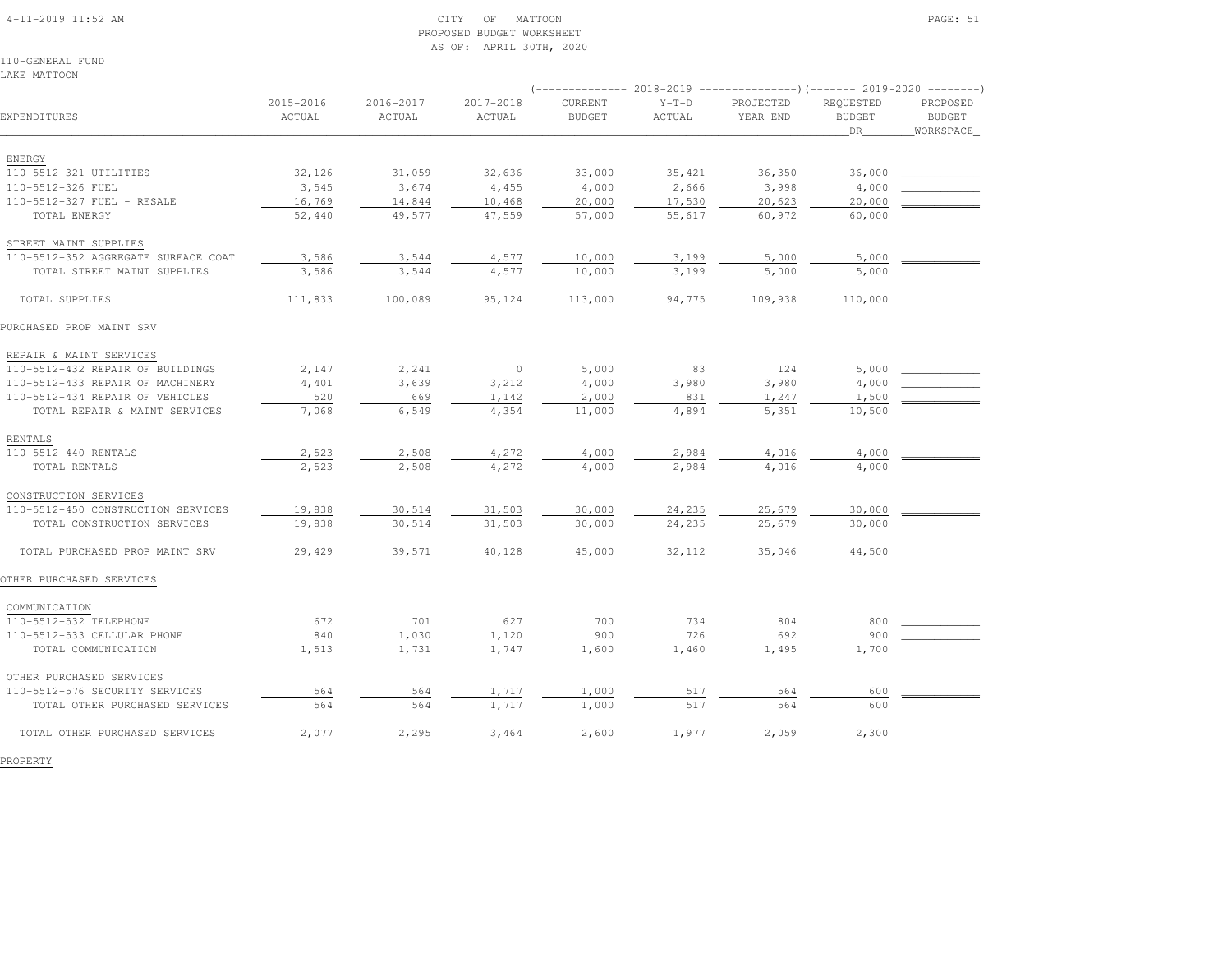### 4-11-2019 11:52 AM CITY OF MATTOON PAGE: 51 PROPOSED BUDGET WORKSHEETAS OF: APRIL 30TH, 2020

110-GENERAL FUNDLAKE MATTOON

|                                     |                     |                     |                     | $---------2018-2019$<br>----------------) (------- 2019-2020 ---------) |                   |                       |                                  |                                        |
|-------------------------------------|---------------------|---------------------|---------------------|-------------------------------------------------------------------------|-------------------|-----------------------|----------------------------------|----------------------------------------|
| EXPENDITURES                        | 2015-2016<br>ACTUAL | 2016-2017<br>ACTUAL | 2017-2018<br>ACTUAL | CURRENT<br><b>BUDGET</b>                                                | $Y-T-D$<br>ACTUAL | PROJECTED<br>YEAR END | REQUESTED<br><b>BUDGET</b><br>DR | PROPOSED<br><b>BUDGET</b><br>WORKSPACE |
|                                     |                     |                     |                     |                                                                         |                   |                       |                                  |                                        |
| ENERGY                              |                     |                     |                     |                                                                         |                   |                       |                                  |                                        |
| 110-5512-321 UTILITIES              | 32,126              | 31,059              | 32,636              | 33,000                                                                  | 35,421            | 36,350                | 36,000                           |                                        |
| 110-5512-326 FUEL                   | 3,545               | 3,674               | 4,455               | 4,000                                                                   | 2,666             | 3,998                 | 4,000                            |                                        |
| 110-5512-327 FUEL - RESALE          | 16,769              | 14,844              | 10,468              | 20,000                                                                  | 17,530            | 20,623                | 20,000                           |                                        |
| TOTAL ENERGY                        | 52,440              | 49,577              | 47,559              | 57,000                                                                  | 55,617            | 60,972                | 60,000                           |                                        |
| STREET MAINT SUPPLIES               |                     |                     |                     |                                                                         |                   |                       |                                  |                                        |
| 110-5512-352 AGGREGATE SURFACE COAT | 3,586               | 3,544               | 4,577               | 10,000                                                                  | 3,199             | 5,000                 | 5,000                            |                                        |
| TOTAL STREET MAINT SUPPLIES         | 3,586               | 3,544               | 4,577               | 10,000                                                                  | 3,199             | 5,000                 | 5,000                            |                                        |
| TOTAL SUPPLIES                      | 111,833             | 100,089             | 95,124              | 113,000                                                                 | 94,775            | 109,938               | 110,000                          |                                        |
| PURCHASED PROP MAINT SRV            |                     |                     |                     |                                                                         |                   |                       |                                  |                                        |
| REPAIR & MAINT SERVICES             |                     |                     |                     |                                                                         |                   |                       |                                  |                                        |
| 110-5512-432 REPAIR OF BUILDINGS    | 2,147               | 2,241               | $\circ$             | 5,000                                                                   | 83                | 124                   | 5,000                            |                                        |
| 110-5512-433 REPAIR OF MACHINERY    | 4,401               | 3,639               | 3,212               | 4,000                                                                   | 3,980             | 3,980                 | 4,000                            |                                        |
| 110-5512-434 REPAIR OF VEHICLES     | 520                 | 669                 | 1,142               | 2,000                                                                   | 831               | 1,247                 | 1,500                            |                                        |
| TOTAL REPAIR & MAINT SERVICES       | 7,068               | 6,549               | 4,354               | 11,000                                                                  | 4,894             | 5,351                 | 10,500                           |                                        |
| RENTALS                             |                     |                     |                     |                                                                         |                   |                       |                                  |                                        |
| 110-5512-440 RENTALS                | 2,523               | 2,508               | 4,272               | 4,000                                                                   | 2,984             | 4,016                 | 4,000                            |                                        |
| TOTAL RENTALS                       | 2,523               | 2,508               | 4,272               | 4,000                                                                   | 2,984             | 4,016                 | 4,000                            |                                        |
|                                     |                     |                     |                     |                                                                         |                   |                       |                                  |                                        |
| CONSTRUCTION SERVICES               |                     |                     |                     |                                                                         |                   |                       |                                  |                                        |
| 110-5512-450 CONSTRUCTION SERVICES  | 19,838              | 30,514              | 31,503              | 30,000                                                                  | 24,235            | 25,679                | 30,000                           |                                        |
| TOTAL CONSTRUCTION SERVICES         | 19,838              | 30,514              | 31,503              | 30,000                                                                  | 24,235            | 25,679                | 30,000                           |                                        |
| TOTAL PURCHASED PROP MAINT SRV      | 29,429              | 39,571              | 40,128              | 45,000                                                                  | 32,112            | 35,046                | 44,500                           |                                        |
| OTHER PURCHASED SERVICES            |                     |                     |                     |                                                                         |                   |                       |                                  |                                        |
| COMMUNICATION                       |                     |                     |                     |                                                                         |                   |                       |                                  |                                        |
| 110-5512-532 TELEPHONE              | 672                 | 701                 | 627                 | 700                                                                     | 734               | 804                   | 800                              |                                        |
| 110-5512-533 CELLULAR PHONE         | 840                 | 1,030               | 1,120               | 900                                                                     | 726               | 692                   | 900                              |                                        |
| TOTAL COMMUNICATION                 | 1,513               | 1,731               | 1,747               | 1,600                                                                   | 1,460             | 1,495                 | 1,700                            |                                        |
| OTHER PURCHASED SERVICES            |                     |                     |                     |                                                                         |                   |                       |                                  |                                        |
| 110-5512-576 SECURITY SERVICES      | 564                 | 564                 | 1,717               | 1,000                                                                   | 517               | 564                   | 600                              |                                        |
| TOTAL OTHER PURCHASED SERVICES      | 564                 | 564                 | 1,717               | 1,000                                                                   | 517               | 564                   | 600                              |                                        |
| TOTAL OTHER PURCHASED SERVICES      | 2,077               | 2,295               | 3,464               | 2,600                                                                   | 1,977             | 2,059                 | 2,300                            |                                        |

PROPERTY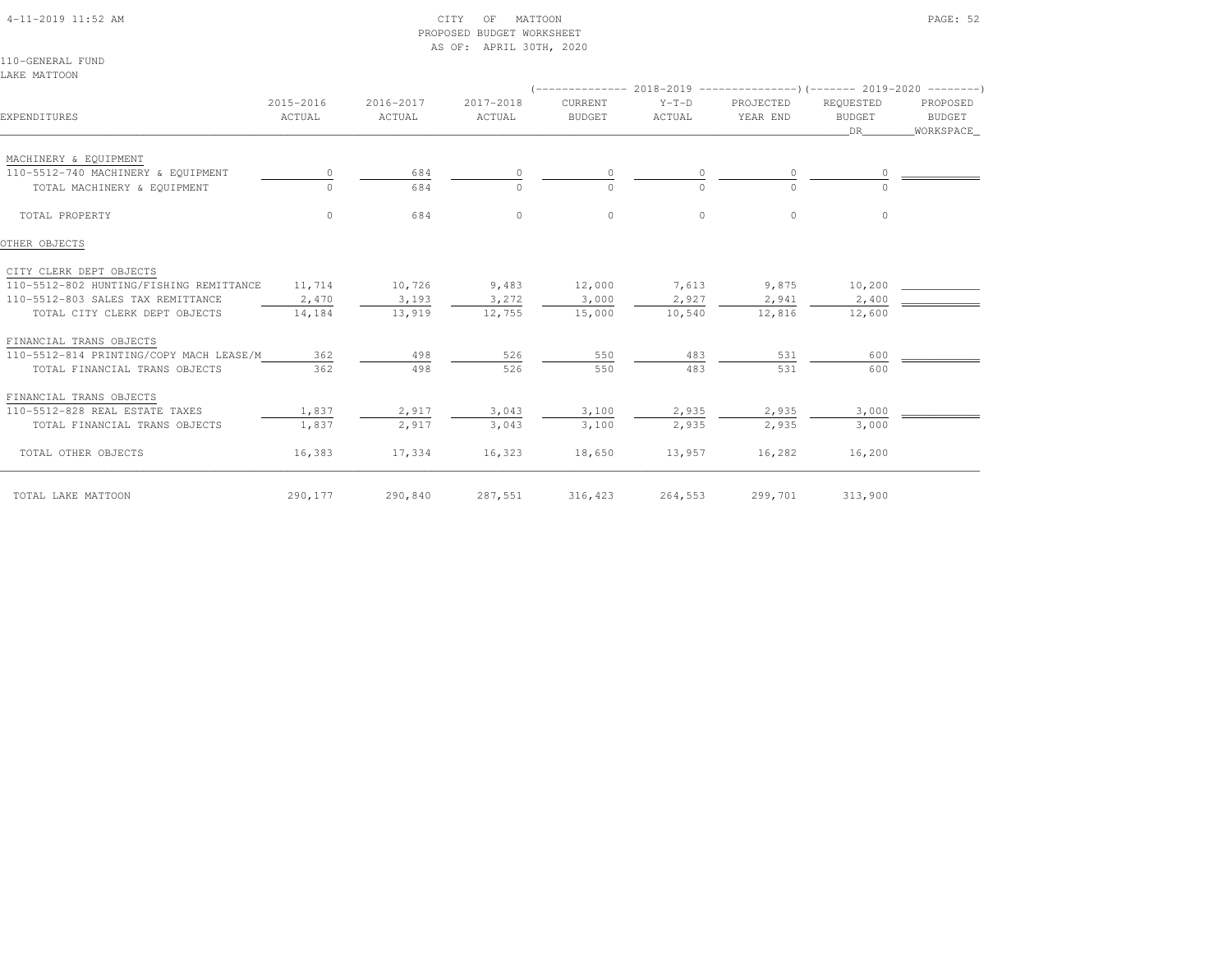4-11-2019 11:52 AM CITY OF MATTOON PAGE: 52

# PROPOSED BUDGET WORKSHEETAS OF: APRIL 30TH, 2020

110-GENERAL FUNDLAKE MATTOON

| EXPENDITURES                            | 2015-2016<br>ACTUAL | 2016-2017<br>ACTUAL | 2017-2018<br>ACTUAL | CURRENT<br><b>BUDGET</b> | $Y-T-D$<br>ACTUAL | PROJECTED<br>YEAR END | REQUESTED<br><b>BUDGET</b><br>DR. | PROPOSED<br>BUDGET<br>WORKSPACE |
|-----------------------------------------|---------------------|---------------------|---------------------|--------------------------|-------------------|-----------------------|-----------------------------------|---------------------------------|
| MACHINERY & EQUIPMENT                   |                     |                     |                     |                          |                   |                       |                                   |                                 |
| 110-5512-740 MACHINERY & EQUIPMENT      |                     | 684                 |                     |                          |                   | $\circ$               |                                   |                                 |
| TOTAL MACHINERY & EQUIPMENT             | $\Omega$            | 684                 | $\bigcap$           | $\Omega$                 | $\Omega$          | $\Omega$              |                                   |                                 |
| TOTAL PROPERTY                          | $\Omega$            | 684                 | $\circ$             | $\circ$                  | $\Omega$          | $\circ$               | $\circ$                           |                                 |
| OTHER OBJECTS                           |                     |                     |                     |                          |                   |                       |                                   |                                 |
| CITY CLERK DEPT OBJECTS                 |                     |                     |                     |                          |                   |                       |                                   |                                 |
| 110-5512-802 HUNTING/FISHING REMITTANCE | 11,714              | 10,726              | 9,483               | 12,000                   | 7,613             | 9,875                 | 10,200                            |                                 |
| 110-5512-803 SALES TAX REMITTANCE       | 2,470               | 3,193               | 3,272               | 3,000                    | 2,927             | 2,941                 | 2,400                             |                                 |
| TOTAL CITY CLERK DEPT OBJECTS           | 14,184              | 13,919              | 12,755              | 15,000                   | 10,540            | 12,816                | 12,600                            |                                 |
| FINANCIAL TRANS OBJECTS                 |                     |                     |                     |                          |                   |                       |                                   |                                 |
| 110-5512-814 PRINTING/COPY MACH LEASE/M | 362                 | 498                 | 526                 | 550                      | 483               | 531                   | 600                               |                                 |
| TOTAL FINANCIAL TRANS OBJECTS           | 362                 | 498                 | 526                 | 550                      | 483               | 531                   | 600                               |                                 |
| FINANCIAL TRANS OBJECTS                 |                     |                     |                     |                          |                   |                       |                                   |                                 |
| 110-5512-828 REAL ESTATE TAXES          | 1,837               | 2,917               | 3,043               | 3,100                    | 2,935             | 2,935                 | 3,000                             |                                 |
| TOTAL FINANCIAL TRANS OBJECTS           | 1,837               | 2,917               | 3,043               | 3,100                    | 2,935             | 2,935                 | 3,000                             |                                 |
| TOTAL OTHER OBJECTS                     | 16,383              | 17,334              | 16,323              | 18,650                   | 13,957            | 16,282                | 16,200                            |                                 |
| TOTAL LAKE MATTOON                      | 290,177             | 290,840             | 287,551             | 316,423                  | 264,553           | 299,701               | 313,900                           |                                 |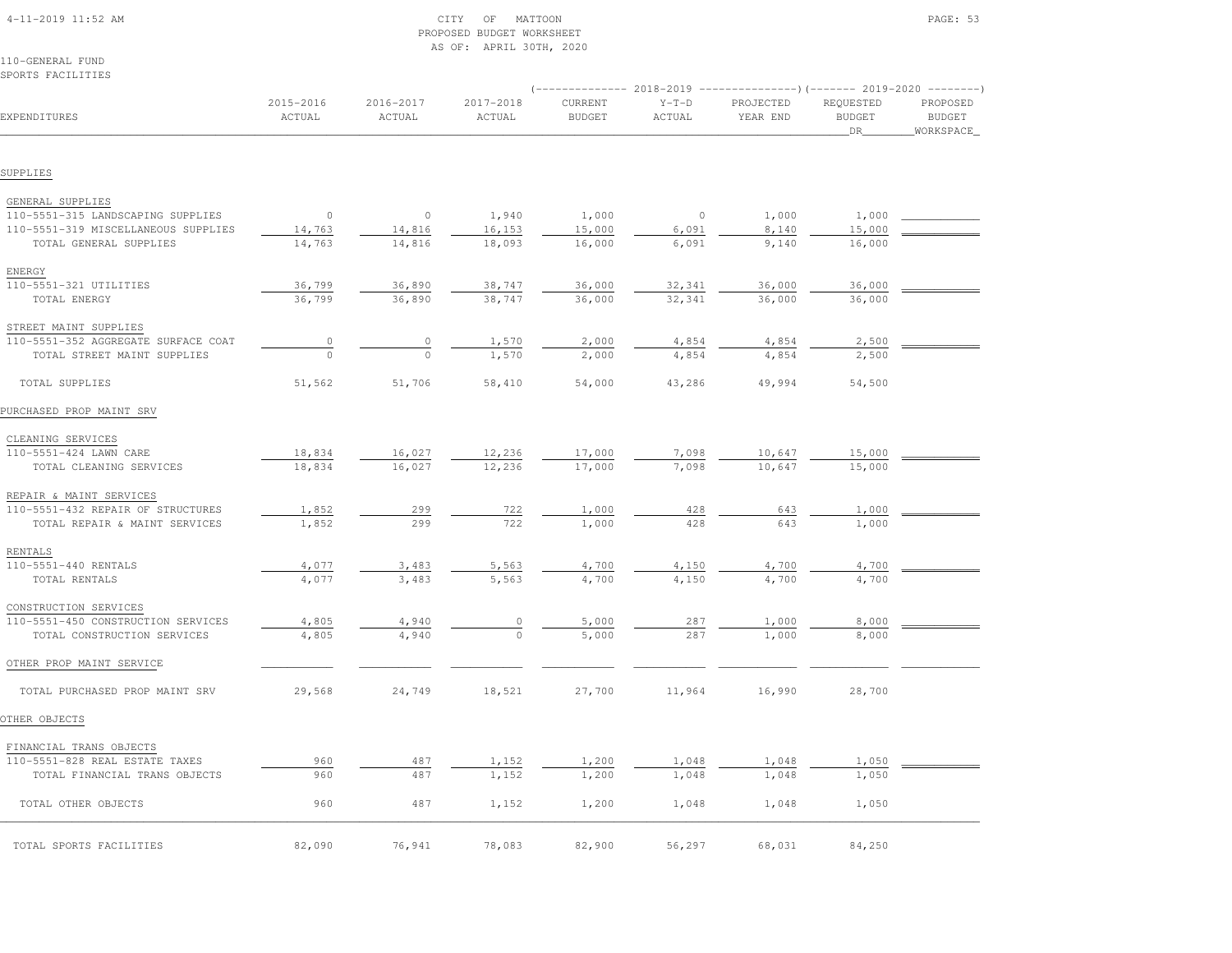| 110-GENERAL FUND<br>SPORTS FACILITIES |                     |                     |                         |                                 |                   |                       |                                                                                                                 |                                          |
|---------------------------------------|---------------------|---------------------|-------------------------|---------------------------------|-------------------|-----------------------|-----------------------------------------------------------------------------------------------------------------|------------------------------------------|
| EXPENDITURES                          | 2015-2016<br>ACTUAL | 2016-2017<br>ACTUAL | $2017 - 2018$<br>ACTUAL | <b>CURRENT</b><br><b>BUDGET</b> | $Y-T-D$<br>ACTUAL | PROJECTED<br>YEAR END | (-------------- 2018-2019 ----------------) (------- 2019-2020 ---------)<br>REQUESTED<br><b>BUDGET</b><br>_DR_ | PROPOSED<br><b>BUDGET</b><br>_WORKSPACE_ |
| SUPPLIES                              |                     |                     |                         |                                 |                   |                       |                                                                                                                 |                                          |
| GENERAL SUPPLIES                      |                     |                     |                         |                                 |                   |                       |                                                                                                                 |                                          |
| 110-5551-315 LANDSCAPING SUPPLIES     | $\circ$             | $\circ$             | 1,940                   | 1,000                           | $\circ$           | 1,000                 | 1,000                                                                                                           |                                          |
| 110-5551-319 MISCELLANEOUS SUPPLIES   | 14,763              | 14,816              | 16, 153                 | 15,000                          | 6,091             | 8,140                 | 15,000                                                                                                          |                                          |
| TOTAL GENERAL SUPPLIES                | 14,763              | 14,816              | 18,093                  | 16,000                          | 6,091             | 9,140                 | 16,000                                                                                                          |                                          |
| ENERGY                                |                     |                     |                         |                                 |                   |                       |                                                                                                                 |                                          |
| 110-5551-321 UTILITIES                | 36,799              | 36,890              | 38,747                  | 36,000                          | 32,341            | 36,000                | 36,000                                                                                                          |                                          |
| TOTAL ENERGY                          | 36,799              | 36,890              | 38,747                  | 36,000                          | 32,341            | 36,000                | 36,000                                                                                                          |                                          |
| STREET MAINT SUPPLIES                 |                     |                     |                         |                                 |                   |                       |                                                                                                                 |                                          |
| 110-5551-352 AGGREGATE SURFACE COAT   | $\circ$             | $\circ$             | 1,570                   | 2,000                           | 4,854             | 4,854                 | 2,500                                                                                                           |                                          |
| TOTAL STREET MAINT SUPPLIES           | $\circ$             | $\circ$             | 1,570                   | 2,000                           | 4,854             | 4,854                 | 2,500                                                                                                           |                                          |
| TOTAL SUPPLIES                        | 51,562              | 51,706              | 58,410                  | 54,000                          | 43,286            | 49,994                | 54,500                                                                                                          |                                          |
|                                       |                     |                     |                         |                                 |                   |                       |                                                                                                                 |                                          |
| PURCHASED PROP MAINT SRV              |                     |                     |                         |                                 |                   |                       |                                                                                                                 |                                          |
| CLEANING SERVICES                     |                     |                     |                         |                                 |                   |                       |                                                                                                                 |                                          |
| 110-5551-424 LAWN CARE                | 18,834              | 16,027              | 12,236                  | 17,000                          | 7,098             | 10,647                | 15,000                                                                                                          |                                          |
| TOTAL CLEANING SERVICES               | 18,834              | 16,027              | 12,236                  | 17,000                          | 7.098             | 10,647                | 15,000                                                                                                          |                                          |
| REPAIR & MAINT SERVICES               |                     |                     |                         |                                 |                   |                       |                                                                                                                 |                                          |
| 110-5551-432 REPAIR OF STRUCTURES     | 1,852               | 299                 | 722                     | 1,000                           | 428               | 643                   | 1,000                                                                                                           |                                          |
| TOTAL REPAIR & MAINT SERVICES         | 1,852               | 299                 | 722                     | 1,000                           | 428               | 643                   | 1,000                                                                                                           |                                          |
| RENTALS                               |                     |                     |                         |                                 |                   |                       |                                                                                                                 |                                          |
| 110-5551-440 RENTALS                  | 4,077               | 3,483               | 5,563                   | 4,700                           | 4,150             | 4,700                 | 4,700                                                                                                           |                                          |
| TOTAL RENTALS                         | 4,077               | 3,483               | 5,563                   | 4,700                           | 4,150             | 4,700                 | 4,700                                                                                                           |                                          |
| CONSTRUCTION SERVICES                 |                     |                     |                         |                                 |                   |                       |                                                                                                                 |                                          |
| 110-5551-450 CONSTRUCTION SERVICES    | 4,805               | 4,940               | $\circ$                 | 5,000                           | 287               | 1,000                 | 8,000                                                                                                           |                                          |
| TOTAL CONSTRUCTION SERVICES           | 4,805               | 4,940               | $\circ$                 | 5,000                           | 287               | 1,000                 | 8,000                                                                                                           |                                          |
| OTHER PROP MAINT SERVICE              |                     |                     |                         |                                 |                   |                       |                                                                                                                 |                                          |
|                                       |                     |                     |                         |                                 |                   |                       |                                                                                                                 |                                          |
| TOTAL PURCHASED PROP MAINT SRV        | 29,568              | 24,749              | 18,521                  | 27,700                          | 11,964            | 16,990                | 28,700                                                                                                          |                                          |
| OTHER OBJECTS                         |                     |                     |                         |                                 |                   |                       |                                                                                                                 |                                          |
| FINANCIAL TRANS OBJECTS               |                     |                     |                         |                                 |                   |                       |                                                                                                                 |                                          |
| 110-5551-828 REAL ESTATE TAXES        | 960                 | 487                 | 1,152                   | 1,200                           | 1,048             | 1,048                 | 1,050                                                                                                           |                                          |
| TOTAL FINANCIAL TRANS OBJECTS         | 960                 | 487                 | 1,152                   | 1,200                           | 1,048             | 1,048                 | 1,050                                                                                                           |                                          |
| TOTAL OTHER OBJECTS                   | 960                 | 487                 | 1,152                   | 1,200                           | 1,048             | 1,048                 | 1,050                                                                                                           |                                          |
| TOTAL SPORTS FACILITIES               | 82,090              | 76,941              | 78,083                  | 82,900                          | 56,297            | 68,031                | 84,250                                                                                                          |                                          |
|                                       |                     |                     |                         |                                 |                   |                       |                                                                                                                 |                                          |

 4-11-2019 11:52 AM CITY OF MATTOON PAGE: 53PROPOSED BUDGET WORKSHEET

AS OF: APRIL 30TH, 2020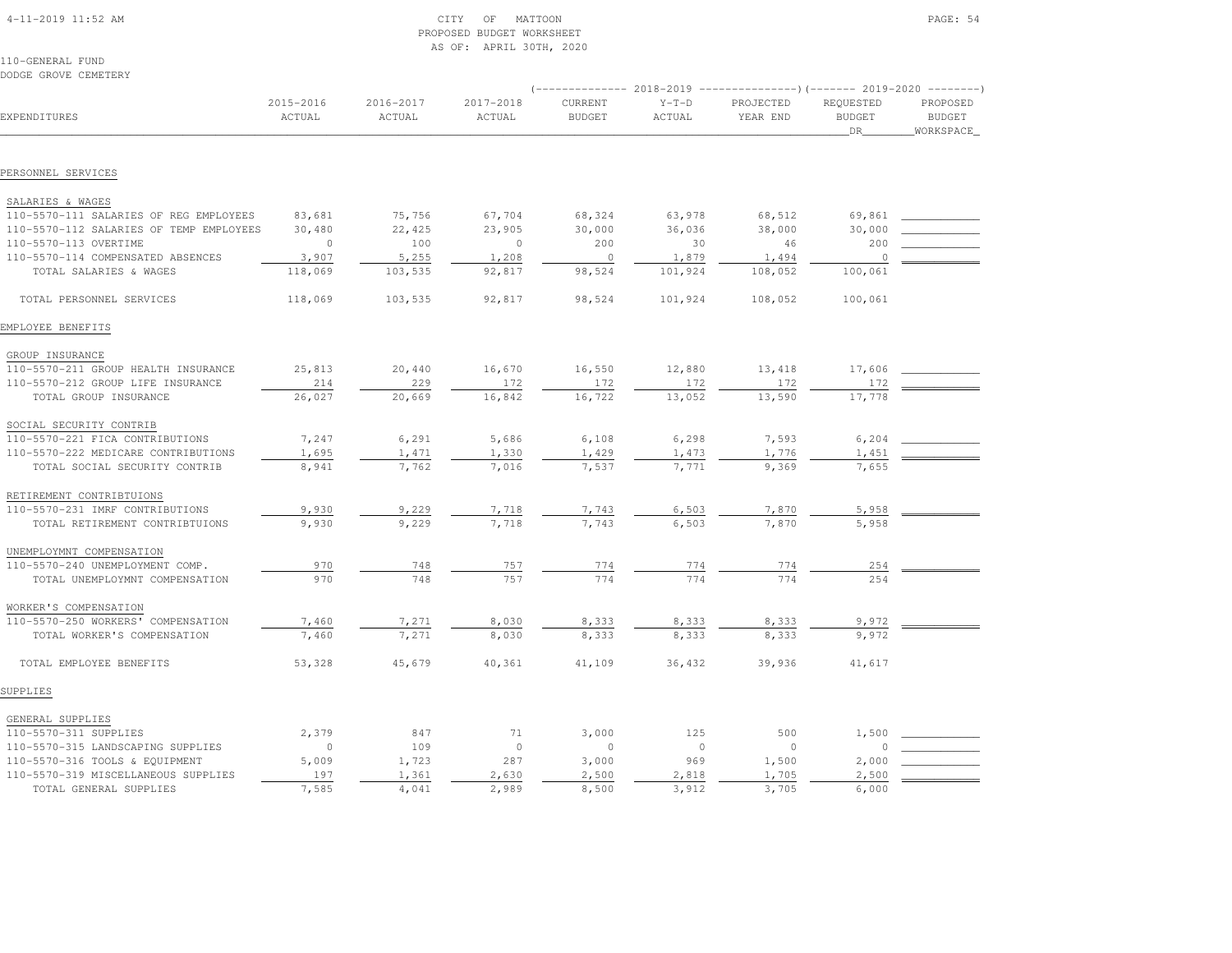| $4-11-2019$ $11:52$ AM |  |
|------------------------|--|

# $\begin{array}{ccc} \text{CITY} & \text{OF} & \text{MATION} \end{array}$  PROPOSED BUDGET WORKSHEETAS OF: APRIL 30TH, 2020

110-GENERAL FUNDDODGE GROVE CEMETERY

| EXPENDITURES                                                      | 2015-2016<br>ACTUAL | 2016-2017<br>ACTUAL | 2017-2018<br>ACTUAL | CURRENT<br><b>BUDGET</b> | $Y-T-D$<br>ACTUAL | PROJECTED<br>YEAR END | REQUESTED<br><b>BUDGET</b><br><b>DR</b> | PROPOSED<br><b>BUDGET</b><br>WORKSPACE |  |
|-------------------------------------------------------------------|---------------------|---------------------|---------------------|--------------------------|-------------------|-----------------------|-----------------------------------------|----------------------------------------|--|
|                                                                   |                     |                     |                     |                          |                   |                       |                                         |                                        |  |
| PERSONNEL SERVICES                                                |                     |                     |                     |                          |                   |                       |                                         |                                        |  |
| SALARIES & WAGES                                                  |                     |                     |                     |                          |                   |                       |                                         |                                        |  |
| 110-5570-111 SALARIES OF REG EMPLOYEES                            | 83,681              | 75,756              | 67,704              | 68,324                   | 63,978            | 68,512                | 69,861                                  |                                        |  |
| 110-5570-112 SALARIES OF TEMP EMPLOYEES                           | 30,480              | 22,425              | 23,905              | 30,000                   | 36,036            | 38,000                | 30,000                                  |                                        |  |
| 110-5570-113 OVERTIME                                             | $\Omega$            | 100                 | $\overline{0}$      | 200                      | 30                | 46                    | 200                                     |                                        |  |
| 110-5570-114 COMPENSATED ABSENCES                                 | 3,907               | 5,255               |                     | $\overline{0}$           |                   | 1,494                 | $\overline{0}$                          |                                        |  |
| TOTAL SALARIES & WAGES                                            |                     |                     | 1,208<br>92,817     | 98,524                   | 1,879<br>101,924  | 108,052               |                                         |                                        |  |
|                                                                   | 118,069             | 103,535             |                     |                          |                   |                       | 100,061                                 |                                        |  |
| TOTAL PERSONNEL SERVICES                                          | 118,069             | 103,535             | 92,817              | 98,524                   | 101,924           | 108,052               | 100,061                                 |                                        |  |
| EMPLOYEE BENEFITS                                                 |                     |                     |                     |                          |                   |                       |                                         |                                        |  |
| GROUP INSURANCE                                                   |                     |                     |                     |                          |                   |                       |                                         |                                        |  |
| 110-5570-211 GROUP HEALTH INSURANCE                               | 25,813              | 20,440              | 16,670              | 16,550                   | 12,880            | 13,418                | 17,606                                  |                                        |  |
| 110-5570-212 GROUP LIFE INSURANCE                                 | 214                 | 229                 | 172                 | 172                      | 172               | 172                   | 172                                     |                                        |  |
| TOTAL GROUP INSURANCE                                             | 26,027              | 20,669              | 16,842              | 16,722                   | 13,052            | 13,590                | 17,778                                  |                                        |  |
|                                                                   |                     |                     |                     |                          |                   |                       |                                         |                                        |  |
| SOCIAL SECURITY CONTRIB                                           |                     |                     |                     |                          |                   |                       |                                         |                                        |  |
| 110-5570-221 FICA CONTRIBUTIONS                                   | 7,247               | 6,291               | 5,686               | 6,108                    | 6,298             | 7,593                 | 6,204                                   |                                        |  |
| 110-5570-222 MEDICARE CONTRIBUTIONS                               | 1,695               | 1,471               | 1,330               | 1,429                    | 1,473             | 1,776                 | 1,451                                   |                                        |  |
| TOTAL SOCIAL SECURITY CONTRIB                                     | 8,941               | 7,762               | 7,016               | 7,537                    | 7,771             | 9,369                 | 7,655                                   |                                        |  |
| RETIREMENT CONTRIBTUIONS                                          |                     |                     |                     |                          |                   |                       |                                         |                                        |  |
| 110-5570-231 IMRF CONTRIBUTIONS                                   | 9,930               | 9,229               | 7,718               | 7,743                    | 6,503             | 7,870                 | 5,958                                   |                                        |  |
| TOTAL RETIREMENT CONTRIBTUIONS                                    | 9,930               | 9,229               | 7,718               | 7,743                    | 6,503             | 7,870                 | 5,958                                   |                                        |  |
| UNEMPLOYMNT COMPENSATION                                          |                     |                     |                     |                          |                   |                       |                                         |                                        |  |
| 110-5570-240 UNEMPLOYMENT COMP.                                   | 970                 | 748                 | 757                 | 774                      | 774               | 774                   | 254                                     |                                        |  |
| TOTAL UNEMPLOYMNT COMPENSATION                                    | 970                 | 748                 | 757                 | 774                      | 774               | 774                   | 254                                     |                                        |  |
| WORKER'S COMPENSATION                                             |                     |                     |                     |                          |                   |                       |                                         |                                        |  |
|                                                                   |                     |                     |                     |                          |                   |                       |                                         |                                        |  |
| 110-5570-250 WORKERS' COMPENSATION<br>TOTAL WORKER'S COMPENSATION | 7,460<br>7,460      | 7,271<br>7,271      | 8,030<br>8,030      | 8,333<br>8,333           | 8,333<br>8,333    | 8,333<br>8,333        | 9,972<br>9,972                          |                                        |  |
|                                                                   |                     |                     |                     |                          |                   |                       |                                         |                                        |  |
| TOTAL EMPLOYEE BENEFITS                                           | 53,328              | 45,679              | 40,361              | 41,109                   | 36,432            | 39,936                | 41,617                                  |                                        |  |
| SUPPLIES                                                          |                     |                     |                     |                          |                   |                       |                                         |                                        |  |
| GENERAL SUPPLIES                                                  |                     |                     |                     |                          |                   |                       |                                         |                                        |  |
| 110-5570-311 SUPPLIES                                             | 2,379               | 847                 | 71                  | 3,000                    | 125               | 500                   | 1,500                                   |                                        |  |
| 110-5570-315 LANDSCAPING SUPPLIES                                 | $\circ$             | 109                 | $\circ$             | $\circ$                  | $\mathbf{0}$      | $\circ$               | $\circ$                                 |                                        |  |
| 110-5570-316 TOOLS & EQUIPMENT                                    | 5,009               | 1,723               | 287                 | 3,000                    | 969               | 1,500                 | 2,000                                   |                                        |  |
| 110-5570-319 MISCELLANEOUS SUPPLIES                               | 197                 | 1,361               | 2,630               | 2,500                    | 2,818             | 1,705                 | 2,500                                   |                                        |  |
| TOTAL GENERAL SUPPLIES                                            | 7,585               | 4,041               | 2,989               | 8,500                    | 3,912             | 3,705                 | 6,000                                   |                                        |  |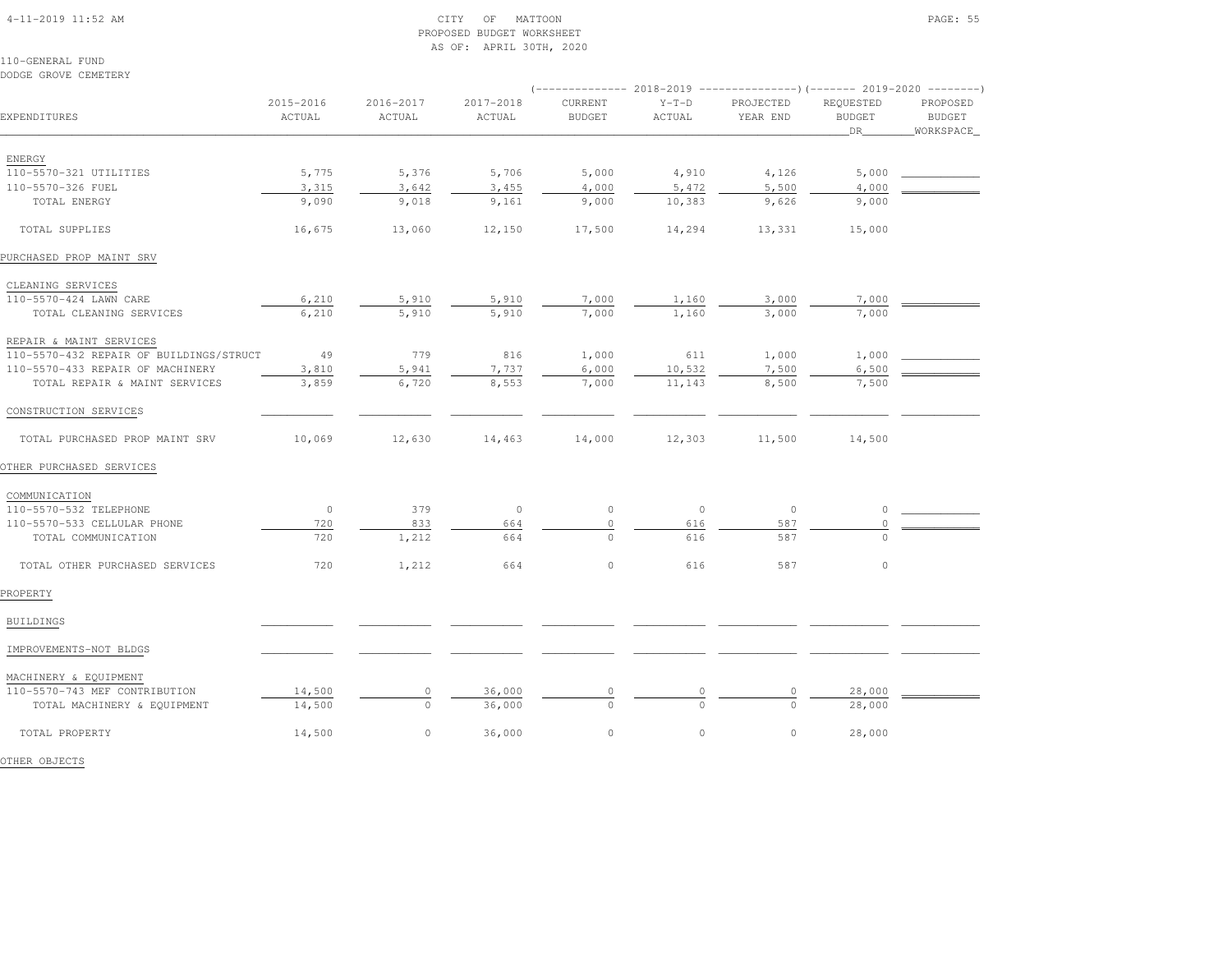### 4-11-2019 11:52 AM CITY OF MATTOON PAGE: 55 PROPOSED BUDGET WORKSHEETAS OF: APRIL 30TH, 2020

110-GENERAL FUNDDODGE GROVE CEMETERY

| EXPENDITURES                            | 2015-2016<br>ACTUAL | 2016-2017<br>ACTUAL | 2017-2018<br>ACTUAL | CURRENT<br><b>BUDGET</b> | $Y-T-D$<br>ACTUAL | PROJECTED<br>YEAR END | REQUESTED<br><b>BUDGET</b><br>DR | PROPOSED<br><b>BUDGET</b><br>WORKSPACE |
|-----------------------------------------|---------------------|---------------------|---------------------|--------------------------|-------------------|-----------------------|----------------------------------|----------------------------------------|
|                                         |                     |                     |                     |                          |                   |                       |                                  |                                        |
| ENERGY                                  |                     |                     |                     |                          |                   |                       |                                  |                                        |
| 110-5570-321 UTILITIES                  | 5,775               | 5,376               | 5,706               | 5,000                    | 4,910             | 4,126                 | 5,000                            |                                        |
| 110-5570-326 FUEL                       | 3,315               | 3,642               | 3,455               | 4,000                    | 5,472             | 5,500                 | 4,000                            |                                        |
| TOTAL ENERGY                            | 9,090               | 9,018               | 9,161               | 9,000                    | 10,383            | 9,626                 | 9,000                            |                                        |
| TOTAL SUPPLIES                          | 16,675              | 13,060              | 12,150              | 17,500                   | 14,294            | 13,331                | 15,000                           |                                        |
| PURCHASED PROP MAINT SRV                |                     |                     |                     |                          |                   |                       |                                  |                                        |
| CLEANING SERVICES                       |                     |                     |                     |                          |                   |                       |                                  |                                        |
| 110-5570-424 LAWN CARE                  | 6,210               | 5,910               | 5,910               | 7,000                    | 1,160             | 3,000                 | 7,000                            |                                        |
| TOTAL CLEANING SERVICES                 | 6,210               | 5,910               | 5,910               | 7,000                    | 1,160             | 3,000                 | 7,000                            |                                        |
| REPAIR & MAINT SERVICES                 |                     |                     |                     |                          |                   |                       |                                  |                                        |
| 110-5570-432 REPAIR OF BUILDINGS/STRUCT | 49                  | 779                 | 816                 | 1,000                    | 611               | 1,000                 | 1,000                            |                                        |
| 110-5570-433 REPAIR OF MACHINERY        | 3,810               | 5,941               | 7,737               | 6,000                    | 10,532            | 7,500                 | 6,500                            |                                        |
| TOTAL REPAIR & MAINT SERVICES           | 3,859               | 6,720               | 8,553               | 7,000                    | 11,143            | 8,500                 | 7,500                            |                                        |
| CONSTRUCTION SERVICES                   |                     |                     |                     |                          |                   |                       |                                  |                                        |
| TOTAL PURCHASED PROP MAINT SRV          | 10,069              | 12,630              | 14,463              | 14,000                   | 12,303            | 11,500                | 14,500                           |                                        |
| OTHER PURCHASED SERVICES                |                     |                     |                     |                          |                   |                       |                                  |                                        |
| COMMUNICATION                           |                     |                     |                     |                          |                   |                       |                                  |                                        |
| 110-5570-532 TELEPHONE                  | $\circ$             | 379                 | $\circ$             | $\mathbb O$              | $\circ$           | $\circ$               | $\circ$                          |                                        |
| 110-5570-533 CELLULAR PHONE             | 720                 | 833                 | 664                 | $\circ$                  | 616               | 587                   | $\circ$                          |                                        |
| TOTAL COMMUNICATION                     | 720                 | 1,212               | 664                 | $\circ$                  | 616               | 587                   | $\Omega$                         |                                        |
| TOTAL OTHER PURCHASED SERVICES          | 720                 | 1,212               | 664                 | $\mathbb O$              | 616               | 587                   | $\circ$                          |                                        |
| PROPERTY                                |                     |                     |                     |                          |                   |                       |                                  |                                        |
| BUILDINGS                               |                     |                     |                     |                          |                   |                       |                                  |                                        |
| IMPROVEMENTS-NOT BLDGS                  |                     |                     |                     |                          |                   |                       |                                  |                                        |
| MACHINERY & EQUIPMENT                   |                     |                     |                     |                          |                   |                       |                                  |                                        |
| 110-5570-743 MEF CONTRIBUTION           | 14,500              | $\circ$             | 36,000              |                          | 0                 |                       | 28,000                           |                                        |
| TOTAL MACHINERY & EQUIPMENT             | 14,500              | $\circ$             | 36,000              | $\circ$                  | $\Omega$          | $\Omega$              | 28,000                           |                                        |
| TOTAL PROPERTY                          | 14,500              | $\circ$             | 36,000              | $\circ$                  | $\circ$           | $\circ$               | 28,000                           |                                        |

OTHER OBJECTS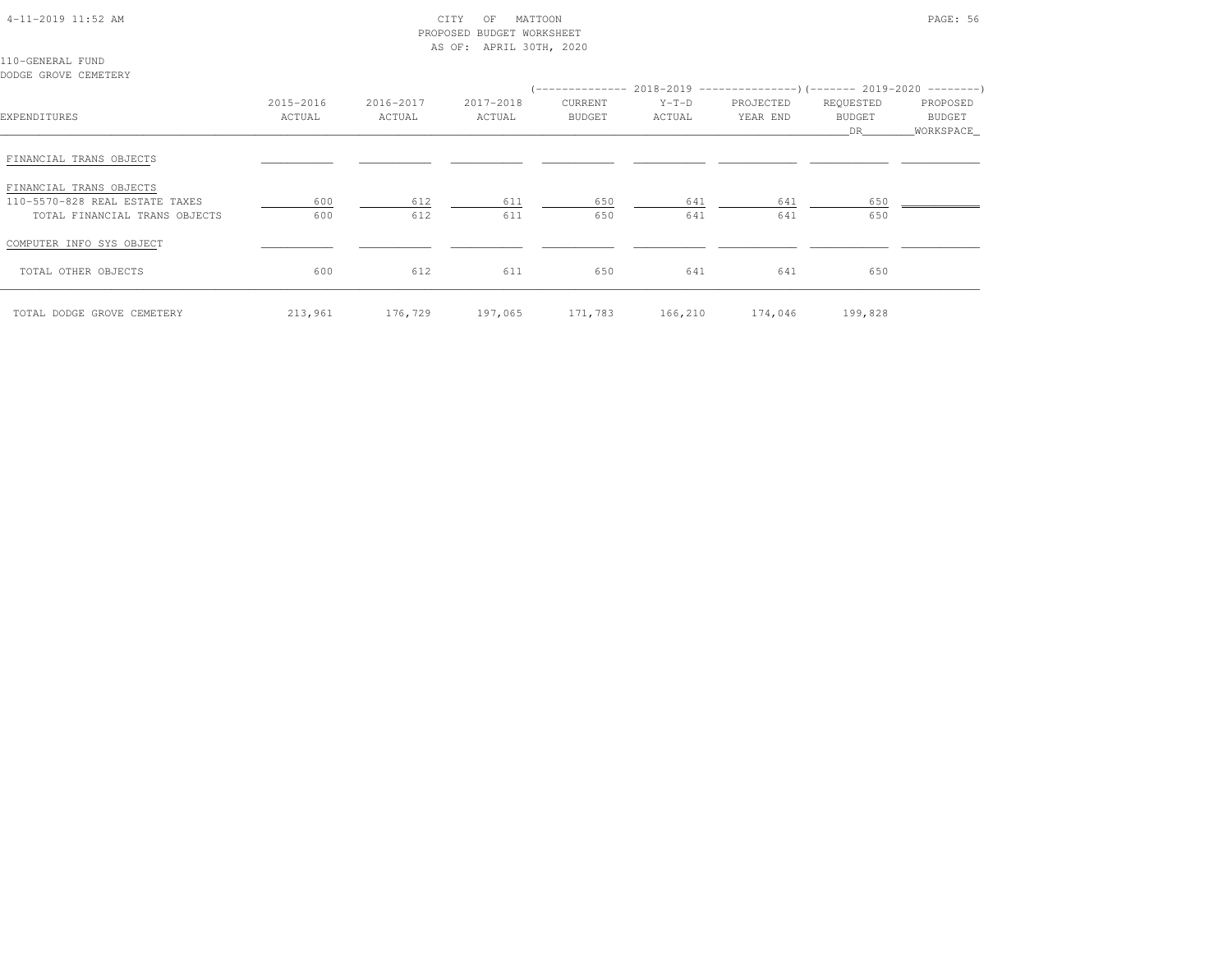| $4-11-2019$ $11:52$ AM |  |
|------------------------|--|
|                        |  |

# $\begin{array}{ccc} \text{CITY} & \text{OF} & \text{MATION} \end{array}$  PROPOSED BUDGET WORKSHEETAS OF: APRIL 30TH, 2020

110-GENERAL FUNDDODGE GROVE CEMETERY

| EXPENDITURES                                                                               | 2015-2016<br>ACTUAL | 2016-2017<br>ACTUAL | 2017-2018<br>ACTUAL | (-------------- 2018-2019 ----------------)(------- 2019-2020 --------)<br>CURRENT<br><b>BUDGET</b> | $Y-T-D$<br>ACTUAL | PROJECTED<br>YEAR END | REQUESTED<br>BUDGET<br>DR. | PROPOSED<br>BUDGET<br>WORKSPACE |
|--------------------------------------------------------------------------------------------|---------------------|---------------------|---------------------|-----------------------------------------------------------------------------------------------------|-------------------|-----------------------|----------------------------|---------------------------------|
| FINANCIAL TRANS OBJECTS                                                                    |                     |                     |                     |                                                                                                     |                   |                       |                            |                                 |
| FINANCIAL TRANS OBJECTS<br>110-5570-828 REAL ESTATE TAXES<br>TOTAL FINANCIAL TRANS OBJECTS | 600<br>600          | 612<br>612          | 611<br>611          | 650<br>650                                                                                          | 641<br>641        | 641<br>641            | 650<br>650                 |                                 |
| COMPUTER INFO SYS OBJECT                                                                   |                     |                     |                     |                                                                                                     |                   |                       |                            |                                 |
| TOTAL OTHER OBJECTS                                                                        | 600                 | 612                 | 611                 | 650                                                                                                 | 641               | 641                   | 650                        |                                 |
| TOTAL DODGE GROVE CEMETERY                                                                 |                     | 213,961 176,729     | 197,065             | 171,783                                                                                             |                   | 166,210 174,046       | 199,828                    |                                 |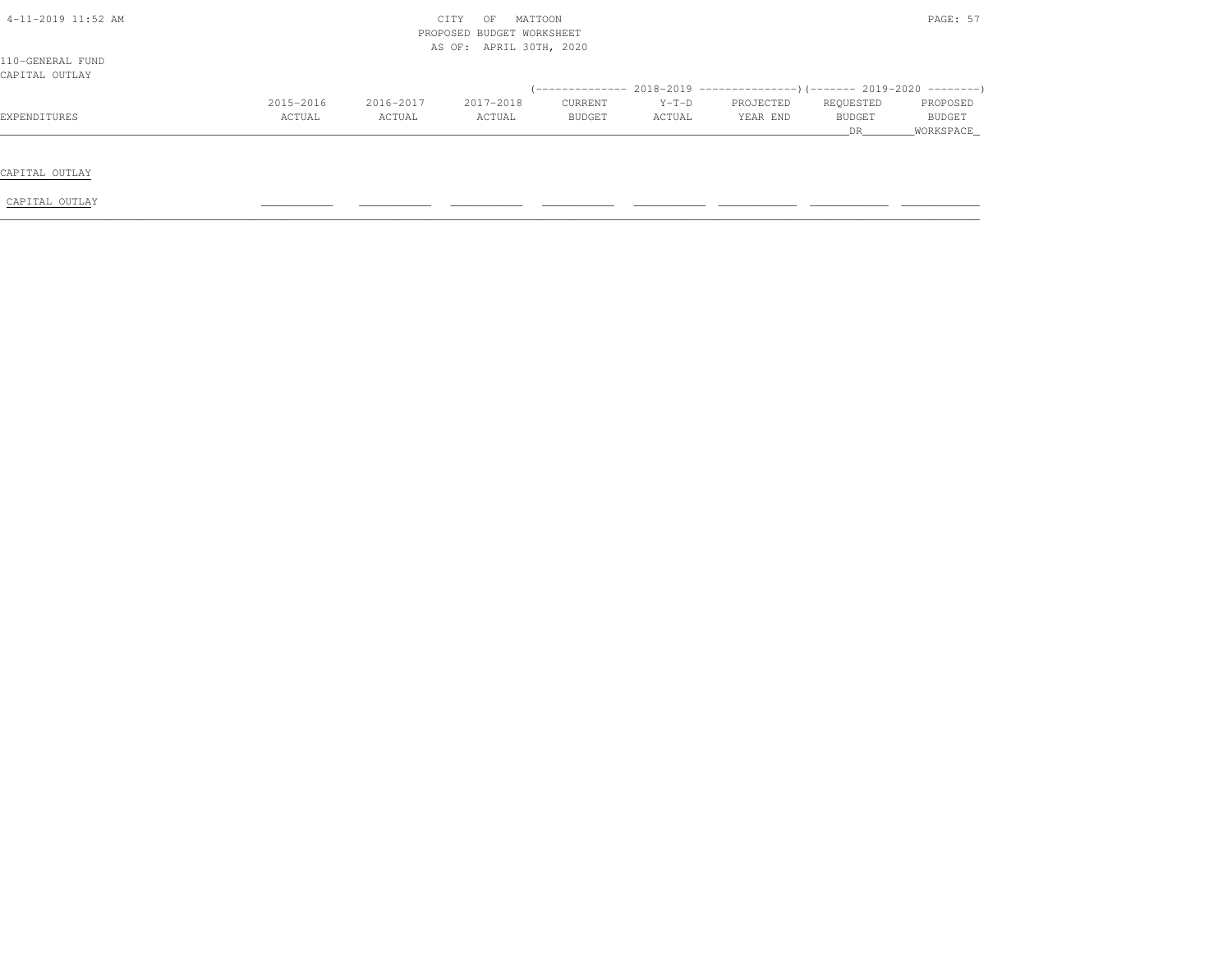|           |           | OF        |               |                                                                 |           |           | PAGE: 57    |
|-----------|-----------|-----------|---------------|-----------------------------------------------------------------|-----------|-----------|-------------|
|           |           |           |               |                                                                 |           |           |             |
|           |           |           |               |                                                                 |           |           |             |
| 2015-2016 | 2016-2017 | 2017-2018 | CURRENT       | $Y-T-D$                                                         | PROJECTED | REQUESTED | PROPOSED    |
| ACTUAL    | ACTUAL    | ACTUAL    | <b>BUDGET</b> | ACTUAL                                                          | YEAR END  | BUDGET    | BUDGET      |
|           |           |           |               |                                                                 |           | DR.       | _WORKSPACE_ |
|           |           |           |               |                                                                 |           |           |             |
|           |           |           |               |                                                                 |           |           |             |
|           |           |           |               |                                                                 |           |           |             |
|           |           |           | CITY          | MATTOON<br>PROPOSED BUDGET WORKSHEET<br>AS OF: APRIL 30TH, 2020 |           |           |             |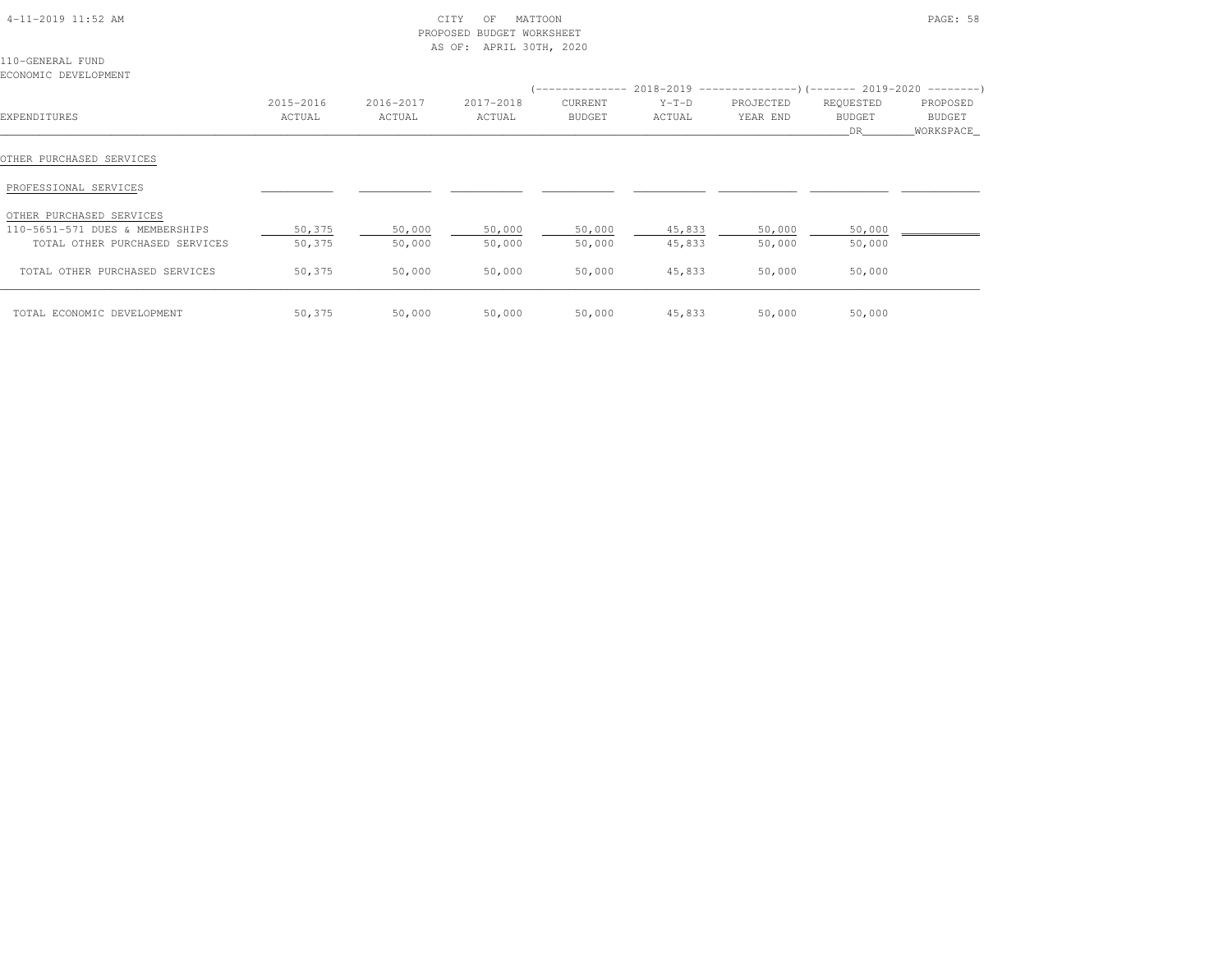| $4-11-2019$ $11:52$ AM |  |
|------------------------|--|
|                        |  |

# $\text{CITY}$  of MATTOON  $\text{PAGE: } 58$  PROPOSED BUDGET WORKSHEETAS OF: APRIL 30TH, 2020

110-GENERAL FUNDECONOMIC DEVELOPMENT

|                                 |                     |                     |                     |                          |                   | (-------------- 2018-2019 ----------------)(------- 2019-2020 ---------) |                           |                                  |
|---------------------------------|---------------------|---------------------|---------------------|--------------------------|-------------------|--------------------------------------------------------------------------|---------------------------|----------------------------------|
| EXPENDITURES                    | 2015-2016<br>ACTUAL | 2016-2017<br>ACTUAL | 2017-2018<br>ACTUAL | CURRENT<br><b>BUDGET</b> | $Y-T-D$<br>ACTUAL | PROJECTED<br>YEAR END                                                    | REQUESTED<br>BUDGET<br>DR | PROPOSED<br>BUDGET<br>WORKSPACE_ |
| OTHER PURCHASED SERVICES        |                     |                     |                     |                          |                   |                                                                          |                           |                                  |
| PROFESSIONAL SERVICES           |                     |                     |                     |                          |                   |                                                                          |                           |                                  |
| OTHER PURCHASED SERVICES        |                     |                     |                     |                          |                   |                                                                          |                           |                                  |
| 110-5651-571 DUES & MEMBERSHIPS | 50,375              | 50,000              | 50,000              | 50,000                   | 45,833            | 50,000                                                                   | 50,000                    |                                  |
| TOTAL OTHER PURCHASED SERVICES  | 50,375              | 50,000              | 50,000              | 50,000                   | 45,833            | 50,000                                                                   | 50,000                    |                                  |
| TOTAL OTHER PURCHASED SERVICES  | 50,375              | 50,000              | 50,000              | 50,000                   | 45,833            | 50,000                                                                   | 50,000                    |                                  |
| TOTAL ECONOMIC DEVELOPMENT      | 50,375              | 50,000              | 50,000              | 50,000                   | 45,833            | 50,000                                                                   | 50,000                    |                                  |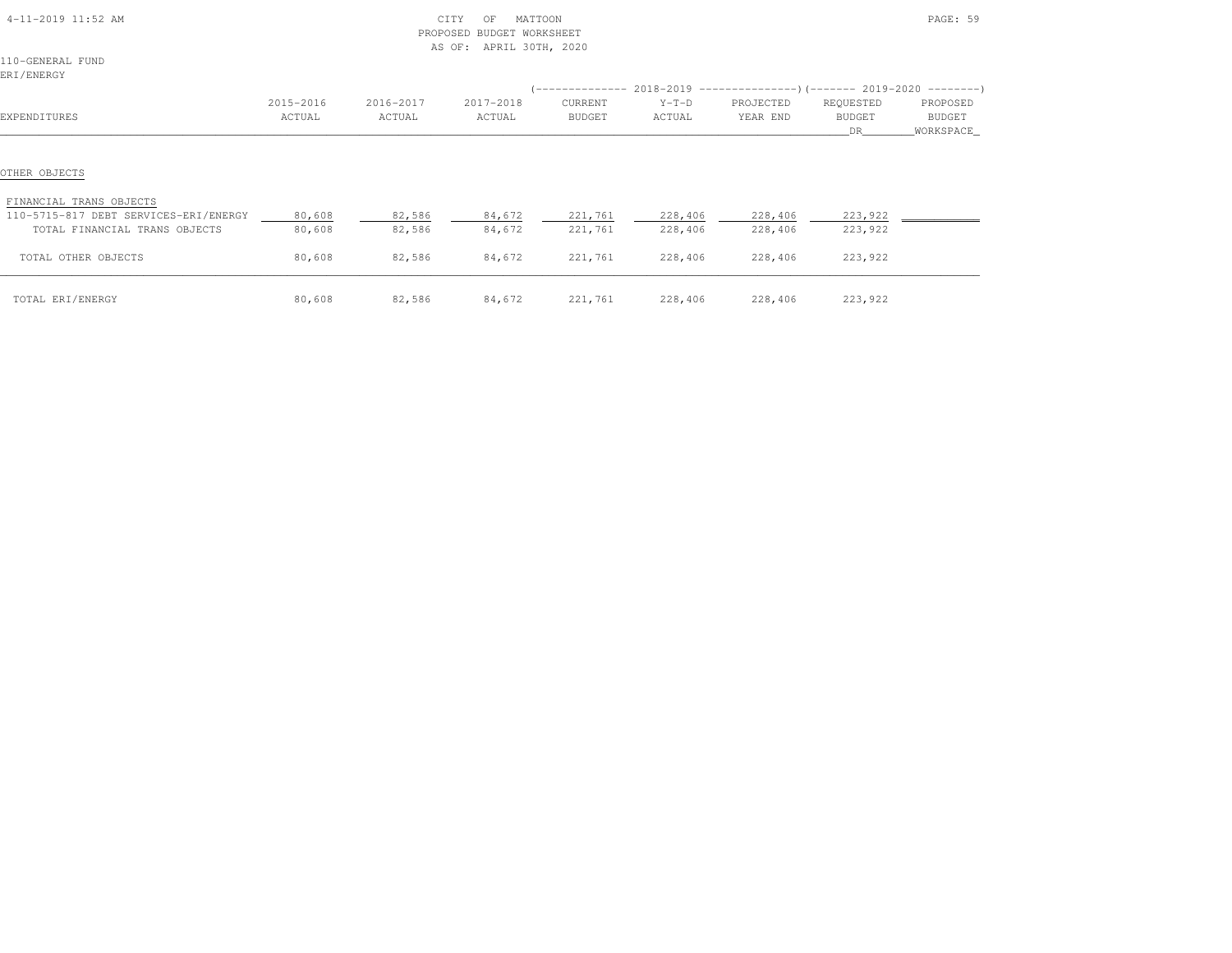| 4-11-2019 11:52 AM                                                                                |                     |                     | CITY<br>MATTOON<br>OF<br>PROPOSED BUDGET WORKSHEET |                          |                                                                                               |                       |                                   | PAGE: 59                        |
|---------------------------------------------------------------------------------------------------|---------------------|---------------------|----------------------------------------------------|--------------------------|-----------------------------------------------------------------------------------------------|-----------------------|-----------------------------------|---------------------------------|
| 110-GENERAL FUND<br>ERI/ENERGY                                                                    |                     |                     | AS OF: APRIL 30TH, 2020                            |                          |                                                                                               |                       |                                   |                                 |
| EXPENDITURES                                                                                      | 2015-2016<br>ACTUAL | 2016-2017<br>ACTUAL | 2017-2018<br>ACTUAL                                | CURRENT<br><b>BUDGET</b> | (-------------- 2018-2019 ----------------) (------- 2019-2020 --------)<br>$Y-T-D$<br>ACTUAL | PROJECTED<br>YEAR END | REQUESTED<br><b>BUDGET</b><br>DR. | PROPOSED<br>BUDGET<br>WORKSPACE |
| OTHER OBJECTS                                                                                     |                     |                     |                                                    |                          |                                                                                               |                       |                                   |                                 |
| FINANCIAL TRANS OBJECTS<br>110-5715-817 DEBT SERVICES-ERI/ENERGY<br>TOTAL FINANCIAL TRANS OBJECTS | 80,608<br>80,608    | 82,586<br>82,586    | 84,672<br>84,672                                   | 221,761<br>221,761       | 228,406<br>228,406                                                                            | 228,406<br>228,406    | 223,922<br>223,922                |                                 |
| TOTAL OTHER OBJECTS                                                                               | 80,608              | 82,586              | 84,672                                             | 221,761                  | 228,406                                                                                       | 228,406               | 223,922                           |                                 |
| TOTAL ERI/ENERGY                                                                                  | 80,608              | 82,586              | 84,672                                             | 221,761                  | 228,406                                                                                       | 228,406               | 223,922                           |                                 |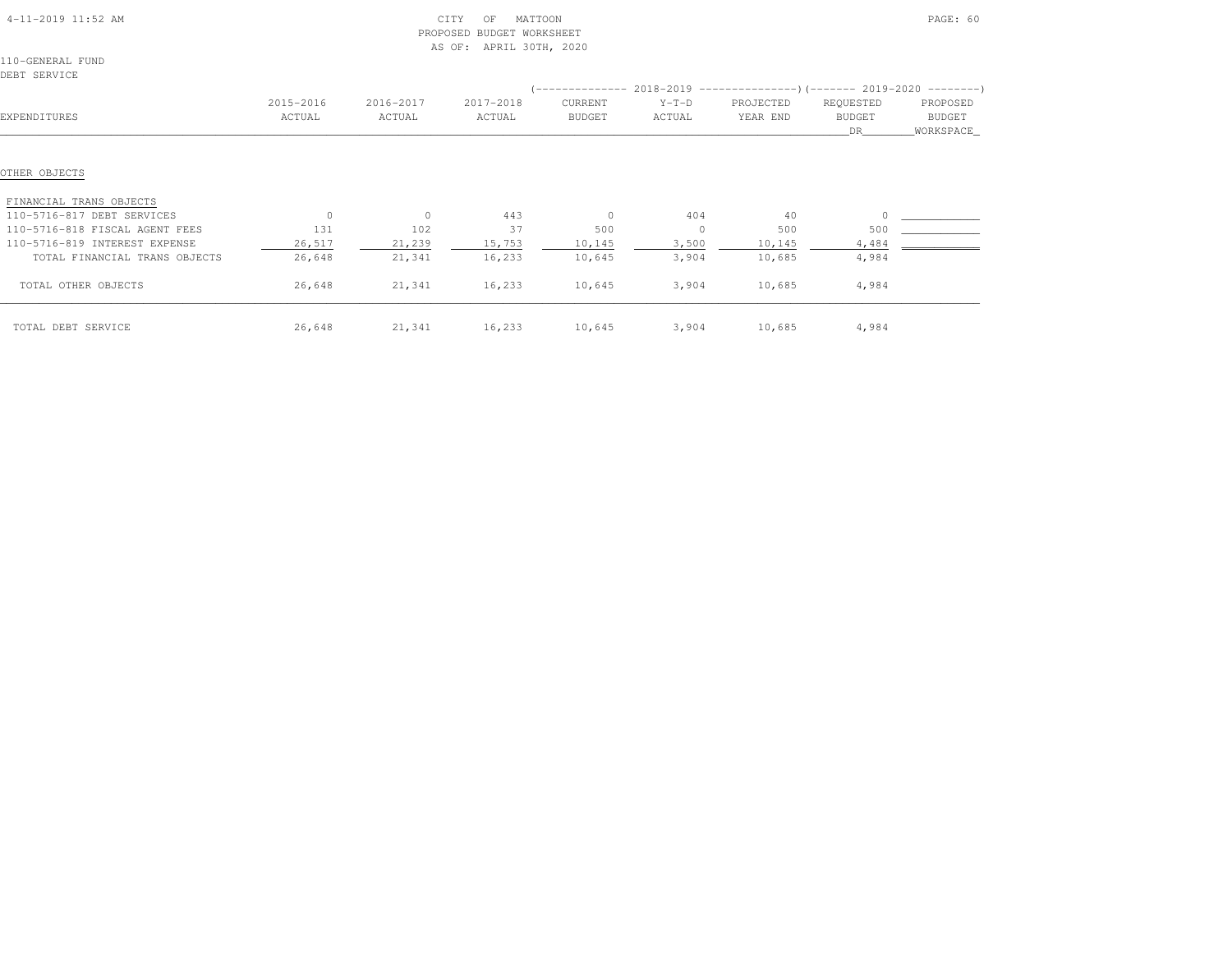| 4-11-2019 11:52 AM             |           |           | CITY<br>MATTOON<br>OF<br>PROPOSED<br><b>BUDGET WORKSHEET</b><br>APRIL 30TH, 2020<br>AS OF: |               |              |                                                                           |                     | PAGE: 60              |
|--------------------------------|-----------|-----------|--------------------------------------------------------------------------------------------|---------------|--------------|---------------------------------------------------------------------------|---------------------|-----------------------|
| 110-GENERAL FUND               |           |           |                                                                                            |               |              |                                                                           |                     |                       |
| DEBT SERVICE                   |           |           |                                                                                            |               |              |                                                                           |                     |                       |
|                                |           |           |                                                                                            |               |              | (-------------- 2018-2019 ----------------) (------- 2019-2020 ---------) |                     |                       |
|                                | 2015-2016 | 2016-2017 | 2017-2018                                                                                  | CURRENT       | $Y-T-D$      | PROJECTED                                                                 | REQUESTED           | PROPOSED              |
| EXPENDITURES                   | ACTUAL    | ACTUAL    | ACTUAL                                                                                     | <b>BUDGET</b> | ACTUAL       | YEAR END                                                                  | <b>BUDGET</b><br>DR | BUDGET<br>_WORKSPACE_ |
| OTHER OBJECTS                  |           |           |                                                                                            |               |              |                                                                           |                     |                       |
| FINANCIAL TRANS OBJECTS        |           |           |                                                                                            |               |              |                                                                           |                     |                       |
| 110-5716-817 DEBT SERVICES     | $\Omega$  | $\circ$   | 443                                                                                        | $\circ$       | 404          | 40                                                                        |                     |                       |
| 110-5716-818 FISCAL AGENT FEES | 131       | 102       | 37                                                                                         | 500           | $\mathbf{0}$ | 500                                                                       | 500                 |                       |
| 110-5716-819 INTEREST EXPENSE  | 26,517    | 21,239    | 15,753                                                                                     | 10,145        | 3,500        | 10, 145                                                                   | 4,484               |                       |
| TOTAL FINANCIAL TRANS OBJECTS  | 26,648    | 21,341    | 16,233                                                                                     | 10,645        | 3,904        | 10,685                                                                    | 4,984               |                       |
| TOTAL OTHER OBJECTS            | 26,648    | 21,341    | 16,233                                                                                     | 10,645        | 3,904        | 10,685                                                                    | 4,984               |                       |
| TOTAL DEBT SERVICE             | 26,648    | 21,341    | 16,233                                                                                     | 10,645        |              | 3,904 10,685                                                              | 4,984               |                       |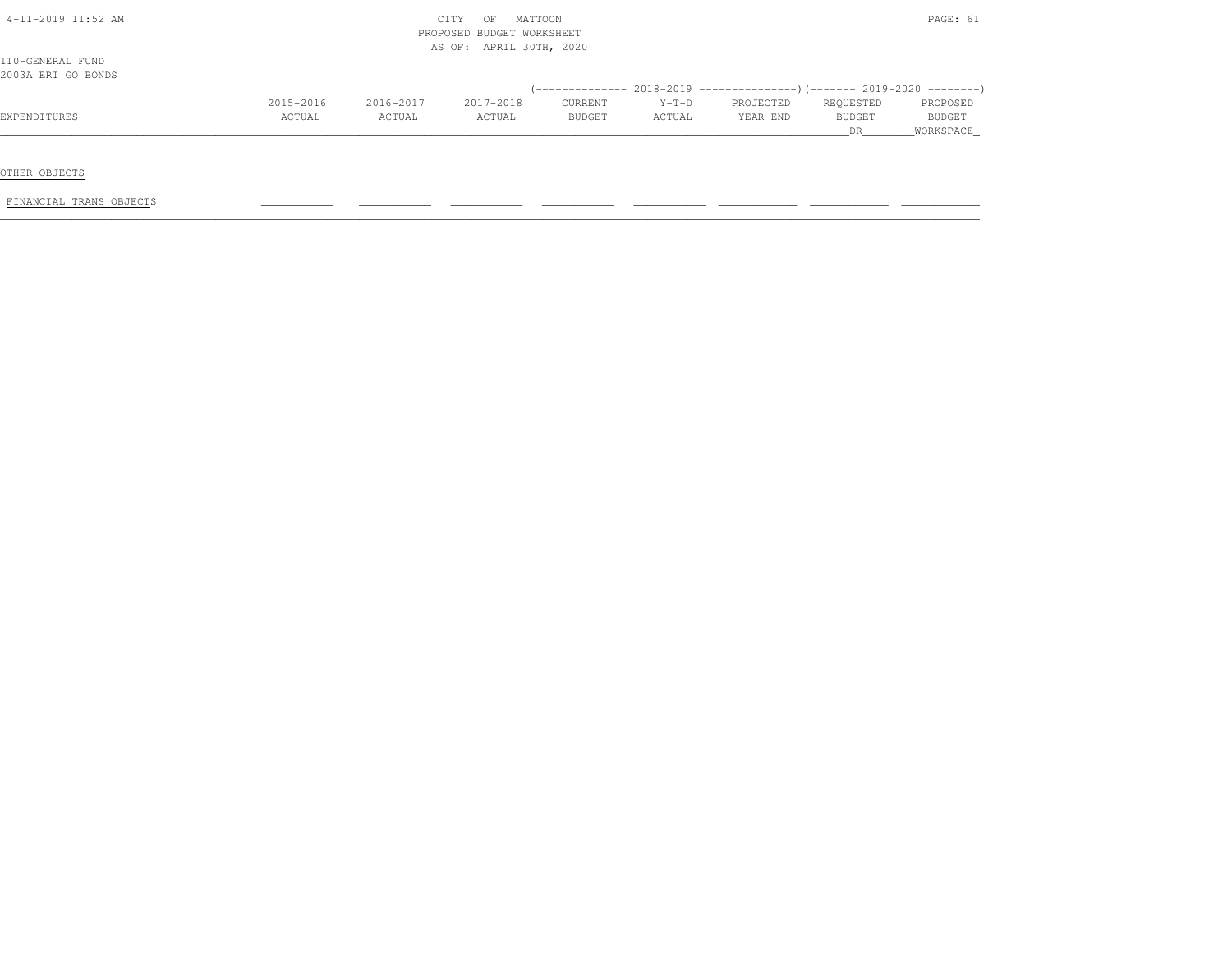| 4-11-2019 11:52 AM |           |           | CITY<br>MATTOON<br>OF<br>PROPOSED BUDGET WORKSHEET |         |         |                                                                          |           | PAGE: 61  |
|--------------------|-----------|-----------|----------------------------------------------------|---------|---------|--------------------------------------------------------------------------|-----------|-----------|
|                    |           |           | AS OF: APRIL 30TH, 2020                            |         |         |                                                                          |           |           |
| 110-GENERAL FUND   |           |           |                                                    |         |         |                                                                          |           |           |
| 2003A ERI GO BONDS |           |           |                                                    |         |         |                                                                          |           |           |
|                    |           |           |                                                    |         |         | (-------------- 2018-2019 ----------------)(------- 2019-2020 ---------) |           |           |
|                    | 2015-2016 | 2016-2017 | 2017-2018                                          | CURRENT | $Y-T-D$ | PROJECTED                                                                | REQUESTED | PROPOSED  |
| EXPENDITURES       | ACTUAL    | ACTUAL    | ACTUAL                                             | BUDGET  | ACTUAL  | YEAR END                                                                 | BUDGET    | BUDGET    |
|                    |           |           |                                                    |         |         |                                                                          | <b>DR</b> | WORKSPACE |

OTHER OBJECTS

FINANCIAL TRANS OBJECTS \_\_\_\_\_\_\_\_\_\_\_ \_\_\_\_\_\_\_\_\_\_\_ \_\_\_\_\_\_\_\_\_\_\_ \_\_\_\_\_\_\_\_\_\_\_ \_\_\_\_\_\_\_\_\_\_\_ \_\_\_\_\_\_\_\_\_\_\_\_ \_\_\_\_\_\_\_\_\_\_\_\_ \_\_\_\_\_\_\_\_\_\_\_\_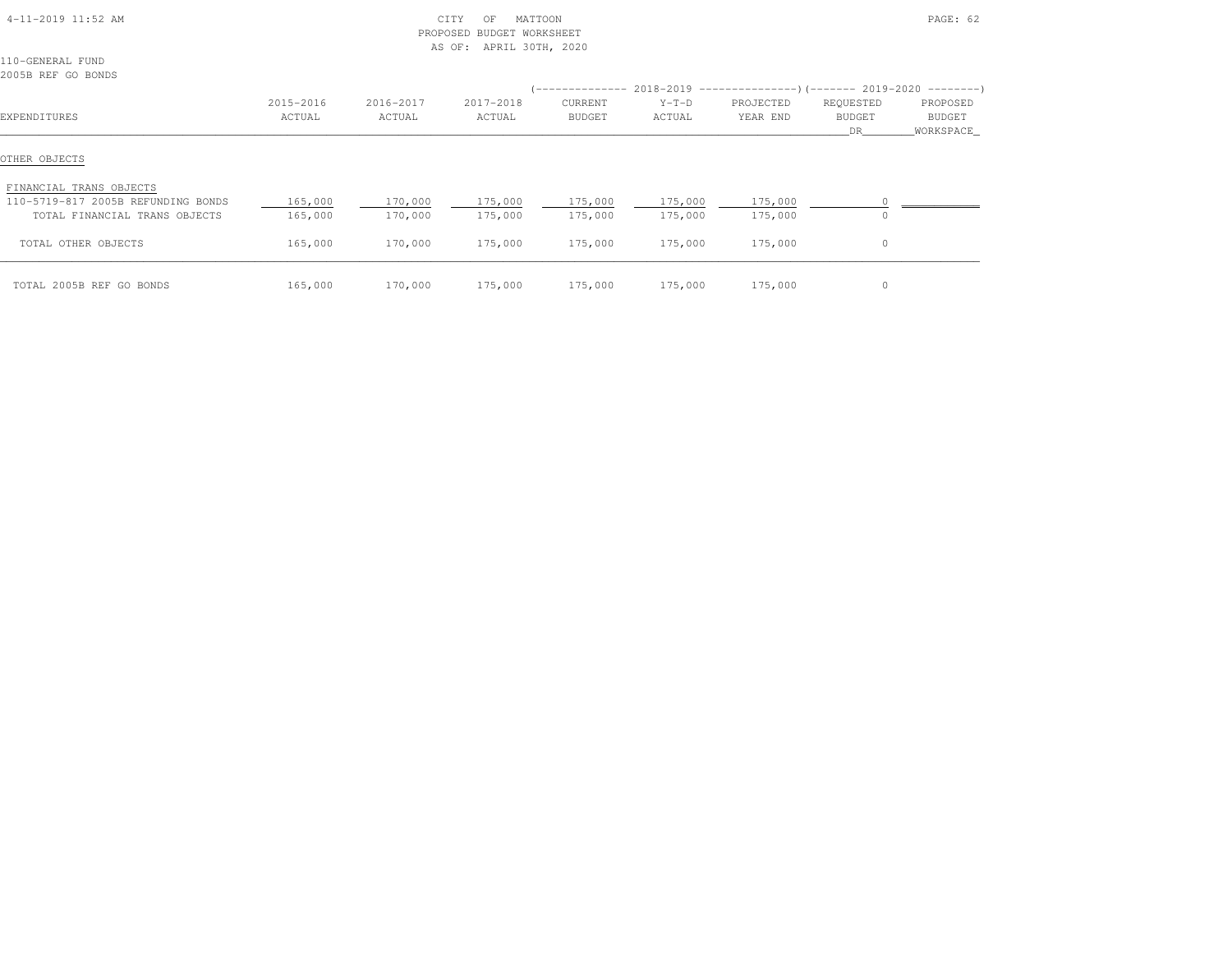| 4-11-2019 11:52 AM                                                                             |                     | PROPOSED            | CITY<br>MATTOON<br>OF<br><b>BUDGET WORKSHEET</b><br>APRIL 30TH, 2020<br>AS OF: |                          |                    |                       |                                                                                                                  | PAGE: 62                         |
|------------------------------------------------------------------------------------------------|---------------------|---------------------|--------------------------------------------------------------------------------|--------------------------|--------------------|-----------------------|------------------------------------------------------------------------------------------------------------------|----------------------------------|
| 110-GENERAL FUND<br>2005B REF GO BONDS                                                         |                     |                     |                                                                                |                          |                    |                       |                                                                                                                  |                                  |
| EXPENDITURES                                                                                   | 2015-2016<br>ACTUAL | 2016-2017<br>ACTUAL | 2017-2018<br>ACTUAL                                                            | CURRENT<br><b>BUDGET</b> | $Y-T-D$<br>ACTUAL  | PROJECTED<br>YEAR END | $($ -------------- 2018-2019 ----------------) (------- 2019-2020 ---------)<br>REQUESTED<br><b>BUDGET</b><br>DR | PROPOSED<br>BUDGET<br>WORKSPACE_ |
| OTHER OBJECTS                                                                                  |                     |                     |                                                                                |                          |                    |                       |                                                                                                                  |                                  |
| FINANCIAL TRANS OBJECTS<br>110-5719-817 2005B REFUNDING BONDS<br>TOTAL FINANCIAL TRANS OBJECTS | 165,000<br>165,000  | 170,000<br>170,000  | 175,000<br>175,000                                                             | 175,000<br>175,000       | 175,000<br>175,000 | 175,000<br>175,000    |                                                                                                                  |                                  |
| TOTAL OTHER OBJECTS                                                                            | 165,000             | 170,000             | 175,000                                                                        | 175,000                  | 175,000            | 175,000               | $\circ$                                                                                                          |                                  |
| TOTAL 2005B REF GO BONDS                                                                       | 165,000             | 170,000             | 175,000                                                                        | 175,000                  | 175,000            | 175,000               | $\circ$                                                                                                          |                                  |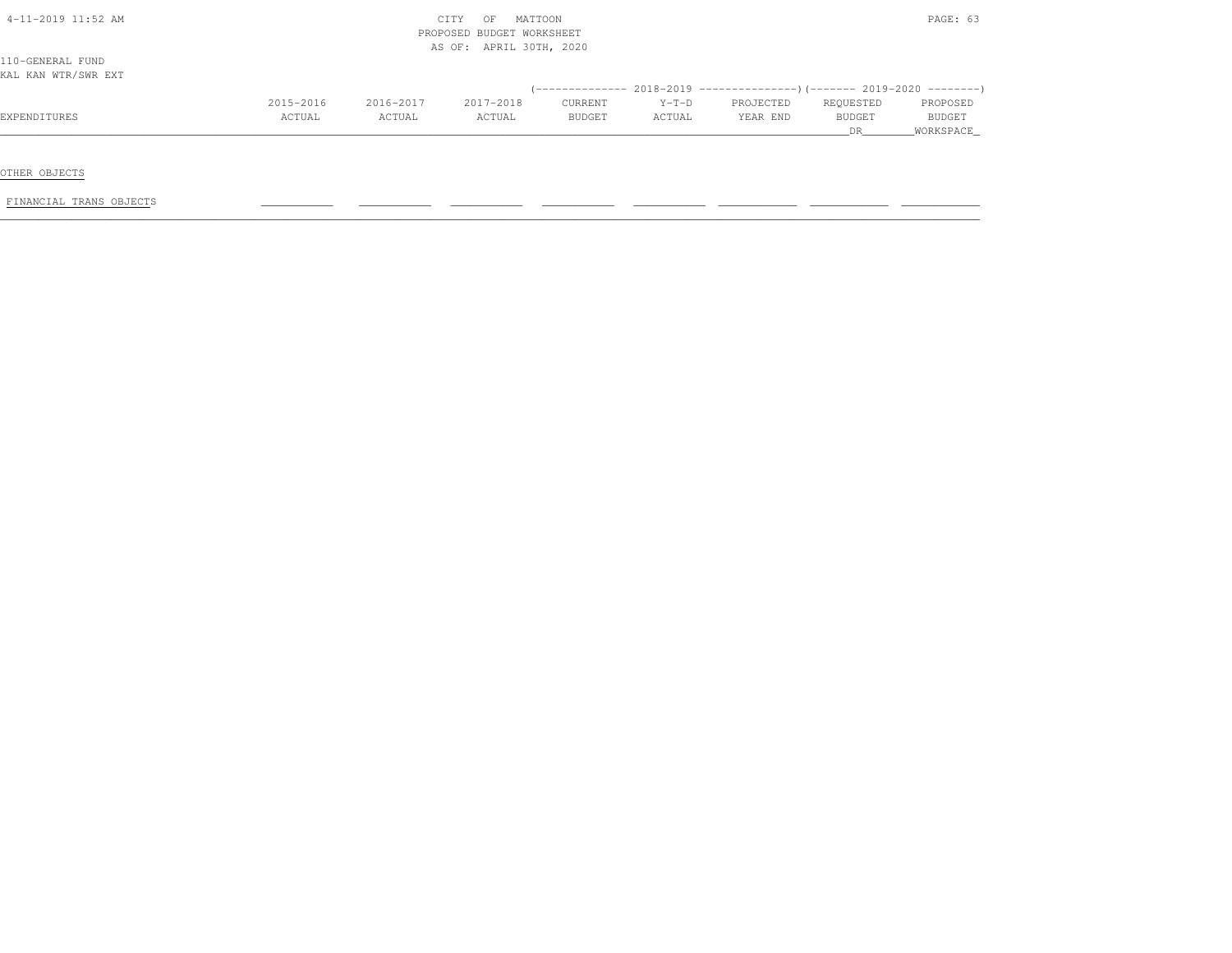| $4-11-2019$ 11:52 AM |           |           | CITY<br>MATTOON<br>OF<br>PROPOSED BUDGET WORKSHEET |         |         |           |               | PAGE: 63      |
|----------------------|-----------|-----------|----------------------------------------------------|---------|---------|-----------|---------------|---------------|
|                      |           |           | AS OF: APRIL 30TH, 2020                            |         |         |           |               |               |
| 110-GENERAL FUND     |           |           |                                                    |         |         |           |               |               |
| KAL KAN WTR/SWR EXT  |           |           |                                                    |         |         |           |               |               |
|                      |           |           |                                                    |         |         |           |               |               |
|                      | 2015-2016 | 2016-2017 | 2017-2018                                          | CURRENT | $Y-T-D$ | PROJECTED | REQUESTED     | PROPOSED      |
| EXPENDITURES         | ACTUAL    | ACTUAL    | ACTUAL                                             | BUDGET  | ACTUAL  | YEAR END  | <b>BUDGET</b> | <b>BUDGET</b> |
|                      |           |           |                                                    |         |         |           | DR.           | WORKSPACE     |

FINANCIAL TRANS OBJECTS \_\_\_\_\_\_\_\_\_\_\_ \_\_\_\_\_\_\_\_\_\_\_ \_\_\_\_\_\_\_\_\_\_\_ \_\_\_\_\_\_\_\_\_\_\_ \_\_\_\_\_\_\_\_\_\_\_ \_\_\_\_\_\_\_\_\_\_\_\_ \_\_\_\_\_\_\_\_\_\_\_\_ \_\_\_\_\_\_\_\_\_\_\_\_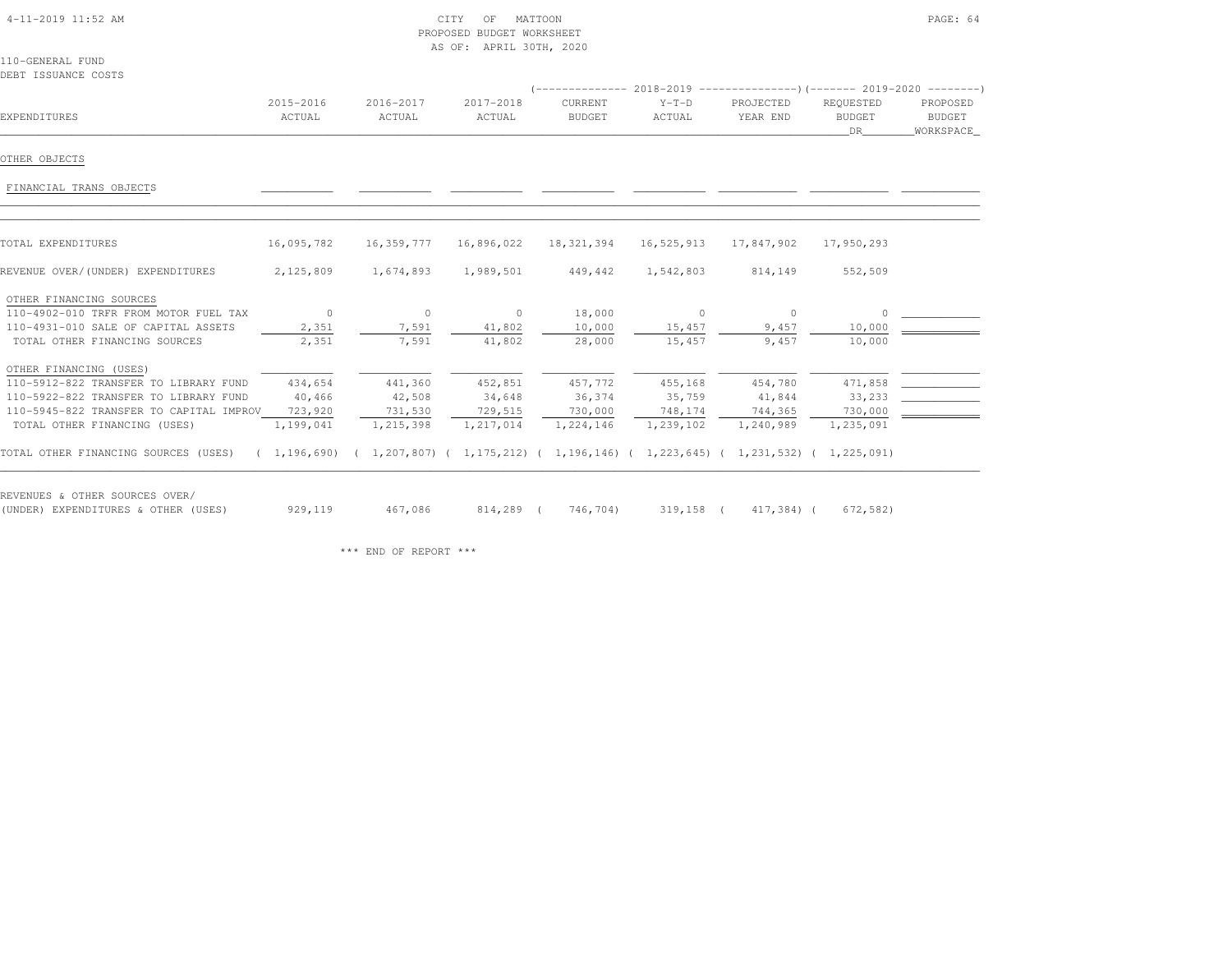# 4-11-2019 11:52 AM CITY OF MATTOON PAGE: 64 PROPOSED BUDGET WORKSHEETAS OF: APRIL 30TH, 2020

110-GENERAL FUNDDEBT ISSUANCE COSTS

| EXPENDITURES                                                                                                                                                                        | 2015-2016<br>ACTUAL                       | 2016-2017<br>ACTUAL                       | 2017-2018<br>ACTUAL                       | CURRENT<br><b>BUDGET</b>       | $Y-T-D$<br>ACTUAL                                 | PROJECTED<br>YEAR END                     | REQUESTED<br><b>BUDGET</b><br>DR          | PROPOSED<br>BUDGET<br>WORKSPACE |
|-------------------------------------------------------------------------------------------------------------------------------------------------------------------------------------|-------------------------------------------|-------------------------------------------|-------------------------------------------|--------------------------------|---------------------------------------------------|-------------------------------------------|-------------------------------------------|---------------------------------|
| OTHER OBJECTS                                                                                                                                                                       |                                           |                                           |                                           |                                |                                                   |                                           |                                           |                                 |
| FINANCIAL TRANS OBJECTS                                                                                                                                                             |                                           |                                           |                                           |                                |                                                   |                                           |                                           |                                 |
| TOTAL EXPENDITURES                                                                                                                                                                  | 16,095,782                                | 16,359,777                                | 16,896,022                                | 18,321,394                     | 16,525,913                                        | 17,847,902                                | 17,950,293                                |                                 |
| REVENUE OVER/(UNDER) EXPENDITURES                                                                                                                                                   | 2,125,809                                 | 1,674,893                                 | 1,989,501                                 | 449,442                        | 1,542,803                                         | 814,149                                   | 552,509                                   |                                 |
| OTHER FINANCING SOURCES<br>110-4902-010 TRFR FROM MOTOR FUEL TAX<br>110-4931-010 SALE OF CAPITAL ASSETS<br>TOTAL OTHER FINANCING SOURCES                                            | $\sim$ 0<br>2,351<br>2,351                | $\circ$<br>7,591<br>7,591                 | $\sim$ 0<br>41,802<br>41,802              | 18,000<br>10,000<br>28,000     | $\sim$ 0<br>15,457<br>15,457                      | $\overline{0}$<br>9,457<br>9,457          | $\Omega$<br>10,000<br>10,000              |                                 |
| OTHER FINANCING (USES)<br>110-5912-822 TRANSFER TO LIBRARY FUND<br>110-5922-822 TRANSFER TO LIBRARY FUND<br>110-5945-822 TRANSFER TO CAPITAL IMPROV<br>TOTAL OTHER FINANCING (USES) | 434,654<br>40,466<br>723,920<br>1,199,041 | 441,360<br>42,508<br>731,530<br>1,215,398 | 452,851<br>34,648<br>729,515<br>1,217,014 | 36,374<br>730,000<br>1,224,146 | 457,772 455,168<br>35,759<br>748,174<br>1,239,102 | 454,780<br>41,844<br>744,365<br>1,240,989 | 471,858<br>33,233<br>730,000<br>1,235,091 |                                 |
| TOTAL OTHER FINANCING SOURCES (USES) (1,196,690) (1,207,807) (1,175,212) (1,196,146) (1,223,645) (1,231,532) (1,225,091)                                                            |                                           |                                           |                                           |                                |                                                   |                                           |                                           |                                 |
| REVENUES & OTHER SOURCES OVER/<br>(UNDER) EXPENDITURES & OTHER (USES)                                                                                                               | 929,119                                   | 467,086                                   |                                           | 814,289 ( 746,704)             |                                                   | 319,158 ( 417,384) (                      | 672,582)                                  |                                 |

\*\*\* END OF REPORT \*\*\*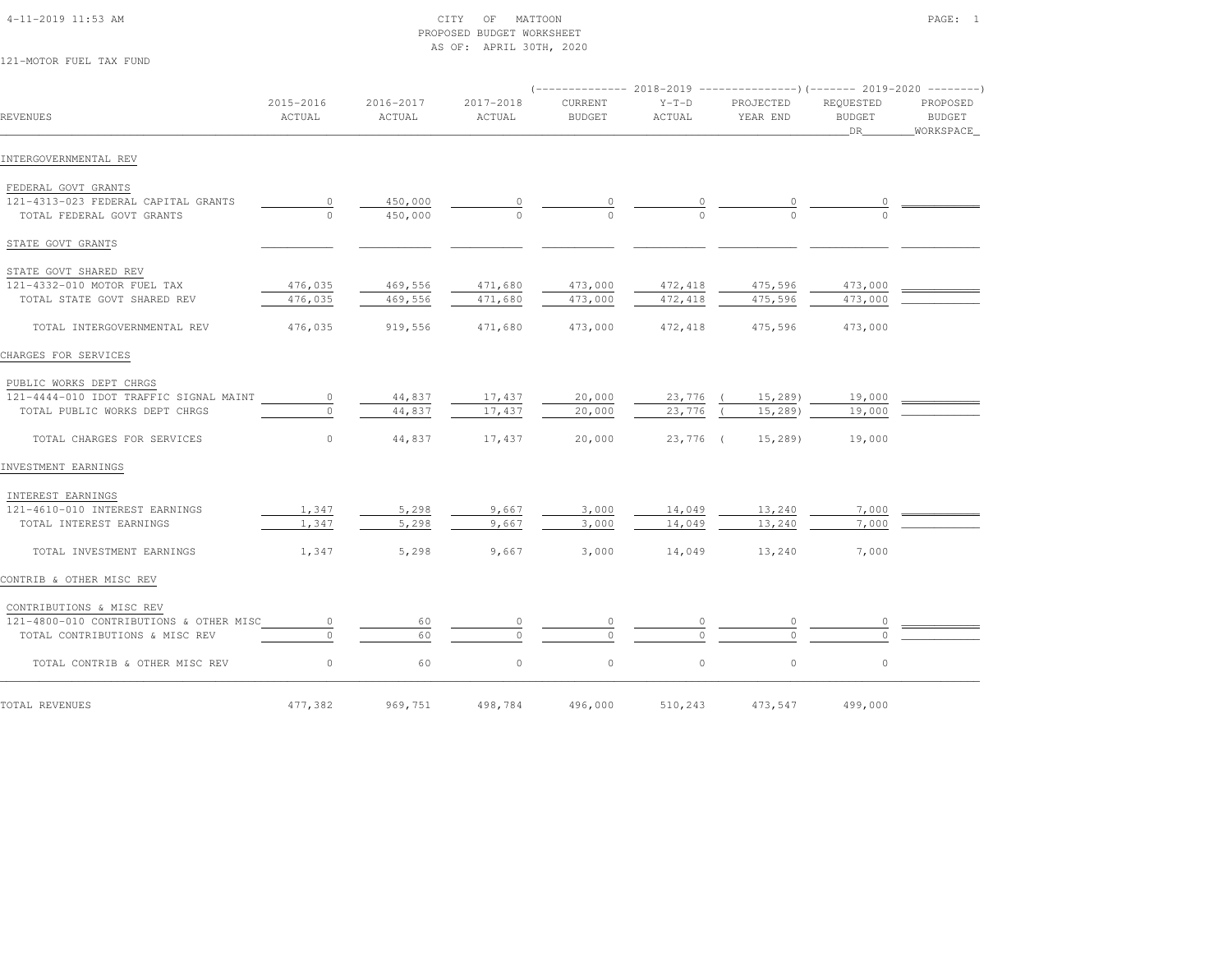# 4-11-2019 11:53 AM CITY OF MATTOON PAGE: 1 PROPOSED BUDGET WORKSHEETAS OF: APRIL 30TH, 2020

121-MOTOR FUEL TAX FUND

| <b>REVENUES</b>                                                  | 2015-2016<br>ACTUAL | 2016-2017<br>ACTUAL | 2017-2018<br>ACTUAL | CURRENT<br><b>BUDGET</b> | $Y-T-D$<br>ACTUAL | PROJECTED<br>YEAR END | REQUESTED<br><b>BUDGET</b><br>DR | PROPOSED<br>BUDGET<br>WORKSPACE |
|------------------------------------------------------------------|---------------------|---------------------|---------------------|--------------------------|-------------------|-----------------------|----------------------------------|---------------------------------|
| INTERGOVERNMENTAL REV                                            |                     |                     |                     |                          |                   |                       |                                  |                                 |
| FEDERAL GOVT GRANTS                                              |                     |                     |                     |                          |                   |                       |                                  |                                 |
| 121-4313-023 FEDERAL CAPITAL GRANTS<br>TOTAL FEDERAL GOVT GRANTS | $\circ$<br>$\circ$  | 450,000<br>450,000  | $\Omega$            | $\Omega$                 |                   |                       |                                  |                                 |
| STATE GOVT GRANTS                                                |                     |                     |                     |                          |                   |                       |                                  |                                 |
| STATE GOVT SHARED REV                                            |                     |                     |                     |                          |                   |                       |                                  |                                 |
| 121-4332-010 MOTOR FUEL TAX                                      | 476,035             | 469,556             | 471,680             | 473,000                  | 472,418           | 475,596               | 473,000                          |                                 |
| TOTAL STATE GOVT SHARED REV                                      | 476,035             | 469,556             | 471,680             | 473,000                  | 472,418           | 475,596               | 473,000                          |                                 |
| TOTAL INTERGOVERNMENTAL REV                                      | 476,035             | 919,556             | 471,680             | 473,000                  | 472,418           | 475,596               | 473,000                          |                                 |
| CHARGES FOR SERVICES                                             |                     |                     |                     |                          |                   |                       |                                  |                                 |
| PUBLIC WORKS DEPT CHRGS                                          |                     |                     |                     |                          |                   |                       |                                  |                                 |
| 121-4444-010 IDOT TRAFFIC SIGNAL MAINT                           | $\circ$             | 44,837              | 17,437              | 20,000                   | 23,776            | 15,289                | 19,000                           |                                 |
| TOTAL PUBLIC WORKS DEPT CHRGS                                    | $\Omega$            | 44,837              | 17,437              | 20,000                   | 23,776            | 15,289                | 19,000                           |                                 |
| TOTAL CHARGES FOR SERVICES                                       | $\circ$             | 44,837              | 17,437              | 20,000                   | 23,776 (          | 15,289                | 19,000                           |                                 |
| INVESTMENT EARNINGS                                              |                     |                     |                     |                          |                   |                       |                                  |                                 |
| INTEREST EARNINGS                                                |                     |                     |                     |                          |                   |                       |                                  |                                 |
| 121-4610-010 INTEREST EARNINGS                                   | 1,347               | 5,298               | 9,667               | 3,000                    | 14,049            | 13,240                | 7,000                            |                                 |
| TOTAL INTEREST EARNINGS                                          | 1,347               | 5,298               | 9,667               | 3,000                    | 14,049            | 13,240                | 7,000                            |                                 |
| TOTAL INVESTMENT EARNINGS                                        | 1,347               | 5,298               | 9,667               | 3,000                    | 14,049            | 13,240                | 7,000                            |                                 |
| CONTRIB & OTHER MISC REV                                         |                     |                     |                     |                          |                   |                       |                                  |                                 |
| CONTRIBUTIONS & MISC REV                                         |                     |                     |                     |                          |                   |                       |                                  |                                 |
| 121-4800-010 CONTRIBUTIONS & OTHER MISC                          | $\circ$             | 60                  | 0                   | $\circ$                  |                   | 0                     |                                  |                                 |
| TOTAL CONTRIBUTIONS & MISC REV                                   | $\cap$              | 60                  |                     | $\Omega$                 |                   | $\cap$                |                                  |                                 |
| TOTAL CONTRIB & OTHER MISC REV                                   | $\circ$             | 60                  | $\circ$             | $\circ$                  | $\circ$           | $\circ$               | $\circ$                          |                                 |
| TOTAL REVENUES                                                   | 477,382             | 969,751             | 498,784             | 496,000                  | 510,243           | 473,547               | 499,000                          |                                 |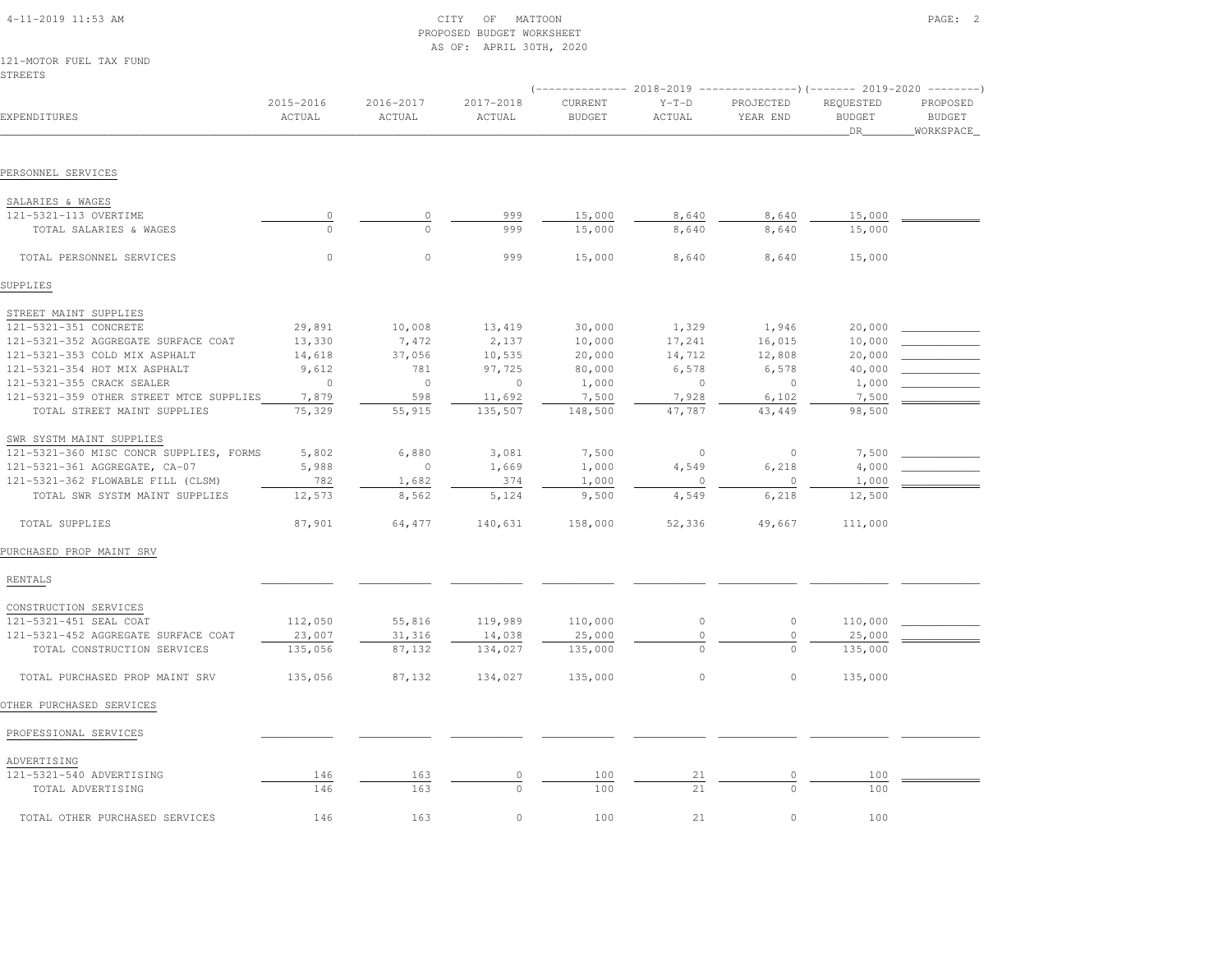# 4-11-2019 11:53 AM CITY OF MATTOON PAGE: 2 PROPOSED BUDGET WORKSHEETAS OF: APRIL 30TH, 2020

#### 121-MOTOR FUEL TAX FUNDSTREETS

|                                         |                     |                     |                     | ------------- 2018-2019  |                   |                       |                                  |                                        |
|-----------------------------------------|---------------------|---------------------|---------------------|--------------------------|-------------------|-----------------------|----------------------------------|----------------------------------------|
| EXPENDITURES                            | 2015-2016<br>ACTUAL | 2016-2017<br>ACTUAL | 2017-2018<br>ACTUAL | CURRENT<br><b>BUDGET</b> | $Y-T-D$<br>ACTUAL | PROJECTED<br>YEAR END | REQUESTED<br><b>BUDGET</b><br>DR | PROPOSED<br><b>BUDGET</b><br>WORKSPACE |
|                                         |                     |                     |                     |                          |                   |                       |                                  |                                        |
| PERSONNEL SERVICES                      |                     |                     |                     |                          |                   |                       |                                  |                                        |
| SALARIES & WAGES                        |                     |                     |                     |                          |                   |                       |                                  |                                        |
| 121-5321-113 OVERTIME                   | $\circ$             | 0                   | 999                 | 15,000                   | 8,640             | 8,640                 | 15,000                           |                                        |
| TOTAL SALARIES & WAGES                  | $\Omega$            | $\Omega$            | 999                 | 15,000                   | 8,640             | 8,640                 | 15,000                           |                                        |
| TOTAL PERSONNEL SERVICES                | $\circ$             | $\mathbb O$         | 999                 | 15,000                   | 8,640             | 8,640                 | 15,000                           |                                        |
| SUPPLIES                                |                     |                     |                     |                          |                   |                       |                                  |                                        |
| STREET MAINT SUPPLIES                   |                     |                     |                     |                          |                   |                       |                                  |                                        |
| 121-5321-351 CONCRETE                   | 29,891              | 10,008              | 13,419              | 30,000                   | 1,329             | 1,946                 | 20,000                           |                                        |
| 121-5321-352 AGGREGATE SURFACE COAT     | 13,330              | 7,472               | 2,137               | 10,000                   | 17,241            | 16,015                | 10,000                           |                                        |
| 121-5321-353 COLD MIX ASPHALT           | 14,618              | 37,056              | 10,535              | 20,000                   | 14,712            | 12,808                | 20,000                           |                                        |
| 121-5321-354 HOT MIX ASPHALT            | 9,612               | 781                 | 97,725              | 80,000                   | 6,578             | 6,578                 | 40,000                           |                                        |
| 121-5321-355 CRACK SEALER               | $\circ$             | $\circ$             | $\circ$             | 1,000                    | $\circ$           | $\circ$               | 1,000                            |                                        |
| 121-5321-359 OTHER STREET MTCE SUPPLIES | 7,879               | 598                 | 11,692              | 7,500                    | 7,928             | 6,102                 | 7,500                            |                                        |
| TOTAL STREET MAINT SUPPLIES             | 75,329              | 55,915              | 135,507             | 148,500                  | 47,787            | 43,449                | 98,500                           |                                        |
| SWR SYSTM MAINT SUPPLIES                |                     |                     |                     |                          |                   |                       |                                  |                                        |
| 121-5321-360 MISC CONCR SUPPLIES, FORMS | 5,802               | 6,880               | 3,081               | 7,500                    | $\circ$           | $\circ$               | 7,500                            |                                        |
| 121-5321-361 AGGREGATE, CA-07           | 5,988               | $\circ$             | 1,669               | 1,000                    | 4,549             | 6,218                 | 4,000                            |                                        |
| 121-5321-362 FLOWABLE FILL (CLSM)       | 782                 | 1,682               | 374                 | 1,000                    | $\mathbf{0}$      | $\circ$               | 1,000                            |                                        |
| TOTAL SWR SYSTM MAINT SUPPLIES          | 12,573              | 8,562               | 5,124               | 9,500                    | 4,549             | 6,218                 | 12,500                           |                                        |
| TOTAL SUPPLIES                          | 87,901              | 64,477              | 140,631             | 158,000                  | 52,336            | 49,667                | 111,000                          |                                        |
| PURCHASED PROP MAINT SRV                |                     |                     |                     |                          |                   |                       |                                  |                                        |
| RENTALS                                 |                     |                     |                     |                          |                   |                       |                                  |                                        |
| CONSTRUCTION SERVICES                   |                     |                     |                     |                          |                   |                       |                                  |                                        |
| 121-5321-451 SEAL COAT                  | 112,050             | 55,816              | 119,989             | 110,000                  | $\circ$           | $\circ$               | 110,000                          |                                        |
| 121-5321-452 AGGREGATE SURFACE COAT     | 23,007              | 31,316              | 14,038              | 25,000                   | $\circ$           | $\mathbb O$           | 25,000                           |                                        |
| TOTAL CONSTRUCTION SERVICES             | 135,056             | 87,132              | 134,027             | 135,000                  | $\mathbf{0}$      | $\circ$               | 135,000                          |                                        |
| TOTAL PURCHASED PROP MAINT SRV          | 135,056             | 87,132              | 134,027             | 135,000                  | $\mathbb O$       | $\circ$               | 135,000                          |                                        |
| OTHER PURCHASED SERVICES                |                     |                     |                     |                          |                   |                       |                                  |                                        |
| PROFESSIONAL SERVICES                   |                     |                     |                     |                          |                   |                       |                                  |                                        |
| ADVERTISING                             |                     |                     |                     |                          |                   |                       |                                  |                                        |
| 121-5321-540 ADVERTISING                | 146                 | 163                 | 0                   | 100                      | 21                | $\circ$               | 100                              |                                        |
| TOTAL ADVERTISING                       | 146                 | 163                 |                     | 100                      | 21                | $\circ$               | 100                              |                                        |
| TOTAL OTHER PURCHASED SERVICES          | 146                 | 163                 | $\Omega$            | 100                      | 2.1               | $\Omega$              | 100                              |                                        |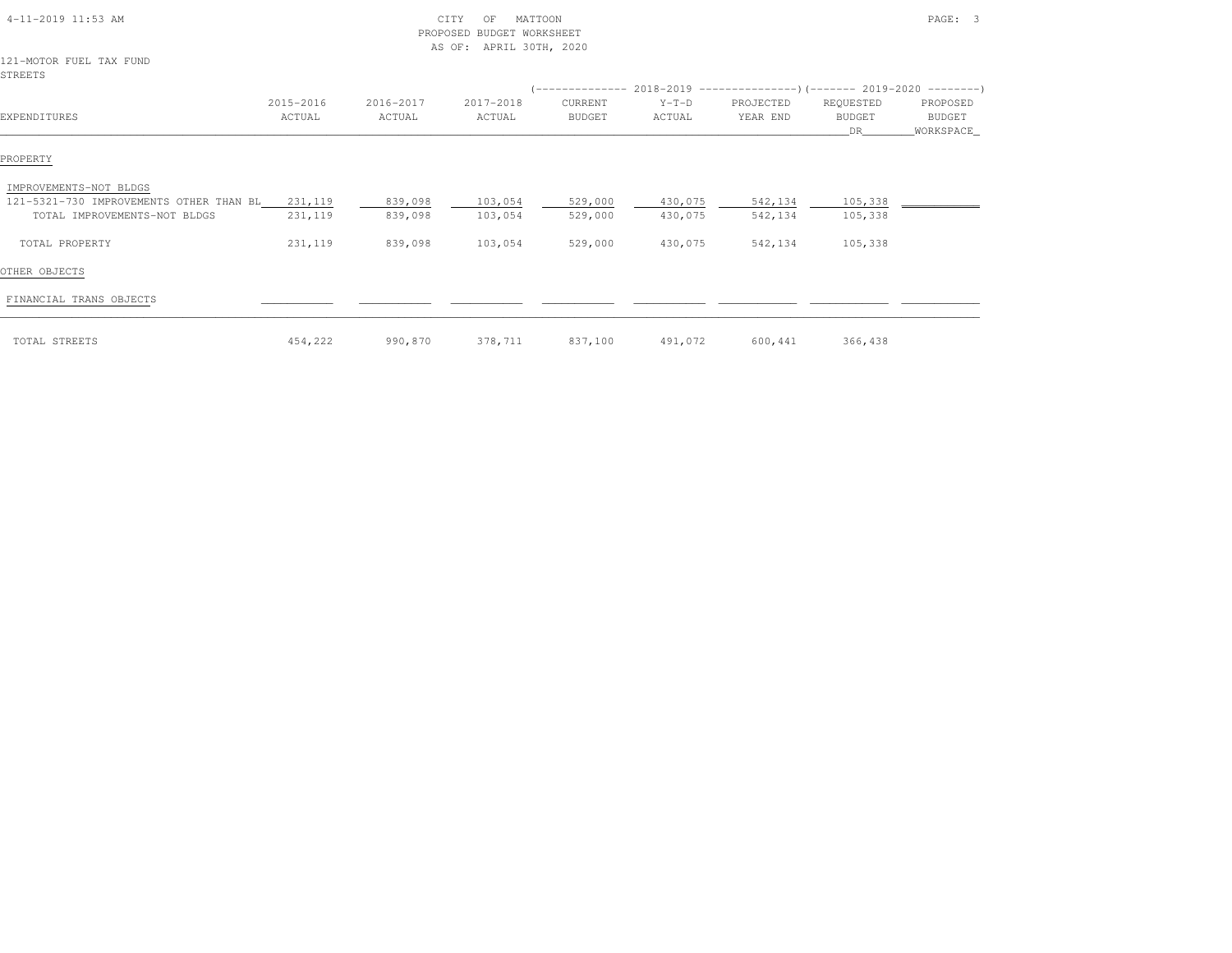| 4-11-2019 11:53 AM                                                              |                     |                     | CITY<br>MATTOON<br>OF<br>PROPOSED BUDGET WORKSHEET<br>AS OF: APRIL 30TH, 2020 |                          |                    |                       |                                   | PAGE: 3                                |
|---------------------------------------------------------------------------------|---------------------|---------------------|-------------------------------------------------------------------------------|--------------------------|--------------------|-----------------------|-----------------------------------|----------------------------------------|
| 121-MOTOR FUEL TAX FUND<br><b>STREETS</b>                                       |                     |                     |                                                                               |                          |                    |                       |                                   |                                        |
| EXPENDITURES                                                                    | 2015-2016<br>ACTUAL | 2016-2017<br>ACTUAL | 2017-2018<br>ACTUAL                                                           | CURRENT<br><b>BUDGET</b> | $Y-T-D$<br>ACTUAL  | PROJECTED<br>YEAR END | REQUESTED<br><b>BUDGET</b><br>DR. | PROPOSED<br><b>BUDGET</b><br>WORKSPACE |
| PROPERTY                                                                        |                     |                     |                                                                               |                          |                    |                       |                                   |                                        |
| IMPROVEMENTS-NOT BLDGS                                                          |                     |                     |                                                                               |                          |                    |                       |                                   |                                        |
| 121-5321-730 IMPROVEMENTS OTHER THAN BL 231,119<br>TOTAL IMPROVEMENTS-NOT BLDGS | 231,119             | 839,098<br>839,098  | 103,054<br>103,054                                                            | 529,000<br>529,000       | 430,075<br>430,075 | 542,134<br>542,134    | 105,338<br>105,338                |                                        |
| TOTAL PROPERTY                                                                  | 231,119             | 839,098             | 103,054                                                                       | 529,000                  | 430,075            | 542,134               | 105,338                           |                                        |
| OTHER OBJECTS                                                                   |                     |                     |                                                                               |                          |                    |                       |                                   |                                        |
| FINANCIAL TRANS OBJECTS                                                         |                     |                     |                                                                               |                          |                    |                       |                                   |                                        |
| TOTAL STREETS                                                                   | 454,222             | 990,870             | 378,711                                                                       | 837,100                  | 491,072            | 600,441               | 366,438                           |                                        |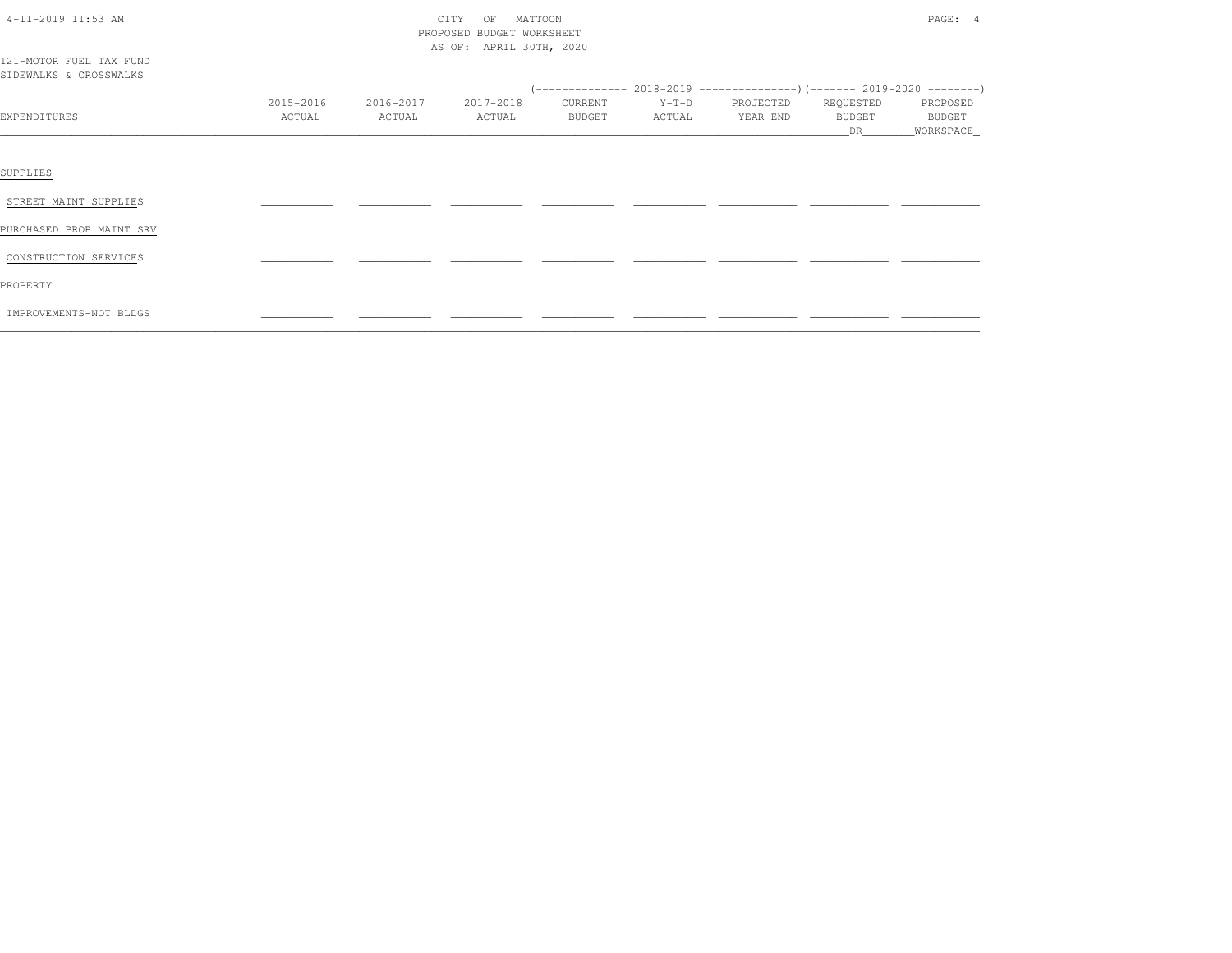| 4-11-2019 11:53 AM                                |           |           | CITY<br>MATTOON<br>OF<br>PROPOSED BUDGET WORKSHEET<br>AS OF: APRIL 30TH, 2020 |         |         |           |              | PAGE: 4               |
|---------------------------------------------------|-----------|-----------|-------------------------------------------------------------------------------|---------|---------|-----------|--------------|-----------------------|
| 121-MOTOR FUEL TAX FUND<br>SIDEWALKS & CROSSWALKS |           |           |                                                                               |         |         |           |              |                       |
|                                                   |           |           |                                                                               |         |         |           |              |                       |
|                                                   | 2015-2016 | 2016-2017 | 2017-2018                                                                     | CURRENT | $Y-T-D$ | PROJECTED | REQUESTED    | PROPOSED              |
| EXPENDITURES                                      | ACTUAL    | ACTUAL    | ACTUAL                                                                        | BUDGET  | ACTUAL  | YEAR END  | BUDGET<br>DR | BUDGET<br>_WORKSPACE_ |
|                                                   |           |           |                                                                               |         |         |           |              |                       |
| SUPPLIES                                          |           |           |                                                                               |         |         |           |              |                       |
| STREET MAINT SUPPLIES                             |           |           |                                                                               |         |         |           |              |                       |
| PURCHASED PROP MAINT SRV                          |           |           |                                                                               |         |         |           |              |                       |
| CONSTRUCTION SERVICES                             |           |           |                                                                               |         |         |           |              |                       |
| PROPERTY                                          |           |           |                                                                               |         |         |           |              |                       |
| IMPROVEMENTS-NOT BLDGS                            |           |           |                                                                               |         |         |           |              |                       |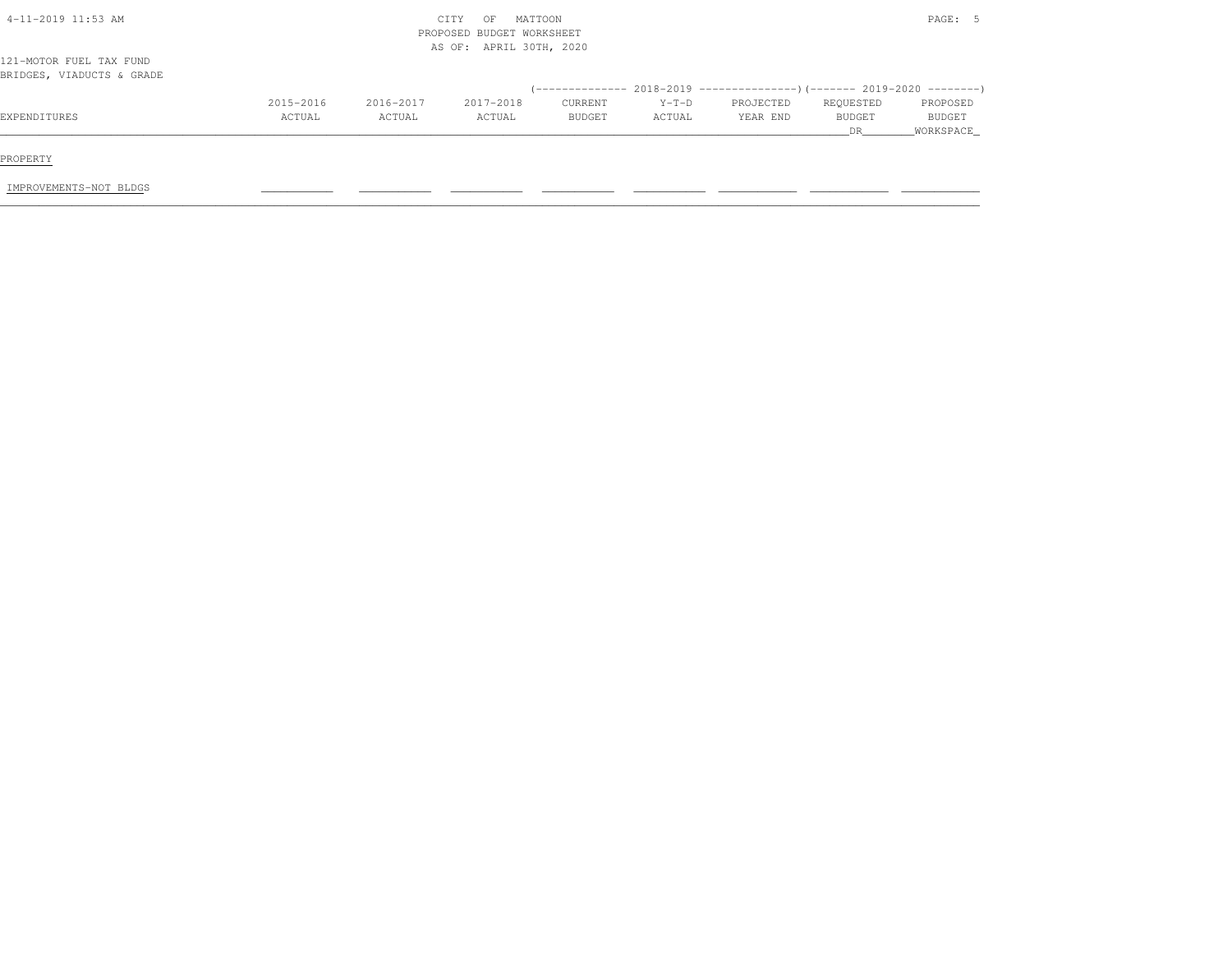| $4-11-2019$ 11:53 AM                                 |           |           | CITY<br>OF<br>PROPOSED BUDGET WORKSHEET<br>AS OF: APRIL 30TH, 2020 | MATTOON |         |                                                                              |           | PAGE: 5       |
|------------------------------------------------------|-----------|-----------|--------------------------------------------------------------------|---------|---------|------------------------------------------------------------------------------|-----------|---------------|
| 121-MOTOR FUEL TAX FUND<br>BRIDGES, VIADUCTS & GRADE |           |           |                                                                    |         |         |                                                                              |           |               |
|                                                      |           |           |                                                                    |         |         | $($ -------------- 2018-2019 ----------------) (------- 2019-2020 ---------) |           |               |
|                                                      | 2015-2016 | 2016-2017 | 2017-2018                                                          | CURRENT | $Y-T-D$ | PROJECTED                                                                    | REQUESTED | PROPOSED      |
| EXPENDITURES                                         | ACTUAL    | ACTUAL    | ACTUAL                                                             | BUDGET  | ACTUAL  | YEAR END                                                                     | BUDGET    | <b>BUDGET</b> |
|                                                      |           |           |                                                                    |         |         |                                                                              | DR        | WORKSPACE     |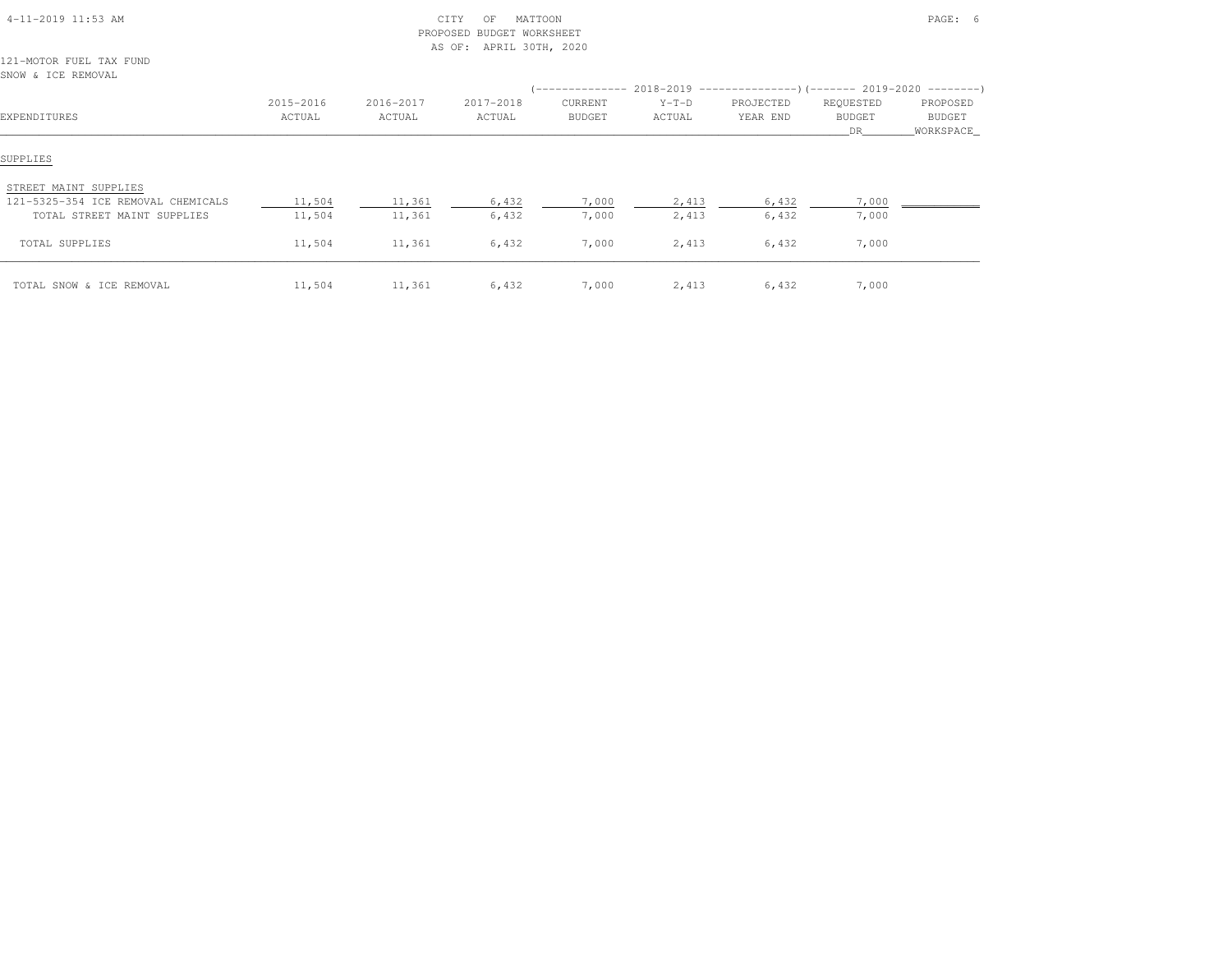| $4-11-2019$ $11:53$ AM |  |
|------------------------|--|

# $\begin{array}{ccc} \textrm{CITY} & \textrm{OF} & \textrm{MATTOON} \end{array}$  PROPOSED BUDGET WORKSHEETAS OF: APRIL 30TH, 2020

121-MOTOR FUEL TAX FUNDSNOW & ICE REMOVAL

| EXPENDITURES                                                                               | 2015-2016<br>ACTUAL | 2016-2017<br>ACTUAL | 2017-2018<br>ACTUAL | CURRENT<br><b>BUDGET</b> | $Y-T-D$<br>ACTUAL | (-------------- 2018-2019 ----------------------- 2019-2020 ---------------------<br>PROJECTED<br>YEAR END | REQUESTED<br><b>BUDGET</b><br>DR. | PROPOSED<br>BUDGET<br>WORKSPACE |
|--------------------------------------------------------------------------------------------|---------------------|---------------------|---------------------|--------------------------|-------------------|------------------------------------------------------------------------------------------------------------|-----------------------------------|---------------------------------|
| SUPPLIES                                                                                   |                     |                     |                     |                          |                   |                                                                                                            |                                   |                                 |
| STREET MAINT SUPPLIES<br>121-5325-354 ICE REMOVAL CHEMICALS<br>TOTAL STREET MAINT SUPPLIES | 11,504<br>11,504    | 11,361<br>11,361    | 6,432<br>6,432      | 7,000<br>7,000           | 2,413<br>2,413    | 6,432<br>6,432                                                                                             | 7,000<br>7,000                    |                                 |
| TOTAL SUPPLIES                                                                             | 11,504              | 11,361              | 6,432               | 7,000                    | 2,413             | 6,432                                                                                                      | 7,000                             |                                 |
| TOTAL SNOW & ICE REMOVAL                                                                   | 11,504              | 11,361              | 6,432               | 7,000                    | 2,413             | 6,432                                                                                                      | 7,000                             |                                 |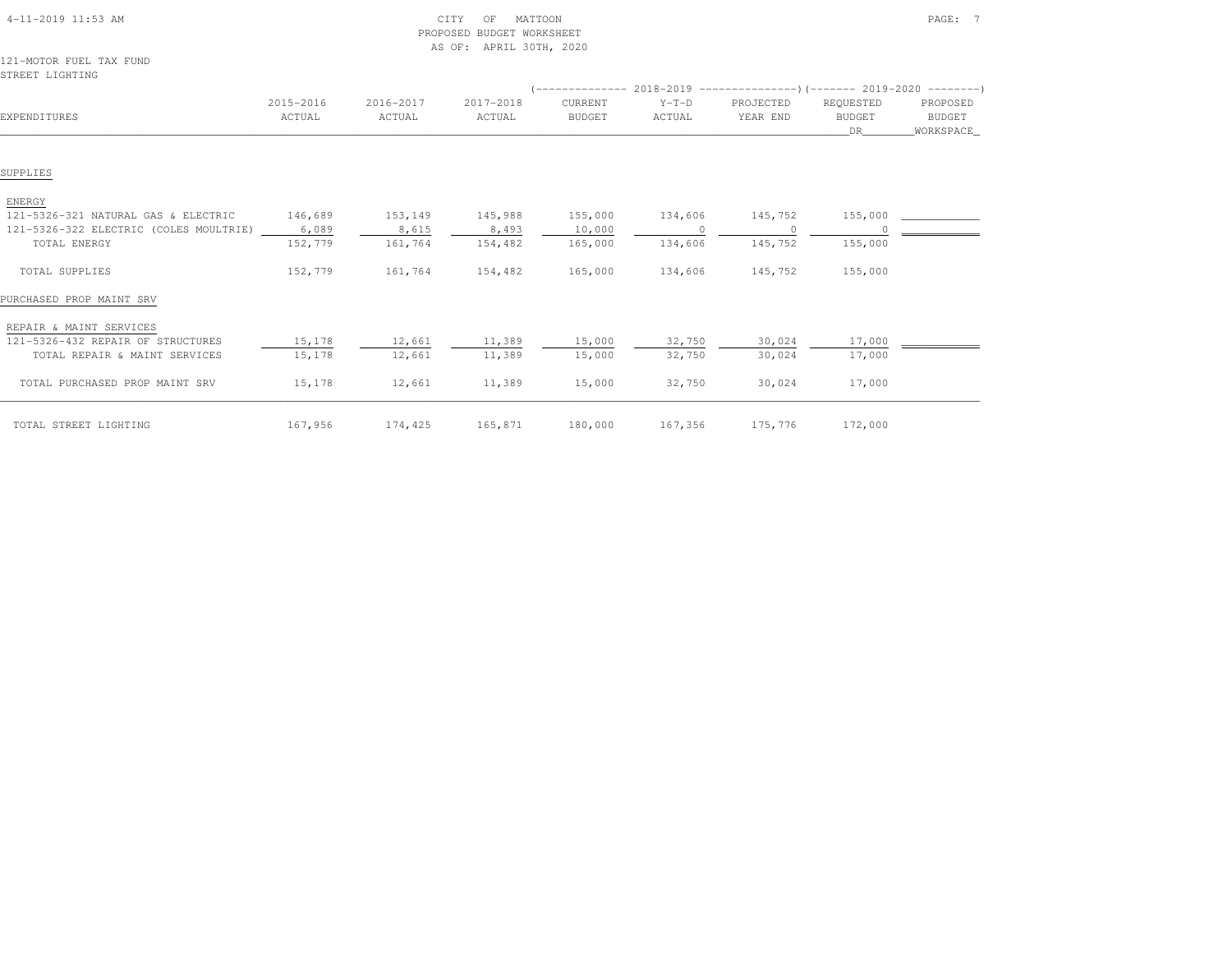| $4-11-2019$ $11:53$ AM |  |
|------------------------|--|

# 4-11-2019 CITY OF MATTOON CITY OF MATTOON PAGE: 7 PROPOSED BUDGET WORKSHEETAS OF: APRIL 30TH, 2020

### 121-MOTOR FUEL TAX FUNDSTREET LIGHTING

|                                        |           |           |           |               |          | $(-------- 2018-2019$ $--------- 1(-----2019-2020$ |               |           |
|----------------------------------------|-----------|-----------|-----------|---------------|----------|----------------------------------------------------|---------------|-----------|
|                                        | 2015-2016 | 2016-2017 | 2017-2018 | CURRENT       | $Y-T-D$  | PROJECTED                                          | REQUESTED     | PROPOSED  |
| EXPENDITURES                           | ACTUAL    | ACTUAL    | ACTUAL    | <b>BUDGET</b> | ACTUAL   | YEAR END                                           | <b>BUDGET</b> | BUDGET    |
|                                        |           |           |           |               |          |                                                    | DR            | WORKSPACE |
|                                        |           |           |           |               |          |                                                    |               |           |
| SUPPLIES                               |           |           |           |               |          |                                                    |               |           |
| ENERGY                                 |           |           |           |               |          |                                                    |               |           |
| 121-5326-321 NATURAL GAS & ELECTRIC    | 146,689   | 153,149   | 145,988   | 155,000       | 134,606  | 145,752                                            | 155,000       |           |
| 121-5326-322 ELECTRIC (COLES MOULTRIE) | 6,089     | 8,615     | 8,493     | 10,000        | $\Omega$ |                                                    |               |           |
| TOTAL ENERGY                           | 152,779   | 161,764   | 154,482   | 165,000       | 134,606  | 145,752                                            | 155,000       |           |
| TOTAL SUPPLIES                         | 152,779   | 161,764   | 154,482   | 165,000       | 134,606  | 145,752                                            | 155,000       |           |
| PURCHASED PROP MAINT SRV               |           |           |           |               |          |                                                    |               |           |
| REPAIR & MAINT SERVICES                |           |           |           |               |          |                                                    |               |           |
| 121-5326-432 REPAIR OF STRUCTURES      | 15,178    | 12,661    | 11,389    | 15,000        | 32,750   | 30,024                                             | 17,000        |           |
| TOTAL REPAIR & MAINT SERVICES          | 15,178    | 12,661    | 11,389    | 15,000        | 32,750   | 30,024                                             | 17,000        |           |
| TOTAL PURCHASED PROP MAINT SRV         | 15,178    | 12,661    | 11,389    | 15,000        | 32,750   | 30,024                                             | 17,000        |           |
| TOTAL STREET LIGHTING                  | 167,956   | 174,425   | 165,871   | 180,000       | 167,356  | 175,776                                            | 172,000       |           |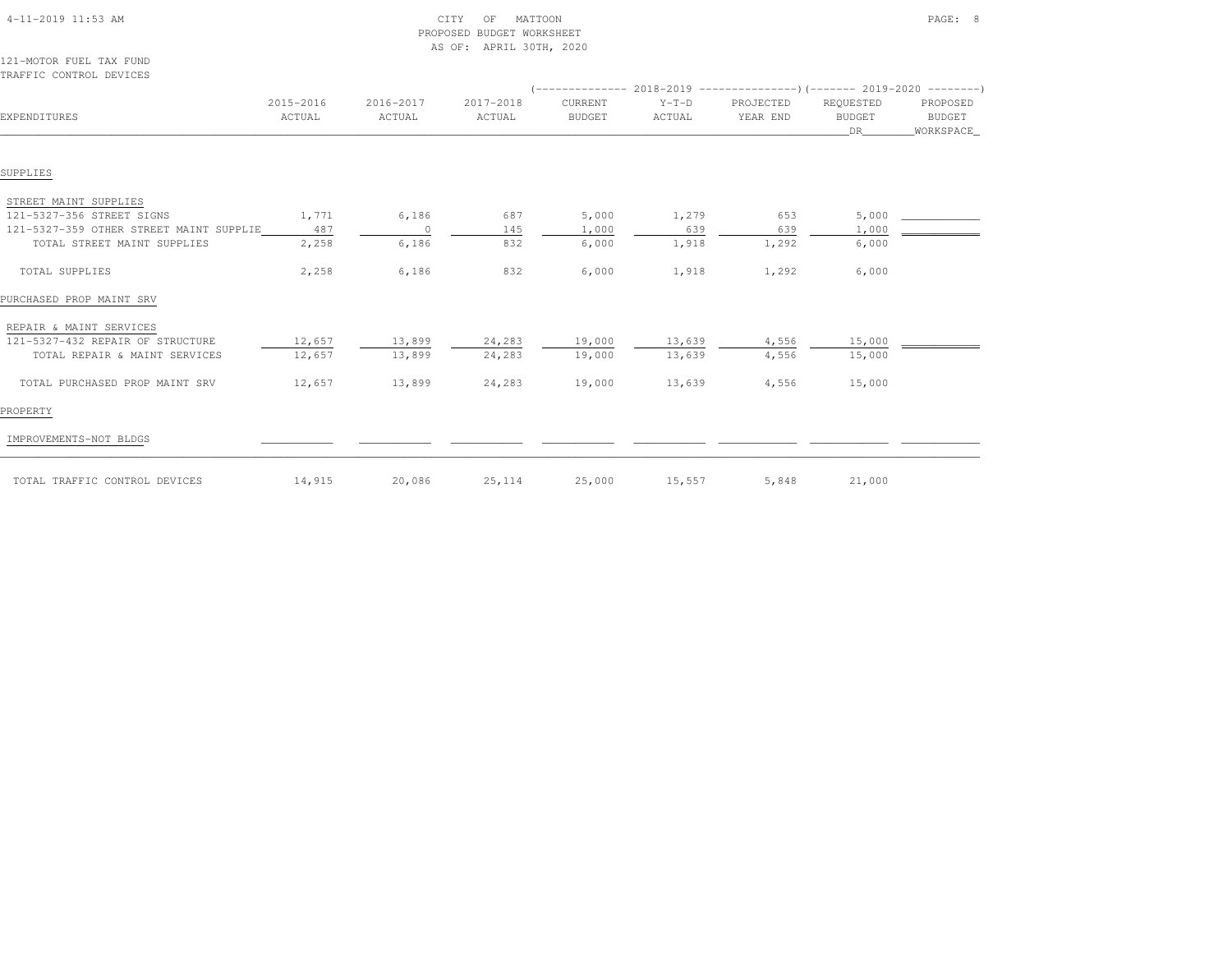|                                         |           |                | AS OF: APRIL 30TH, 2020 |               |         |                                                                          |               |           |
|-----------------------------------------|-----------|----------------|-------------------------|---------------|---------|--------------------------------------------------------------------------|---------------|-----------|
| 121-MOTOR FUEL TAX FUND                 |           |                |                         |               |         |                                                                          |               |           |
| TRAFFIC CONTROL DEVICES                 |           |                |                         |               |         |                                                                          |               |           |
|                                         |           |                |                         |               |         | $($ -------------- 2018-2019 ----------------------- 2019-2020 --------- |               |           |
|                                         | 2015-2016 | 2016-2017      | 2017-2018               | CURRENT       | $Y-T-D$ | PROJECTED                                                                | REQUESTED     | PROPOSED  |
| EXPENDITURES                            | ACTUAL    | ACTUAL         | ACTUAL                  | <b>BUDGET</b> | ACTUAL  | YEAR END                                                                 | <b>BUDGET</b> | BUDGET    |
|                                         |           |                |                         |               |         |                                                                          | DR            | WORKSPACE |
|                                         |           |                |                         |               |         |                                                                          |               |           |
| SUPPLIES                                |           |                |                         |               |         |                                                                          |               |           |
| STREET MAINT SUPPLIES                   |           |                |                         |               |         |                                                                          |               |           |
| 121-5327-356 STREET SIGNS               | 1,771     | 6,186          | 687                     | 5,000         | 1,279   | 653                                                                      | 5,000         |           |
| 121-5327-359 OTHER STREET MAINT SUPPLIE | 487       | $\overline{0}$ | 145                     | 1,000         | 639     | 639                                                                      | 1,000         |           |
| TOTAL STREET MAINT SUPPLIES             | 2,258     | 6,186          | 832                     | 6,000         | 1,918   | 1,292                                                                    | 6,000         |           |
| TOTAL SUPPLIES                          | 2,258     | 6,186          | 832                     | 6,000         | 1,918   | 1,292                                                                    | 6,000         |           |
| PURCHASED PROP MAINT SRV                |           |                |                         |               |         |                                                                          |               |           |
| REPAIR & MAINT SERVICES                 |           |                |                         |               |         |                                                                          |               |           |
| 121-5327-432 REPAIR OF STRUCTURE        | 12,657    | 13,899         | 24,283                  | 19,000        | 13,639  | 4,556                                                                    | 15,000        |           |
| TOTAL REPAIR & MAINT SERVICES           | 12,657    | 13,899         | 24,283                  | 19,000        | 13,639  | 4,556                                                                    | 15,000        |           |
| TOTAL PURCHASED PROP MAINT SRV          | 12,657    | 13,899         | 24,283                  | 19,000        | 13,639  | 4,556                                                                    | 15,000        |           |
| PROPERTY                                |           |                |                         |               |         |                                                                          |               |           |
| IMPROVEMENTS-NOT BLDGS                  |           |                |                         |               |         |                                                                          |               |           |
| TOTAL TRAFFIC CONTROL DEVICES           | 14,915    | 20,086         | 25, 114                 | 25,000        | 15,557  | 5,848                                                                    | 21,000        |           |

 4-11-2019 11:53 AM CITY OF MATTOON PAGE: 8PROPOSED BUDGET WORKSHEET

AS OF: APRIL 30TH, 2020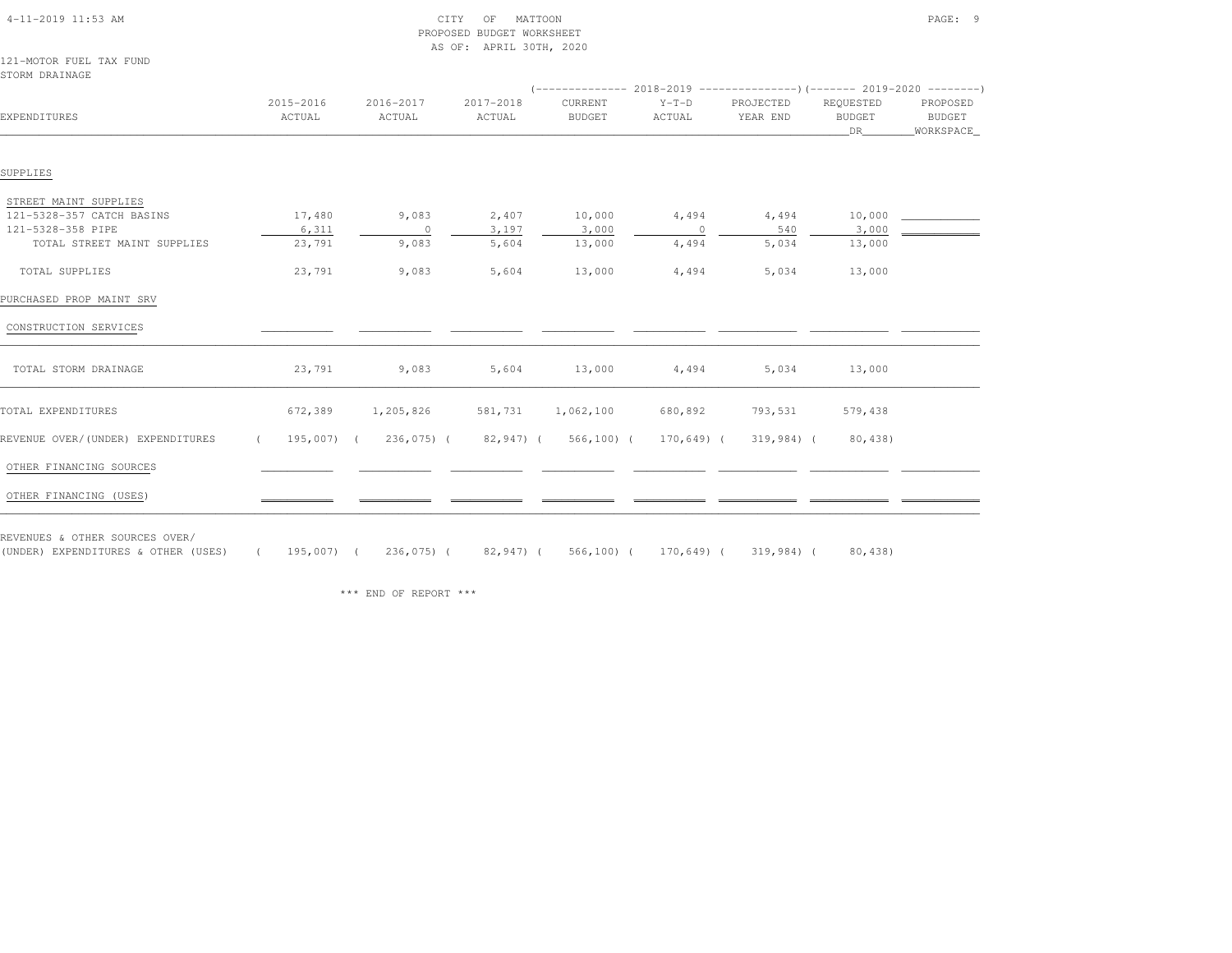# PROPOSED BUDGET WORKSHEETAS OF: APRIL 30TH, 2020

121-MOTOR FUEL TAX FUNDSTORM DRAINAGE

| JIUNI DIWIINIUH                   |                     |                     |                     |                          |                   |                       |                                  |                                         |
|-----------------------------------|---------------------|---------------------|---------------------|--------------------------|-------------------|-----------------------|----------------------------------|-----------------------------------------|
| EXPENDITURES                      | 2015-2016<br>ACTUAL | 2016-2017<br>ACTUAL | 2017-2018<br>ACTUAL | CURRENT<br><b>BUDGET</b> | $Y-T-D$<br>ACTUAL | PROJECTED<br>YEAR END | REQUESTED<br><b>BUDGET</b><br>DR | PROPOSED<br><b>BUDGET</b><br>WORKSPACE_ |
|                                   |                     |                     |                     |                          |                   |                       |                                  |                                         |
| SUPPLIES                          |                     |                     |                     |                          |                   |                       |                                  |                                         |
| STREET MAINT SUPPLIES             |                     |                     |                     |                          |                   |                       |                                  |                                         |
| 121-5328-357 CATCH BASINS         | 17,480              | 9,083               | 2,407               | 10,000                   | 4,494             | 4,494                 | 10,000                           |                                         |
| 121-5328-358 PIPE                 | 6,311               | $\circ$             | 3,197               | 3,000                    | $\circ$           | 540                   | 3,000                            |                                         |
| TOTAL STREET MAINT SUPPLIES       | 23,791              | 9,083               | 5,604               | 13,000                   | 4,494             | 5,034                 | 13,000                           |                                         |
| TOTAL SUPPLIES                    | 23,791              | 9,083               | 5,604               | 13,000                   | 4,494             | 5,034                 | 13,000                           |                                         |
| PURCHASED PROP MAINT SRV          |                     |                     |                     |                          |                   |                       |                                  |                                         |
| CONSTRUCTION SERVICES             |                     |                     |                     |                          |                   |                       |                                  |                                         |
| TOTAL STORM DRAINAGE              | 23,791              | 9,083               | 5,604               | 13,000                   | 4,494             | 5,034                 | 13,000                           |                                         |
| TOTAL EXPENDITURES                | 672,389             | 1,205,826           | 581,731             | 1,062,100                | 680,892           | 793,531               | 579,438                          |                                         |
| REVENUE OVER/(UNDER) EXPENDITURES | 195,007) (          | 236,075) (          | 82,947) (           | $566, 100$ ) (           | 170,649) (        | 319,984) (            | 80,438)                          |                                         |
| OTHER FINANCING SOURCES           |                     |                     |                     |                          |                   |                       |                                  |                                         |
| OTHER FINANCING (USES)            |                     |                     |                     |                          |                   |                       |                                  |                                         |

REVENUES & OTHER SOURCES OVER/

(UNDER) EXPENDITURES & OTHER (USES) ( 195,007) ( 236,075) ( 82,947) ( 566,100) ( 170,649) ( 319,984) ( 80,438)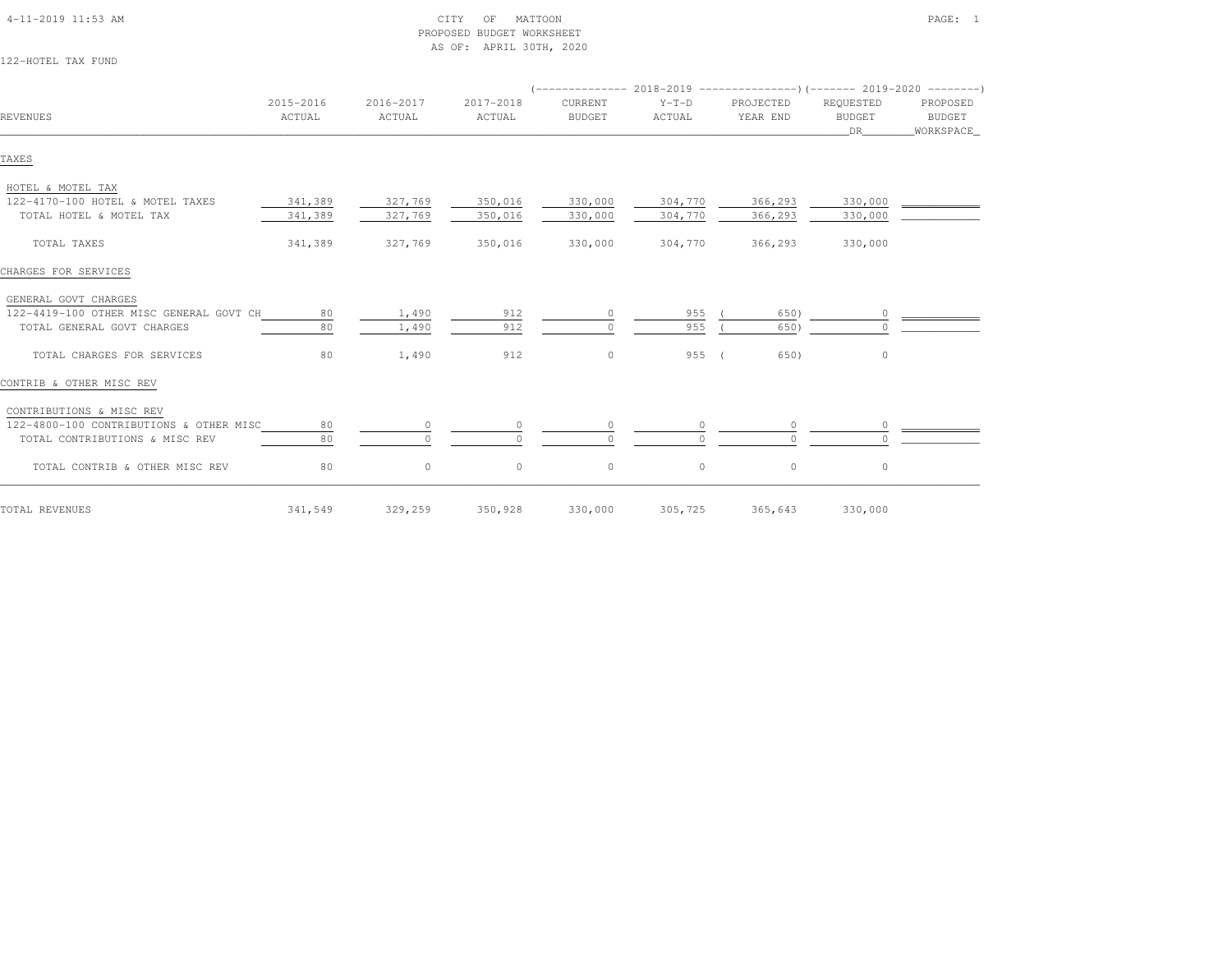| 122-HOTEL TAX FUND                      |                     |                     |                     |                                                                                                      |                   |                       |                                  |                                 |
|-----------------------------------------|---------------------|---------------------|---------------------|------------------------------------------------------------------------------------------------------|-------------------|-----------------------|----------------------------------|---------------------------------|
| <b>REVENUES</b>                         | 2015-2016<br>ACTUAL | 2016-2017<br>ACTUAL | 2017-2018<br>ACTUAL | $($ -------------- 2018-2019 ----------------------- 2019-2020 ---------<br>CURRENT<br><b>BUDGET</b> | $Y-T-D$<br>ACTUAL | PROJECTED<br>YEAR END | REQUESTED<br><b>BUDGET</b><br>DR | PROPOSED<br>BUDGET<br>WORKSPACE |
| TAXES                                   |                     |                     |                     |                                                                                                      |                   |                       |                                  |                                 |
| HOTEL & MOTEL TAX                       |                     |                     |                     |                                                                                                      |                   |                       |                                  |                                 |
| 122-4170-100 HOTEL & MOTEL TAXES        | 341,389             | 327,769             | 350,016             | 330,000                                                                                              | 304,770           | 366,293               | 330,000                          |                                 |
| TOTAL HOTEL & MOTEL TAX                 | 341,389             | 327,769             | 350,016             | 330,000                                                                                              | 304,770           | 366,293               | 330,000                          |                                 |
| TOTAL TAXES                             | 341,389             | 327,769             | 350,016             | 330,000                                                                                              | 304,770           | 366,293               | 330,000                          |                                 |
| CHARGES FOR SERVICES                    |                     |                     |                     |                                                                                                      |                   |                       |                                  |                                 |
| GENERAL GOVT CHARGES                    |                     |                     |                     |                                                                                                      |                   |                       |                                  |                                 |
| 122-4419-100 OTHER MISC GENERAL GOVT CH | 80                  | 1,490               | 912                 |                                                                                                      | 955               | 650)                  |                                  |                                 |
| TOTAL GENERAL GOVT CHARGES              | 80                  | 1,490               | 912                 |                                                                                                      | 955               | 650)                  |                                  |                                 |
| TOTAL CHARGES FOR SERVICES              | 80                  | 1,490               | 912                 | $\circ$                                                                                              | 955(              | 650)                  | $\circ$                          |                                 |
| CONTRIB & OTHER MISC REV                |                     |                     |                     |                                                                                                      |                   |                       |                                  |                                 |
| CONTRIBUTIONS & MISC REV                |                     |                     |                     |                                                                                                      |                   |                       |                                  |                                 |
| 122-4800-100 CONTRIBUTIONS & OTHER MISC | 80                  | $\circ$             |                     | $\circ$                                                                                              |                   | $\circ$               | $\circ$                          |                                 |
| TOTAL CONTRIBUTIONS & MISC REV          | 80                  | $\Omega$            | $\cap$              | $\Omega$                                                                                             |                   | $\cap$                |                                  |                                 |
| TOTAL CONTRIB & OTHER MISC REV          | 80                  | $\circ$             | $\circ$             | $\circ$                                                                                              | $\circ$           | $\circ$               | $\circ$                          |                                 |
| TOTAL REVENUES                          | 341,549             | 329,259             | 350,928             | 330,000                                                                                              | 305,725           | 365,643               | 330,000                          |                                 |

### 4-11-2019 11:53 AM CITY OF MATTOON PAGE: 1 PROPOSED BUDGET WORKSHEETAS OF: APRIL 30TH, 2020

 $12$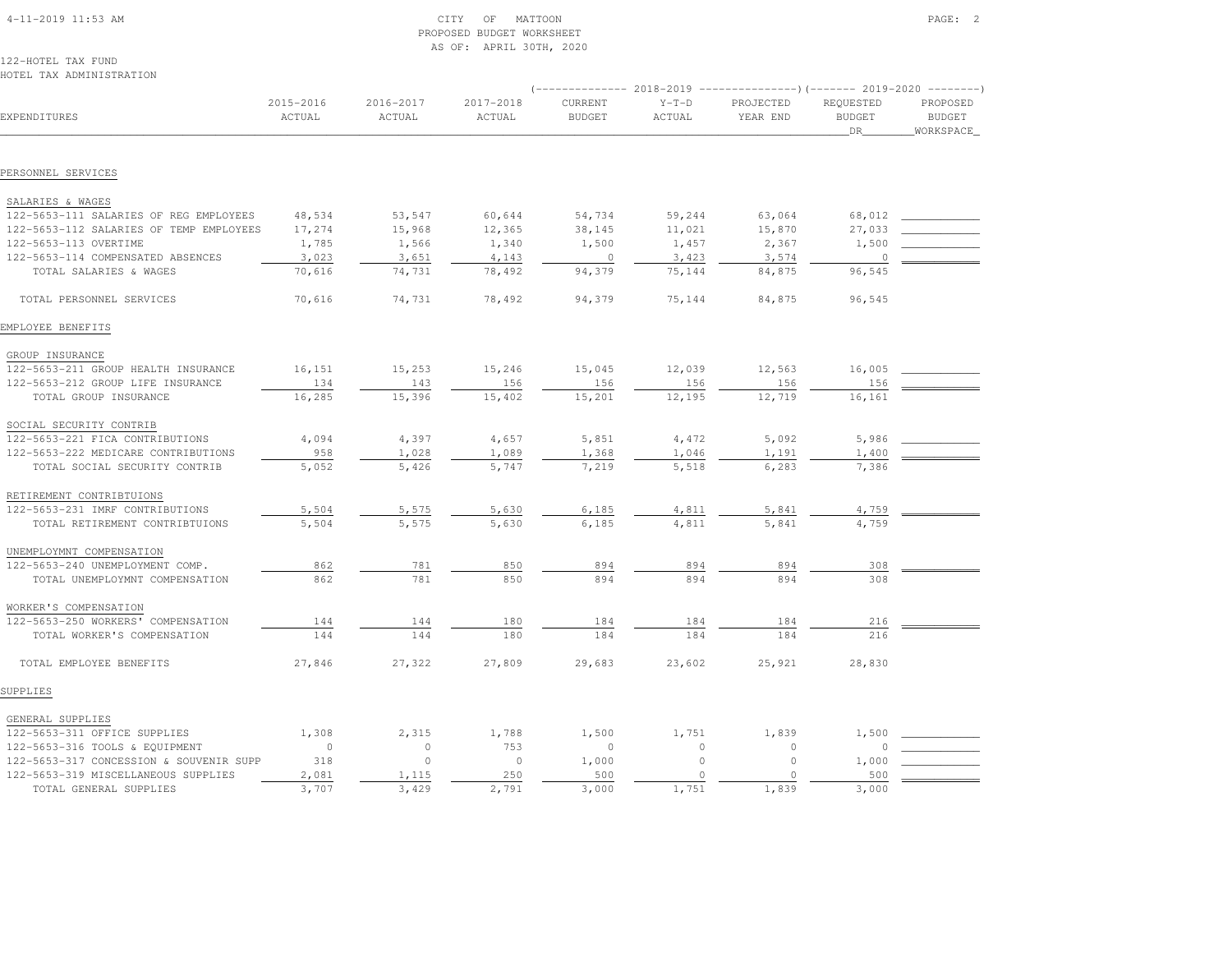# 4-11-2019 11:53 AM CITY OF MATTOON PAGE: 2 PROPOSED BUDGET WORKSHEETAS OF: APRIL 30TH, 2020

122-HOTEL TAX FUNDHOTEL TAX ADMINISTRATION

| IVILLE IAA ADMINIJINAIIVN               |                     |                     |                     |                          |                   | -------------        2018-2019 ----------------------        2019-2020 ---------- |                                   |                                        |
|-----------------------------------------|---------------------|---------------------|---------------------|--------------------------|-------------------|-----------------------------------------------------------------------------------|-----------------------------------|----------------------------------------|
| EXPENDITURES                            | 2015-2016<br>ACTUAL | 2016-2017<br>ACTUAL | 2017-2018<br>ACTUAL | CURRENT<br><b>BUDGET</b> | $Y-T-D$<br>ACTUAL | PROJECTED<br>YEAR END                                                             | REQUESTED<br><b>BUDGET</b><br>DR. | PROPOSED<br><b>BUDGET</b><br>WORKSPACE |
|                                         |                     |                     |                     |                          |                   |                                                                                   |                                   |                                        |
| PERSONNEL SERVICES                      |                     |                     |                     |                          |                   |                                                                                   |                                   |                                        |
| SALARIES & WAGES                        |                     |                     |                     |                          |                   |                                                                                   |                                   |                                        |
| 122-5653-111 SALARIES OF REG EMPLOYEES  | 48,534              | 53,547              | 60,644              | 54,734                   | 59,244            | 63,064                                                                            | 68,012                            |                                        |
| 122-5653-112 SALARIES OF TEMP EMPLOYEES | 17,274              | 15,968              | 12,365              | 38,145                   | 11,021            | 15,870                                                                            | 27,033                            |                                        |
| 122-5653-113 OVERTIME                   | 1,785               | 1,566               | 1,340               | 1,500                    | 1,457             | 2,367                                                                             | 1,500                             |                                        |
| 122-5653-114 COMPENSATED ABSENCES       | 3,023               | 3,651               | 4,143               | $\circ$                  | 3,423             | 3,574                                                                             | $\circ$                           |                                        |
| TOTAL SALARIES & WAGES                  | 70,616              | 74,731              | 78,492              | 94,379                   | 75,144            | 84,875                                                                            | 96,545                            |                                        |
| TOTAL PERSONNEL SERVICES                | 70,616              | 74,731              | 78,492              | 94,379                   | 75,144            | 84,875                                                                            | 96,545                            |                                        |
| EMPLOYEE BENEFITS                       |                     |                     |                     |                          |                   |                                                                                   |                                   |                                        |
| GROUP INSURANCE                         |                     |                     |                     |                          |                   |                                                                                   |                                   |                                        |
| 122-5653-211 GROUP HEALTH INSURANCE     | 16,151              | 15,253              | 15,246              | 15,045                   | 12,039            | 12,563                                                                            | 16,005                            |                                        |
| 122-5653-212 GROUP LIFE INSURANCE       | 134                 | 143                 | 156                 | 156                      | 156               | 156                                                                               | 156                               |                                        |
| TOTAL GROUP INSURANCE                   | 16,285              | 15,396              | 15,402              | 15,201                   | 12,195            | 12,719                                                                            | 16,161                            |                                        |
| SOCIAL SECURITY CONTRIB                 |                     |                     |                     |                          |                   |                                                                                   |                                   |                                        |
| 122-5653-221 FICA CONTRIBUTIONS         | 4,094               | 4,397               | 4,657               | 5,851                    | 4,472             | 5,092                                                                             | 5,986                             |                                        |
| 122-5653-222 MEDICARE CONTRIBUTIONS     | 958                 | 1,028               | 1,089               | 1,368                    | 1,046             | 1,191                                                                             | 1,400                             |                                        |
| TOTAL SOCIAL SECURITY CONTRIB           | 5,052               | 5,426               | 5,747               | 7,219                    | 5,518             | 6,283                                                                             | 7,386                             |                                        |
| RETIREMENT CONTRIBTUIONS                |                     |                     |                     |                          |                   |                                                                                   |                                   |                                        |
| 122-5653-231 IMRF CONTRIBUTIONS         | 5,504               | 5,575               | 5,630               | 6,185                    | 4,811             | 5,841                                                                             | 4,759                             |                                        |
| TOTAL RETIREMENT CONTRIBTUIONS          | 5,504               | 5,575               | 5,630               | 6,185                    | 4,811             | 5,841                                                                             | 4,759                             |                                        |
| UNEMPLOYMNT COMPENSATION                |                     |                     |                     |                          |                   |                                                                                   |                                   |                                        |
| 122-5653-240 UNEMPLOYMENT COMP.         | 862                 | 781                 | 850                 | 894                      | 894               | 894                                                                               | 308                               |                                        |
| TOTAL UNEMPLOYMNT COMPENSATION          | 862                 | 781                 | 850                 | 894                      | 894               | 894                                                                               | 308                               |                                        |
| WORKER'S COMPENSATION                   |                     |                     |                     |                          |                   |                                                                                   |                                   |                                        |
| 122-5653-250 WORKERS' COMPENSATION      | 144                 | 144                 | 180                 | 184                      | 184               | 184                                                                               | 216                               |                                        |
| TOTAL WORKER'S COMPENSATION             | 144                 | 144                 | 180                 | 184                      | 184               | 184                                                                               | 216                               |                                        |
| TOTAL EMPLOYEE BENEFITS                 | 27,846              | 27,322              | 27,809              | 29,683                   | 23,602            | 25,921                                                                            | 28,830                            |                                        |
| SUPPLIES                                |                     |                     |                     |                          |                   |                                                                                   |                                   |                                        |
| GENERAL SUPPLIES                        |                     |                     |                     |                          |                   |                                                                                   |                                   |                                        |
| 122-5653-311 OFFICE SUPPLIES            | 1,308               | 2,315               | 1,788               | 1,500                    | 1,751             | 1,839                                                                             | 1,500                             |                                        |
| 122-5653-316 TOOLS & EQUIPMENT          | $\circ$             | $\mathbf{0}$        | 753                 | $\mathbf{0}$             | $\circ$           | $\circ$                                                                           | $\circ$                           |                                        |
| 122-5653-317 CONCESSION & SOUVENIR SUPP | 318                 | $\circ$             | $\circ$             | 1,000                    | $\mathbf{0}$      | $\circ$                                                                           | 1,000                             |                                        |
| 122-5653-319 MISCELLANEOUS SUPPLIES     | 2,081               | 1,115               | 250                 | 500                      | $\circ$           | $\circ$                                                                           | 500                               |                                        |
| TOTAL GENERAL SUPPLIES                  | 3,707               | 3,429               | 2,791               | 3,000                    | 1,751             | 1,839                                                                             | 3,000                             |                                        |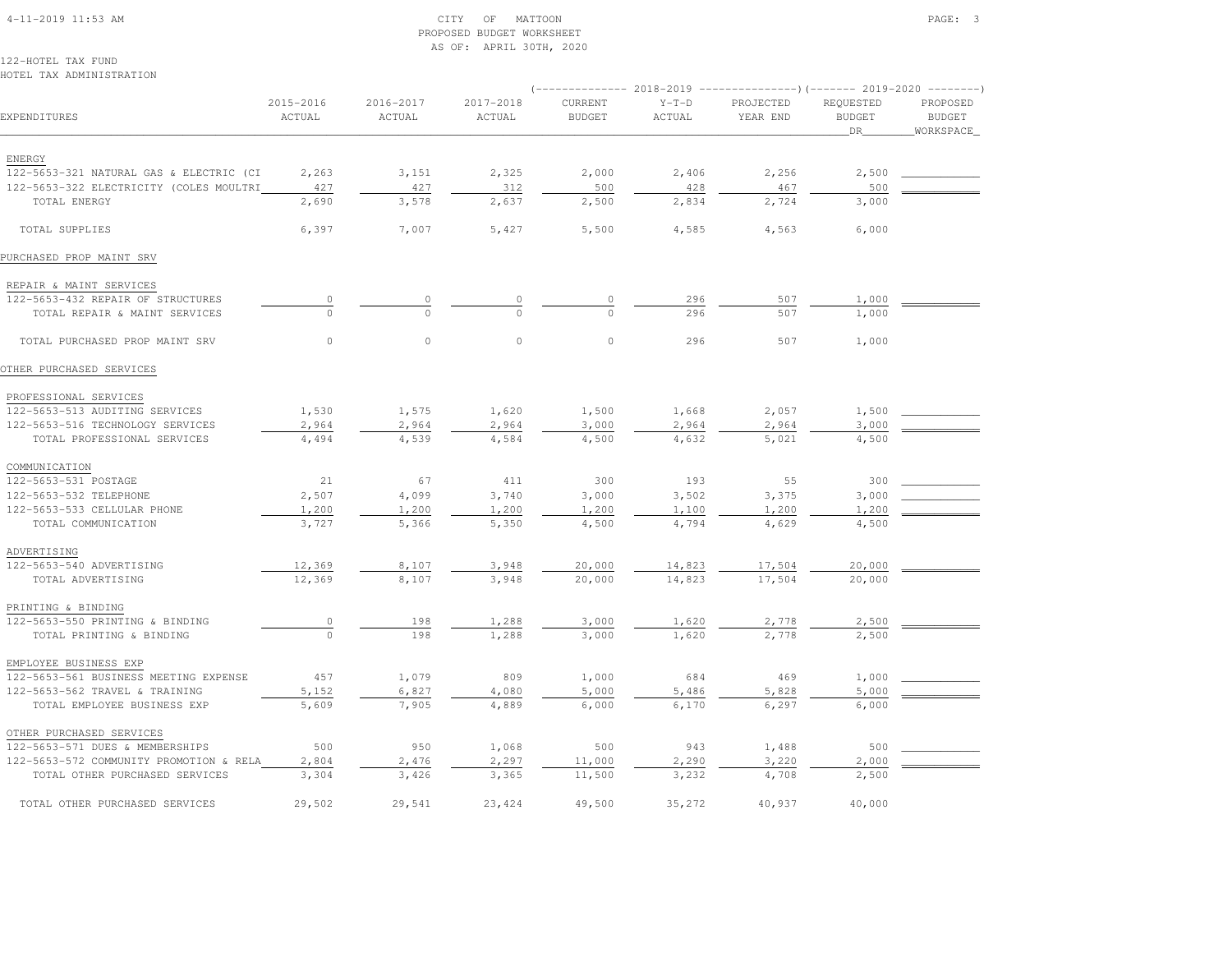# 4-11-2019 11:53 AM CITY OF MATTOON PAGE: 3 PROPOSED BUDGET WORKSHEETAS OF: APRIL 30TH, 2020

122-HOTEL TAX FUNDHOTEL TAX ADMINISTRATION

|                                         |                     |                         |                     |                          |                   | (-------------- 2018-2019 ----------------)(------- 2019-2020 --------) |                                         |                                        |
|-----------------------------------------|---------------------|-------------------------|---------------------|--------------------------|-------------------|-------------------------------------------------------------------------|-----------------------------------------|----------------------------------------|
| EXPENDITURES                            | 2015-2016<br>ACTUAL | $2016 - 2017$<br>ACTUAL | 2017-2018<br>ACTUAL | CURRENT<br><b>BUDGET</b> | $Y-T-D$<br>ACTUAL | PROJECTED<br>YEAR END                                                   | REQUESTED<br><b>BUDGET</b><br><b>DR</b> | PROPOSED<br><b>BUDGET</b><br>WORKSPACE |
| ENERGY                                  |                     |                         |                     |                          |                   |                                                                         |                                         |                                        |
| 122-5653-321 NATURAL GAS & ELECTRIC (CI | 2,263               | 3,151                   | 2,325               | 2,000                    | 2,406             | 2,256                                                                   | 2,500                                   |                                        |
| 122-5653-322 ELECTRICITY (COLES MOULTRI | 427                 | 427                     | 312                 | 500                      | 428               | 467                                                                     | 500                                     |                                        |
| TOTAL ENERGY                            | 2,690               | 3,578                   | 2,637               | 2,500                    | 2,834             | 2,724                                                                   | 3,000                                   |                                        |
| TOTAL SUPPLIES                          | 6,397               | 7,007                   | 5,427               | 5,500                    | 4,585             | 4,563                                                                   | 6,000                                   |                                        |
| PURCHASED PROP MAINT SRV                |                     |                         |                     |                          |                   |                                                                         |                                         |                                        |
| REPAIR & MAINT SERVICES                 |                     |                         |                     |                          |                   |                                                                         |                                         |                                        |
| 122-5653-432 REPAIR OF STRUCTURES       | $\circ$             | $\circ$                 | $\circ$             | $\circ$                  | 296               | 507                                                                     | 1,000                                   |                                        |
| TOTAL REPAIR & MAINT SERVICES           | $\Omega$            | $\Omega$                | $\Omega$            | $\Omega$                 | 296               | 507                                                                     | 1,000                                   |                                        |
| TOTAL PURCHASED PROP MAINT SRV          | $\Omega$            | $\circ$                 | $\circ$             | $\circ$                  | 296               | 507                                                                     | 1,000                                   |                                        |
| OTHER PURCHASED SERVICES                |                     |                         |                     |                          |                   |                                                                         |                                         |                                        |
| PROFESSIONAL SERVICES                   |                     |                         |                     |                          |                   |                                                                         |                                         |                                        |
| 122-5653-513 AUDITING SERVICES          | 1,530               | 1,575                   | 1,620               | 1,500                    | 1,668             | 2,057                                                                   | 1,500                                   |                                        |
| 122-5653-516 TECHNOLOGY SERVICES        | 2,964               | 2,964                   | 2,964               | 3,000                    | 2,964             | 2,964                                                                   | 3,000                                   |                                        |
| TOTAL PROFESSIONAL SERVICES             | 4,494               | 4,539                   | 4,584               | 4,500                    | 4,632             | 5,021                                                                   | 4,500                                   |                                        |
| COMMUNICATION                           |                     |                         |                     |                          |                   |                                                                         |                                         |                                        |
| 122-5653-531 POSTAGE                    | 21                  | 67                      | 411                 | 300                      | 193               | 55                                                                      | 300                                     |                                        |
| 122-5653-532 TELEPHONE                  | 2,507               | 4,099                   | 3,740               | 3,000                    | 3,502             | 3,375                                                                   | 3,000                                   |                                        |
| 122-5653-533 CELLULAR PHONE             | 1,200               | 1,200                   | 1,200               | 1,200                    | 1,100             | 1,200                                                                   | 1,200                                   |                                        |
| TOTAL COMMUNICATION                     | 3,727               | 5,366                   | 5,350               | 4,500                    | 4,794             | 4,629                                                                   | 4,500                                   |                                        |
| ADVERTISING                             |                     |                         |                     |                          |                   |                                                                         |                                         |                                        |
| 122-5653-540 ADVERTISING                | 12,369              | 8,107                   | 3,948               | 20,000                   | 14,823            | 17,504                                                                  | 20,000                                  |                                        |
| TOTAL ADVERTISING                       | 12,369              | 8,107                   | 3,948               | 20,000                   | 14,823            | 17,504                                                                  | 20,000                                  |                                        |
| PRINTING & BINDING                      |                     |                         |                     |                          |                   |                                                                         |                                         |                                        |
| 122-5653-550 PRINTING & BINDING         | $\overline{0}$      | 198                     | 1,288               | 3,000                    | 1,620             | 2,778                                                                   | 2,500                                   |                                        |
| TOTAL PRINTING & BINDING                | $\Omega$            | 198                     | 1,288               | 3,000                    | 1,620             | 2,778                                                                   | 2,500                                   |                                        |
| EMPLOYEE BUSINESS EXP                   |                     |                         |                     |                          |                   |                                                                         |                                         |                                        |
| 122-5653-561 BUSINESS MEETING EXPENSE   | 457                 | 1,079                   | 809                 | 1,000                    | 684               | 469                                                                     | 1,000                                   |                                        |
| 122-5653-562 TRAVEL & TRAINING          | 5,152               | 6,827                   | 4,080               | 5,000                    | 5,486             | 5,828                                                                   | 5,000                                   |                                        |
| TOTAL EMPLOYEE BUSINESS EXP             | 5,609               | 7,905                   | 4,889               | 6,000                    | 6,170             | 6,297                                                                   | 6,000                                   |                                        |
| OTHER PURCHASED SERVICES                |                     |                         |                     |                          |                   |                                                                         |                                         |                                        |
| 122-5653-571 DUES & MEMBERSHIPS         | 500                 | 950                     | 1,068               | 500                      | 943               | 1,488                                                                   | 500                                     |                                        |
| 122-5653-572 COMMUNITY PROMOTION & RELA | 2,804               | 2,476                   | 2,297               | 11,000                   | 2,290             | 3,220                                                                   | 2,000                                   |                                        |
| TOTAL OTHER PURCHASED SERVICES          | 3,304               | 3,426                   | 3,365               | 11,500                   | 3,232             | 4,708                                                                   | 2,500                                   |                                        |
| TOTAL OTHER PURCHASED SERVICES          | 29,502              | 29,541                  | 23, 424             | 49,500                   | 35,272            | 40,937                                                                  | 40,000                                  |                                        |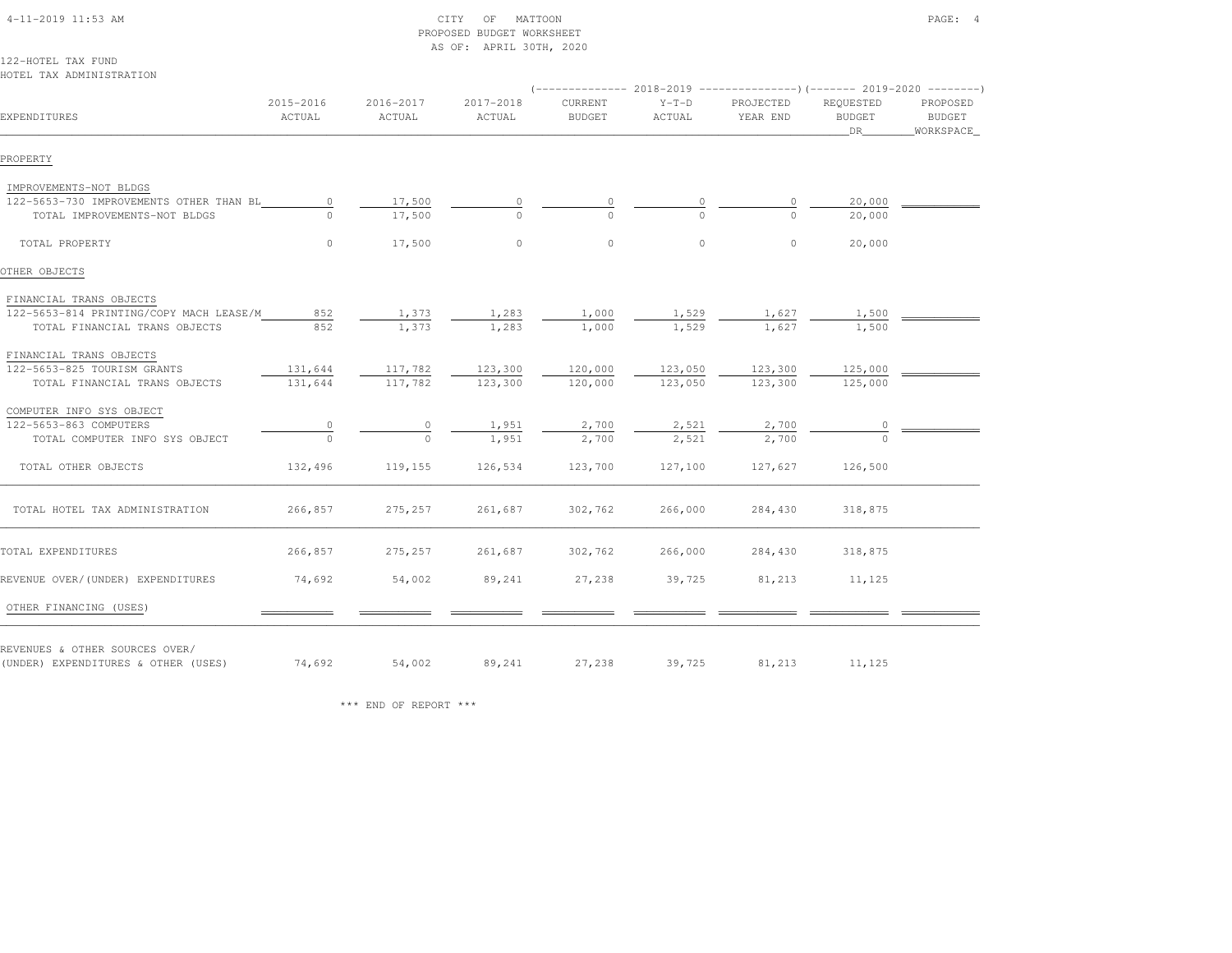|                                         |           |           | AS OF: APRIL 30TH, 2020 |               |          |                                                                         |               |               |
|-----------------------------------------|-----------|-----------|-------------------------|---------------|----------|-------------------------------------------------------------------------|---------------|---------------|
| 122-HOTEL TAX FUND                      |           |           |                         |               |          |                                                                         |               |               |
| HOTEL TAX ADMINISTRATION                |           |           |                         |               |          |                                                                         |               |               |
|                                         |           |           |                         |               |          | (-------------- 2018-2019 ----------------)(------- 2019-2020 --------) |               |               |
|                                         | 2015-2016 | 2016-2017 | 2017-2018               | CURRENT       | $Y-T-D$  | PROJECTED                                                               | REQUESTED     | PROPOSED      |
| EXPENDITURES                            | ACTUAL    | ACTUAL    | ACTUAL                  | <b>BUDGET</b> | ACTUAL   | YEAR END                                                                | <b>BUDGET</b> | <b>BUDGET</b> |
|                                         |           |           |                         |               |          |                                                                         | DR.           | WORKSPACE     |
| PROPERTY                                |           |           |                         |               |          |                                                                         |               |               |
| IMPROVEMENTS-NOT BLDGS                  |           |           |                         |               |          |                                                                         |               |               |
| 122-5653-730 IMPROVEMENTS OTHER THAN BL | $\circ$   | 17,500    | 0                       | 0             | 0        | $\circ$                                                                 | 20,000        |               |
| TOTAL IMPROVEMENTS-NOT BLDGS            | $\Omega$  | 17,500    | $\circ$                 | $\Omega$      | $\Omega$ | $\Omega$                                                                | 20,000        |               |
| TOTAL PROPERTY                          | $\circ$   | 17,500    | $\circ$                 | $\mathbb O$   | $\circ$  | $\circ$                                                                 | 20,000        |               |
|                                         |           |           |                         |               |          |                                                                         |               |               |
| OTHER OBJECTS                           |           |           |                         |               |          |                                                                         |               |               |
| FINANCIAL TRANS OBJECTS                 |           |           |                         |               |          |                                                                         |               |               |
| 122-5653-814 PRINTING/COPY MACH LEASE/M | 852       | 1,373     | 1,283                   | 1,000         | 1,529    | 1,627                                                                   | 1,500         |               |
| TOTAL FINANCIAL TRANS OBJECTS           | 852       | 1,373     | 1,283                   | 1,000         | 1,529    | 1,627                                                                   | 1,500         |               |
| FINANCIAL TRANS OBJECTS                 |           |           |                         |               |          |                                                                         |               |               |
| 122-5653-825 TOURISM GRANTS             | 131,644   | 117,782   | 123,300                 | 120,000       | 123,050  | 123,300                                                                 | 125,000       |               |
| TOTAL FINANCIAL TRANS OBJECTS           | 131,644   | 117,782   | 123,300                 | 120,000       | 123,050  | 123,300                                                                 | 125,000       |               |
| COMPUTER INFO SYS OBJECT                |           |           |                         |               |          |                                                                         |               |               |
| 122-5653-863 COMPUTERS                  | 0         | 0         | 1,951                   | 2,700         | 2,521    | 2,700                                                                   | 0             |               |
| TOTAL COMPUTER INFO SYS OBJECT          | $\Omega$  | $\circ$   | 1,951                   | 2,700         | 2,521    | 2,700                                                                   |               |               |
| TOTAL OTHER OBJECTS                     | 132,496   | 119,155   | 126,534                 | 123,700       | 127,100  | 127,627                                                                 | 126,500       |               |
| TOTAL HOTEL TAX ADMINISTRATION          | 266,857   | 275,257   | 261,687                 | 302,762       | 266,000  | 284,430                                                                 | 318,875       |               |
| TOTAL EXPENDITURES                      | 266,857   | 275,257   | 261,687                 | 302,762       | 266,000  | 284,430                                                                 | 318,875       |               |
|                                         |           |           |                         |               |          |                                                                         |               |               |
| REVENUE OVER/(UNDER) EXPENDITURES       | 74,692    | 54,002    | 89,241                  | 27,238        | 39,725   | 81,213                                                                  | 11,125        |               |
| OTHER FINANCING (USES)                  |           |           |                         |               |          |                                                                         |               |               |
| REVENUES & OTHER SOURCES OVER/          |           |           |                         |               |          |                                                                         |               |               |
| (UNDER) EXPENDITURES & OTHER (USES)     | 74,692    | 54,002    | 89,241                  | 27,238        | 39,725   | 81,213                                                                  | 11,125        |               |

PROPOSED BUDGET WORKSHEET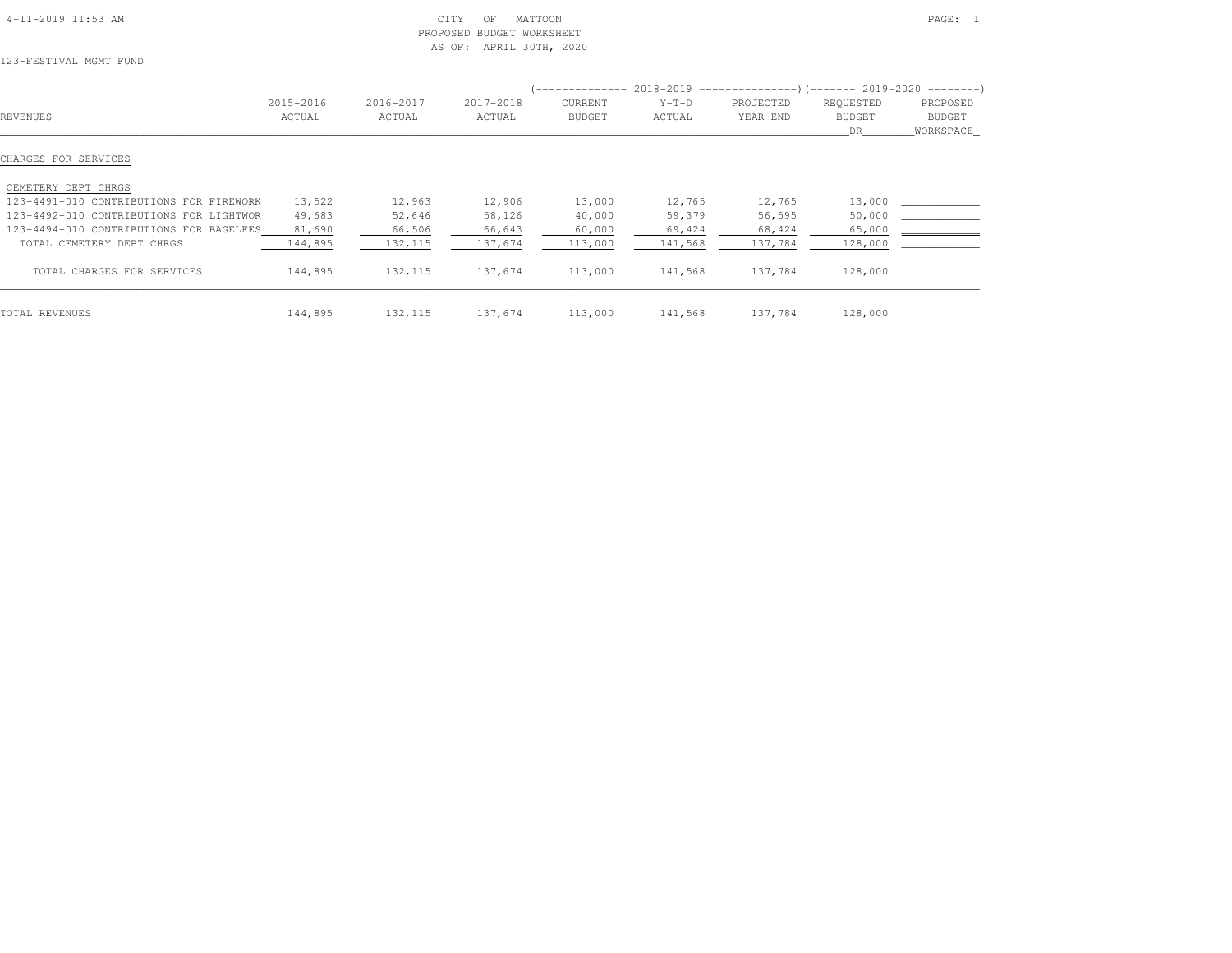| $4-11-2019$ $11:53$ AM |  |
|------------------------|--|

### $\text{CITY}$  of MATTOON  $\text{PAGE:}$  1 PROPOSED BUDGET WORKSHEETAS OF: APRIL 30TH, 2020

123-FESTIVAL MGMT FUND

|                                         |           |           |           | -------------- |         | $2018-2019$ ----------------)(------- 2019-2020 ---------) |               |           |
|-----------------------------------------|-----------|-----------|-----------|----------------|---------|------------------------------------------------------------|---------------|-----------|
|                                         | 2015-2016 | 2016-2017 | 2017-2018 | <b>CURRENT</b> | $Y-T-D$ | PROJECTED                                                  | REQUESTED     | PROPOSED  |
| REVENUES                                | ACTUAL    | ACTUAL    | ACTUAL    | <b>BUDGET</b>  | ACTUAL  | YEAR END                                                   | <b>BUDGET</b> | BUDGET    |
|                                         |           |           |           |                |         |                                                            | DR.           | WORKSPACE |
| CHARGES FOR SERVICES                    |           |           |           |                |         |                                                            |               |           |
| CEMETERY DEPT CHRGS                     |           |           |           |                |         |                                                            |               |           |
| 123-4491-010 CONTRIBUTIONS FOR FIREWORK | 13,522    | 12,963    | 12,906    | 13,000         | 12,765  | 12,765                                                     | 13,000        |           |
| 123-4492-010 CONTRIBUTIONS FOR LIGHTWOR | 49,683    | 52,646    | 58,126    | 40,000         | 59,379  | 56,595                                                     | 50,000        |           |
| 123-4494-010 CONTRIBUTIONS FOR BAGELFES | 81,690    | 66,506    | 66,643    | 60,000         | 69,424  | 68,424                                                     | 65,000        |           |
| TOTAL CEMETERY DEPT CHRGS               | 144,895   | 132,115   | 137,674   | 113,000        | 141,568 | 137,784                                                    | 128,000       |           |
| TOTAL CHARGES FOR SERVICES              | 144,895   | 132,115   | 137,674   | 113,000        | 141,568 | 137,784                                                    | 128,000       |           |
| TOTAL REVENUES                          | 144,895   | 132, 115  | 137,674   | 113,000        | 141,568 | 137,784                                                    | 128,000       |           |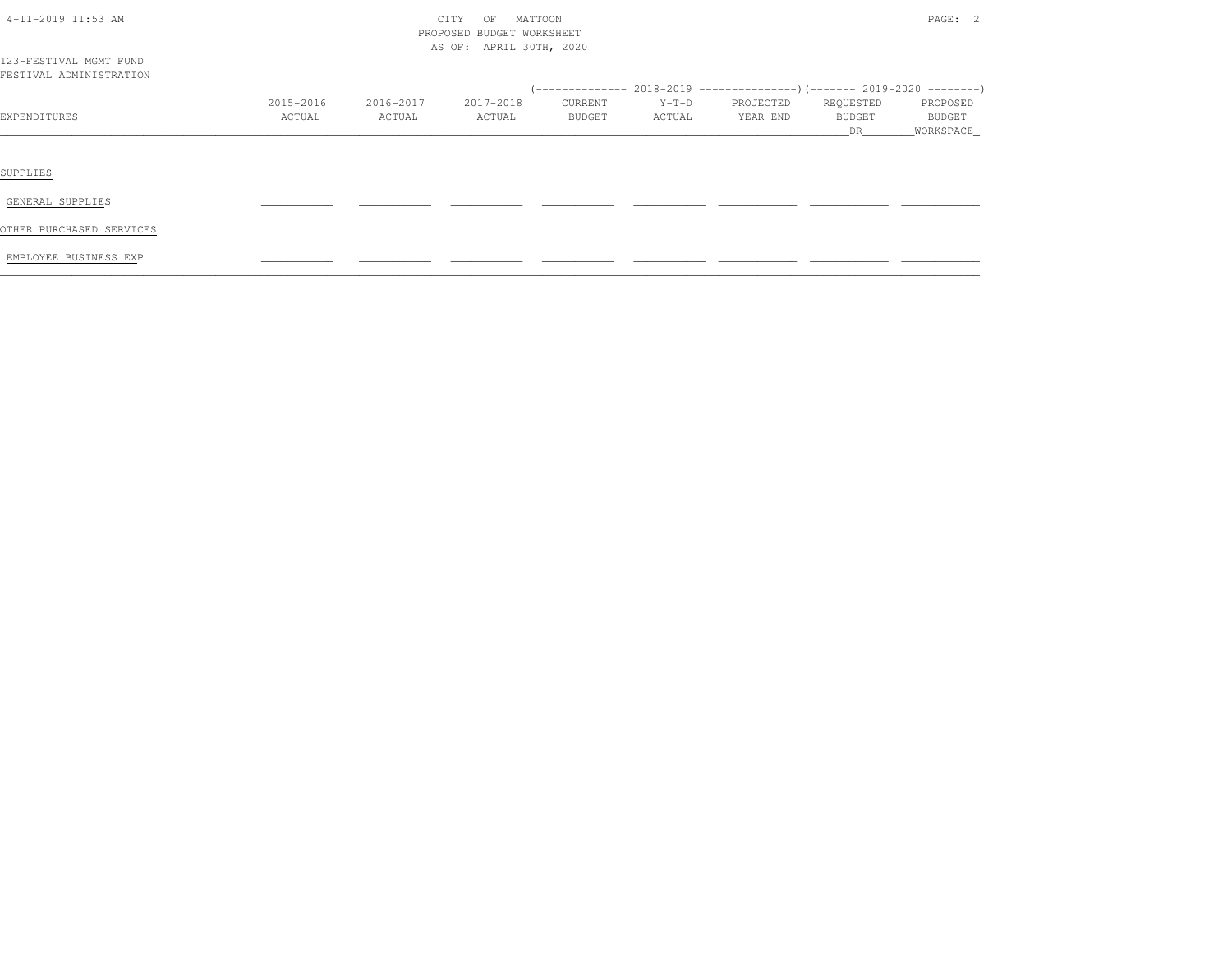| 4-11-2019 11:53 AM                                |                     | CITY<br>MATTOON<br>OF<br>PROPOSED BUDGET WORKSHEET<br>AS OF: APRIL 30TH, 2020 |                     |                   |                   |                       |                           |                                          |  |
|---------------------------------------------------|---------------------|-------------------------------------------------------------------------------|---------------------|-------------------|-------------------|-----------------------|---------------------------|------------------------------------------|--|
| 123-FESTIVAL MGMT FUND<br>FESTIVAL ADMINISTRATION |                     |                                                                               |                     |                   |                   |                       |                           |                                          |  |
|                                                   |                     |                                                                               |                     |                   |                   |                       |                           |                                          |  |
| EXPENDITURES                                      | 2015-2016<br>ACTUAL | 2016-2017<br>ACTUAL                                                           | 2017-2018<br>ACTUAL | CURRENT<br>BUDGET | $Y-T-D$<br>ACTUAL | PROJECTED<br>YEAR END | REQUESTED<br>BUDGET<br>DR | PROPOSED<br><b>BUDGET</b><br>_WORKSPACE_ |  |
|                                                   |                     |                                                                               |                     |                   |                   |                       |                           |                                          |  |
| SUPPLIES                                          |                     |                                                                               |                     |                   |                   |                       |                           |                                          |  |
| GENERAL SUPPLIES                                  |                     |                                                                               |                     |                   |                   |                       |                           |                                          |  |
| OTHER PURCHASED SERVICES                          |                     |                                                                               |                     |                   |                   |                       |                           |                                          |  |
| EMPLOYEE BUSINESS EXP                             |                     |                                                                               |                     |                   |                   |                       |                           |                                          |  |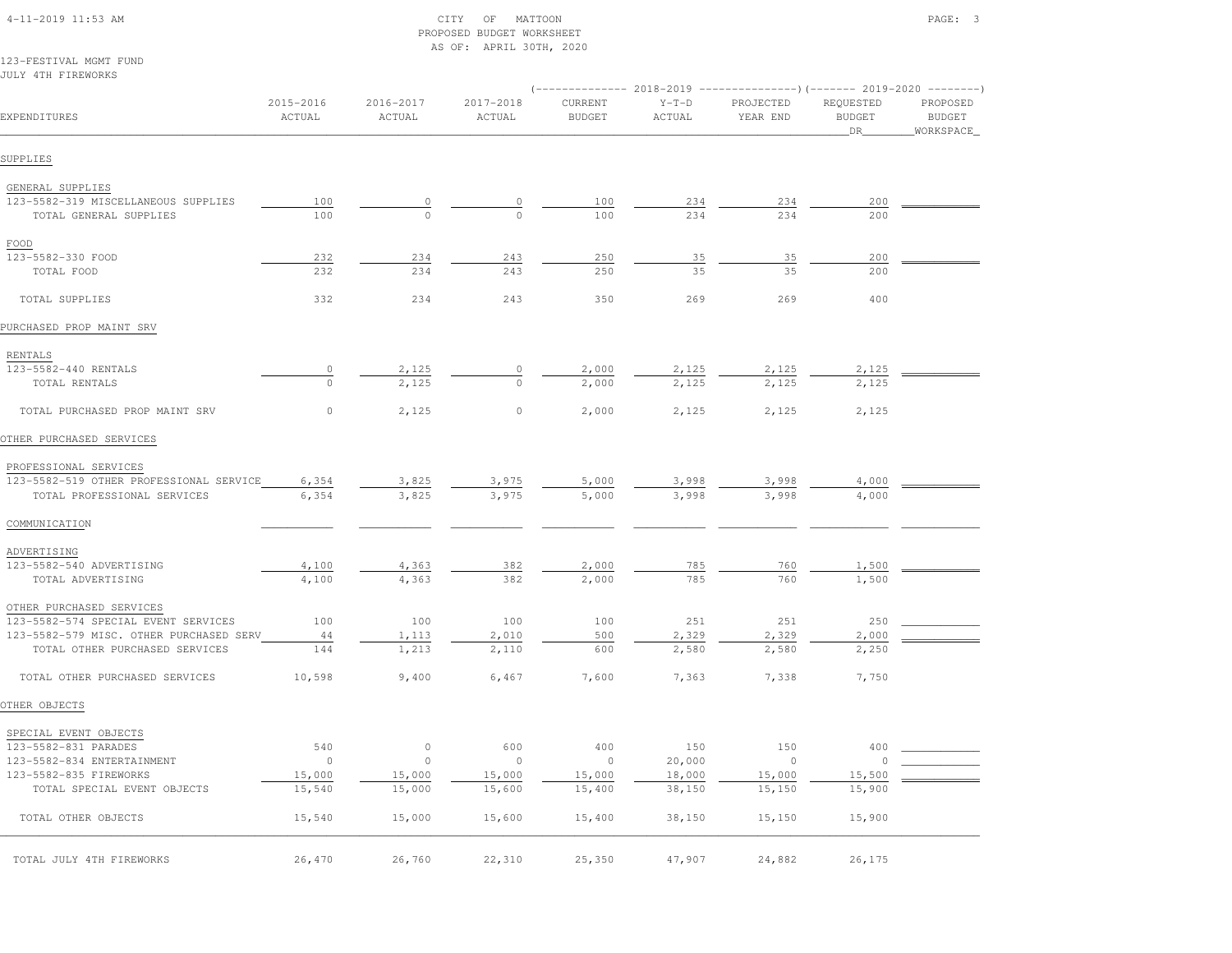|                                                                           |                     |                     | AS OF: APRIL 30TH, 2020 |                          |                   |                                                                          |                                   |                                         |
|---------------------------------------------------------------------------|---------------------|---------------------|-------------------------|--------------------------|-------------------|--------------------------------------------------------------------------|-----------------------------------|-----------------------------------------|
| 123-FESTIVAL MGMT FUND                                                    |                     |                     |                         |                          |                   |                                                                          |                                   |                                         |
| JULY 4TH FIREWORKS                                                        |                     |                     |                         |                          |                   | (-------------- 2018-2019 ----------------) (------- 2019-2020 --------) |                                   |                                         |
| EXPENDITURES                                                              | 2015-2016<br>ACTUAL | 2016-2017<br>ACTUAL | 2017-2018<br>ACTUAL     | CURRENT<br><b>BUDGET</b> | $Y-T-D$<br>ACTUAL | PROJECTED<br>YEAR END                                                    | REQUESTED<br><b>BUDGET</b><br>DR. | PROPOSED<br><b>BUDGET</b><br>WORKSPACE_ |
| SUPPLIES                                                                  |                     |                     |                         |                          |                   |                                                                          |                                   |                                         |
| GENERAL SUPPLIES                                                          |                     |                     |                         |                          |                   |                                                                          |                                   |                                         |
| 123-5582-319 MISCELLANEOUS SUPPLIES                                       | 100                 | $\circ$             | 0                       | 100                      | 234               | 234                                                                      | 200                               |                                         |
| TOTAL GENERAL SUPPLIES                                                    | 100                 | $\circ$             | $\Omega$                | 100                      | 234               | 234                                                                      | 200                               |                                         |
| FOOD                                                                      |                     |                     |                         |                          |                   |                                                                          |                                   |                                         |
| 123-5582-330 FOOD                                                         | 232                 | 234                 | 243                     | 250                      | 35                | 35                                                                       | 200                               |                                         |
| TOTAL FOOD                                                                | 232                 | 234                 | 243                     | 250                      | 35                | 35                                                                       | 200                               |                                         |
| TOTAL SUPPLIES                                                            | 332                 | 234                 | 243                     | 350                      | 269               | 269                                                                      | 400                               |                                         |
| PURCHASED PROP MAINT SRV                                                  |                     |                     |                         |                          |                   |                                                                          |                                   |                                         |
| RENTALS                                                                   |                     |                     |                         |                          |                   |                                                                          |                                   |                                         |
| 123-5582-440 RENTALS                                                      | $\overline{0}$      | 2,125               | $\circ$                 | 2,000                    | 2,125             | 2,125                                                                    | 2,125                             |                                         |
| TOTAL RENTALS                                                             | $\circ$             | 2,125               | $\circ$                 | 2,000                    | 2,125             | 2,125                                                                    | 2,125                             |                                         |
| TOTAL PURCHASED PROP MAINT SRV                                            | 0                   | 2,125               | $\circ$                 | 2,000                    | 2,125             | 2,125                                                                    | 2,125                             |                                         |
| OTHER PURCHASED SERVICES                                                  |                     |                     |                         |                          |                   |                                                                          |                                   |                                         |
| PROFESSIONAL SERVICES                                                     |                     |                     |                         |                          |                   |                                                                          |                                   |                                         |
| 123-5582-519 OTHER PROFESSIONAL SERVICE                                   | 6,354               | 3,825               | 3,975                   | 5,000                    | 3,998             | 3,998                                                                    | 4,000                             |                                         |
| TOTAL PROFESSIONAL SERVICES                                               | 6,354               | 3,825               | 3,975                   | 5,000                    | 3,998             | 3,998                                                                    | 4,000                             |                                         |
| COMMUNICATION                                                             |                     |                     |                         |                          |                   |                                                                          |                                   |                                         |
| ADVERTISING                                                               |                     |                     |                         |                          |                   |                                                                          |                                   |                                         |
| 123-5582-540 ADVERTISING                                                  | 4,100               | 4,363               | 382                     | 2,000                    | 785               | 760                                                                      | 1,500                             |                                         |
| TOTAL ADVERTISING                                                         | 4,100               | 4,363               | 382                     | 2,000                    | 785               | 760                                                                      | 1,500                             |                                         |
| OTHER PURCHASED SERVICES                                                  |                     |                     |                         |                          |                   |                                                                          |                                   |                                         |
| 123-5582-574 SPECIAL EVENT SERVICES                                       | 100                 | 100                 | 100                     | 100                      | 251               | 251                                                                      | 250                               |                                         |
| 123-5582-579 MISC. OTHER PURCHASED SERV<br>TOTAL OTHER PURCHASED SERVICES | 44<br>144           | 1,113<br>1,213      | 2,010<br>2,110          | 500<br>600               | 2,329<br>2,580    | 2,329<br>2,580                                                           | 2,000<br>2,250                    |                                         |
| TOTAL OTHER PURCHASED SERVICES                                            | 10,598              | 9,400               | 6,467                   | 7,600                    | 7,363             | 7,338                                                                    | 7,750                             |                                         |
| OTHER OBJECTS                                                             |                     |                     |                         |                          |                   |                                                                          |                                   |                                         |
| SPECIAL EVENT OBJECTS                                                     |                     |                     |                         |                          |                   |                                                                          |                                   |                                         |
| 123-5582-831 PARADES                                                      | 540                 | $\circ$             | 600                     | 400                      | $150\,$           | 150                                                                      | 400                               |                                         |
| 123-5582-834 ENTERTAINMENT                                                | $\circ$             | $\circ$             | $\circ$                 | $\circ$                  | 20,000            | $\circ$                                                                  | $\circ$                           |                                         |
| 123-5582-835 FIREWORKS                                                    | 15,000              | 15,000              | 15,000                  | 15,000                   | 18,000            | 15,000                                                                   | 15,500                            |                                         |
| TOTAL SPECIAL EVENT OBJECTS                                               | 15,540              | 15,000              | 15,600                  | 15,400                   | 38,150            | 15,150                                                                   | 15,900                            |                                         |
| TOTAL OTHER OBJECTS                                                       | 15,540              | 15,000              | 15,600                  | 15,400                   | 38,150            | 15,150                                                                   | 15,900                            |                                         |
| TOTAL JULY 4TH FIREWORKS                                                  | 26,470              | 26,760              | 22,310                  | 25,350                   | 47,907            | 24,882                                                                   | 26,175                            |                                         |

 4-11-2019 11:53 AM CITY OF MATTOON PAGE: 3PROPOSED BUDGET WORKSHEET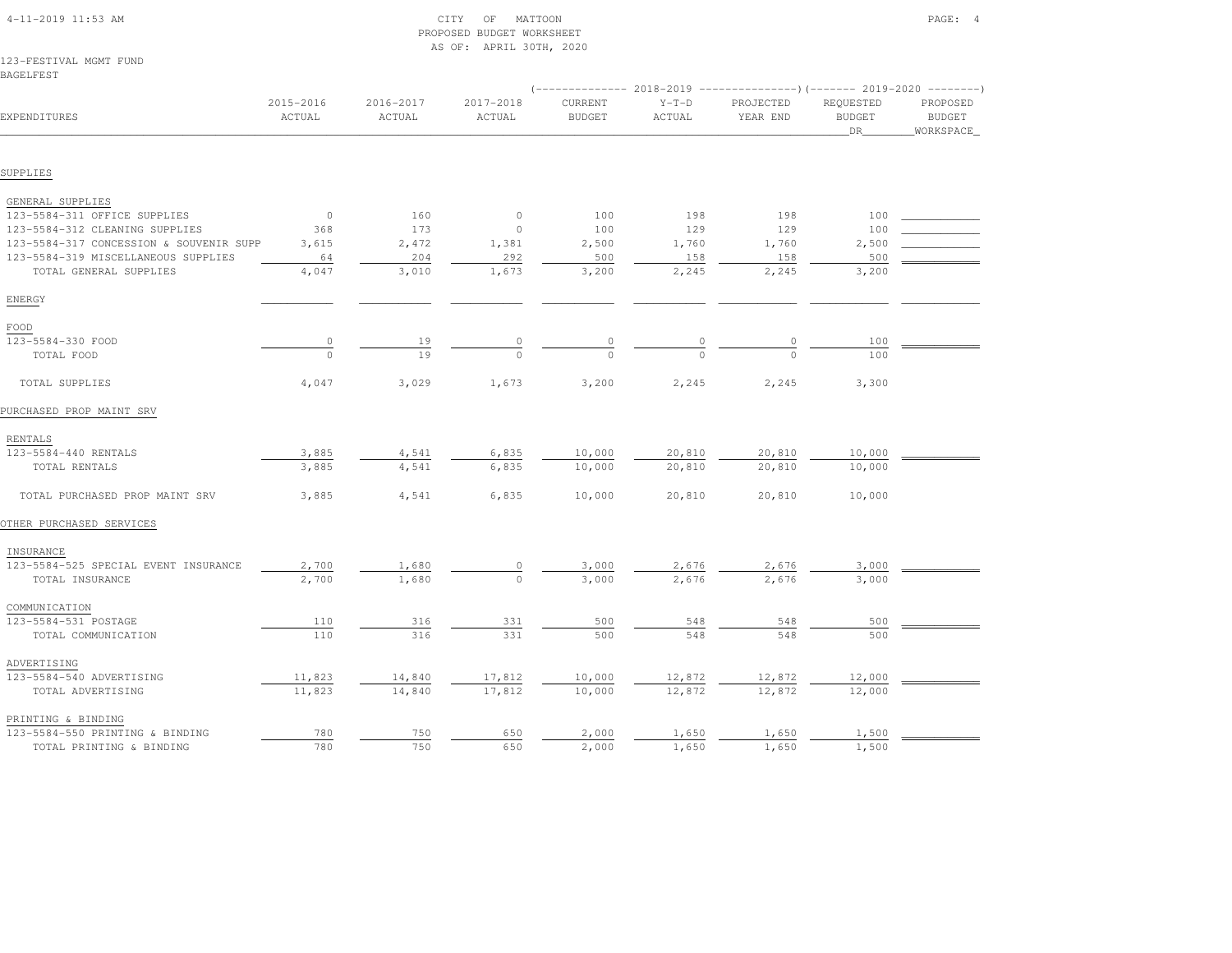| 123-FESTIVAL MGMT FUND<br><b>BAGELFEST</b> |                     |                     |                     |                          |                   |                                                                         |                                         |                                        |
|--------------------------------------------|---------------------|---------------------|---------------------|--------------------------|-------------------|-------------------------------------------------------------------------|-----------------------------------------|----------------------------------------|
|                                            |                     |                     |                     |                          |                   | (-------------- 2018-2019 ----------------) (------- 2019-2020 -------- |                                         |                                        |
| EXPENDITURES                               | 2015-2016<br>ACTUAL | 2016-2017<br>ACTUAL | 2017-2018<br>ACTUAL | CURRENT<br><b>BUDGET</b> | $Y-T-D$<br>ACTUAL | PROJECTED<br>YEAR END                                                   | REQUESTED<br><b>BUDGET</b><br><b>DR</b> | PROPOSED<br><b>BUDGET</b><br>WORKSPACE |
|                                            |                     |                     |                     |                          |                   |                                                                         |                                         |                                        |
| SUPPLIES                                   |                     |                     |                     |                          |                   |                                                                         |                                         |                                        |
| GENERAL SUPPLIES                           |                     |                     |                     |                          |                   |                                                                         |                                         |                                        |
| 123-5584-311 OFFICE SUPPLIES               | $\circ$             | 160                 | $\circ$             | 100                      | 198               | 198                                                                     | 100                                     |                                        |
| 123-5584-312 CLEANING SUPPLIES             | 368                 | 173                 | $\circ$             | 100                      | 129               | 129                                                                     | 100                                     |                                        |
| 123-5584-317 CONCESSION & SOUVENIR SUPP    | 3,615               | 2,472               | 1,381               | 2,500                    | 1,760             | 1,760                                                                   | 2,500                                   |                                        |
| 123-5584-319 MISCELLANEOUS SUPPLIES        | 64                  | 204                 | 292                 | 500                      | 158               | 158                                                                     | 500                                     |                                        |
| TOTAL GENERAL SUPPLIES                     | 4,047               | 3,010               | 1,673               | 3,200                    | 2,245             | 2,245                                                                   | 3,200                                   |                                        |
| ENERGY                                     |                     |                     |                     |                          |                   |                                                                         |                                         |                                        |
| FOOD                                       |                     |                     |                     |                          |                   |                                                                         |                                         |                                        |
| 123-5584-330 FOOD                          | $\circ$             | 19                  | $\circ$             | $\circ$                  | $\mathbb O$       | $\mathbb O$                                                             | 100                                     |                                        |
| TOTAL FOOD                                 | $\Omega$            | 19                  | $\cap$              | $\Omega$                 | $\Omega$          | $\Omega$                                                                | 100                                     |                                        |
| TOTAL SUPPLIES                             | 4,047               | 3,029               | 1,673               | 3,200                    | 2,245             | 2,245                                                                   | 3,300                                   |                                        |
| PURCHASED PROP MAINT SRV                   |                     |                     |                     |                          |                   |                                                                         |                                         |                                        |
| RENTALS                                    |                     |                     |                     |                          |                   |                                                                         |                                         |                                        |
| 123-5584-440 RENTALS                       | 3,885               | 4,541               | 6,835               | 10,000                   | 20,810            | 20,810                                                                  | 10,000                                  |                                        |
| TOTAL RENTALS                              | 3,885               | 4,541               | 6,835               | 10,000                   | 20,810            | 20,810                                                                  | 10,000                                  |                                        |
| TOTAL PURCHASED PROP MAINT SRV             | 3,885               | 4,541               | 6,835               | 10,000                   | 20,810            | 20,810                                                                  | 10,000                                  |                                        |
| OTHER PURCHASED SERVICES                   |                     |                     |                     |                          |                   |                                                                         |                                         |                                        |
| INSURANCE                                  |                     |                     |                     |                          |                   |                                                                         |                                         |                                        |
| 123-5584-525 SPECIAL EVENT INSURANCE       | 2,700               | 1,680               | $\circ$             | 3,000                    | 2,676             | 2,676                                                                   | 3,000                                   |                                        |
| TOTAL INSURANCE                            | 2,700               | 1,680               | $\mathbb O$         | 3,000                    | 2,676             | 2,676                                                                   | 3,000                                   |                                        |
| COMMUNICATION                              |                     |                     |                     |                          |                   |                                                                         |                                         |                                        |
| 123-5584-531 POSTAGE                       | 110                 | 316                 | 331                 | 500                      | 548               | 548                                                                     | 500                                     |                                        |
| TOTAL COMMUNICATION                        | 110                 | 316                 | 331                 | 500                      | 548               | 548                                                                     | 500                                     |                                        |
| ADVERTISING                                |                     |                     |                     |                          |                   |                                                                         |                                         |                                        |
| 123-5584-540 ADVERTISING                   | 11,823              | 14,840              | 17,812              | 10,000                   | 12,872            | 12,872                                                                  | 12,000                                  |                                        |
| TOTAL ADVERTISING                          | 11,823              | 14,840              | 17,812              | 10,000                   | 12,872            | 12,872                                                                  | 12,000                                  |                                        |
| PRINTING & BINDING                         |                     |                     |                     |                          |                   |                                                                         |                                         |                                        |
| 123-5584-550 PRINTING & BINDING            | 780                 | 750                 | 650                 | 2,000                    | 1,650             | 1,650                                                                   | 1,500                                   |                                        |
| TOTAL PRINTING & BINDING                   | 780                 | 750                 | 650                 | 2,000                    | 1,650             | 1,650                                                                   | 1,500                                   |                                        |

PROPOSED BUDGET WORKSHEET

AS OF: APRIL 30TH, 2020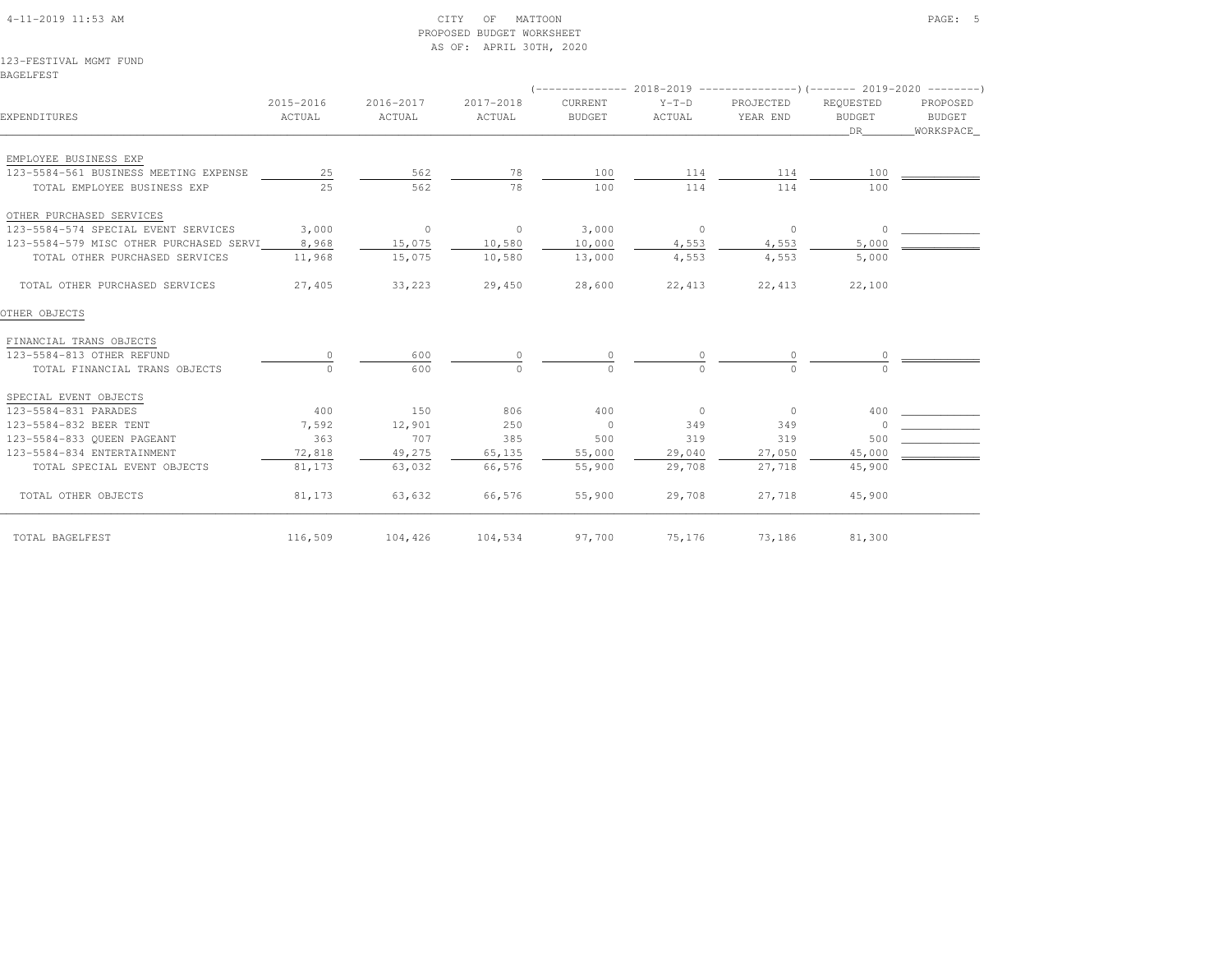## 4-11-2019 11:53 AM CITY OF MATTOON PAGE: 5 PROPOSED BUDGET WORKSHEETAS OF: APRIL 30TH, 2020

123-FESTIVAL MGMT FUNDBAGELFEST

|                                         |                     |                     |                     |                          |                   | $($ -------------- 2018-2019 -----------------) (------- 2019-2020 ---------) |                                    |                                 |
|-----------------------------------------|---------------------|---------------------|---------------------|--------------------------|-------------------|-------------------------------------------------------------------------------|------------------------------------|---------------------------------|
| EXPENDITURES                            | 2015-2016<br>ACTUAL | 2016-2017<br>ACTUAL | 2017-2018<br>ACTUAL | CURRENT<br><b>BUDGET</b> | $Y-T-D$<br>ACTUAL | PROJECTED<br>YEAR END                                                         | REOUESTED<br><b>BUDGET</b><br>DR 1 | PROPOSED<br>BUDGET<br>WORKSPACE |
| EMPLOYEE BUSINESS EXP                   |                     |                     |                     |                          |                   |                                                                               |                                    |                                 |
| 123-5584-561 BUSINESS MEETING EXPENSE   | 25                  | 562                 | 78                  | 100                      | 114               | 114                                                                           | 100                                |                                 |
| TOTAL EMPLOYEE BUSINESS EXP             | 2.5                 | 562                 | 78                  | 100                      | 114               | 114                                                                           | 100                                |                                 |
| OTHER PURCHASED SERVICES                |                     |                     |                     |                          |                   |                                                                               |                                    |                                 |
| 123-5584-574 SPECIAL EVENT SERVICES     | 3,000               | $\sim$ 0            | $\overline{0}$      | 3,000                    | $\sim$ 0          | $\overline{0}$                                                                | $\circ$                            |                                 |
| 123-5584-579 MISC OTHER PURCHASED SERVI | 8,968               | 15,075              | 10,580              | 10,000                   | 4,553             | 4,553                                                                         | 5,000                              |                                 |
| TOTAL OTHER PURCHASED SERVICES          | 11,968              | 15,075              | 10,580              | 13,000                   | 4,553             | 4,553                                                                         | 5,000                              |                                 |
| TOTAL OTHER PURCHASED SERVICES          | 27,405              | 33,223              | 29,450              | 28,600                   | 22,413            | 22,413                                                                        | 22,100                             |                                 |
| OTHER OBJECTS                           |                     |                     |                     |                          |                   |                                                                               |                                    |                                 |
| FINANCIAL TRANS OBJECTS                 |                     |                     |                     |                          |                   |                                                                               |                                    |                                 |
| 123-5584-813 OTHER REFUND               |                     | 600                 |                     | $\mathbf{0}$             |                   | $\circ$                                                                       |                                    |                                 |
| TOTAL FINANCIAL TRANS OBJECTS           | $\bigcap$           | 600                 | $\bigcap$           | $\Omega$                 | $\Omega$          | $\cap$                                                                        | $\cap$                             |                                 |
| SPECIAL EVENT OBJECTS                   |                     |                     |                     |                          |                   |                                                                               |                                    |                                 |
| 123-5584-831 PARADES                    | 400                 | 150                 | 806                 | 400                      | $\overline{0}$    | $\overline{0}$                                                                | 400                                |                                 |
| 123-5584-832 BEER TENT                  | 7,592               | 12,901              | 250                 | $\overline{0}$           | 349               | 349                                                                           |                                    |                                 |
| 123-5584-833 OUEEN PAGEANT              | 363                 | 707                 | 385                 | 500                      | 319               | 319                                                                           | 500                                |                                 |
| 123-5584-834 ENTERTAINMENT              | 72,818              | 49,275              | 65,135              | 55,000                   | 29,040            | 27,050                                                                        | 45,000                             |                                 |
| TOTAL SPECIAL EVENT OBJECTS             | 81,173              | 63,032              | 66,576              | 55,900                   | 29,708            | 27,718                                                                        | 45,900                             |                                 |
| TOTAL OTHER OBJECTS                     | 81,173              | 63,632              | 66,576              | 55,900                   | 29,708            | 27,718                                                                        | 45,900                             |                                 |
| TOTAL BAGELFEST                         | 116,509             | 104,426             | 104,534             | 97,700                   | 75,176            | 73,186                                                                        | 81,300                             |                                 |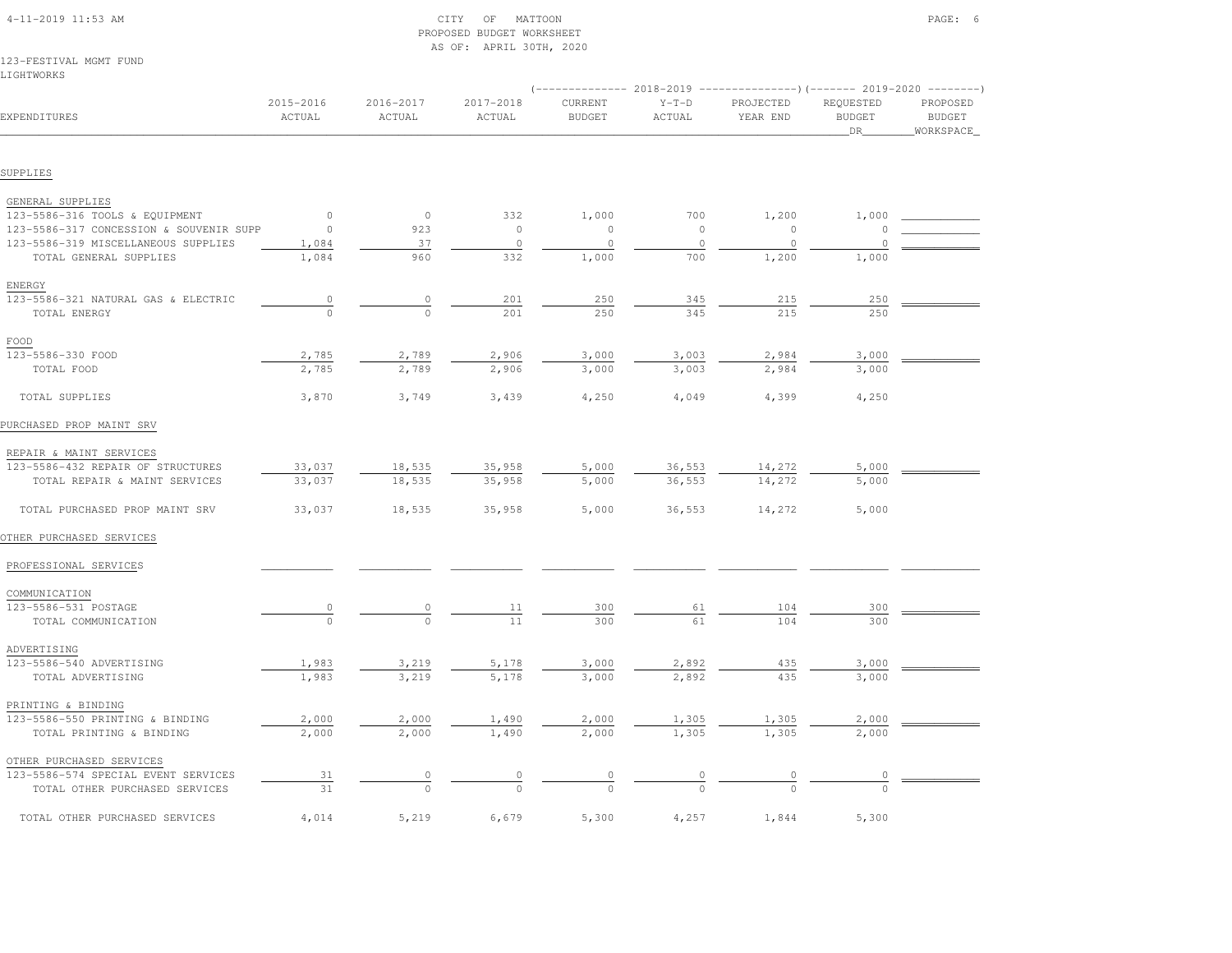|                                         |                     |                     | AS OF: APRIL 30TH, 2020 |                          |                   |                       |                                   |                                        |
|-----------------------------------------|---------------------|---------------------|-------------------------|--------------------------|-------------------|-----------------------|-----------------------------------|----------------------------------------|
| 123-FESTIVAL MGMT FUND                  |                     |                     |                         |                          |                   |                       |                                   |                                        |
| LIGHTWORKS                              |                     |                     |                         |                          |                   |                       |                                   |                                        |
| EXPENDITURES                            | 2015-2016<br>ACTUAL | 2016-2017<br>ACTUAL | 2017-2018<br>ACTUAL     | CURRENT<br><b>BUDGET</b> | $Y-T-D$<br>ACTUAL | PROJECTED<br>YEAR END | REQUESTED<br><b>BUDGET</b><br>DR. | PROPOSED<br><b>BUDGET</b><br>WORKSPACE |
| SUPPLIES                                |                     |                     |                         |                          |                   |                       |                                   |                                        |
|                                         |                     |                     |                         |                          |                   |                       |                                   |                                        |
| GENERAL SUPPLIES                        |                     |                     |                         |                          |                   |                       |                                   |                                        |
| 123-5586-316 TOOLS & EQUIPMENT          | $\circ$             | $\circ$             | 332                     | 1,000                    | 700               | 1,200                 | 1,000                             |                                        |
| 123-5586-317 CONCESSION & SOUVENIR SUPP | 0                   | 923                 | $\circ$                 | $\circ$                  | $\circ$           | $\circ$               | 0                                 |                                        |
| 123-5586-319 MISCELLANEOUS SUPPLIES     | 1,084               | 37                  | $\circ$                 | $\circ$                  | $\circ$           | $\circ$               | $\circ$                           |                                        |
| TOTAL GENERAL SUPPLIES                  | 1,084               | 960                 | 332                     | 1,000                    | 700               | 1,200                 | 1,000                             |                                        |
| ENERGY                                  |                     |                     |                         |                          |                   |                       |                                   |                                        |
| 123-5586-321 NATURAL GAS & ELECTRIC     | $\circ$             | $\circ$             | 201                     | 250                      | 345               | 215                   | 250                               |                                        |
| TOTAL ENERGY                            | $\Omega$            | $\circ$             | 201                     | 250                      | 345               | 215                   | 250                               |                                        |
| FOOD                                    |                     |                     |                         |                          |                   |                       |                                   |                                        |
| 123-5586-330 FOOD                       | 2,785               |                     | 2,906                   | 3,000                    | 3,003             |                       |                                   |                                        |
| TOTAL FOOD                              | 2,785               | 2,789<br>2,789      | 2,906                   | 3,000                    | 3,003             | 2,984<br>2,984        | 3,000<br>3,000                    |                                        |
|                                         |                     |                     |                         |                          |                   |                       |                                   |                                        |
| TOTAL SUPPLIES                          | 3,870               | 3,749               | 3,439                   | 4,250                    | 4,049             | 4,399                 | 4,250                             |                                        |
| PURCHASED PROP MAINT SRV                |                     |                     |                         |                          |                   |                       |                                   |                                        |
| REPAIR & MAINT SERVICES                 |                     |                     |                         |                          |                   |                       |                                   |                                        |
| 123-5586-432 REPAIR OF STRUCTURES       | 33,037              | 18,535              | 35,958                  | 5,000                    | 36,553            | 14,272                | 5,000                             |                                        |
| TOTAL REPAIR & MAINT SERVICES           | 33,037              | 18,535              | 35,958                  | 5,000                    | 36,553            | 14,272                | 5,000                             |                                        |
|                                         |                     |                     |                         |                          |                   |                       |                                   |                                        |
| TOTAL PURCHASED PROP MAINT SRV          | 33,037              | 18,535              | 35,958                  | 5,000                    | 36,553            | 14,272                | 5,000                             |                                        |
| OTHER PURCHASED SERVICES                |                     |                     |                         |                          |                   |                       |                                   |                                        |
| PROFESSIONAL SERVICES                   |                     |                     |                         |                          |                   |                       |                                   |                                        |
| COMMUNICATION                           |                     |                     |                         |                          |                   |                       |                                   |                                        |
| 123-5586-531 POSTAGE                    | $\overline{0}$      | $\circ$             | 11                      | 300                      | 61                | 104                   | 300                               |                                        |
| TOTAL COMMUNICATION                     |                     |                     | 11                      | 300                      | 61                | 104                   | 300                               |                                        |
| ADVERTISING                             |                     |                     |                         |                          |                   |                       |                                   |                                        |
| 123-5586-540 ADVERTISING                | 1,983               | 3,219               | 5,178                   | 3,000                    | 2,892             | 435                   | 3,000                             |                                        |
| TOTAL ADVERTISING                       | 1,983               | 3,219               | 5,178                   | 3,000                    | 2,892             | 435                   | 3,000                             |                                        |
|                                         |                     |                     |                         |                          |                   |                       |                                   |                                        |
| PRINTING & BINDING                      |                     |                     |                         |                          |                   |                       |                                   |                                        |
| 123-5586-550 PRINTING & BINDING         | 2,000               | 2,000               | 1,490                   | 2,000                    | 1,305             | 1,305                 | 2,000                             |                                        |
| TOTAL PRINTING & BINDING                | 2,000               | 2,000               | 1,490                   | 2,000                    | 1,305             | 1,305                 | 2,000                             |                                        |
| OTHER PURCHASED SERVICES                |                     |                     |                         |                          |                   |                       |                                   |                                        |
| 123-5586-574 SPECIAL EVENT SERVICES     | 31                  | $\circ$             |                         |                          |                   |                       | 0                                 |                                        |
| TOTAL OTHER PURCHASED SERVICES          | 31                  | $\Omega$            | $\Omega$                |                          |                   |                       |                                   |                                        |
| TOTAL OTHER PURCHASED SERVICES          | 4,014               | 5,219               | 6,679                   | 5,300                    | 4,257             | 1,844                 | 5,300                             |                                        |

 4-11-2019 11:53 AM CITY OF MATTOON PAGE: 6PROPOSED BUDGET WORKSHEET

AS OF: APRIL 30TH, 2020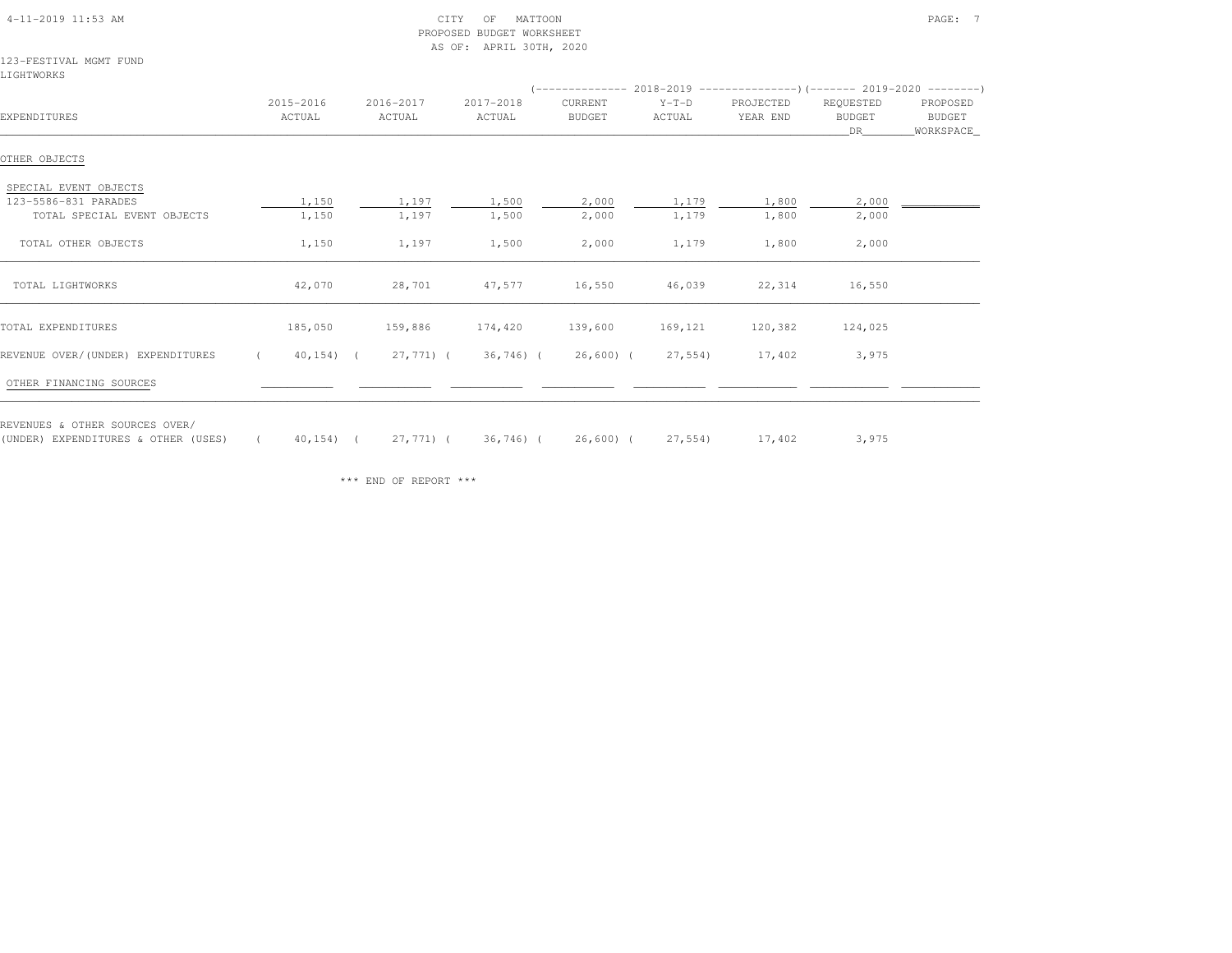| 4-11-2019 11:53 AM |  |
|--------------------|--|

### 4-11-2019 CITY OF MATTOON CITY OF MATTOON PAGE: 7 PROPOSED BUDGET WORKSHEETAS OF: APRIL 30TH, 2020

### 123-FESTIVAL MGMT FUNDLIGHTWORKS

|                                                                              |                     |                     |                     |                          |                   | (-------------- 2018-2019 -----------------) (------- 2019-2020 ---------) |                                  |                                 |
|------------------------------------------------------------------------------|---------------------|---------------------|---------------------|--------------------------|-------------------|----------------------------------------------------------------------------|----------------------------------|---------------------------------|
| EXPENDITURES                                                                 | 2015-2016<br>ACTUAL | 2016-2017<br>ACTUAL | 2017-2018<br>ACTUAL | CURRENT<br><b>BUDGET</b> | $Y-T-D$<br>ACTUAL | PROJECTED<br>YEAR END                                                      | REQUESTED<br><b>BUDGET</b><br>DR | PROPOSED<br>BUDGET<br>WORKSPACE |
| OTHER OBJECTS                                                                |                     |                     |                     |                          |                   |                                                                            |                                  |                                 |
| SPECIAL EVENT OBJECTS<br>123-5586-831 PARADES<br>TOTAL SPECIAL EVENT OBJECTS | 1,150<br>1,150      | 1,197<br>1,197      | 1,500<br>1,500      | 2,000<br>2,000           | 1,179<br>1,179    | 1,800<br>1,800                                                             | 2,000<br>2,000                   |                                 |
| TOTAL OTHER OBJECTS                                                          | 1,150               | 1,197               | 1,500               | 2,000                    | 1,179             | 1,800                                                                      | 2,000                            |                                 |
| TOTAL LIGHTWORKS                                                             | 42,070              | 28,701              | 47,577              | 16,550                   | 46,039            | 22,314                                                                     | 16,550                           |                                 |
| TOTAL EXPENDITURES                                                           | 185,050             | 159,886             | 174,420             | 139,600                  | 169,121           | 120,382                                                                    | 124,025                          |                                 |
| REVENUE OVER/(UNDER) EXPENDITURES                                            | $40, 154$ ) (       | 27,771) (           | 36,746) (           | $26,600$ ) (             | 27,554)           | 17,402                                                                     | 3,975                            |                                 |
| OTHER FINANCING SOURCES                                                      |                     |                     |                     |                          |                   |                                                                            |                                  |                                 |
| REVENUES & OTHER SOURCES OVER/<br>(UNDER) EXPENDITURES & OTHER (USES)        | $40, 154$ ) (       | 27,771) (           | 36,746) (           | 26,600) (                | 27,554)           | 17,402                                                                     | 3,975                            |                                 |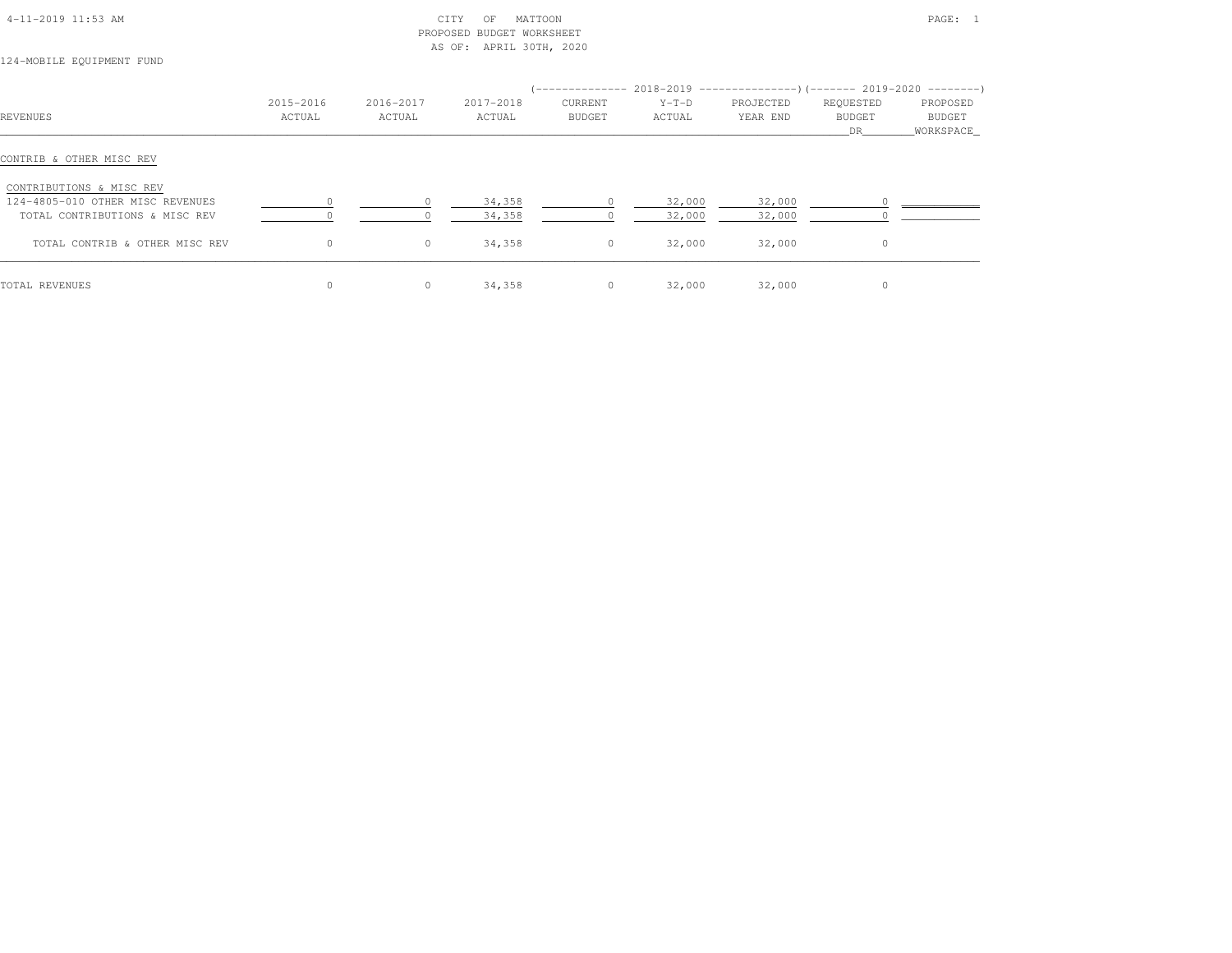| 4-11-2019 11:53 AM |  |  |
|--------------------|--|--|

## $\begin{array}{ccc} \text{CITY} & \text{OF} & \text{MATTOON} \end{array}$  PROPOSED BUDGET WORKSHEETAS OF: APRIL 30TH, 2020

# 124-MOBILE EQUIPMENT FUND

| <b>REVENUES</b>                  | 2015-2016<br>ACTUAL | 2016-2017<br>ACTUAL | 2017-2018<br>ACTUAL | CURRENT<br><b>BUDGET</b> | $Y-T-D$<br>ACTUAL | (-------------- 2018-2019 ---------------------- 2019-2020 ----------------------<br>PROJECTED<br>YEAR END | REQUESTED<br><b>BUDGET</b><br>DR. | PROPOSED<br>BUDGET<br>WORKSPACE |
|----------------------------------|---------------------|---------------------|---------------------|--------------------------|-------------------|------------------------------------------------------------------------------------------------------------|-----------------------------------|---------------------------------|
| CONTRIB & OTHER MISC REV         |                     |                     |                     |                          |                   |                                                                                                            |                                   |                                 |
| CONTRIBUTIONS & MISC REV         |                     |                     |                     |                          |                   |                                                                                                            |                                   |                                 |
| 124-4805-010 OTHER MISC REVENUES |                     |                     | 34,358              |                          | 32,000            | 32,000                                                                                                     |                                   |                                 |
| TOTAL CONTRIBUTIONS & MISC REV   |                     |                     | 34,358              |                          | 32,000            | 32,000                                                                                                     |                                   |                                 |
| TOTAL CONTRIB & OTHER MISC REV   | $\Omega$            | $\circ$             | 34,358              | $\circ$                  | 32,000            | 32,000                                                                                                     | $\Omega$                          |                                 |
| TOTAL REVENUES                   |                     | $\circ$             | 34,358              | $\circ$                  | 32,000            | 32,000                                                                                                     |                                   |                                 |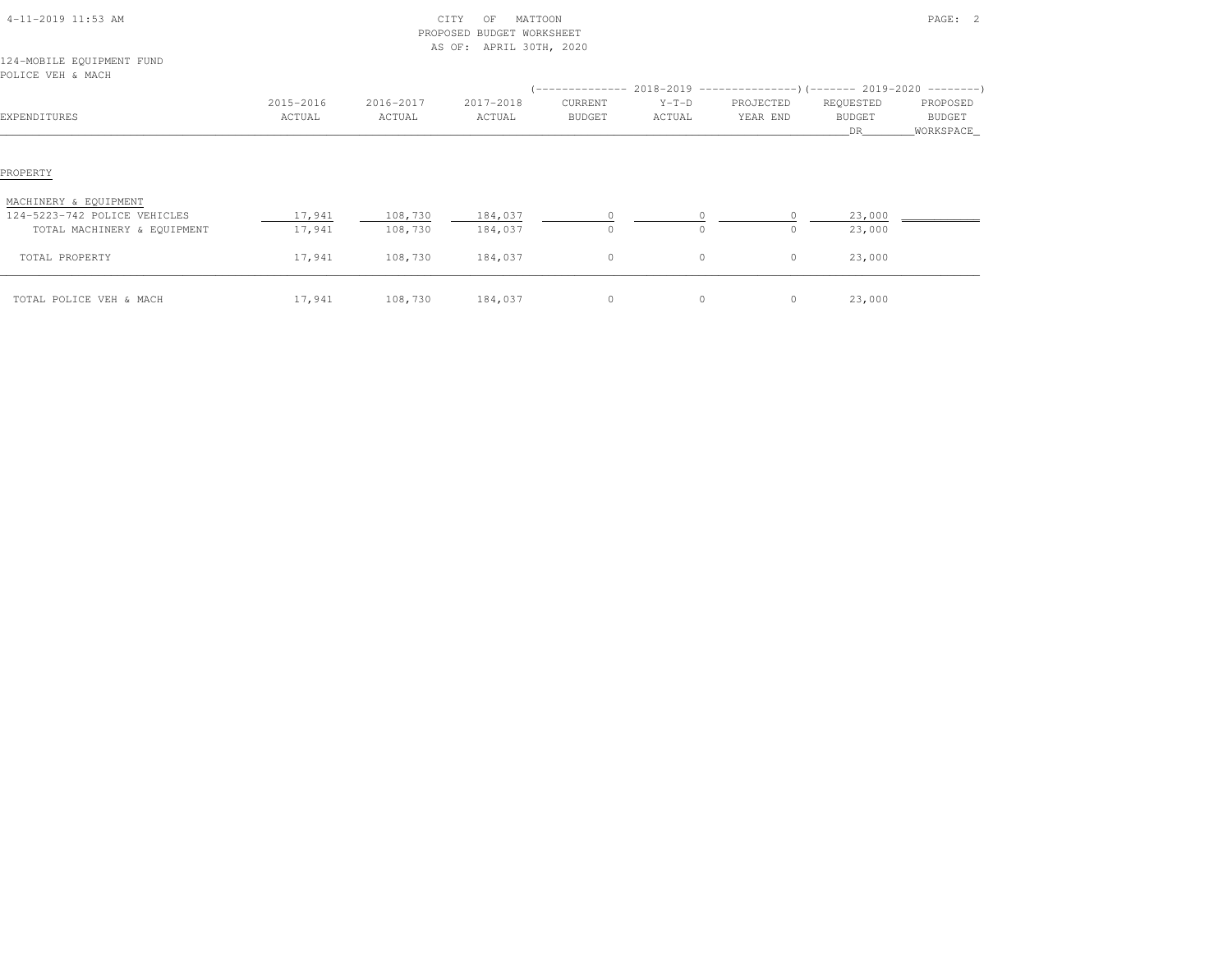| 4-11-2019 11:53 AM                             |                     |                     | CITY<br>MATTOON<br>OF<br>PROPOSED BUDGET WORKSHEET<br>AS OF: APRIL 30TH, 2020 |                   |                   |                       |                                   | PAGE: 2                          |
|------------------------------------------------|---------------------|---------------------|-------------------------------------------------------------------------------|-------------------|-------------------|-----------------------|-----------------------------------|----------------------------------|
| 124-MOBILE EQUIPMENT FUND<br>POLICE VEH & MACH |                     |                     |                                                                               |                   |                   |                       |                                   |                                  |
|                                                |                     |                     |                                                                               |                   |                   |                       |                                   |                                  |
| EXPENDITURES                                   | 2015-2016<br>ACTUAL | 2016-2017<br>ACTUAL | 2017-2018<br>ACTUAL                                                           | CURRENT<br>BUDGET | $Y-T-D$<br>ACTUAL | PROJECTED<br>YEAR END | REQUESTED<br><b>BUDGET</b><br>DR. | PROPOSED<br>BUDGET<br>WORKSPACE_ |
| PROPERTY<br>MACHINERY & EQUIPMENT              |                     |                     |                                                                               |                   |                   |                       |                                   |                                  |
| 124-5223-742 POLICE VEHICLES                   | 17,941              | 108,730             | 184,037                                                                       |                   |                   |                       | 23,000                            |                                  |
| TOTAL MACHINERY & EQUIPMENT                    | 17,941              | 108,730             | 184,037                                                                       | $\circ$           | $\circ$           | $\circ$               | 23,000                            |                                  |
| TOTAL PROPERTY                                 | 17,941              | 108,730             | 184,037                                                                       | $\circ$           | $\circ$           | $\circ$               | 23,000                            |                                  |
| TOTAL POLICE VEH & MACH                        | 17,941              | 108,730             | 184,037                                                                       | $\circ$           | $\circ$           | $\circ$               | 23,000                            |                                  |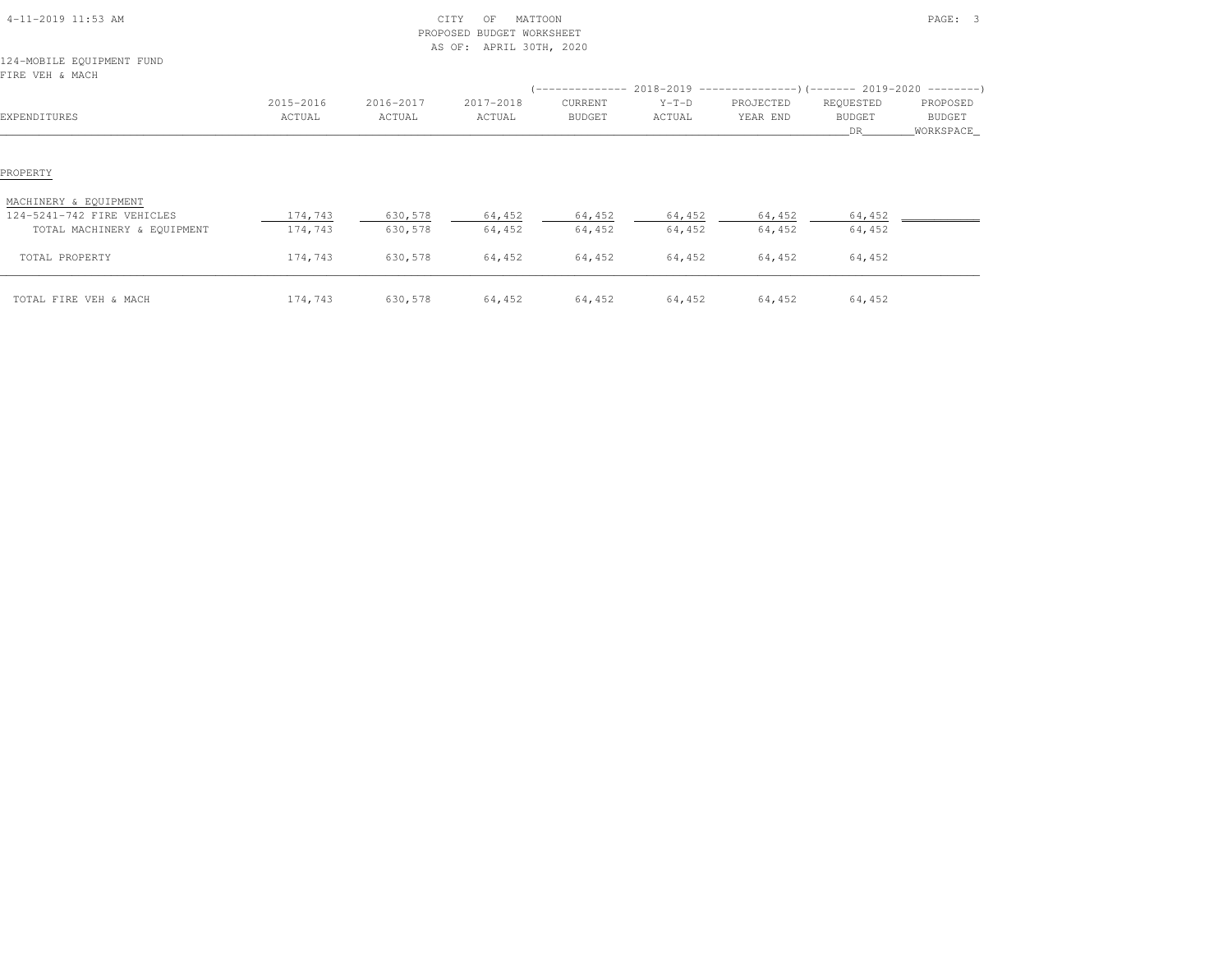| 4-11-2019 11:53 AM                                  |                     |                     | CITY<br>MATTOON<br>ΟF<br>PROPOSED BUDGET WORKSHEET<br>APRIL 30TH, 2020<br>AS OF: |                   |                   |                       |                                  | PAGE: 3                          |
|-----------------------------------------------------|---------------------|---------------------|----------------------------------------------------------------------------------|-------------------|-------------------|-----------------------|----------------------------------|----------------------------------|
| 124-MOBILE EQUIPMENT FUND<br>FIRE VEH & MACH        |                     |                     |                                                                                  |                   |                   |                       |                                  |                                  |
| EXPENDITURES                                        | 2015-2016<br>ACTUAL | 2016-2017<br>ACTUAL | 2017-2018<br>ACTUAL                                                              | CURRENT<br>BUDGET | $Y-T-D$<br>ACTUAL | PROJECTED<br>YEAR END | REQUESTED<br><b>BUDGET</b><br>DR | PROPOSED<br>BUDGET<br>WORKSPACE_ |
| PROPERTY                                            |                     |                     |                                                                                  |                   |                   |                       |                                  |                                  |
| MACHINERY & EQUIPMENT<br>124-5241-742 FIRE VEHICLES | 174,743             | 630,578             | 64,452                                                                           | 64,452            | 64,452            | 64,452                | 64,452                           |                                  |
| TOTAL MACHINERY & EQUIPMENT                         | 174,743             | 630,578             | 64,452                                                                           | 64,452            | 64,452            | 64,452                | 64,452                           |                                  |
| TOTAL PROPERTY                                      | 174,743             | 630,578             | 64,452                                                                           | 64,452            | 64,452            | 64,452                | 64,452                           |                                  |
| TOTAL FIRE VEH & MACH                               | 174,743             | 630,578             | 64,452                                                                           | 64,452            | 64,452            | 64,452                | 64,452                           |                                  |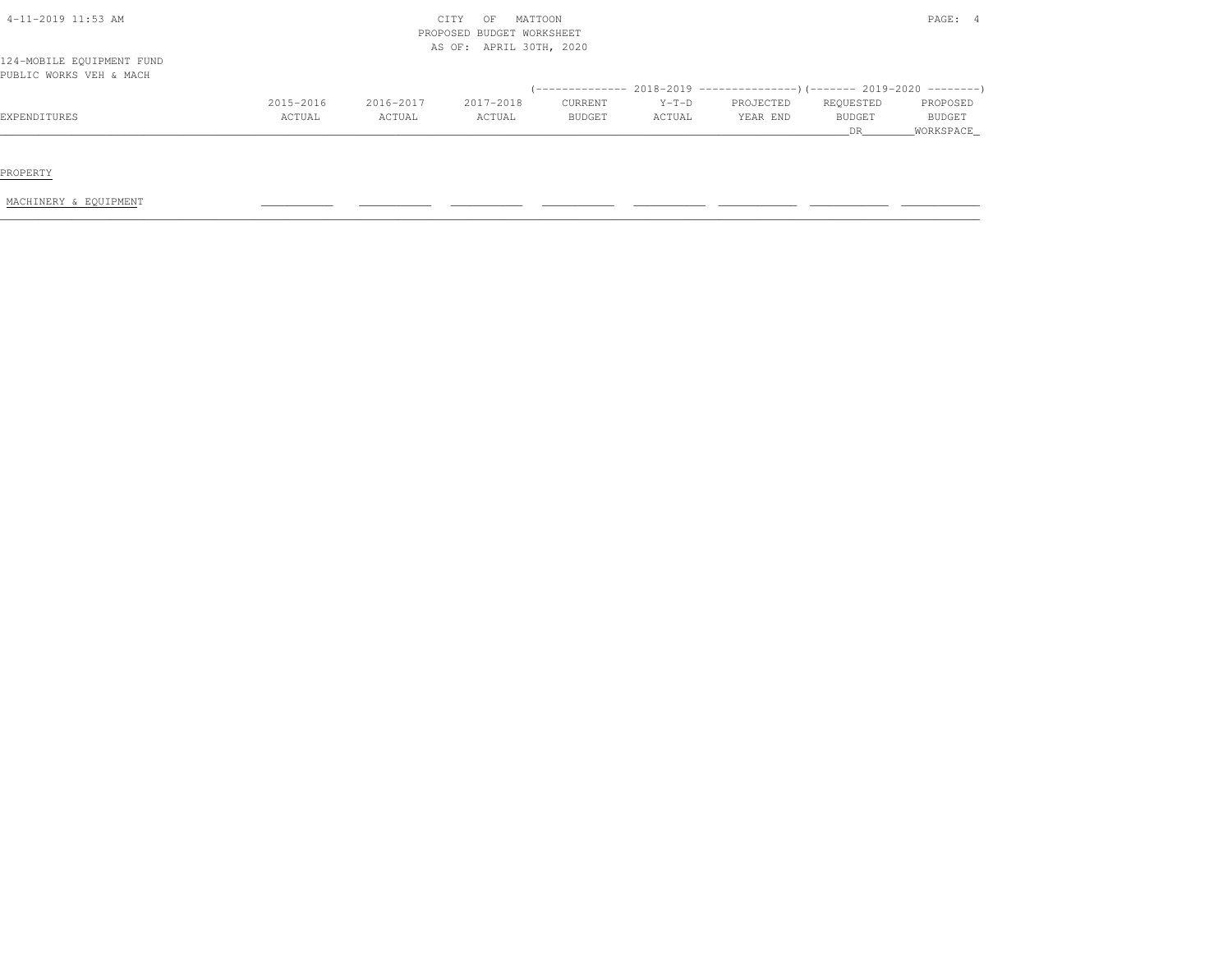| 4-11-2019 11:53 AM                                   |           |           | CITY<br>OF<br>PROPOSED BUDGET WORKSHEET<br>AS OF: APRIL 30TH, 2020 | MATTOON       |         |                                                                         |               | PAGE: 4   |
|------------------------------------------------------|-----------|-----------|--------------------------------------------------------------------|---------------|---------|-------------------------------------------------------------------------|---------------|-----------|
| 124-MOBILE EQUIPMENT FUND<br>PUBLIC WORKS VEH & MACH |           |           |                                                                    |               |         |                                                                         |               |           |
|                                                      |           |           |                                                                    |               |         | (-------------- 2018-2019 ----------------)(------- 2019-2020 --------) |               |           |
|                                                      | 2015-2016 | 2016-2017 | 2017-2018                                                          | CURRENT       | $Y-T-D$ | PROJECTED                                                               | REQUESTED     | PROPOSED  |
| EXPENDITURES                                         | ACTUAL    | ACTUAL    | ACTUAL                                                             | <b>BUDGET</b> | ACTUAL  | YEAR END                                                                | <b>BUDGET</b> | BUDGET    |
|                                                      |           |           |                                                                    |               |         |                                                                         | <b>DR</b>     | WORKSPACE |

PROPERTY

MACHINERY & EQUIPMENT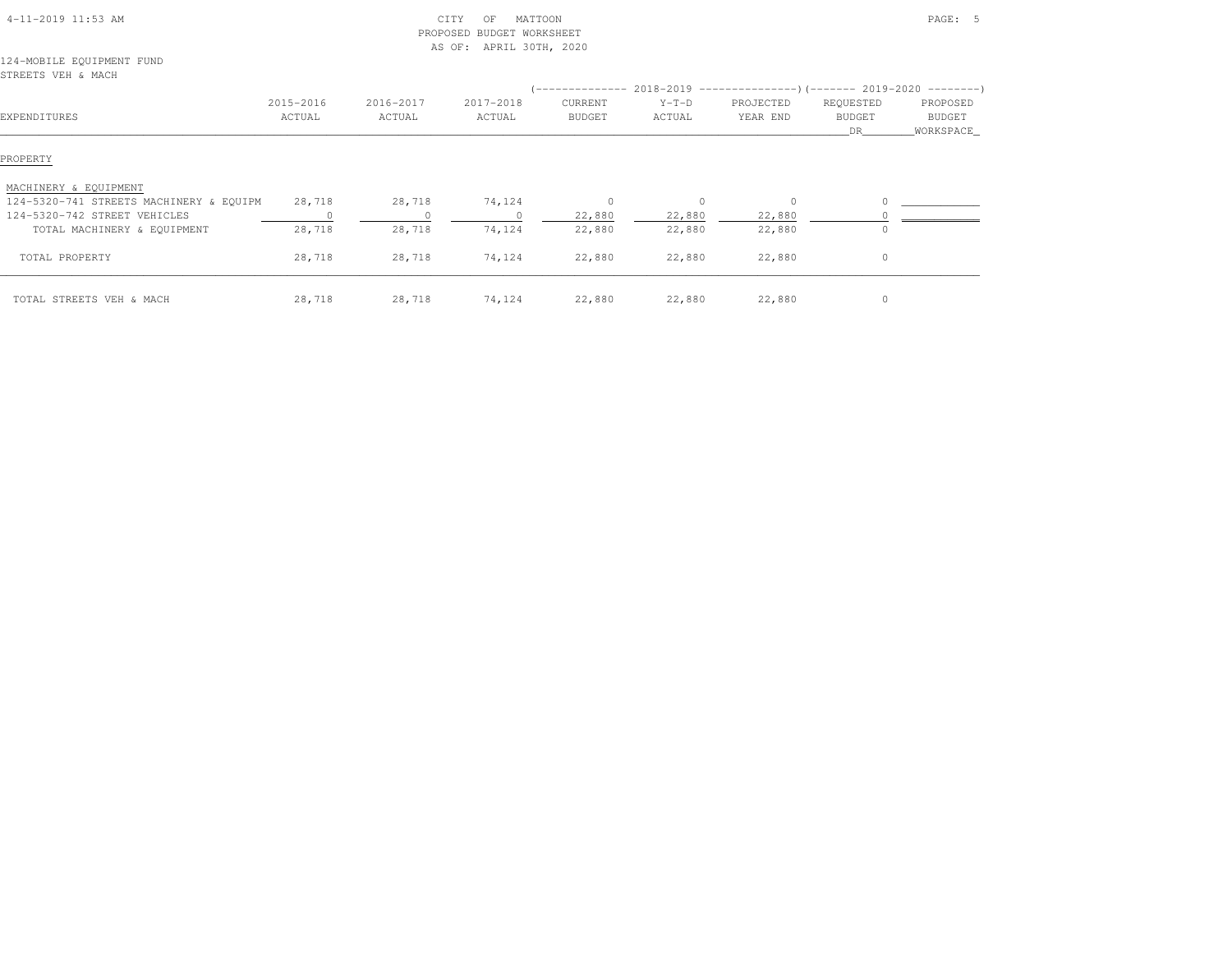| 4-11-2019 11:53 AM                                               |                     | PROPOSED            | CITY<br>MATTOON<br>OF<br><b>BUDGET WORKSHEET</b><br>AS OF: APRIL 30TH, 2020 |                          |                                                                                                    |                       |                                    | PAGE: 5                         |
|------------------------------------------------------------------|---------------------|---------------------|-----------------------------------------------------------------------------|--------------------------|----------------------------------------------------------------------------------------------------|-----------------------|------------------------------------|---------------------------------|
| 124-MOBILE EQUIPMENT FUND<br>STREETS VEH & MACH                  |                     |                     |                                                                             |                          |                                                                                                    |                       |                                    |                                 |
| EXPENDITURES                                                     | 2015-2016<br>ACTUAL | 2016-2017<br>ACTUAL | 2017-2018<br>ACTUAL                                                         | CURRENT<br><b>BUDGET</b> | $($ -------------- 2018-2019 -----------------) (------- 2019-2020 ---------)<br>$Y-T-D$<br>ACTUAL | PROJECTED<br>YEAR END | REQUESTED<br><b>BUDGET</b><br>DR . | PROPOSED<br>BUDGET<br>WORKSPACE |
| PROPERTY                                                         |                     |                     |                                                                             |                          |                                                                                                    |                       |                                    |                                 |
| MACHINERY & EQUIPMENT<br>124-5320-741 STREETS MACHINERY & EQUIPM | 28,718              | 28,718              | 74,124                                                                      | $\circ$                  | $\circ$                                                                                            | $\circ$               | $\Omega$                           |                                 |
| 124-5320-742 STREET VEHICLES<br>TOTAL MACHINERY & EQUIPMENT      | 28,718              | 28,718              | 74,124                                                                      | 22,880<br>22,880         | 22,880<br>22,880                                                                                   | 22,880<br>22,880      |                                    |                                 |
| TOTAL PROPERTY                                                   | 28,718              | 28,718              | 74,124                                                                      | 22,880                   | 22,880                                                                                             | 22,880                | $\circ$                            |                                 |
| TOTAL STREETS VEH & MACH                                         | 28,718              | 28,718              | 74,124                                                                      | 22,880                   | 22,880                                                                                             | 22,880                | $\circ$                            |                                 |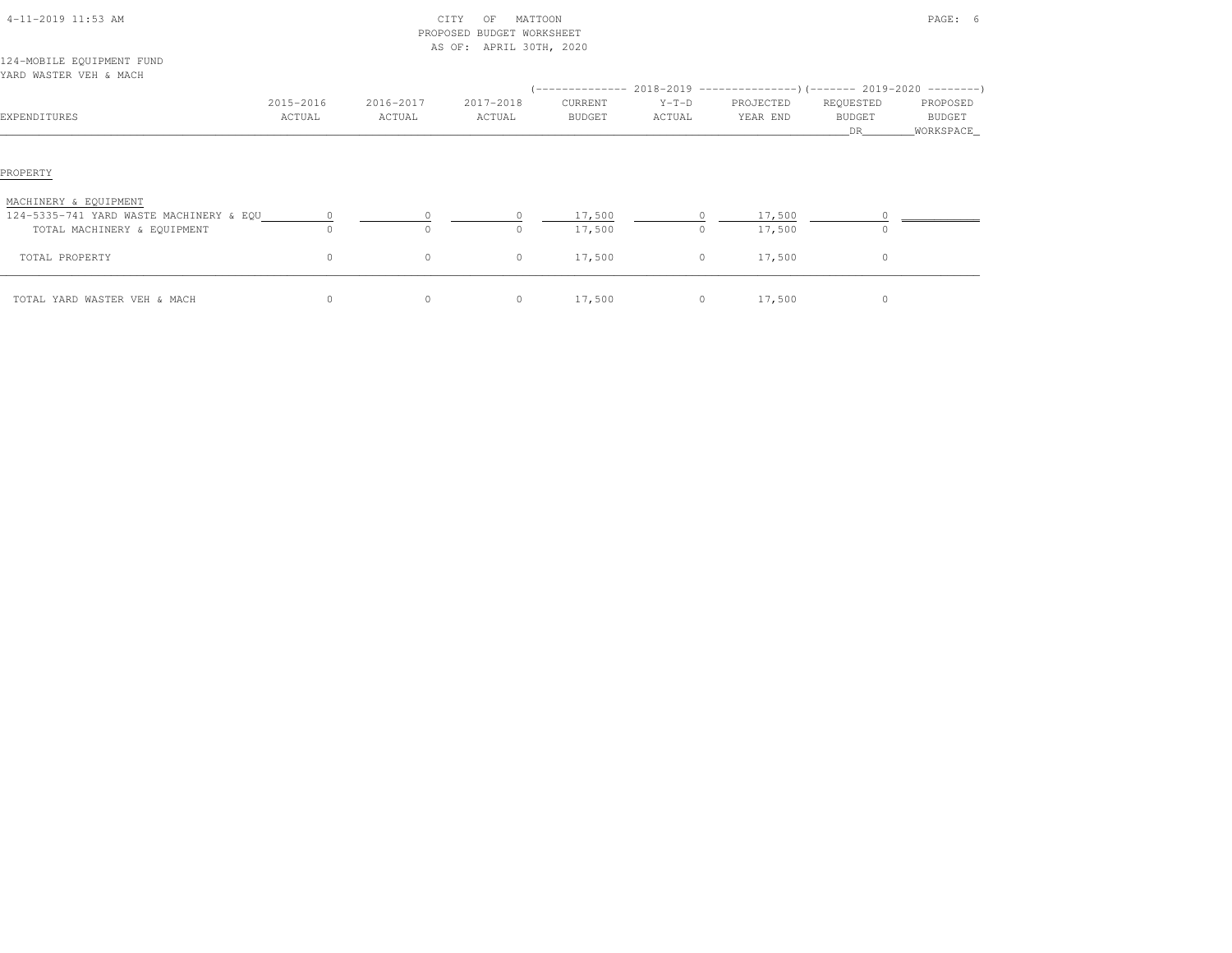|                                                                  |           |           | PROPOSED BUDGET WORKSHEET<br>AS OF: APRIL 30TH, 2020 |         |                                                                                            |           |                      |                     |
|------------------------------------------------------------------|-----------|-----------|------------------------------------------------------|---------|--------------------------------------------------------------------------------------------|-----------|----------------------|---------------------|
| 124-MOBILE EQUIPMENT FUND<br>YARD WASTER VEH & MACH              |           |           |                                                      |         |                                                                                            |           |                      |                     |
|                                                                  | 2015-2016 | 2016-2017 | 2017-2018                                            | CURRENT | (-------------- 2018-2019 -------------------- ) (------- 2019-2020 --------- )<br>$Y-T-D$ | PROJECTED | REQUESTED            | PROPOSED            |
| EXPENDITURES                                                     | ACTUAL    | ACTUAL    | ACTUAL                                               | BUDGET  | ACTUAL                                                                                     | YEAR END  | <b>BUDGET</b><br>DR. | BUDGET<br>WORKSPACE |
| PROPERTY                                                         |           |           |                                                      |         |                                                                                            |           |                      |                     |
| MACHINERY & EQUIPMENT<br>124-5335-741 YARD WASTE MACHINERY & EQU |           |           |                                                      | 17,500  |                                                                                            | 17,500    |                      |                     |
| TOTAL MACHINERY & EQUIPMENT                                      | $\Omega$  | 0         | <sup>n</sup>                                         | 17,500  | $\circ$                                                                                    | 17,500    | $\circ$              |                     |
| TOTAL PROPERTY                                                   | $\circ$   | $\circ$   | $\circ$                                              | 17,500  | $\circ$                                                                                    | 17,500    | $\circ$              |                     |
| TOTAL YARD WASTER VEH & MACH                                     | $\circ$   | $\circ$   | $\circ$                                              | 17,500  | $\circ$                                                                                    | 17,500    | $\circ$              |                     |

4-11-2019 11:53 AM CITY OF MATTOON PAGE: 6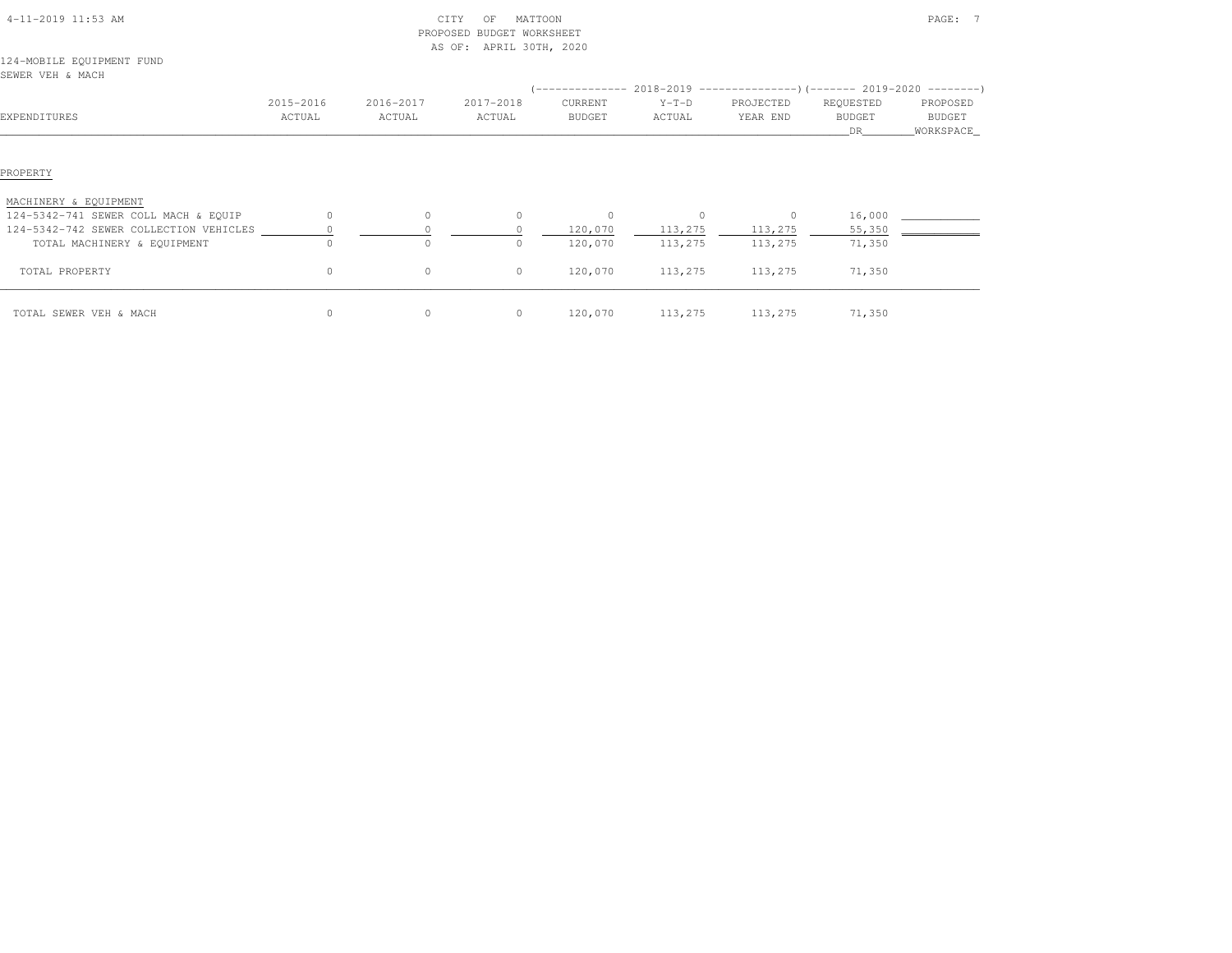|                                        |           |              | PROPOSED BUDGET WORKSHEET |                                                                              |         |           |               |            |
|----------------------------------------|-----------|--------------|---------------------------|------------------------------------------------------------------------------|---------|-----------|---------------|------------|
|                                        |           |              | AS OF: APRIL 30TH, 2020   |                                                                              |         |           |               |            |
| 124-MOBILE EQUIPMENT FUND              |           |              |                           |                                                                              |         |           |               |            |
| SEWER VEH & MACH                       |           |              |                           |                                                                              |         |           |               |            |
|                                        |           |              |                           | $(-$ ------------- 2018-2019 -----------------)(------- 2019-2020 ---------) |         |           |               |            |
|                                        | 2015-2016 | 2016-2017    | 2017-2018                 | CURRENT                                                                      | $Y-T-D$ | PROJECTED | REQUESTED     | PROPOSED   |
| EXPENDITURES                           | ACTUAL    | ACTUAL       | ACTUAL                    | <b>BUDGET</b>                                                                | ACTUAL  | YEAR END  | <b>BUDGET</b> | BUDGET     |
|                                        |           |              |                           |                                                                              |         |           | DR            | WORKSPACE_ |
|                                        |           |              |                           |                                                                              |         |           |               |            |
|                                        |           |              |                           |                                                                              |         |           |               |            |
| PROPERTY                               |           |              |                           |                                                                              |         |           |               |            |
|                                        |           |              |                           |                                                                              |         |           |               |            |
| MACHINERY & EQUIPMENT                  |           |              |                           |                                                                              |         |           |               |            |
| 124-5342-741 SEWER COLL MACH & EQUIP   | $\circ$   | $\mathbf{0}$ | $\Omega$                  | $\circ$                                                                      | $\circ$ | $\circ$   | 16,000        |            |
| 124-5342-742 SEWER COLLECTION VEHICLES |           |              |                           | 120,070                                                                      | 113,275 | 113,275   | 55,350        |            |
| TOTAL MACHINERY & EQUIPMENT            | $\Omega$  | $\Omega$     |                           | 120,070                                                                      | 113,275 | 113,275   | 71,350        |            |
|                                        |           |              |                           |                                                                              |         |           |               |            |
| TOTAL PROPERTY                         | $\circ$   | $\mathbf{0}$ | $\circ$                   | 120,070                                                                      | 113,275 | 113,275   | 71,350        |            |
|                                        |           |              |                           |                                                                              |         |           |               |            |
| TOTAL SEWER VEH & MACH                 | $\circ$   | 0            | $\circ$                   | 120,070                                                                      | 113,275 | 113,275   | 71,350        |            |

4-11-2019 11:53 AM CITY OF MATTOON PAGE: 7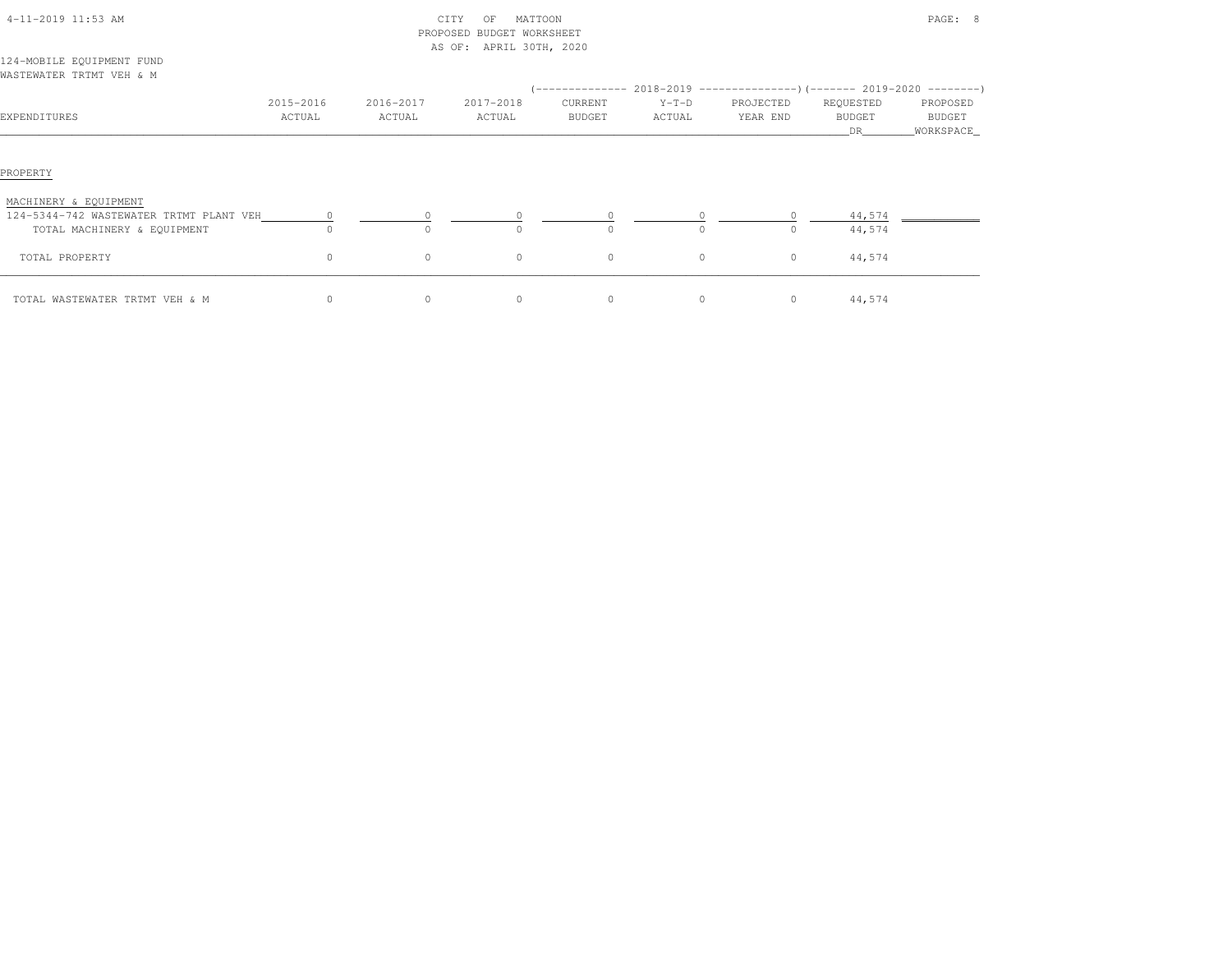| 4-11-2019 11:53 AM                      |           |           | CITY<br>MATTOON<br>OF<br>PROPOSED BUDGET WORKSHEET<br>AS OF: APRIL 30TH, 2020 |                  |          |                                                           |                      | PAGE: 8               |
|-----------------------------------------|-----------|-----------|-------------------------------------------------------------------------------|------------------|----------|-----------------------------------------------------------|----------------------|-----------------------|
| 124-MOBILE EQUIPMENT FUND               |           |           |                                                                               |                  |          |                                                           |                      |                       |
| WASTEWATER TRTMT VEH & M                |           |           |                                                                               |                  |          |                                                           |                      |                       |
|                                         |           |           |                                                                               | ( ______________ |          | $2018-2019$ ---------------) (------- 2019-2020 --------) |                      |                       |
|                                         | 2015-2016 | 2016-2017 | 2017-2018                                                                     | CURRENT          | $Y-T-D$  | PROJECTED                                                 | REQUESTED            | PROPOSED              |
| EXPENDITURES                            | ACTUAL    | ACTUAL    | ACTUAL                                                                        | BUDGET           | ACTUAL   | YEAR END                                                  | <b>BUDGET</b><br>DR. | BUDGET<br>_WORKSPACE_ |
| PROPERTY                                |           |           |                                                                               |                  |          |                                                           |                      |                       |
| MACHINERY & EQUIPMENT                   |           |           |                                                                               |                  |          |                                                           |                      |                       |
| 124-5344-742 WASTEWATER TRTMT PLANT VEH |           |           |                                                                               |                  |          |                                                           | 44,574               |                       |
| TOTAL MACHINERY & EQUIPMENT             | $\Omega$  |           |                                                                               | $\Omega$         | $\Omega$ | $\circ$                                                   | 44,574               |                       |
| TOTAL PROPERTY                          | $\circ$   | $\circ$   | $\circ$                                                                       | $\circ$          | $\circ$  | $\circ$                                                   | 44,574               |                       |
| TOTAL WASTEWATER TRTMT VEH & M          | $\circ$   | $\circ$   | $\circ$                                                                       | $\circ$          | $\circ$  | 0                                                         | 44,574               |                       |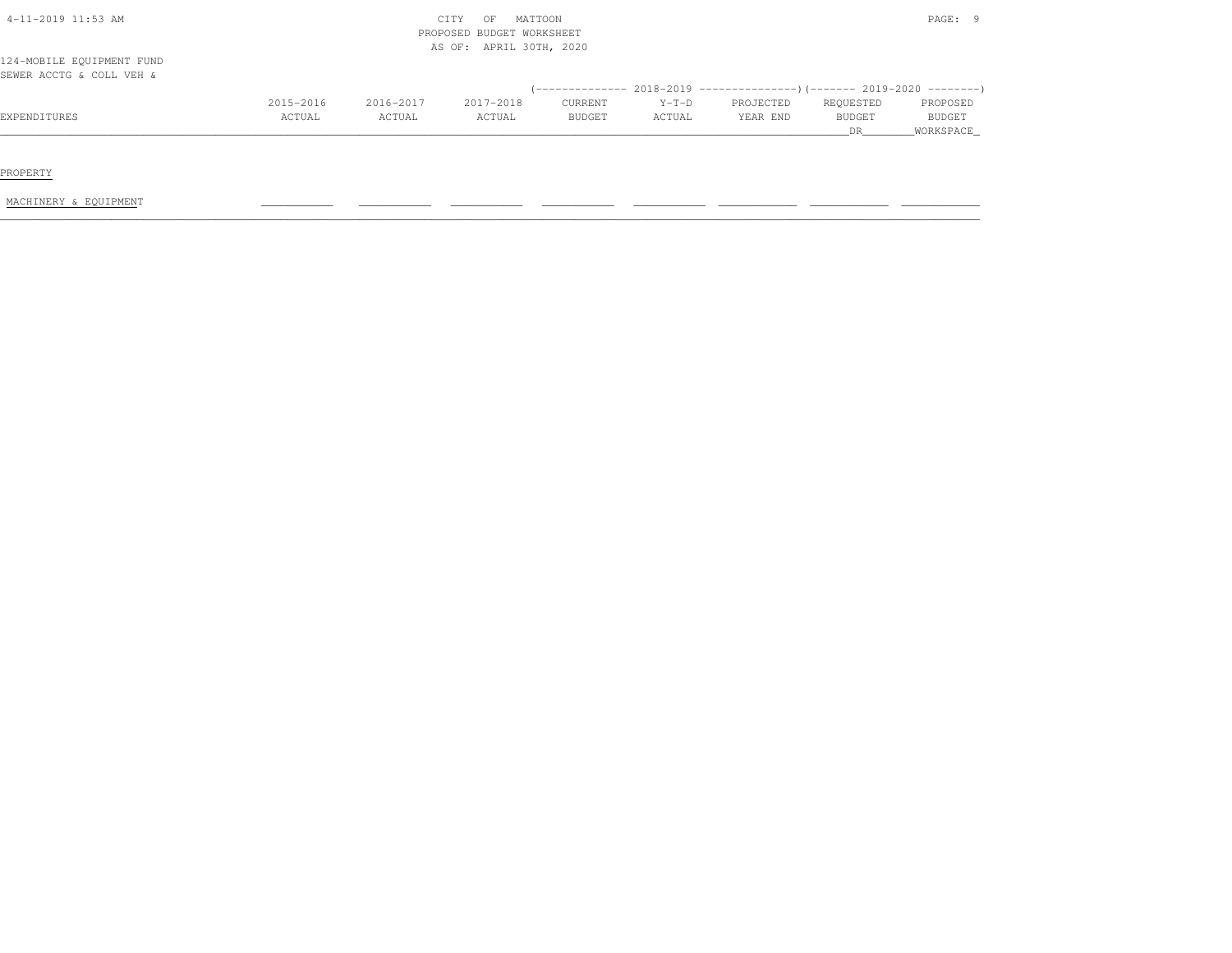|                           |           |           |                           |               |         |                                                                              | <b>DR</b> | WORKSPACE     |
|---------------------------|-----------|-----------|---------------------------|---------------|---------|------------------------------------------------------------------------------|-----------|---------------|
| EXPENDITURES              | ACTUAL    | ACTUAL    | ACTUAL                    | <b>BUDGET</b> | ACTUAL  | YEAR END                                                                     | BUDGET    | <b>BUDGET</b> |
|                           | 2015-2016 | 2016-2017 | 2017-2018                 | CURRENT       | $Y-T-D$ | PROJECTED                                                                    | REQUESTED | PROPOSED      |
| SEWER ACCTG & COLL VEH &  |           |           |                           |               |         | $(-$ ------------- 2018-2019 -----------------)(------- 2019-2020 ---------) |           |               |
| 124-MOBILE EQUIPMENT FUND |           |           |                           |               |         |                                                                              |           |               |
|                           |           |           |                           |               |         |                                                                              |           |               |
|                           |           |           | AS OF: APRIL 30TH, 2020   |               |         |                                                                              |           |               |
|                           |           |           | PROPOSED BUDGET WORKSHEET |               |         |                                                                              |           |               |
| $4-11-2019$ 11:53 AM      |           |           | CITY<br>OF                | MATTOON       |         |                                                                              |           | PAGE: 9       |

PROPERTY

MACHINERY & EQUIPMENT \_\_\_\_\_\_\_\_\_\_\_ \_\_\_\_\_\_\_\_\_\_\_ \_\_\_\_\_\_\_\_\_\_\_ \_\_\_\_\_\_\_\_\_\_\_ \_\_\_\_\_\_\_\_\_\_\_ \_\_\_\_\_\_\_\_\_\_\_\_ \_\_\_\_\_\_\_\_\_\_\_\_ \_\_\_\_\_\_\_\_\_\_\_\_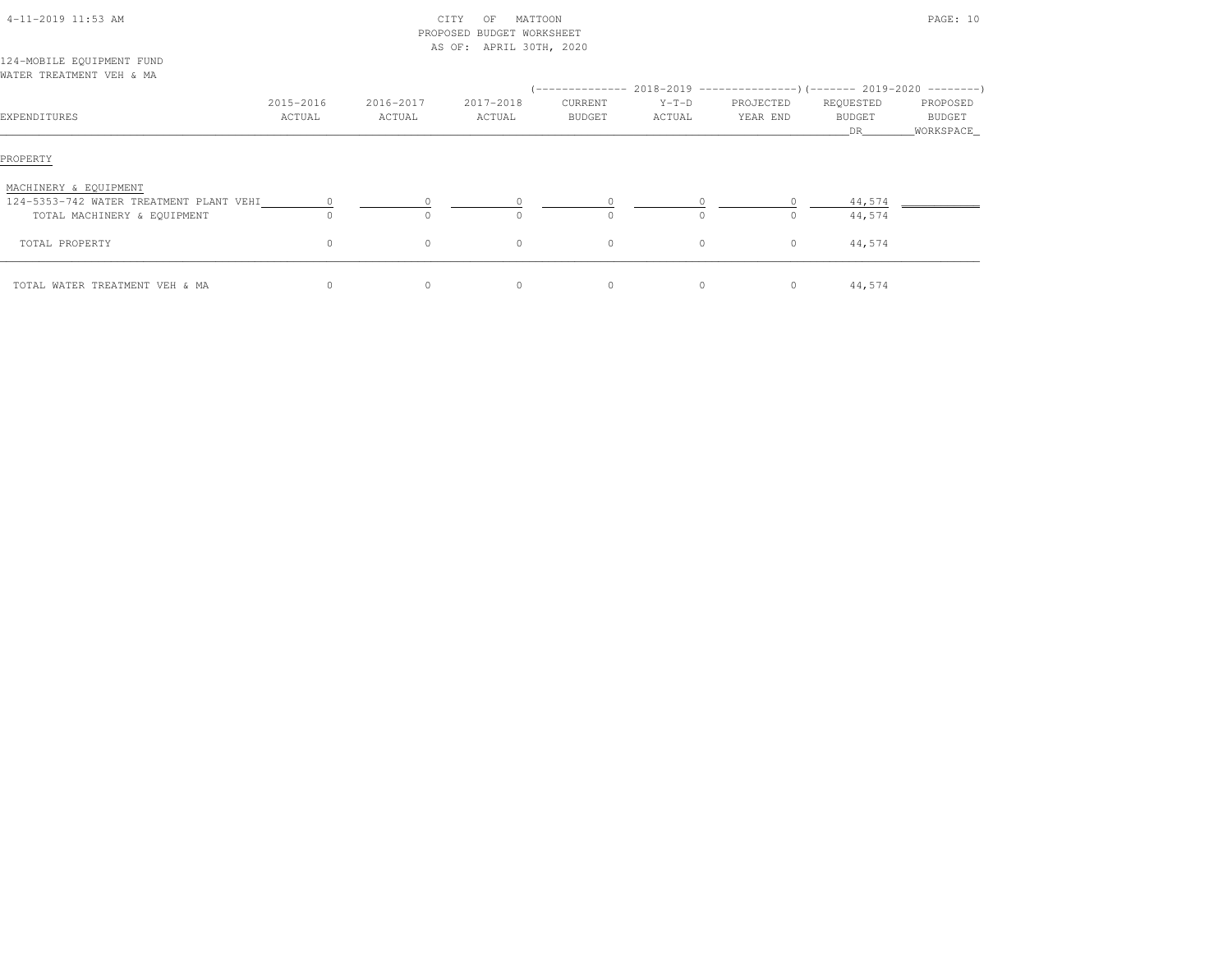| 4-11-2019 11:53 AM                                                                              |                     |                     | CITY<br>MATTOON<br>OF<br>PROPOSED BUDGET WORKSHEET |                   |                   |                       |                           | PAGE: 10                        |
|-------------------------------------------------------------------------------------------------|---------------------|---------------------|----------------------------------------------------|-------------------|-------------------|-----------------------|---------------------------|---------------------------------|
| 124-MOBILE EQUIPMENT FUND<br>WATER TREATMENT VEH & MA                                           |                     |                     | AS OF: APRIL 30TH, 2020                            |                   |                   |                       |                           |                                 |
| EXPENDITURES                                                                                    | 2015-2016<br>ACTUAL | 2016-2017<br>ACTUAL | 2017-2018<br>ACTUAL                                | CURRENT<br>BUDGET | $Y-T-D$<br>ACTUAL | PROJECTED<br>YEAR END | REQUESTED<br>BUDGET<br>DR | PROPOSED<br>BUDGET<br>WORKSPACE |
| PROPERTY                                                                                        |                     |                     |                                                    |                   |                   |                       |                           |                                 |
| MACHINERY & EQUIPMENT<br>124-5353-742 WATER TREATMENT PLANT VEHI<br>TOTAL MACHINERY & EQUIPMENT | $\circ$             | $\Omega$            | $\cap$                                             | $\Omega$          | $\circ$           | $\circ$<br>$\circ$    | 44,574<br>44,574          |                                 |
| TOTAL PROPERTY                                                                                  | 0                   | $\circ$             | $\circ$                                            | $\circ$           | $\circ$           | $\circ$               | 44,574                    |                                 |
| TOTAL WATER TREATMENT VEH & MA                                                                  | 0                   | $\circ$             | $\circ$                                            | 0                 | $\circ$           | $\overline{0}$        | 44,574                    |                                 |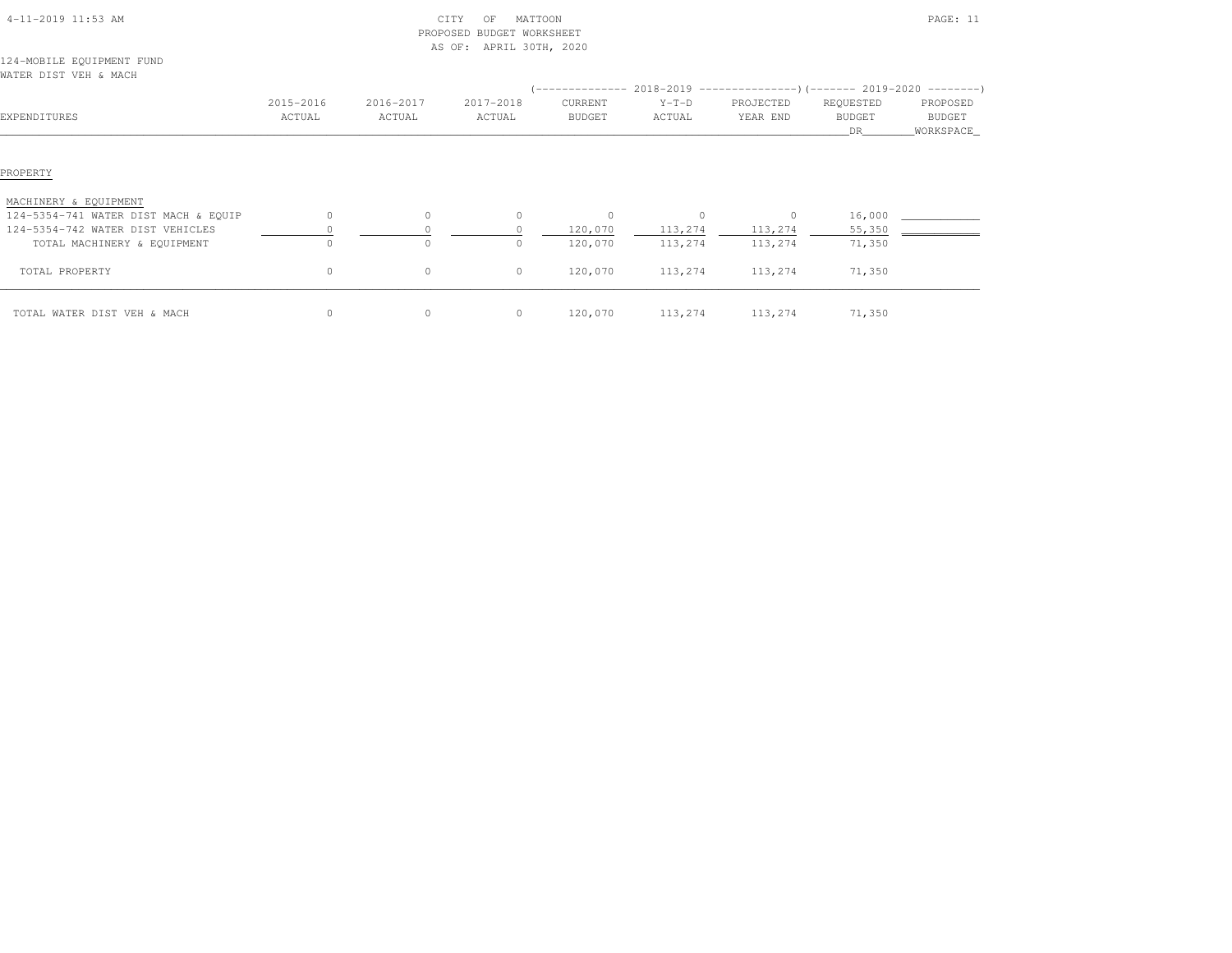| 4-11-2019 11:53 AM                   |           |           | CITY<br>MATTOON<br>OF<br>PROPOSED BUDGET WORKSHEET<br>AS OF: APRIL 30TH, 2020 |                |                                                                                   |           |                      | PAGE: 11             |
|--------------------------------------|-----------|-----------|-------------------------------------------------------------------------------|----------------|-----------------------------------------------------------------------------------|-----------|----------------------|----------------------|
| 124-MOBILE EQUIPMENT FUND            |           |           |                                                                               |                |                                                                                   |           |                      |                      |
| WATER DIST VEH & MACH                |           |           |                                                                               |                |                                                                                   |           |                      |                      |
|                                      |           |           |                                                                               |                | (-------------- 2018-2019 ---------------------- 2019-2020 ---------------------- |           |                      |                      |
|                                      | 2015-2016 | 2016-2017 | 2017-2018                                                                     | CURRENT        | $Y-T-D$                                                                           | PROJECTED | REQUESTED            | PROPOSED             |
| EXPENDITURES                         | ACTUAL    | ACTUAL    | ACTUAL                                                                        | <b>BUDGET</b>  | ACTUAL                                                                            | YEAR END  | <b>BUDGET</b><br>DR. | BUDGET<br>WORKSPACE_ |
| PROPERTY                             |           |           |                                                                               |                |                                                                                   |           |                      |                      |
| MACHINERY & EQUIPMENT                |           |           |                                                                               |                |                                                                                   |           |                      |                      |
| 124-5354-741 WATER DIST MACH & EQUIP | $\Omega$  | $\Omega$  | $\Omega$                                                                      | $\overline{0}$ | $\circ$                                                                           | $\circ$   | 16,000               |                      |
| 124-5354-742 WATER DIST VEHICLES     |           |           |                                                                               | 120,070        | 113,274                                                                           | 113,274   | 55,350               |                      |
| TOTAL MACHINERY & EQUIPMENT          | $\Omega$  |           |                                                                               | 120,070        | 113,274                                                                           | 113,274   | 71,350               |                      |
| TOTAL PROPERTY                       | 0         | $\circ$   | $\circ$                                                                       | 120,070        | 113,274                                                                           | 113,274   | 71,350               |                      |
| TOTAL WATER DIST VEH & MACH          | $\circ$   | 0         | $\circ$                                                                       | 120,070        | 113,274                                                                           | 113,274   | 71,350               |                      |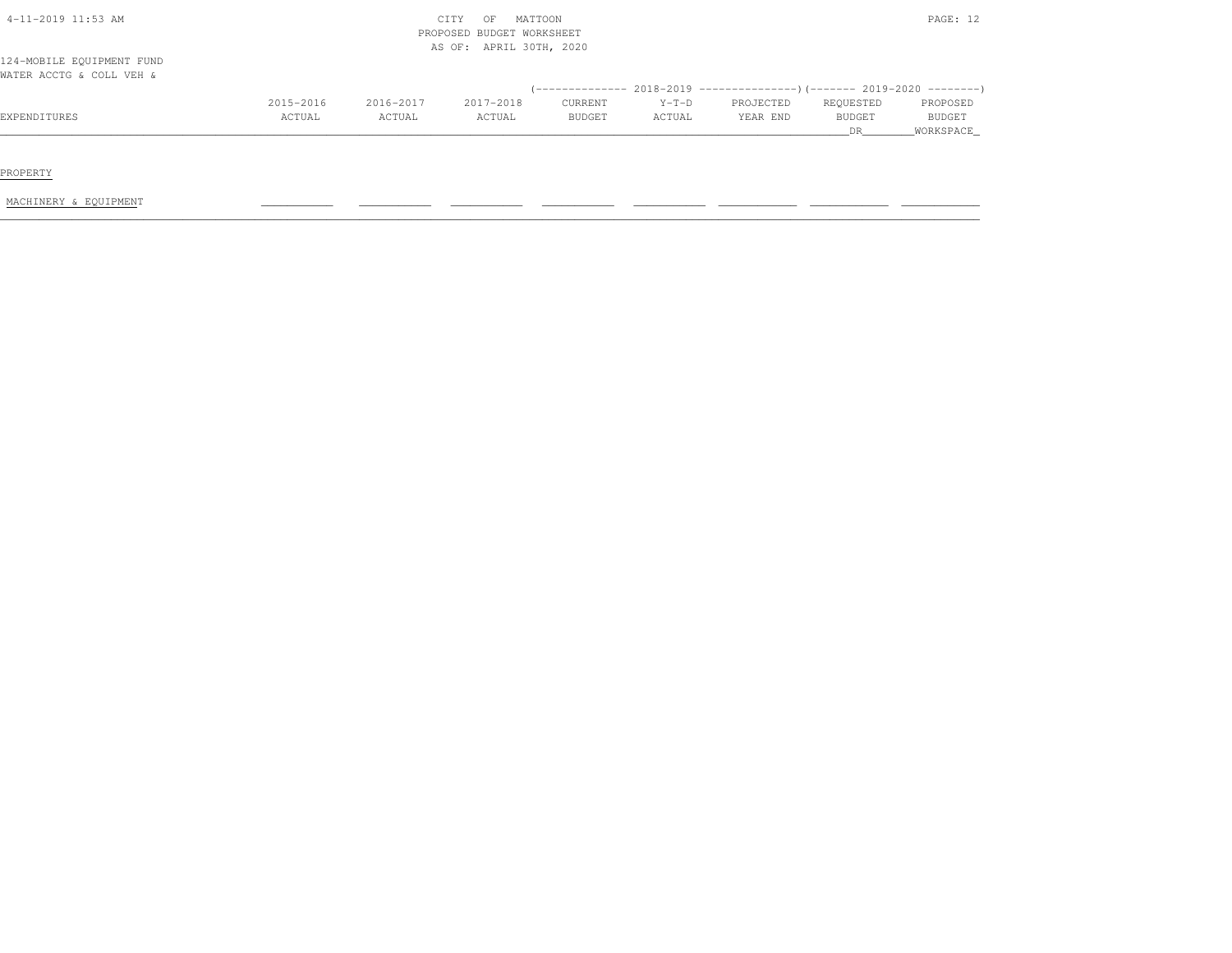| $4-11-2019$ 11:53 AM      |           |           | MATTOON<br>CITY<br>OF<br>PROPOSED BUDGET WORKSHEET |               |         |           |           | PAGE: 12      |
|---------------------------|-----------|-----------|----------------------------------------------------|---------------|---------|-----------|-----------|---------------|
| 124-MOBILE EQUIPMENT FUND |           |           | AS OF: APRIL 30TH, 2020                            |               |         |           |           |               |
| WATER ACCTG & COLL VEH &  |           |           |                                                    |               |         |           |           |               |
|                           | 2015-2016 | 2016-2017 | 2017-2018                                          | CURRENT       | $Y-T-D$ | PROJECTED | REQUESTED | PROPOSED      |
| EXPENDITURES              | ACTUAL    | ACTUAL    | ACTUAL                                             | <b>BUDGET</b> | ACTUAL  | YEAR END  | BUDGET    | <b>BUDGET</b> |

PROPERTY

MACHINERY & EQUIPMENT \_\_\_\_\_\_\_\_\_\_\_ \_\_\_\_\_\_\_\_\_\_\_ \_\_\_\_\_\_\_\_\_\_\_ \_\_\_\_\_\_\_\_\_\_\_ \_\_\_\_\_\_\_\_\_\_\_ \_\_\_\_\_\_\_\_\_\_\_\_ \_\_\_\_\_\_\_\_\_\_\_\_ \_\_\_\_\_\_\_\_\_\_\_\_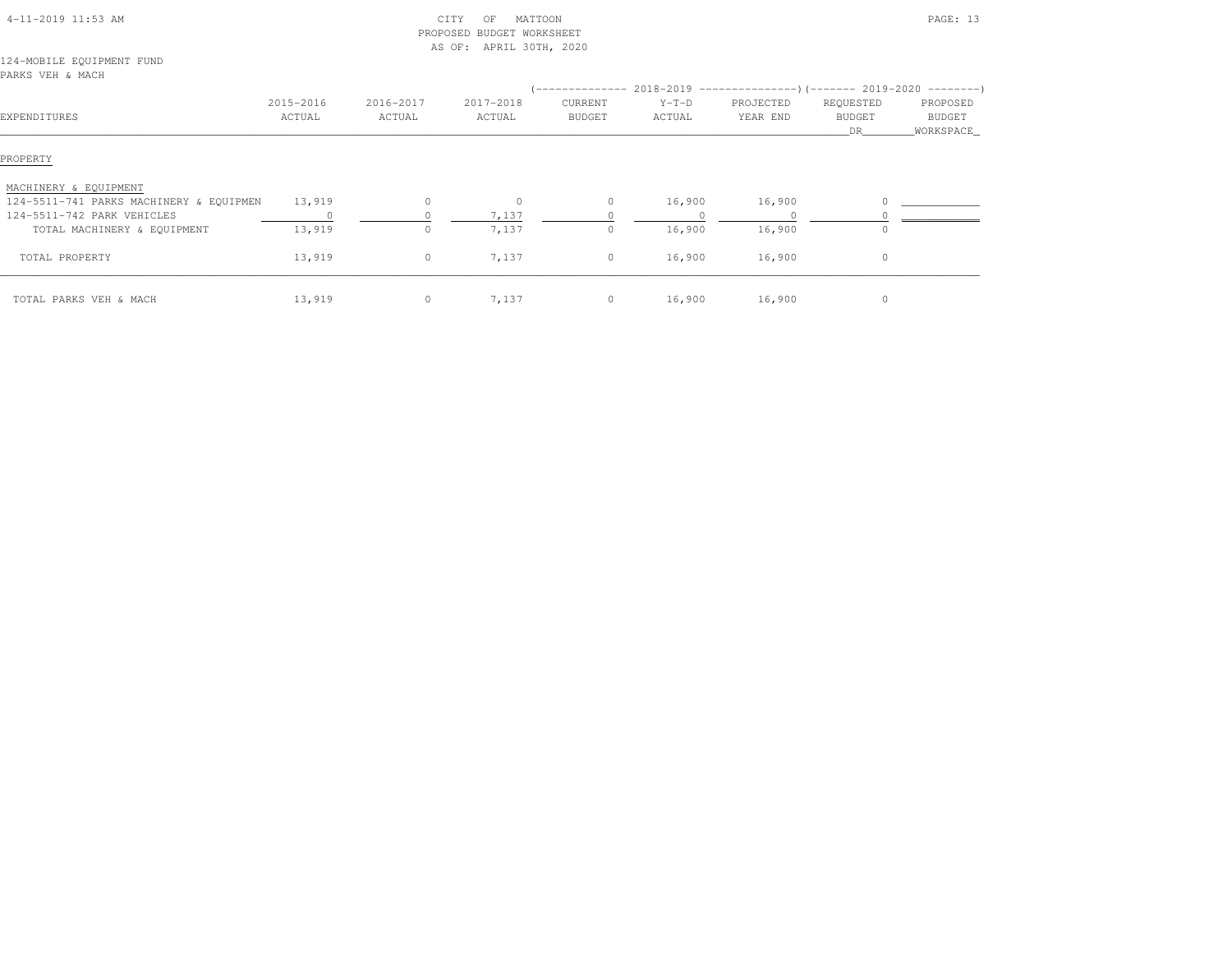| 4-11-2019 11:53 AM                      |                     |                     | CITY<br>MATTOON<br>OF<br>PROPOSED BUDGET WORKSHEET<br>AS OF: APRIL 30TH, 2020 |                          |                   |                       |                            | PAGE: 13           |
|-----------------------------------------|---------------------|---------------------|-------------------------------------------------------------------------------|--------------------------|-------------------|-----------------------|----------------------------|--------------------|
| 124-MOBILE EQUIPMENT FUND               |                     |                     |                                                                               |                          |                   |                       |                            |                    |
| PARKS VEH & MACH                        |                     |                     |                                                                               |                          |                   |                       |                            |                    |
| EXPENDITURES                            | 2015-2016<br>ACTUAL | 2016-2017<br>ACTUAL | 2017-2018<br>ACTUAL                                                           | CURRENT<br><b>BUDGET</b> | $Y-T-D$<br>ACTUAL | PROJECTED<br>YEAR END | REQUESTED<br><b>BUDGET</b> | PROPOSED<br>BUDGET |
|                                         |                     |                     |                                                                               |                          |                   |                       | DR                         | WORKSPACE_         |
| PROPERTY<br>MACHINERY & EQUIPMENT       |                     |                     |                                                                               |                          |                   |                       |                            |                    |
| 124-5511-741 PARKS MACHINERY & EQUIPMEN | 13,919              | $\circ$             | $\circ$                                                                       | $\circ$                  | 16,900            | 16,900                |                            |                    |
| 124-5511-742 PARK VEHICLES              |                     |                     | 7,137                                                                         |                          |                   |                       |                            |                    |
| TOTAL MACHINERY & EQUIPMENT             | 13,919              | $\circ$             | 7,137                                                                         | $\circ$                  | 16,900            | 16,900                |                            |                    |
| TOTAL PROPERTY                          | 13,919              | $\circ$             | 7,137                                                                         | $\circ$                  | 16,900            | 16,900                | $\circ$                    |                    |
| TOTAL PARKS VEH & MACH                  | 13,919              | $\circ$             | 7,137                                                                         | $\circ$                  | 16,900            | 16,900                | $\circ$                    |                    |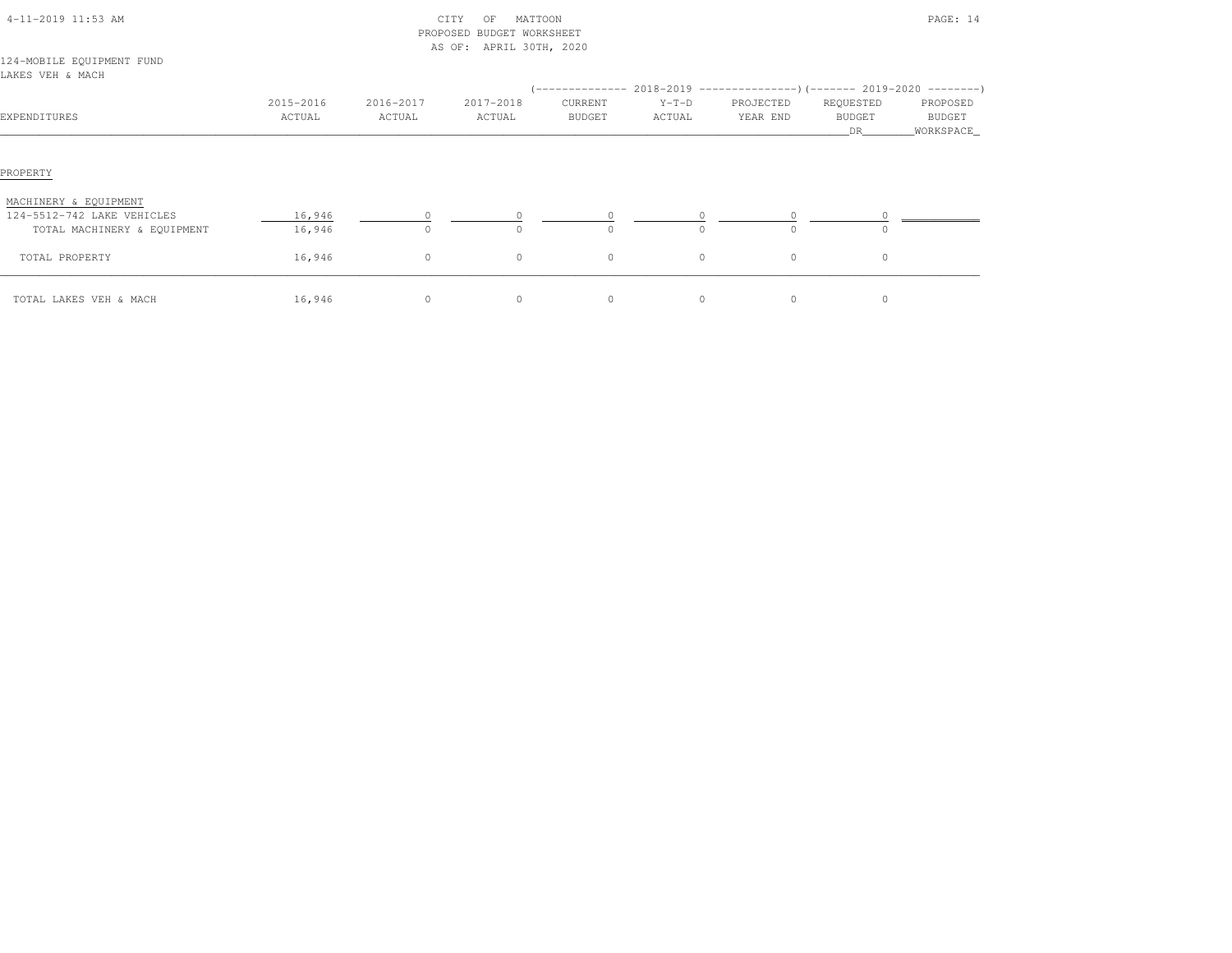| 4-11-2019 11:53 AM                                                                 |                     |                     | CITY<br>MATTOON<br>OF<br>PROPOSED BUDGET WORKSHEET<br>AS OF: APRIL 30TH, 2020 |                          |                   |                       |                                   | PAGE: 14                                |
|------------------------------------------------------------------------------------|---------------------|---------------------|-------------------------------------------------------------------------------|--------------------------|-------------------|-----------------------|-----------------------------------|-----------------------------------------|
| 124-MOBILE EQUIPMENT FUND<br>LAKES VEH & MACH                                      |                     |                     |                                                                               |                          |                   |                       |                                   |                                         |
| EXPENDITURES                                                                       | 2015-2016<br>ACTUAL | 2016-2017<br>ACTUAL | 2017-2018<br>ACTUAL                                                           | CURRENT<br><b>BUDGET</b> | $Y-T-D$<br>ACTUAL | PROJECTED<br>YEAR END | REQUESTED<br><b>BUDGET</b><br>DR. | PROPOSED<br><b>BUDGET</b><br>WORKSPACE_ |
| PROPERTY                                                                           |                     |                     |                                                                               |                          |                   |                       |                                   |                                         |
| MACHINERY & EQUIPMENT<br>124-5512-742 LAKE VEHICLES<br>TOTAL MACHINERY & EQUIPMENT | 16,946<br>16,946    |                     |                                                                               | $\Omega$                 | $\Omega$          | $\cap$                | $\Omega$                          |                                         |
| TOTAL PROPERTY                                                                     | 16,946              | $\circ$             | $\circ$                                                                       | $\circ$                  | $\circ$           | $\circ$               | $\circ$                           |                                         |
| TOTAL LAKES VEH & MACH                                                             | 16,946              | $\circ$             | $\circ$                                                                       | $\circ$                  | $\circ$           | 0                     | 0                                 |                                         |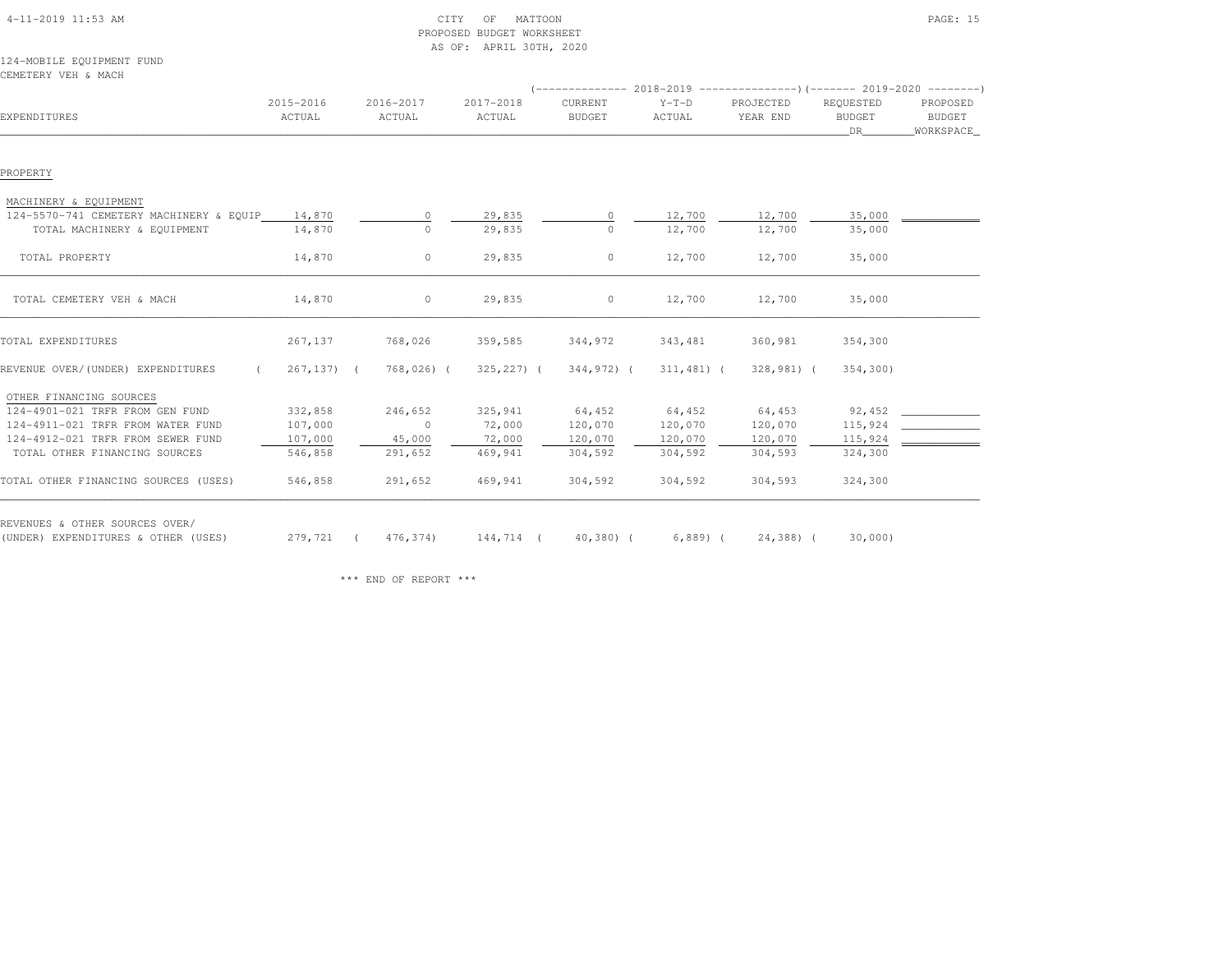| 4-11-2019 11:53 AM |  |
|--------------------|--|

### $\begin{array}{ccc} \text{CITY} & \text{OF} & \text{MATTOON} \end{array}$  PROPOSED BUDGET WORKSHEETAS OF: APRIL 30TH, 2020

### 124-MOBILE EQUIPMENT FUNDCEMETERY VEH & MACH

| EXPENDITURES                                    | 2015-2016<br>ACTUAL | 2016-2017<br>ACTUAL | 2017-2018<br>ACTUAL | CURRENT<br><b>BUDGET</b> | $Y-T-D$<br>ACTUAL | PROJECTED<br>YEAR END | REQUESTED<br><b>BUDGET</b><br>DR . | PROPOSED<br>BUDGET<br>_WORKSPACE_ |
|-------------------------------------------------|---------------------|---------------------|---------------------|--------------------------|-------------------|-----------------------|------------------------------------|-----------------------------------|
|                                                 |                     |                     |                     |                          |                   |                       |                                    |                                   |
| PROPERTY                                        |                     |                     |                     |                          |                   |                       |                                    |                                   |
| MACHINERY & EQUIPMENT                           |                     |                     |                     |                          |                   |                       |                                    |                                   |
| 124-5570-741 CEMETERY MACHINERY & EQUIP         | 14,870              | $\Omega$            | 29,835              | $\Omega$                 | 12,700            | 12,700                | 35,000                             |                                   |
| TOTAL MACHINERY & EQUIPMENT                     | 14,870              | $\Omega$            | 29,835              | $\Omega$                 | 12,700            | 12,700                | 35,000                             |                                   |
| TOTAL PROPERTY                                  | 14,870              | $\circ$             | 29,835              | $\circ$                  | 12,700            | 12,700                | 35,000                             |                                   |
|                                                 |                     |                     |                     |                          |                   |                       |                                    |                                   |
| TOTAL CEMETERY VEH & MACH                       | 14,870              | $\circ$             | 29,835              | $\circ$                  | 12,700            | 12,700                | 35,000                             |                                   |
|                                                 |                     |                     |                     |                          |                   |                       |                                    |                                   |
| TOTAL EXPENDITURES                              | 267,137             | 768,026             | 359,585             | 344,972                  | 343,481           | 360,981               | 354,300                            |                                   |
| REVENUE OVER/(UNDER) EXPENDITURES<br>$\sqrt{2}$ | $267, 137)$ (       | 768,026) (          | $325, 227$ ) (      | 344,972) (               | $311,481$ (       | 328,981) (            | 354,300)                           |                                   |
| OTHER FINANCING SOURCES                         |                     |                     |                     |                          |                   |                       |                                    |                                   |
| 124-4901-021 TRFR FROM GEN FUND                 | 332,858             | 246,652             | 325,941             | 64,452                   | 64,452            | 64,453                | 92,452                             |                                   |
| 124-4911-021 TRFR FROM WATER FUND               | 107,000             | $\circ$             | 72,000              | 120,070                  | 120,070           | 120,070               | 115,924                            |                                   |
| 124-4912-021 TRFR FROM SEWER FUND               | 107,000             | 45,000              | 72,000              | 120,070                  | 120,070           | 120,070               | 115,924                            |                                   |
| TOTAL OTHER FINANCING SOURCES                   | 546,858             | 291,652             | 469,941             | 304,592                  | 304,592           | 304,593               | 324,300                            |                                   |
| TOTAL OTHER FINANCING SOURCES (USES)            | 546,858             | 291,652             | 469,941             | 304,592                  | 304,592           | 304,593               | 324,300                            |                                   |
| REVENUES & OTHER SOURCES OVER/                  |                     |                     |                     |                          |                   |                       |                                    |                                   |
| (UNDER) EXPENDITURES & OTHER (USES)             | 279,721 (           | 476,374)            |                     | 144,714 ( 40,380) (      |                   | $6,889$ ( $24,388$ (  | 30,000                             |                                   |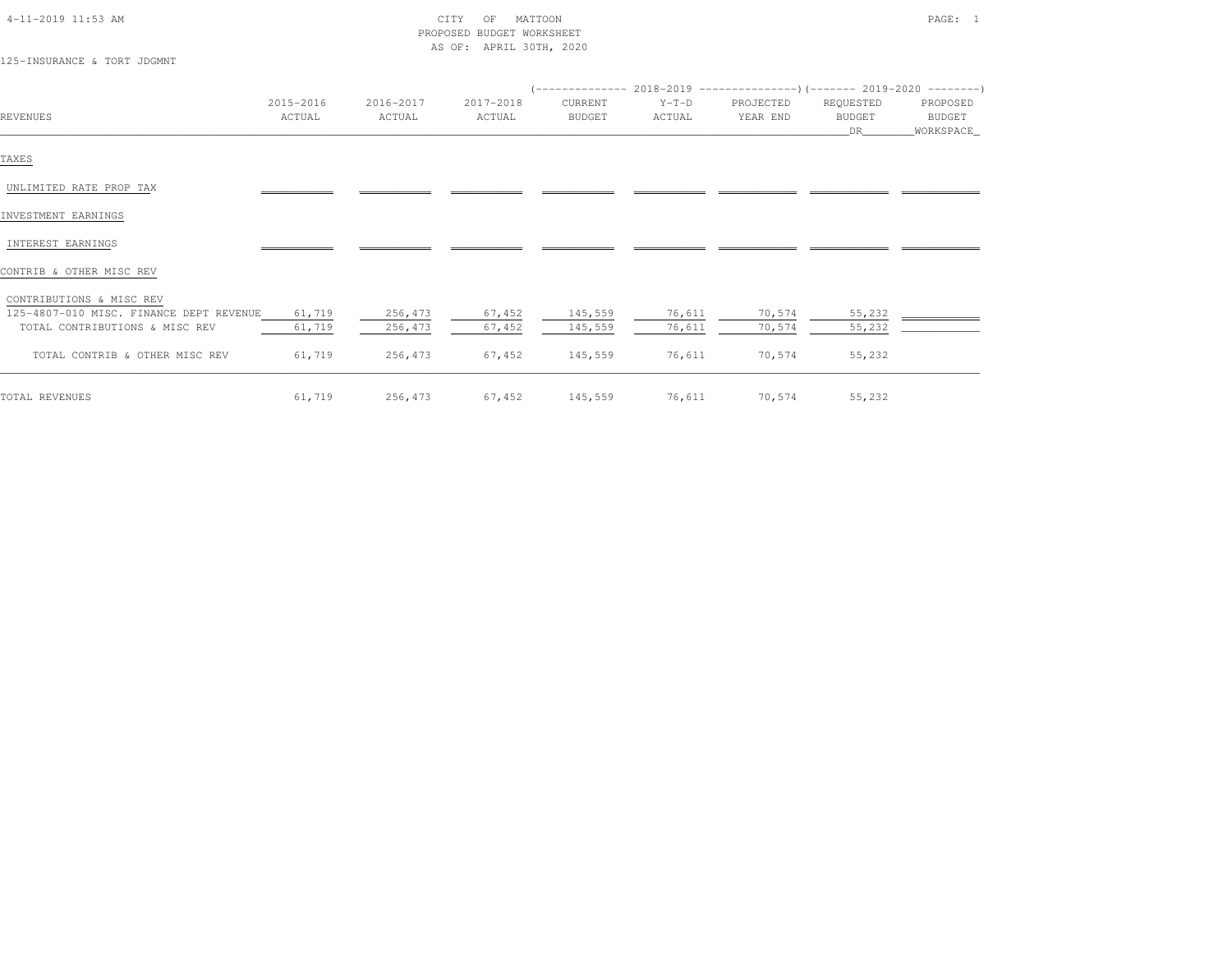| 4-11-2019 11:53 AM |  |
|--------------------|--|

### $\begin{array}{ccc} \text{CITY} & \text{OF} & \text{MATTOON} \end{array}$  PROPOSED BUDGET WORKSHEETAS OF: APRIL 30TH, 2020

125-INSURANCE & TORT JDGMNT

|                                         |           |           |           |               | (-------------- 2018-2019 -----------------) (------- 2019-2020 ---------) |           |               |             |
|-----------------------------------------|-----------|-----------|-----------|---------------|----------------------------------------------------------------------------|-----------|---------------|-------------|
|                                         | 2015-2016 | 2016-2017 | 2017-2018 | CURRENT       | $Y-T-D$                                                                    | PROJECTED | REQUESTED     | PROPOSED    |
| REVENUES                                | ACTUAL    | ACTUAL    | ACTUAL    | <b>BUDGET</b> | ACTUAL                                                                     | YEAR END  | <b>BUDGET</b> | BUDGET      |
|                                         |           |           |           |               |                                                                            |           | DR            | _WORKSPACE_ |
| TAXES                                   |           |           |           |               |                                                                            |           |               |             |
| UNLIMITED RATE PROP TAX                 |           |           |           |               |                                                                            |           |               |             |
| INVESTMENT EARNINGS                     |           |           |           |               |                                                                            |           |               |             |
| INTEREST EARNINGS                       |           |           |           |               |                                                                            |           |               |             |
| CONTRIB & OTHER MISC REV                |           |           |           |               |                                                                            |           |               |             |
| CONTRIBUTIONS & MISC REV                |           |           |           |               |                                                                            |           |               |             |
| 125-4807-010 MISC. FINANCE DEPT REVENUE | 61,719    | 256,473   | 67,452    | 145,559       | 76,611                                                                     | 70,574    | 55,232        |             |
| TOTAL CONTRIBUTIONS & MISC REV          | 61,719    | 256,473   | 67,452    | 145,559       | 76,611                                                                     | 70,574    | 55,232        |             |
| TOTAL CONTRIB & OTHER MISC REV          | 61,719    | 256,473   | 67,452    | 145,559       | 76,611                                                                     | 70,574    | 55,232        |             |
|                                         |           |           |           |               |                                                                            |           |               |             |

TOTAL REVENUES 61,719 256,473 67,452 145,559 76,611 70,574 55,232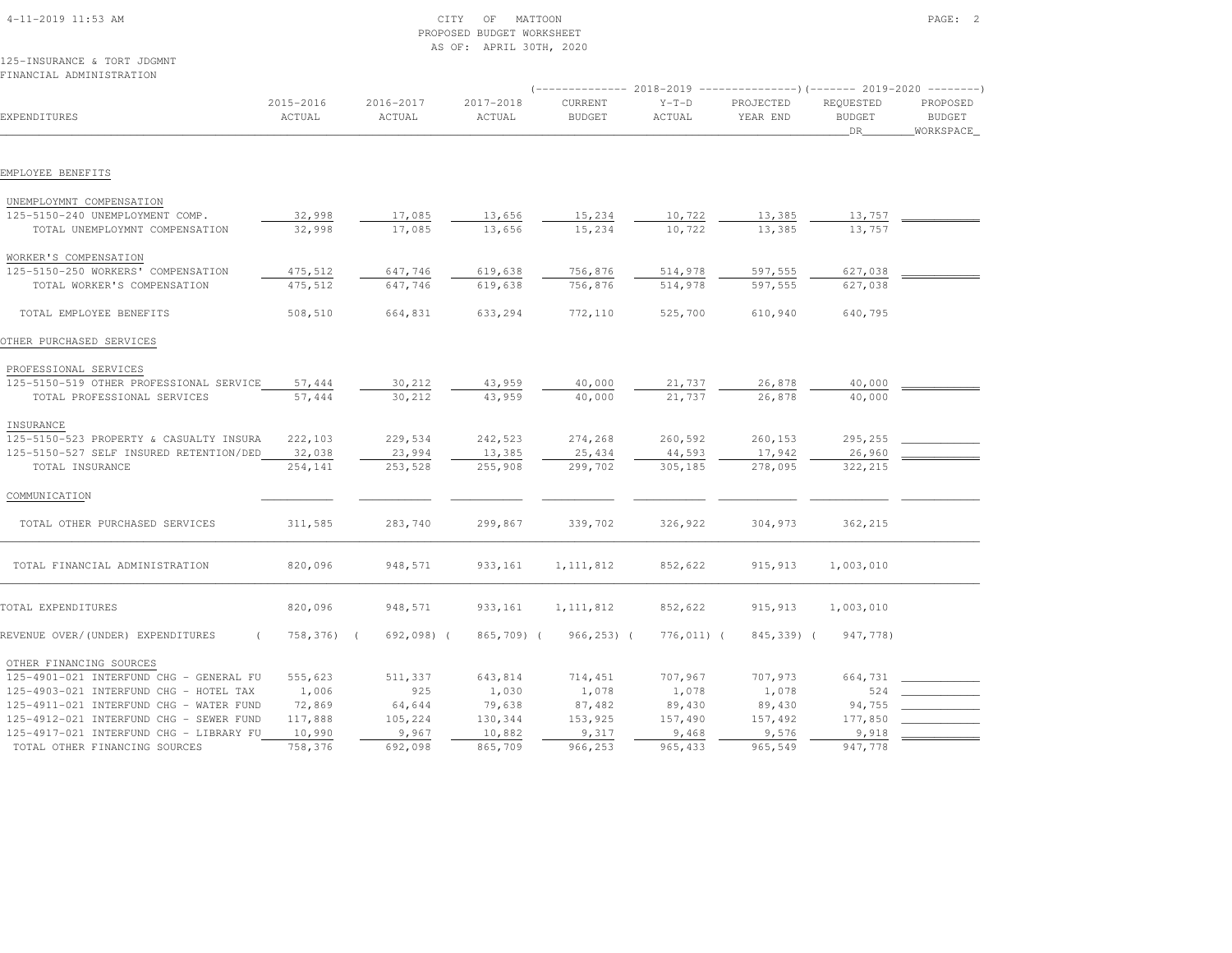|                                         |                     |                     | AS OF: APRIL 30TH, 2020 |                                                                          |                   |                       |                                  |                                        |
|-----------------------------------------|---------------------|---------------------|-------------------------|--------------------------------------------------------------------------|-------------------|-----------------------|----------------------------------|----------------------------------------|
| 125-INSURANCE & TORT JDGMNT             |                     |                     |                         |                                                                          |                   |                       |                                  |                                        |
| FINANCIAL ADMINISTRATION                |                     |                     |                         | (-------------- 2018-2019 ----------------)(-------- 2019-2020 --------) |                   |                       |                                  |                                        |
| EXPENDITURES                            | 2015-2016<br>ACTUAL | 2016-2017<br>ACTUAL | 2017-2018<br>ACTUAL     | CURRENT<br><b>BUDGET</b>                                                 | $Y-T-D$<br>ACTUAL | PROJECTED<br>YEAR END | REQUESTED<br><b>BUDGET</b><br>DR | PROPOSED<br><b>BUDGET</b><br>WORKSPACE |
| EMPLOYEE BENEFITS                       |                     |                     |                         |                                                                          |                   |                       |                                  |                                        |
| UNEMPLOYMNT COMPENSATION                |                     |                     |                         |                                                                          |                   |                       |                                  |                                        |
| 125-5150-240 UNEMPLOYMENT COMP.         | 32,998              | 17,085              | 13,656                  | 15,234                                                                   | 10,722            | 13,385                | 13,757                           |                                        |
| TOTAL UNEMPLOYMNT COMPENSATION          | 32,998              | 17,085              | 13,656                  | 15,234                                                                   | 10,722            | 13,385                | 13,757                           |                                        |
| WORKER'S COMPENSATION                   |                     |                     |                         |                                                                          |                   |                       |                                  |                                        |
| 125-5150-250 WORKERS' COMPENSATION      | 475,512             | 647,746             | 619,638                 | 756,876                                                                  | 514,978           | 597,555               | 627,038                          |                                        |
| TOTAL WORKER'S COMPENSATION             | 475,512             | 647,746             | 619,638                 | 756,876                                                                  | 514,978           | 597,555               | 627,038                          |                                        |
| TOTAL EMPLOYEE BENEFITS                 | 508,510             | 664,831             | 633,294                 | 772,110                                                                  | 525,700           | 610,940               | 640,795                          |                                        |
| OTHER PURCHASED SERVICES                |                     |                     |                         |                                                                          |                   |                       |                                  |                                        |
| PROFESSIONAL SERVICES                   |                     |                     |                         |                                                                          |                   |                       |                                  |                                        |
| 125-5150-519 OTHER PROFESSIONAL SERVICE | 57,444              | 30,212              | 43,959                  | 40,000                                                                   | 21,737            | 26,878                | 40,000                           |                                        |
| TOTAL PROFESSIONAL SERVICES             | 57,444              | 30,212              | 43,959                  | 40,000                                                                   | 21,737            | 26,878                | 40,000                           |                                        |
| INSURANCE                               |                     |                     |                         |                                                                          |                   |                       |                                  |                                        |
| 125-5150-523 PROPERTY & CASUALTY INSURA | 222,103             | 229,534             | 242,523                 | 274,268                                                                  | 260,592           | 260,153               | 295,255                          |                                        |
| 125-5150-527 SELF INSURED RETENTION/DED | 32,038              | 23,994              | 13,385                  | 25,434                                                                   | 44,593            | 17,942                | 26,960                           |                                        |
| TOTAL INSURANCE                         | 254,141             | 253,528             | 255,908                 | 299,702                                                                  | 305,185           | 278,095               | 322,215                          |                                        |
| COMMUNICATION                           |                     |                     |                         |                                                                          |                   |                       |                                  |                                        |
| TOTAL OTHER PURCHASED SERVICES          | 311,585             | 283,740             | 299,867                 | 339,702                                                                  | 326,922           | 304,973               | 362,215                          |                                        |
| TOTAL FINANCIAL ADMINISTRATION          | 820,096             | 948,571             | 933,161                 | 1, 111, 812                                                              | 852,622           | 915, 913              | 1,003,010                        |                                        |
| TOTAL EXPENDITURES                      | 820,096             | 948,571             | 933,161                 | 1, 111, 812                                                              | 852,622           | 915,913               | 1,003,010                        |                                        |
| REVENUE OVER/(UNDER) EXPENDITURES       | 758,376)            | 692,098) (          | 865,709) (              | $966, 253)$ (                                                            | 776,011) (        | 845,339) (            | 947,778)                         |                                        |
| OTHER FINANCING SOURCES                 |                     |                     |                         |                                                                          |                   |                       |                                  |                                        |
| 125-4901-021 INTERFUND CHG - GENERAL FU | 555,623             | 511,337             | 643,814                 | 714,451                                                                  | 707,967           | 707,973               | 664,731                          |                                        |
| 125-4903-021 INTERFUND CHG - HOTEL TAX  | 1,006               | 925                 | 1,030                   | 1,078                                                                    | 1,078             | 1,078                 | 524                              |                                        |
| 125-4911-021 INTERFUND CHG - WATER FUND | 72,869              | 64,644              | 79,638                  | 87,482                                                                   | 89,430            | 89,430                | 94,755                           |                                        |
| 125-4912-021 INTERFUND CHG - SEWER FUND | 117,888             | 105,224             | 130,344                 | 153,925                                                                  | 157,490           | 157,492               | 177,850                          |                                        |
| 125-4917-021 INTERFUND CHG - LIBRARY FU | 10,990              | 9,967               | 10,882                  | 9,317                                                                    | 9,468             | 9,576                 | 9,918                            |                                        |

TOTAL OTHER FINANCING SOURCES 758,376 692,098 865,709 966,253 965,433 965,549 947,778

 4-11-2019 11:53 AM CITY OF MATTOON PAGE: 2PROPOSED BUDGET WORKSHEET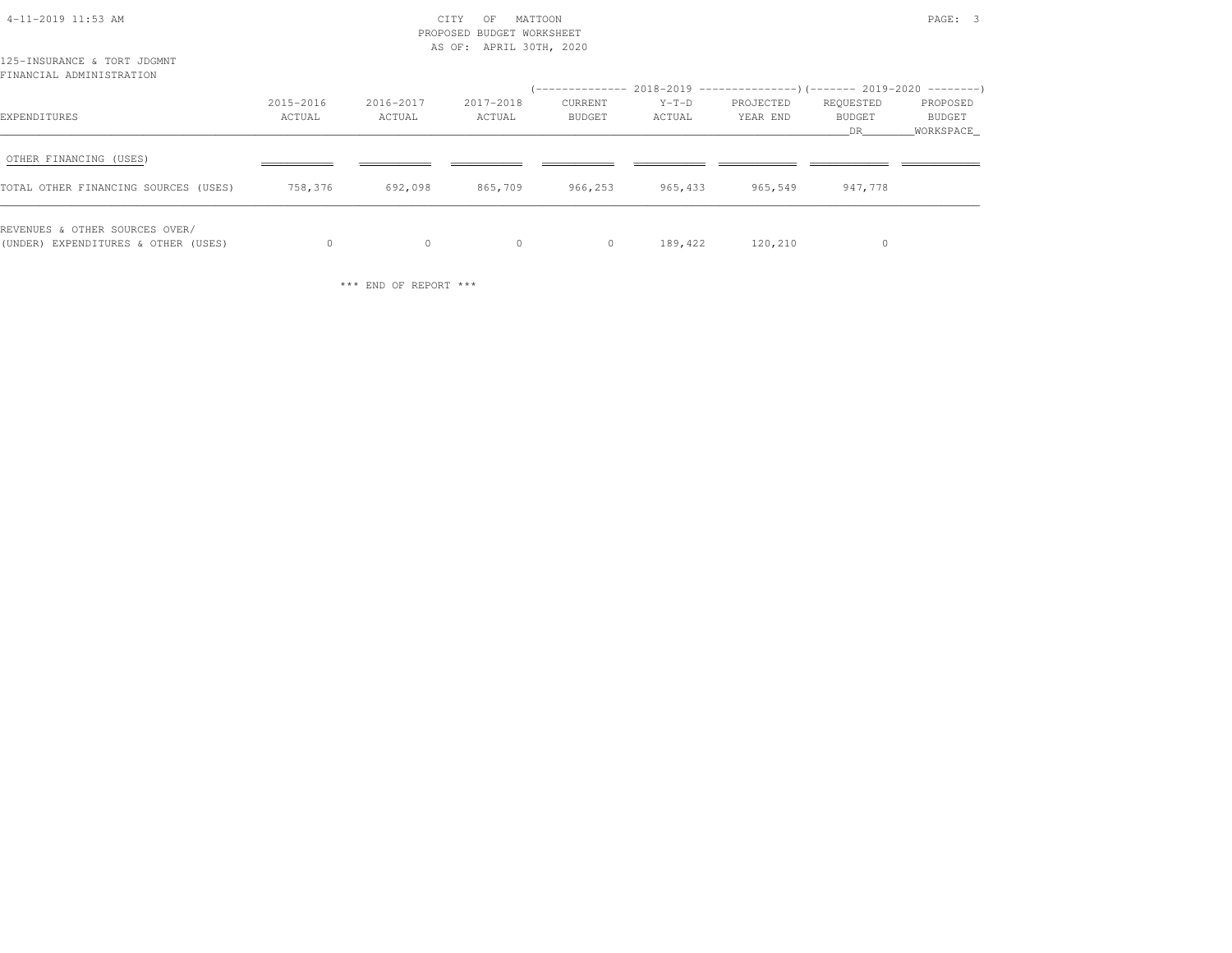|                                                                       |           |           | PROPOSED BUDGET WORKSHEET<br>AS OF: APRIL 30TH, 2020 |         |         |                                                                                           |                      |                     |
|-----------------------------------------------------------------------|-----------|-----------|------------------------------------------------------|---------|---------|-------------------------------------------------------------------------------------------|----------------------|---------------------|
| 125-INSURANCE & TORT JDGMNT<br>FINANCIAL ADMINISTRATION               |           |           |                                                      |         |         |                                                                                           |                      |                     |
|                                                                       | 2015-2016 | 2016-2017 | 2017-2018                                            | CURRENT | $Y-T-D$ | (-------------- 2018-2019 -------------------) (------- 2019-2020 ---------)<br>PROJECTED | REQUESTED            | PROPOSED            |
| EXPENDITURES                                                          | ACTUAL    | ACTUAL    | ACTUAL                                               | BUDGET  | ACTUAL  | YEAR END                                                                                  | <b>BUDGET</b><br>DR. | BUDGET<br>WORKSPACE |
| OTHER FINANCING (USES)                                                |           |           |                                                      |         |         |                                                                                           |                      |                     |
| TOTAL OTHER FINANCING SOURCES (USES)                                  | 758,376   | 692,098   | 865,709                                              | 966,253 | 965,433 | 965,549                                                                                   | 947,778              |                     |
| REVENUES & OTHER SOURCES OVER/<br>(UNDER) EXPENDITURES & OTHER (USES) | $\Omega$  | $\circ$   | $\circ$                                              | $\circ$ | 189,422 | 120,210                                                                                   | 0                    |                     |

4-11-2019 11:53 AM CITY OF MATTOON PAGE: 3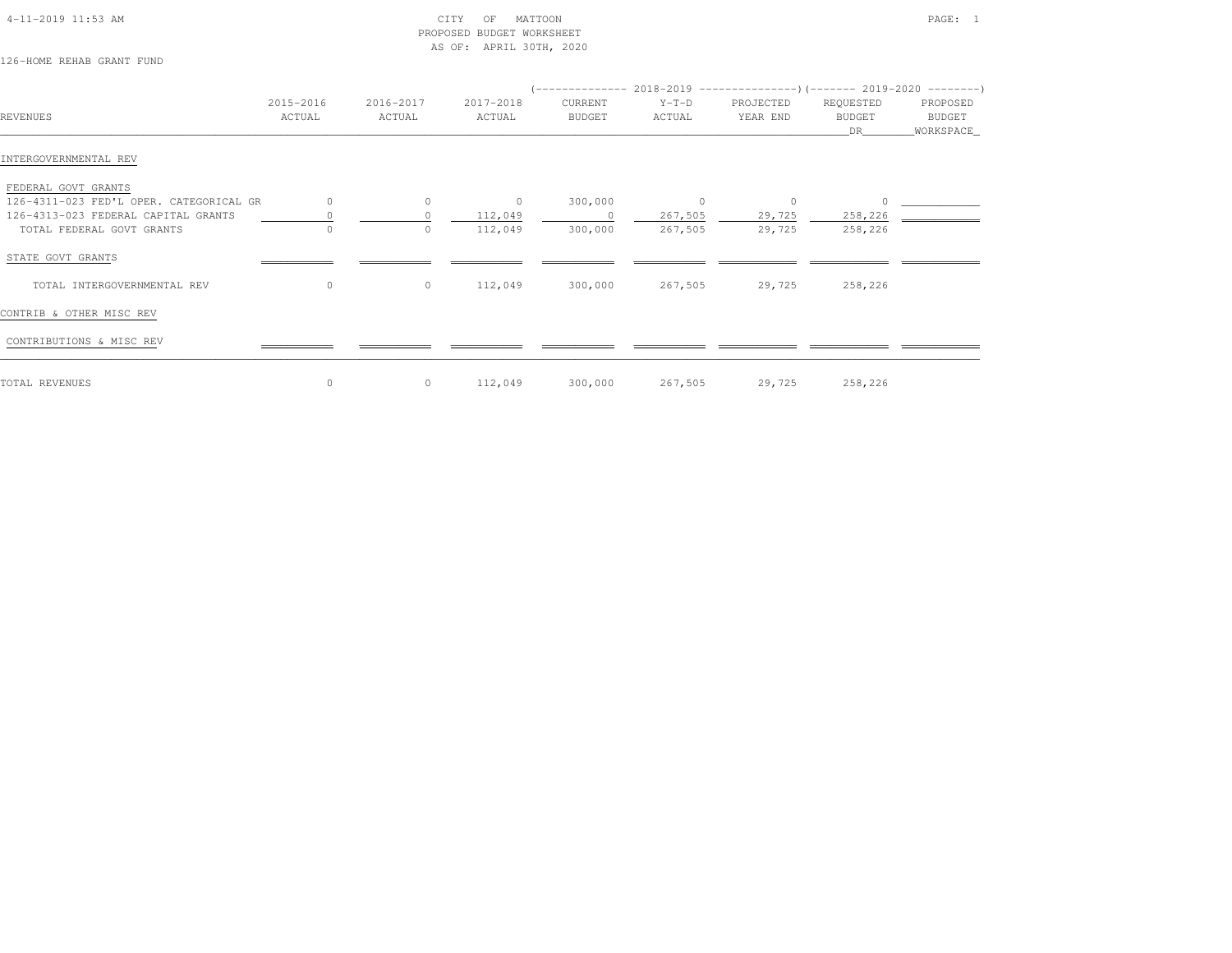| $4-11-2019$ $11:53$ AM |  |
|------------------------|--|

# $\begin{array}{ccc} \text{CITY} & \text{OF} & \text{MATTON} \end{array}$  PROPOSED BUDGET WORKSHEETAS OF: APRIL 30TH, 2020

# 126-HOME REHAB GRANT FUND

| REVENUES                                | 2015-2016<br>ACTUAL | 2016-2017<br>ACTUAL | 2017-2018<br>ACTUAL | CURRENT<br>BUDGET | $($ -------------- 2018-2019 --------------------- $($ ------- 2019-2020 ---------)<br>$Y-T-D$<br>ACTUAL | PROJECTED<br>YEAR END | REQUESTED<br><b>BUDGET</b><br>DR | PROPOSED<br>BUDGET<br>_WORKSPACE_ |
|-----------------------------------------|---------------------|---------------------|---------------------|-------------------|----------------------------------------------------------------------------------------------------------|-----------------------|----------------------------------|-----------------------------------|
| INTERGOVERNMENTAL REV                   |                     |                     |                     |                   |                                                                                                          |                       |                                  |                                   |
| FEDERAL GOVT GRANTS                     |                     |                     |                     |                   |                                                                                                          |                       |                                  |                                   |
| 126-4311-023 FED'L OPER. CATEGORICAL GR | $\circ$             | $\circ$             | $\overline{0}$      | 300,000           | $\circ$                                                                                                  | 0                     |                                  |                                   |
| 126-4313-023 FEDERAL CAPITAL GRANTS     |                     |                     | 112,049             | $\circ$           | 267,505                                                                                                  | 29,725                | 258,226                          |                                   |
| TOTAL FEDERAL GOVT GRANTS               | $\Omega$            | $\Omega$            | 112,049             | 300,000           | 267,505                                                                                                  | 29,725                | 258,226                          |                                   |
| STATE GOVT GRANTS                       |                     |                     |                     |                   |                                                                                                          |                       |                                  |                                   |
| TOTAL INTERGOVERNMENTAL REV             | $\circ$             | $\circ$             | 112,049             | 300,000           | 267,505                                                                                                  | 29,725                | 258,226                          |                                   |
| CONTRIB & OTHER MISC REV                |                     |                     |                     |                   |                                                                                                          |                       |                                  |                                   |
| CONTRIBUTIONS & MISC REV                |                     |                     |                     |                   |                                                                                                          |                       |                                  |                                   |
| TOTAL REVENUES                          | $\circ$             | $\circ$             | 112,049             | 300,000           | 267,505                                                                                                  | 29,725                | 258,226                          |                                   |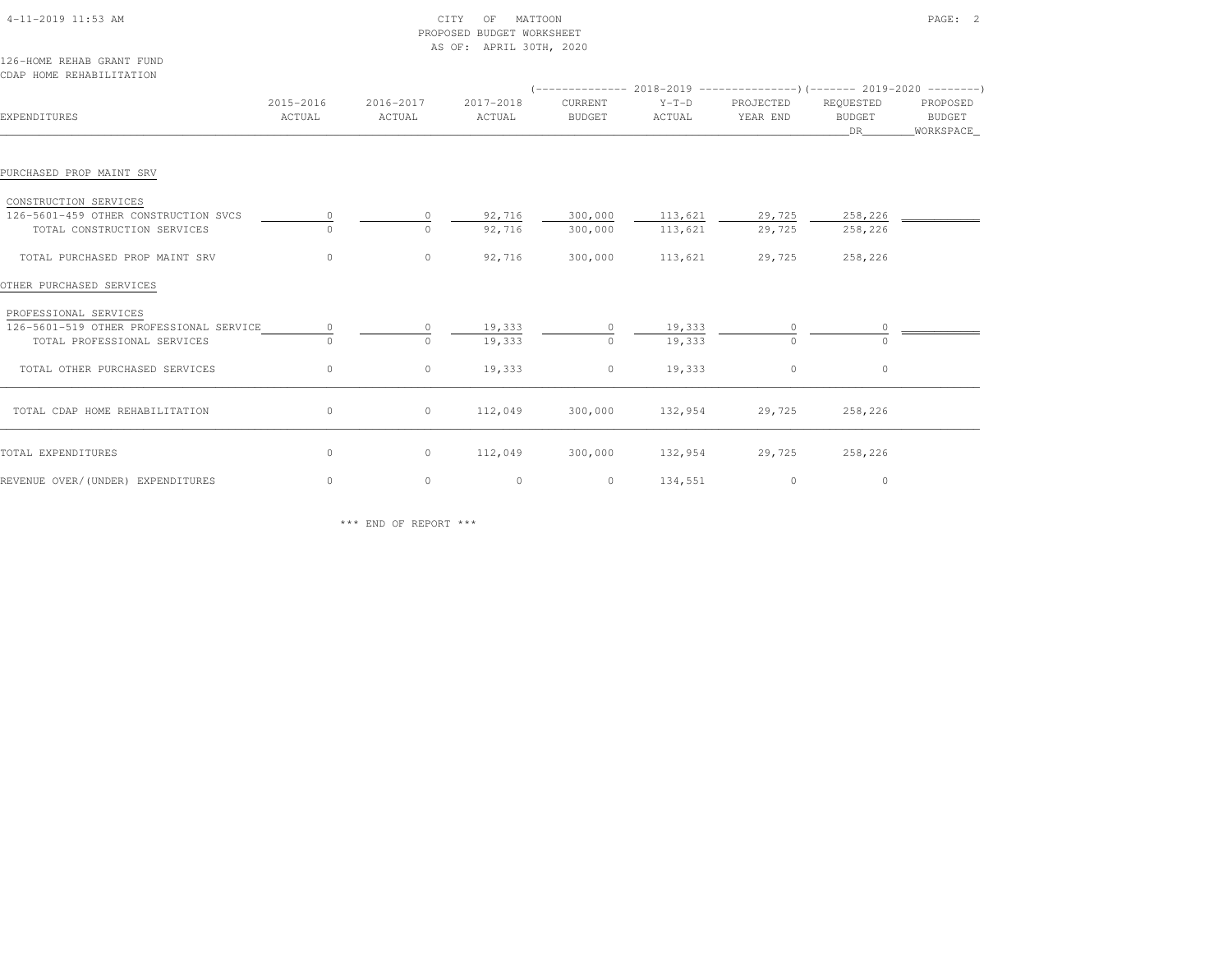|                                                                                                 |                     |                     | PROPOSED BUDGET WORKSHEET<br>AS OF: APRIL 30TH, 2020 |                          |                    |                       |                                   |                                        |
|-------------------------------------------------------------------------------------------------|---------------------|---------------------|------------------------------------------------------|--------------------------|--------------------|-----------------------|-----------------------------------|----------------------------------------|
| 126-HOME REHAB GRANT FUND<br>CDAP HOME REHABILITATION                                           |                     |                     |                                                      |                          |                    |                       |                                   |                                        |
| EXPENDITURES                                                                                    | 2015-2016<br>ACTUAL | 2016-2017<br>ACTUAL | 2017-2018<br>ACTUAL                                  | CURRENT<br><b>BUDGET</b> | $Y-T-D$<br>ACTUAL  | PROJECTED<br>YEAR END | REQUESTED<br><b>BUDGET</b><br>DR. | PROPOSED<br><b>BUDGET</b><br>WORKSPACE |
| PURCHASED PROP MAINT SRV                                                                        |                     |                     |                                                      |                          |                    |                       |                                   |                                        |
| CONSTRUCTION SERVICES<br>126-5601-459 OTHER CONSTRUCTION SVCS<br>TOTAL CONSTRUCTION SERVICES    | $\circ$<br>$\Omega$ | 0<br>$\cap$         | 92,716<br>92,716                                     | 300,000<br>300,000       | 113,621<br>113,621 | 29,725<br>29,725      | 258,226<br>258,226                |                                        |
| TOTAL PURCHASED PROP MAINT SRV                                                                  | $\circ$             | $\circ$             | 92,716                                               | 300,000                  | 113,621            | 29,725                | 258,226                           |                                        |
| OTHER PURCHASED SERVICES                                                                        |                     |                     |                                                      |                          |                    |                       |                                   |                                        |
| PROFESSIONAL SERVICES<br>126-5601-519 OTHER PROFESSIONAL SERVICE<br>TOTAL PROFESSIONAL SERVICES | $\circ$<br>$\Omega$ | 0<br>$\Omega$       | 19,333<br>19,333                                     | $\Omega$                 | 19,333<br>19,333   | $\Omega$              | $\cap$                            |                                        |
| TOTAL OTHER PURCHASED SERVICES                                                                  | $\circ$             | 0                   | 19,333                                               | $\circ$                  | 19,333             | $\circ$               | $\circ$                           |                                        |
| TOTAL CDAP HOME REHABILITATION                                                                  | $\circ$             | $\circ$             | 112,049                                              | 300,000                  | 132,954            | 29,725                | 258,226                           |                                        |
| TOTAL EXPENDITURES                                                                              | $\circ$             | 0                   | 112,049                                              | 300,000                  | 132,954            | 29,725                | 258,226                           |                                        |
| REVENUE OVER/(UNDER) EXPENDITURES                                                               | $\circ$             | 0                   | $\circ$                                              | $\circ$                  | 134,551            | $\circ$               | $\circ$                           |                                        |

\*\*\* END OF REPORT \*\*\*

4-11-2019 11:53 AM CITY OF MATTOON PAGE: 2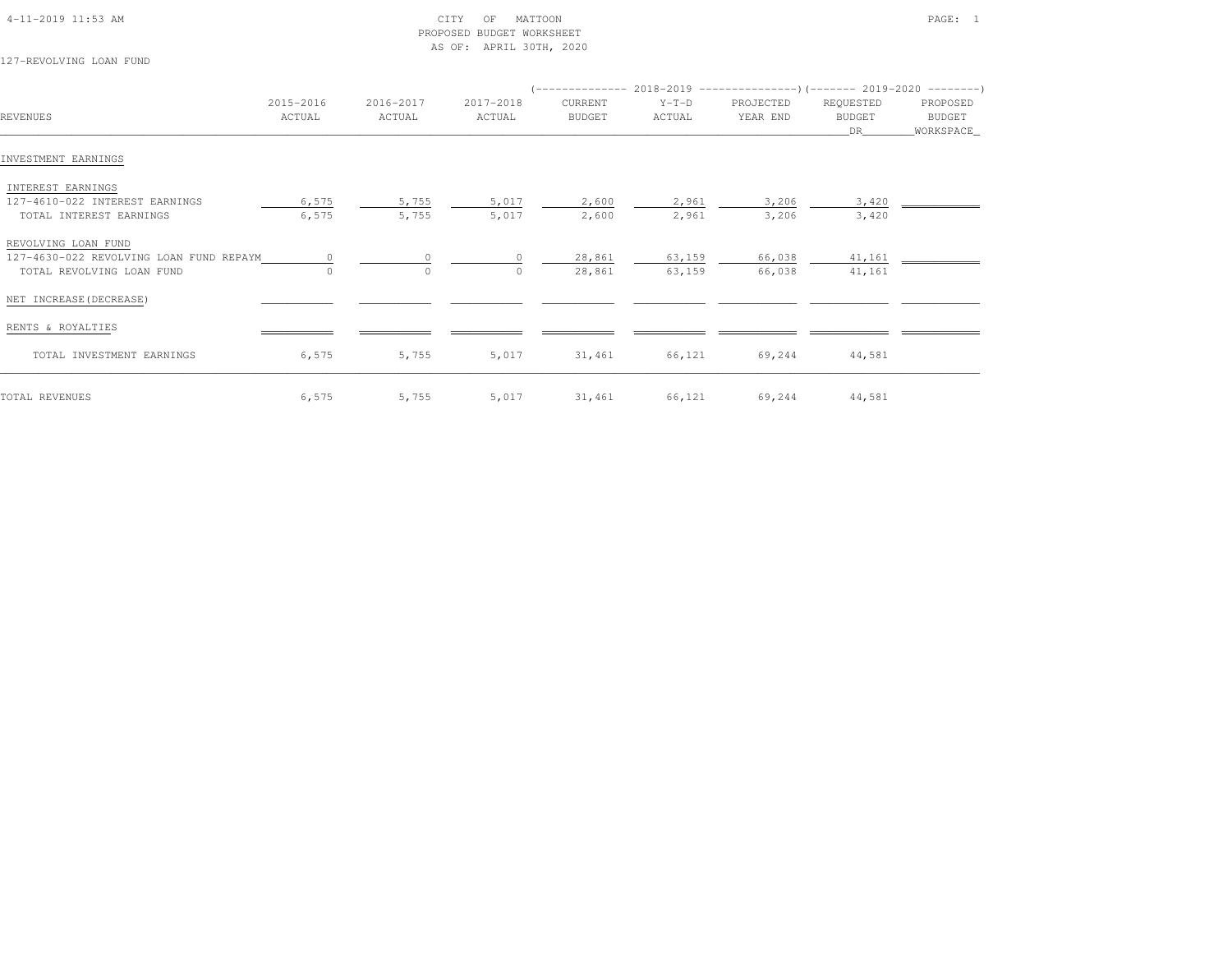| 4-11-2019 11:53 AM |  |  |
|--------------------|--|--|

## $\begin{array}{ccc} \text{CITY} & \text{OF} & \text{MATTON} \end{array}$  PROPOSED BUDGET WORKSHEETAS OF: APRIL 30TH, 2020

127-REVOLVING LOAN FUND

|                                         |           |           |           |               |         | (-------------- 2018-2019 --------------------- 2019-2020 --------- ) |               |             |
|-----------------------------------------|-----------|-----------|-----------|---------------|---------|-----------------------------------------------------------------------|---------------|-------------|
|                                         | 2015-2016 | 2016-2017 | 2017-2018 | CURRENT       | $Y-T-D$ | PROJECTED                                                             | REQUESTED     | PROPOSED    |
| REVENUES                                | ACTUAL    | ACTUAL    | ACTUAL    | <b>BUDGET</b> | ACTUAL  | YEAR END                                                              | <b>BUDGET</b> | BUDGET      |
|                                         |           |           |           |               |         |                                                                       | DR            | _WORKSPACE_ |
|                                         |           |           |           |               |         |                                                                       |               |             |
| INVESTMENT EARNINGS                     |           |           |           |               |         |                                                                       |               |             |
| INTEREST EARNINGS                       |           |           |           |               |         |                                                                       |               |             |
| 127-4610-022 INTEREST EARNINGS          | 6,575     | 5,755     | 5,017     | 2,600         | 2,961   | 3,206                                                                 | 3,420         |             |
| TOTAL INTEREST EARNINGS                 | 6,575     | 5,755     | 5,017     | 2,600         | 2,961   | 3,206                                                                 | 3,420         |             |
|                                         |           |           |           |               |         |                                                                       |               |             |
| REVOLVING LOAN FUND                     |           |           |           |               |         |                                                                       |               |             |
| 127-4630-022 REVOLVING LOAN FUND REPAYM | $\Omega$  | $\Omega$  |           | 28,861        | 63,159  | 66,038                                                                | 41,161        |             |
| TOTAL REVOLVING LOAN FUND               |           | $\circ$   |           | 28,861        | 63,159  | 66,038                                                                | 41,161        |             |
|                                         |           |           |           |               |         |                                                                       |               |             |
| NET INCREASE (DECREASE)                 |           |           |           |               |         |                                                                       |               |             |
|                                         |           |           |           |               |         |                                                                       |               |             |
| RENTS & ROYALTIES                       |           |           |           |               |         |                                                                       |               |             |
| TOTAL INVESTMENT EARNINGS               | 6,575     | 5,755     | 5,017     | 31,461        | 66,121  | 69,244                                                                | 44,581        |             |
|                                         |           |           |           |               |         |                                                                       |               |             |
|                                         |           |           |           |               |         |                                                                       |               |             |
| TOTAL REVENUES                          | 6,575     | 5,755     | 5,017     | 31,461        | 66,121  | 69,244                                                                | 44,581        |             |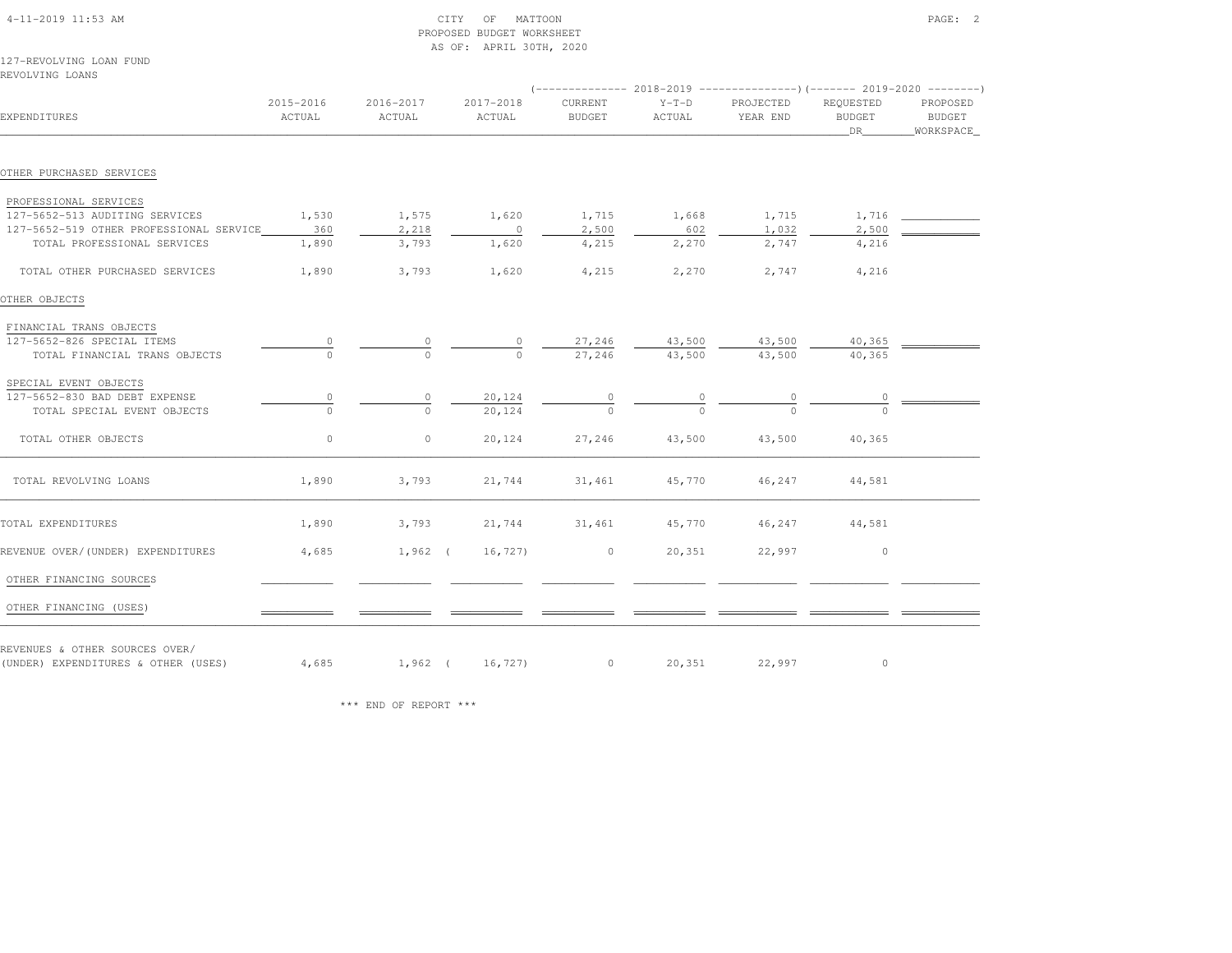| 127-REVOLVING LOAN FUND<br>REVOLVING LOANS                            |                     |                     |                     |                          |                   |                       |                                  |                                 |
|-----------------------------------------------------------------------|---------------------|---------------------|---------------------|--------------------------|-------------------|-----------------------|----------------------------------|---------------------------------|
| EXPENDITURES                                                          | 2015-2016<br>ACTUAL | 2016-2017<br>ACTUAL | 2017-2018<br>ACTUAL | CURRENT<br><b>BUDGET</b> | $Y-T-D$<br>ACTUAL | PROJECTED<br>YEAR END | REQUESTED<br><b>BUDGET</b><br>DR | PROPOSED<br>BUDGET<br>WORKSPACE |
| OTHER PURCHASED SERVICES                                              |                     |                     |                     |                          |                   |                       |                                  |                                 |
| PROFESSIONAL SERVICES                                                 |                     |                     |                     |                          |                   |                       |                                  |                                 |
| 127-5652-513 AUDITING SERVICES                                        | 1,530               | 1,575               | 1,620               | 1,715                    | 1,668             | 1,715                 |                                  |                                 |
| 127-5652-519 OTHER PROFESSIONAL SERVICE                               | 360                 | 2,218               | $\overline{0}$      | 2,500                    | 602               | 1,032                 | 2,500                            |                                 |
| TOTAL PROFESSIONAL SERVICES                                           | 1,890               | 3,793               | 1,620               | 4,215                    | 2,270             | 2,747                 | 4,216                            |                                 |
| TOTAL OTHER PURCHASED SERVICES                                        | 1,890               | 3,793               | 1,620               | 4,215                    | 2,270             | 2,747                 | 4,216                            |                                 |
| OTHER OBJECTS                                                         |                     |                     |                     |                          |                   |                       |                                  |                                 |
| FINANCIAL TRANS OBJECTS                                               |                     |                     |                     |                          |                   |                       |                                  |                                 |
| 127-5652-826 SPECIAL ITEMS                                            |                     |                     | $\frac{0}{0}$       |                          |                   | $43,500$ $43,500$     | 40,365                           |                                 |
| TOTAL FINANCIAL TRANS OBJECTS                                         |                     |                     |                     | $\frac{27,246}{27,246}$  | 43,500            | 43,500                | 40,365                           |                                 |
| SPECIAL EVENT OBJECTS                                                 |                     |                     |                     |                          |                   |                       |                                  |                                 |
| 127-5652-830 BAD DEBT EXPENSE                                         | 0                   | $\circ$             | 20,124              | $\circ$                  | 0                 |                       | $\circ$                          |                                 |
| TOTAL SPECIAL EVENT OBJECTS                                           |                     | $\cap$              | 20,124              |                          |                   |                       |                                  |                                 |
| TOTAL OTHER OBJECTS                                                   | $\circ$             | $\circ$             | 20,124              | 27,246                   | 43,500            | 43,500                | 40,365                           |                                 |
| TOTAL REVOLVING LOANS                                                 | 1,890               | 3,793               | 21,744              | 31,461                   | 45,770            | 46,247                | 44,581                           |                                 |
| TOTAL EXPENDITURES                                                    | 1,890               | 3,793               | 21,744              | 31,461                   | 45,770            | 46,247                | 44,581                           |                                 |
| REVENUE OVER/(UNDER) EXPENDITURES                                     | 4,685               | $1,962$ (           | 16, 727)            | $\circ$                  | 20,351            | 22,997                | $\circ$                          |                                 |
| OTHER FINANCING SOURCES                                               |                     |                     |                     |                          |                   |                       |                                  |                                 |
| OTHER FINANCING (USES)                                                |                     |                     |                     |                          |                   |                       |                                  |                                 |
| REVENUES & OTHER SOURCES OVER/<br>(UNDER) EXPENDITURES & OTHER (USES) | 4,685               |                     | 1,962 ( 16,727)     | 0 20,351                 |                   | 22,997                | $\circ$                          |                                 |

PROPOSED BUDGET WORKSHEET

AS OF: APRIL 30TH, 2020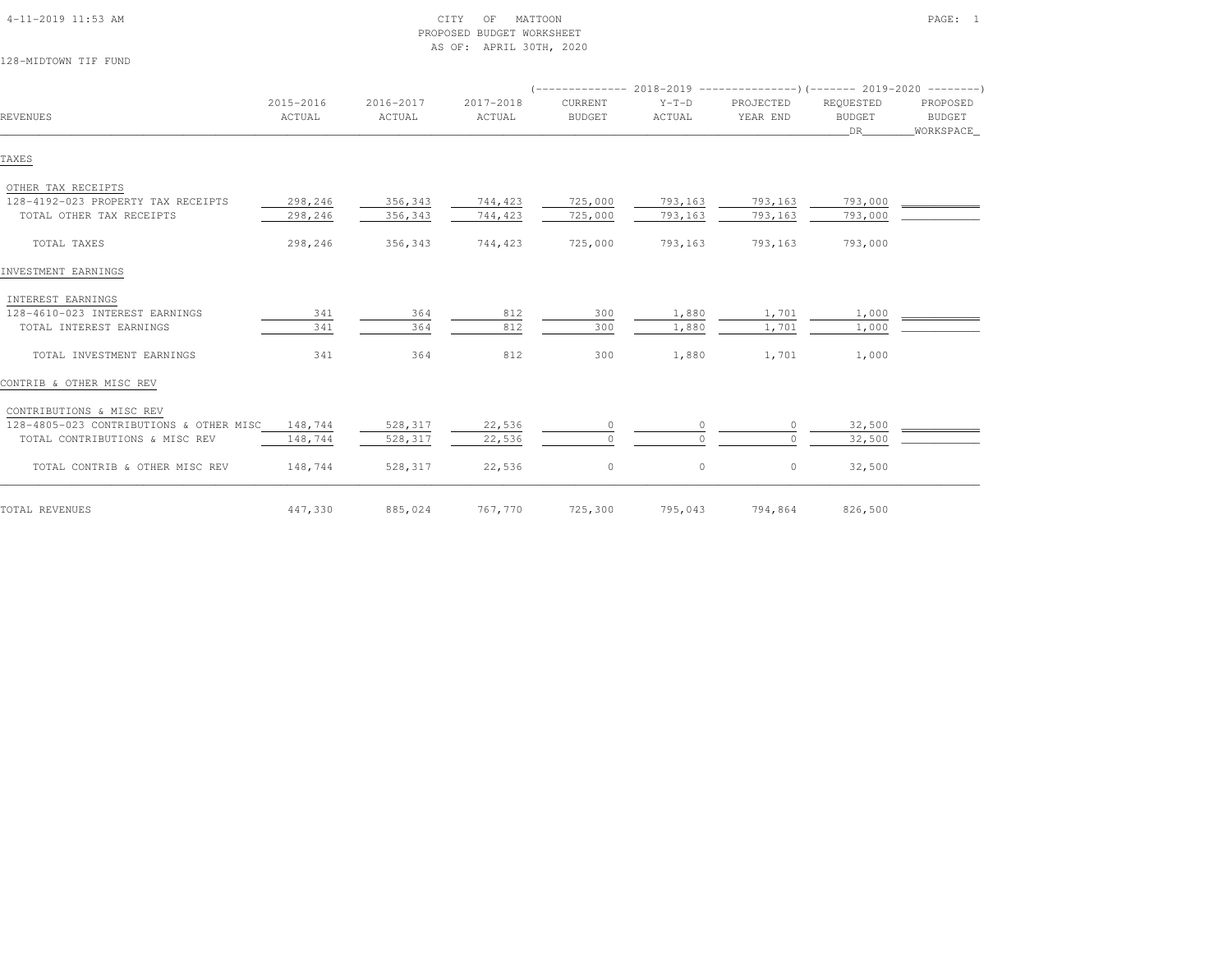| 4-11-2019 11:53 AM |  |
|--------------------|--|

# $\begin{array}{ccc} \text{CITY} & \text{OF} & \text{MATION} \end{array}$  PROPOSED BUDGET WORKSHEETAS OF: APRIL 30TH, 2020

128-MIDTOWN TIF FUND

| <b>REVENUES</b>                         | 2015-2016<br>ACTUAL | 2016-2017<br>ACTUAL | 2017-2018<br>ACTUAL | CURRENT<br><b>BUDGET</b> | $Y-T-D$<br>ACTUAL | PROJECTED<br>YEAR END | REQUESTED<br><b>BUDGET</b><br>DR | PROPOSED<br>BUDGET<br>WORKSPACE |  |
|-----------------------------------------|---------------------|---------------------|---------------------|--------------------------|-------------------|-----------------------|----------------------------------|---------------------------------|--|
| TAXES                                   |                     |                     |                     |                          |                   |                       |                                  |                                 |  |
| OTHER TAX RECEIPTS                      |                     |                     |                     |                          |                   |                       |                                  |                                 |  |
| 128-4192-023 PROPERTY TAX RECEIPTS      | 298,246             | 356,343             | 744,423             | 725,000                  | 793,163           | 793,163               | 793,000                          |                                 |  |
| TOTAL OTHER TAX RECEIPTS                | 298,246             | 356,343             | 744,423             | 725,000                  | 793,163           | 793,163               | 793,000                          |                                 |  |
| TOTAL TAXES                             | 298,246             | 356,343             | 744,423             | 725,000                  | 793,163           | 793,163               | 793,000                          |                                 |  |
| INVESTMENT EARNINGS                     |                     |                     |                     |                          |                   |                       |                                  |                                 |  |
| INTEREST EARNINGS                       |                     |                     |                     |                          |                   |                       |                                  |                                 |  |
| 128-4610-023 INTEREST EARNINGS          | 341                 | 364                 | 812                 | 300                      | 1,880             | 1,701                 | 1,000                            |                                 |  |
| TOTAL INTEREST EARNINGS                 | 341                 | 364                 | 812                 | 300                      | 1,880             | 1,701                 | 1,000                            |                                 |  |
| TOTAL INVESTMENT EARNINGS               | 341                 | 364                 | 812                 | 300                      | 1,880             | 1,701                 | 1,000                            |                                 |  |
| CONTRIB & OTHER MISC REV                |                     |                     |                     |                          |                   |                       |                                  |                                 |  |
| CONTRIBUTIONS & MISC REV                |                     |                     |                     |                          |                   |                       |                                  |                                 |  |
| 128-4805-023 CONTRIBUTIONS & OTHER MISC | 148,744             | 528,317             | 22,536              | 0                        |                   |                       | 32,500                           |                                 |  |
| TOTAL CONTRIBUTIONS & MISC REV          | 148,744             | 528,317             | 22,536              |                          |                   |                       | 32,500                           |                                 |  |
| TOTAL CONTRIB & OTHER MISC REV          | 148,744             | 528,317             | 22,536              | $\circ$                  | $\circ$           | $\mathbf{0}$          | 32,500                           |                                 |  |
| TOTAL REVENUES                          | 447,330             | 885,024             | 767,770             | 725,300                  | 795,043           | 794,864               | 826,500                          |                                 |  |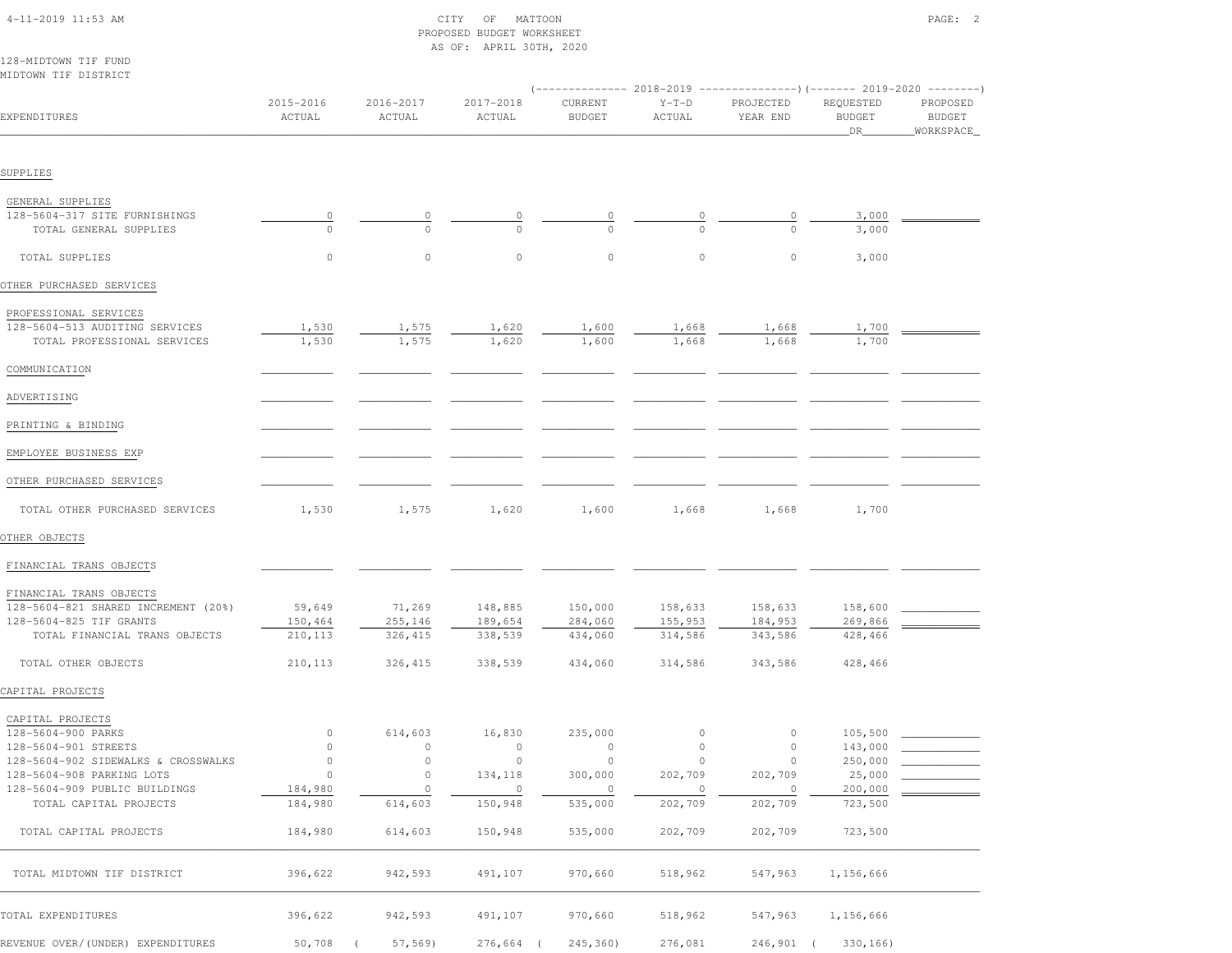|                                     |                     |                     | AS OF: APRIL 30TH, 2020 |                          |                   |                                                                                                   |                            |                    |
|-------------------------------------|---------------------|---------------------|-------------------------|--------------------------|-------------------|---------------------------------------------------------------------------------------------------|----------------------------|--------------------|
| 128-MIDTOWN TIF FUND                |                     |                     |                         |                          |                   |                                                                                                   |                            |                    |
| MIDTOWN TIF DISTRICT                |                     |                     |                         |                          |                   |                                                                                                   |                            |                    |
| EXPENDITURES                        | 2015-2016<br>ACTUAL | 2016-2017<br>ACTUAL | 2017-2018<br>ACTUAL     | CURRENT<br><b>BUDGET</b> | $Y-T-D$<br>ACTUAL | (-------------- 2018-2019 ----------------) (------- 2019-2020 --------)<br>PROJECTED<br>YEAR END | REQUESTED<br><b>BUDGET</b> | PROPOSED<br>BUDGET |
|                                     |                     |                     |                         |                          |                   |                                                                                                   | _DR_                       | WORKSPACE          |
| SUPPLIES                            |                     |                     |                         |                          |                   |                                                                                                   |                            |                    |
| GENERAL SUPPLIES                    |                     |                     |                         |                          |                   |                                                                                                   |                            |                    |
| 128-5604-317 SITE FURNISHINGS       | $\overline{0}$      |                     |                         |                          |                   |                                                                                                   | 3,000                      |                    |
| TOTAL GENERAL SUPPLIES              |                     |                     |                         |                          |                   |                                                                                                   | 3,000                      |                    |
| TOTAL SUPPLIES                      | 0                   | $\circ$             | $\circ$                 | $\circ$                  | $\circ$           | $\circ$                                                                                           | 3,000                      |                    |
| OTHER PURCHASED SERVICES            |                     |                     |                         |                          |                   |                                                                                                   |                            |                    |
| PROFESSIONAL SERVICES               |                     |                     |                         |                          |                   |                                                                                                   |                            |                    |
| 128-5604-513 AUDITING SERVICES      | 1,530               | 1,575               | 1,620                   | 1,600                    | 1,668             | 1,668                                                                                             | 1,700                      |                    |
| TOTAL PROFESSIONAL SERVICES         | 1,530               | 1,575               | 1,620                   | 1,600                    | 1,668             | 1,668                                                                                             | 1,700                      |                    |
| COMMUNICATION                       |                     |                     |                         |                          |                   |                                                                                                   |                            |                    |
| ADVERTISING                         |                     |                     |                         |                          |                   |                                                                                                   |                            |                    |
| PRINTING & BINDING                  |                     |                     |                         |                          |                   |                                                                                                   |                            |                    |
| EMPLOYEE BUSINESS EXP               |                     |                     |                         |                          |                   |                                                                                                   |                            |                    |
| OTHER PURCHASED SERVICES            |                     |                     |                         |                          |                   |                                                                                                   |                            |                    |
| TOTAL OTHER PURCHASED SERVICES      | 1,530               | 1,575               | 1,620                   | 1,600                    | 1,668             | 1,668                                                                                             | 1,700                      |                    |
| OTHER OBJECTS                       |                     |                     |                         |                          |                   |                                                                                                   |                            |                    |
| FINANCIAL TRANS OBJECTS             |                     |                     |                         |                          |                   |                                                                                                   |                            |                    |
| FINANCIAL TRANS OBJECTS             |                     |                     |                         |                          |                   |                                                                                                   |                            |                    |
| 128-5604-821 SHARED INCREMENT (20%) | 59,649              | 71,269              | 148,885                 | 150,000                  | 158,633           | 158,633                                                                                           | 158,600                    |                    |
| 128-5604-825 TIF GRANTS             | 150,464             | 255,146             | 189,654                 | 284,060                  | 155,953           | 184,953                                                                                           | 269,866                    |                    |
| TOTAL FINANCIAL TRANS OBJECTS       | 210,113             | 326,415             | 338,539                 | 434,060                  | 314,586           | 343,586                                                                                           | 428,466                    |                    |
| TOTAL OTHER OBJECTS                 | 210,113             | 326,415             | 338,539                 | 434,060                  | 314,586           | 343,586                                                                                           | 428,466                    |                    |
| CAPITAL PROJECTS                    |                     |                     |                         |                          |                   |                                                                                                   |                            |                    |
| CAPITAL PROJECTS                    |                     |                     |                         |                          |                   |                                                                                                   |                            |                    |
| 128-5604-900 PARKS                  | $\circ$             | 614,603             | 16,830                  | 235,000                  | $\overline{0}$    | $\overline{0}$                                                                                    | 105,500                    |                    |
| 128-5604-901 STREETS                | $\circ$             | $\circ$             | $\circ$                 | $\circ$                  | $\circ$           | $\circ$                                                                                           | 143,000                    |                    |
| 128-5604-902 SIDEWALKS & CROSSWALKS | $\circ$             | $\circ$             | $\overline{0}$          | $\overline{0}$           | $\overline{0}$    | $\circ$                                                                                           | 250,000                    |                    |
| 128-5604-908 PARKING LOTS           | $\circ$             | $\circ$             | 134,118                 | 300,000                  | 202,709           | 202,709                                                                                           | 25,000                     |                    |
| 128-5604-909 PUBLIC BUILDINGS       | 184,980             | $\circ$             | $\overline{0}$          | $\overline{\phantom{0}}$ | $\overline{0}$    | $\circ$                                                                                           | 200,000                    |                    |
| TOTAL CAPITAL PROJECTS              | 184,980             | 614,603             | 150,948                 | 535,000                  | 202,709           | 202,709                                                                                           | 723,500                    |                    |
| TOTAL CAPITAL PROJECTS              | 184,980             | 614,603             | 150,948                 | 535,000                  | 202,709           | 202,709                                                                                           | 723,500                    |                    |
| TOTAL MIDTOWN TIF DISTRICT          | 396,622             | 942,593             | 491,107                 | 970,660                  | 518,962           | 547,963                                                                                           | 1,156,666                  |                    |
| TOTAL EXPENDITURES                  | 396,622             | 942,593             | 491,107                 | 970,660                  | 518,962           | 547,963                                                                                           | 1,156,666                  |                    |
| REVENUE OVER/(UNDER) EXPENDITURES   | 50,708 (            | 57,569              | 276,664 (               | 245,360)                 | 276,081           |                                                                                                   | 246,901 (330,166)          |                    |
|                                     |                     |                     |                         |                          |                   |                                                                                                   |                            |                    |

 4-11-2019 11:53 AM CITY OF MATTOON PAGE: 2PROPOSED BUDGET WORKSHEET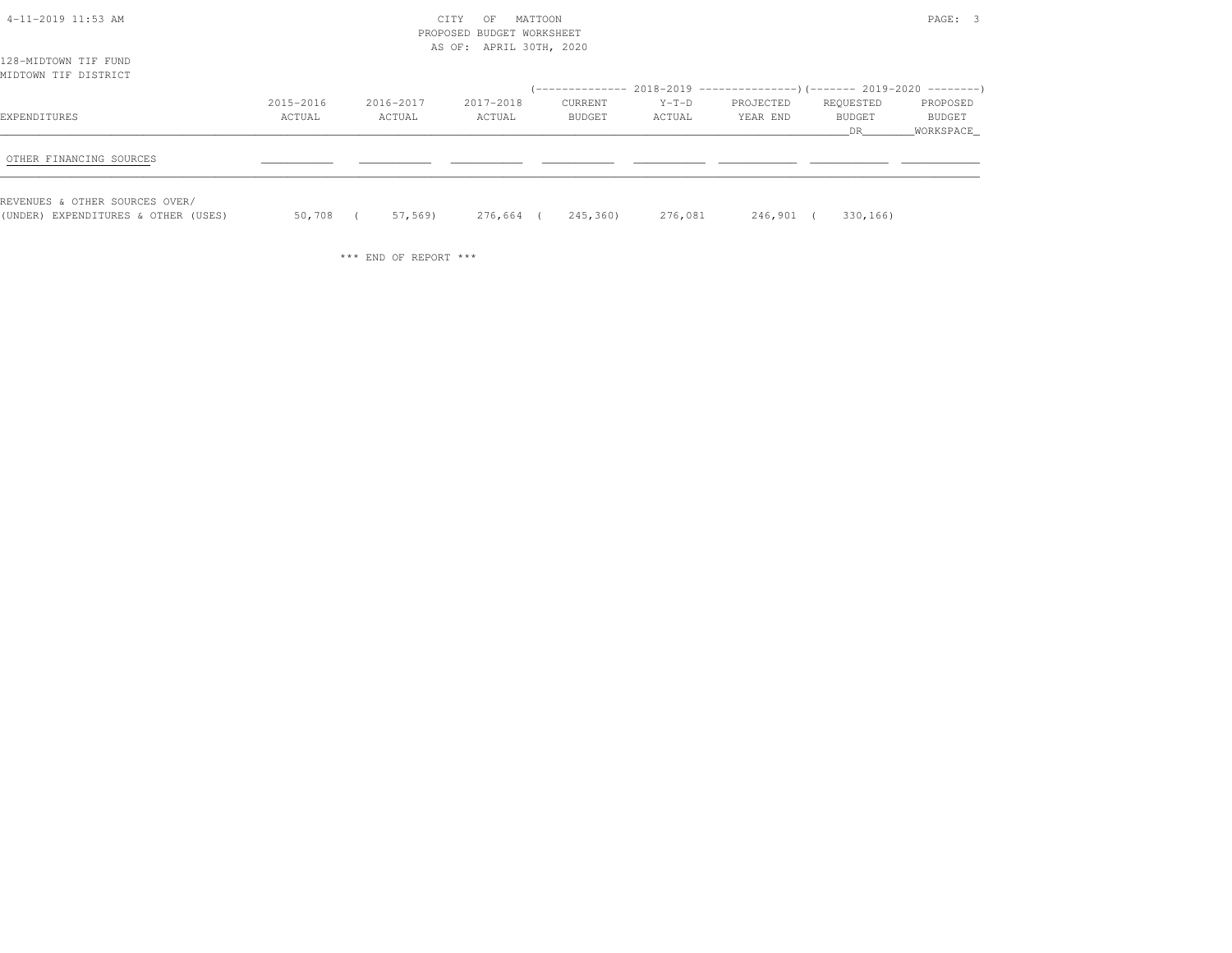| 4-11-2019 11:53 AM                  |           | CITY      |                           | PAGE: 3  |         |                                                                                   |           |           |
|-------------------------------------|-----------|-----------|---------------------------|----------|---------|-----------------------------------------------------------------------------------|-----------|-----------|
|                                     |           |           | PROPOSED BUDGET WORKSHEET |          |         |                                                                                   |           |           |
|                                     |           |           | AS OF: APRIL 30TH, 2020   |          |         |                                                                                   |           |           |
| 128-MIDTOWN TIF FUND                |           |           |                           |          |         |                                                                                   |           |           |
| MIDTOWN TIF DISTRICT                |           |           |                           |          |         |                                                                                   |           |           |
|                                     |           |           |                           |          |         | (-------------- 2018-2019 ---------------------- 2019-2020 ---------------------- |           |           |
|                                     | 2015-2016 | 2016-2017 | 2017-2018                 | CURRENT  | $Y-T-D$ | PROJECTED                                                                         | REQUESTED | PROPOSED  |
| EXPENDITURES                        | ACTUAL    | ACTUAL    | ACTUAL                    | BUDGET   | ACTUAL  | YEAR END                                                                          | BUDGET    | BUDGET    |
|                                     |           |           |                           |          |         |                                                                                   | DR.       | WORKSPACE |
|                                     |           |           |                           |          |         |                                                                                   |           |           |
| OTHER FINANCING SOURCES             |           |           |                           |          |         |                                                                                   |           |           |
|                                     |           |           |                           |          |         |                                                                                   |           |           |
| REVENUES & OTHER SOURCES OVER/      |           |           |                           |          |         |                                                                                   |           |           |
| (UNDER) EXPENDITURES & OTHER (USES) | 50,708    | 57,569)   | 276,664 (                 | 245,360) | 276,081 | 246,901 (                                                                         | 330,166)  |           |

\*\*\* END OF REPORT \*\*\*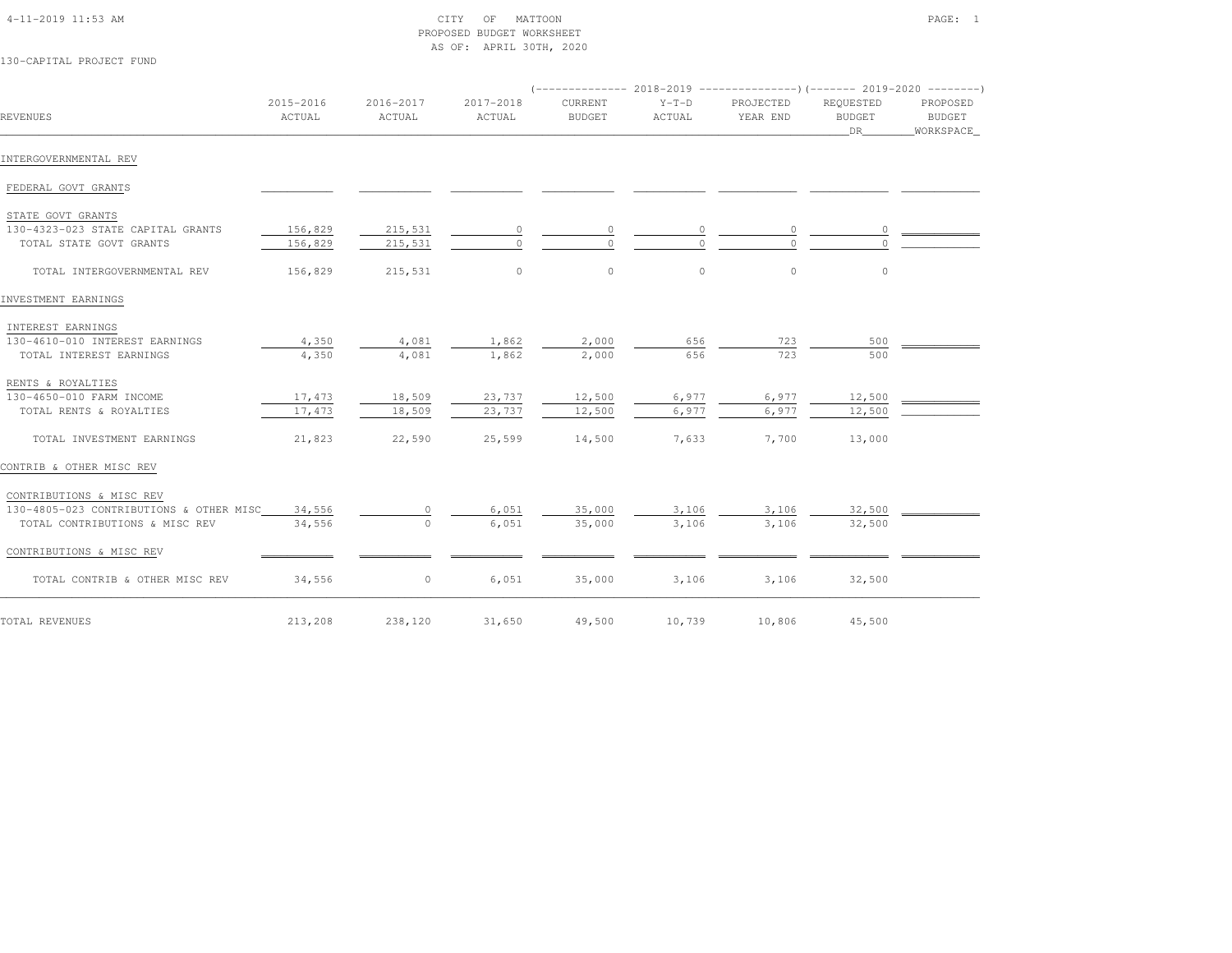| 4-11-2019 11:53 AM |  |
|--------------------|--|

### $\begin{array}{ccc} \text{CITY} & \text{OF} & \text{MATTOON} \end{array}$  PROPOSED BUDGET WORKSHEETAS OF: APRIL 30TH, 2020

130-CAPITAL PROJECT FUND

| REVENUES                                | 2015-2016<br>ACTUAL | 2016-2017<br>ACTUAL | 2017-2018<br>ACTUAL | <b>CURRENT</b><br><b>BUDGET</b> | $Y-T-D$<br>ACTUAL | PROJECTED<br>YEAR END | REQUESTED<br><b>BUDGET</b><br>DR | PROPOSED<br><b>BUDGET</b><br>WORKSPACE |
|-----------------------------------------|---------------------|---------------------|---------------------|---------------------------------|-------------------|-----------------------|----------------------------------|----------------------------------------|
| INTERGOVERNMENTAL REV                   |                     |                     |                     |                                 |                   |                       |                                  |                                        |
| FEDERAL GOVT GRANTS                     |                     |                     |                     |                                 |                   |                       |                                  |                                        |
| STATE GOVT GRANTS                       |                     |                     |                     |                                 |                   |                       |                                  |                                        |
| 130-4323-023 STATE CAPITAL GRANTS       | 156,829             | 215,531             |                     | 0                               |                   |                       |                                  |                                        |
| TOTAL STATE GOVT GRANTS                 | 156,829             | 215,531             |                     | $\Omega$                        |                   |                       |                                  |                                        |
| TOTAL INTERGOVERNMENTAL REV             | 156,829             | 215,531             | $\circ$             | $\circ$                         | $\circ$           | $\circ$               | $\circ$                          |                                        |
| INVESTMENT EARNINGS                     |                     |                     |                     |                                 |                   |                       |                                  |                                        |
| INTEREST EARNINGS                       |                     |                     |                     |                                 |                   |                       |                                  |                                        |
| 130-4610-010 INTEREST EARNINGS          | 4,350               | 4,081               | 1,862               | 2,000                           | 656               | 723                   | 500                              |                                        |
| TOTAL INTEREST EARNINGS                 | 4,350               | 4,081               | 1,862               | 2,000                           | 656               | 723                   | 500                              |                                        |
| RENTS & ROYALTIES                       |                     |                     |                     |                                 |                   |                       |                                  |                                        |
| 130-4650-010 FARM INCOME                | 17,473              | 18,509              | 23,737              | 12,500                          | 6,977             | 6,977                 | 12,500                           |                                        |
| TOTAL RENTS & ROYALTIES                 | 17,473              | 18,509              | 23,737              | 12,500                          | 6,977             | 6,977                 | 12,500                           |                                        |
| TOTAL INVESTMENT EARNINGS               | 21,823              | 22,590              | 25,599              | 14,500                          | 7,633             | 7,700                 | 13,000                           |                                        |
| CONTRIB & OTHER MISC REV                |                     |                     |                     |                                 |                   |                       |                                  |                                        |
| CONTRIBUTIONS & MISC REV                |                     |                     |                     |                                 |                   |                       |                                  |                                        |
| 130-4805-023 CONTRIBUTIONS & OTHER MISC | 34,556              | 0                   | 6,051               | 35,000                          | 3,106             | 3,106                 | 32,500                           |                                        |
| TOTAL CONTRIBUTIONS & MISC REV          | 34,556              | $\circ$             | 6,051               | 35,000                          | 3,106             | 3,106                 | 32,500                           |                                        |
| CONTRIBUTIONS & MISC REV                |                     |                     |                     |                                 |                   |                       |                                  |                                        |
| TOTAL CONTRIB & OTHER MISC REV          | 34,556              | $\circ$             | 6,051               | 35,000                          | 3,106             | 3,106                 | 32,500                           |                                        |
| TOTAL REVENUES                          | 213,208             | 238,120             | 31,650              | 49,500                          | 10,739            | 10,806                | 45,500                           |                                        |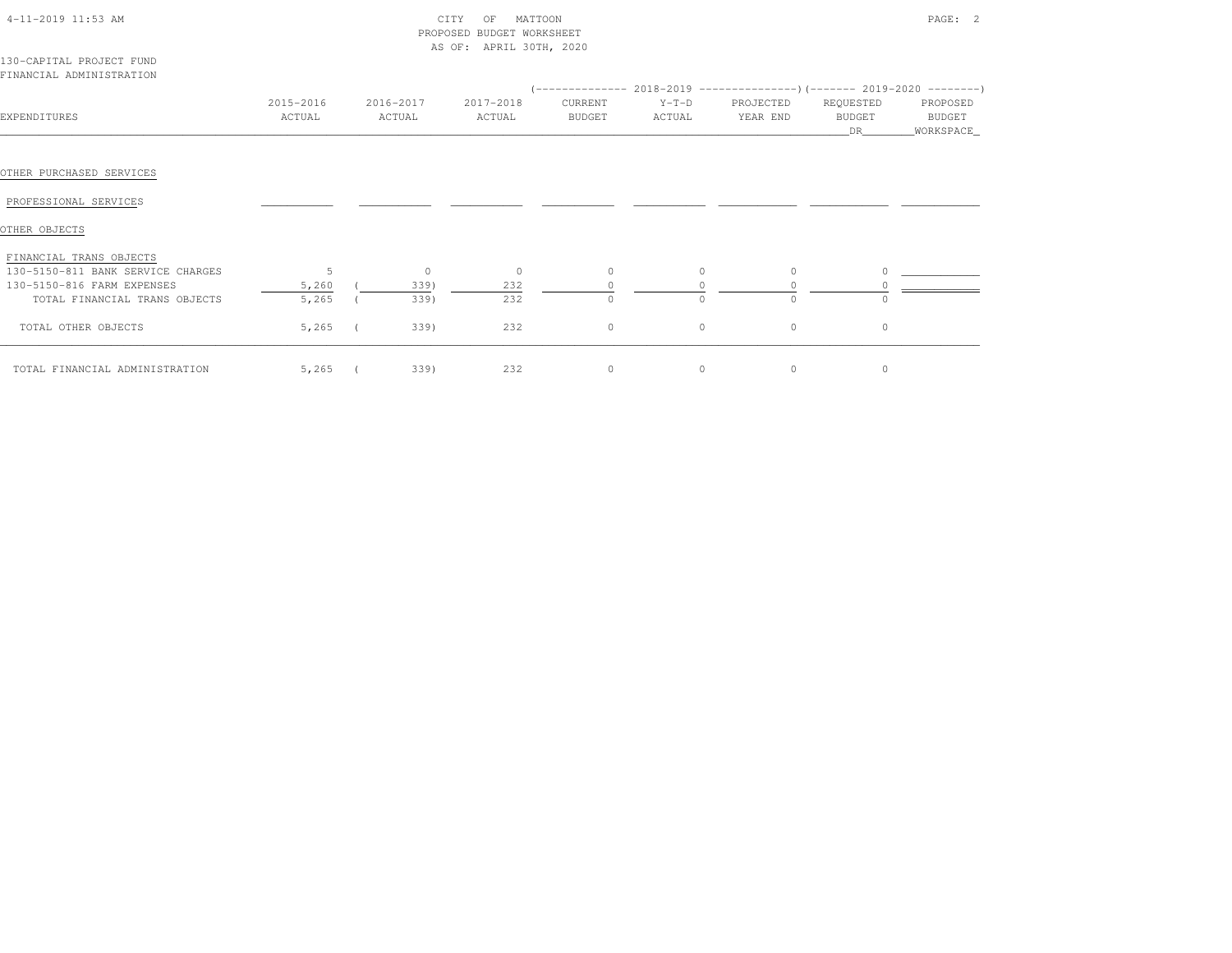| 4-11-2019 11:53 AM |  |
|--------------------|--|
|                    |  |

## 4-11-2019 CITY OF MATTOON PAGE: 2 PROPOSED BUDGET WORKSHEETAS OF: APRIL 30TH, 2020

| 130-CAPITAL PROJECT FUND |  |
|--------------------------|--|
| FINANCIAL ADMINISTRATION |  |

| EXPENDITURES                      | 2015-2016<br>ACTUAL | 2016-2017<br>ACTUAL | 2017-2018<br>ACTUAL | CURRENT<br>BUDGET | $Y-T-D$<br>ACTUAL | PROJECTED<br>YEAR END | REQUESTED<br><b>BUDGET</b><br>DR | PROPOSED<br>BUDGET<br>WORKSPACE_ |
|-----------------------------------|---------------------|---------------------|---------------------|-------------------|-------------------|-----------------------|----------------------------------|----------------------------------|
|                                   |                     |                     |                     |                   |                   |                       |                                  |                                  |
| OTHER PURCHASED SERVICES          |                     |                     |                     |                   |                   |                       |                                  |                                  |
| PROFESSIONAL SERVICES             |                     |                     |                     |                   |                   |                       |                                  |                                  |
| OTHER OBJECTS                     |                     |                     |                     |                   |                   |                       |                                  |                                  |
| FINANCIAL TRANS OBJECTS           |                     |                     |                     |                   |                   |                       |                                  |                                  |
| 130-5150-811 BANK SERVICE CHARGES |                     | $\circ$             | $\circ$             | $\circ$           | $\circ$           | $\Omega$              |                                  |                                  |
| 130-5150-816 FARM EXPENSES        | 5,260               | 339)                | 232                 |                   |                   |                       |                                  |                                  |
| TOTAL FINANCIAL TRANS OBJECTS     | 5,265               | 339)                | 232                 | $\circ$           | $\Omega$          | $\Omega$              |                                  |                                  |
| TOTAL OTHER OBJECTS               | 5,265               | 339)                | 232                 | $\circ$           | $\circ$           | $\circ$               | 0                                |                                  |
| TOTAL FINANCIAL ADMINISTRATION    | $5,265$ (           | 339)                | 232                 | $\circ$           | $\circ$           | 0                     | 0                                |                                  |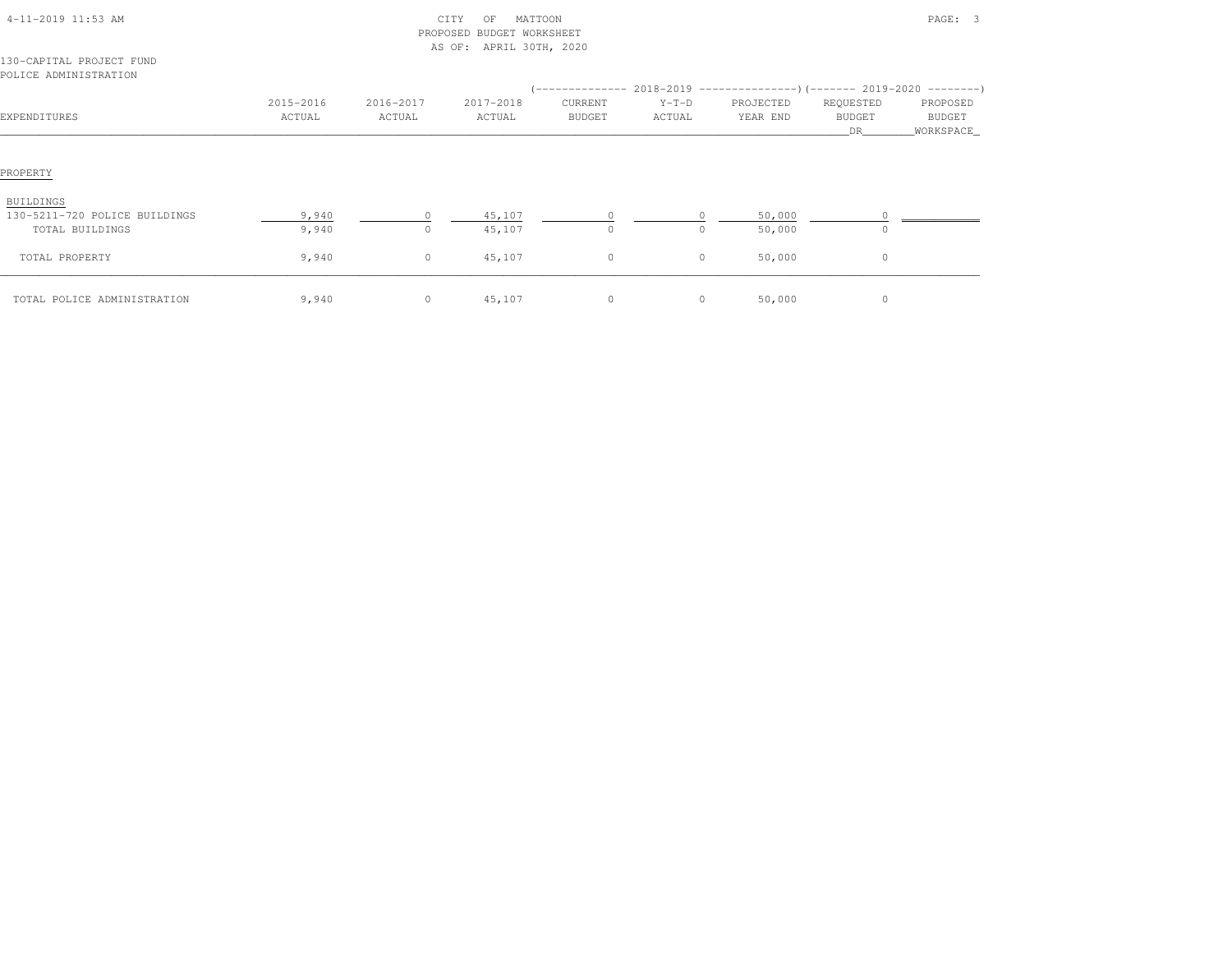| 4-11-2019 11:53 AM                                                   |                     |                     | CITY<br>MATTOON<br>OF<br>PROPOSED BUDGET WORKSHEET<br>AS OF: APRIL 30TH, 2020 |                   |                   |           | PAGE: 3<br>REQUESTED<br>PROPOSED<br>YEAR END<br><b>BUDGET</b><br>BUDGET<br>DR<br>WORKSPACE_<br>50,000<br>$\circ$<br>50,000<br>$\circ$<br>$\circ$<br>50,000 |  |
|----------------------------------------------------------------------|---------------------|---------------------|-------------------------------------------------------------------------------|-------------------|-------------------|-----------|------------------------------------------------------------------------------------------------------------------------------------------------------------|--|
| 130-CAPITAL PROJECT FUND<br>POLICE ADMINISTRATION                    |                     |                     |                                                                               |                   |                   |           |                                                                                                                                                            |  |
| EXPENDITURES                                                         | 2015-2016<br>ACTUAL | 2016-2017<br>ACTUAL | 2017-2018<br>ACTUAL                                                           | CURRENT<br>BUDGET | $Y-T-D$<br>ACTUAL | PROJECTED |                                                                                                                                                            |  |
| PROPERTY                                                             |                     |                     |                                                                               |                   |                   |           |                                                                                                                                                            |  |
| <b>BUILDINGS</b><br>130-5211-720 POLICE BUILDINGS<br>TOTAL BUILDINGS | 9,940<br>9,940      | $\circ$<br>$\circ$  | 45,107<br>45,107                                                              | $\circ$           | $\circ$           |           |                                                                                                                                                            |  |
| TOTAL PROPERTY                                                       | 9,940               | 0                   | 45,107                                                                        | $\circ$           | $\circ$           |           |                                                                                                                                                            |  |
| TOTAL POLICE ADMINISTRATION                                          | 9,940               | $\circ$             | 45,107                                                                        | $\circ$           | $\circ$           | 50,000    | $\circ$                                                                                                                                                    |  |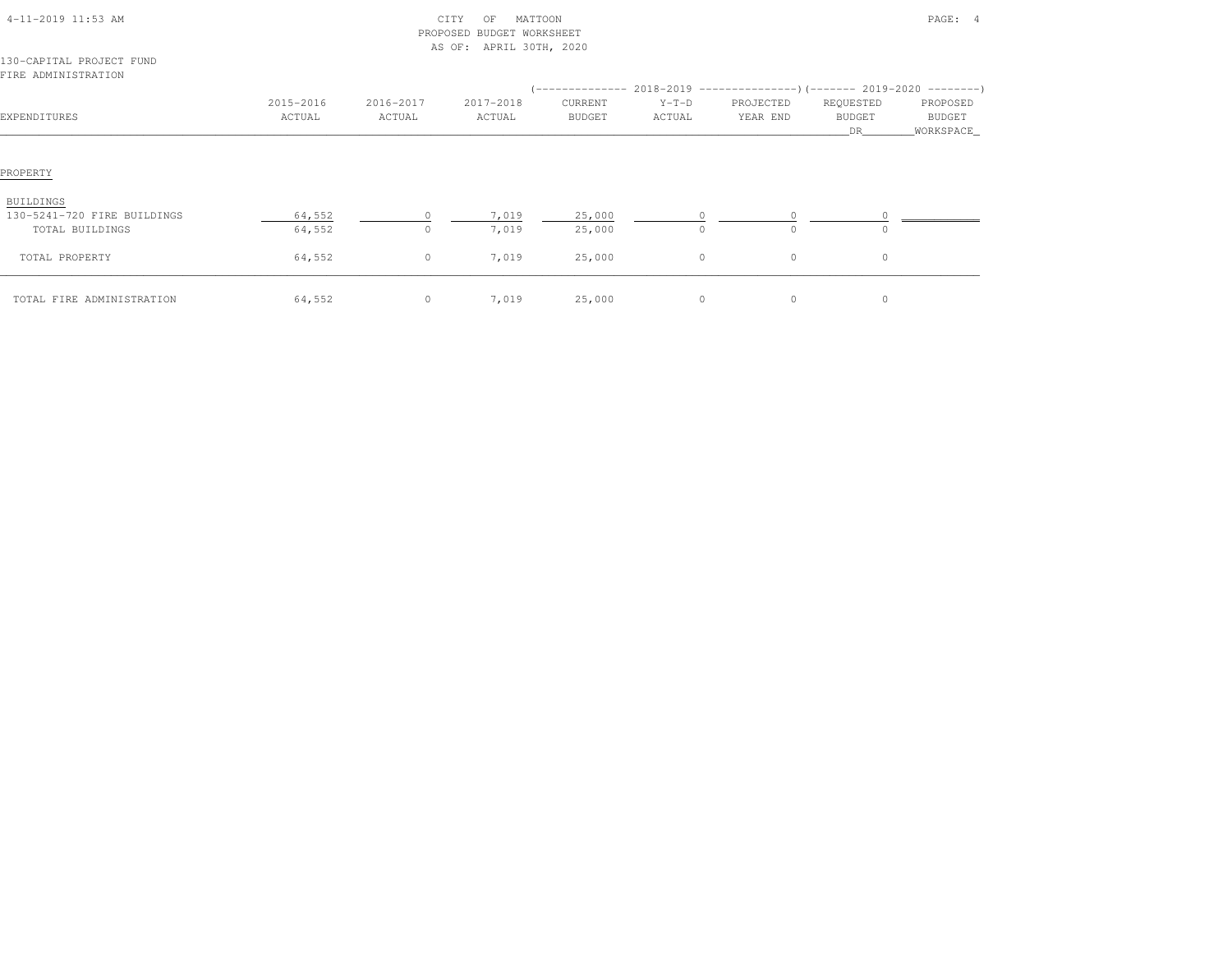| 4-11-2019 11:53 AM                              |                     | CITY<br>PROPOSED BUDGET WORKSHEET<br>AS OF: APRIL 30TH, 2020 |                     | PAGE: 4                  |                   |                       |                                  |                                  |
|-------------------------------------------------|---------------------|--------------------------------------------------------------|---------------------|--------------------------|-------------------|-----------------------|----------------------------------|----------------------------------|
| 130-CAPITAL PROJECT FUND<br>FIRE ADMINISTRATION |                     |                                                              |                     |                          |                   |                       |                                  |                                  |
| EXPENDITURES                                    | 2015-2016<br>ACTUAL | 2016-2017<br>ACTUAL                                          | 2017-2018<br>ACTUAL | CURRENT<br><b>BUDGET</b> | $Y-T-D$<br>ACTUAL | PROJECTED<br>YEAR END | REQUESTED<br><b>BUDGET</b><br>DR | PROPOSED<br>BUDGET<br>WORKSPACE_ |
| PROPERTY                                        |                     |                                                              |                     |                          |                   |                       |                                  |                                  |
| BUILDINGS                                       |                     |                                                              |                     |                          |                   |                       |                                  |                                  |
| 130-5241-720 FIRE BUILDINGS<br>TOTAL BUILDINGS  | 64,552<br>64,552    | $\Omega$<br>$\circ$                                          | 7,019<br>7,019      | 25,000<br>25,000         | $\circ$           | 0<br>$\circ$          | 0                                |                                  |
| TOTAL PROPERTY                                  | 64,552              | $\circ$                                                      | 7,019               | 25,000                   | $\circ$           | $\circ$               | $\circ$                          |                                  |
| TOTAL FIRE ADMINISTRATION                       | 64,552              | $\circ$                                                      | 7,019               | 25,000                   | $\circ$           | $\circ$               | $\circ$                          |                                  |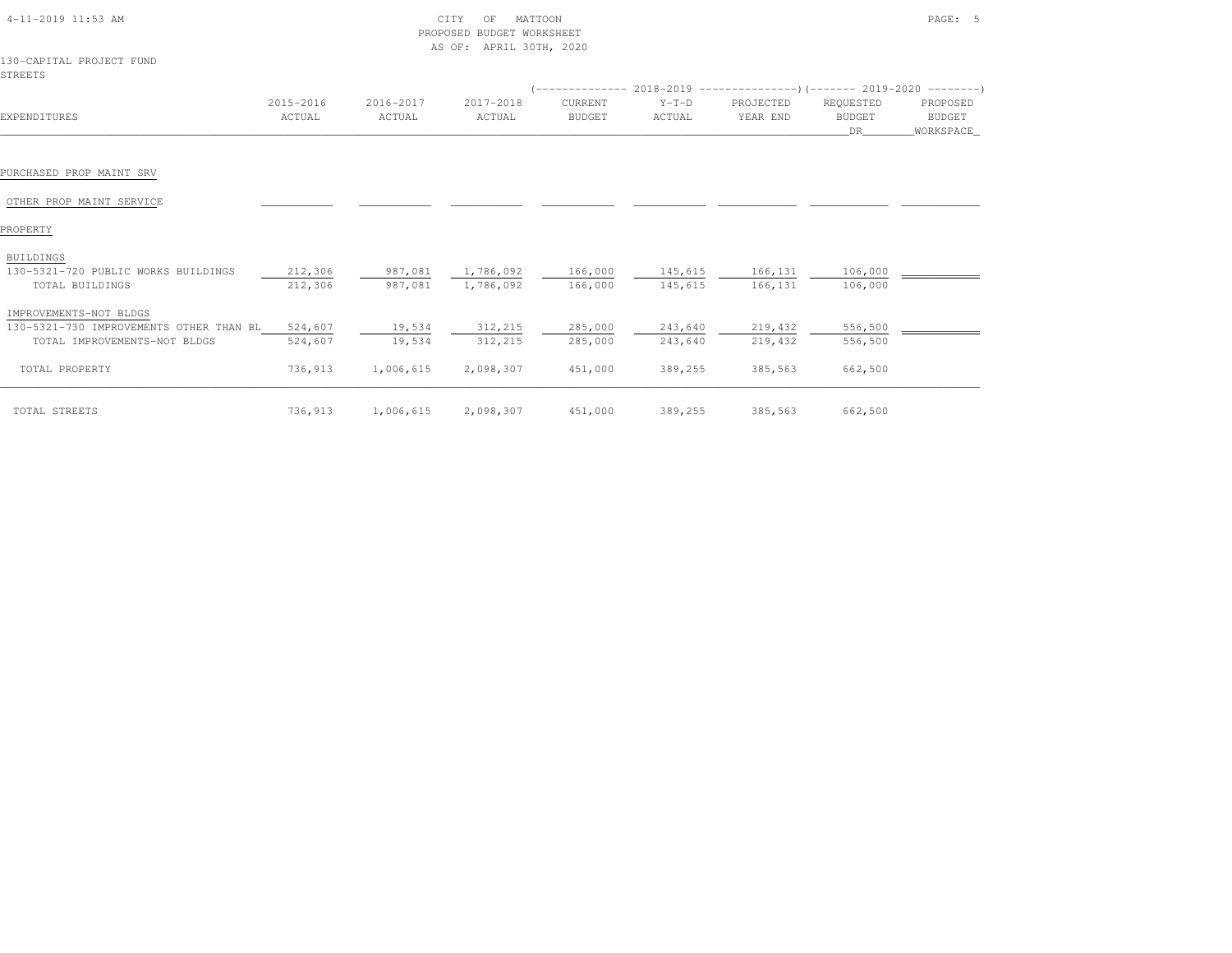| 4-11-2019 11:53 AM                                     |                     | CITY<br>PROPOSED BUDGET WORKSHEET<br>AS OF: APRIL 30TH, 2020 |                                |                          | PAGE: 5            |                       |                                  |                                 |
|--------------------------------------------------------|---------------------|--------------------------------------------------------------|--------------------------------|--------------------------|--------------------|-----------------------|----------------------------------|---------------------------------|
| 130-CAPITAL PROJECT FUND<br>STREETS                    |                     |                                                              |                                |                          |                    |                       |                                  |                                 |
| EXPENDITURES                                           | 2015-2016<br>ACTUAL | 2016-2017<br>ACTUAL                                          | 2017-2018<br>ACTUAL            | CURRENT<br><b>BUDGET</b> | $Y-T-D$<br>ACTUAL  | PROJECTED<br>YEAR END | REQUESTED<br><b>BUDGET</b><br>DR | PROPOSED<br>BUDGET<br>WORKSPACE |
|                                                        |                     |                                                              |                                |                          |                    |                       |                                  |                                 |
| PURCHASED PROP MAINT SRV                               |                     |                                                              |                                |                          |                    |                       |                                  |                                 |
| OTHER PROP MAINT SERVICE                               |                     |                                                              |                                |                          |                    |                       |                                  |                                 |
| PROPERTY                                               |                     |                                                              |                                |                          |                    |                       |                                  |                                 |
| <b>BUILDINGS</b>                                       |                     |                                                              |                                |                          |                    |                       |                                  |                                 |
| 130-5321-720 PUBLIC WORKS BUILDINGS<br>TOTAL BUILDINGS | 212,306<br>212,306  | 987,081<br>987,081                                           | 1,786,092 166,000<br>1,786,092 | 166,000                  | 145,615<br>145,615 | 166, 131<br>166,131   | 106,000<br>106,000               |                                 |
| IMPROVEMENTS-NOT BLDGS                                 |                     |                                                              |                                |                          |                    |                       |                                  |                                 |
| 130-5321-730 IMPROVEMENTS OTHER THAN BL 524,607        |                     | 19,534                                                       | 312,215                        | 285,000                  | 243,640            | 219,432               | 556,500                          |                                 |
| TOTAL IMPROVEMENTS-NOT BLDGS                           | 524,607             | 19,534                                                       | 312, 215                       | 285,000                  | 243,640            | 219,432               | 556,500                          |                                 |
| TOTAL PROPERTY                                         | 736,913             | 1,006,615                                                    | 2,098,307                      | 451,000                  | 389,255            | 385,563               | 662,500                          |                                 |
| TOTAL STREETS                                          | 736,913             | 1,006,615                                                    | 2,098,307                      | 451,000                  | 389,255            | 385,563               | 662,500                          |                                 |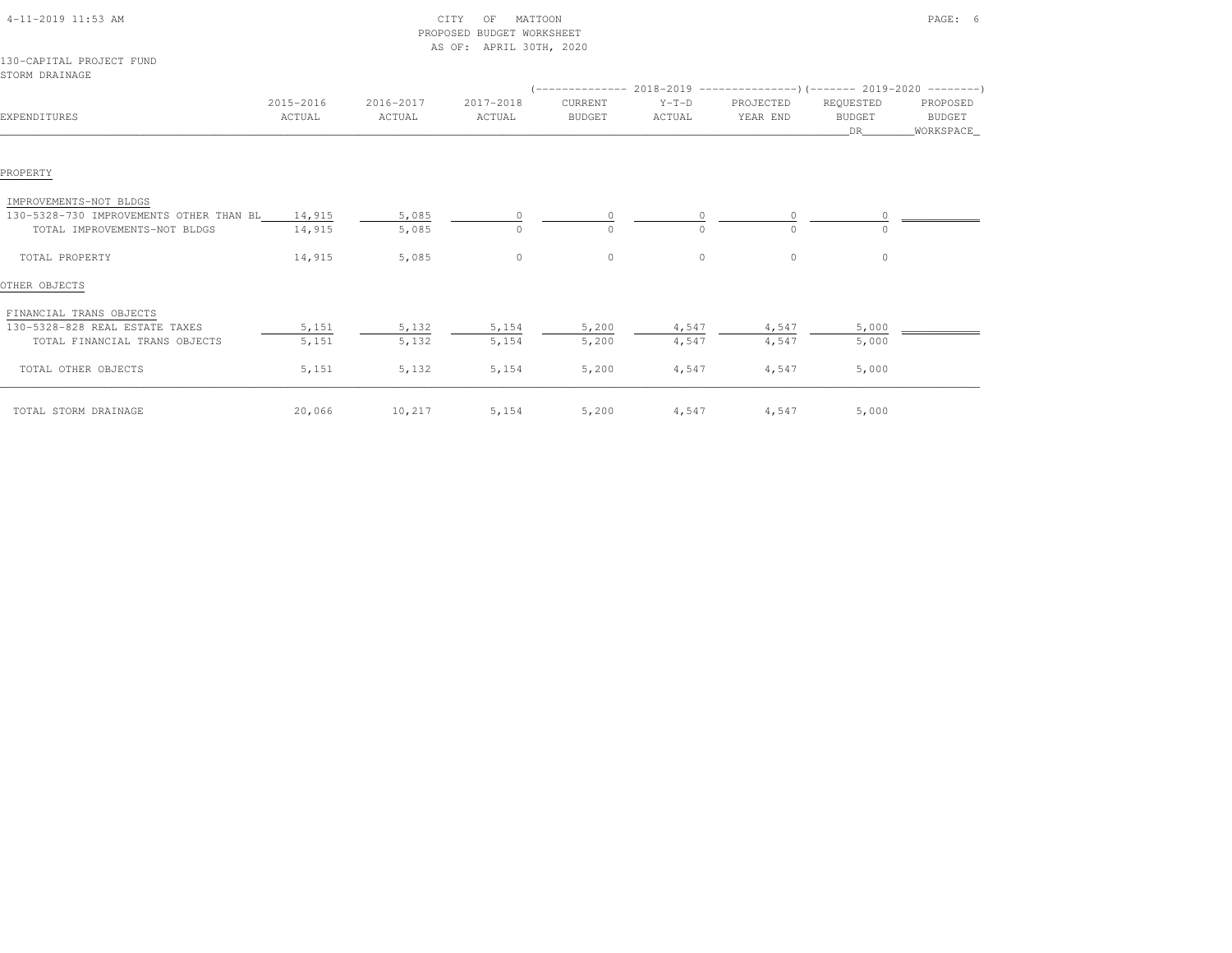|                                            |                     |                     | PROPOSED BUDGET WORKSHEET |                          |                   |                       |                                  |                                 |
|--------------------------------------------|---------------------|---------------------|---------------------------|--------------------------|-------------------|-----------------------|----------------------------------|---------------------------------|
| 130-CAPITAL PROJECT FUND<br>STORM DRAINAGE |                     |                     | AS OF: APRIL 30TH, 2020   |                          |                   |                       |                                  |                                 |
| EXPENDITURES                               | 2015-2016<br>ACTUAL | 2016-2017<br>ACTUAL | 2017-2018<br>ACTUAL       | CURRENT<br><b>BUDGET</b> | $Y-T-D$<br>ACTUAL | PROJECTED<br>YEAR END | REQUESTED<br><b>BUDGET</b><br>DR | PROPOSED<br>BUDGET<br>WORKSPACE |
|                                            |                     |                     |                           |                          |                   |                       |                                  |                                 |
| PROPERTY                                   |                     |                     |                           |                          |                   |                       |                                  |                                 |
| IMPROVEMENTS-NOT BLDGS                     |                     |                     |                           |                          |                   |                       |                                  |                                 |
| 130-5328-730 IMPROVEMENTS OTHER THAN BL    | 14,915              | 5,085               |                           |                          |                   |                       |                                  |                                 |
| TOTAL IMPROVEMENTS-NOT BLDGS               | 14,915              | 5,085               | $\cap$                    | $\Omega$                 | $\Omega$          | $\Omega$              |                                  |                                 |
| TOTAL PROPERTY                             | 14,915              | 5,085               | $\circ$                   | $\circ$                  | $\circ$           | $\circ$               | $\circ$                          |                                 |
| OTHER OBJECTS                              |                     |                     |                           |                          |                   |                       |                                  |                                 |
| FINANCIAL TRANS OBJECTS                    |                     |                     |                           |                          |                   |                       |                                  |                                 |
| 130-5328-828 REAL ESTATE TAXES             | 5,151               | 5,132               | 5,154                     | 5,200                    | 4,547             | 4,547                 | 5,000                            |                                 |
| TOTAL FINANCIAL TRANS OBJECTS              | 5,151               | 5,132               | 5,154                     | 5,200                    | 4,547             | 4,547                 | 5,000                            |                                 |
| TOTAL OTHER OBJECTS                        | 5,151               | 5,132               | 5,154                     | 5,200                    | 4,547             | 4,547                 | 5,000                            |                                 |
| TOTAL STORM DRAINAGE                       | 20,066              | 10,217              | 5,154                     | 5,200                    | 4,547             | 4,547                 | 5,000                            |                                 |

4-11-2019 11:53 AM CITY OF MATTOON PAGE: 6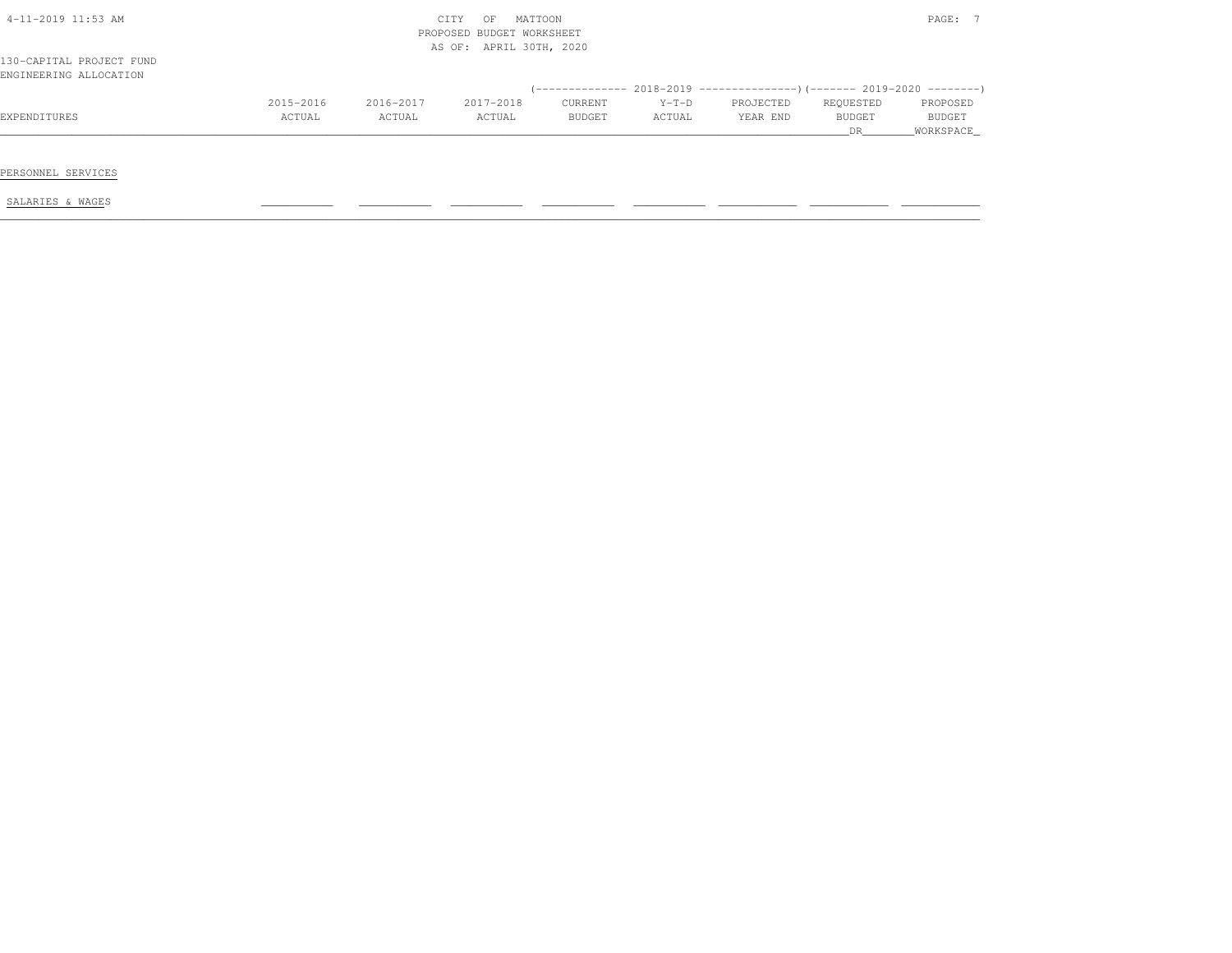| $4-11-2019$ 11:53 AM                               |           | CITY<br>PROPOSED BUDGET WORKSHEET<br>AS OF: APRIL 30TH, 2020 |           | PAGE: 7 |         |           |              |                            |
|----------------------------------------------------|-----------|--------------------------------------------------------------|-----------|---------|---------|-----------|--------------|----------------------------|
| 130-CAPITAL PROJECT FUND<br>ENGINEERING ALLOCATION |           |                                                              |           |         |         |           |              |                            |
|                                                    | 2015-2016 | 2016-2017                                                    | 2017-2018 | CURRENT | $Y-T-D$ | PROJECTED | REQUESTED    | PROPOSED                   |
| EXPENDITURES                                       | ACTUAL    | ACTUAL                                                       | ACTUAL    | BUDGET  | ACTUAL  | YEAR END  | BUDGET<br>DR | <b>BUDGET</b><br>WORKSPACE |
|                                                    |           |                                                              |           |         |         |           |              |                            |
| PERSONNEL SERVICES                                 |           |                                                              |           |         |         |           |              |                            |
| SALARIES & WAGES                                   |           |                                                              |           |         |         |           |              |                            |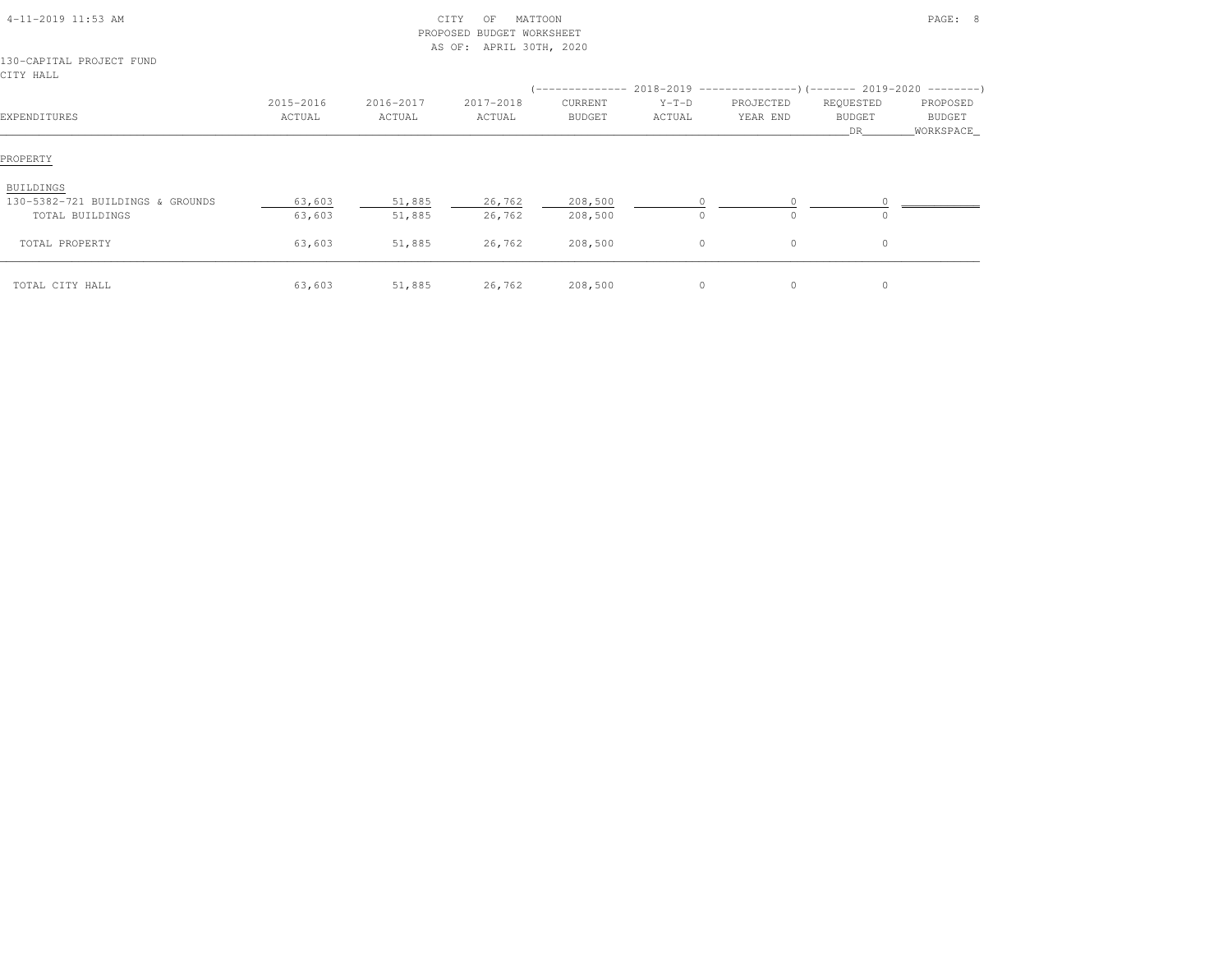| 4-11-2019 11:53 AM                                               |                     | CITY<br>PROPOSED<br>AS OF: |                     |                    | PAGE: 8                                                                                         |                          |                                   |                                         |
|------------------------------------------------------------------|---------------------|----------------------------|---------------------|--------------------|-------------------------------------------------------------------------------------------------|--------------------------|-----------------------------------|-----------------------------------------|
| 130-CAPITAL PROJECT FUND<br>CITY HALL                            |                     |                            | APRIL 30TH, 2020    |                    |                                                                                                 |                          |                                   |                                         |
| EXPENDITURES                                                     | 2015-2016<br>ACTUAL | 2016-2017<br>ACTUAL        | 2017-2018<br>ACTUAL | CURRENT<br>BUDGET  | (-------------- 2018-2019 -----------------) (------- 2019-2020 ---------)<br>$Y-T-D$<br>ACTUAL | PROJECTED<br>YEAR END    | REQUESTED<br><b>BUDGET</b><br>DR. | PROPOSED<br><b>BUDGET</b><br>WORKSPACE_ |
| PROPERTY                                                         |                     |                            |                     |                    |                                                                                                 |                          |                                   |                                         |
| BUILDINGS<br>130-5382-721 BUILDINGS & GROUNDS<br>TOTAL BUILDINGS | 63,603<br>63,603    | 51,885<br>51,885           | 26,762<br>26,762    | 208,500<br>208,500 | $\Omega$<br>$\circ$                                                                             | <sup>n</sup><br>$\Omega$ |                                   |                                         |
| TOTAL PROPERTY                                                   | 63,603              | 51,885                     | 26,762              | 208,500            | $\circ$                                                                                         | 0                        | $\circ$                           |                                         |
| TOTAL CITY HALL                                                  | 63,603              | 51,885                     | 26,762              | 208,500            | $\circ$                                                                                         | 0                        | $\circ$                           |                                         |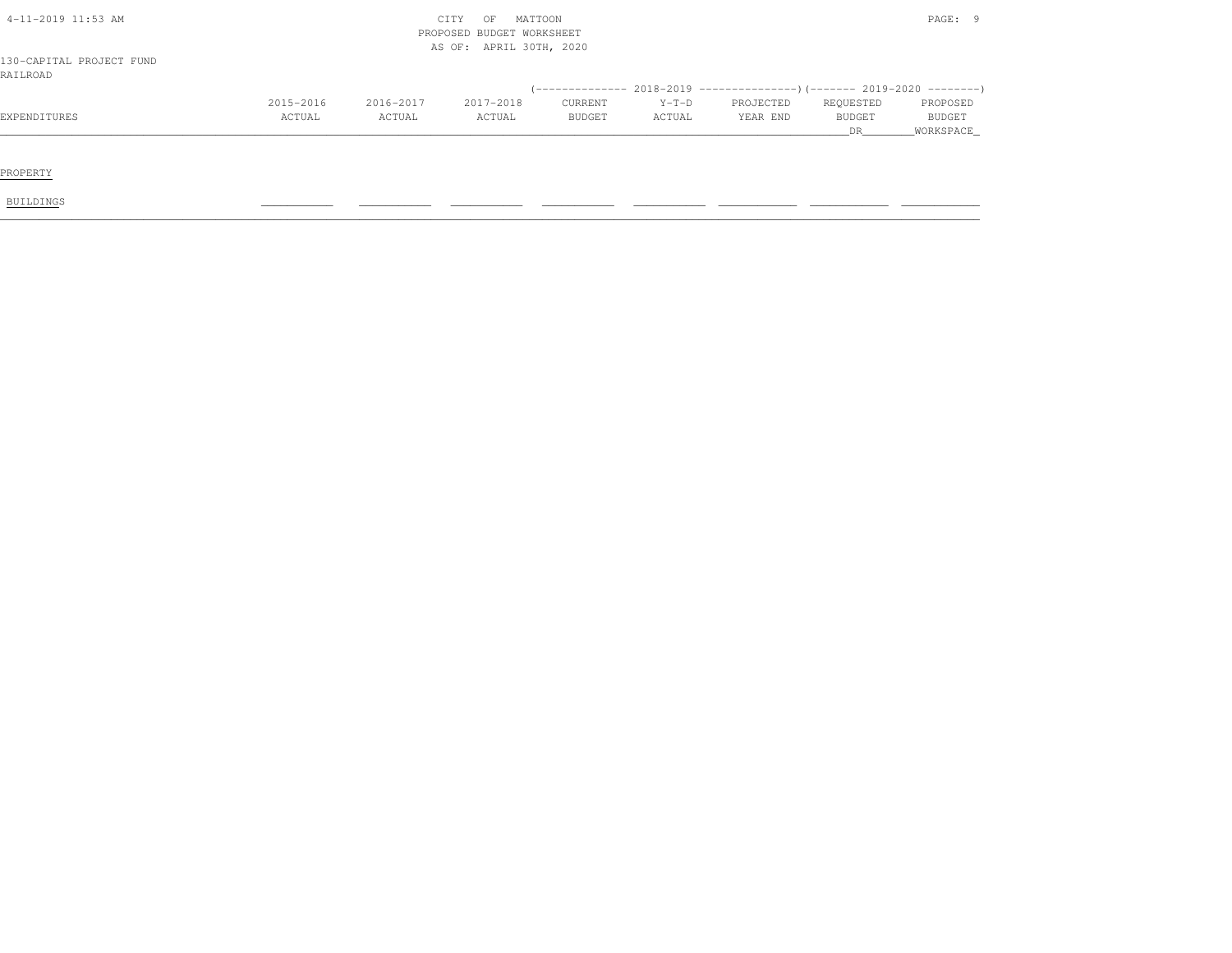| PROPERTY                             |           |           |                           |         |         |           |               |             |
|--------------------------------------|-----------|-----------|---------------------------|---------|---------|-----------|---------------|-------------|
|                                      |           |           |                           |         |         |           |               |             |
|                                      |           |           |                           |         |         |           | DR            | _WORKSPACE_ |
| EXPENDITURES                         | ACTUAL    | ACTUAL    | ACTUAL                    | BUDGET  | ACTUAL  | YEAR END  | <b>BUDGET</b> | BUDGET      |
|                                      | 2015-2016 | 2016-2017 | 2017-2018                 | CURRENT | $Y-T-D$ | PROJECTED | REQUESTED     | PROPOSED    |
|                                      |           |           |                           |         |         |           |               |             |
| 130-CAPITAL PROJECT FUND<br>RAILROAD |           |           |                           |         |         |           |               |             |
|                                      |           |           | AS OF: APRIL 30TH, 2020   |         |         |           |               |             |
|                                      |           |           | PROPOSED BUDGET WORKSHEET |         |         |           |               |             |
| $4-11-2019$ 11:53 AM                 |           |           | MATTOON<br>OF<br>CITY     |         |         |           |               | PAGE: 9     |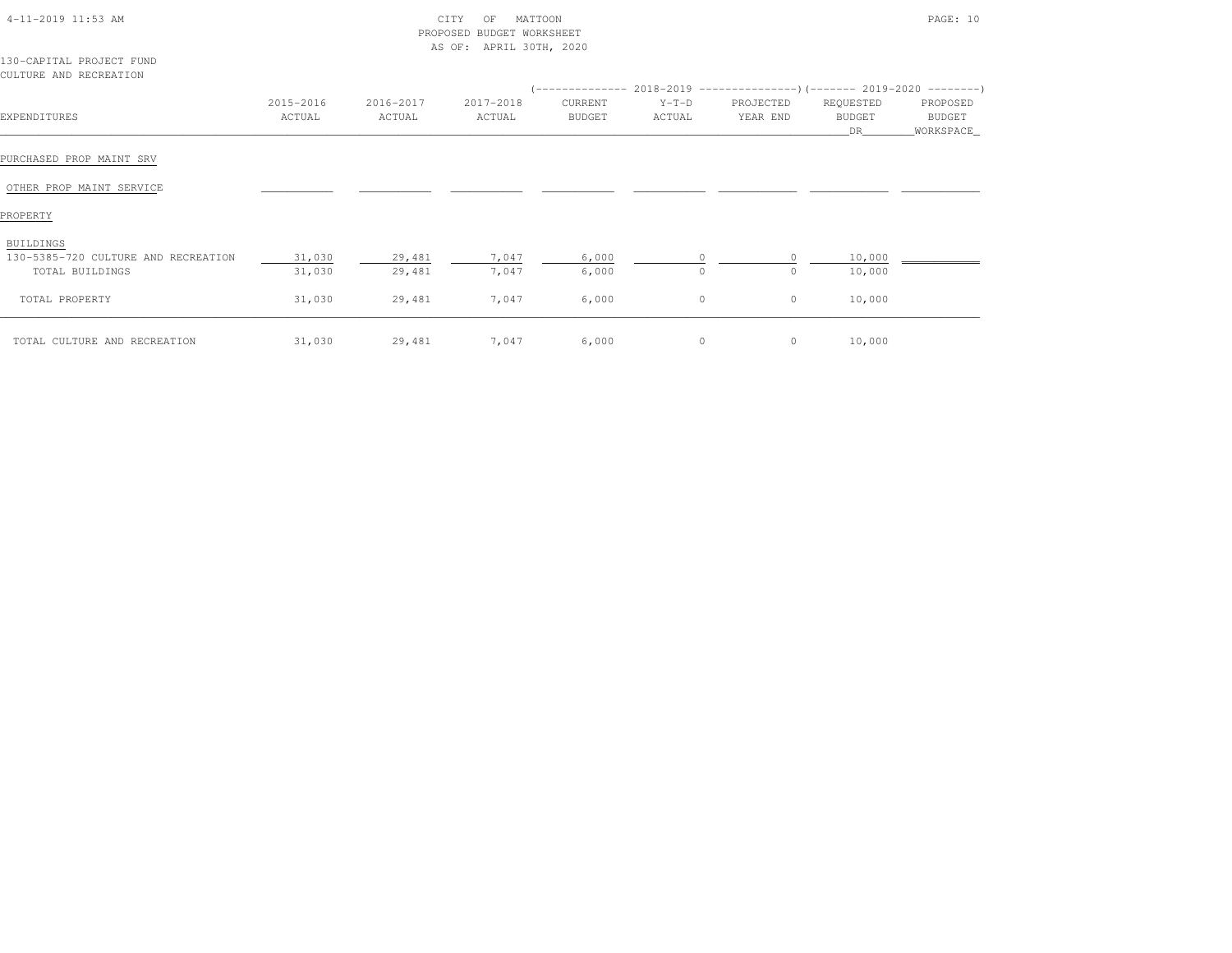| 4-11-2019 11:53 AM                                 |           |           | MATTOON<br>CITY<br>OF<br>PROPOSED BUDGET WORKSHEET<br>AS OF: APRIL 30TH, 2020 |         |         |                                                                          |                      | PAGE: 10            |
|----------------------------------------------------|-----------|-----------|-------------------------------------------------------------------------------|---------|---------|--------------------------------------------------------------------------|----------------------|---------------------|
| 130-CAPITAL PROJECT FUND<br>CULTURE AND RECREATION |           |           |                                                                               |         |         |                                                                          |                      |                     |
|                                                    |           |           |                                                                               |         |         | (-------------- 2018-2019 ----------------)(------- 2019-2020 ---------) |                      |                     |
|                                                    | 2015-2016 | 2016-2017 | 2017-2018                                                                     | CURRENT | $Y-T-D$ | PROJECTED                                                                | REQUESTED            | PROPOSED            |
| EXPENDITURES                                       | ACTUAL    | ACTUAL    | ACTUAL                                                                        | BUDGET  | ACTUAL  | YEAR END                                                                 | <b>BUDGET</b><br>DR. | BUDGET<br>WORKSPACE |
| PURCHASED PROP MAINT SRV                           |           |           |                                                                               |         |         |                                                                          |                      |                     |
| OTHER PROP MAINT SERVICE                           |           |           |                                                                               |         |         |                                                                          |                      |                     |

130-5385-720 CULTURE AND RECREATION 31,030 29,481 7,047 6,000 0 0 0 10,000 \_\_\_\_\_\_\_\_\_\_\_\_

\_\_\_\_\_\_\_\_\_\_\_\_\_\_\_\_\_\_\_\_\_\_\_\_\_\_\_\_\_\_\_\_\_\_\_\_\_\_\_\_\_\_\_\_\_\_\_\_\_\_\_\_\_\_\_\_\_\_\_\_\_\_\_\_\_\_\_\_\_\_\_\_\_\_\_\_\_\_\_\_\_\_\_\_\_\_\_\_\_\_\_\_\_\_\_\_\_\_\_\_\_\_\_\_\_\_\_\_\_\_\_\_\_\_\_\_\_\_\_\_\_\_\_\_\_\_\_\_\_\_\_\_\_\_\_\_\_\_\_\_\_\_\_\_\_\_\_\_\_\_ TOTAL CULTURE AND RECREATION 31,030 29,481 7,047 6,000 0 0 10,000

-5385-720 CULTURE AND RECREATION  $\frac{31,030}{31,030}$   $\frac{29,481}{29,481}$   $\frac{7,047}{7,047}$   $\frac{6,000}{6,000}$   $\frac{0}{0}$   $\frac{0}{0}$  10,000

TOTAL PROPERTY 31,030 29,481 7,047 6,000 0 0 10,000

PROPERTYBUILDINGS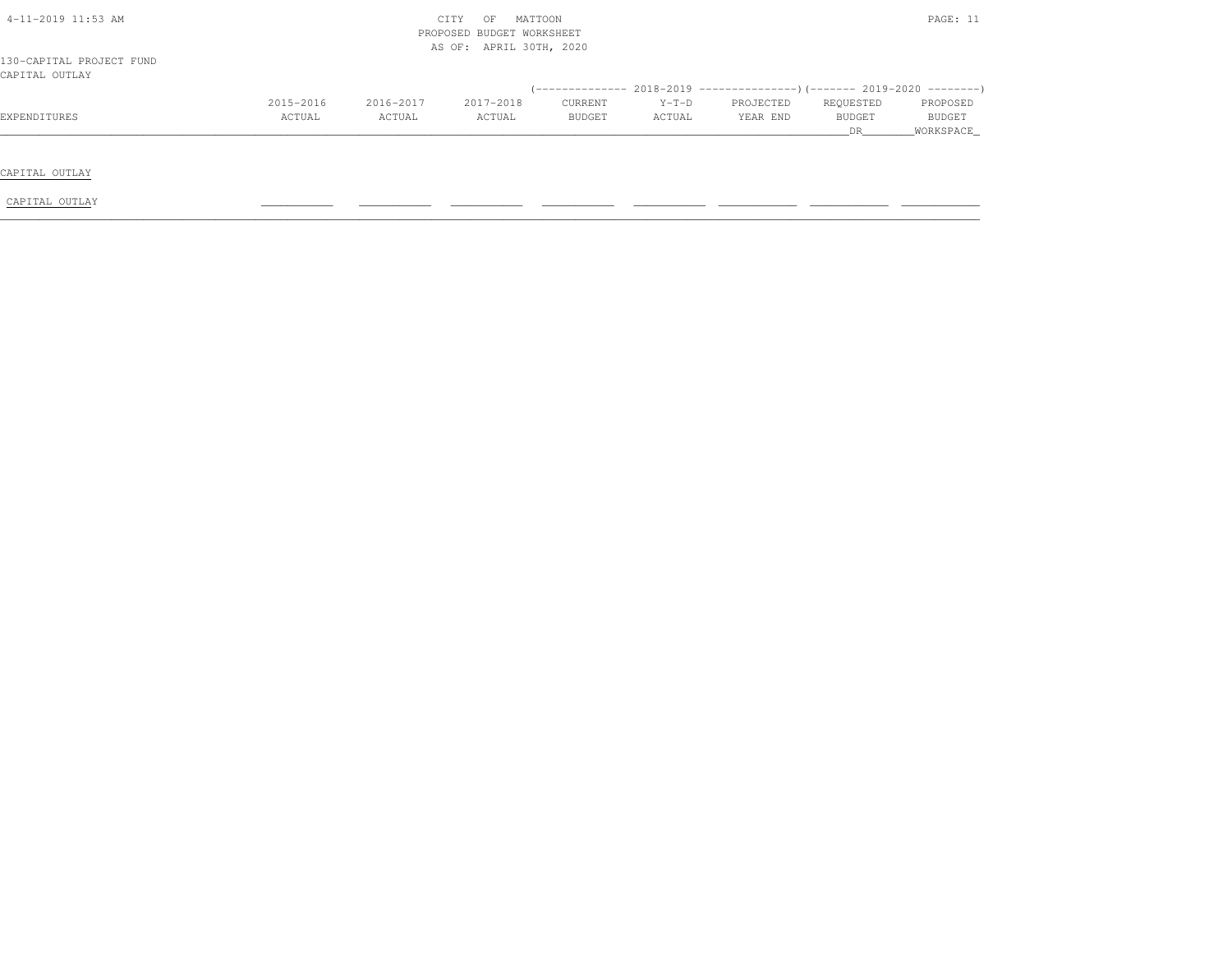| $4-11-2019$ $11:53$ AM<br>130-CAPITAL PROJECT FUND |           |           | MATTOON<br>CITY<br>OF<br>PROPOSED BUDGET WORKSHEET<br>AS OF: APRIL 30TH, 2020 |               |         |                                                                              |           | PAGE: 11      |
|----------------------------------------------------|-----------|-----------|-------------------------------------------------------------------------------|---------------|---------|------------------------------------------------------------------------------|-----------|---------------|
| CAPITAL OUTLAY                                     |           |           |                                                                               |               |         | $($ -------------- 2018-2019 ----------------) (------- 2019-2020 ---------) |           |               |
|                                                    | 2015-2016 | 2016-2017 | 2017-2018                                                                     | CURRENT       | $Y-T-D$ | PROJECTED                                                                    | REQUESTED | PROPOSED      |
| EXPENDITURES                                       | ACTUAL    | ACTUAL    | ACTUAL                                                                        | <b>BUDGET</b> | ACTUAL  | YEAR END                                                                     | BUDGET    | <b>BUDGET</b> |
|                                                    |           |           |                                                                               |               |         |                                                                              | DR.       | WORKSPACE     |
|                                                    |           |           |                                                                               |               |         |                                                                              |           |               |
| CAPITAL OUTLAY                                     |           |           |                                                                               |               |         |                                                                              |           |               |
| CAPITAL OUTLAY                                     |           |           |                                                                               |               |         |                                                                              |           |               |
|                                                    |           |           |                                                                               |               |         |                                                                              |           |               |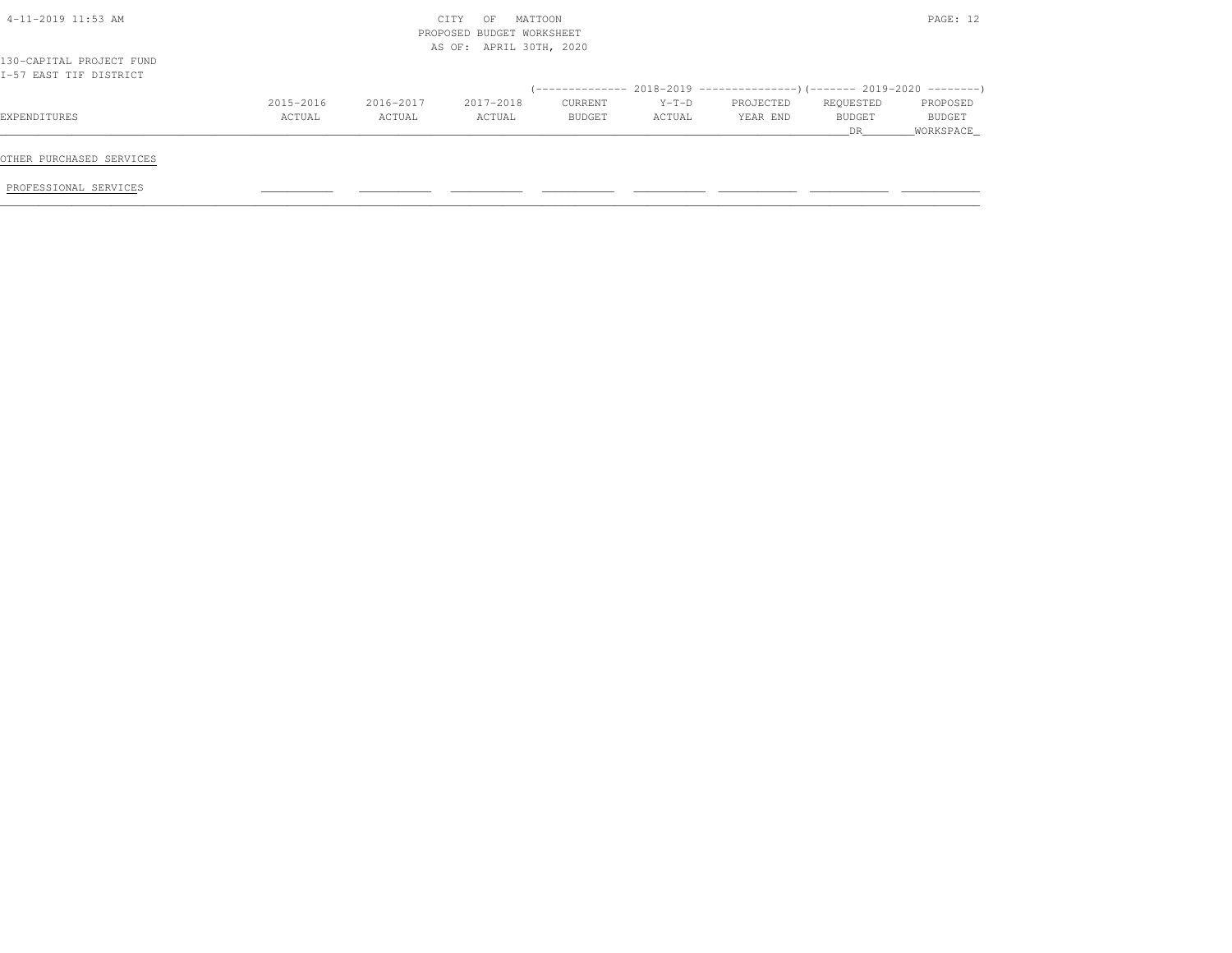|                                                    |           |           | CITY<br>OF<br>MATTOON<br>PROPOSED BUDGET WORKSHEET<br>AS OF: APRIL 30TH, 2020 |         |         |           |           | PAGE: 12  |
|----------------------------------------------------|-----------|-----------|-------------------------------------------------------------------------------|---------|---------|-----------|-----------|-----------|
| 130-CAPITAL PROJECT FUND<br>I-57 EAST TIF DISTRICT |           |           |                                                                               |         |         |           |           |           |
|                                                    |           |           |                                                                               |         |         |           |           |           |
|                                                    | 2015-2016 | 2016-2017 | 2017-2018                                                                     | CURRENT | $Y-T-D$ | PROJECTED | REQUESTED | PROPOSED  |
| EXPENDITURES                                       | ACTUAL    | ACTUAL    | ACTUAL                                                                        | BUDGET  | ACTUAL  | YEAR END  | BUDGET    | BUDGET    |
|                                                    |           |           |                                                                               |         |         |           | DR.       | WORKSPACE |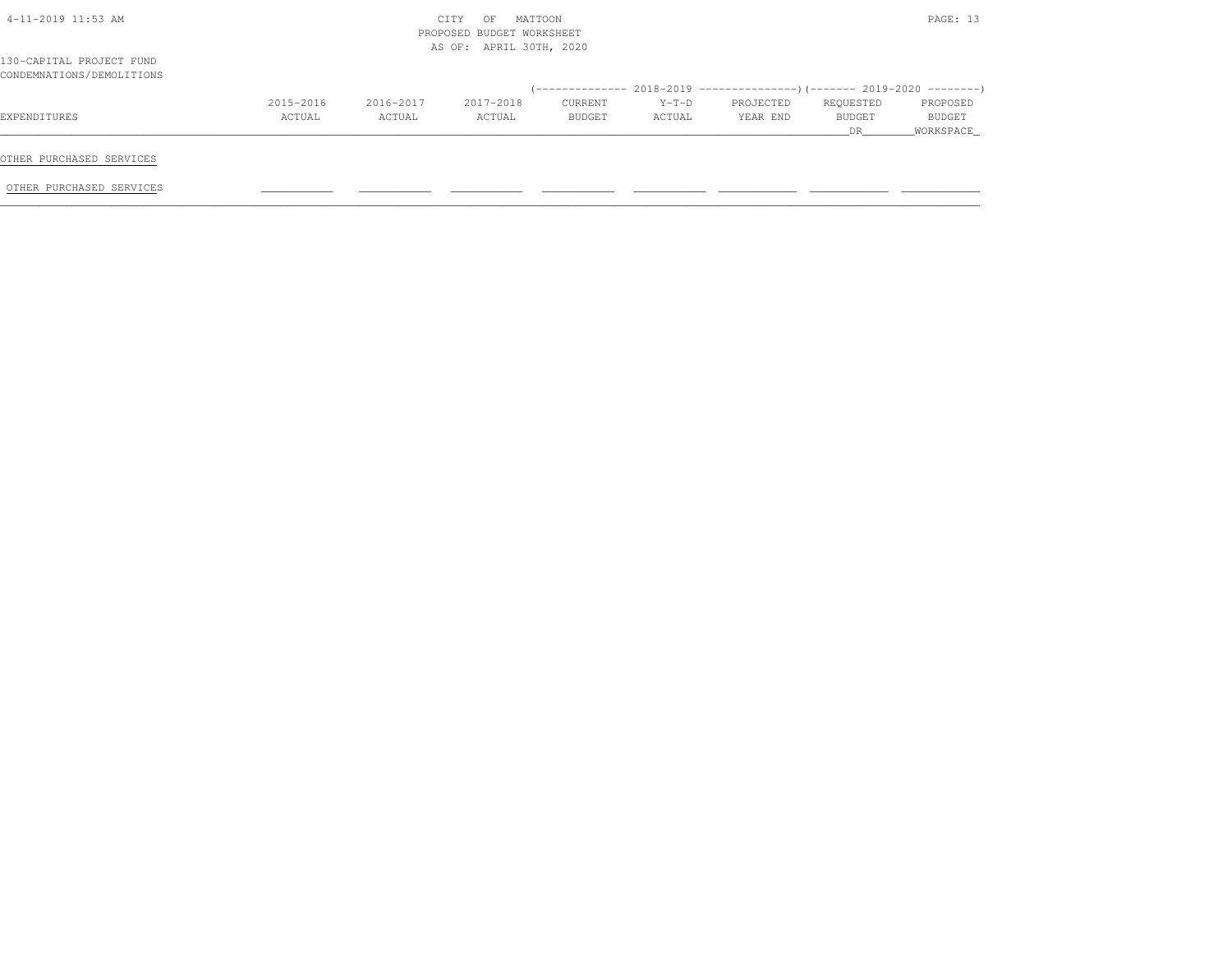| 4-11-2019 11:53 AM                                    |           |           | CITY<br>MATTOON<br>OF<br>PROPOSED BUDGET WORKSHEET<br>AS OF: APRIL 30TH, 2020 |         |         |           |           | PAGE: 13  |
|-------------------------------------------------------|-----------|-----------|-------------------------------------------------------------------------------|---------|---------|-----------|-----------|-----------|
| 130-CAPITAL PROJECT FUND<br>CONDEMNATIONS/DEMOLITIONS |           |           |                                                                               |         |         |           |           |           |
|                                                       |           |           |                                                                               |         |         |           |           |           |
|                                                       | 2015-2016 | 2016-2017 | 2017-2018                                                                     | CURRENT | $Y-T-D$ | PROJECTED | REQUESTED | PROPOSED  |
|                                                       | ACTUAL    | ACTUAL    | ACTUAL                                                                        | BUDGET  | ACTUAL  | YEAR END  | BUDGET    | BUDGET    |
|                                                       |           |           |                                                                               |         |         |           | DR        | WORKSPACE |
| EXPENDITURES<br>OTHER PURCHASED SERVICES              |           |           |                                                                               |         |         |           |           |           |
| OTHER PURCHASED SERVICES                              |           |           |                                                                               |         |         |           |           |           |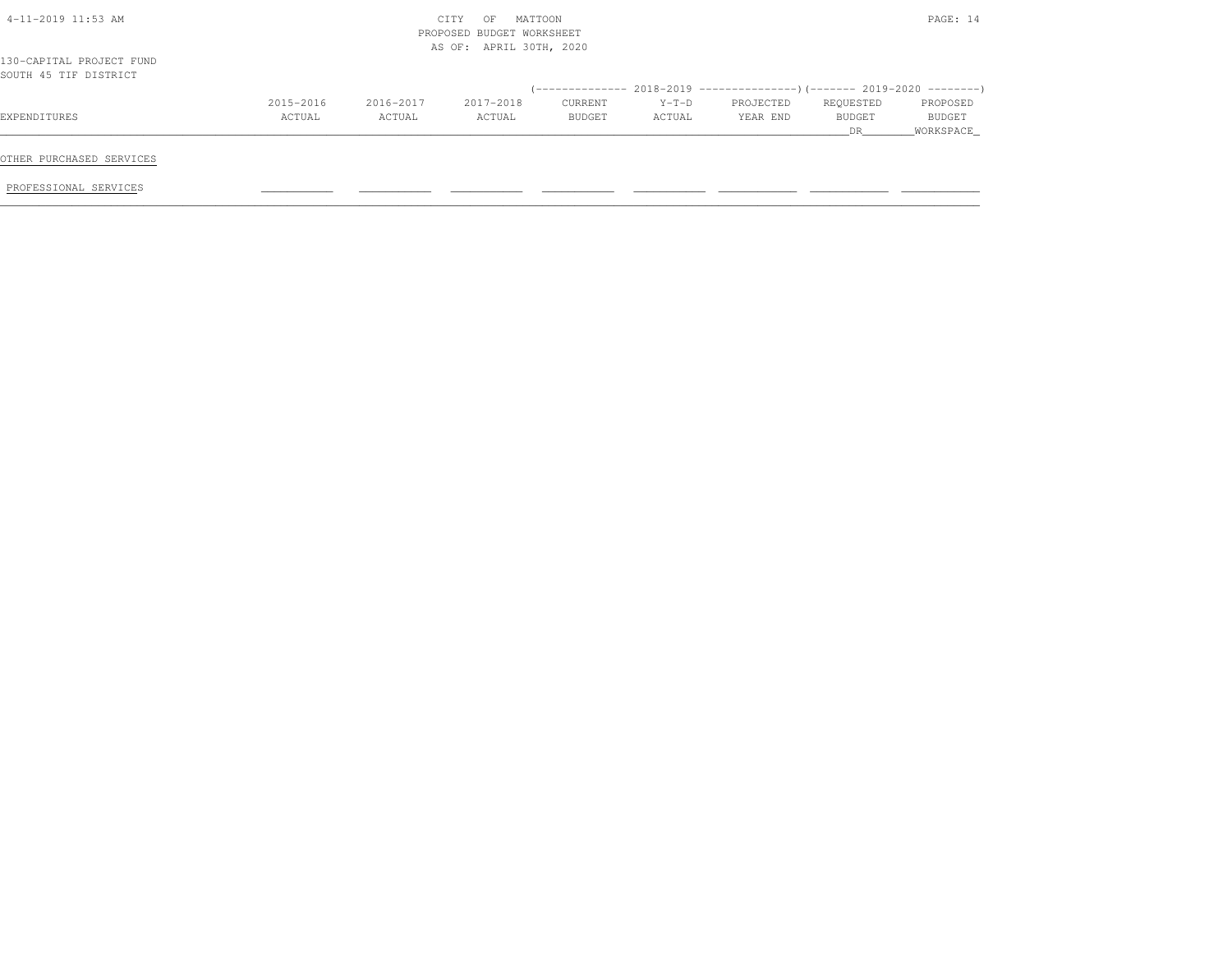|                                                   |           |           | MATTOON<br>CITY<br>OF<br>PROPOSED BUDGET WORKSHEET<br>AS OF: APRIL 30TH, 2020 |         |         |           |           | PAGE: 14  |
|---------------------------------------------------|-----------|-----------|-------------------------------------------------------------------------------|---------|---------|-----------|-----------|-----------|
| 130-CAPITAL PROJECT FUND<br>SOUTH 45 TIF DISTRICT |           |           |                                                                               |         |         |           |           |           |
|                                                   |           |           |                                                                               |         |         |           |           |           |
|                                                   | 2015-2016 | 2016-2017 | 2017-2018                                                                     | CURRENT | $Y-T-D$ | PROJECTED | REQUESTED | PROPOSED  |
| EXPENDITURES                                      | ACTUAL    | ACTUAL    | ACTUAL                                                                        | BUDGET  | ACTUAL  | YEAR END  | BUDGET    | BUDGET    |
|                                                   |           |           |                                                                               |         |         |           | DR.       | WORKSPACE |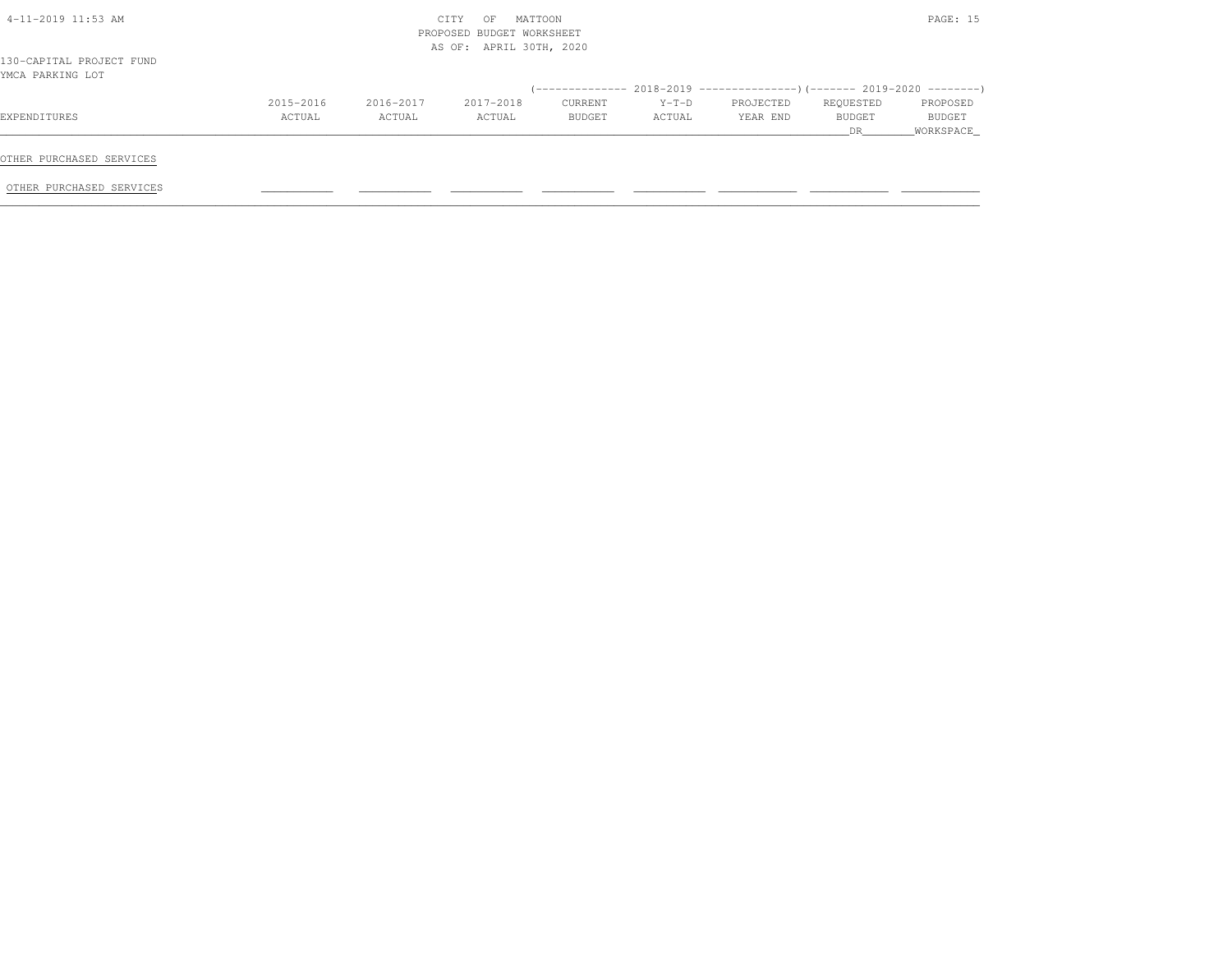| AS OF: APRIL 30TH, 2020<br>130-CAPITAL PROJECT FUND                        |                |                     |
|----------------------------------------------------------------------------|----------------|---------------------|
| YMCA PARKING LOT                                                           |                |                     |
| 2016-2017<br>2017-2018<br>2015-2016<br>PROJECTED<br>CURRENT<br>$Y-T-D$     | REQUESTED      | PROPOSED            |
| ACTUAL<br>ACTUAL<br>YEAR END<br>ACTUAL<br>ACTUAL<br>BUDGET<br>EXPENDITURES | BUDGET<br>DR . | BUDGET<br>WORKSPACE |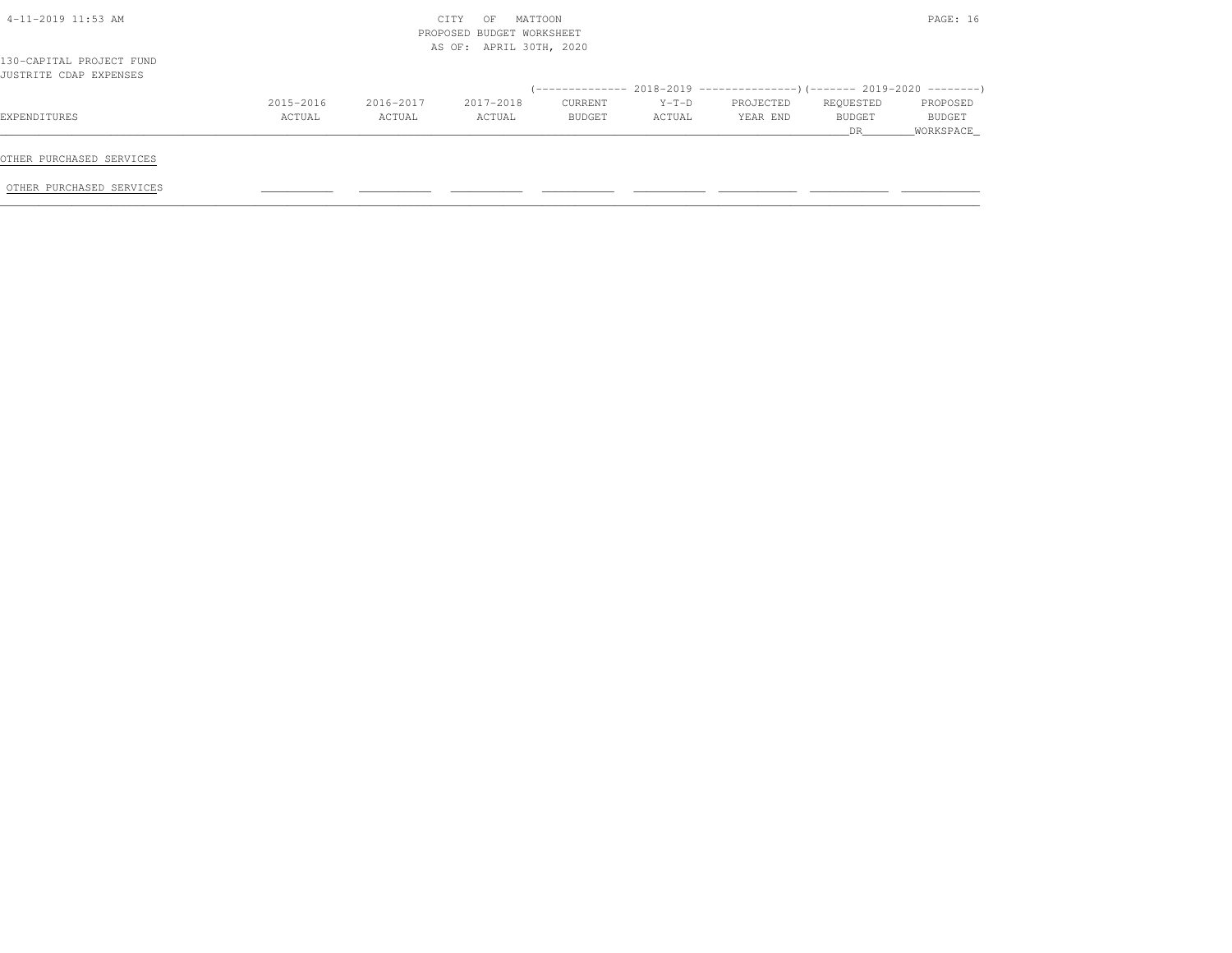|           |           | MATTOON<br>CITY<br>OF |         |                                                      |           |           | PAGE: 16      |
|-----------|-----------|-----------------------|---------|------------------------------------------------------|-----------|-----------|---------------|
|           |           |                       |         |                                                      |           |           |               |
|           |           |                       |         |                                                      |           |           |               |
| 2015-2016 | 2016-2017 | 2017-2018             | CURRENT | $Y-T-D$                                              | PROJECTED | REQUESTED | PROPOSED      |
| ACTUAL    | ACTUAL    | ACTUAL                | BUDGET  | ACTUAL                                               | YEAR END  | BUDGET    | <b>BUDGET</b> |
|           |           |                       |         |                                                      |           | DR        | WORKSPACE     |
|           |           |                       |         | PROPOSED BUDGET WORKSHEET<br>AS OF: APRIL 30TH, 2020 |           |           |               |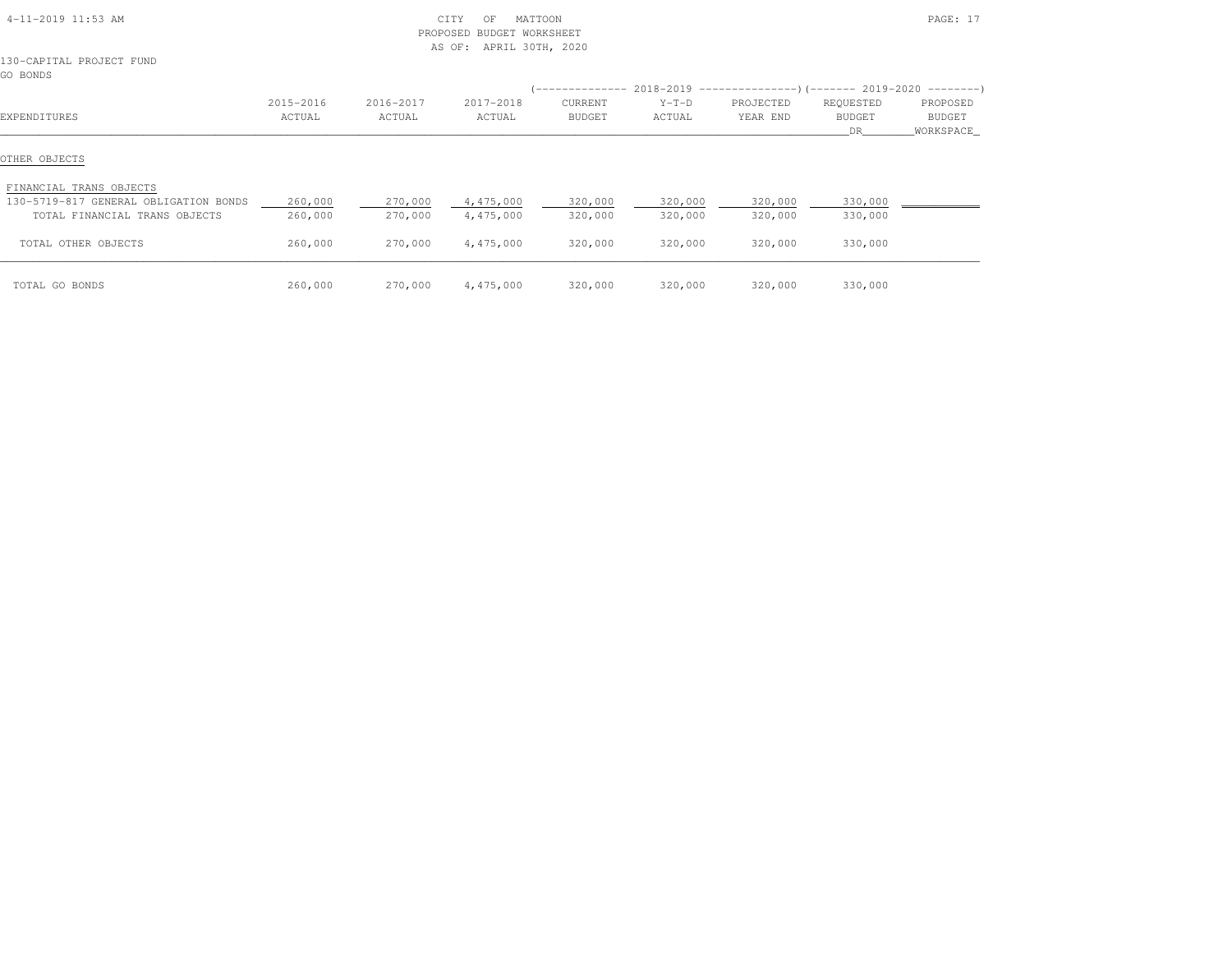| 4-11-2019 11:53 AM                                               |           | PROPOSED  | CITY<br>MATTOON<br>OF<br>BUDGET WORKSHEET<br>AS OF: APRIL 30TH, 2020 |               |                                                                                         |           |                      | PAGE: 17                   |
|------------------------------------------------------------------|-----------|-----------|----------------------------------------------------------------------|---------------|-----------------------------------------------------------------------------------------|-----------|----------------------|----------------------------|
| 130-CAPITAL PROJECT FUND<br>GO BONDS                             |           |           |                                                                      |               |                                                                                         |           |                      |                            |
|                                                                  | 2015-2016 | 2016-2017 | 2017-2018                                                            | CURRENT       | $(-$ ------------- 2018-2019 -----------------)(------- 2019-2020 ---------)<br>$Y-T-D$ | PROJECTED | REQUESTED            | PROPOSED                   |
| EXPENDITURES                                                     | ACTUAL    | ACTUAL    | ACTUAL                                                               | <b>BUDGET</b> | ACTUAL                                                                                  | YEAR END  | <b>BUDGET</b><br>DR. | <b>BUDGET</b><br>WORKSPACE |
| OTHER OBJECTS                                                    |           |           |                                                                      |               |                                                                                         |           |                      |                            |
| FINANCIAL TRANS OBJECTS<br>130-5719-817 GENERAL OBLIGATION BONDS | 260,000   | 270,000   | 4,475,000                                                            | 320,000       | 320,000                                                                                 | 320,000   | 330,000              |                            |
| TOTAL FINANCIAL TRANS OBJECTS                                    | 260,000   | 270,000   | 4,475,000                                                            | 320,000       | 320,000                                                                                 | 320,000   | 330,000              |                            |
| TOTAL OTHER OBJECTS                                              | 260,000   | 270,000   | 4,475,000                                                            | 320,000       | 320,000                                                                                 | 320,000   | 330,000              |                            |
| TOTAL GO BONDS                                                   | 260,000   | 270,000   | 4,475,000                                                            | 320,000       | 320,000                                                                                 | 320,000   | 330,000              |                            |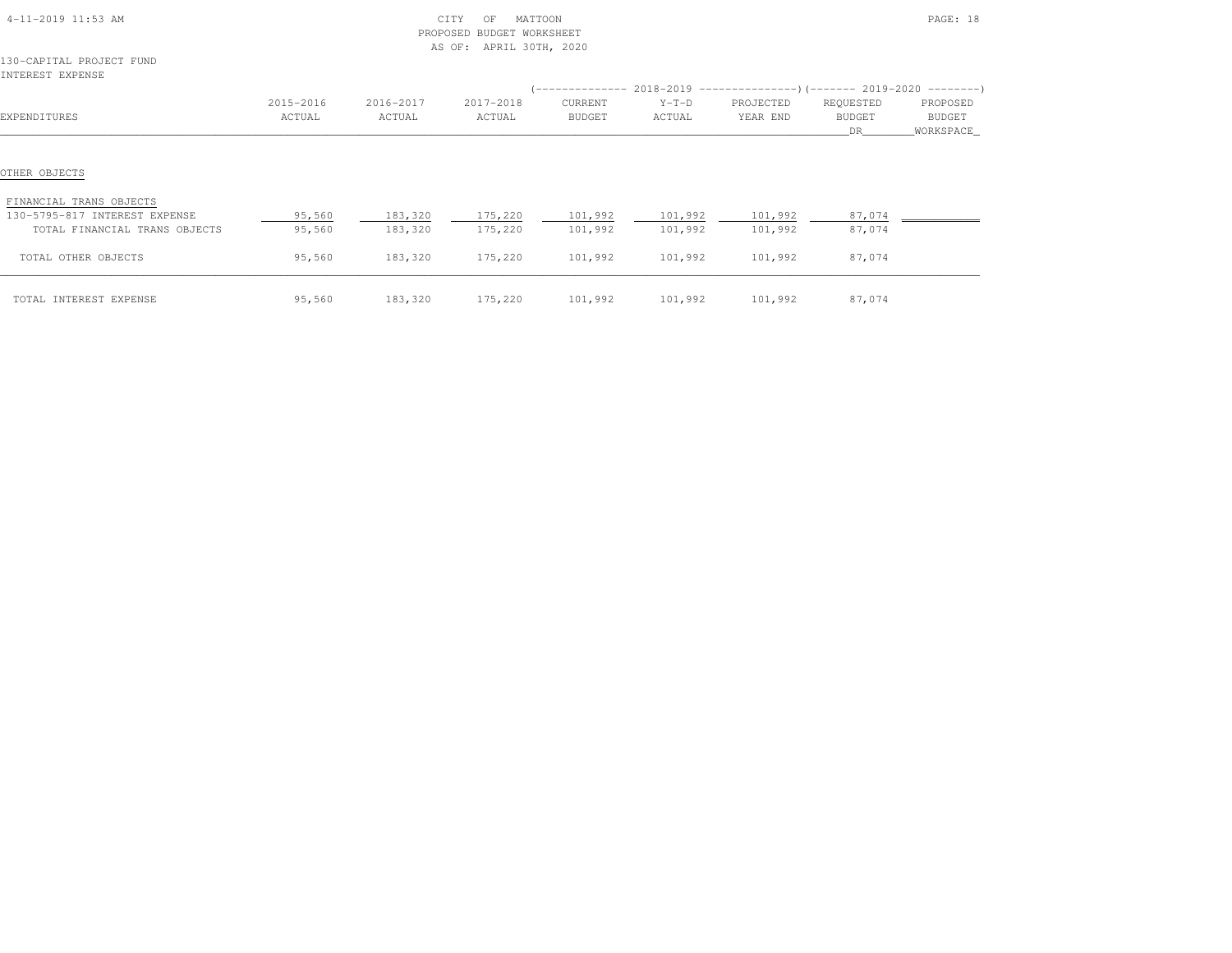| 4-11-2019 11:53 AM<br>130-CAPITAL PROJECT FUND                            |                     |                     | CITY<br>MATTOON<br>OF<br>PROPOSED BUDGET WORKSHEET<br>AS OF: APRIL 30TH, 2020 |                   |                   |                       |                            | PAGE: 18           |
|---------------------------------------------------------------------------|---------------------|---------------------|-------------------------------------------------------------------------------|-------------------|-------------------|-----------------------|----------------------------|--------------------|
| INTEREST EXPENSE                                                          |                     |                     |                                                                               |                   |                   |                       |                            |                    |
| EXPENDITURES                                                              | 2015-2016<br>ACTUAL | 2016-2017<br>ACTUAL | 2017-2018<br>ACTUAL                                                           | CURRENT<br>BUDGET | $Y-T-D$<br>ACTUAL | PROJECTED<br>YEAR END | REQUESTED<br><b>BUDGET</b> | PROPOSED<br>BUDGET |
|                                                                           |                     |                     |                                                                               |                   |                   |                       | DR.                        | _WORKSPACE_        |
| OTHER OBJECTS<br>FINANCIAL TRANS OBJECTS<br>130-5795-817 INTEREST EXPENSE | 95,560              | 183,320             | 175,220 101,992 101,992                                                       |                   |                   | 101,992               | 87,074                     |                    |
| TOTAL FINANCIAL TRANS OBJECTS                                             | 95,560              | 183,320             | 175,220                                                                       | 101,992           | 101,992           | 101,992               | 87,074                     |                    |
| TOTAL OTHER OBJECTS                                                       | 95,560              | 183,320             | 175,220                                                                       | 101,992           | 101,992           | 101,992               | 87,074                     |                    |
| TOTAL INTEREST EXPENSE                                                    | 95,560              | 183,320             | 175,220                                                                       | 101,992           | 101,992           | 101,992               | 87,074                     |                    |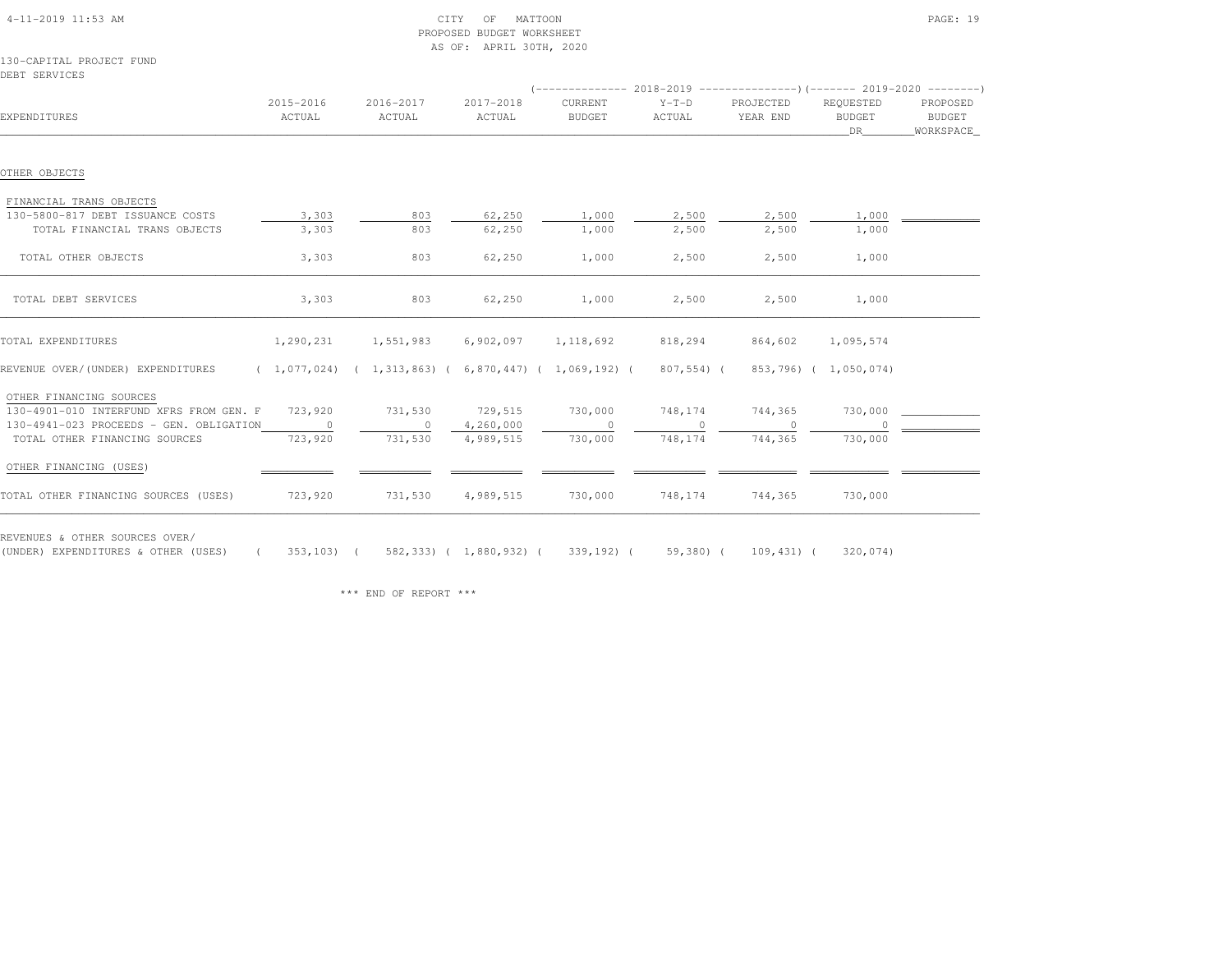|                                                                                                                                              |           |                                                           | AS OF: APRIL 30TH, 2020 |               |            |                   |                       |                     |
|----------------------------------------------------------------------------------------------------------------------------------------------|-----------|-----------------------------------------------------------|-------------------------|---------------|------------|-------------------|-----------------------|---------------------|
| 130-CAPITAL PROJECT FUND                                                                                                                     |           |                                                           |                         |               |            |                   |                       |                     |
| DEBT SERVICES                                                                                                                                |           |                                                           |                         |               |            |                   |                       |                     |
|                                                                                                                                              |           |                                                           |                         |               |            |                   |                       |                     |
|                                                                                                                                              | 2015-2016 | 2016-2017                                                 | 2017-2018               | CURRENT       | $Y-T-D$    | PROJECTED         | REOUESTED             | PROPOSED            |
| EXPENDITURES                                                                                                                                 | ACTUAL    | ACTUAL                                                    | ACTUAL                  | <b>BUDGET</b> | ACTUAL     | YEAR END          | <b>BUDGET</b><br>DR   | BUDGET<br>WORKSPACE |
|                                                                                                                                              |           |                                                           |                         |               |            |                   |                       |                     |
| OTHER OBJECTS                                                                                                                                |           |                                                           |                         |               |            |                   |                       |                     |
| FINANCIAL TRANS OBJECTS                                                                                                                      |           |                                                           |                         |               |            |                   |                       |                     |
| 130-5800-817 DEBT ISSUANCE COSTS                                                                                                             | 3,303     | 803                                                       | 62,250                  | 1,000         | 2,500      | 2,500             | 1,000                 |                     |
| TOTAL FINANCIAL TRANS OBJECTS                                                                                                                | 3,303     | 803                                                       | 62,250                  | 1,000         | 2,500      | 2,500             | 1,000                 |                     |
| TOTAL OTHER OBJECTS                                                                                                                          | 3,303     | 803                                                       | 62,250                  | 1,000         | 2,500      | 2,500             | 1,000                 |                     |
| TOTAL DEBT SERVICES                                                                                                                          | 3,303     | 803                                                       | 62,250                  | 1,000         | 2,500      | 2,500             | 1,000                 |                     |
| TOTAL EXPENDITURES                                                                                                                           | 1,290,231 | 1,551,983                                                 | 6,902,097               | 1,118,692     | 818,294    | 864,602           | 1,095,574             |                     |
| REVENUE OVER/(UNDER) EXPENDITURES                                                                                                            |           | $(1,077,024)$ $(1,313,863)$ $(6,870,447)$ $(1,069,192)$ ( |                         |               | 807,554) ( |                   | 853,796) ( 1,050,074) |                     |
| OTHER FINANCING SOURCES                                                                                                                      |           |                                                           |                         |               |            |                   |                       |                     |
| 130-4901-010 INTERFUND XFRS FROM GEN. F 723,920                                                                                              |           | 731,530                                                   | 729,515                 | 730,000       | 748,174    | 744,365           | 730,000               |                     |
| 130-4941-023 PROCEEDS - GEN. OBLIGATION                                                                                                      | $\sim$ 0  | $\circ$                                                   | 4,260,000               | $\circ$       | $\circ$    | $\circ$           |                       |                     |
| TOTAL OTHER FINANCING SOURCES                                                                                                                | 723,920   | 731,530                                                   | 4,989,515               | 730,000       | 748,174    | 744,365           | 730,000               |                     |
| OTHER FINANCING (USES)                                                                                                                       |           |                                                           |                         |               |            |                   |                       |                     |
| TOTAL OTHER FINANCING SOURCES (USES)                                                                                                         | 723,920   | 731,530                                                   | 4,989,515               | 730,000       |            | 748, 174 744, 365 | 730,000               |                     |
| REVENUES & OTHER SOURCES OVER/<br>(UNDER) EXPENDITURES & OTHER (USES) (353,103) (582,333) (1,880,932) (339,192) (59,380) (109,431) (320,074) |           |                                                           |                         |               |            |                   |                       |                     |

 4-11-2019 11:53 AM CITY OF MATTOON PAGE: 19PROPOSED BUDGET WORKSHEET

\*\*\* END OF REPORT \*\*\*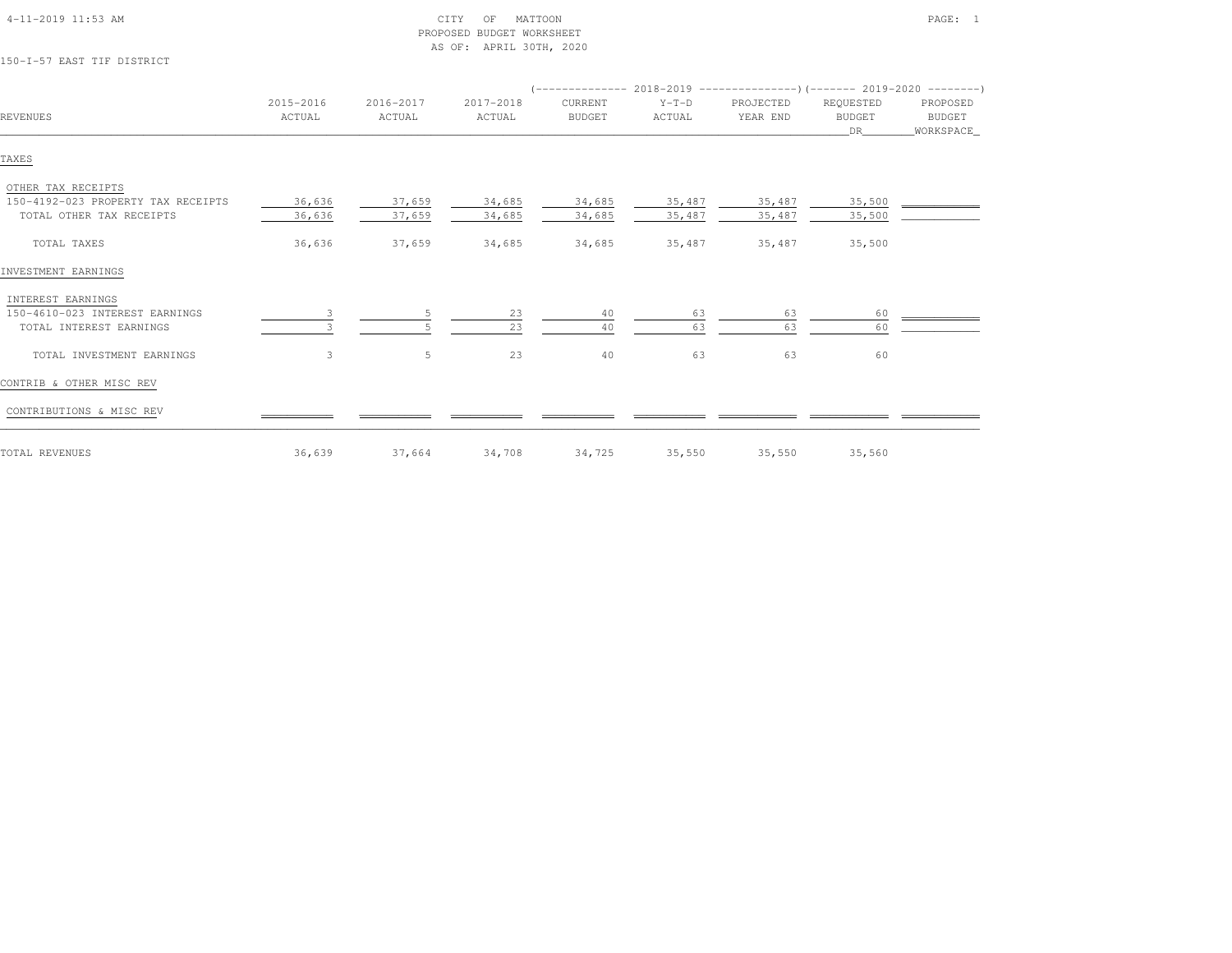| 150-I-57 EAST TIF DISTRICT                                                           |                     |                     | AS OF: APRIL 30TH, 2020 |                          |                   |                       |                                  |                                 |
|--------------------------------------------------------------------------------------|---------------------|---------------------|-------------------------|--------------------------|-------------------|-----------------------|----------------------------------|---------------------------------|
|                                                                                      |                     |                     |                         |                          |                   |                       |                                  |                                 |
| <b>REVENUES</b>                                                                      | 2015-2016<br>ACTUAL | 2016-2017<br>ACTUAL | 2017-2018<br>ACTUAL     | CURRENT<br><b>BUDGET</b> | $Y-T-D$<br>ACTUAL | PROJECTED<br>YEAR END | REQUESTED<br><b>BUDGET</b><br>DR | PROPOSED<br>BUDGET<br>WORKSPACE |
| TAXES                                                                                |                     |                     |                         |                          |                   |                       |                                  |                                 |
| OTHER TAX RECEIPTS<br>150-4192-023 PROPERTY TAX RECEIPTS<br>TOTAL OTHER TAX RECEIPTS | 36,636<br>36,636    | 37,659<br>37,659    | 34,685<br>34,685        | 34,685<br>34,685         | 35,487<br>35,487  | 35,487<br>35,487      | 35,500<br>35,500                 |                                 |
| TOTAL TAXES                                                                          | 36,636              | 37,659              | 34,685                  | 34,685                   | 35,487            | 35,487                | 35,500                           |                                 |
| INVESTMENT EARNINGS                                                                  |                     |                     |                         |                          |                   |                       |                                  |                                 |
| INTEREST EARNINGS<br>150-4610-023 INTEREST EARNINGS<br>TOTAL INTEREST EARNINGS       | 3                   | 5                   | 23<br>23                | 40<br>40                 | 63<br>63          | 63<br>63              | 60<br>60                         |                                 |
| TOTAL INVESTMENT EARNINGS                                                            | 3                   | 5                   | 23                      | 40                       | 63                | 63                    | 60                               |                                 |
| CONTRIB & OTHER MISC REV                                                             |                     |                     |                         |                          |                   |                       |                                  |                                 |
| CONTRIBUTIONS & MISC REV                                                             |                     |                     |                         |                          |                   |                       |                                  |                                 |
| TOTAL REVENUES                                                                       | 36,639              | 37,664              | 34,708                  | 34,725                   | 35,550            | 35,550                | 35,560                           |                                 |

 4-11-2019 11:53 AM CITY OF MATTOON PAGE: 1PROPOSED BUDGET WORKSHEET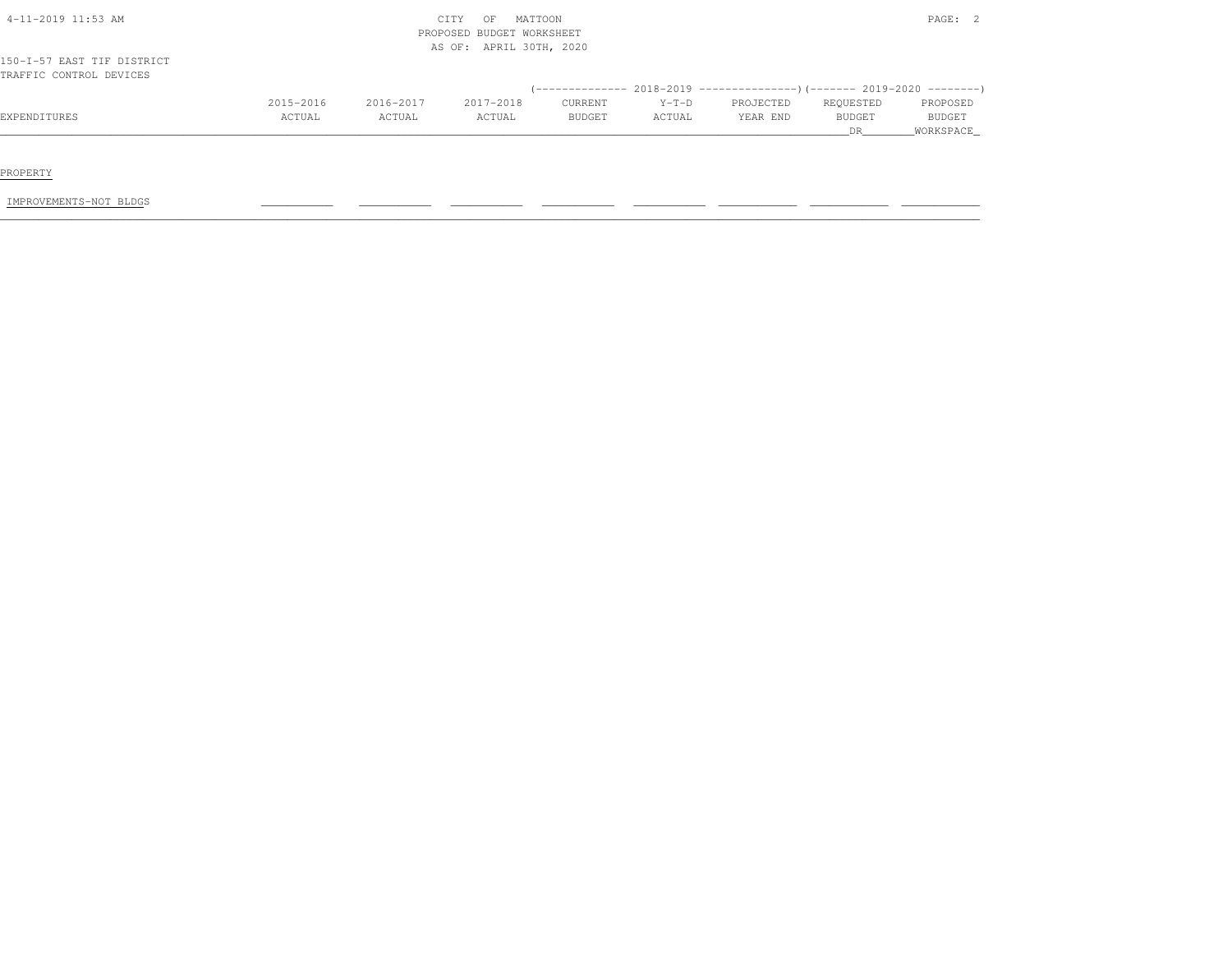|                            |           |           |                                                      |               |         |           | DR.           | WORKSPACE     |
|----------------------------|-----------|-----------|------------------------------------------------------|---------------|---------|-----------|---------------|---------------|
| EXPENDITURES               | ACTUAL    | ACTUAL    | ACTUAL                                               | <b>BUDGET</b> | ACTUAL  | YEAR END  | <b>BUDGET</b> | <b>BUDGET</b> |
|                            | 2015-2016 | 2016-2017 | 2017-2018                                            | CURRENT       | $Y-T-D$ | PROJECTED | REQUESTED     | PROPOSED      |
| TRAFFIC CONTROL DEVICES    |           |           |                                                      |               |         |           |               |               |
| 150-I-57 EAST TIF DISTRICT |           |           |                                                      |               |         |           |               |               |
|                            |           |           | PROPOSED BUDGET WORKSHEET<br>AS OF: APRIL 30TH, 2020 |               |         |           |               |               |
| 4-11-2019 11:53 AM         |           |           | CITY<br>OF                                           | MATTOON       |         |           |               | PAGE: 2       |

PROPERTY

IMPROVEMENTS-NOT BLDGS \_\_\_\_\_\_\_\_\_\_\_ \_\_\_\_\_\_\_\_\_\_\_ \_\_\_\_\_\_\_\_\_\_\_ \_\_\_\_\_\_\_\_\_\_\_ \_\_\_\_\_\_\_\_\_\_\_ \_\_\_\_\_\_\_\_\_\_\_\_ \_\_\_\_\_\_\_\_\_\_\_\_ \_\_\_\_\_\_\_\_\_\_\_\_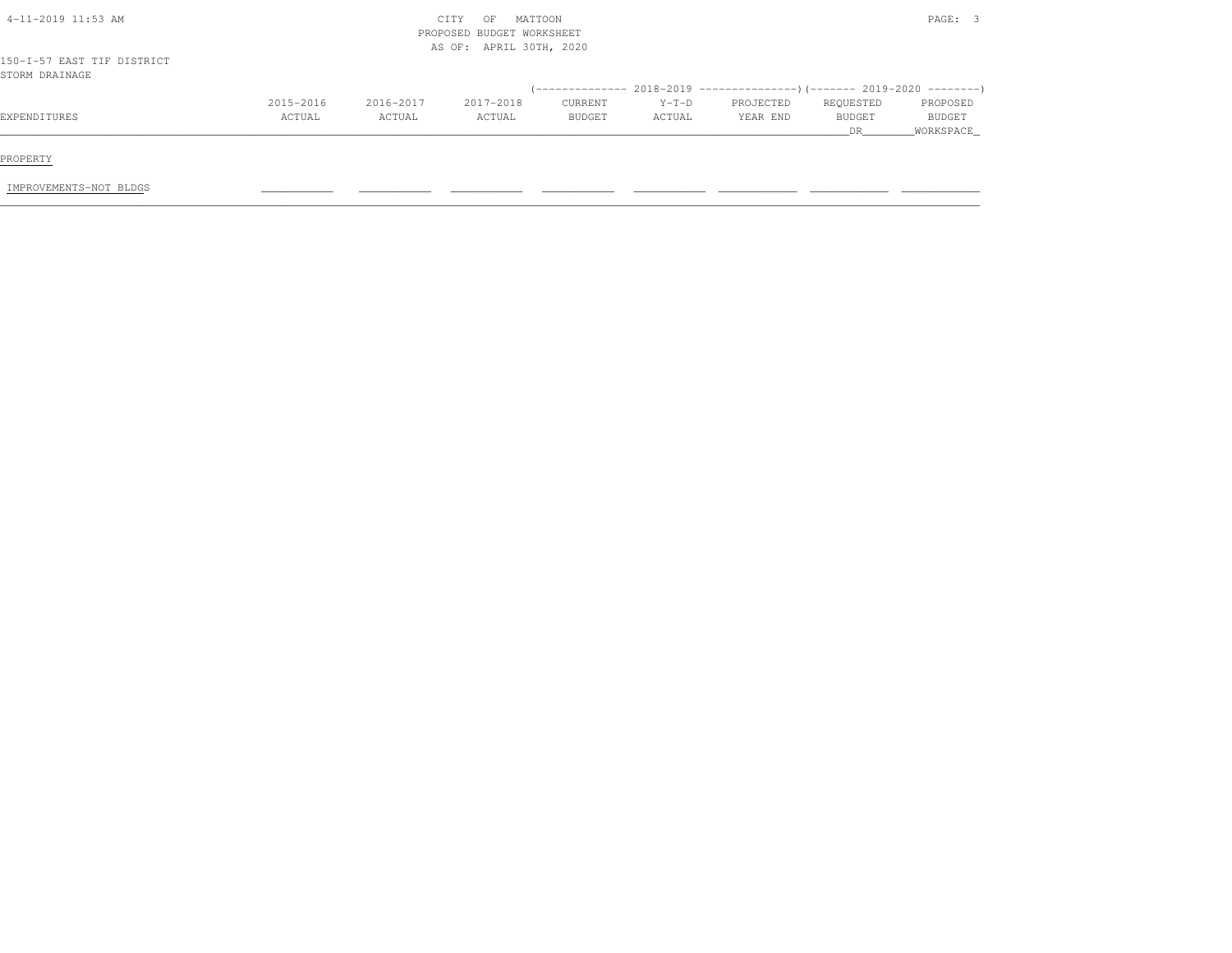| $4-11-2019$ 11:53 AM                         |           |           | MATTOON<br>CITY<br>OF<br>PROPOSED BUDGET WORKSHEET<br>AS OF: APRIL 30TH, 2020 |         |         |           |               | PAGE: 3       |
|----------------------------------------------|-----------|-----------|-------------------------------------------------------------------------------|---------|---------|-----------|---------------|---------------|
| 150-I-57 EAST TIF DISTRICT<br>STORM DRAINAGE |           |           |                                                                               |         |         |           |               |               |
|                                              |           |           |                                                                               |         |         |           |               |               |
|                                              | 2015-2016 | 2016-2017 | 2017-2018                                                                     | CURRENT | $Y-T-D$ | PROJECTED | REQUESTED     | PROPOSED      |
| EXPENDITURES                                 | ACTUAL    | ACTUAL    | ACTUAL                                                                        | BUDGET  | ACTUAL  | YEAR END  | <b>BUDGET</b> | <b>BUDGET</b> |
|                                              |           |           |                                                                               |         |         |           | DR.           | WORKSPACE     |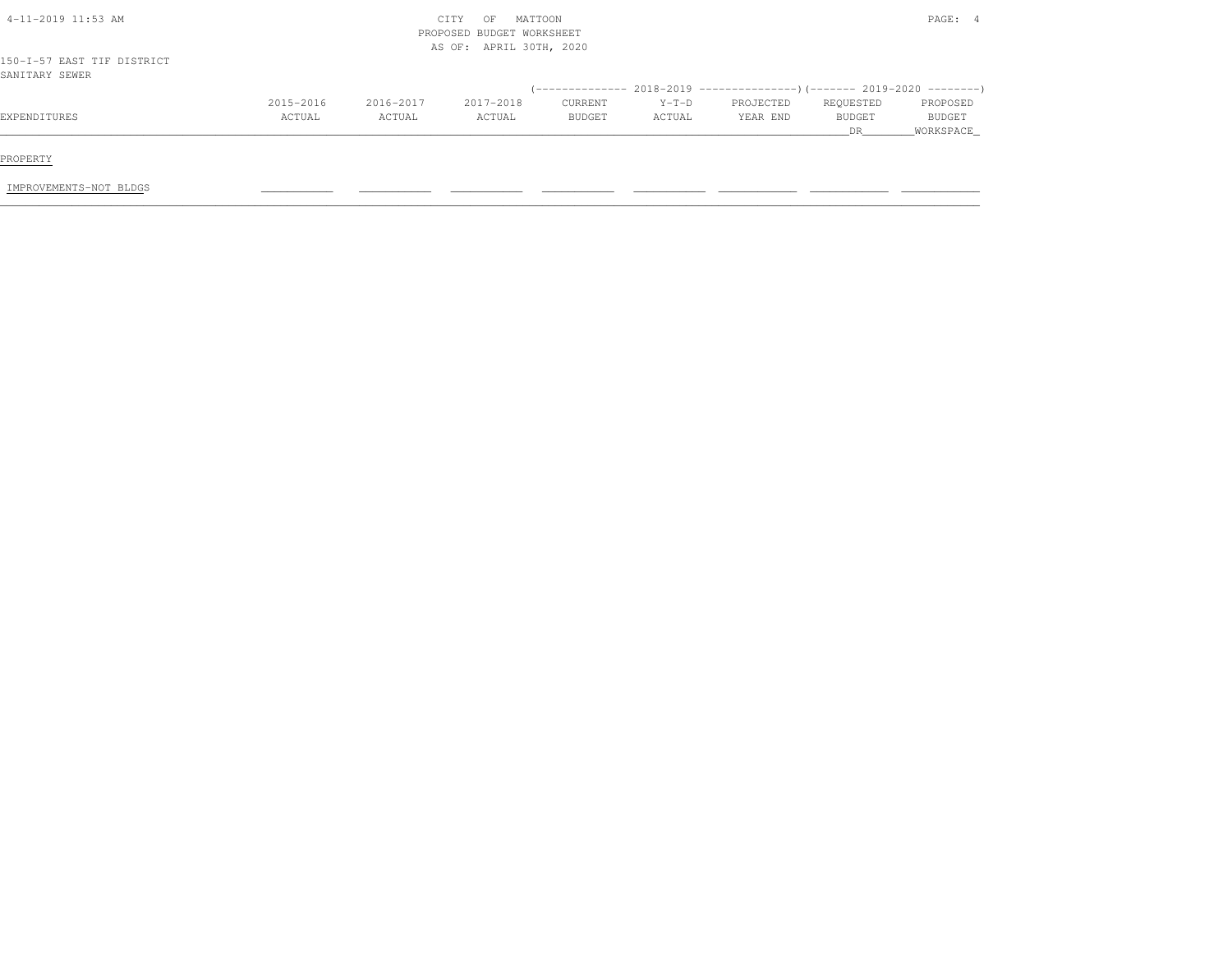| $4-11-2019$ 11:53 AM                         |           |           | MATTOON<br>CITY<br>OF<br>PROPOSED BUDGET WORKSHEET<br>AS OF: APRIL 30TH, 2020 |         |         |           |           | PAGE: 4       |
|----------------------------------------------|-----------|-----------|-------------------------------------------------------------------------------|---------|---------|-----------|-----------|---------------|
| 150-I-57 EAST TIF DISTRICT<br>SANITARY SEWER |           |           |                                                                               |         |         |           |           |               |
|                                              |           |           |                                                                               |         |         |           |           |               |
|                                              | 2015-2016 | 2016-2017 | 2017-2018                                                                     | CURRENT | $Y-T-D$ | PROJECTED | REQUESTED | PROPOSED      |
| EXPENDITURES                                 | ACTUAL    | ACTUAL    | ACTUAL                                                                        | BUDGET  | ACTUAL  | YEAR END  | BUDGET    | <b>BUDGET</b> |
|                                              |           |           |                                                                               |         |         |           | DR        | _WORKSPACE_   |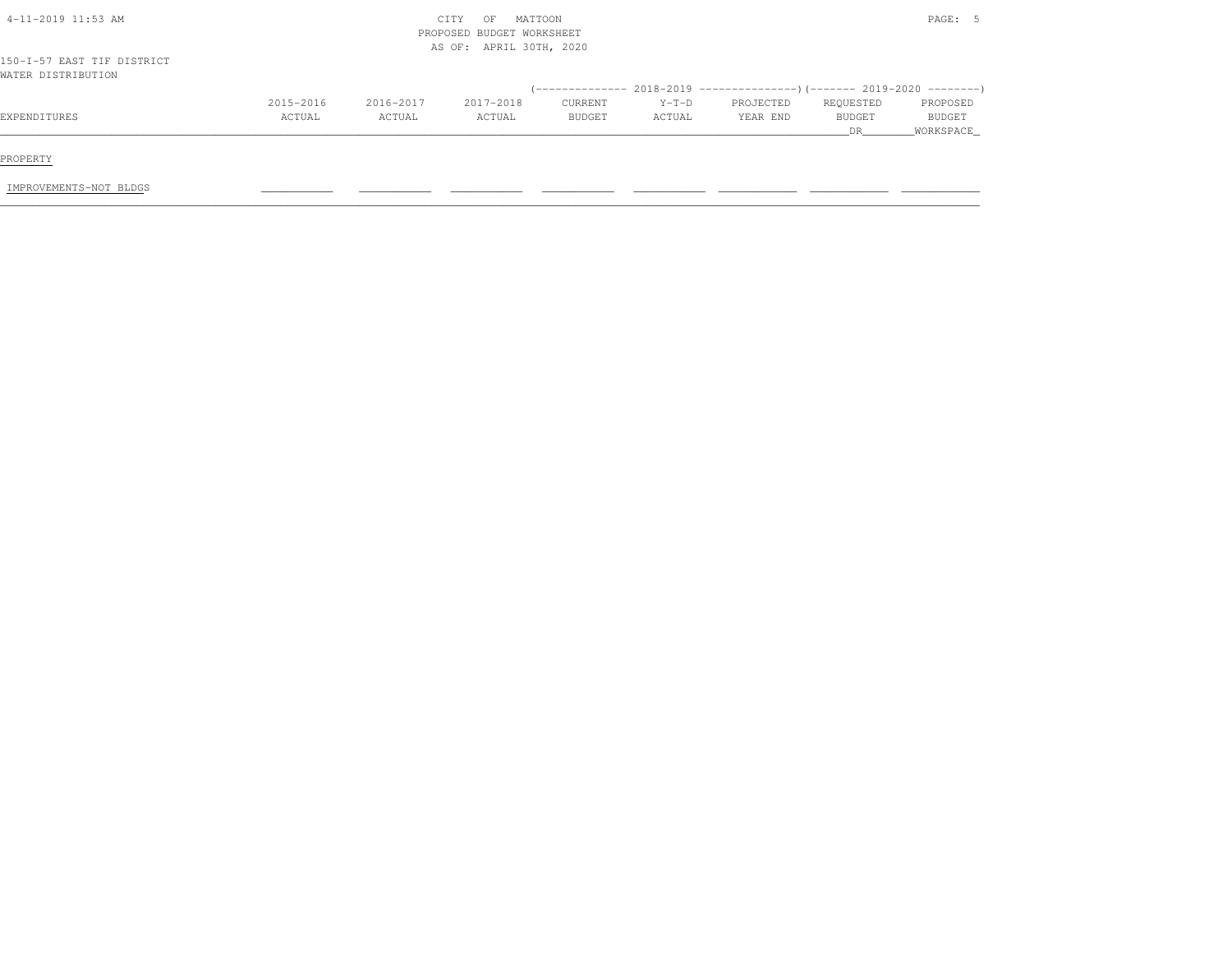| 4-11-2019 11:53 AM                               |           |           | MATTOON<br>CITY<br>OF<br>PROPOSED BUDGET WORKSHEET<br>AS OF: APRIL 30TH, 2020 |         |         |           |           | PAGE: 5   |
|--------------------------------------------------|-----------|-----------|-------------------------------------------------------------------------------|---------|---------|-----------|-----------|-----------|
| 150-I-57 EAST TIF DISTRICT<br>WATER DISTRIBUTION |           |           |                                                                               |         |         |           |           |           |
|                                                  |           |           |                                                                               |         |         |           |           |           |
|                                                  | 2015-2016 | 2016-2017 | 2017-2018                                                                     | CURRENT | $Y-T-D$ | PROJECTED | REQUESTED | PROPOSED  |
| EXPENDITURES                                     | ACTUAL    | ACTUAL    | ACTUAL                                                                        | BUDGET  | ACTUAL  | YEAR END  | BUDGET    | BUDGET    |
|                                                  |           |           |                                                                               |         |         |           | DR.       | WORKSPACE |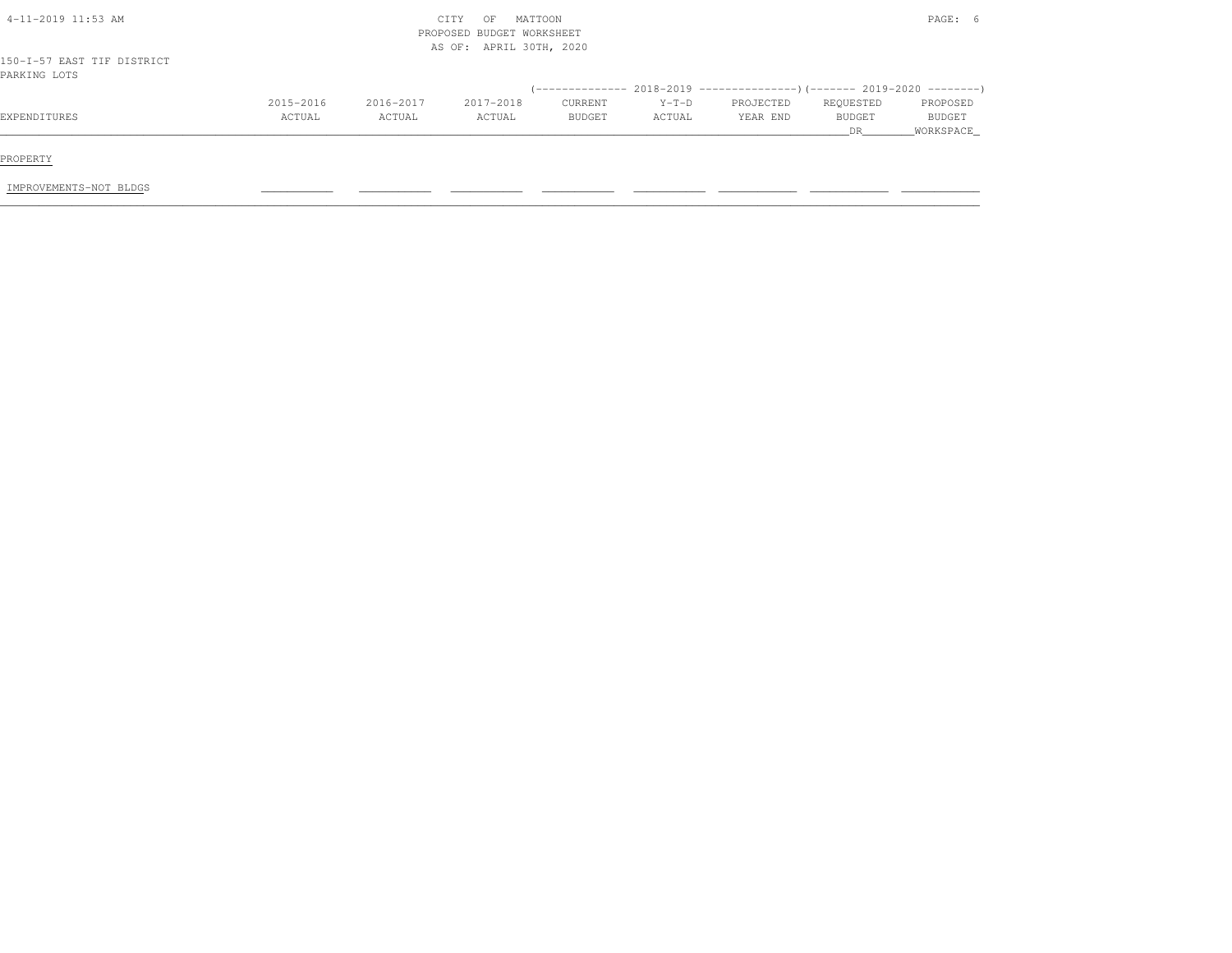| 4-11-2019 11:53 AM                         |           |           | MATTOON<br>CITY<br>OF<br>PROPOSED BUDGET WORKSHEET<br>AS OF: APRIL 30TH, 2020 |               |         |           |               | PAGE: 6       |
|--------------------------------------------|-----------|-----------|-------------------------------------------------------------------------------|---------------|---------|-----------|---------------|---------------|
| 150-I-57 EAST TIF DISTRICT<br>PARKING LOTS |           |           |                                                                               |               |         |           |               |               |
|                                            |           |           |                                                                               |               |         |           |               |               |
|                                            | 2015-2016 | 2016-2017 | 2017-2018                                                                     | CURRENT       | $Y-T-D$ | PROJECTED | REQUESTED     | PROPOSED      |
| EXPENDITURES                               | ACTUAL    | ACTUAL    | ACTUAL                                                                        | <b>BUDGET</b> | ACTUAL  | YEAR END  | <b>BUDGET</b> | <b>BUDGET</b> |
|                                            |           |           |                                                                               |               |         |           | <b>DR</b>     | WORKSPACE     |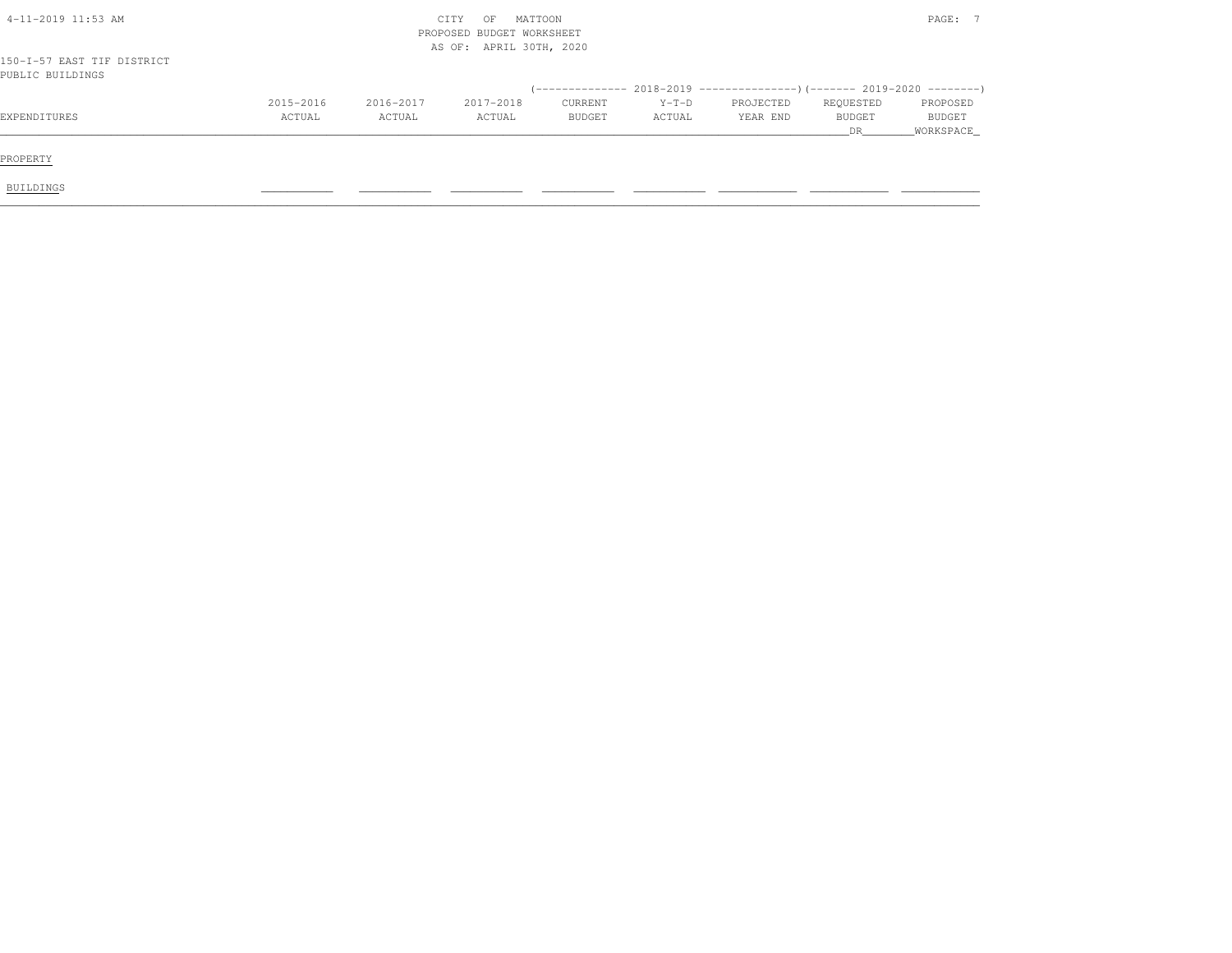| $4-11-2019$ 11:53 AM                           |           |           | MATTOON<br>CITY<br>OF<br>PROPOSED BUDGET WORKSHEET |         |         |           |                      | PAGE: 7                    |
|------------------------------------------------|-----------|-----------|----------------------------------------------------|---------|---------|-----------|----------------------|----------------------------|
| 150-I-57 EAST TIF DISTRICT<br>PUBLIC BUILDINGS |           |           | AS OF: APRIL 30TH, 2020                            |         |         |           |                      |                            |
|                                                | 2015-2016 | 2016-2017 | 2017-2018                                          | CURRENT | $Y-T-D$ | PROJECTED | REQUESTED            | PROPOSED                   |
| EXPENDITURES                                   | ACTUAL    | ACTUAL    | ACTUAL                                             | BUDGET  | ACTUAL  | YEAR END  | <b>BUDGET</b><br>DR. | <b>BUDGET</b><br>WORKSPACE |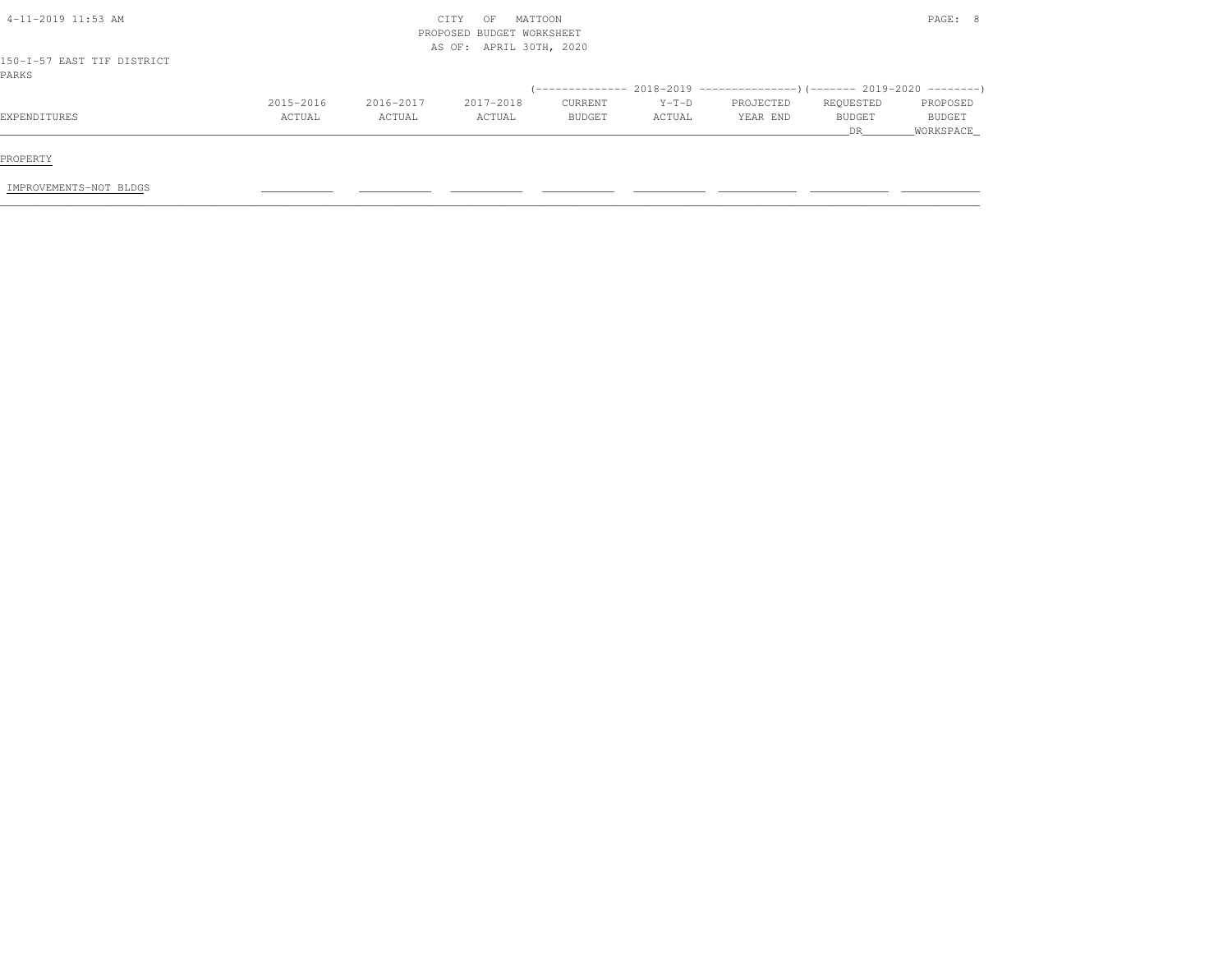| 4-11-2019 11:53 AM                  |           |           | MATTOON<br>CITY<br>OF<br>PROPOSED BUDGET WORKSHEET |               |         |           |               | PAGE: 8       |
|-------------------------------------|-----------|-----------|----------------------------------------------------|---------------|---------|-----------|---------------|---------------|
| 150-I-57 EAST TIF DISTRICT<br>PARKS |           |           | AS OF: APRIL 30TH, 2020                            |               |         |           |               |               |
|                                     |           |           |                                                    |               |         |           |               |               |
|                                     | 2015-2016 | 2016-2017 | 2017-2018                                          | CURRENT       | $Y-T-D$ | PROJECTED | REQUESTED     | PROPOSED      |
| EXPENDITURES                        | ACTUAL    | ACTUAL    | ACTUAL                                             | <b>BUDGET</b> | ACTUAL  | YEAR END  | <b>BUDGET</b> | <b>BUDGET</b> |
|                                     |           |           |                                                    |               |         |           | DR            | WORKSPACE     |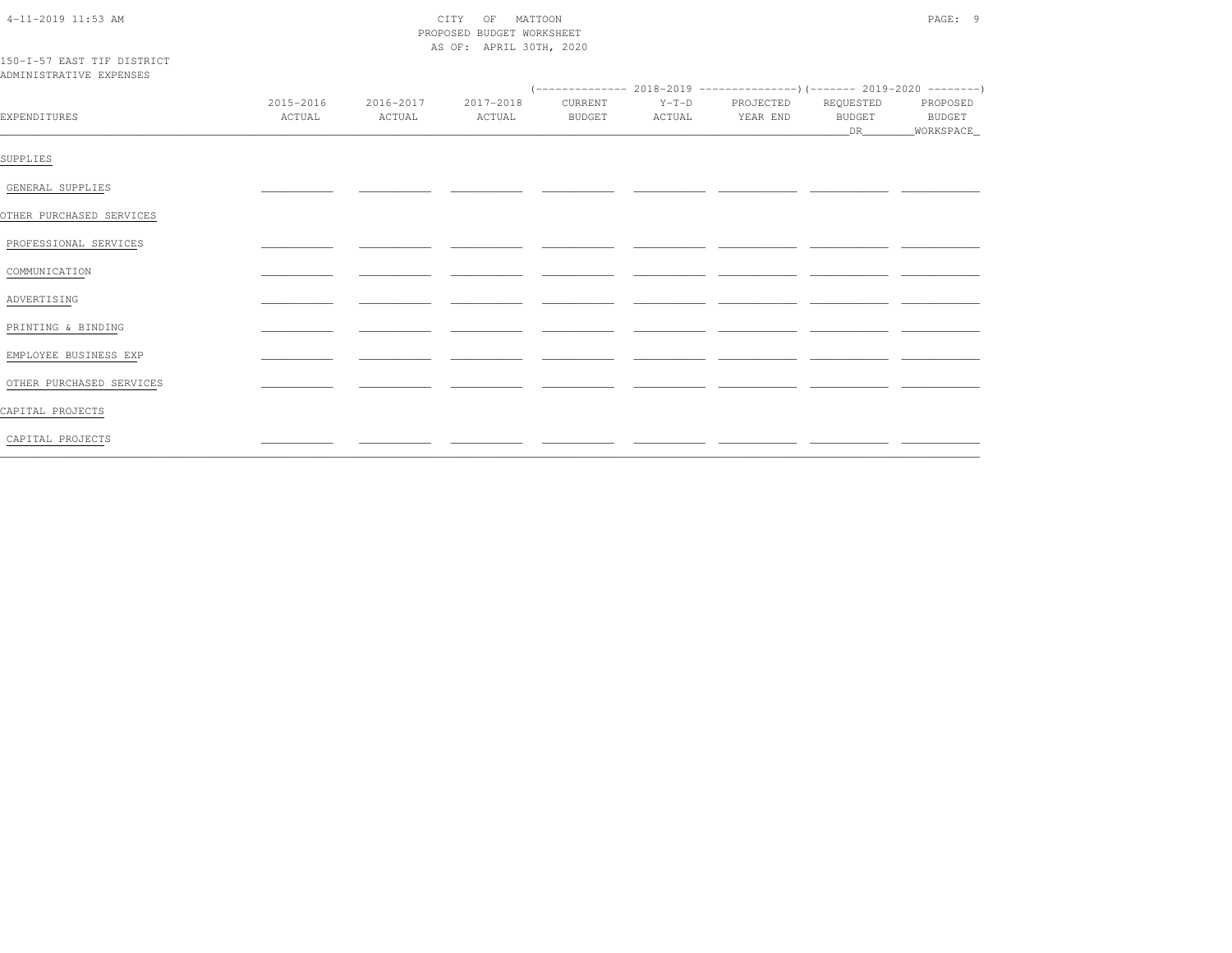| $4 - 11 - 2019$ 11:53 AM |  |
|--------------------------|--|
|                          |  |

# CITY OF MATTOON PROPOSED BUDGET WORKSHEET AS OF: APRIL 30TH, 2020

### 150-I-57 EAST TIF DISTRICT ADMINISTRATIVE EXPENSES

| EXPENDITURES             | 2015-2016<br>ACTUAL | 2016-2017<br>ACTUAL | 2017-2018<br>ACTUAL | <b>BUDGET</b> | ACTUAL | CURRENT Y-T-D PROJECTED REQUESTED<br>YEAR END | BUDGET          | PROPOSED<br><b>BUDGET</b> |
|--------------------------|---------------------|---------------------|---------------------|---------------|--------|-----------------------------------------------|-----------------|---------------------------|
|                          |                     |                     |                     |               |        |                                               | DR <sub>2</sub> | WORKSPACE                 |
| SUPPLIES                 |                     |                     |                     |               |        |                                               |                 |                           |
| GENERAL SUPPLIES         |                     |                     |                     |               |        |                                               |                 |                           |
| OTHER PURCHASED SERVICES |                     |                     |                     |               |        |                                               |                 |                           |
| PROFESSIONAL SERVICES    |                     |                     |                     |               |        |                                               |                 |                           |
| COMMUNICATION            |                     |                     |                     |               |        |                                               |                 |                           |
| ADVERTISING              |                     |                     |                     |               |        |                                               |                 |                           |
| PRINTING & BINDING       |                     |                     |                     |               |        |                                               |                 |                           |
| EMPLOYEE BUSINESS EXP    |                     |                     |                     |               |        |                                               |                 |                           |
| OTHER PURCHASED SERVICES |                     |                     |                     |               |        |                                               |                 |                           |
| CAPITAL PROJECTS         |                     |                     |                     |               |        |                                               |                 |                           |
| CAPITAL PROJECTS         |                     |                     |                     |               |        |                                               |                 |                           |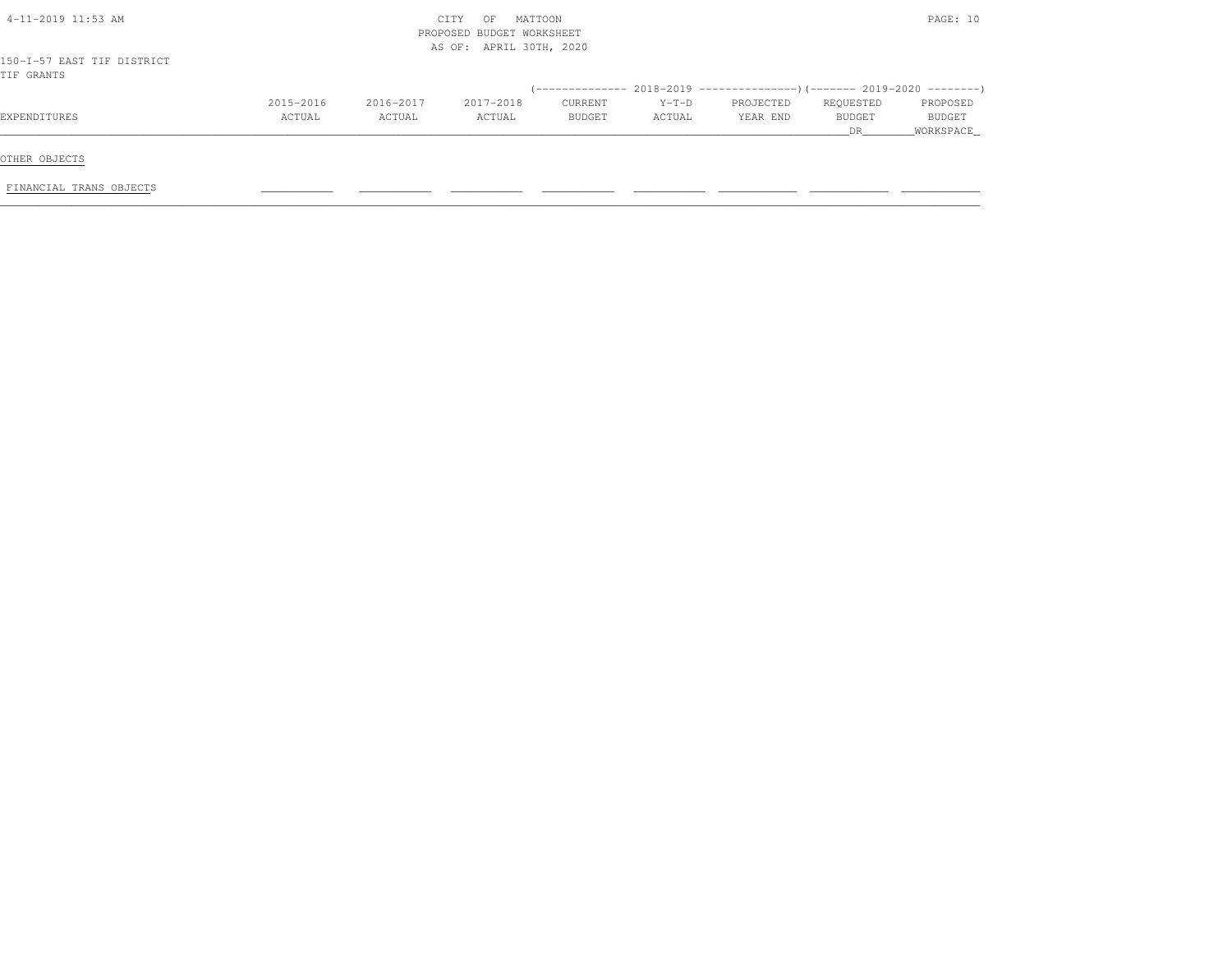| $4-11-2019$ 11:53 AM                     |           |           | MATTOON<br>CITY<br>OF<br>PROPOSED BUDGET WORKSHEET<br>AS OF: APRIL 30TH, 2020 |               |         |           |           | PAGE: 10  |
|------------------------------------------|-----------|-----------|-------------------------------------------------------------------------------|---------------|---------|-----------|-----------|-----------|
| 150-I-57 EAST TIF DISTRICT<br>TIF GRANTS |           |           |                                                                               |               |         |           |           |           |
|                                          |           |           |                                                                               |               |         |           |           |           |
|                                          | 2015-2016 | 2016-2017 | 2017-2018                                                                     | CURRENT       | $Y-T-D$ | PROJECTED | REQUESTED | PROPOSED  |
| EXPENDITURES                             | ACTUAL    | ACTUAL    | ACTUAL                                                                        | <b>BUDGET</b> | ACTUAL  | YEAR END  | BUDGET    | BUDGET    |
|                                          |           |           |                                                                               |               |         |           | DR.       | WORKSPACE |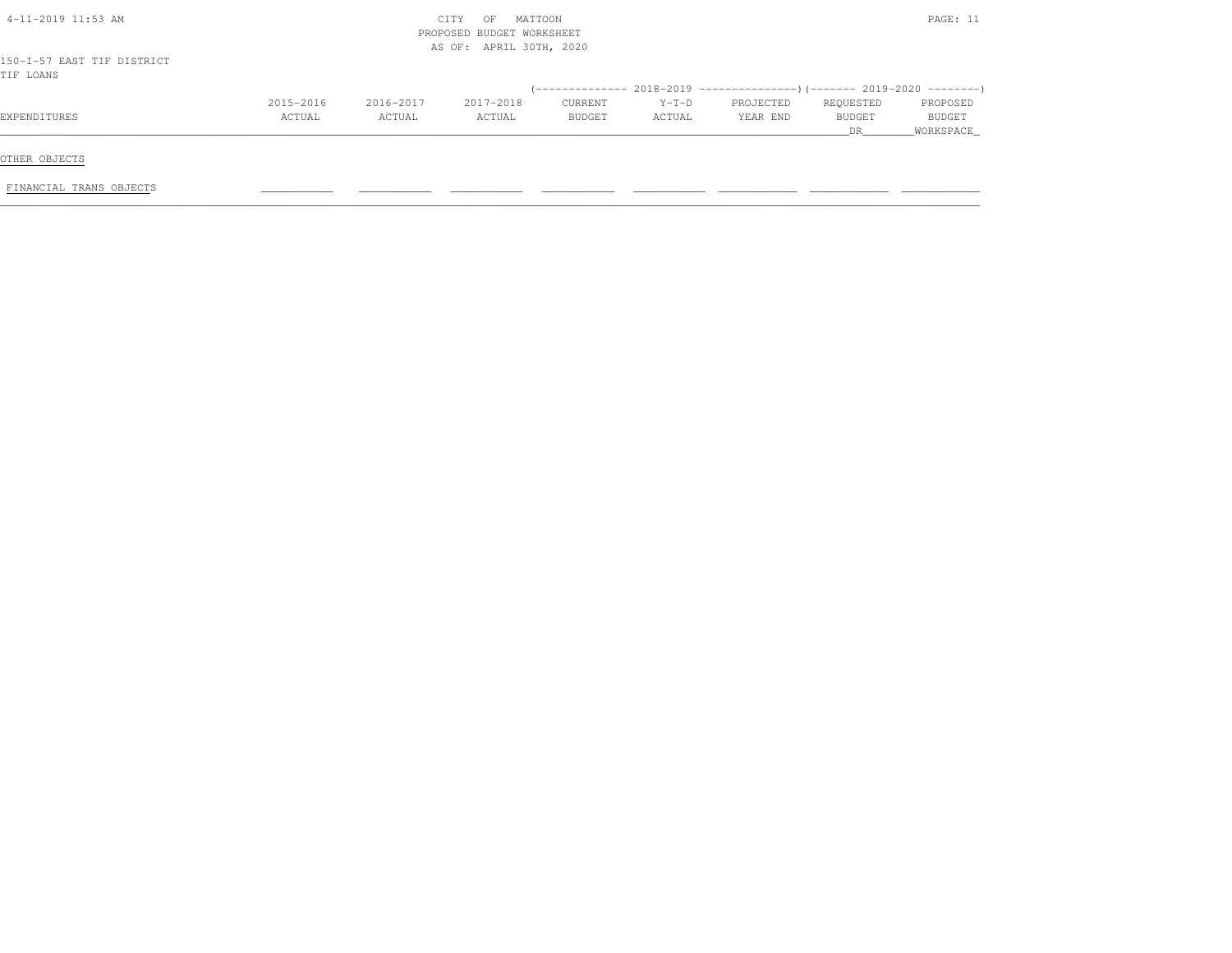| $4-11-2019$ $11:53$ AM                  |           | MATTOON<br>CITY<br>OF<br>PROPOSED BUDGET WORKSHEET<br>AS OF: APRIL 30TH, 2020 |           |         |         |           |           | PAGE: 11      |
|-----------------------------------------|-----------|-------------------------------------------------------------------------------|-----------|---------|---------|-----------|-----------|---------------|
| 150-I-57 EAST TIF DISTRICT<br>TIF LOANS |           |                                                                               |           |         |         |           |           |               |
|                                         |           |                                                                               |           |         |         |           |           |               |
|                                         | 2015-2016 | 2016-2017                                                                     | 2017-2018 | CURRENT | $Y-T-D$ | PROJECTED | REQUESTED | PROPOSED      |
| EXPENDITURES                            | ACTUAL    | ACTUAL                                                                        | ACTUAL    | BUDGET  | ACTUAL  | YEAR END  | BUDGET    | <b>BUDGET</b> |
|                                         |           |                                                                               |           |         |         |           | DR        | _WORKSPACE_   |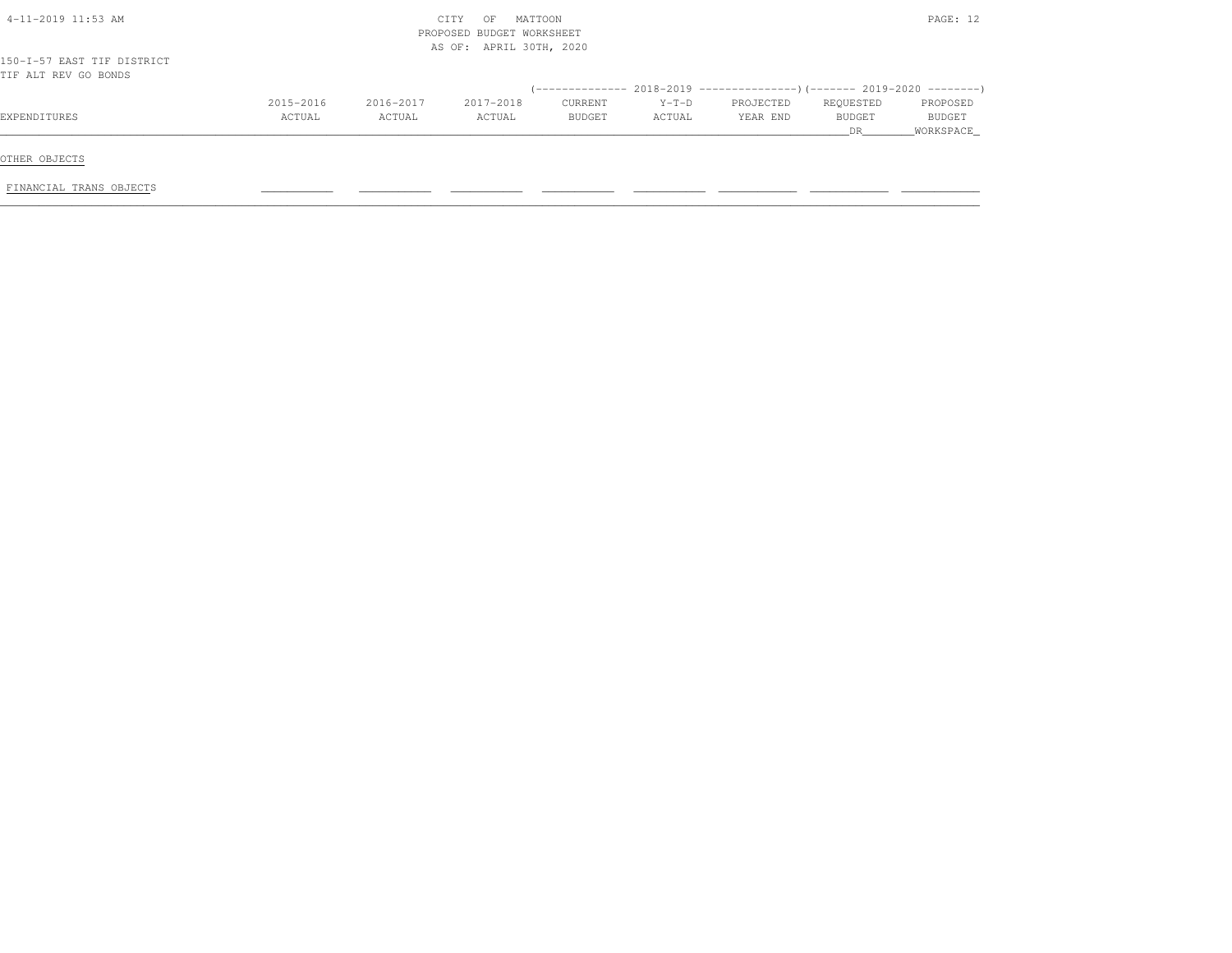| $4-11-2019$ 11:53 AM                               |                     | MATTOON<br>OF<br>CITY<br>PROPOSED BUDGET WORKSHEET<br>AS OF: APRIL 30TH, 2020 |                     |                   |                   |                       |                            | PAGE: 12                               |
|----------------------------------------------------|---------------------|-------------------------------------------------------------------------------|---------------------|-------------------|-------------------|-----------------------|----------------------------|----------------------------------------|
| 150-I-57 EAST TIF DISTRICT<br>TIF ALT REV GO BONDS |                     |                                                                               |                     |                   |                   |                       |                            |                                        |
|                                                    |                     |                                                                               |                     |                   |                   |                       |                            |                                        |
| EXPENDITURES                                       | 2015-2016<br>ACTUAL | 2016-2017<br>ACTUAL                                                           | 2017-2018<br>ACTUAL | CURRENT<br>BUDGET | $Y-T-D$<br>ACTUAL | PROJECTED<br>YEAR END | REQUESTED<br>BUDGET<br>DR. | PROPOSED<br><b>BUDGET</b><br>WORKSPACE |
| OTHER OBJECTS                                      |                     |                                                                               |                     |                   |                   |                       |                            |                                        |
| FINANCIAL TRANS OBJECTS                            |                     |                                                                               |                     |                   |                   |                       |                            |                                        |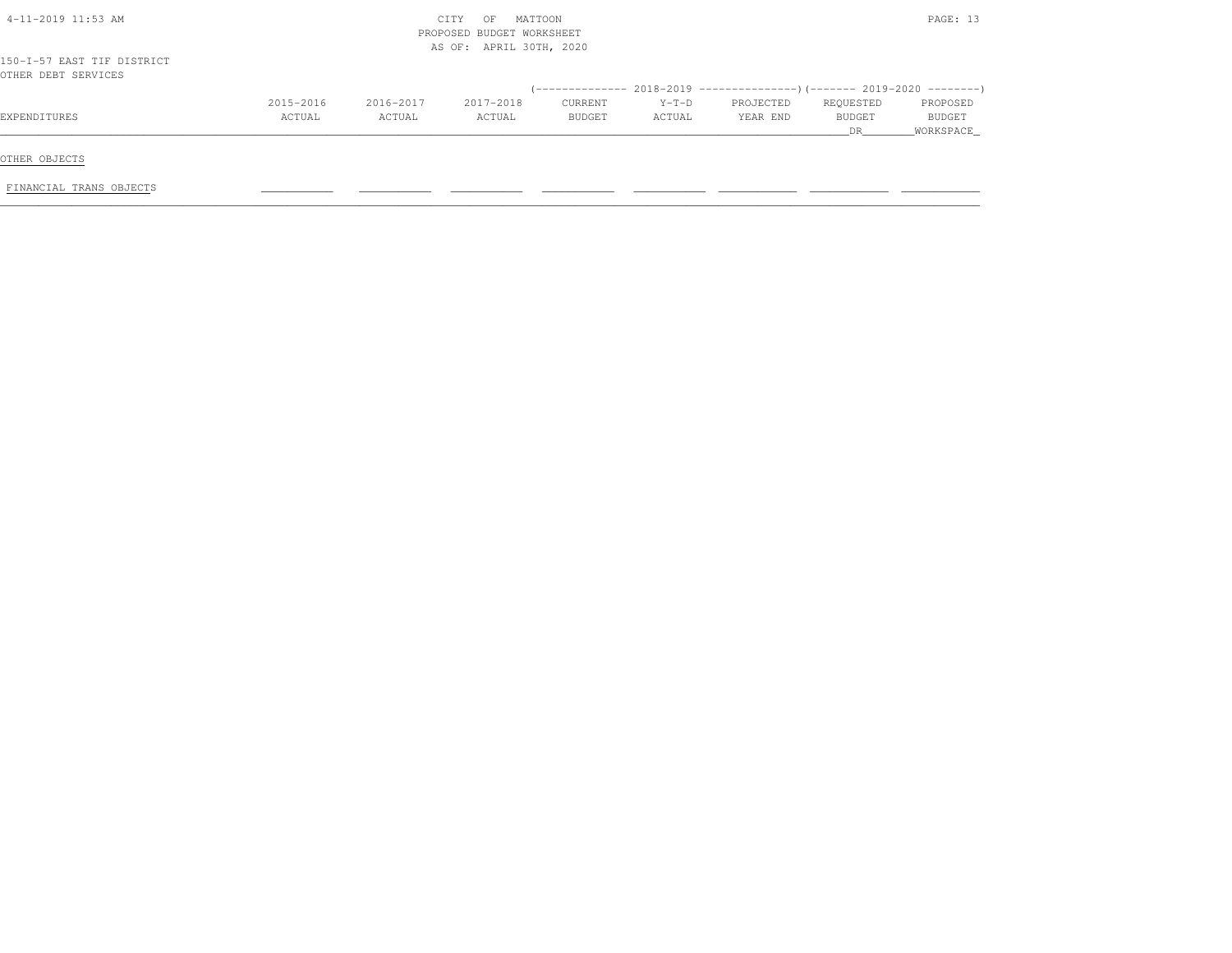| $4-11-2019$ 11:53 AM                              |           | CITY<br>PROPOSED BUDGET WORKSHEET<br>AS OF: APRIL 30TH, 2020 |           | PAGE: 13 |         |           |               |               |
|---------------------------------------------------|-----------|--------------------------------------------------------------|-----------|----------|---------|-----------|---------------|---------------|
| 150-I-57 EAST TIF DISTRICT<br>OTHER DEBT SERVICES |           |                                                              |           |          |         |           |               |               |
|                                                   |           |                                                              |           |          |         |           |               |               |
|                                                   | 2015-2016 | 2016-2017                                                    | 2017-2018 | CURRENT  | $Y-T-D$ | PROJECTED | REQUESTED     | PROPOSED      |
| EXPENDITURES                                      | ACTUAL    | ACTUAL                                                       | ACTUAL    | BUDGET   | ACTUAL  | YEAR END  | <b>BUDGET</b> | <b>BUDGET</b> |
|                                                   |           |                                                              |           |          |         |           | DR            | WORKSPACE     |
| OTHER OBJECTS                                     |           |                                                              |           |          |         |           |               |               |
|                                                   |           |                                                              |           |          |         |           |               |               |
| FINANCIAL TRANS OBJECTS                           |           |                                                              |           |          |         |           |               |               |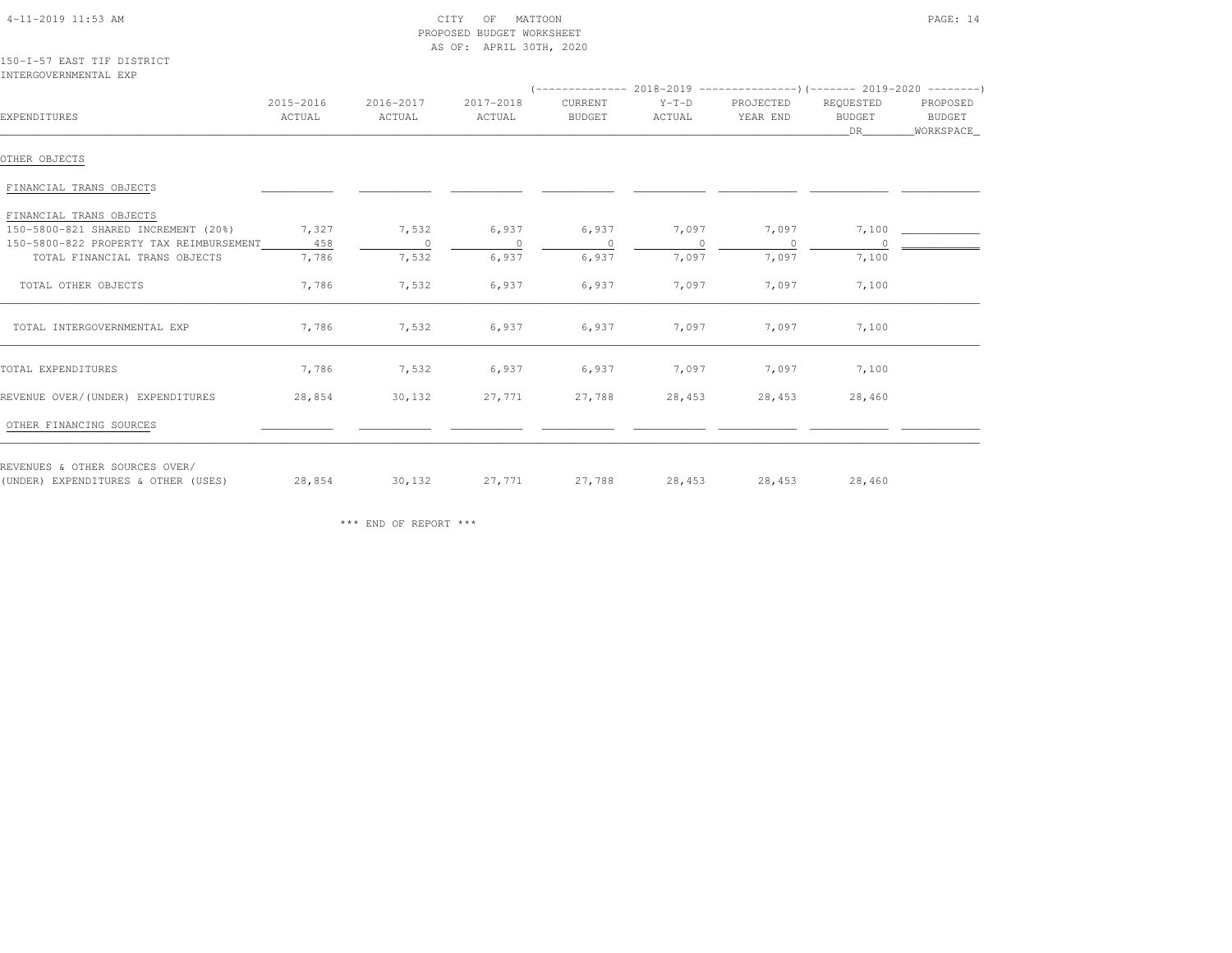| $4-11-2019$ $11:53$ AM |
|------------------------|
|------------------------|

### $\begin{array}{ccc} \text{CITY} & \text{OF} & \text{MATTOON} \end{array}$  PROPOSED BUDGET WORKSHEETAS OF: APRIL 30TH, 2020

150-I-57 EAST TIF DISTRICTINTERGOVERNMENTAL EXP

| EXPENDITURES                            | 2015-2016<br>ACTUAL | 2016-2017<br>ACTUAL      | 2017-2018<br>ACTUAL | CURRENT<br><b>BUDGET</b> | $Y-T-D$<br>ACTUAL | PROJECTED<br>YEAR END | REQUESTED<br><b>BUDGET</b><br>DR | PROPOSED<br>BUDGET<br>WORKSPACE_ |
|-----------------------------------------|---------------------|--------------------------|---------------------|--------------------------|-------------------|-----------------------|----------------------------------|----------------------------------|
| OTHER OBJECTS                           |                     |                          |                     |                          |                   |                       |                                  |                                  |
| FINANCIAL TRANS OBJECTS                 |                     |                          |                     |                          |                   |                       |                                  |                                  |
| FINANCIAL TRANS OBJECTS                 |                     |                          |                     |                          |                   |                       |                                  |                                  |
| 150-5800-821 SHARED INCREMENT (20%)     | 7,327               | 7,532                    | 6,937               | 6,937                    | 7,097             | 7,097                 | 7,100                            |                                  |
| 150-5800-822 PROPERTY TAX REIMBURSEMENT | 458                 | $\overline{\phantom{0}}$ | $\circ$             | $\overline{0}$           | $\Omega$          | $\Omega$              |                                  |                                  |
| TOTAL FINANCIAL TRANS OBJECTS           | 7,786               | 7,532                    | 6,937               | 6,937                    | 7,097             | 7,097                 | 7,100                            |                                  |
| TOTAL OTHER OBJECTS                     | 7,786               | 7,532                    | 6,937               | 6,937                    | 7,097             | 7,097                 | 7,100                            |                                  |
| TOTAL INTERGOVERNMENTAL EXP             | 7,786               | 7,532                    | 6,937               | 6,937                    | 7,097             | 7,097                 | 7,100                            |                                  |
| TOTAL EXPENDITURES                      | 7,786               | 7,532                    | 6,937               | 6,937                    | 7,097             | 7,097                 | 7,100                            |                                  |
| REVENUE OVER/(UNDER) EXPENDITURES       | 28,854              | 30,132                   | 27,771              | 27,788                   | 28,453            | 28,453                | 28,460                           |                                  |
| OTHER FINANCING SOURCES                 |                     |                          |                     |                          |                   |                       |                                  |                                  |
| REVENUES & OTHER SOURCES OVER/          | 28,854              | 30,132                   | 27,771              | 27,788                   | 28,453            | 28,453                | 28,460                           |                                  |
| (UNDER) EXPENDITURES & OTHER (USES)     |                     |                          |                     |                          |                   |                       |                                  |                                  |

\*\*\* END OF REPORT \*\*\*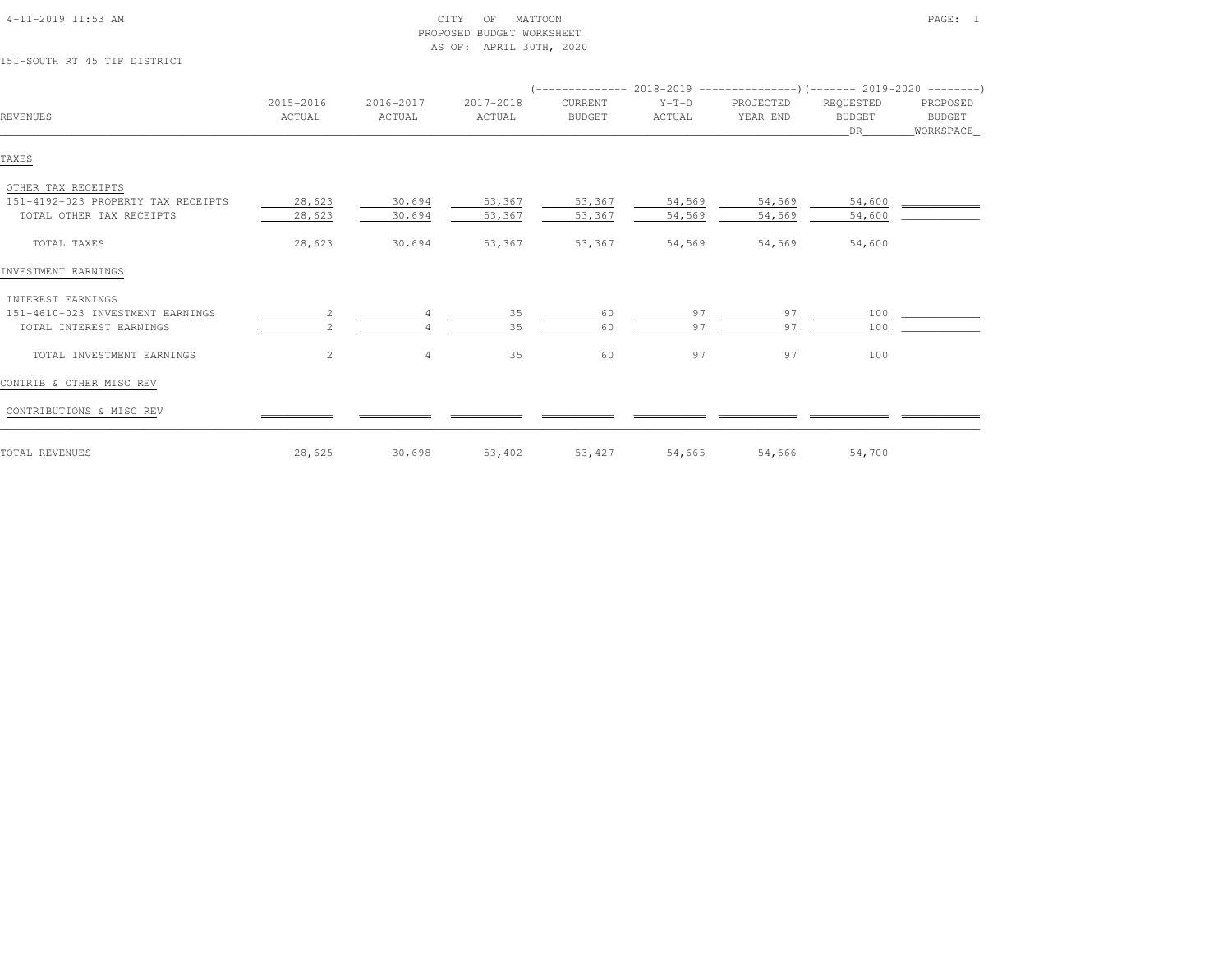| 151-SOUTH RT 45 TIF DISTRICT       |                      |                     |                     |                          |                   |                                                                       |                                    |                                 |
|------------------------------------|----------------------|---------------------|---------------------|--------------------------|-------------------|-----------------------------------------------------------------------|------------------------------------|---------------------------------|
|                                    |                      |                     |                     |                          |                   | (-------------- 2018-2019 --------------------- 2019-2020 --------- ) |                                    |                                 |
| <b>REVENUES</b>                    | 2015-2016<br>ACTUAL  | 2016-2017<br>ACTUAL | 2017-2018<br>ACTUAL | CURRENT<br><b>BUDGET</b> | $Y-T-D$<br>ACTUAL | PROJECTED<br>YEAR END                                                 | REQUESTED<br><b>BUDGET</b><br>DR . | PROPOSED<br>BUDGET<br>WORKSPACE |
| TAXES                              |                      |                     |                     |                          |                   |                                                                       |                                    |                                 |
| OTHER TAX RECEIPTS                 |                      |                     |                     |                          |                   |                                                                       |                                    |                                 |
| 151-4192-023 PROPERTY TAX RECEIPTS | 28,623               | 30,694              | 53,367              | 53,367                   | 54,569            | 54,569                                                                | 54,600                             |                                 |
| TOTAL OTHER TAX RECEIPTS           | 28,623               | 30,694              | 53,367              | 53,367                   | 54,569            | 54,569                                                                | 54,600                             |                                 |
| TOTAL TAXES                        | 28,623               | 30,694              | 53,367              | 53,367                   | 54,569            | 54,569                                                                | 54,600                             |                                 |
| INVESTMENT EARNINGS                |                      |                     |                     |                          |                   |                                                                       |                                    |                                 |
| INTEREST EARNINGS                  |                      |                     |                     |                          |                   |                                                                       |                                    |                                 |
| 151-4610-023 INVESTMENT EARNINGS   |                      |                     | 35                  | 60                       | 97                | 97                                                                    | 100                                |                                 |
| TOTAL INTEREST EARNINGS            |                      |                     | 35                  | 60                       | 97                | 97                                                                    | 100                                |                                 |
| TOTAL INVESTMENT EARNINGS          | $\mathbf{2}^{\circ}$ | $\overline{4}$      | 35                  | 60                       | 97                | 97                                                                    | 100                                |                                 |
| CONTRIB & OTHER MISC REV           |                      |                     |                     |                          |                   |                                                                       |                                    |                                 |
| CONTRIBUTIONS & MISC REV           |                      |                     |                     |                          |                   |                                                                       |                                    |                                 |
| TOTAL REVENUES                     | 28,625               | 30,698              | 53,402              | 53,427                   | 54,665            | 54,666                                                                | 54,700                             |                                 |

PROPOSED BUDGET WORKSHEET

AS OF: APRIL 30TH, 2020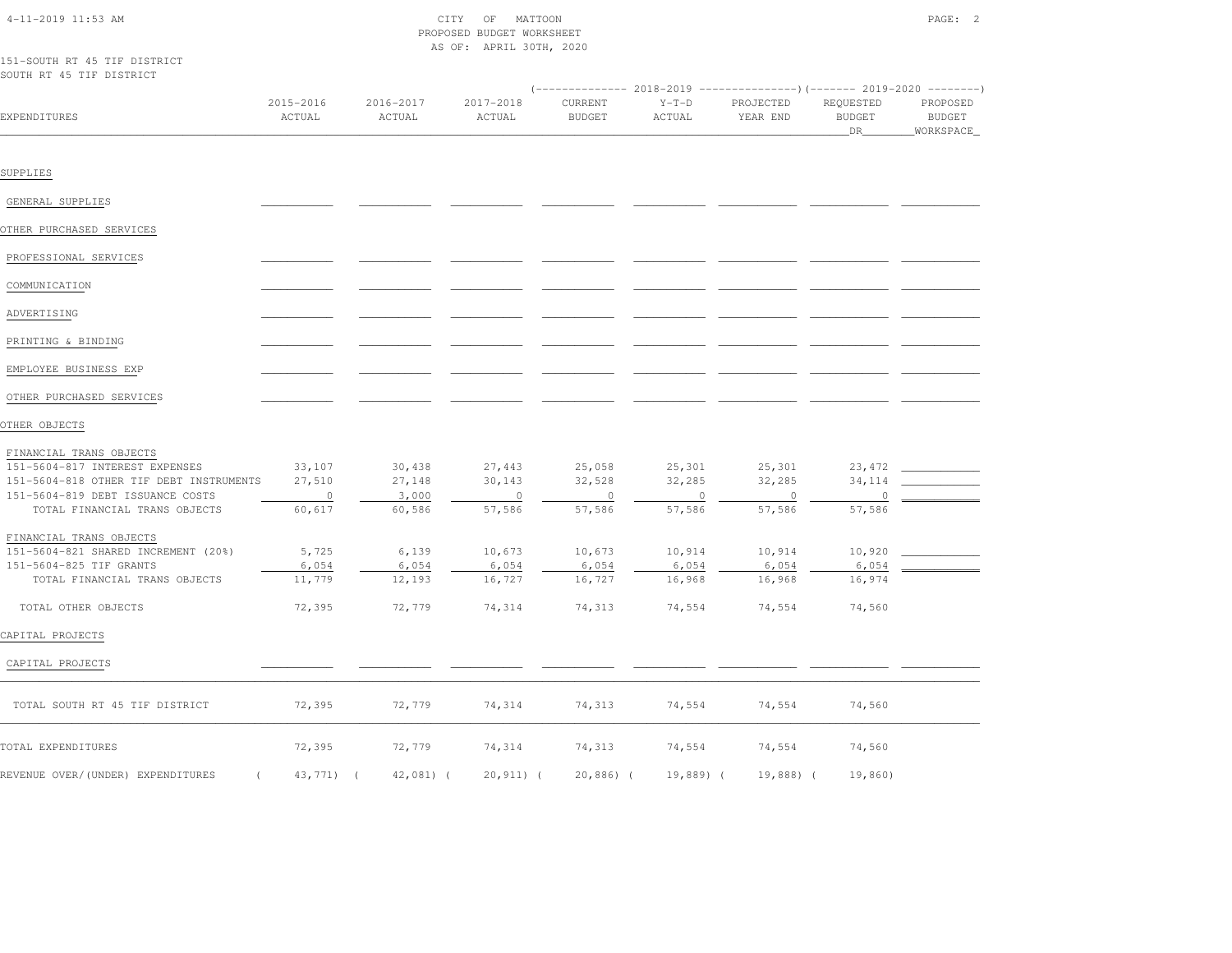# $\text{CITY}$  of MATTOON  $\text{PAGE:}$  2 PROPOSED BUDGET WORKSHEETAS OF: APRIL 30TH, 2020

### 151-SOUTH RT 45 TIF DISTRICTSOUTH RT 45 TIF DISTRICT

| EXPENDITURES                            | 2015-2016<br>ACTUAL      | 2016-2017<br>ACTUAL | 2017-2018<br>ACTUAL | CURRENT<br><b>BUDGET</b> | $Y-T-D$<br>ACTUAL | PROJECTED<br>YEAR END | REQUESTED<br><b>BUDGET</b><br>DR | PROPOSED<br><b>BUDGET</b><br>_WORKSPACE_ |
|-----------------------------------------|--------------------------|---------------------|---------------------|--------------------------|-------------------|-----------------------|----------------------------------|------------------------------------------|
|                                         |                          |                     |                     |                          |                   |                       |                                  |                                          |
| SUPPLIES                                |                          |                     |                     |                          |                   |                       |                                  |                                          |
| GENERAL SUPPLIES                        |                          |                     |                     |                          |                   |                       |                                  |                                          |
| OTHER PURCHASED SERVICES                |                          |                     |                     |                          |                   |                       |                                  |                                          |
|                                         |                          |                     |                     |                          |                   |                       |                                  |                                          |
| PROFESSIONAL SERVICES                   |                          |                     |                     |                          |                   |                       |                                  |                                          |
| COMMUNICATION                           |                          |                     |                     |                          |                   |                       |                                  |                                          |
| ADVERTISING                             |                          |                     |                     |                          |                   |                       |                                  |                                          |
| PRINTING & BINDING                      |                          |                     |                     |                          |                   |                       |                                  |                                          |
| EMPLOYEE BUSINESS EXP                   |                          |                     |                     |                          |                   |                       |                                  |                                          |
| OTHER PURCHASED SERVICES                |                          |                     |                     |                          |                   |                       |                                  |                                          |
| OTHER OBJECTS                           |                          |                     |                     |                          |                   |                       |                                  |                                          |
| FINANCIAL TRANS OBJECTS                 |                          |                     |                     |                          |                   |                       |                                  |                                          |
| 151-5604-817 INTEREST EXPENSES          | 33,107                   | 30,438              | 27,443              | 25,058                   | 25,301            | 25,301                | 23,472                           |                                          |
| 151-5604-818 OTHER TIF DEBT INSTRUMENTS | 27,510                   | 27,148              | 30,143              | 32,528                   | 32,285            | 32,285                | 34,114                           |                                          |
| 151-5604-819 DEBT ISSUANCE COSTS        | $\overline{\phantom{0}}$ | 3,000               | $\circ$             | $\circ$                  | $\circ$           | $\overline{0}$        | $\circ$                          |                                          |
| TOTAL FINANCIAL TRANS OBJECTS           | 60,617                   | 60,586              | 57,586              | 57,586                   | 57,586            | 57,586                | 57,586                           |                                          |
| FINANCIAL TRANS OBJECTS                 |                          |                     |                     |                          |                   |                       |                                  |                                          |
| 151-5604-821 SHARED INCREMENT (20%)     | 5,725                    | 6,139               | 10,673              | 10,673                   | 10,914            | 10,914                | 10,920                           |                                          |
| 151-5604-825 TIF GRANTS                 | 6,054                    | 6,054               | 6,054               | 6,054                    | 6,054             | 6,054                 | 6,054                            |                                          |
| TOTAL FINANCIAL TRANS OBJECTS           | 11,779                   | 12,193              | 16,727              | 16,727                   | 16,968            | 16,968                | 16,974                           |                                          |
| TOTAL OTHER OBJECTS                     | 72,395                   | 72,779              | 74,314              | 74,313                   | 74,554            | 74,554                | 74,560                           |                                          |
| CAPITAL PROJECTS                        |                          |                     |                     |                          |                   |                       |                                  |                                          |
| CAPITAL PROJECTS                        |                          |                     |                     |                          |                   |                       |                                  |                                          |
| TOTAL SOUTH RT 45 TIF DISTRICT          | 72,395                   | 72,779              | 74,314              | 74,313                   | 74,554            | 74,554                | 74,560                           |                                          |
| TOTAL EXPENDITURES                      | 72,395                   | 72,779              | 74,314              | 74,313                   | 74,554            | 74,554                | 74,560                           |                                          |
| REVENUE OVER/(UNDER) EXPENDITURES       | 43,771) (                | $42,081$ $($        | $20.911$ $($        | $20,886$ ) $($           | 19,889) (         | 19,888) (             | 19,860)                          |                                          |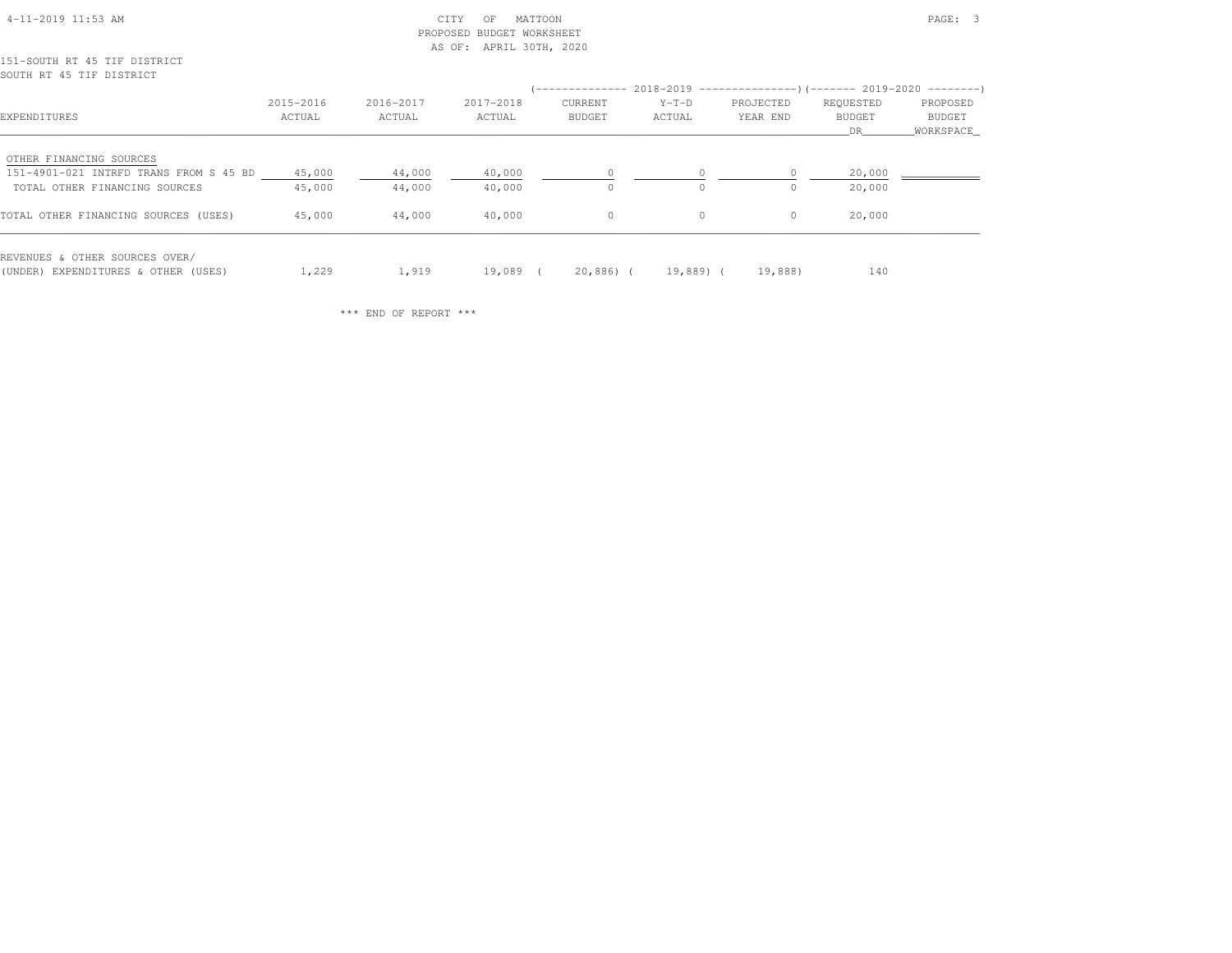| $4-11-2019$ $11:53$ AM |  |
|------------------------|--|
|                        |  |

## $\text{CITY}$  of MATTOON  $\text{PAGE:}$  3 PROPOSED BUDGET WORKSHEETAS OF: APRIL 30TH, 2020

## 151-SOUTH RT 45 TIF DISTRICTSOUTH RT 45 TIF DISTRICT

|                                                                       |           |           |           | (-------------- 2018-2019 --------------------- 2019-2020 ---------- ) |           |           |           |           |
|-----------------------------------------------------------------------|-----------|-----------|-----------|------------------------------------------------------------------------|-----------|-----------|-----------|-----------|
|                                                                       | 2015-2016 | 2016-2017 | 2017-2018 | CURRENT                                                                | $Y-T-D$   | PROJECTED | REQUESTED | PROPOSED  |
| EXPENDITURES                                                          | ACTUAL    | ACTUAL    | ACTUAL    | <b>BUDGET</b>                                                          | ACTUAL    | YEAR END  | BUDGET    | BUDGET    |
|                                                                       |           |           |           |                                                                        |           |           | DR        | WORKSPACE |
| OTHER FINANCING SOURCES                                               |           |           |           |                                                                        |           |           |           |           |
| 151-4901-021 INTRFD TRANS FROM S 45 BD                                | 45,000    | 44,000    | 40,000    |                                                                        |           |           | 20,000    |           |
| TOTAL OTHER FINANCING SOURCES                                         | 45,000    | 44,000    | 40,000    | $\Omega$                                                               | $\Omega$  | $\Omega$  | 20,000    |           |
| TOTAL OTHER FINANCING SOURCES (USES)                                  | 45,000    | 44,000    | 40,000    | $\circ$                                                                | $\circ$   | 0         | 20,000    |           |
| REVENUES & OTHER SOURCES OVER/<br>(UNDER) EXPENDITURES & OTHER (USES) | 1,229     | 1,919     | 19,089    | 20,886) (                                                              | 19,889) ( | 19,888)   | 140       |           |

\*\*\* END OF REPORT \*\*\*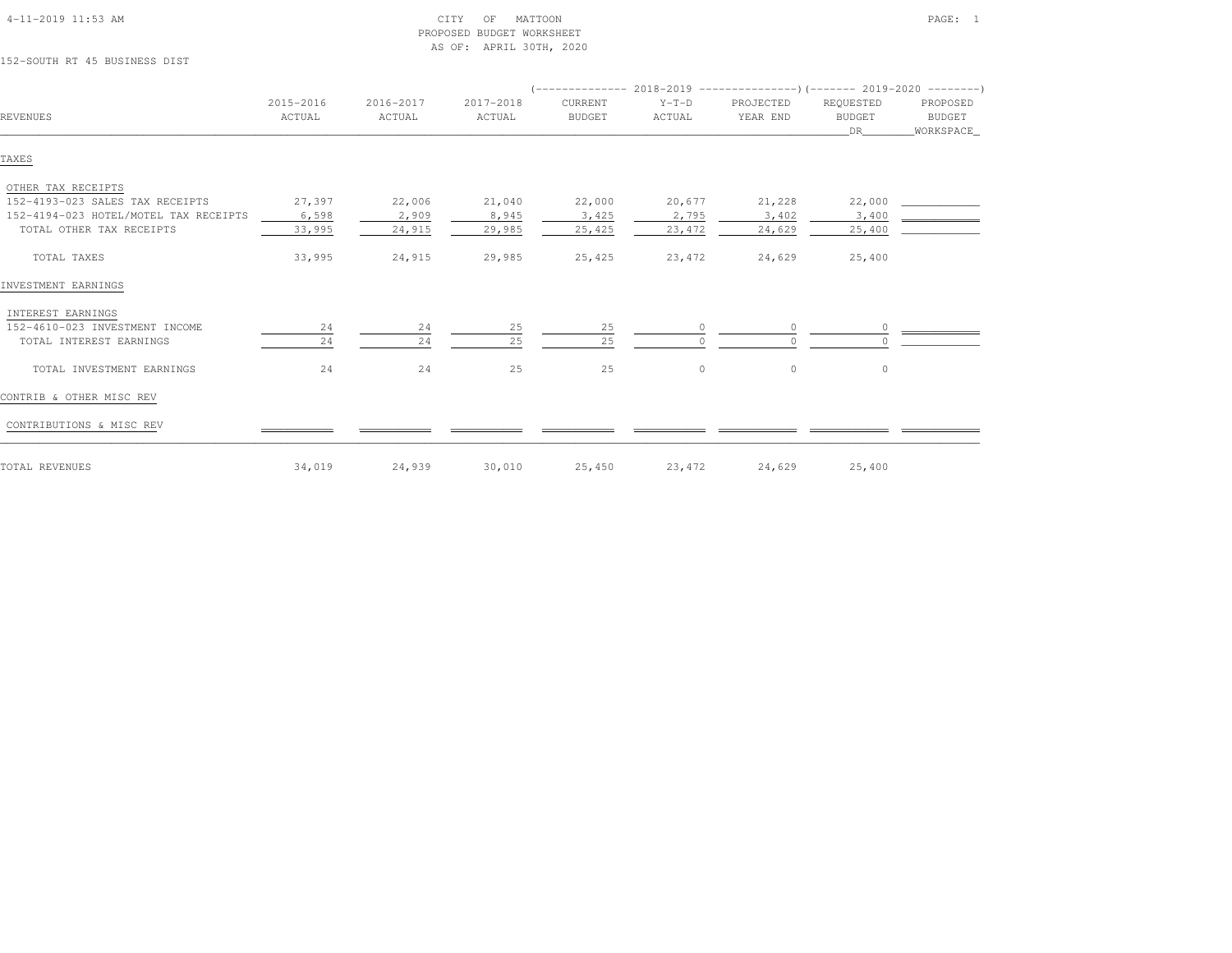| 152-SOUTH RT 45 BUSINESS DIST         |           |           |           |               |         |           |               |             |  |
|---------------------------------------|-----------|-----------|-----------|---------------|---------|-----------|---------------|-------------|--|
|                                       |           |           |           |               |         |           |               |             |  |
|                                       | 2015-2016 | 2016-2017 | 2017-2018 | CURRENT       | $Y-T-D$ | PROJECTED | REQUESTED     | PROPOSED    |  |
| <b>REVENUES</b>                       | ACTUAL    | ACTUAL    | ACTUAL    | <b>BUDGET</b> | ACTUAL  | YEAR END  | <b>BUDGET</b> | BUDGET      |  |
|                                       |           |           |           |               |         |           | DR —          | _WORKSPACE_ |  |
| TAXES                                 |           |           |           |               |         |           |               |             |  |
| OTHER TAX RECEIPTS                    |           |           |           |               |         |           |               |             |  |
| 152-4193-023 SALES TAX RECEIPTS       | 27,397    | 22,006    | 21,040    | 22,000        | 20,677  | 21,228    | 22,000        |             |  |
| 152-4194-023 HOTEL/MOTEL TAX RECEIPTS | 6,598     | 2,909     | 8,945     | 3,425         | 2,795   | 3,402     | 3,400         |             |  |
| TOTAL OTHER TAX RECEIPTS              | 33,995    | 24,915    | 29,985    | 25,425        | 23,472  | 24,629    | 25,400        |             |  |
| TOTAL TAXES                           | 33,995    | 24,915    | 29,985    | 25,425        | 23,472  | 24,629    | 25,400        |             |  |
| INVESTMENT EARNINGS                   |           |           |           |               |         |           |               |             |  |
| INTEREST EARNINGS                     |           |           |           |               |         |           |               |             |  |
| 152-4610-023 INVESTMENT INCOME        | 24        | 24        | 25        | 25            | $\circ$ | $\circ$   |               |             |  |
| TOTAL INTEREST EARNINGS               | 24        | 24        | 25        | 25            |         |           |               |             |  |
| TOTAL INVESTMENT EARNINGS             | 24        | 24        | 25        | 25            | $\circ$ | $\circ$   | $\circ$       |             |  |
| CONTRIB & OTHER MISC REV              |           |           |           |               |         |           |               |             |  |
| CONTRIBUTIONS & MISC REV              |           |           |           |               |         |           |               |             |  |
| TOTAL REVENUES                        | 34,019    | 24,939    | 30,010    | 25,450        | 23,472  | 24,629    | 25,400        |             |  |

PROPOSED BUDGET WORKSHEET

AS OF: APRIL 30TH, 2020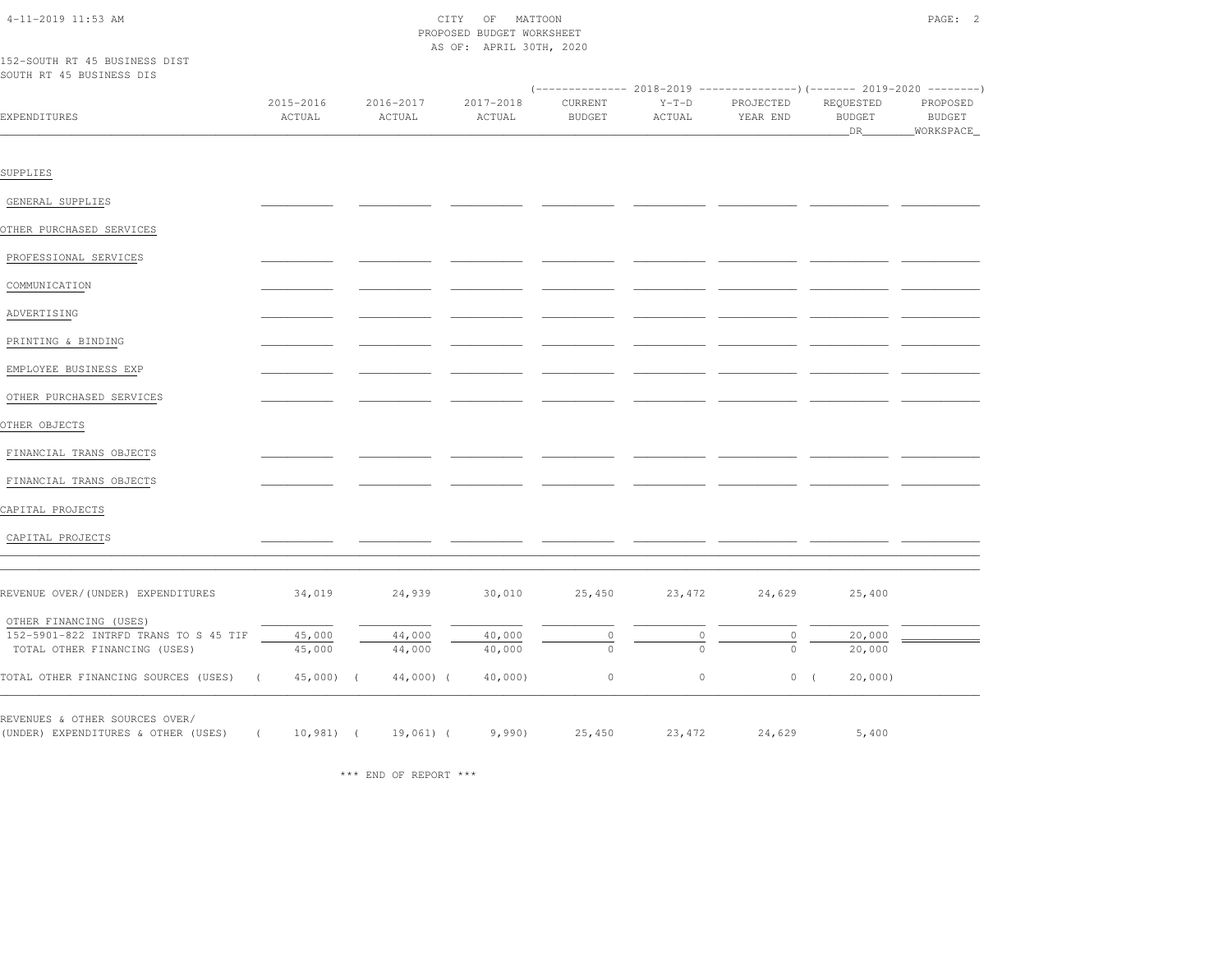| 152-SOUTH RT 45 BUSINESS DIST                                         |                        |                     | PROPOSED BUDGET WORKSHEET<br>AS OF: APRIL 30TH, 2020 |                          |                   |                       |                                  |                                          |
|-----------------------------------------------------------------------|------------------------|---------------------|------------------------------------------------------|--------------------------|-------------------|-----------------------|----------------------------------|------------------------------------------|
| SOUTH RT 45 BUSINESS DIS                                              |                        |                     |                                                      |                          |                   |                       |                                  |                                          |
| EXPENDITURES                                                          | 2015-2016<br>ACTUAL    | 2016-2017<br>ACTUAL | 2017-2018<br>ACTUAL                                  | CURRENT<br><b>BUDGET</b> | $Y-T-D$<br>ACTUAL | PROJECTED<br>YEAR END | REQUESTED<br><b>BUDGET</b><br>DR | PROPOSED<br><b>BUDGET</b><br>_WORKSPACE_ |
|                                                                       |                        |                     |                                                      |                          |                   |                       |                                  |                                          |
| SUPPLIES                                                              |                        |                     |                                                      |                          |                   |                       |                                  |                                          |
| GENERAL SUPPLIES                                                      |                        |                     |                                                      |                          |                   |                       |                                  |                                          |
| OTHER PURCHASED SERVICES                                              |                        |                     |                                                      |                          |                   |                       |                                  |                                          |
| PROFESSIONAL SERVICES                                                 |                        |                     |                                                      |                          |                   |                       |                                  |                                          |
| COMMUNICATION                                                         |                        |                     |                                                      |                          |                   |                       |                                  |                                          |
| ADVERTISING                                                           |                        |                     |                                                      |                          |                   |                       |                                  |                                          |
| PRINTING & BINDING                                                    |                        |                     |                                                      |                          |                   |                       |                                  |                                          |
| EMPLOYEE BUSINESS EXP                                                 |                        |                     |                                                      |                          |                   |                       |                                  |                                          |
| OTHER PURCHASED SERVICES                                              |                        |                     |                                                      |                          |                   |                       |                                  |                                          |
| OTHER OBJECTS                                                         |                        |                     |                                                      |                          |                   |                       |                                  |                                          |
| FINANCIAL TRANS OBJECTS                                               |                        |                     |                                                      |                          |                   |                       |                                  |                                          |
| FINANCIAL TRANS OBJECTS                                               |                        |                     |                                                      |                          |                   |                       |                                  |                                          |
| CAPITAL PROJECTS                                                      |                        |                     |                                                      |                          |                   |                       |                                  |                                          |
| CAPITAL PROJECTS                                                      |                        |                     |                                                      |                          |                   |                       |                                  |                                          |
|                                                                       |                        |                     |                                                      |                          |                   |                       |                                  |                                          |
| REVENUE OVER/(UNDER) EXPENDITURES                                     | 34,019                 | 24,939              | 30,010                                               | 25,450                   | 23,472            | 24,629                | 25,400                           |                                          |
|                                                                       |                        |                     |                                                      |                          |                   |                       |                                  |                                          |
| OTHER FINANCING (USES)<br>152-5901-822 INTRFD TRANS TO S 45 TIF       | 45,000                 | 44,000              | 40,000                                               | $\mathbb O$              | $\circ$           | 0                     | 20,000                           |                                          |
| TOTAL OTHER FINANCING (USES)                                          | 45,000                 | 44,000              | 40,000                                               | $\Omega$                 | $\Omega$          | $\Omega$              | 20,000                           |                                          |
| TOTAL OTHER FINANCING SOURCES (USES)                                  | $\left($<br>45,000) (  | $44,000$ ) (        | 40,000                                               | $\mathbb O$              | $\circ$           | 0(                    | 20,000                           |                                          |
|                                                                       |                        |                     |                                                      |                          |                   |                       |                                  |                                          |
| REVENUES & OTHER SOURCES OVER/<br>(UNDER) EXPENDITURES & OTHER (USES) | $10,981$ (<br>$\left($ | $19,061)$ (         | 9,990                                                | 25,450                   | 23,472            | 24,629                | 5,400                            |                                          |

\*\*\* END OF REPORT \*\*\*

4-11-2019 11:53 AM CITY OF MATTOON PAGE: 2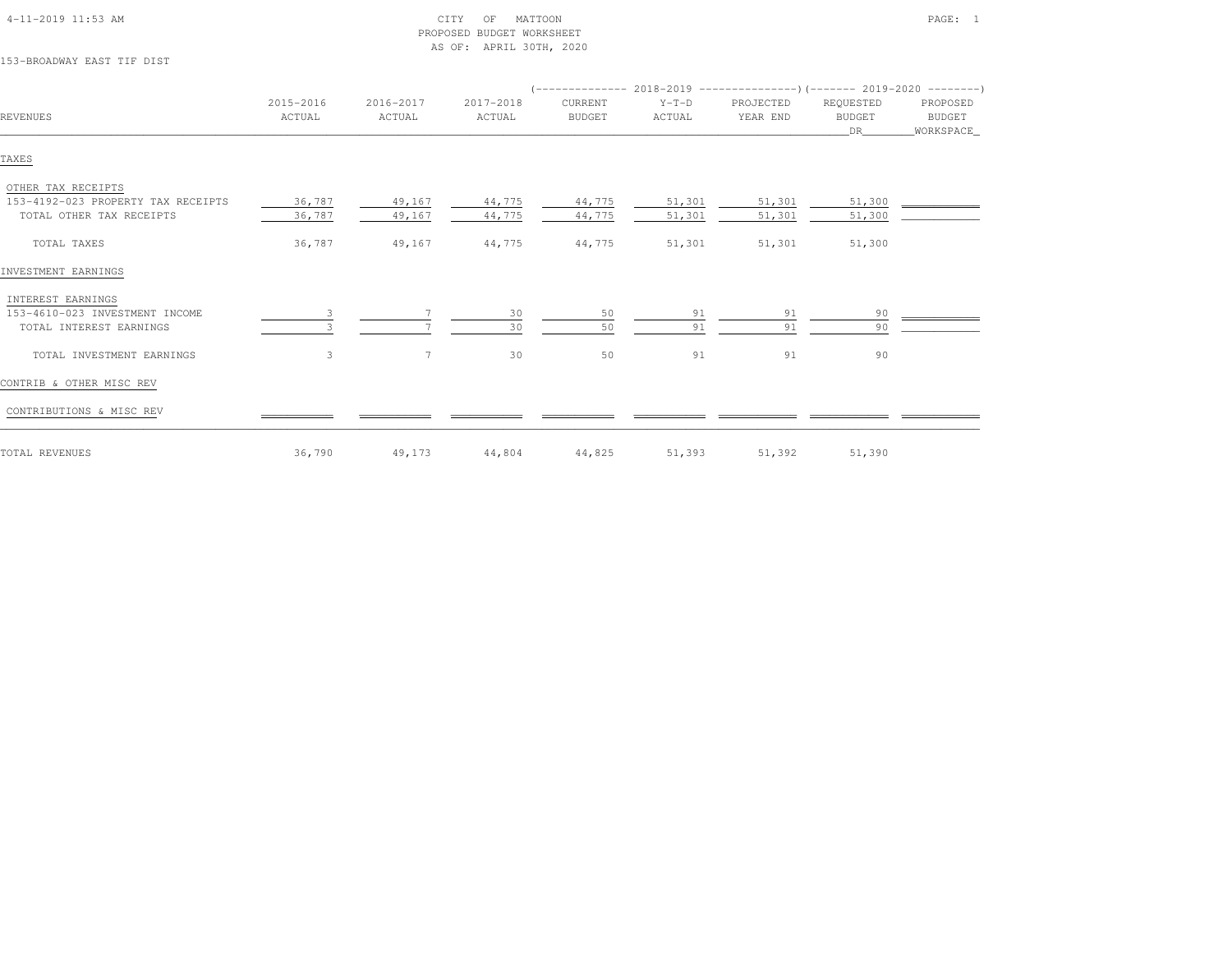| 153-BROADWAY EAST TIF DIST                                                           |                     |                     | AS OF: APRIL 30TH, 2020 |                          |                   |                       |                                  |                                 |
|--------------------------------------------------------------------------------------|---------------------|---------------------|-------------------------|--------------------------|-------------------|-----------------------|----------------------------------|---------------------------------|
|                                                                                      |                     |                     |                         |                          |                   |                       |                                  |                                 |
| <b>REVENUES</b>                                                                      | 2015-2016<br>ACTUAL | 2016-2017<br>ACTUAL | 2017-2018<br>ACTUAL     | CURRENT<br><b>BUDGET</b> | $Y-T-D$<br>ACTUAL | PROJECTED<br>YEAR END | REQUESTED<br><b>BUDGET</b><br>DR | PROPOSED<br>BUDGET<br>WORKSPACE |
| TAXES                                                                                |                     |                     |                         |                          |                   |                       |                                  |                                 |
| OTHER TAX RECEIPTS<br>153-4192-023 PROPERTY TAX RECEIPTS<br>TOTAL OTHER TAX RECEIPTS | 36,787<br>36,787    | 49,167<br>49,167    | 44,775<br>44,775        | 44,775<br>44,775         | 51,301<br>51,301  | 51,301<br>51,301      | 51,300<br>51,300                 |                                 |
| TOTAL TAXES                                                                          | 36,787              | 49,167              | 44,775                  | 44,775                   | 51,301            | 51,301                | 51,300                           |                                 |
| INVESTMENT EARNINGS                                                                  |                     |                     |                         |                          |                   |                       |                                  |                                 |
| INTEREST EARNINGS<br>153-4610-023 INVESTMENT INCOME<br>TOTAL INTEREST EARNINGS       | 3                   |                     | 30<br>30                | 50<br>50                 | 91<br>91          | 91<br>91              | 90<br>90                         |                                 |
| TOTAL INVESTMENT EARNINGS                                                            | 3                   | $7\phantom{.0}$     | 30                      | 50                       | 91                | 91                    | 90                               |                                 |
| CONTRIB & OTHER MISC REV                                                             |                     |                     |                         |                          |                   |                       |                                  |                                 |
| CONTRIBUTIONS & MISC REV                                                             |                     |                     |                         |                          |                   |                       |                                  |                                 |
| TOTAL REVENUES                                                                       | 36,790              | 49,173              | 44,804                  | 44,825                   | 51,393            | 51,392                | 51,390                           |                                 |

PROPOSED BUDGET WORKSHEET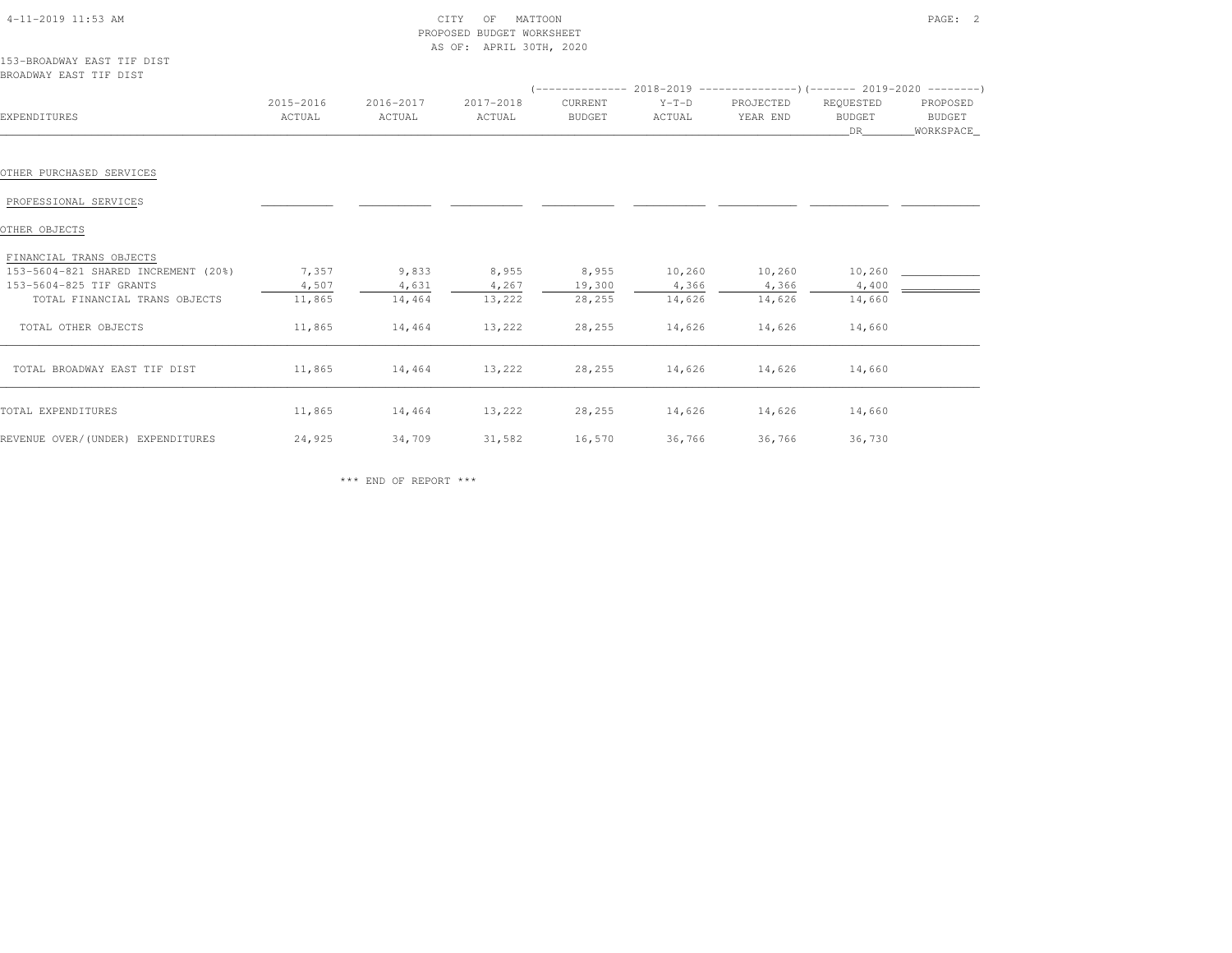| $4-11-2019$ $11:53$ AM                               |                     | CITY<br>PROPOSED BUDGET WORKSHEET<br>AS OF: APRIL 30TH, 2020 |                     |                          | PAGE: 2                                                                  |                       |                                  |                                 |
|------------------------------------------------------|---------------------|--------------------------------------------------------------|---------------------|--------------------------|--------------------------------------------------------------------------|-----------------------|----------------------------------|---------------------------------|
| 153-BROADWAY EAST TIF DIST<br>BROADWAY EAST TIF DIST |                     |                                                              |                     |                          | $($ -------------- 2018-2019 ----------------------- 2019-2020 --------- |                       |                                  |                                 |
| EXPENDITURES                                         | 2015-2016<br>ACTUAL | 2016-2017<br>ACTUAL                                          | 2017-2018<br>ACTUAL | CURRENT<br><b>BUDGET</b> | $Y-T-D$<br>ACTUAL                                                        | PROJECTED<br>YEAR END | REQUESTED<br><b>BUDGET</b><br>DR | PROPOSED<br>BUDGET<br>WORKSPACE |
| OTHER PURCHASED SERVICES                             |                     |                                                              |                     |                          |                                                                          |                       |                                  |                                 |
| PROFESSIONAL SERVICES                                |                     |                                                              |                     |                          |                                                                          |                       |                                  |                                 |
| OTHER OBJECTS                                        |                     |                                                              |                     |                          |                                                                          |                       |                                  |                                 |
| FINANCIAL TRANS OBJECTS                              |                     |                                                              |                     |                          |                                                                          |                       |                                  |                                 |
| 153-5604-821 SHARED INCREMENT (20%)                  | 7,357               | 9,833                                                        | 8,955               | 8,955                    | 10,260                                                                   | 10,260                | 10,260                           |                                 |
| 153-5604-825 TIF GRANTS                              | 4,507               | 4,631                                                        | 4,267               | 19,300                   | 4,366                                                                    | 4,366                 | 4,400                            |                                 |
| TOTAL FINANCIAL TRANS OBJECTS                        | 11,865              | 14,464                                                       | 13,222              | 28,255                   | 14,626                                                                   | 14,626                | 14,660                           |                                 |
| TOTAL OTHER OBJECTS                                  | 11,865              | 14,464                                                       | 13,222              | 28,255                   | 14,626                                                                   | 14,626                | 14,660                           |                                 |
| TOTAL BROADWAY EAST TIF DIST                         | 11,865              | 14,464                                                       | 13,222              | 28,255                   | 14,626                                                                   | 14,626                | 14,660                           |                                 |
| TOTAL EXPENDITURES                                   | 11,865              | 14,464                                                       | 13,222              | 28,255                   | 14,626                                                                   | 14,626                | 14,660                           |                                 |

\*\*\* END OF REPORT \*\*\*

REVENUE OVER/(UNDER) EXPENDITURES 24,925 34,709 31,582 16,570 36,766 36,766 36,730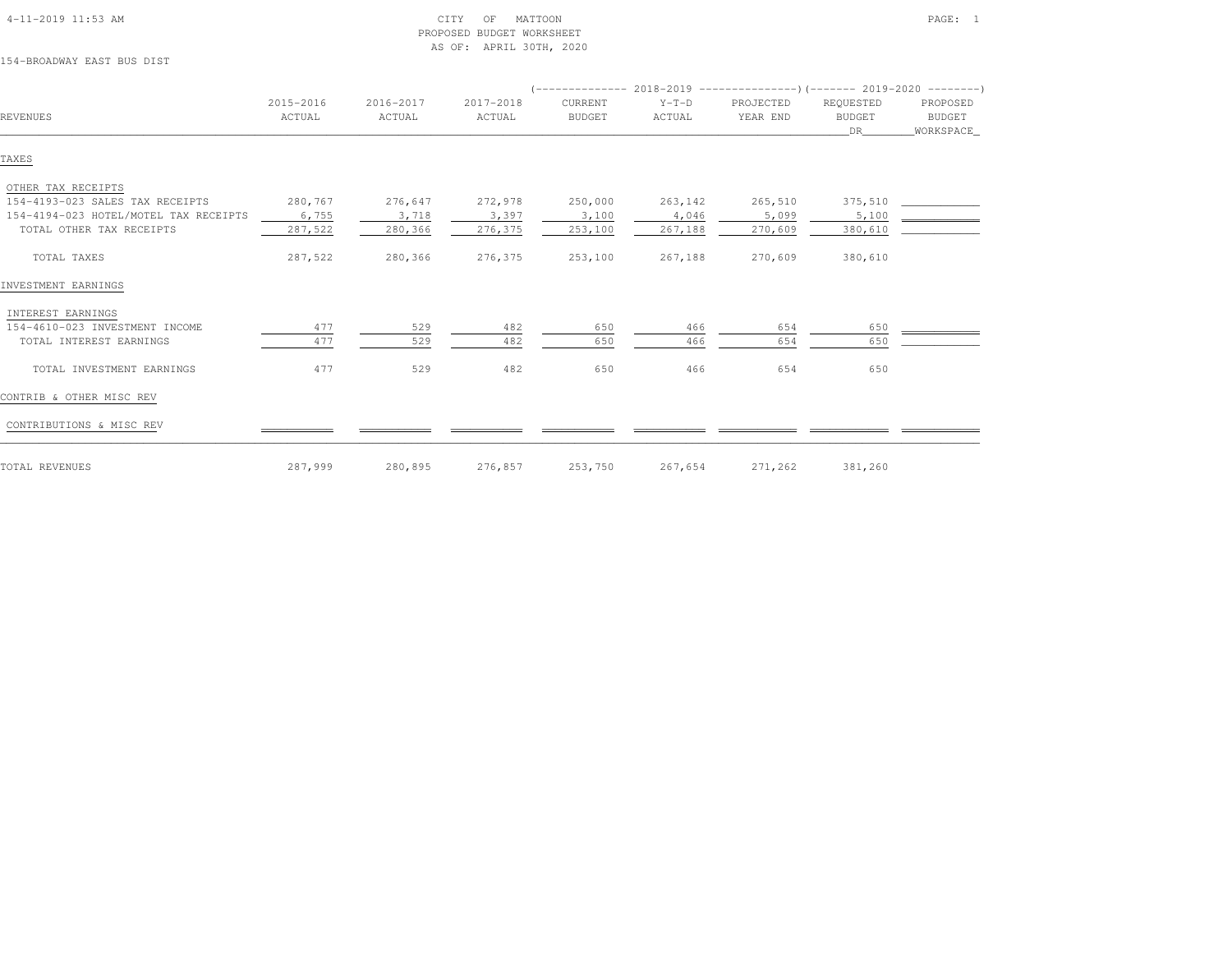| 154-BROADWAY EAST BUS DIST            |                     |                     | AS OF: APRIL 30TH, 2020 |                          |                   |                       |                                         |                                        |
|---------------------------------------|---------------------|---------------------|-------------------------|--------------------------|-------------------|-----------------------|-----------------------------------------|----------------------------------------|
|                                       |                     |                     |                         |                          |                   |                       |                                         |                                        |
|                                       |                     |                     |                         |                          |                   |                       |                                         |                                        |
| <b>REVENUES</b>                       | 2015-2016<br>ACTUAL | 2016-2017<br>ACTUAL | 2017-2018<br>ACTUAL     | CURRENT<br><b>BUDGET</b> | $Y-T-D$<br>ACTUAL | PROJECTED<br>YEAR END | REQUESTED<br><b>BUDGET</b><br><b>DR</b> | PROPOSED<br><b>BUDGET</b><br>WORKSPACE |
| TAXES                                 |                     |                     |                         |                          |                   |                       |                                         |                                        |
| OTHER TAX RECEIPTS                    |                     |                     |                         |                          |                   |                       |                                         |                                        |
| 154-4193-023 SALES TAX RECEIPTS       | 280,767             | 276,647             | 272,978                 | 250,000                  | 263,142           | 265,510               | 375,510                                 |                                        |
| 154-4194-023 HOTEL/MOTEL TAX RECEIPTS | 6,755               | 3,718               | 3,397                   | 3,100                    | 4,046             | 5,099                 | 5,100                                   |                                        |
| TOTAL OTHER TAX RECEIPTS              | 287,522             | 280,366             | 276,375                 | 253,100                  | 267,188           | 270,609               | 380,610                                 |                                        |
| TOTAL TAXES                           | 287,522             | 280,366             | 276,375                 | 253,100                  | 267,188           | 270,609               | 380,610                                 |                                        |
| INVESTMENT EARNINGS                   |                     |                     |                         |                          |                   |                       |                                         |                                        |
| INTEREST EARNINGS                     |                     |                     |                         |                          |                   |                       |                                         |                                        |
| 154-4610-023 INVESTMENT INCOME        | 477                 | 529                 | 482                     | 650                      | 466               | 654                   | 650                                     |                                        |
| TOTAL INTEREST EARNINGS               | 477                 | 529                 | 482                     | 650                      | 466               | 654                   | 650                                     |                                        |
| TOTAL INVESTMENT EARNINGS             | 477                 | 529                 | 482                     | 650                      | 466               | 654                   | 650                                     |                                        |
| CONTRIB & OTHER MISC REV              |                     |                     |                         |                          |                   |                       |                                         |                                        |
| CONTRIBUTIONS & MISC REV              |                     |                     |                         |                          |                   |                       |                                         |                                        |
| TOTAL REVENUES                        | 287,999             | 280,895             | 276,857                 | 253,750                  | 267,654           | 271,262               | 381,260                                 |                                        |

PROPOSED BUDGET WORKSHEET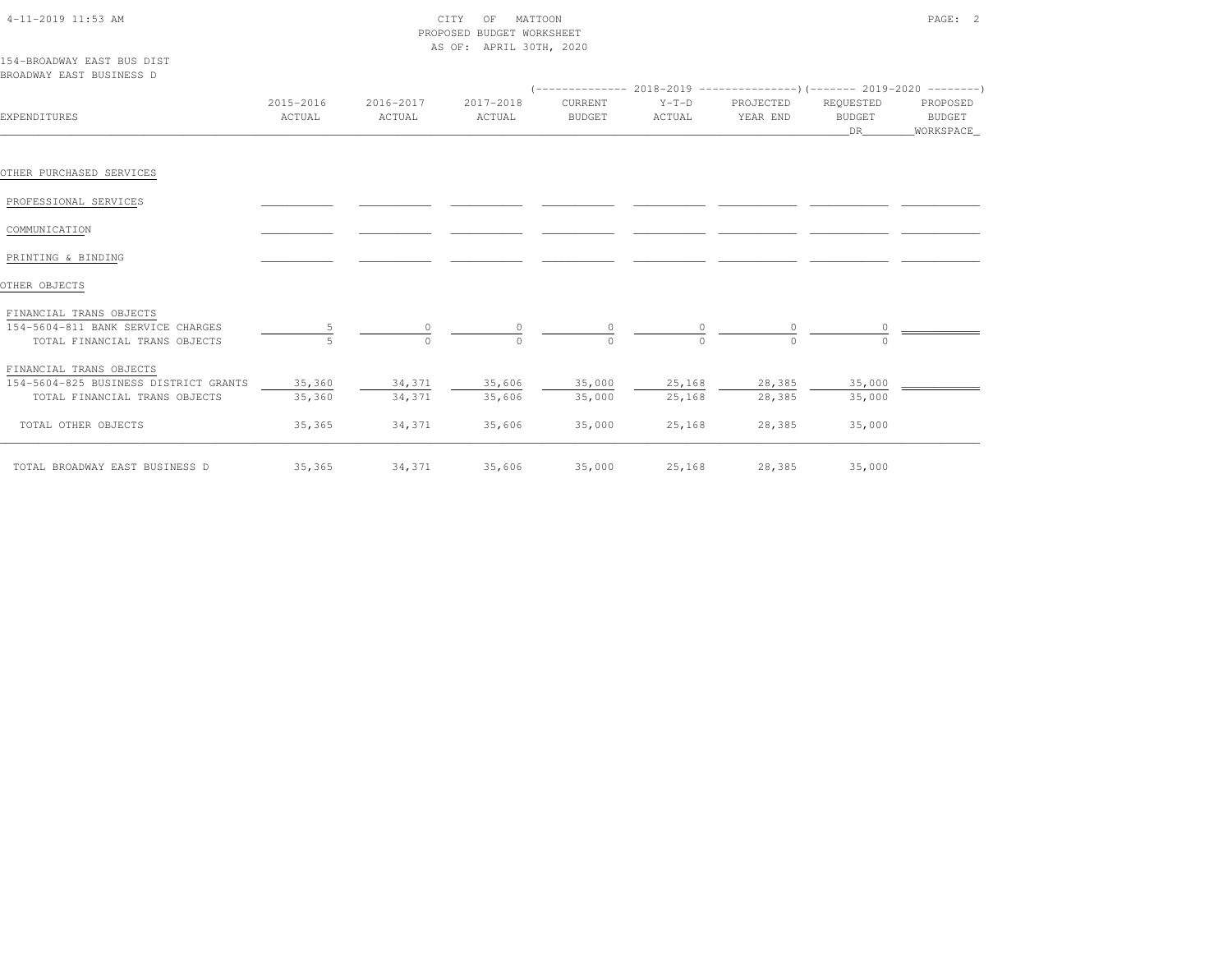| $4 - 11 - 2019$ 11:53 AM |  |
|--------------------------|--|

## 4-11-2019 CITY OF MATTOON CITY OF MATTOON PAGE: 2 PROPOSED BUDGET WORKSHEETAS OF: APRIL 30TH, 2020

| 154-BROADWAY EAST BUS DIST |  |  |
|----------------------------|--|--|
| BROADWAY EAST BUSINESS D   |  |  |

| EXPENDITURES                          | 2015-2016<br>ACTUAL | 2016-2017<br>ACTUAL | 2017-2018<br>ACTUAL | CURRENT<br><b>BUDGET</b> | $Y-T-D$<br>ACTUAL | PROJECTED<br>YEAR END | REQUESTED<br>BUDGET<br>DR 1 | PROPOSED<br>BUDGET<br>WORKSPACE |
|---------------------------------------|---------------------|---------------------|---------------------|--------------------------|-------------------|-----------------------|-----------------------------|---------------------------------|
|                                       |                     |                     |                     |                          |                   |                       |                             |                                 |
| OTHER PURCHASED SERVICES              |                     |                     |                     |                          |                   |                       |                             |                                 |
| PROFESSIONAL SERVICES                 |                     |                     |                     |                          |                   |                       |                             |                                 |
| COMMUNICATION                         |                     |                     |                     |                          |                   |                       |                             |                                 |
| PRINTING & BINDING                    |                     |                     |                     |                          |                   |                       |                             |                                 |
| OTHER OBJECTS                         |                     |                     |                     |                          |                   |                       |                             |                                 |
| FINANCIAL TRANS OBJECTS               |                     |                     |                     |                          |                   |                       |                             |                                 |
| 154-5604-811 BANK SERVICE CHARGES     |                     | $\circ$             |                     | $\circ$                  |                   |                       |                             |                                 |
| TOTAL FINANCIAL TRANS OBJECTS         |                     | $\Omega$            |                     | $\Omega$                 | $\Omega$          |                       |                             |                                 |
| FINANCIAL TRANS OBJECTS               |                     |                     |                     |                          |                   |                       |                             |                                 |
| 154-5604-825 BUSINESS DISTRICT GRANTS | 35,360              | 34,371              | 35,606              | 35,000                   | 25,168            | 28,385                | 35,000                      |                                 |
| TOTAL FINANCIAL TRANS OBJECTS         | 35,360              | 34,371              | 35,606              | 35,000                   | 25,168            | 28,385                | 35,000                      |                                 |
| TOTAL OTHER OBJECTS                   | 35,365              | 34,371              | 35,606              | 35,000                   | 25,168            | 28,385                | 35,000                      |                                 |
| TOTAL BROADWAY EAST BUSINESS D        | 35,365              | 34,371              | 35,606              | 35,000                   | 25,168            | 28,385                | 35,000                      |                                 |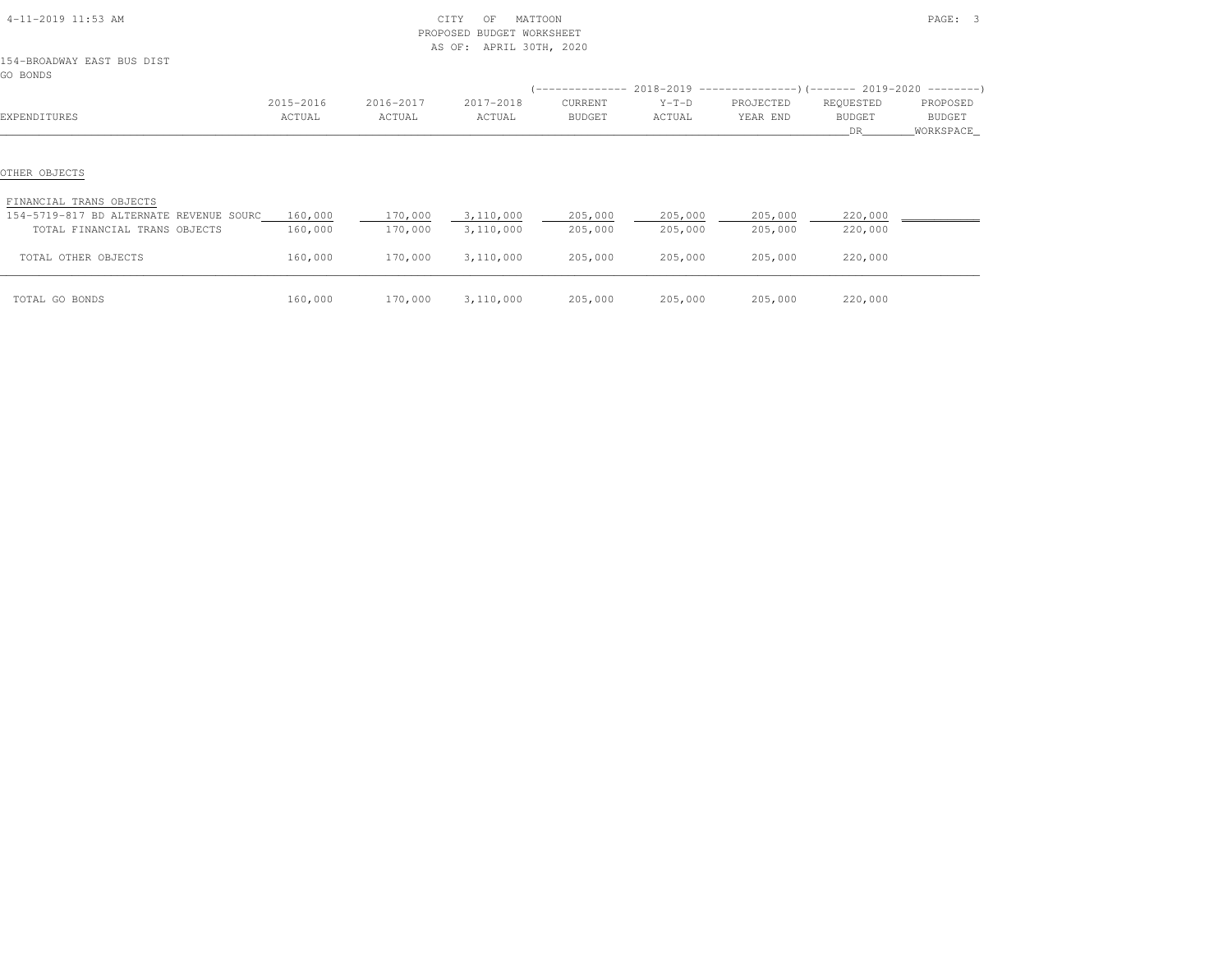| 4-11-2019 11:53 AM                       |                     |                     | MATTOON<br>CITY<br>OF<br>PROPOSED BUDGET WORKSHEET<br>APRIL 30TH, 2020<br>AS OF: |                          |                   |                                                                              |                            | PAGE: 3                   |
|------------------------------------------|---------------------|---------------------|----------------------------------------------------------------------------------|--------------------------|-------------------|------------------------------------------------------------------------------|----------------------------|---------------------------|
| 154-BROADWAY EAST BUS DIST<br>GO BONDS   |                     |                     |                                                                                  |                          |                   |                                                                              |                            |                           |
|                                          |                     |                     |                                                                                  |                          |                   | $($ -------------- 2018-2019 ----------------) (------- 2019-2020 ---------) |                            |                           |
| EXPENDITURES                             | 2015-2016<br>ACTUAL | 2016-2017<br>ACTUAL | 2017-2018<br>ACTUAL                                                              | CURRENT<br><b>BUDGET</b> | $Y-T-D$<br>ACTUAL | PROJECTED<br>YEAR END                                                        | REQUESTED<br><b>BUDGET</b> | PROPOSED<br><b>BUDGET</b> |
|                                          |                     |                     |                                                                                  |                          |                   |                                                                              | DR .                       | WORKSPACE_                |
| OTHER OBJECTS<br>FINANCIAL TRANS OBJECTS |                     |                     |                                                                                  |                          |                   |                                                                              |                            |                           |
| 154-5719-817 BD ALTERNATE REVENUE SOURC  | 160,000             | 170,000             | 3,110,000                                                                        | 205,000                  | 205,000           | 205,000                                                                      | 220,000                    |                           |
| TOTAL FINANCIAL TRANS OBJECTS            | 160,000             | 170,000             | 3,110,000                                                                        | 205,000                  | 205,000           | 205,000                                                                      | 220,000                    |                           |
| TOTAL OTHER OBJECTS                      | 160,000             | 170,000             | 3,110,000                                                                        | 205,000                  | 205,000           | 205,000                                                                      | 220,000                    |                           |
| TOTAL GO BONDS                           | 160,000             | 170,000             | 3,110,000                                                                        | 205,000                  | 205,000           | 205,000                                                                      | 220,000                    |                           |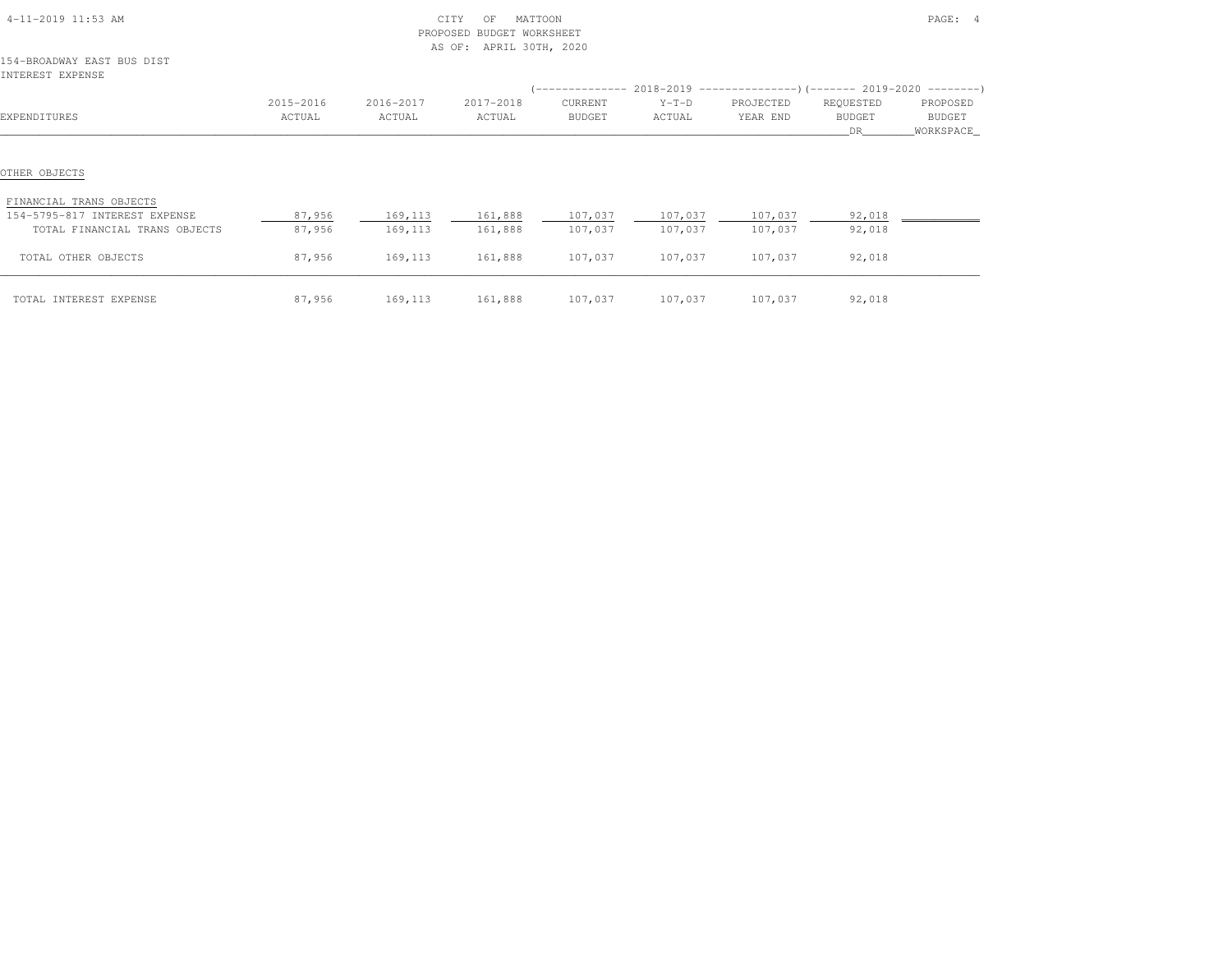| 4-11-2019 11:53 AM                             |           | CITY<br>MATTOON<br>OF<br>PROPOSED BUDGET WORKSHEET<br>AS OF: APRIL 30TH, 2020 |           |                 |                 |                 |           | PAGE: 4     |
|------------------------------------------------|-----------|-------------------------------------------------------------------------------|-----------|-----------------|-----------------|-----------------|-----------|-------------|
| 154-BROADWAY EAST BUS DIST<br>INTEREST EXPENSE |           |                                                                               |           |                 |                 |                 |           |             |
|                                                |           |                                                                               |           |                 |                 |                 |           |             |
|                                                | 2015-2016 | 2016-2017                                                                     | 2017-2018 | CURRENT         | $Y-T-D$         | PROJECTED       | REQUESTED | PROPOSED    |
| EXPENDITURES                                   | ACTUAL    | ACTUAL                                                                        | ACTUAL    | BUDGET          | ACTUAL          | YEAR END        | BUDGET    | BUDGET      |
|                                                |           |                                                                               |           |                 |                 |                 | DR.       | _WORKSPACE_ |
| OTHER OBJECTS<br>FINANCIAL TRANS OBJECTS       |           |                                                                               |           |                 |                 |                 |           |             |
| 154-5795-817 INTEREST EXPENSE                  | 87,956    | 169,113                                                                       |           | 161,888 107,037 |                 | 107,037 107,037 | 92,018    |             |
| TOTAL FINANCIAL TRANS OBJECTS                  | 87,956    | 169,113                                                                       | 161,888   | 107,037         | 107,037         | 107,037         | 92,018    |             |
| TOTAL OTHER OBJECTS                            | 87,956    | 169,113                                                                       | 161,888   | 107,037         | 107,037         | 107,037         | 92,018    |             |
| TOTAL INTEREST EXPENSE                         | 87,956    | 169, 113                                                                      | 161,888   |                 | 107,037 107,037 | 107,037         | 92,018    |             |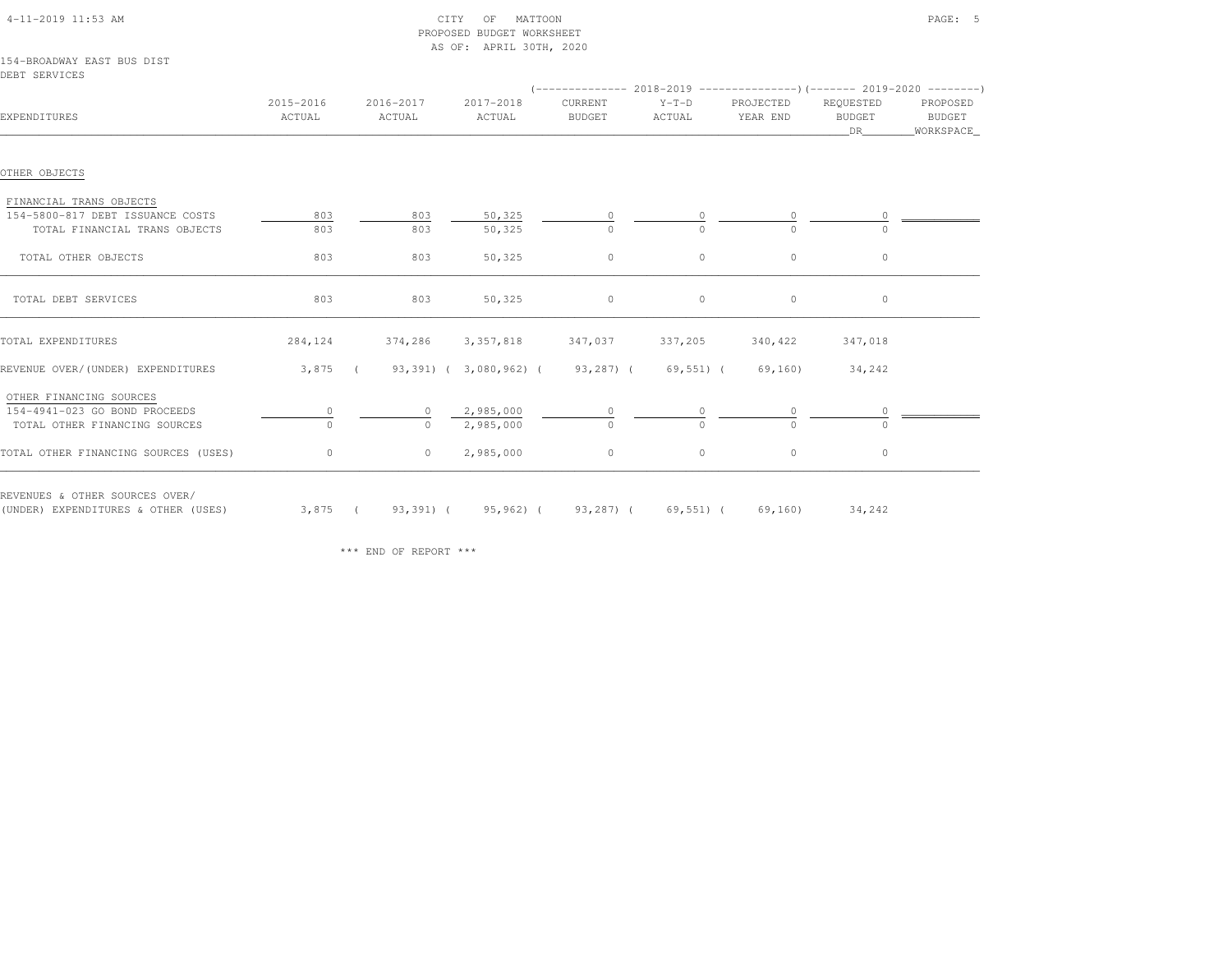|                     |                     | AS OF: APRIL 30TH, 2020 |                          |                   |                       |                                                    |                                 |
|---------------------|---------------------|-------------------------|--------------------------|-------------------|-----------------------|----------------------------------------------------|---------------------------------|
|                     |                     |                         |                          |                   |                       |                                                    |                                 |
|                     |                     |                         |                          |                   |                       |                                                    |                                 |
| 2015-2016<br>ACTUAL | 2016-2017<br>ACTUAL | 2017-2018<br>ACTUAL     | CURRENT<br><b>BUDGET</b> | $Y-T-D$<br>ACTUAL | PROJECTED<br>YEAR END | REQUESTED<br><b>BUDGET</b><br>DR                   | PROPOSED<br>BUDGET<br>WORKSPACE |
|                     |                     |                         |                          |                   |                       |                                                    |                                 |
|                     |                     |                         |                          |                   |                       |                                                    |                                 |
| 803                 | 803                 | 50,325                  |                          |                   |                       |                                                    |                                 |
| 803                 | 803                 | 50,325                  | $\Omega$                 | $\Omega$          | $\Omega$              | $\cap$                                             |                                 |
| 803                 | 803                 | 50,325                  | $\circ$                  | $\circ$           | $\circ$               | $\circ$                                            |                                 |
| 803                 | 803                 | 50,325                  | $\circ$                  | $\circ$           | $\circ$               | $\circ$                                            |                                 |
| 284,124             | 374,286             | 3,357,818               | 347,037                  | 337,205           | 340,422               | 347,018                                            |                                 |
|                     |                     |                         |                          |                   | 69,160)               | 34,242                                             |                                 |
|                     |                     |                         |                          |                   |                       |                                                    |                                 |
| 0                   | $\circ$             | 2,985,000               |                          |                   | 0                     |                                                    |                                 |
| $\Omega$            | $\Omega$            | 2,985,000               | $\Omega$                 | $\Omega$          | $\Omega$              | $\cap$                                             |                                 |
| $\circ$             | $\circ$             | 2,985,000               | $\circ$                  | $\circ$           | $\circ$               | $\circ$                                            |                                 |
|                     |                     |                         |                          |                   |                       | 3,875 ( 93,391) ( 3,080,962) ( 93,287) ( 69,551) ( |                                 |

PROPOSED BUDGET WORKSHEET

\*\*\* END OF REPORT \*\*\*

(UNDER) EXPENDITURES & OTHER (USES) 3,875 ( 93,391) ( 95,962) ( 93,287) ( 69,551) ( 69,160) 34,242

4-11-2019 11:53 AM CITY OF MATTOON PAGE: 5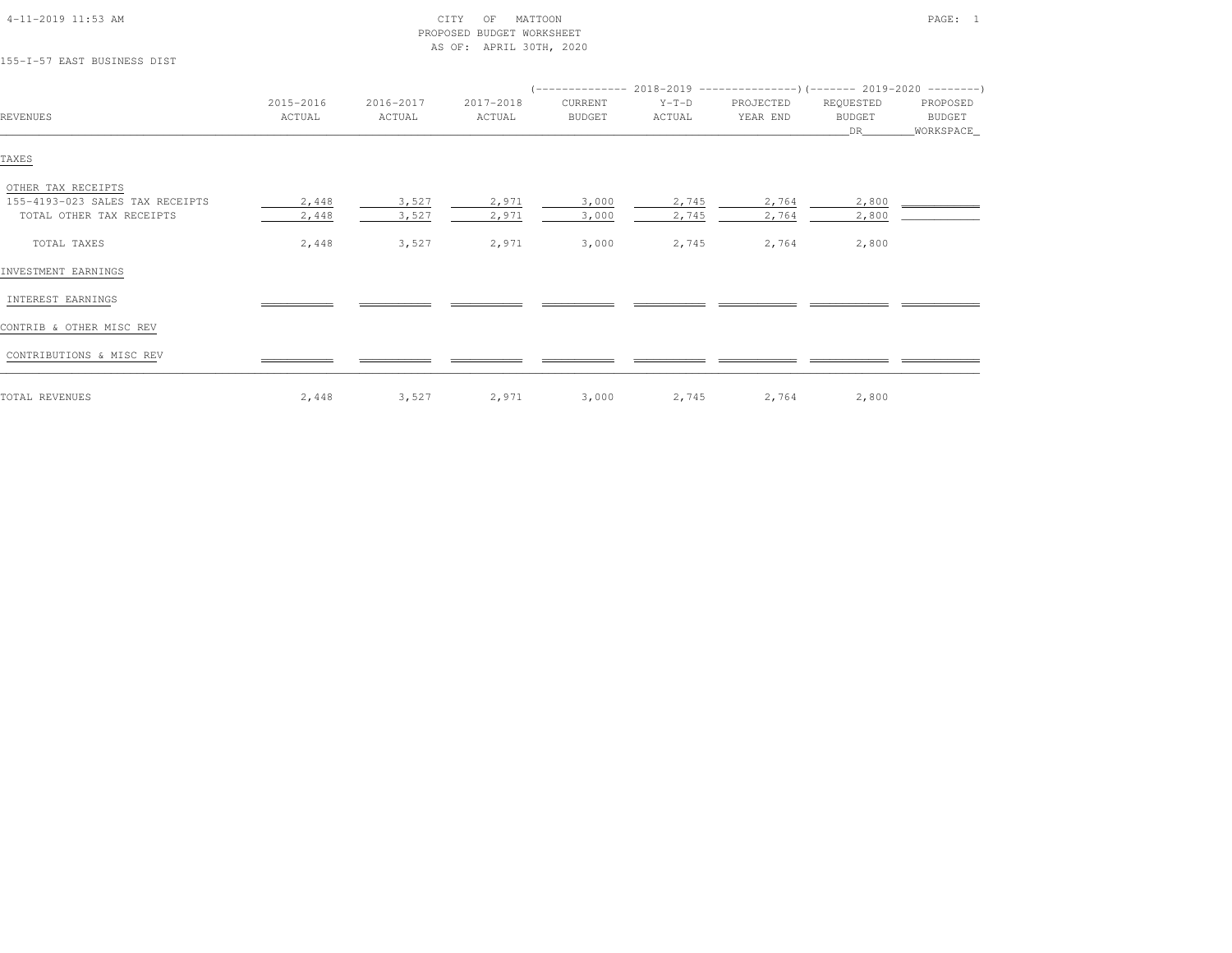| 155-I-57 EAST BUSINESS DIST                                                       |                     |                     | $11000 + 1111111000000$ |                          |                   |                       |                                  |                                   |
|-----------------------------------------------------------------------------------|---------------------|---------------------|-------------------------|--------------------------|-------------------|-----------------------|----------------------------------|-----------------------------------|
| <b>REVENUES</b>                                                                   | 2015-2016<br>ACTUAL | 2016-2017<br>ACTUAL | 2017-2018<br>ACTUAL     | CURRENT<br><b>BUDGET</b> | $Y-T-D$<br>ACTUAL | PROJECTED<br>YEAR END | REQUESTED<br><b>BUDGET</b><br>DR | PROPOSED<br>BUDGET<br>_WORKSPACE_ |
| TAXES                                                                             |                     |                     |                         |                          |                   |                       |                                  |                                   |
| OTHER TAX RECEIPTS<br>155-4193-023 SALES TAX RECEIPTS<br>TOTAL OTHER TAX RECEIPTS | 2,448<br>2,448      | 3,527<br>3,527      | 2,971<br>2,971          | 3,000<br>3,000           | 2,745<br>2,745    | 2,764<br>2,764        | 2,800<br>2,800                   |                                   |
| TOTAL TAXES                                                                       | 2,448               | 3,527               | 2,971                   | 3,000                    | 2,745             | 2,764                 | 2,800                            |                                   |
| INVESTMENT EARNINGS                                                               |                     |                     |                         |                          |                   |                       |                                  |                                   |
| INTEREST EARNINGS                                                                 |                     |                     |                         |                          |                   |                       |                                  |                                   |
| CONTRIB & OTHER MISC REV                                                          |                     |                     |                         |                          |                   |                       |                                  |                                   |
| CONTRIBUTIONS & MISC REV                                                          |                     |                     |                         |                          |                   |                       |                                  |                                   |
| TOTAL REVENUES                                                                    | 2,448               | 3,527               | 2,971                   | 3,000                    | 2,745             | 2,764                 | 2,800                            |                                   |

 4-11-2019 11:53 AM CITY OF MATTOON PAGE: 1 PROPOSED BUDGET WORKSHEETAS OF: APRIL 30TH, 2020

#### 155-I-57 EAST BUSINESS DIST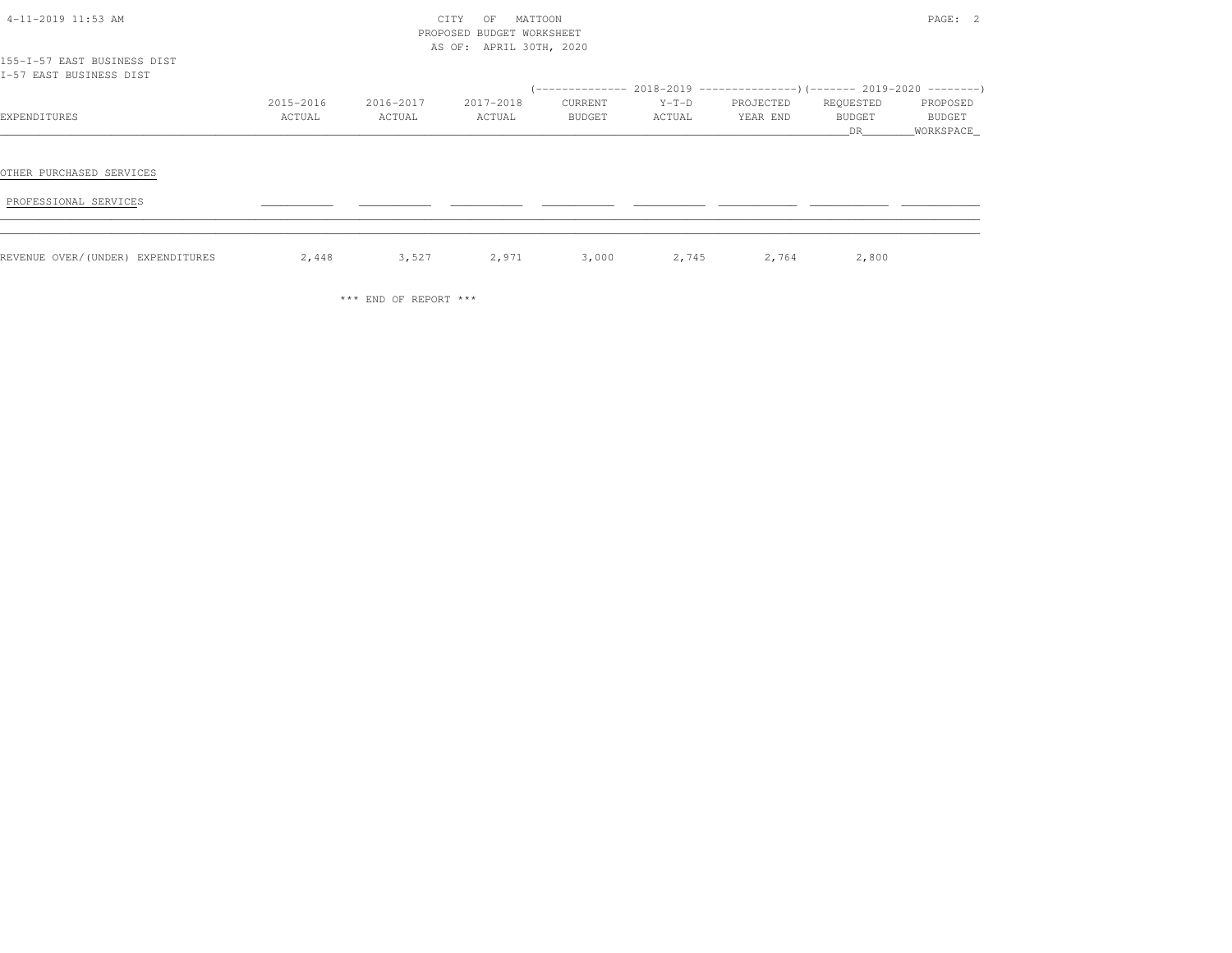|                                                        |           |           | PROPOSED BUDGET WORKSHEET |         |             |           |           |             |
|--------------------------------------------------------|-----------|-----------|---------------------------|---------|-------------|-----------|-----------|-------------|
|                                                        |           |           | AS OF: APRIL 30TH, 2020   |         |             |           |           |             |
| 155-I-57 EAST BUSINESS DIST<br>I-57 EAST BUSINESS DIST |           |           |                           |         |             |           |           |             |
|                                                        |           |           |                           |         |             |           |           |             |
|                                                        | 2015-2016 | 2016-2017 | 2017-2018                 | CURRENT | $Y-T-D$     | PROJECTED | REQUESTED | PROPOSED    |
| EXPENDITURES                                           | ACTUAL    | ACTUAL    | ACTUAL                    | BUDGET  | ACTUAL      | YEAR END  | BUDGET    | BUDGET      |
|                                                        |           |           |                           |         |             |           | DR        | _WORKSPACE_ |
|                                                        |           |           |                           |         |             |           |           |             |
| OTHER PURCHASED SERVICES                               |           |           |                           |         |             |           |           |             |
| PROFESSIONAL SERVICES                                  |           |           |                           |         |             |           |           |             |
|                                                        |           |           |                           |         |             |           |           |             |
| REVENUE OVER/(UNDER) EXPENDITURES                      | 2,448     | 3,527     | 2,971                     |         | 3,000 2,745 | 2,764     | 2,800     |             |

4-11-2019 11:53 AM CITY OF MATTOON PAGE: 2

\*\*\* END OF REPORT \*\*\*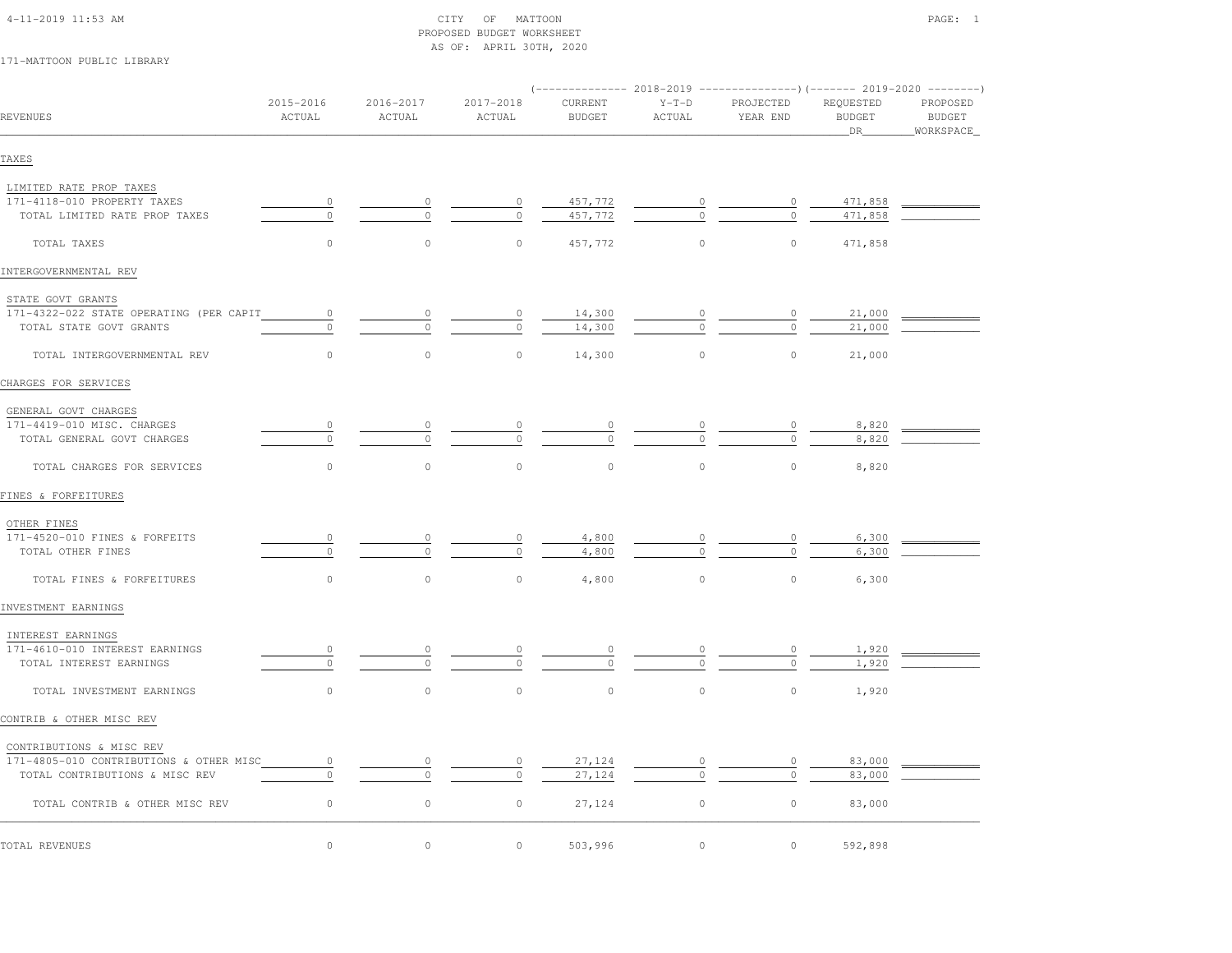| 4-11-2019 11:53 AM |  |
|--------------------|--|

#### $\begin{array}{ccc} \text{CITY} & \text{OF} & \text{MATTOON} \end{array}$  PROPOSED BUDGET WORKSHEETAS OF: APRIL 30TH, 2020

# 171-MATTOON PUBLIC LIBRARY

| REVENUES                                                                  | 2015-2016<br>ACTUAL | 2016-2017<br>ACTUAL | 2017-2018<br>ACTUAL | CURRENT<br><b>BUDGET</b> | $Y-T-D$<br>ACTUAL | PROJECTED<br>YEAR END | REQUESTED<br><b>BUDGET</b><br>DR | PROPOSED<br>BUDGET<br>WORKSPACE_ |
|---------------------------------------------------------------------------|---------------------|---------------------|---------------------|--------------------------|-------------------|-----------------------|----------------------------------|----------------------------------|
| TAXES                                                                     |                     |                     |                     |                          |                   |                       |                                  |                                  |
| LIMITED RATE PROP TAXES                                                   |                     |                     |                     |                          |                   |                       |                                  |                                  |
| 171-4118-010 PROPERTY TAXES                                               | $\circ$             | $\circ$             | $\circ$             | 457,772                  |                   | $\circ$               | 471,858                          |                                  |
| TOTAL LIMITED RATE PROP TAXES                                             | $\circ$             | $\circ$             | $\circ$             | 457,772                  |                   | $\circ$               | 471,858                          |                                  |
| TOTAL TAXES                                                               | $\circ$             | $\circ$             | $\circ$             | 457,772                  | $\circ$           | $\circ$               | 471,858                          |                                  |
| INTERGOVERNMENTAL REV                                                     |                     |                     |                     |                          |                   |                       |                                  |                                  |
| STATE GOVT GRANTS                                                         |                     |                     |                     |                          |                   |                       |                                  |                                  |
| 171-4322-022 STATE OPERATING (PER CAPIT                                   | $\sim$ 0            | $\circ$             | $\circ$             | 14,300                   | 0                 | $\circ$               | 21,000                           |                                  |
| TOTAL STATE GOVT GRANTS                                                   | $\circ$             | $\circ$             | $\circ$             | 14,300                   | $\Omega$          | $\circ$               | 21,000                           |                                  |
| TOTAL INTERGOVERNMENTAL REV                                               | $\circ$             | $\circ$             | $\mathbb O$         | 14,300                   | $\circ$           | $\circ$               | 21,000                           |                                  |
| CHARGES FOR SERVICES                                                      |                     |                     |                     |                          |                   |                       |                                  |                                  |
| GENERAL GOVT CHARGES                                                      |                     |                     |                     |                          |                   |                       |                                  |                                  |
| 171-4419-010 MISC. CHARGES                                                | $\circ$             | 0                   |                     | 0                        |                   | $\circ$               | 8,820                            |                                  |
| TOTAL GENERAL GOVT CHARGES                                                | $\circ$             | $\circ$             | $\circ$             | $\mathbf{0}$             |                   | $\Omega$              | 8,820                            |                                  |
| TOTAL CHARGES FOR SERVICES                                                | $\circ$             | $\circ$             | $\circ$             | $\circ$                  | $\mathbb O$       | $\circ$               | 8,820                            |                                  |
| FINES & FORFEITURES                                                       |                     |                     |                     |                          |                   |                       |                                  |                                  |
| OTHER FINES                                                               |                     |                     |                     |                          |                   |                       |                                  |                                  |
| 171-4520-010 FINES & FORFEITS                                             | $\circ$             | 0                   | $\circ$             | 4,800                    |                   |                       | 6,300                            |                                  |
| TOTAL OTHER FINES                                                         | $\circ$             | $\Omega$            | $\circ$             | 4,800                    | $\Omega$          | $\Omega$              | 6,300                            |                                  |
| TOTAL FINES & FORFEITURES                                                 | $\circ$             | $\circ$             | $\circ$             | 4,800                    | $\circ$           | $\circ$               | 6,300                            |                                  |
| INVESTMENT EARNINGS                                                       |                     |                     |                     |                          |                   |                       |                                  |                                  |
| INTEREST EARNINGS                                                         |                     |                     |                     |                          |                   |                       |                                  |                                  |
| 171-4610-010 INTEREST EARNINGS                                            | $\circ$             | $\circ$             |                     | $\circ$                  |                   | $\overline{0}$        | 1,920                            |                                  |
| TOTAL INTEREST EARNINGS                                                   | $\circ$             | $\circ$             | $\circ$             | $\circ$                  | $\frac{0}{0}$     | $\circ$               | 1,920                            |                                  |
| TOTAL INVESTMENT EARNINGS                                                 | $\circ$             | $\circ$             | $\circ$             | $\circ$                  | $\mathbb O$       | $\circ$               | 1,920                            |                                  |
| CONTRIB & OTHER MISC REV                                                  |                     |                     |                     |                          |                   |                       |                                  |                                  |
|                                                                           |                     |                     |                     |                          |                   |                       |                                  |                                  |
| CONTRIBUTIONS & MISC REV                                                  |                     |                     |                     |                          |                   |                       |                                  |                                  |
| 171-4805-010 CONTRIBUTIONS & OTHER MISC<br>TOTAL CONTRIBUTIONS & MISC REV | $\circ$<br>$\circ$  | $\circ$             | $\circ$             | 27,124<br>27,124         | $\circ$           | 0<br>$\circ$          | 83,000<br>83,000                 |                                  |
|                                                                           |                     |                     |                     |                          |                   |                       |                                  |                                  |
| TOTAL CONTRIB & OTHER MISC REV                                            | $\circ$             | $\circ$             | $\circ$             | 27,124                   | $\circ$           | $\circ$               | 83,000                           |                                  |
| TOTAL REVENUES                                                            | $\circ$             | $\circ$             | $\circ$             | 503,996                  | $\circ$           | $\circ$               | 592,898                          |                                  |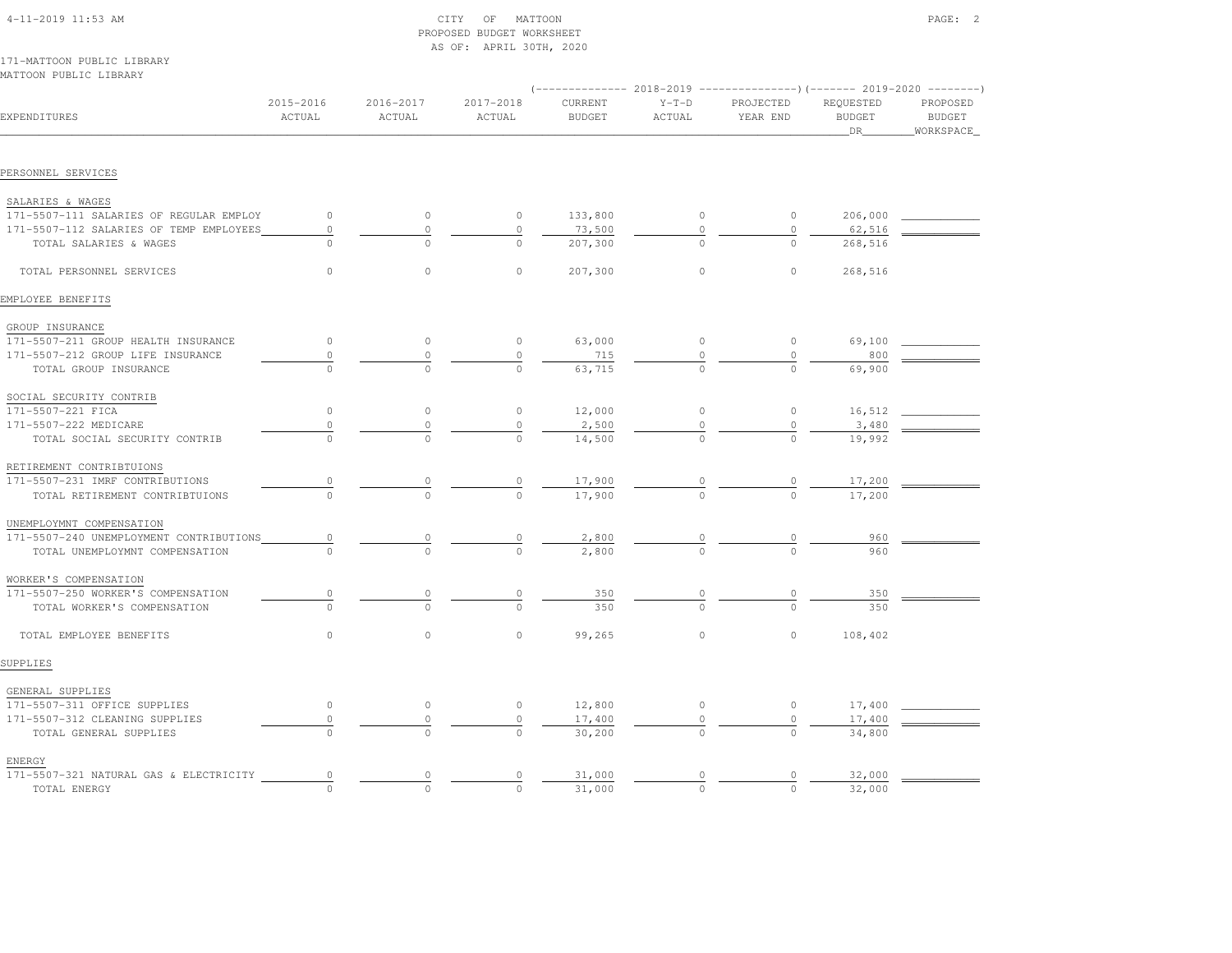| $4-11-2019$ $11:53$ AM                               |                     |                     | OF MATTOON<br>CITY<br>PROPOSED BUDGET WORKSHEET<br>AS OF: APRIL 30TH, 2020 |                          |                   |                       |                                  | PAGE: 2                                |
|------------------------------------------------------|---------------------|---------------------|----------------------------------------------------------------------------|--------------------------|-------------------|-----------------------|----------------------------------|----------------------------------------|
| 171-MATTOON PUBLIC LIBRARY<br>MATTOON PUBLIC LIBRARY |                     |                     |                                                                            |                          |                   |                       |                                  |                                        |
| EXPENDITURES                                         | 2015-2016<br>ACTUAL | 2016-2017<br>ACTUAL | 2017-2018<br>ACTUAL                                                        | CURRENT<br><b>BUDGET</b> | $Y-T-D$<br>ACTUAL | PROJECTED<br>YEAR END | REQUESTED<br><b>BUDGET</b><br>DR | PROPOSED<br><b>BUDGET</b><br>WORKSPACE |
| PERSONNEL SERVICES                                   |                     |                     |                                                                            |                          |                   |                       |                                  |                                        |
| SALARIES & WAGES                                     |                     |                     |                                                                            |                          |                   |                       |                                  |                                        |
| 171-5507-111 SALARIES OF REGULAR EMPLOY              | $\circ$             | $\circ$             | $\circ$                                                                    | 133,800                  | $\circ$           | $\circ$               | 206,000                          |                                        |
| 171-5507-112 SALARIES OF TEMP EMPLOYEES              | $\mathbb O$         | $\circ$             | $\circ$                                                                    | 73,500                   | $\circ$           | $\circ$               | 62,516                           |                                        |
| TOTAL SALARIES & WAGES                               | $\cap$              |                     | $\cap$                                                                     | 207,300                  | $\Omega$          | $\cap$                | 268,516                          |                                        |
| TOTAL PERSONNEL SERVICES                             | $\bigcap$           | $\bigcap$           | $\bigcap$                                                                  | 207,300                  | $\Omega$          | $\Omega$              | 268,516                          |                                        |
| EMPLOYEE BENEFITS                                    |                     |                     |                                                                            |                          |                   |                       |                                  |                                        |
| GROUP INSURANCE                                      |                     |                     |                                                                            |                          |                   |                       |                                  |                                        |
| 171-5507-211 GROUP HEALTH INSURANCE                  | $\circ$             | $\circ$             | $\circ$                                                                    | 63,000                   | $\overline{0}$    | $\overline{0}$        | 69,100                           |                                        |
| 171-5507-212 GROUP LIFE INSURANCE                    | $\mathbb O$         | $\circ$             | $\mathbb O$                                                                | 715                      | $\mathbb O$       | $\circ$               | 800                              |                                        |
| TOTAL GROUP INSURANCE                                |                     |                     |                                                                            | 63,715                   |                   |                       | 69,900                           |                                        |
| SOCIAL SECURITY CONTRIB                              |                     |                     |                                                                            |                          |                   |                       |                                  |                                        |
| 171-5507-221 FICA                                    | $\circ$             | $\circ$             | $\circ$                                                                    | 12,000                   | $\circ$           | $\overline{0}$        | 16,512                           |                                        |
| 171-5507-222 MEDICARE                                | $\circ$             | $\circ$             | $\circ$                                                                    | 2,500                    | $\mathbb O$       | $\circ$               | 3,480                            |                                        |
| TOTAL SOCIAL SECURITY CONTRIB                        |                     |                     | $\Omega$                                                                   | 14,500                   |                   |                       | 19,992                           |                                        |
| RETIREMENT CONTRIBTUIONS                             |                     |                     |                                                                            |                          |                   |                       |                                  |                                        |
| 171-5507-231 IMRF CONTRIBUTIONS                      |                     | $\frac{0}{0}$       | $\frac{0}{0}$                                                              | 17,900                   |                   |                       | 17,200                           |                                        |
| TOTAL RETIREMENT CONTRIBTUIONS                       |                     |                     |                                                                            | 17,900                   |                   |                       | 17,200                           |                                        |
| UNEMPLOYMNT COMPENSATION                             |                     |                     |                                                                            |                          |                   |                       |                                  |                                        |
| 171-5507-240 UNEMPLOYMENT CONTRIBUTIONS              | $\circ$             | $\overline{0}$      | $\overline{0}$                                                             | 2,800                    | $\overline{0}$    |                       | 960                              |                                        |
| TOTAL UNEMPLOYMNT COMPENSATION                       |                     |                     | $\Omega$                                                                   | 2,800                    |                   |                       | 960                              |                                        |
| WORKER'S COMPENSATION                                |                     |                     |                                                                            |                          |                   |                       |                                  |                                        |
| 171-5507-250 WORKER'S COMPENSATION                   | $\circ$             |                     |                                                                            | 350                      |                   |                       | 350                              |                                        |
| TOTAL WORKER'S COMPENSATION                          | $\cap$              |                     | $\cap$                                                                     | 350                      | $\cap$            | $\cap$                | 350                              |                                        |
| TOTAL EMPLOYEE BENEFITS                              | $\circ$             | $\circ$             | $\circ$                                                                    | 99,265                   | $\circ$           | $\circ$               | 108,402                          |                                        |
| SUPPLIES                                             |                     |                     |                                                                            |                          |                   |                       |                                  |                                        |

| GENERAL SUPPLIES                       |  |        |  |        |  |
|----------------------------------------|--|--------|--|--------|--|
| 171-5507-311 OFFICE SUPPLIES           |  | 12,800 |  | 17,400 |  |
| 171-5507-312 CLEANING SUPPLIES         |  | 17,400 |  | 17,400 |  |
| TOTAL GENERAL SUPPLIES                 |  | 30,200 |  | 34,800 |  |
| ENERGY                                 |  |        |  |        |  |
| 171-5507-321 NATURAL GAS & ELECTRICITY |  | 31,000 |  | 32,000 |  |
| TOTAL ENERGY                           |  | 31,000 |  | 32,000 |  |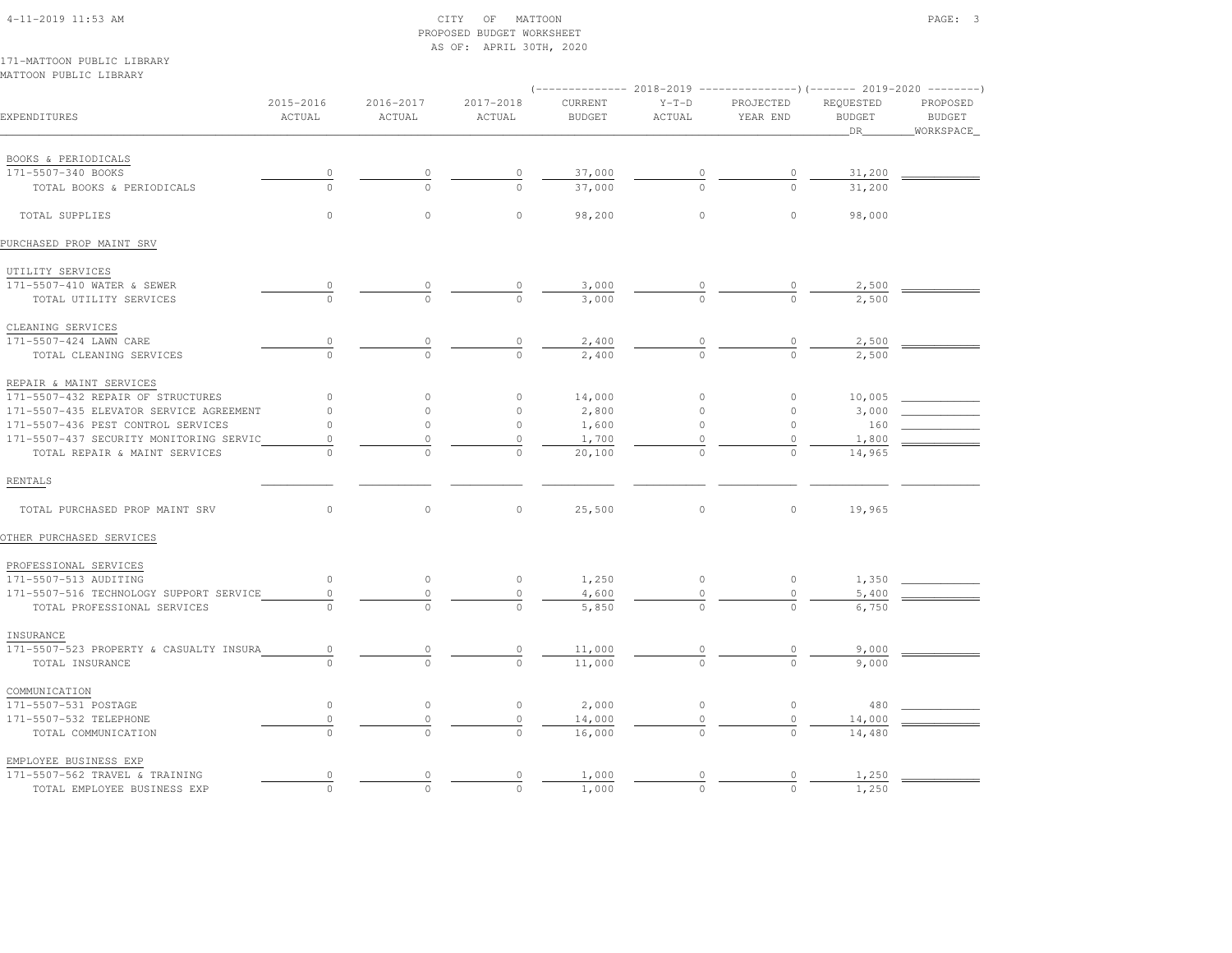## 4-11-2019 11:53 AM CITY OF MATTOON PAGE: 3 PROPOSED BUDGET WORKSHEETAS OF: APRIL 30TH, 2020

171-MATTOON PUBLIC LIBRARYMATTOON PUBLIC LIBRARY

| EXPENDITURES                            | 2015-2016<br>ACTUAL | $2016 - 2017$<br>ACTUAL | 2017-2018<br>ACTUAL | CURRENT<br><b>BUDGET</b> | $Y-T-D$<br>ACTUAL | PROJECTED<br>YEAR END | REQUESTED<br><b>BUDGET</b><br>DR. | PROPOSED<br><b>BUDGET</b><br>WORKSPACE |
|-----------------------------------------|---------------------|-------------------------|---------------------|--------------------------|-------------------|-----------------------|-----------------------------------|----------------------------------------|
|                                         |                     |                         |                     |                          |                   |                       |                                   |                                        |
| BOOKS & PERIODICALS                     |                     |                         |                     |                          |                   |                       |                                   |                                        |
| 171-5507-340 BOOKS                      |                     |                         | 0                   | 37,000                   |                   | $\circ$               | 31,200                            |                                        |
| TOTAL BOOKS & PERIODICALS               | $\Omega$            | $\Omega$                | $\Omega$            | 37,000                   |                   | $\Omega$              | 31,200                            |                                        |
| TOTAL SUPPLIES                          | $\circ$             | $\circ$                 | $\circ$             | 98,200                   | $\circ$           | $\circ$               | 98,000                            |                                        |
| PURCHASED PROP MAINT SRV                |                     |                         |                     |                          |                   |                       |                                   |                                        |
| UTILITY SERVICES                        |                     |                         |                     |                          |                   |                       |                                   |                                        |
| 171-5507-410 WATER & SEWER              |                     |                         | 0                   | 3,000                    |                   |                       | 2,500                             |                                        |
| TOTAL UTILITY SERVICES                  |                     |                         | $\Omega$            | 3,000                    | $\frac{0}{0}$     | $\frac{0}{0}$         | 2,500                             |                                        |
| CLEANING SERVICES                       |                     |                         |                     |                          |                   |                       |                                   |                                        |
| 171-5507-424 LAWN CARE                  | $\overline{0}$      |                         | $\overline{0}$      | 2,400                    |                   | $\overline{0}$        | 2,500                             |                                        |
| TOTAL CLEANING SERVICES                 | $\Omega$            | $\cap$                  | $\cap$              | 2,400                    | $\frac{0}{0}$     | $\Omega$              | 2,500                             |                                        |
| REPAIR & MAINT SERVICES                 |                     |                         |                     |                          |                   |                       |                                   |                                        |
| 171-5507-432 REPAIR OF STRUCTURES       | $\mathbf{0}$        | $\mathbf{0}$            | 0                   | 14,000                   | $\circ$           | $\circ$               | 10,005                            |                                        |
| 171-5507-435 ELEVATOR SERVICE AGREEMENT | $\mathbf{0}$        | $\circ$                 | $\circ$             | 2,800                    | $\circ$           | $\circ$               | 3,000                             |                                        |
| 171-5507-436 PEST CONTROL SERVICES      | $\circ$             | $\circ$                 | $\circ$             | 1,600                    | $\circ$           | $\circ$               | 160                               |                                        |
| 171-5507-437 SECURITY MONITORING SERVIC | $\circ$             | 0                       | $\circ$             | 1,700                    | 0                 | $\circ$               | 1,800                             |                                        |
| TOTAL REPAIR & MAINT SERVICES           | $\cap$              | $\Omega$                | $\Omega$            | 20,100                   | $\Omega$          | $\Omega$              | 14,965                            |                                        |
| RENTALS                                 |                     |                         |                     |                          |                   |                       |                                   |                                        |
| TOTAL PURCHASED PROP MAINT SRV          | $\circ$             | $\circ$                 | $\circ$             | 25,500                   | $\circ$           | $\circ$               | 19,965                            |                                        |
| OTHER PURCHASED SERVICES                |                     |                         |                     |                          |                   |                       |                                   |                                        |
| PROFESSIONAL SERVICES                   |                     |                         |                     |                          |                   |                       |                                   |                                        |
| 171-5507-513 AUDITING                   | $\circ$             | $\circ$                 | $\circ$             | 1,250                    | $\circ$           | $\circ$               | 1,350                             |                                        |
| 171-5507-516 TECHNOLOGY SUPPORT SERVICE | $\mathbf{0}$        | $\circ$                 | $\circ$             | 4,600                    | $\circ$           | $\circ$               | 5,400                             |                                        |
| TOTAL PROFESSIONAL SERVICES             | $\Omega$            | $\Omega$                | $\Omega$            | 5,850                    | $\Omega$          | $\cap$                | 6,750                             |                                        |
| INSURANCE                               |                     |                         |                     |                          |                   |                       |                                   |                                        |
| 171-5507-523 PROPERTY & CASUALTY INSURA | $\circ$             | $\theta$                | $\overline{0}$      | 11,000                   |                   | $\frac{0}{\sqrt{2}}$  | 9,000                             |                                        |
| TOTAL INSURANCE                         | $\cap$              | $\cap$                  | $\Omega$            | 11,000                   | $\frac{0}{0}$     |                       | 9,000                             |                                        |
| COMMUNICATION                           |                     |                         |                     |                          |                   |                       |                                   |                                        |
| 171-5507-531 POSTAGE                    | $\circ$             | $\circ$                 | $\circ$             | 2,000                    | $\circ$           | $\circ$               | 480                               |                                        |
| 171-5507-532 TELEPHONE                  | $\mathbb O$         | $\circ$                 | $\mathbb O$         | 14,000                   | $\circ$           | $\circ$               | 14,000                            |                                        |
| TOTAL COMMUNICATION                     | $\Omega$            | $\Omega$                | $\Omega$            | 16,000                   | $\Omega$          | $\Omega$              | 14,480                            |                                        |
| EMPLOYEE BUSINESS EXP                   |                     |                         |                     |                          |                   |                       |                                   |                                        |
| 171-5507-562 TRAVEL & TRAINING          | $\circ$             | 0                       | 0                   | 1,000                    | 0                 | 0                     | 1,250                             |                                        |
| TOTAL EMPLOYEE BUSINESS EXP             | $\circ$             | $\Omega$                | $\Omega$            | 1,000                    | $\Omega$          | $\Omega$              | 1,250                             |                                        |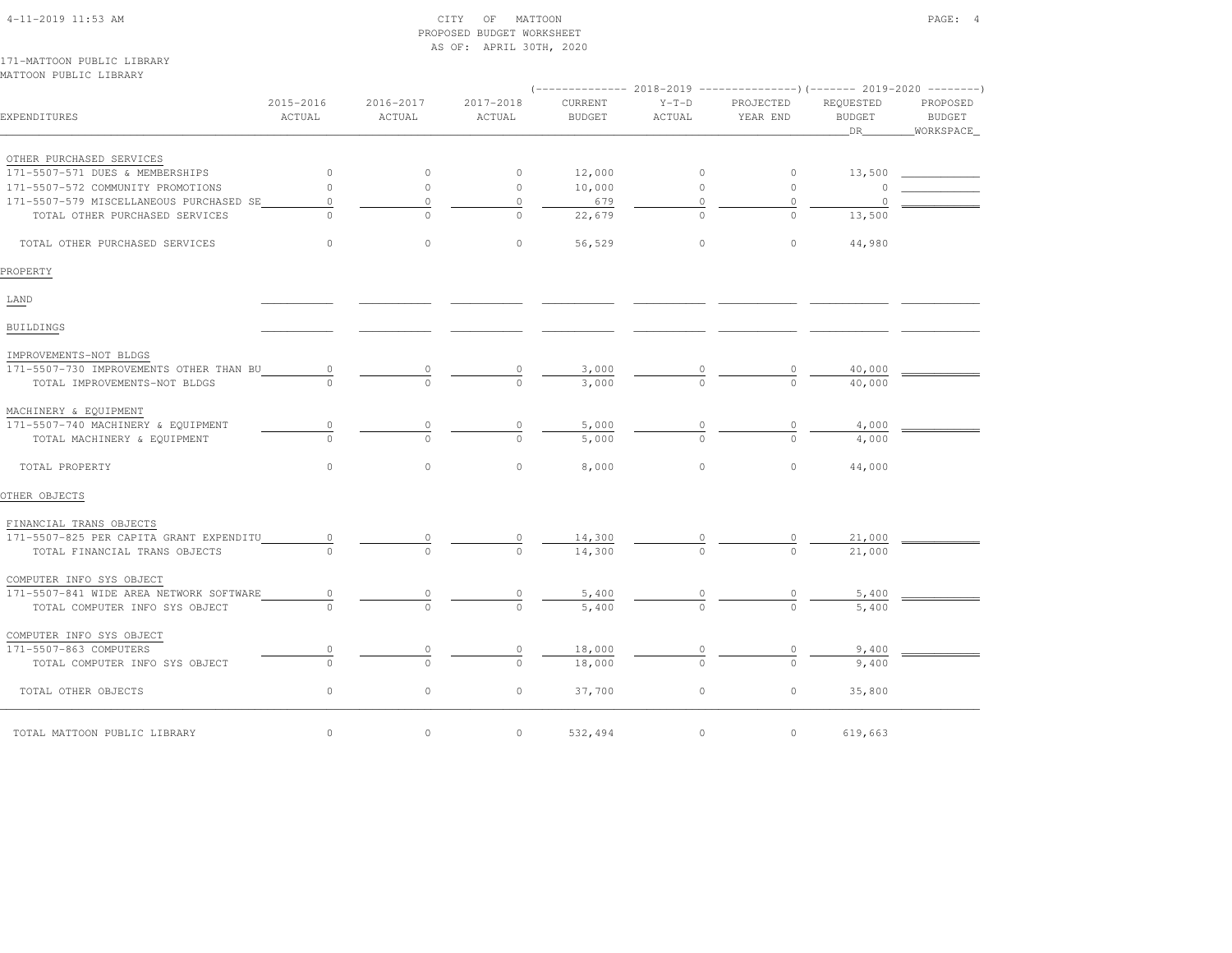| $4-11-2019$ $11:53$ AM |  |
|------------------------|--|

#### $\text{CITY}$  of MATTOON  $\text{PAGE:}$  4 PROPOSED BUDGET WORKSHEETAS OF: APRIL 30TH, 2020

171-MATTOON PUBLIC LIBRARYMATTOON PUBLIC LIBRARY

| EXPENDITURES                            | 2015-2016<br>ACTUAL | 2016-2017<br>ACTUAL | 2017-2018<br>ACTUAL | CURRENT<br><b>BUDGET</b> | $Y-T-D$<br>ACTUAL | PROJECTED<br>YEAR END | REQUESTED<br><b>BUDGET</b><br>_DR_ | PROPOSED<br><b>BUDGET</b><br>_WORKSPACE_ |
|-----------------------------------------|---------------------|---------------------|---------------------|--------------------------|-------------------|-----------------------|------------------------------------|------------------------------------------|
| OTHER PURCHASED SERVICES                |                     |                     |                     |                          |                   |                       |                                    |                                          |
| 171-5507-571 DUES & MEMBERSHIPS         | $\circ$             | $\circ$             | $\circ$             | 12,000                   | $\circ$           | $\circ$               | 13,500                             |                                          |
| 171-5507-572 COMMUNITY PROMOTIONS       | $\circ$             | $\circ$             | $\circ$             | 10,000                   | $\circ$           | $\circ$               |                                    |                                          |
| 171-5507-579 MISCELLANEOUS PURCHASED SE | 0                   | 0                   | $\circ$             | 679                      | 0                 | $\circ$               | $\Omega$                           |                                          |
| TOTAL OTHER PURCHASED SERVICES          | $\cap$              | $\Omega$            | $\bigcap$           | 22,679                   | $\Omega$          | $\circ$               | 13,500                             |                                          |
| TOTAL OTHER PURCHASED SERVICES          | $\circ$             | $\circ$             | $\circ$             | 56,529                   | 0                 | $\circ$               | 44,980                             |                                          |
| PROPERTY                                |                     |                     |                     |                          |                   |                       |                                    |                                          |
| LAND                                    |                     |                     |                     |                          |                   |                       |                                    |                                          |
| <b>BUILDINGS</b>                        |                     |                     |                     |                          |                   |                       |                                    |                                          |
| IMPROVEMENTS-NOT BLDGS                  |                     |                     |                     |                          |                   |                       |                                    |                                          |
| 171-5507-730 IMPROVEMENTS OTHER THAN BU | 0                   |                     |                     | 3,000                    |                   |                       | 40,000                             |                                          |
| TOTAL IMPROVEMENTS-NOT BLDGS            |                     | $\cap$              | $\cap$              | 3,000                    |                   | $\cap$                | 40,000                             |                                          |
| MACHINERY & EQUIPMENT                   |                     |                     |                     |                          |                   |                       |                                    |                                          |
| 171-5507-740 MACHINERY & EQUIPMENT      | $\mathbb O$         | $\circ$             | 0                   | 5,000                    |                   | $\circ$               | 4,000                              |                                          |
| TOTAL MACHINERY & EQUIPMENT             | $\cap$              | $\cap$              | $\Omega$            | 5,000                    | $\Omega$          | $\Omega$              | 4,000                              |                                          |
| TOTAL PROPERTY                          | $\circ$             | $\circ$             | $\circ$             | 8,000                    | 0                 | $\circ$               | 44,000                             |                                          |
| OTHER OBJECTS                           |                     |                     |                     |                          |                   |                       |                                    |                                          |
| FINANCIAL TRANS OBJECTS                 |                     |                     |                     |                          |                   |                       |                                    |                                          |
| 171-5507-825 PER CAPITA GRANT EXPENDITU | $\circ$             | 0                   |                     | 14,300                   |                   |                       | 21,000                             |                                          |
| TOTAL FINANCIAL TRANS OBJECTS           |                     |                     |                     | 14,300                   |                   |                       | 21,000                             |                                          |
| COMPUTER INFO SYS OBJECT                |                     |                     |                     |                          |                   |                       |                                    |                                          |
| 171-5507-841 WIDE AREA NETWORK SOFTWARE | 0                   |                     |                     | 5,400                    |                   |                       | 5,400                              |                                          |
| TOTAL COMPUTER INFO SYS OBJECT          |                     | $\Omega$            | $\circ$             | 5,400                    |                   | $\Omega$              | 5,400                              |                                          |
| COMPUTER INFO SYS OBJECT                |                     |                     |                     |                          |                   |                       |                                    |                                          |
| 171-5507-863 COMPUTERS                  | 0                   | 0                   | 0                   | 18,000                   |                   |                       | 9,400                              |                                          |
| TOTAL COMPUTER INFO SYS OBJECT          | $\circ$             | $\circ$             | $\Omega$            | 18,000                   | $\mathbf{0}$      | $\Omega$              | 9,400                              |                                          |
| TOTAL OTHER OBJECTS                     | $\circ$             | $\circ$             | $\circ$             | 37,700                   | $\circ$           | $\circ$               | 35,800                             |                                          |
| TOTAL MATTOON PUBLIC LIBRARY            | $\circ$             | $\circ$             | $\circ$             | 532,494                  | $\circ$           | $\circ$               | 619,663                            |                                          |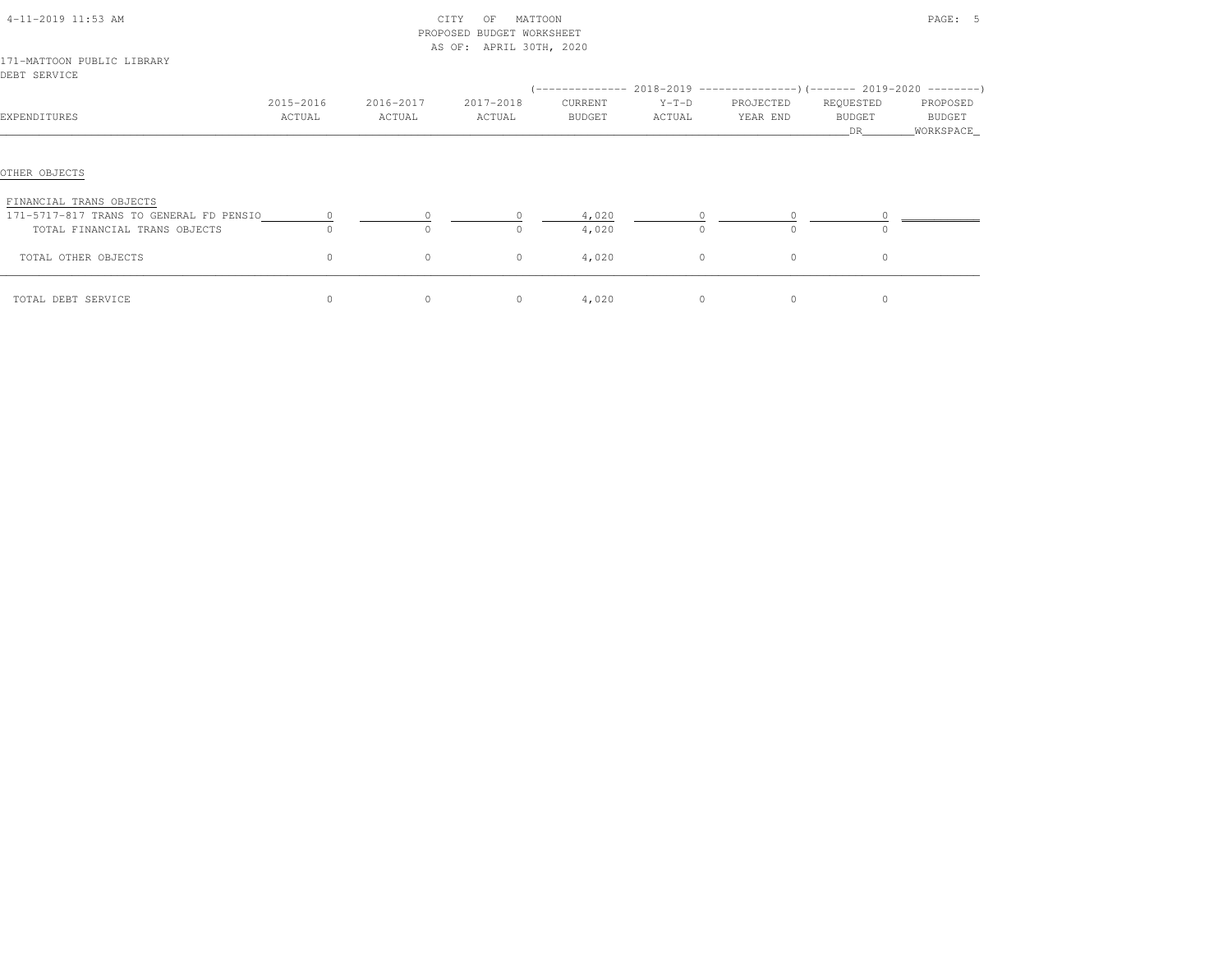|                                                                    |                     |                     | PROPOSED BUDGET WORKSHEET |                   |                   |                       |                                   |                                   |
|--------------------------------------------------------------------|---------------------|---------------------|---------------------------|-------------------|-------------------|-----------------------|-----------------------------------|-----------------------------------|
|                                                                    |                     |                     | AS OF: APRIL 30TH, 2020   |                   |                   |                       |                                   |                                   |
| 171-MATTOON PUBLIC LIBRARY<br>DEBT SERVICE                         |                     |                     |                           |                   |                   |                       |                                   |                                   |
| EXPENDITURES                                                       | 2015-2016<br>ACTUAL | 2016-2017<br>ACTUAL | 2017-2018<br>ACTUAL       | CURRENT<br>BUDGET | $Y-T-D$<br>ACTUAL | PROJECTED<br>YEAR END | REQUESTED<br><b>BUDGET</b><br>DR. | PROPOSED<br>BUDGET<br>_WORKSPACE_ |
| OTHER OBJECTS                                                      |                     |                     |                           |                   |                   |                       |                                   |                                   |
| FINANCIAL TRANS OBJECTS<br>171-5717-817 TRANS TO GENERAL FD PENSIO |                     |                     |                           | 4,020             |                   |                       |                                   |                                   |
| TOTAL FINANCIAL TRANS OBJECTS                                      |                     | $\Omega$            | $\Omega$                  | 4,020             | $\Omega$          | $\Omega$              | $\cap$                            |                                   |
| TOTAL OTHER OBJECTS                                                | $\circ$             | $\circ$             | $\circ$                   | 4,020             | $\circ$           | $\circ$               | $\circ$                           |                                   |
| TOTAL DEBT SERVICE                                                 | $\circ$             | 0                   | $\circ$                   | 4,020             | $\circ$           | $\circ$               | $\circ$                           |                                   |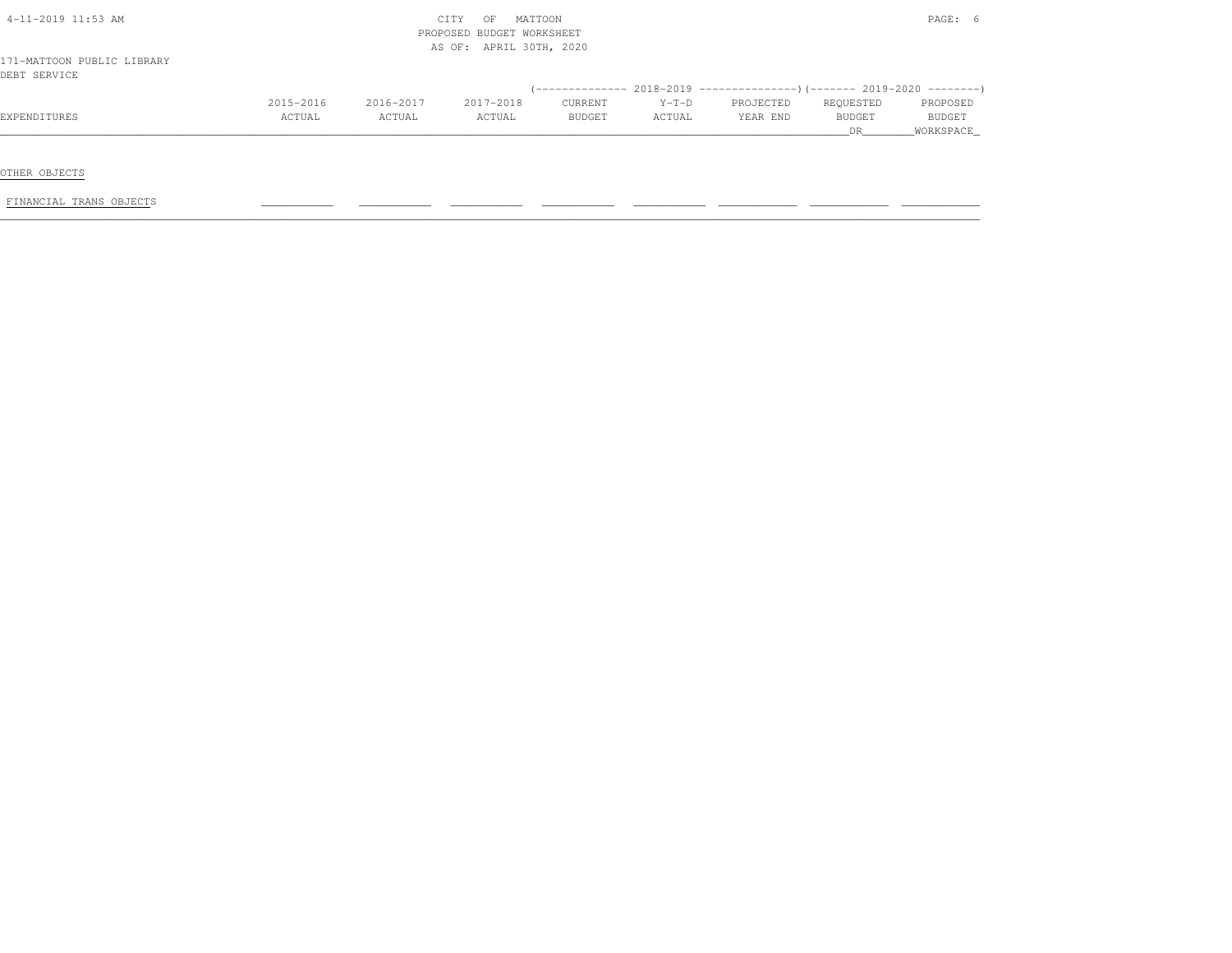| 4-11-2019 11:53 AM         |           |           | MATTOON<br>CITY<br>OF     |               |         |                                                                            |               | $\texttt{PAGE:}$ |
|----------------------------|-----------|-----------|---------------------------|---------------|---------|----------------------------------------------------------------------------|---------------|------------------|
|                            |           |           | PROPOSED BUDGET WORKSHEET |               |         |                                                                            |               |                  |
|                            |           |           | AS OF: APRIL 30TH, 2020   |               |         |                                                                            |               |                  |
| 171-MATTOON PUBLIC LIBRARY |           |           |                           |               |         |                                                                            |               |                  |
| DEBT SERVICE               |           |           |                           |               |         |                                                                            |               |                  |
|                            |           |           |                           |               |         | (-------------- 2018-2019 -----------------) (------- 2019-2020 ---------) |               |                  |
|                            | 2015-2016 | 2016-2017 | 2017-2018                 | CURRENT       | $Y-T-D$ | PROJECTED                                                                  | REQUESTED     | PROPOSED         |
| EXPENDITURES               | ACTUAL    | ACTUAL    | ACTUAL                    | <b>BUDGET</b> | ACTUAL  | YEAR END                                                                   | <b>BUDGET</b> | <b>BUDGET</b>    |
|                            |           |           |                           |               |         |                                                                            | DR.           | WORKSPACE        |

OTHER OBJECTS

FINANCIAL TRANS OBJECTS \_\_\_\_\_\_\_\_\_\_\_ \_\_\_\_\_\_\_\_\_\_\_ \_\_\_\_\_\_\_\_\_\_\_ \_\_\_\_\_\_\_\_\_\_\_ \_\_\_\_\_\_\_\_\_\_\_ \_\_\_\_\_\_\_\_\_\_\_\_ \_\_\_\_\_\_\_\_\_\_\_\_ \_\_\_\_\_\_\_\_\_\_\_\_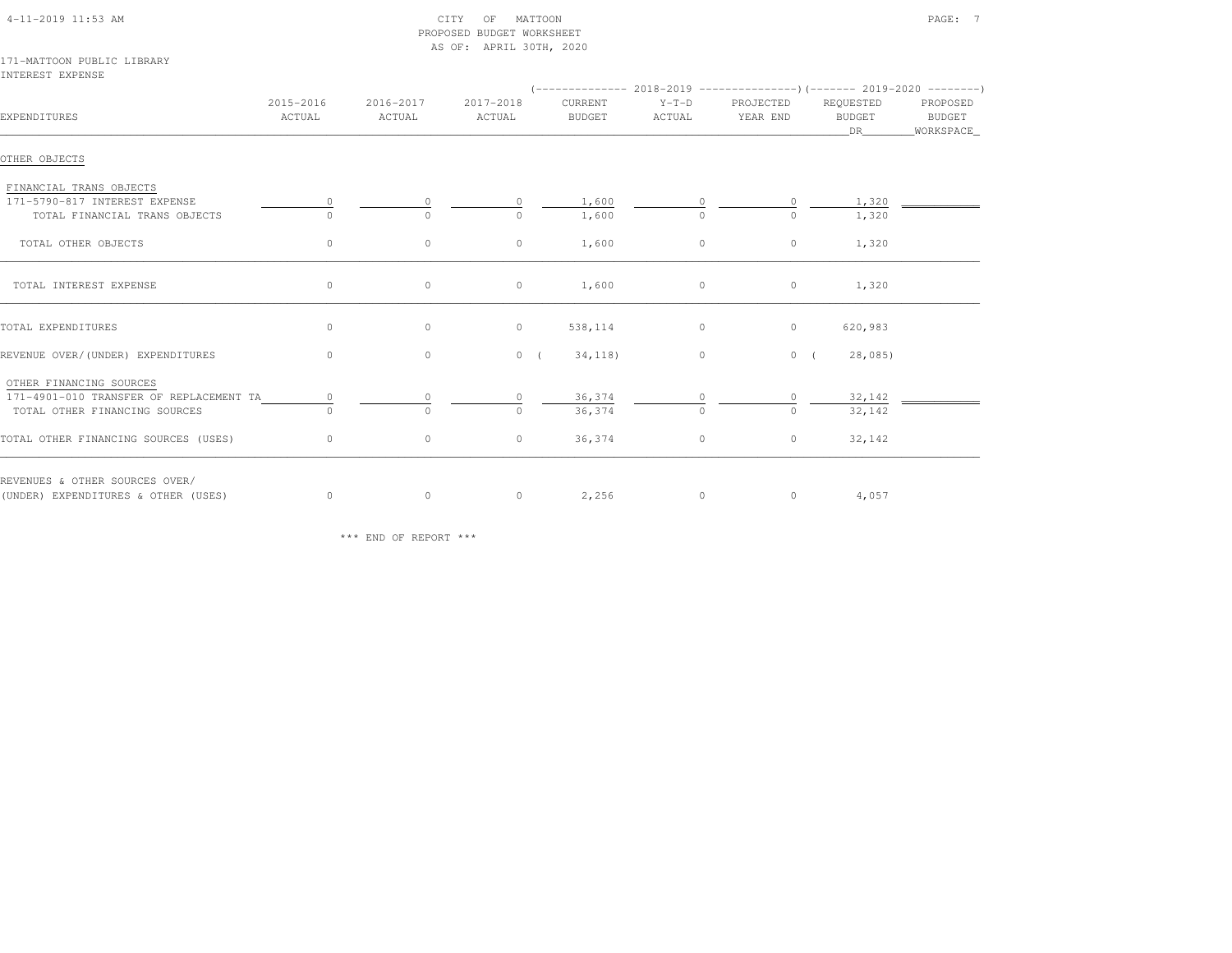| 4-11-2019 11:53 AM |  |
|--------------------|--|
|                    |  |

#### 4-11-2019 CITY OF MATTOON CITY OF MATTOON PAGE: 7 PROPOSED BUDGET WORKSHEETAS OF: APRIL 30TH, 2020

171-MATTOON PUBLIC LIBRARYINTEREST EXPENSE

| EXPENDITURES                            | 2015-2016<br>ACTUAL | 2016-2017<br>ACTUAL | 2017-2018<br>ACTUAL | CURRENT<br>BUDGET | $Y-T-D$<br>ACTUAL | PROJECTED<br>YEAR END | REQUESTED<br>BUDGET<br>DR 1 | PROPOSED<br>BUDGET<br>_WORKSPACE_ |
|-----------------------------------------|---------------------|---------------------|---------------------|-------------------|-------------------|-----------------------|-----------------------------|-----------------------------------|
| OTHER OBJECTS                           |                     |                     |                     |                   |                   |                       |                             |                                   |
| FINANCIAL TRANS OBJECTS                 |                     |                     |                     |                   |                   |                       |                             |                                   |
| 171-5790-817 INTEREST EXPENSE           |                     |                     | $\circ$             | 1,600             |                   | $\circ$               | 1,320                       |                                   |
| TOTAL FINANCIAL TRANS OBJECTS           |                     | $\Omega$            |                     | 1,600             |                   | 0                     | 1,320                       |                                   |
| TOTAL OTHER OBJECTS                     | $\circ$             | $\circ$             | $\circ$             | 1,600             | $\circ$           | $\circ$               | 1,320                       |                                   |
| TOTAL INTEREST EXPENSE                  | $\circ$             | $\circ$             | $\circ$             | 1,600             | $\circ$           | $\circ$               | 1,320                       |                                   |
| TOTAL EXPENDITURES                      | $\circ$             | $\circ$             | $\circ$             | 538,114           | $\circ$           | $\circ$               | 620,983                     |                                   |
| REVENUE OVER/(UNDER) EXPENDITURES       | $\circ$             | $\circ$             | 0(                  | 34,118)           | $\circ$           | $0 \left($            | 28,085)                     |                                   |
| OTHER FINANCING SOURCES                 |                     |                     |                     |                   |                   |                       |                             |                                   |
| 171-4901-010 TRANSFER OF REPLACEMENT TA | $\circ$             | $\Omega$            |                     | 36,374            |                   | 0                     | 32,142                      |                                   |
| TOTAL OTHER FINANCING SOURCES           | $\cap$              | $\Omega$            | $\Omega$            | 36,374            | $\Omega$          | $\Omega$              | 32,142                      |                                   |
| TOTAL OTHER FINANCING SOURCES (USES)    | $\circ$             | $\circ$             | $\circ$             | 36,374            | $\circ$           | $\circ$               | 32,142                      |                                   |
| REVENUES & OTHER SOURCES OVER/          |                     |                     |                     |                   |                   |                       |                             |                                   |
| (UNDER) EXPENDITURES & OTHER (USES)     | $\circ$             | $\circ$             | $\overline{0}$      | 2,256             | $\circ$           |                       | 4,057<br>$\overline{0}$     |                                   |

\*\*\* END OF REPORT \*\*\*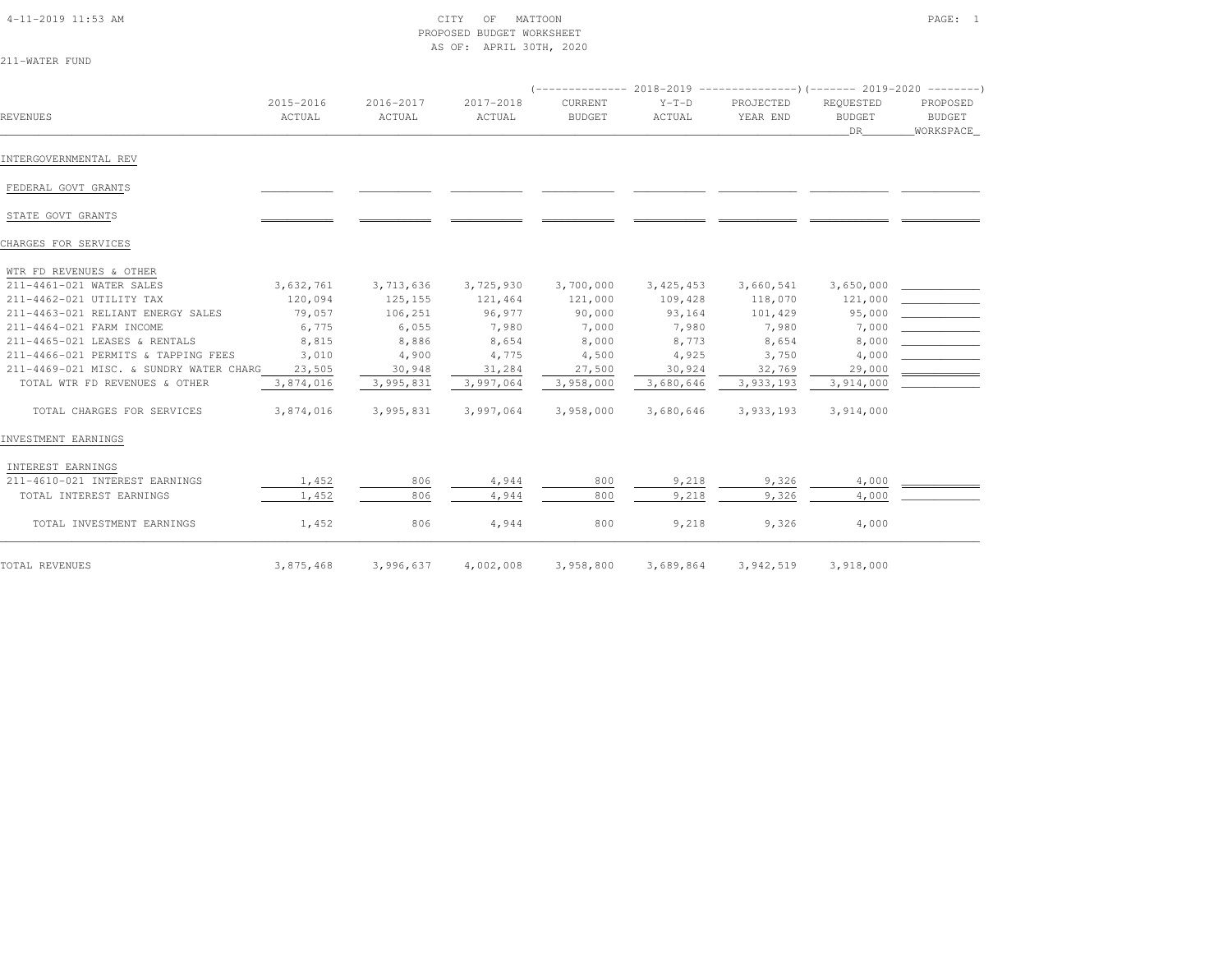| 4-11-2019 11:53 AM |  |
|--------------------|--|

#### $\begin{array}{ccc} \tt CTY & \tt OF & \tt MATTOON \end{array}$  PROPOSED BUDGET WORKSHEETAS OF: APRIL 30TH, 2020

| 211-WATER FUND |  |
|----------------|--|
|----------------|--|

|                                         |                     |                     |                     |                          |                   | $($ -------------- 2018-2019 -----------------) (------- 2019-2020 --------) |                                  |                                        |
|-----------------------------------------|---------------------|---------------------|---------------------|--------------------------|-------------------|------------------------------------------------------------------------------|----------------------------------|----------------------------------------|
| REVENUES                                | 2015-2016<br>ACTUAL | 2016-2017<br>ACTUAL | 2017-2018<br>ACTUAL | CURRENT<br><b>BUDGET</b> | $Y-T-D$<br>ACTUAL | PROJECTED<br>YEAR END                                                        | REQUESTED<br><b>BUDGET</b><br>DR | PROPOSED<br><b>BUDGET</b><br>WORKSPACE |
| INTERGOVERNMENTAL REV                   |                     |                     |                     |                          |                   |                                                                              |                                  |                                        |
| FEDERAL GOVT GRANTS                     |                     |                     |                     |                          |                   |                                                                              |                                  |                                        |
| STATE GOVT GRANTS                       |                     |                     |                     |                          |                   |                                                                              |                                  |                                        |
| CHARGES FOR SERVICES                    |                     |                     |                     |                          |                   |                                                                              |                                  |                                        |
| WTR FD REVENUES & OTHER                 |                     |                     |                     |                          |                   |                                                                              |                                  |                                        |
| 211-4461-021 WATER SALES                | 3,632,761           | 3,713,636           | 3,725,930           | 3,700,000                | 3, 425, 453       | 3,660,541                                                                    | 3,650,000                        |                                        |
| 211-4462-021 UTILITY TAX                | 120,094             | 125,155             | 121,464             | 121,000                  | 109,428           | 118,070                                                                      | 121,000                          |                                        |
| 211-4463-021 RELIANT ENERGY SALES       | 79,057              | 106,251             | 96,977              | 90,000                   | 93,164            | 101,429                                                                      | 95,000                           |                                        |
| 211-4464-021 FARM INCOME                | 6,775               | 6,055               | 7,980               | 7,000                    | 7,980             | 7,980                                                                        | 7,000                            |                                        |
| 211-4465-021 LEASES & RENTALS           | 8,815               | 8,886               | 8,654               | 8,000                    | 8,773             | 8,654                                                                        | 8,000                            |                                        |
| 211-4466-021 PERMITS & TAPPING FEES     | 3,010               | 4,900               | 4,775               | 4,500                    | 4,925             | 3,750                                                                        | 4,000                            |                                        |
| 211-4469-021 MISC. & SUNDRY WATER CHARG | 23,505              | 30,948              | 31,284              | 27,500                   | 30,924            | 32,769                                                                       | 29,000                           | $\overline{\phantom{a}}$               |
| TOTAL WTR FD REVENUES & OTHER           | 3,874,016           | 3,995,831           | 3,997,064           | 3,958,000                | 3,680,646         | 3,933,193                                                                    | 3,914,000                        |                                        |
| TOTAL CHARGES FOR SERVICES              | 3,874,016           | 3,995,831           | 3,997,064           | 3,958,000                | 3,680,646         | 3,933,193                                                                    | 3,914,000                        |                                        |
| INVESTMENT EARNINGS                     |                     |                     |                     |                          |                   |                                                                              |                                  |                                        |
| INTEREST EARNINGS                       |                     |                     |                     |                          |                   |                                                                              |                                  |                                        |
| 211-4610-021 INTEREST EARNINGS          | 1,452               | 806                 | 4,944               | 800                      | 9,218             | 9,326                                                                        | 4,000                            |                                        |
| TOTAL INTEREST EARNINGS                 | 1,452               | 806                 | 4,944               | 800                      | 9,218             | 9,326                                                                        | 4,000                            |                                        |
| TOTAL INVESTMENT EARNINGS               | 1,452               | 806                 | 4,944               | 800                      | 9,218             | 9,326                                                                        | 4,000                            |                                        |
| TOTAL REVENUES                          | 3,875,468           | 3,996,637           | 4,002,008           | 3,958,800                | 3,689,864         | 3,942,519                                                                    | 3,918,000                        |                                        |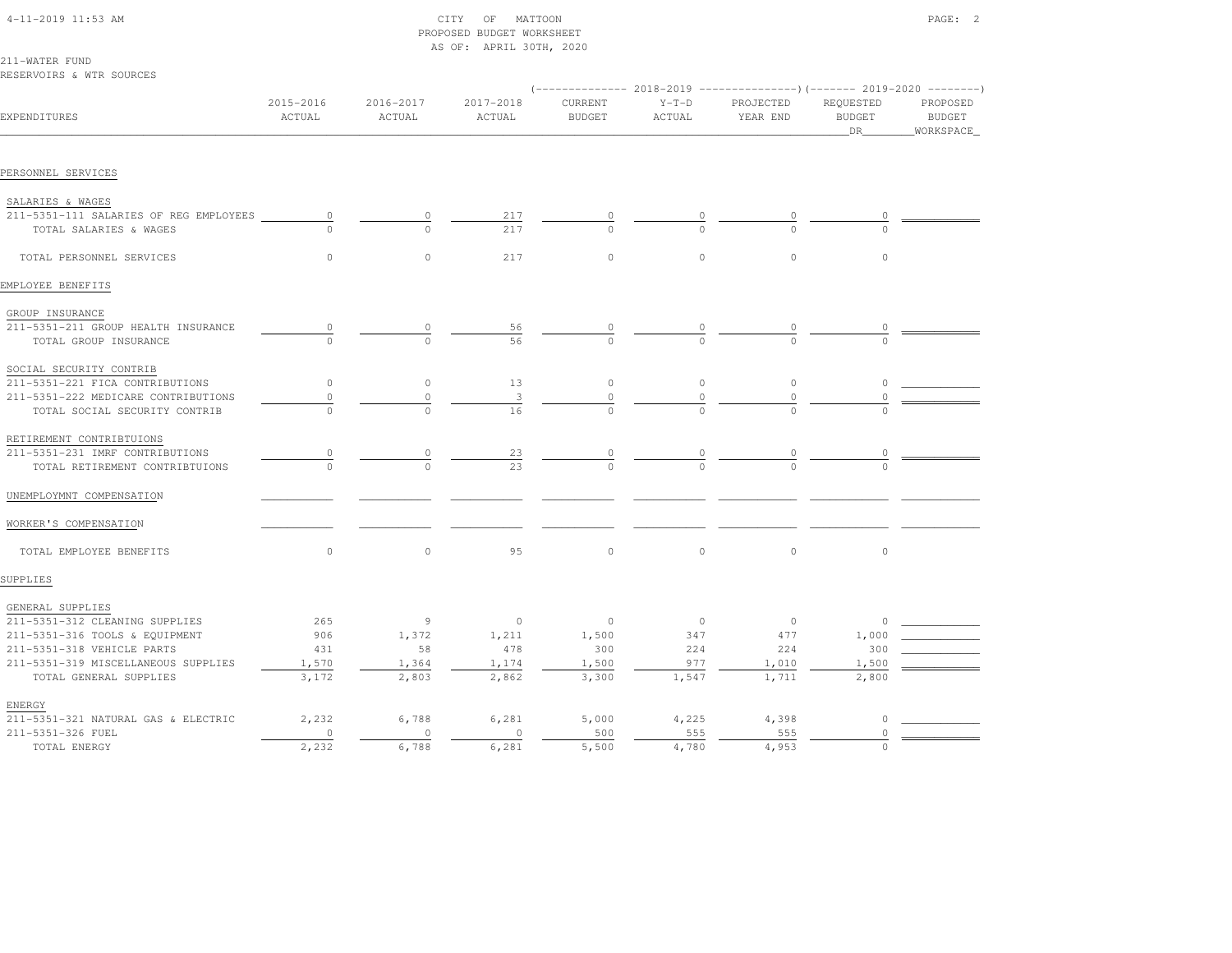## 4-11-2019 11:53 AM CITY OF MATTOON PAGE: 2 PROPOSED BUDGET WORKSHEETAS OF: APRIL 30TH, 2020

211-WATER FUND

| RESERVOIRS & WTR SOURCES               |                     |                     |                     |                          |                   |                       |                                                                                                            |                                        |
|----------------------------------------|---------------------|---------------------|---------------------|--------------------------|-------------------|-----------------------|------------------------------------------------------------------------------------------------------------|----------------------------------------|
| EXPENDITURES                           | 2015-2016<br>ACTUAL | 2016-2017<br>ACTUAL | 2017-2018<br>ACTUAL | CURRENT<br><b>BUDGET</b> | $Y-T-D$<br>ACTUAL | PROJECTED<br>YEAR END | (------------- 2018-2019 ---------------) (------- 2019-2020 --------)<br>REQUESTED<br><b>BUDGET</b><br>DR | PROPOSED<br><b>BUDGET</b><br>WORKSPACE |
| PERSONNEL SERVICES                     |                     |                     |                     |                          |                   |                       |                                                                                                            |                                        |
| SALARIES & WAGES                       |                     |                     |                     |                          |                   |                       |                                                                                                            |                                        |
| 211-5351-111 SALARIES OF REG EMPLOYEES | 0                   | $\circ$             | 217                 |                          |                   | 0                     |                                                                                                            |                                        |
| TOTAL SALARIES & WAGES                 |                     | $\cap$              | 217                 | $\cap$                   | $\cap$            | $\cap$                |                                                                                                            |                                        |
| TOTAL PERSONNEL SERVICES               | $\circ$             | $\circ$             | 217                 | $\circ$                  | $\circ$           | $\circ$               | $\circ$                                                                                                    |                                        |
| EMPLOYEE BENEFITS                      |                     |                     |                     |                          |                   |                       |                                                                                                            |                                        |
| GROUP INSURANCE                        |                     |                     |                     |                          |                   |                       |                                                                                                            |                                        |
| 211-5351-211 GROUP HEALTH INSURANCE    |                     |                     | 56                  |                          |                   |                       |                                                                                                            |                                        |
| TOTAL GROUP INSURANCE                  | $\Omega$            | $\Omega$            | 56                  | $\cap$                   |                   |                       |                                                                                                            |                                        |
| SOCIAL SECURITY CONTRIB                |                     |                     |                     |                          |                   |                       |                                                                                                            |                                        |
| 211-5351-221 FICA CONTRIBUTIONS        | $\mathbb O$         | $\circ$             | 13                  | $\circ$                  | $\mathbb O$       | $\circ$               | 0                                                                                                          |                                        |
| 211-5351-222 MEDICARE CONTRIBUTIONS    | $\mathbb O$         | $\circ$             | 3                   | $\Omega$                 | $\mathbb O$       | $\circ$               |                                                                                                            |                                        |
| TOTAL SOCIAL SECURITY CONTRIB          | $\cap$              | $\cap$              | 16                  | $\cap$                   |                   |                       |                                                                                                            |                                        |
| RETIREMENT CONTRIBTUIONS               |                     |                     |                     |                          |                   |                       |                                                                                                            |                                        |
| 211-5351-231 IMRF CONTRIBUTIONS        | 0                   | 0                   | $^{23}$             | 0                        | 0                 | 0                     |                                                                                                            |                                        |
| TOTAL RETIREMENT CONTRIBTUIONS         | $\Omega$            | $\cap$              | 2.3                 |                          |                   |                       |                                                                                                            |                                        |
| UNEMPLOYMNT COMPENSATION               |                     |                     |                     |                          |                   |                       |                                                                                                            |                                        |
| WORKER'S COMPENSATION                  |                     |                     |                     |                          |                   |                       |                                                                                                            |                                        |
| TOTAL EMPLOYEE BENEFITS                | $\circ$             | $\circ$             | 95                  | $\circ$                  | $\circ$           | $\circ$               | $\circ$                                                                                                    |                                        |
| SUPPLIES                               |                     |                     |                     |                          |                   |                       |                                                                                                            |                                        |
| GENERAL SUPPLIES                       |                     |                     |                     |                          |                   |                       |                                                                                                            |                                        |
| 211-5351-312 CLEANING SUPPLIES         | 265                 | 9                   | $\circ$             | $\circ$                  | $\circ$           | $\circ$               | $\circ$                                                                                                    |                                        |
| 211-5351-316 TOOLS & EQUIPMENT         | 906                 | 1,372               | 1,211               | 1,500                    | 347               | 477                   | 1,000                                                                                                      |                                        |
| 211-5351-318 VEHICLE PARTS             | 431                 | 58                  | 478                 | 300                      | 224               | 224                   | 300                                                                                                        |                                        |
| 211-5351-319 MISCELLANEOUS SUPPLIES    | 1,570               | 1,364               | 1,174               | 1,500                    | 977               | 1,010                 | 1,500                                                                                                      |                                        |
| TOTAL GENERAL SUPPLIES                 | 3,172               | 2,803               | 2,862               | 3,300                    | 1,547             | 1,711                 | 2,800                                                                                                      |                                        |
| ENERGY                                 |                     |                     |                     |                          |                   |                       |                                                                                                            |                                        |
| 211-5351-321 NATURAL GAS & ELECTRIC    | 2,232               | 6,788               | 6,281               | 5,000                    | 4,225             | 4,398                 | $\circ$                                                                                                    |                                        |
| 211-5351-326 FUEL                      | $\circ$             | $\circ$             | $\mathbf{0}$        | 500                      | 555               | 555                   | $\Omega$                                                                                                   |                                        |
| TOTAL ENERGY                           | 2,232               | 6,788               | 6,281               | 5,500                    | 4,780             | 4,953                 | $\Omega$                                                                                                   |                                        |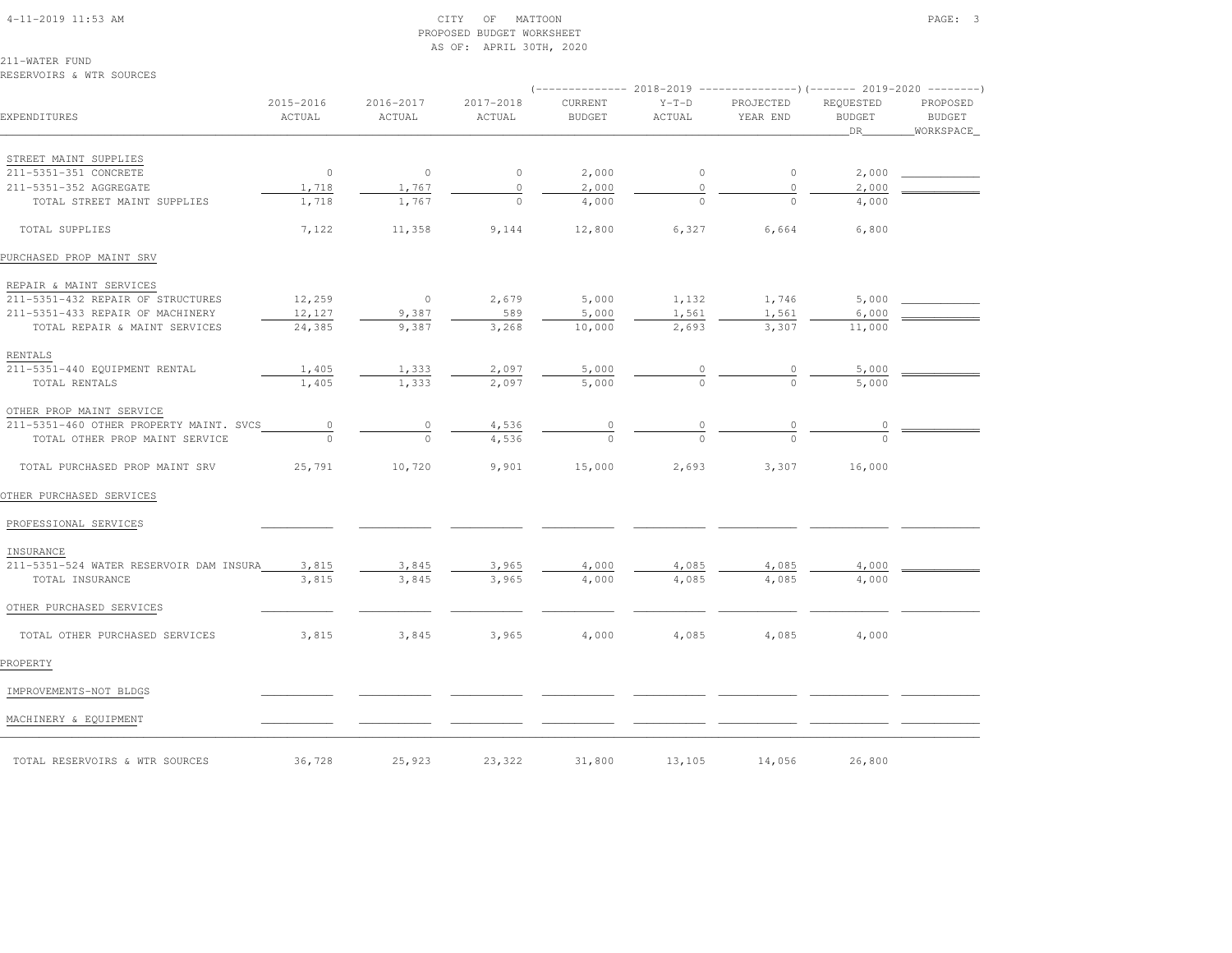## 4-11-2019 11:53 AM CITY OF MATTOON PAGE: 3 PROPOSED BUDGET WORKSHEETAS OF: APRIL 30TH, 2020

211-WATER FUNDRESERVOIRS & WTR SOURCES

| EXPENDITURES                            | 2015-2016<br>ACTUAL | 2016-2017<br>ACTUAL | 2017-2018<br>ACTUAL | CURRENT<br><b>BUDGET</b> | $Y-T-D$<br>ACTUAL | PROJECTED<br>YEAR END | REQUESTED<br><b>BUDGET</b><br>DR | PROPOSED<br><b>BUDGET</b><br>WORKSPACE |
|-----------------------------------------|---------------------|---------------------|---------------------|--------------------------|-------------------|-----------------------|----------------------------------|----------------------------------------|
|                                         |                     |                     |                     |                          |                   |                       |                                  |                                        |
| STREET MAINT SUPPLIES                   |                     |                     |                     |                          |                   |                       |                                  |                                        |
| 211-5351-351 CONCRETE                   | $\overline{0}$      | $\circ$             | $\circ$             | 2,000                    | $\circ$           | $\circ$               | 2,000                            |                                        |
| 211-5351-352 AGGREGATE                  | 1,718               | 1,767               | $\circ$             | 2,000                    | $\circ$           | $\circ$               | 2,000                            |                                        |
| TOTAL STREET MAINT SUPPLIES             | 1,718               | 1,767               | $\cap$              | 4,000                    | $\Omega$          | $\Omega$              | 4,000                            |                                        |
| TOTAL SUPPLIES                          | 7,122               | 11,358              | 9,144               | 12,800                   | 6,327             | 6,664                 | 6,800                            |                                        |
| PURCHASED PROP MAINT SRV                |                     |                     |                     |                          |                   |                       |                                  |                                        |
| REPAIR & MAINT SERVICES                 |                     |                     |                     |                          |                   |                       |                                  |                                        |
| 211-5351-432 REPAIR OF STRUCTURES       | 12,259              | $\overline{0}$      | 2,679               | 5,000                    | 1,132             | 1,746                 | 5,000                            |                                        |
| 211-5351-433 REPAIR OF MACHINERY        | 12,127              | 9,387               | 589                 | 5,000                    | 1,561             | 1,561                 | 6,000                            |                                        |
| TOTAL REPAIR & MAINT SERVICES           | 24,385              | 9,387               | 3,268               | 10,000                   | 2,693             | 3,307                 | 11,000                           |                                        |
| RENTALS                                 |                     |                     |                     |                          |                   |                       |                                  |                                        |
| 211-5351-440 EQUIPMENT RENTAL           | 1,405               | 1,333               | 2,097               | 5,000                    |                   | $\frac{0}{0}$         | 5,000                            |                                        |
| TOTAL RENTALS                           | 1,405               | 1,333               | 2,097               | 5,000                    |                   |                       | 5,000                            |                                        |
| OTHER PROP MAINT SERVICE                |                     |                     |                     |                          |                   |                       |                                  |                                        |
| 211-5351-460 OTHER PROPERTY MAINT. SVCS | $\overline{0}$      | $\circ$             | 4,536               | $\overline{\circ}$       |                   |                       |                                  |                                        |
| TOTAL OTHER PROP MAINT SERVICE          |                     |                     | 4,536               |                          |                   |                       |                                  |                                        |
| TOTAL PURCHASED PROP MAINT SRV          | 25,791              | 10,720              | 9,901               | 15,000                   | 2,693             | 3,307                 | 16,000                           |                                        |
| OTHER PURCHASED SERVICES                |                     |                     |                     |                          |                   |                       |                                  |                                        |
| PROFESSIONAL SERVICES                   |                     |                     |                     |                          |                   |                       |                                  |                                        |
| INSURANCE                               |                     |                     |                     |                          |                   |                       |                                  |                                        |
| 211-5351-524 WATER RESERVOIR DAM INSURA | 3,815               | 3,845               | 3,965               | 4,000                    | 4,085             | 4,085                 | 4,000                            |                                        |
| TOTAL INSURANCE                         | 3,815               | 3,845               | 3,965               | 4,000                    | 4,085             | 4,085                 | 4,000                            |                                        |
| OTHER PURCHASED SERVICES                |                     |                     |                     |                          |                   |                       |                                  |                                        |
| TOTAL OTHER PURCHASED SERVICES          | 3,815               | 3,845               | 3,965               | 4,000                    | 4,085             | 4,085                 | 4,000                            |                                        |
| PROPERTY                                |                     |                     |                     |                          |                   |                       |                                  |                                        |
| IMPROVEMENTS-NOT BLDGS                  |                     |                     |                     |                          |                   |                       |                                  |                                        |
| MACHINERY & EQUIPMENT                   |                     |                     |                     |                          |                   |                       |                                  |                                        |
| TOTAL RESERVOIRS & WTR SOURCES          | 36,728              | 25,923              | 23,322              | 31,800                   | 13,105            | 14,056                | 26,800                           |                                        |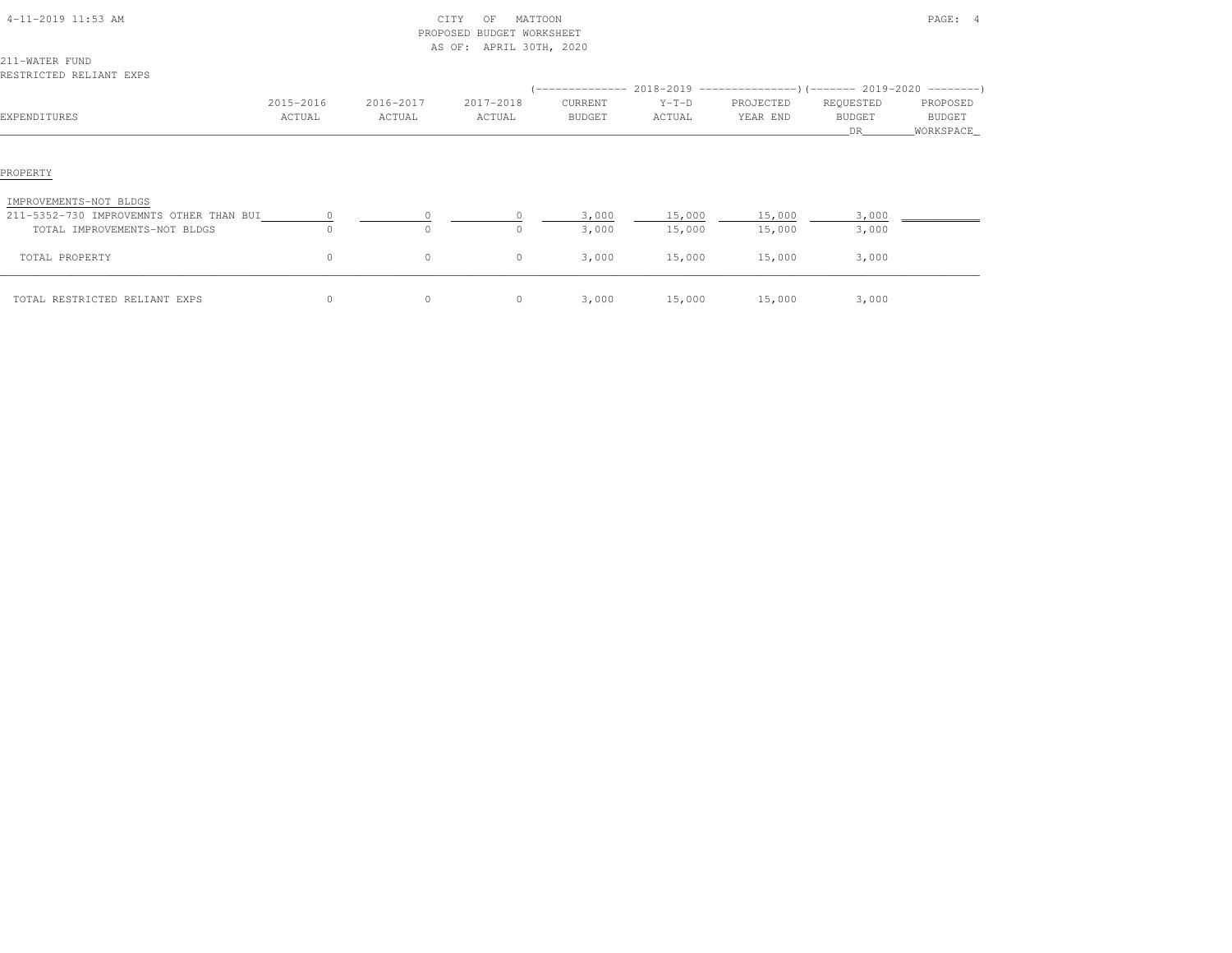| 4-11-2019 11:53 AM                      |           |           | CITY<br>MATTOON<br>OF<br>PROPOSED BUDGET WORKSHEET<br>AS OF: APRIL 30TH, 2020 |               |                                                                                |           |               | PAGE: 4    |  |
|-----------------------------------------|-----------|-----------|-------------------------------------------------------------------------------|---------------|--------------------------------------------------------------------------------|-----------|---------------|------------|--|
| 211-WATER FUND                          |           |           |                                                                               |               |                                                                                |           |               |            |  |
| RESTRICTED RELIANT EXPS                 |           |           |                                                                               |               |                                                                                |           |               |            |  |
|                                         |           |           |                                                                               |               | $(-$ ------------- 2018-2019 ------------------) (------- 2019-2020 ---------) |           |               |            |  |
|                                         | 2015-2016 | 2016-2017 | 2017-2018                                                                     | CURRENT       | $Y-T-D$                                                                        | PROJECTED | REQUESTED     | PROPOSED   |  |
| EXPENDITURES                            | ACTUAL    | ACTUAL    | ACTUAL                                                                        | <b>BUDGET</b> | ACTUAL                                                                         | YEAR END  | <b>BUDGET</b> | BUDGET     |  |
|                                         |           |           |                                                                               |               |                                                                                |           | DR.           | WORKSPACE_ |  |
|                                         |           |           |                                                                               |               |                                                                                |           |               |            |  |
| PROPERTY                                |           |           |                                                                               |               |                                                                                |           |               |            |  |
| IMPROVEMENTS-NOT BLDGS                  |           |           |                                                                               |               |                                                                                |           |               |            |  |
| 211-5352-730 IMPROVEMNTS OTHER THAN BUI |           |           |                                                                               | 3,000         | 15,000                                                                         | 15,000    | 3,000         |            |  |
| TOTAL IMPROVEMENTS-NOT BLDGS            |           |           |                                                                               | 3,000         | 15,000                                                                         | 15,000    | 3,000         |            |  |
| TOTAL PROPERTY                          | 0         | $\circ$   | $\circ$                                                                       | 3,000         | 15,000                                                                         | 15,000    | 3,000         |            |  |
| TOTAL RESTRICTED RELIANT EXPS           | $\circ$   | $\circ$   | $\circ$                                                                       | 3,000         | 15,000                                                                         | 15,000    | 3,000         |            |  |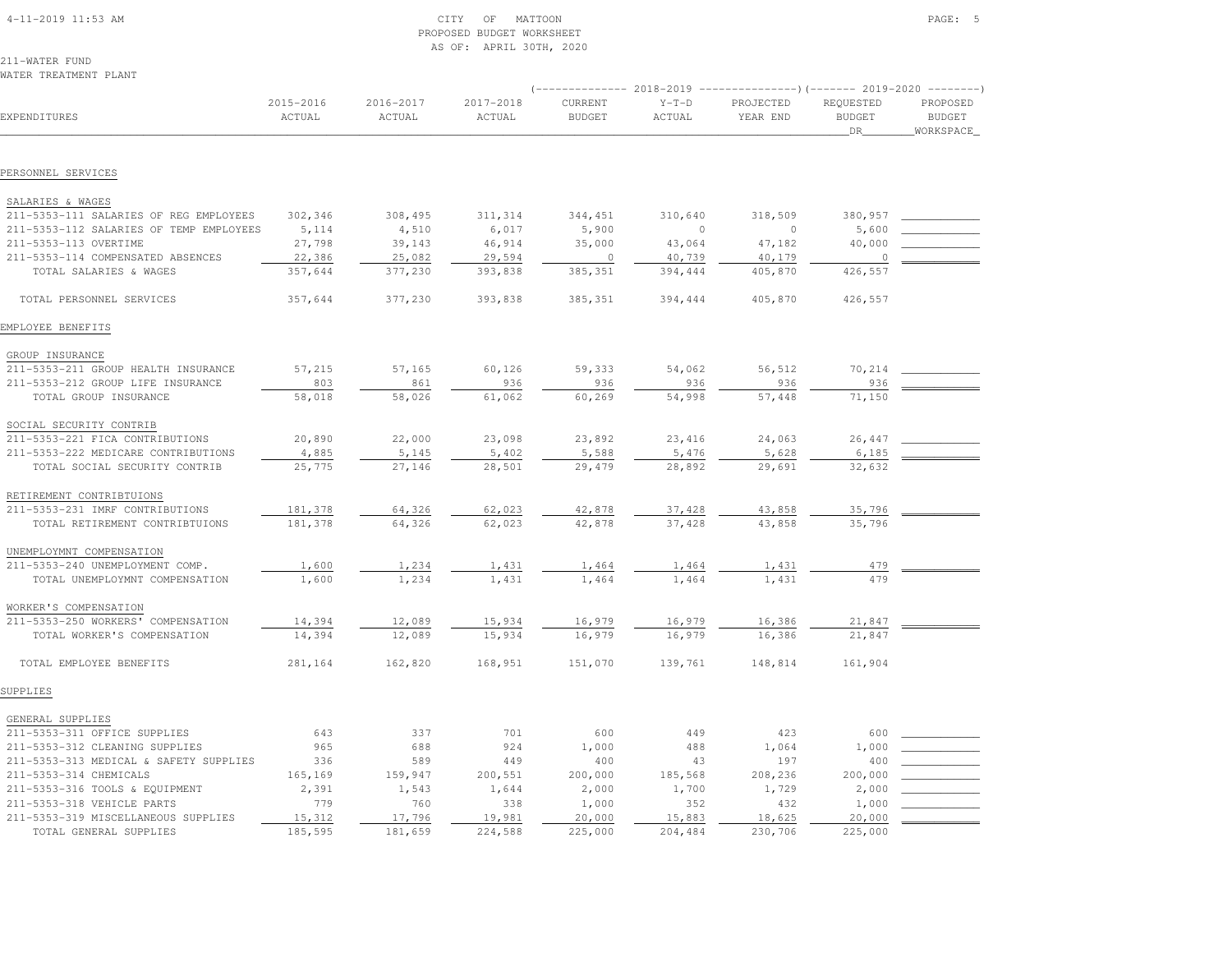| $4-11-2019$ 11:53 AM |  |
|----------------------|--|
|                      |  |

## $\begin{array}{ccc} \text{CITY} & \text{OF} & \text{MATTON} \end{array}$  PROPOSED BUDGET WORKSHEETAS OF: APRIL 30TH, 2020

211-WATER FUNDWATER TREATMENT PLANT

|                                                            |                     |                     |                     | $---------2018-2019$     |                   |                       |                                         |                                         |
|------------------------------------------------------------|---------------------|---------------------|---------------------|--------------------------|-------------------|-----------------------|-----------------------------------------|-----------------------------------------|
| EXPENDITURES                                               | 2015-2016<br>ACTUAL | 2016-2017<br>ACTUAL | 2017-2018<br>ACTUAL | CURRENT<br><b>BUDGET</b> | $Y-T-D$<br>ACTUAL | PROJECTED<br>YEAR END | REQUESTED<br><b>BUDGET</b><br><b>DR</b> | PROPOSED<br><b>BUDGET</b><br>WORKSPACE_ |
| PERSONNEL SERVICES                                         |                     |                     |                     |                          |                   |                       |                                         |                                         |
|                                                            |                     |                     |                     |                          |                   |                       |                                         |                                         |
| SALARIES & WAGES                                           |                     |                     |                     |                          |                   |                       |                                         |                                         |
| 211-5353-111 SALARIES OF REG EMPLOYEES                     | 302,346             | 308,495             | 311,314             | 344,451                  | 310,640           | 318,509               | 380,957                                 |                                         |
| 211-5353-112 SALARIES OF TEMP EMPLOYEES                    | 5,114               | 4,510               | 6,017               | 5,900                    | $\circ$           | $\circ$               | 5,600                                   |                                         |
| 211-5353-113 OVERTIME<br>211-5353-114 COMPENSATED ABSENCES | 27,798<br>22,386    | 39,143<br>25,082    | 46,914<br>29,594    | 35,000<br>$\circ$        | 43,064<br>40,739  | 47,182<br>40,179      | 40,000<br>$\circ$                       |                                         |
| TOTAL SALARIES & WAGES                                     | 357,644             | 377,230             | 393,838             | 385,351                  | 394,444           | 405,870               | 426,557                                 |                                         |
| TOTAL PERSONNEL SERVICES                                   | 357,644             | 377,230             | 393,838             | 385, 351                 | 394,444           | 405,870               | 426,557                                 |                                         |
| EMPLOYEE BENEFITS                                          |                     |                     |                     |                          |                   |                       |                                         |                                         |
| GROUP INSURANCE                                            |                     |                     |                     |                          |                   |                       |                                         |                                         |
| 211-5353-211 GROUP HEALTH INSURANCE                        | 57,215              | 57,165              | 60,126              | 59,333                   | 54,062            | 56,512                | 70,214                                  |                                         |
| 211-5353-212 GROUP LIFE INSURANCE                          | 803                 | 861                 | 936                 | 936                      | 936               | 936                   | 936                                     |                                         |
| TOTAL GROUP INSURANCE                                      | 58,018              | 58,026              | 61,062              | 60,269                   | 54,998            | 57,448                | 71,150                                  |                                         |
| SOCIAL SECURITY CONTRIB                                    |                     |                     |                     |                          |                   |                       |                                         |                                         |
| 211-5353-221 FICA CONTRIBUTIONS                            | 20,890              | 22,000              | 23,098              | 23,892                   | 23,416            | 24,063                | 26,447                                  |                                         |
| 211-5353-222 MEDICARE CONTRIBUTIONS                        | 4,885               | 5,145               | 5,402               | 5,588                    | 5,476             | 5,628                 | 6,185                                   |                                         |
| TOTAL SOCIAL SECURITY CONTRIB                              | 25,775              | 27,146              | 28,501              | 29,479                   | 28,892            | 29,691                | 32,632                                  |                                         |
| RETIREMENT CONTRIBTUIONS                                   |                     |                     |                     |                          |                   |                       |                                         |                                         |
| 211-5353-231 IMRF CONTRIBUTIONS                            | 181,378             | 64,326              | 62,023              | 42,878                   | 37,428            | 43,858                | 35,796                                  |                                         |
| TOTAL RETIREMENT CONTRIBTUIONS                             | 181,378             | 64,326              | 62,023              | 42,878                   | 37,428            | 43,858                | 35,796                                  |                                         |
| UNEMPLOYMNT COMPENSATION                                   |                     |                     |                     |                          |                   |                       |                                         |                                         |
| 211-5353-240 UNEMPLOYMENT COMP.                            | 1,600               | 1,234               | 1,431               | 1,464                    | 1,464             | 1,431                 | 479                                     |                                         |
| TOTAL UNEMPLOYMNT COMPENSATION                             | 1,600               | 1,234               | 1,431               | 1,464                    | 1,464             | 1,431                 | 479                                     |                                         |
| WORKER'S COMPENSATION                                      |                     |                     |                     |                          |                   |                       |                                         |                                         |
| 211-5353-250 WORKERS' COMPENSATION                         | 14,394              | 12,089              | 15,934              | 16,979                   | 16,979            | 16,386                | 21,847                                  |                                         |
| TOTAL WORKER'S COMPENSATION                                | 14,394              | 12,089              | 15,934              | 16,979                   | 16,979            | 16,386                | 21,847                                  |                                         |
| TOTAL EMPLOYEE BENEFITS                                    | 281,164             | 162,820             | 168,951             | 151,070                  | 139,761           | 148,814               | 161,904                                 |                                         |
| SUPPLIES                                                   |                     |                     |                     |                          |                   |                       |                                         |                                         |
| GENERAL SUPPLIES                                           |                     |                     |                     |                          |                   |                       |                                         |                                         |
| 211-5353-311 OFFICE SUPPLIES                               | 643                 | 337                 | 701                 | 600                      | 449               | 423                   | 600                                     |                                         |
| 211-5353-312 CLEANING SUPPLIES                             | 965                 | 688                 | 924                 | 1,000                    | 488               | 1,064                 | 1,000                                   |                                         |
| 211-5353-313 MEDICAL & SAFETY SUPPLIES                     | 336                 | 589                 | 449                 | 400                      | 43                | 197                   | 400                                     |                                         |
| 211-5353-314 CHEMICALS                                     | 165,169             | 159,947             | 200,551             | 200,000                  | 185,568           | 208,236               | 200,000                                 |                                         |
| 211-5353-316 TOOLS & EQUIPMENT                             | 2,391               | 1,543               | 1,644               | 2,000                    | 1,700             | 1,729                 | 2,000                                   |                                         |
| 211-5353-318 VEHICLE PARTS                                 | 779                 | 760                 | 338                 | 1,000                    | 352               | 432                   | 1,000                                   |                                         |
| 211-5353-319 MISCELLANEOUS SUPPLIES                        | 15,312              | 17,796              | 19,981              | 20,000                   | 15,883            | 18,625                | 20,000                                  |                                         |
| TOTAL GENERAL SUPPLIES                                     | 185,595             | 181,659             | 224,588             | 225,000                  | 204,484           | 230,706               | 225,000                                 |                                         |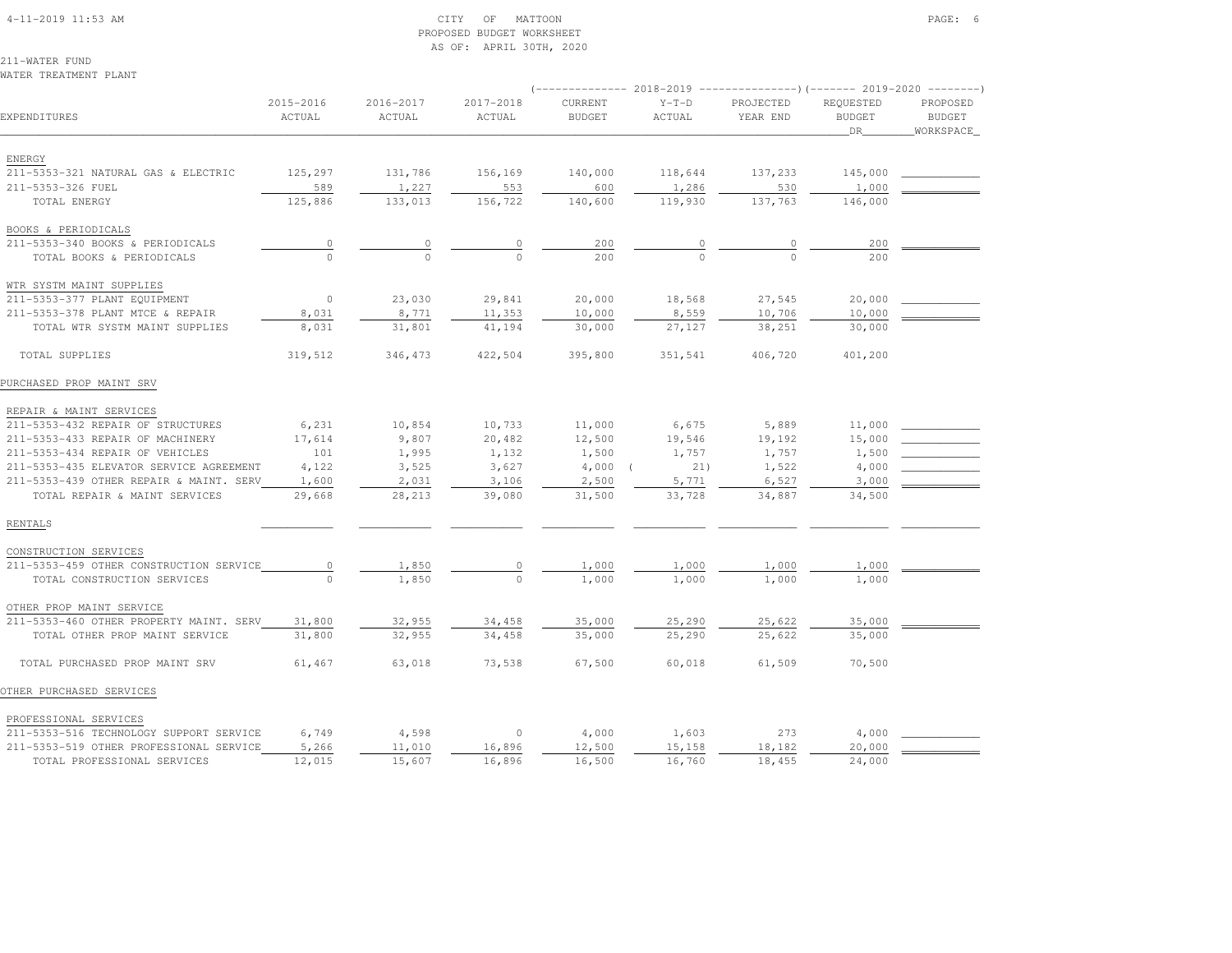### 4-11-2019 11:53 AM CITY OF MATTOON PAGE: 6 PROPOSED BUDGET WORKSHEETAS OF: APRIL 30TH, 2020

211-WATER FUNDWATER TREATMENT PLANT

| EXPENDITURES                            | 2015-2016<br>ACTUAL | 2016-2017<br>ACTUAL | 2017-2018<br>ACTUAL | CURRENT<br><b>BUDGET</b> | $Y-T-D$<br>ACTUAL | PROJECTED<br>YEAR END | REQUESTED<br><b>BUDGET</b><br>_DR_ | PROPOSED<br><b>BUDGET</b><br>WORKSPACE |
|-----------------------------------------|---------------------|---------------------|---------------------|--------------------------|-------------------|-----------------------|------------------------------------|----------------------------------------|
| ENERGY                                  |                     |                     |                     |                          |                   |                       |                                    |                                        |
| 211-5353-321 NATURAL GAS & ELECTRIC     | 125,297             | 131,786             | 156,169             | 140,000                  | 118,644           | 137,233               | 145,000                            |                                        |
| 211-5353-326 FUEL                       | 589                 | 1,227               | 553                 | 600                      | 1,286             | 530                   | 1,000                              |                                        |
| TOTAL ENERGY                            | 125,886             | 133,013             | 156,722             | 140,600                  | 119,930           | 137,763               | 146,000                            |                                        |
| BOOKS & PERIODICALS                     |                     |                     |                     |                          |                   |                       |                                    |                                        |
| 211-5353-340 BOOKS & PERIODICALS        | $\overline{0}$      | $\circ$             | 0                   | 200                      |                   | 0                     | 200                                |                                        |
| TOTAL BOOKS & PERIODICALS               |                     |                     |                     | 200                      |                   |                       | 200                                |                                        |
| WTR SYSTM MAINT SUPPLIES                |                     |                     |                     |                          |                   |                       |                                    |                                        |
| 211-5353-377 PLANT EQUIPMENT            | $\circ$             | 23,030              | 29,841              | 20,000                   | 18,568            | 27,545                | 20,000                             |                                        |
| 211-5353-378 PLANT MTCE & REPAIR        | 8,031               | 8,771               | 11,353              | 10,000                   | 8,559             | 10,706                | 10,000                             |                                        |
| TOTAL WTR SYSTM MAINT SUPPLIES          | 8,031               | 31,801              | 41,194              | 30,000                   | 27,127            | 38,251                | 30,000                             |                                        |
| TOTAL SUPPLIES                          | 319,512             | 346,473             | 422,504             | 395,800                  | 351,541           | 406,720               | 401,200                            |                                        |
| PURCHASED PROP MAINT SRV                |                     |                     |                     |                          |                   |                       |                                    |                                        |
| REPAIR & MAINT SERVICES                 |                     |                     |                     |                          |                   |                       |                                    |                                        |
| 211-5353-432 REPAIR OF STRUCTURES       | 6,231               | 10,854              | 10,733              | 11,000                   | 6,675             | 5,889                 | 11,000                             |                                        |
| 211-5353-433 REPAIR OF MACHINERY        | 17,614              | 9,807               | 20,482              | 12,500                   | 19,546            | 19,192                | 15,000                             |                                        |
| 211-5353-434 REPAIR OF VEHICLES         | 101                 | 1,995               | 1,132               | 1,500                    | 1,757             | 1,757                 | 1,500                              |                                        |
| 211-5353-435 ELEVATOR SERVICE AGREEMENT | 4,122               | 3,525               | 3,627               | 4,000                    | 21)               | 1,522                 | 4,000                              |                                        |
| 211-5353-439 OTHER REPAIR & MAINT. SERV | 1,600               | 2,031               | 3,106               | 2,500                    | 5,771             | 6,527                 | 3,000                              |                                        |
| TOTAL REPAIR & MAINT SERVICES           | 29,668              | 28,213              | 39,080              | 31,500                   | 33,728            | 34,887                | 34,500                             |                                        |
| RENTALS                                 |                     |                     |                     |                          |                   |                       |                                    |                                        |
| CONSTRUCTION SERVICES                   |                     |                     |                     |                          |                   |                       |                                    |                                        |
| 211-5353-459 OTHER CONSTRUCTION SERVICE | $\circ$             | 1,850               | $\circ$             | 1,000                    | 1,000             | 1,000                 | 1,000                              |                                        |
| TOTAL CONSTRUCTION SERVICES             | $\Omega$            | 1,850               | $\circ$             | 1,000                    | 1,000             | 1,000                 | 1,000                              |                                        |
| OTHER PROP MAINT SERVICE                |                     |                     |                     |                          |                   |                       |                                    |                                        |
| 211-5353-460 OTHER PROPERTY MAINT. SERV | 31,800              | 32,955              | 34,458              | 35,000                   | 25,290            | 25,622                | 35,000                             |                                        |
| TOTAL OTHER PROP MAINT SERVICE          | 31,800              | 32,955              | 34,458              | 35,000                   | 25,290            | 25,622                | 35,000                             |                                        |
| TOTAL PURCHASED PROP MAINT SRV          | 61,467              | 63,018              | 73,538              | 67,500                   | 60,018            | 61,509                | 70,500                             |                                        |
| OTHER PURCHASED SERVICES                |                     |                     |                     |                          |                   |                       |                                    |                                        |
| PROFESSIONAL SERVICES                   |                     |                     |                     |                          |                   |                       |                                    |                                        |
| 211-5353-516 TECHNOLOGY SUPPORT SERVICE | 6,749               | 4,598               | $\circ$             | 4,000                    | 1,603             | 273                   | 4,000                              |                                        |
| 211-5353-519 OTHER PROFESSIONAL SERVICE | 5,266               | 11,010              | 16,896              | 12,500                   | 15,158            | 18,182                | 20,000                             |                                        |
| TOTAL PROFESSIONAL SERVICES             | 12,015              | 15,607              | 16,896              | 16,500                   | 16,760            | 18,455                | 24,000                             |                                        |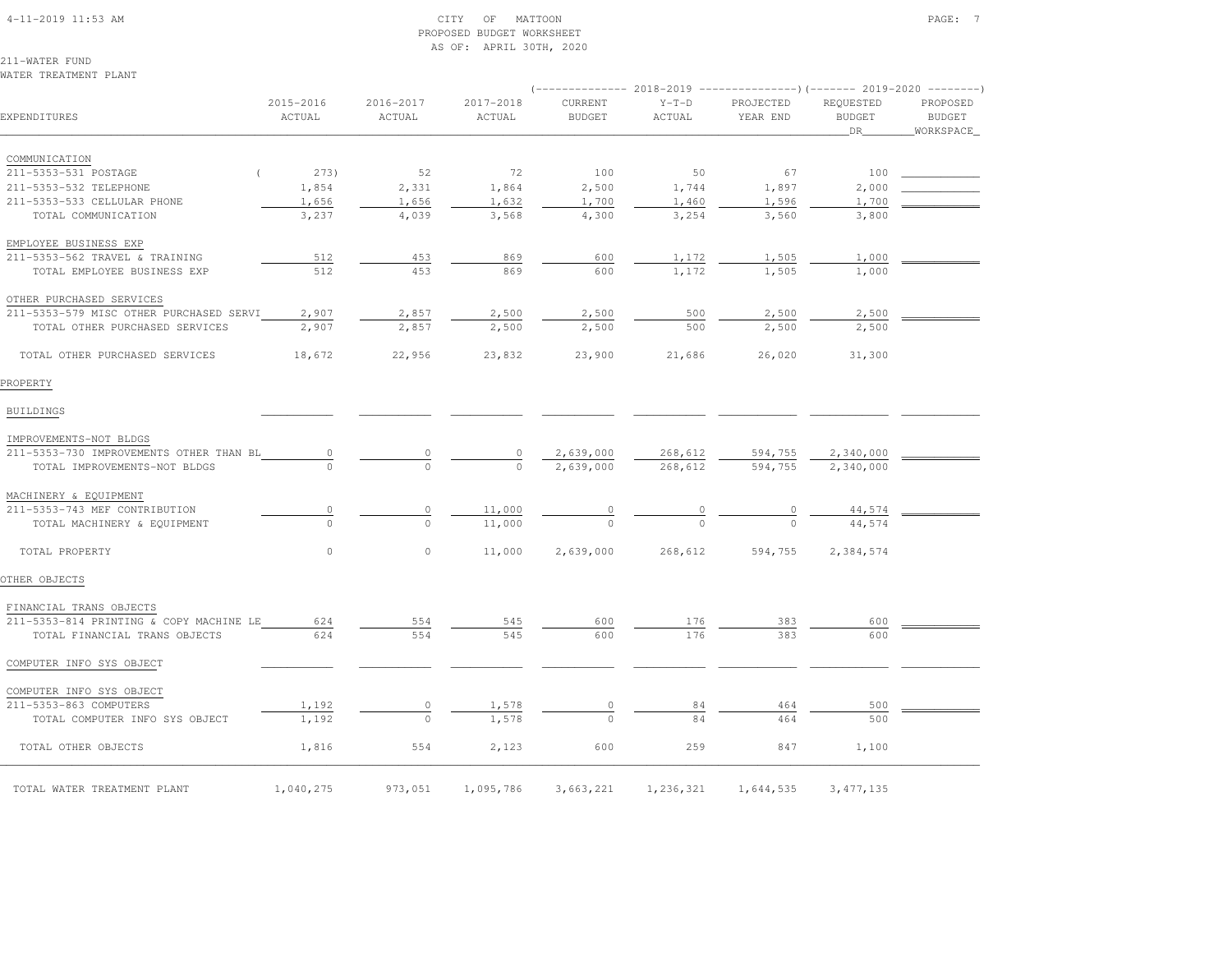#### 4-11-2019 11:53 AM CITY OF MATTOON PAGE: 7 PROPOSED BUDGET WORKSHEETAS OF: APRIL 30TH, 2020

211-WATER FUNDWATER TREATMENT PLANT

| EXPENDITURES                            | 2015-2016<br>ACTUAL | 2016-2017<br>ACTUAL | 2017-2018<br>ACTUAL | CURRENT<br><b>BUDGET</b> | $Y-T-D$<br>ACTUAL | PROJECTED<br>YEAR END | REQUESTED<br><b>BUDGET</b><br>DR | PROPOSED<br><b>BUDGET</b><br>WORKSPACE |
|-----------------------------------------|---------------------|---------------------|---------------------|--------------------------|-------------------|-----------------------|----------------------------------|----------------------------------------|
| COMMUNICATION                           |                     |                     |                     |                          |                   |                       |                                  |                                        |
| 211-5353-531 POSTAGE                    | 273)                | 52                  | 72                  | 100                      | 50                | 67                    | 100                              |                                        |
| 211-5353-532 TELEPHONE                  | 1,854               | 2,331               | 1,864               | 2,500                    | 1,744             | 1,897                 | 2,000                            |                                        |
| 211-5353-533 CELLULAR PHONE             | 1,656               | 1,656               | 1,632               | 1,700                    | 1,460             | 1,596                 | 1,700                            |                                        |
| TOTAL COMMUNICATION                     | 3,237               | 4,039               | 3,568               | 4,300                    | 3,254             | 3,560                 | 3,800                            |                                        |
| EMPLOYEE BUSINESS EXP                   |                     |                     |                     |                          |                   |                       |                                  |                                        |
| 211-5353-562 TRAVEL & TRAINING          | 512                 | 453                 | 869                 | 600                      | 1,172             | 1,505                 | 1,000                            |                                        |
| TOTAL EMPLOYEE BUSINESS EXP             | 512                 | 453                 | 869                 | 600                      | 1,172             | 1,505                 | 1,000                            |                                        |
| OTHER PURCHASED SERVICES                |                     |                     |                     |                          |                   |                       |                                  |                                        |
| 211-5353-579 MISC OTHER PURCHASED SERVI | 2,907               | 2,857               | 2,500               | 2,500                    | 500               | 2,500                 | 2,500                            |                                        |
| TOTAL OTHER PURCHASED SERVICES          | 2,907               | 2,857               | 2,500               | 2,500                    | 500               | 2,500                 | 2,500                            |                                        |
| TOTAL OTHER PURCHASED SERVICES          | 18,672              | 22,956              | 23,832              | 23,900                   | 21,686            | 26,020                | 31,300                           |                                        |
| PROPERTY                                |                     |                     |                     |                          |                   |                       |                                  |                                        |
| <b>BUILDINGS</b>                        |                     |                     |                     |                          |                   |                       |                                  |                                        |
| IMPROVEMENTS-NOT BLDGS                  |                     |                     |                     |                          |                   |                       |                                  |                                        |
| 211-5353-730 IMPROVEMENTS OTHER THAN BL | $\circ$             | 0                   | $\circ$             | 2,639,000                | 268,612           | 594,755               | 2,340,000                        |                                        |
| TOTAL IMPROVEMENTS-NOT BLDGS            |                     | $\Omega$            | $\Omega$            | 2,639,000                | 268,612           | 594,755               | 2,340,000                        |                                        |
| MACHINERY & EQUIPMENT                   |                     |                     |                     |                          |                   |                       |                                  |                                        |
| 211-5353-743 MEF CONTRIBUTION           | $\mathbb O$         | $\circ$             | 11,000              |                          |                   | $\frac{0}{\sqrt{2}}$  | 44,574                           |                                        |
| TOTAL MACHINERY & EQUIPMENT             | $\Omega$            | $\Omega$            | 11,000              |                          |                   |                       | 44,574                           |                                        |
| TOTAL PROPERTY                          | $\circ$             | $\circ$             | 11,000              | 2,639,000                | 268,612           | 594,755               | 2,384,574                        |                                        |
| OTHER OBJECTS                           |                     |                     |                     |                          |                   |                       |                                  |                                        |
| FINANCIAL TRANS OBJECTS                 |                     |                     |                     |                          |                   |                       |                                  |                                        |
| 211-5353-814 PRINTING & COPY MACHINE LE | 624                 | 554                 | 545                 | 600                      | 176               | 383                   | 600                              |                                        |
| TOTAL FINANCIAL TRANS OBJECTS           | 624                 | 554                 | 545                 | 600                      | 176               | 383                   | 600                              |                                        |
| COMPUTER INFO SYS OBJECT                |                     |                     |                     |                          |                   |                       |                                  |                                        |
| COMPUTER INFO SYS OBJECT                |                     |                     |                     |                          |                   |                       |                                  |                                        |
| 211-5353-863 COMPUTERS                  | 1,192               | 0                   | 1,578               | 0                        | 84                | 464                   | 500                              |                                        |
| TOTAL COMPUTER INFO SYS OBJECT          | 1,192               | $\Omega$            | 1,578               | $\Omega$                 | 84                | 464                   | 500                              |                                        |
| TOTAL OTHER OBJECTS                     | 1,816               | 554                 | 2,123               | 600                      | 259               | 847                   | 1,100                            |                                        |
| TOTAL WATER TREATMENT PLANT             | 1,040,275           | 973,051             | 1,095,786           | 3,663,221                | 1,236,321         | 1,644,535             | 3, 477, 135                      |                                        |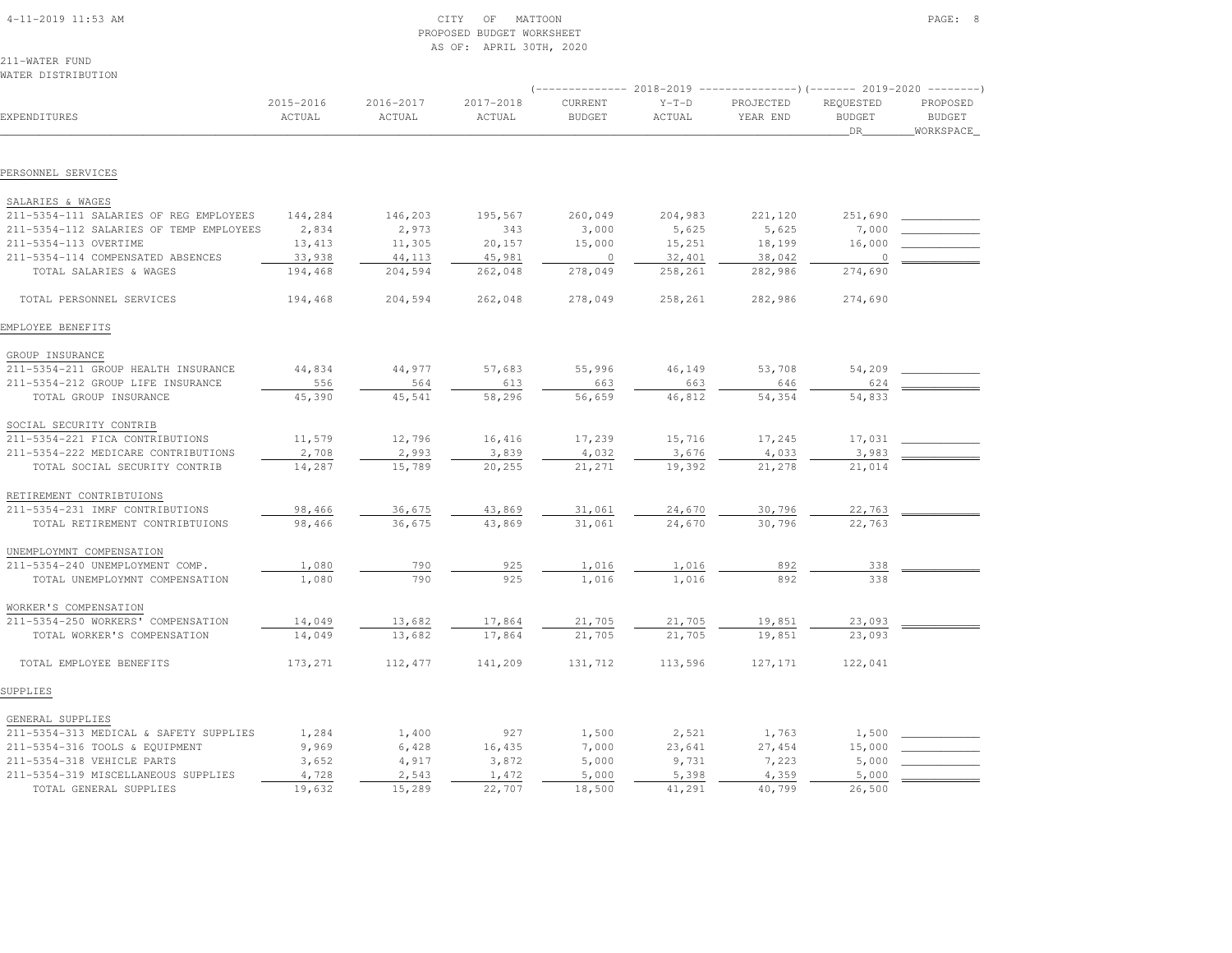| $4 - 11 - 2019$ 11:53 AM |  |
|--------------------------|--|

## $\begin{array}{ccc} \text{CITY} & \text{OF} & \text{MATION} \end{array}$  PROPOSED BUDGET WORKSHEETAS OF: APRIL 30TH, 2020

211-WATER FUNDWATER DISTRIBUTION

|                                                                      |                     |                     |                     | $----------- 2018-2019$  |                   | ----------------) (------- 2019-2020 ---------) |                                  |                                        |
|----------------------------------------------------------------------|---------------------|---------------------|---------------------|--------------------------|-------------------|-------------------------------------------------|----------------------------------|----------------------------------------|
| EXPENDITURES                                                         | 2015-2016<br>ACTUAL | 2016-2017<br>ACTUAL | 2017-2018<br>ACTUAL | CURRENT<br><b>BUDGET</b> | $Y-T-D$<br>ACTUAL | PROJECTED<br>YEAR END                           | REQUESTED<br><b>BUDGET</b><br>DR | PROPOSED<br><b>BUDGET</b><br>WORKSPACE |
|                                                                      |                     |                     |                     |                          |                   |                                                 |                                  |                                        |
| PERSONNEL SERVICES                                                   |                     |                     |                     |                          |                   |                                                 |                                  |                                        |
| SALARIES & WAGES                                                     |                     |                     |                     |                          |                   |                                                 |                                  |                                        |
| 211-5354-111 SALARIES OF REG EMPLOYEES                               | 144,284             | 146,203             | 195,567             | 260,049                  | 204,983           | 221,120                                         | 251,690                          |                                        |
| 211-5354-112 SALARIES OF TEMP EMPLOYEES                              | 2,834               | 2,973               | 343                 | 3,000                    | 5,625             | 5,625                                           | 7,000                            |                                        |
| 211-5354-113 OVERTIME                                                | 13,413              | 11,305              | 20,157              | 15,000                   | 15,251            | 18,199                                          | 16,000                           |                                        |
| 211-5354-114 COMPENSATED ABSENCES                                    | 33,938              | 44,113              | 45,981              | $\circ$                  | 32,401            | 38,042                                          | $\overline{0}$                   |                                        |
| TOTAL SALARIES & WAGES                                               | 194,468             | 204,594             | 262,048             | 278,049                  | 258,261           | 282,986                                         | 274,690                          |                                        |
| TOTAL PERSONNEL SERVICES                                             | 194,468             | 204,594             | 262,048             | 278,049                  | 258,261           | 282,986                                         | 274,690                          |                                        |
| EMPLOYEE BENEFITS                                                    |                     |                     |                     |                          |                   |                                                 |                                  |                                        |
| GROUP INSURANCE                                                      |                     |                     |                     |                          |                   |                                                 |                                  |                                        |
| 211-5354-211 GROUP HEALTH INSURANCE                                  | 44,834              | 44,977              | 57,683              | 55,996                   | 46,149            | 53,708                                          | 54,209                           |                                        |
| 211-5354-212 GROUP LIFE INSURANCE                                    | 556                 | 564                 | 613                 | 663                      | 663               | 646                                             | 624                              |                                        |
| TOTAL GROUP INSURANCE                                                | 45,390              | 45,541              | 58,296              | 56,659                   | 46,812            | 54,354                                          | 54,833                           |                                        |
|                                                                      |                     |                     |                     |                          |                   |                                                 |                                  |                                        |
| SOCIAL SECURITY CONTRIB                                              |                     |                     |                     |                          |                   |                                                 |                                  |                                        |
| 211-5354-221 FICA CONTRIBUTIONS                                      | 11,579              | 12,796              | 16,416              | 17,239                   | 15,716            | 17,245                                          | 17,031                           |                                        |
| 211-5354-222 MEDICARE CONTRIBUTIONS<br>TOTAL SOCIAL SECURITY CONTRIB | 2,708<br>14,287     | 2,993<br>15,789     | 3,839<br>20,255     | 4,032<br>21,271          | 3,676<br>19,392   | 4,033<br>21,278                                 | 3,983<br>21,014                  |                                        |
|                                                                      |                     |                     |                     |                          |                   |                                                 |                                  |                                        |
| RETIREMENT CONTRIBTUIONS                                             |                     |                     |                     |                          |                   |                                                 |                                  |                                        |
| 211-5354-231 IMRF CONTRIBUTIONS                                      | 98,466              | 36,675              | 43,869              | 31,061                   | 24,670            | 30,796                                          | 22,763                           |                                        |
| TOTAL RETIREMENT CONTRIBTUIONS                                       | 98,466              | 36,675              | 43,869              | 31,061                   | 24,670            | 30,796                                          | 22,763                           |                                        |
| UNEMPLOYMNT COMPENSATION                                             |                     |                     |                     |                          |                   |                                                 |                                  |                                        |
| 211-5354-240 UNEMPLOYMENT COMP.                                      | 1,080               | 790                 | 925                 | 1,016                    | 1,016             | 892                                             | 338                              |                                        |
| TOTAL UNEMPLOYMNT COMPENSATION                                       | 1,080               | 790                 | 925                 | 1,016                    | 1,016             | 892                                             | 338                              |                                        |
| WORKER'S COMPENSATION                                                |                     |                     |                     |                          |                   |                                                 |                                  |                                        |
| 211-5354-250 WORKERS' COMPENSATION                                   | 14,049              | 13,682              | 17,864              | 21,705                   | 21,705            | 19,851                                          | 23,093                           |                                        |
| TOTAL WORKER'S COMPENSATION                                          | 14,049              | 13,682              | 17,864              | 21,705                   | 21,705            | 19,851                                          | 23,093                           |                                        |
| TOTAL EMPLOYEE BENEFITS                                              | 173,271             | 112,477             | 141,209             | 131,712                  | 113,596           | 127, 171                                        | 122,041                          |                                        |
| SUPPLIES                                                             |                     |                     |                     |                          |                   |                                                 |                                  |                                        |
| GENERAL SUPPLIES                                                     |                     |                     |                     |                          |                   |                                                 |                                  |                                        |
| 211-5354-313 MEDICAL & SAFETY SUPPLIES                               | 1,284               | 1,400               | 927                 | 1,500                    | 2,521             | 1,763                                           | 1,500                            |                                        |
| 211-5354-316 TOOLS & EQUIPMENT                                       | 9,969               | 6,428               | 16,435              | 7,000                    | 23,641            | 27,454                                          | 15,000                           |                                        |
| 211-5354-318 VEHICLE PARTS                                           | 3,652               | 4,917               | 3,872               | 5,000                    | 9,731             | 7,223                                           | 5,000                            |                                        |
| 211-5354-319 MISCELLANEOUS SUPPLIES                                  | 4,728               | 2,543               | 1,472               | 5,000                    | 5,398             | 4,359                                           | 5,000                            |                                        |
| TOTAL GENERAL SUPPLIES                                               | 19,632              | 15,289              | 22,707              | 18,500                   | 41,291            | 40,799                                          | 26,500                           |                                        |
|                                                                      |                     |                     |                     |                          |                   |                                                 |                                  |                                        |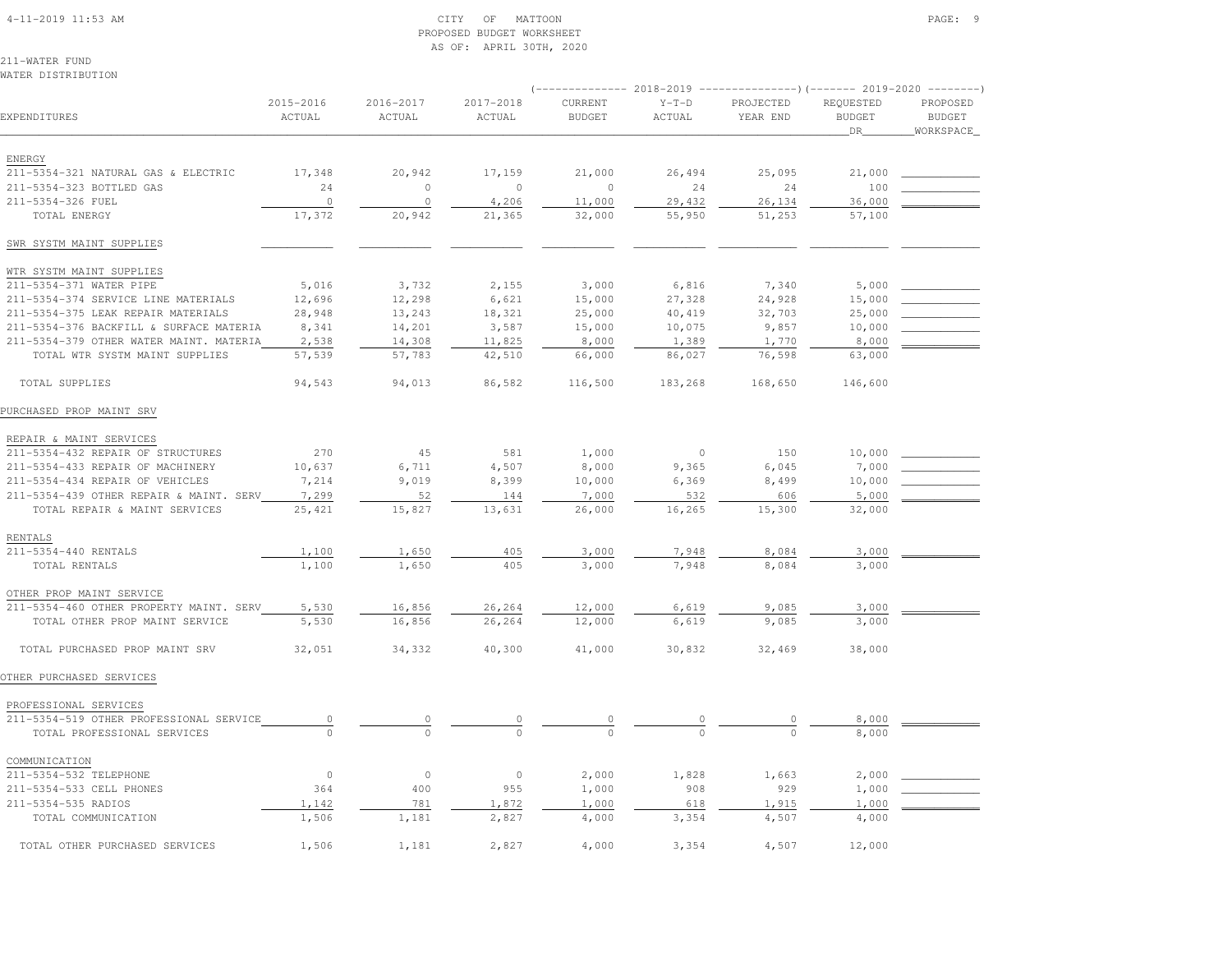#### 4-11-2019 11:53 AM CITY OF MATTOON PAGE: 9 PROPOSED BUDGET WORKSHEETAS OF: APRIL 30TH, 2020

211-WATER FUNDWATER DISTRIBUTION

| EXPENDITURES                            | 2015-2016<br>ACTUAL | 2016-2017<br>ACTUAL | 2017-2018<br>ACTUAL | CURRENT<br><b>BUDGET</b> | $Y-T-D$<br>ACTUAL | PROJECTED<br>YEAR END | REQUESTED<br><b>BUDGET</b><br><b>DR</b> | PROPOSED<br><b>BUDGET</b><br>WORKSPACE |
|-----------------------------------------|---------------------|---------------------|---------------------|--------------------------|-------------------|-----------------------|-----------------------------------------|----------------------------------------|
| ENERGY                                  |                     |                     |                     |                          |                   |                       |                                         |                                        |
| 211-5354-321 NATURAL GAS & ELECTRIC     | 17,348              | 20,942              | 17,159              | 21,000                   | 26,494            | 25,095                | 21,000                                  |                                        |
| 211-5354-323 BOTTLED GAS                | 24                  | $\circ$             | $\mathbf{0}$        | $\circ$                  | 24                | 24                    | 100                                     |                                        |
| 211-5354-326 FUEL                       | $\circ$             | $\circ$             | 4,206               | 11,000                   | 29,432            | 26,134                | 36,000                                  |                                        |
| TOTAL ENERGY                            | 17,372              | 20,942              | 21,365              | 32,000                   | 55,950            | 51,253                | 57,100                                  |                                        |
| SWR SYSTM MAINT SUPPLIES                |                     |                     |                     |                          |                   |                       |                                         |                                        |
| WTR SYSTM MAINT SUPPLIES                |                     |                     |                     |                          |                   |                       |                                         |                                        |
| 211-5354-371 WATER PIPE                 | 5,016               | 3,732               | 2,155               | 3,000                    | 6,816             | 7,340                 | 5,000                                   |                                        |
| 211-5354-374 SERVICE LINE MATERIALS     | 12,696              | 12,298              | 6,621               | 15,000                   | 27,328            | 24,928                | 15,000                                  |                                        |
| 211-5354-375 LEAK REPAIR MATERIALS      | 28,948              | 13,243              | 18,321              | 25,000                   | 40,419            | 32,703                | 25,000                                  |                                        |
| 211-5354-376 BACKFILL & SURFACE MATERIA | 8,341               | 14,201              | 3,587               | 15,000                   | 10,075            | 9,857                 | 10,000                                  |                                        |
| 211-5354-379 OTHER WATER MAINT. MATERIA | 2,538               | 14,308              | 11,825              | 8,000                    | 1,389             | 1,770                 | 8,000                                   |                                        |
| TOTAL WTR SYSTM MAINT SUPPLIES          | 57,539              | 57,783              | 42,510              | 66,000                   | 86,027            | 76,598                | 63,000                                  |                                        |
| TOTAL SUPPLIES                          | 94,543              | 94,013              | 86,582              | 116,500                  | 183,268           | 168,650               | 146,600                                 |                                        |
| PURCHASED PROP MAINT SRV                |                     |                     |                     |                          |                   |                       |                                         |                                        |
| REPAIR & MAINT SERVICES                 |                     |                     |                     |                          |                   |                       |                                         |                                        |
| 211-5354-432 REPAIR OF STRUCTURES       | 270                 | 45                  | 581                 | 1,000                    | $\circ$           | 150                   | 10,000                                  |                                        |
| 211-5354-433 REPAIR OF MACHINERY        | 10,637              | 6,711               | 4,507               | 8,000                    | 9,365             | 6,045                 | 7,000                                   |                                        |
| 211-5354-434 REPAIR OF VEHICLES         | 7,214               | 9,019               | 8,399               | 10,000                   | 6,369             | 8,499                 | 10,000                                  |                                        |
| 211-5354-439 OTHER REPAIR & MAINT. SERV | 7,299               | 52                  | 144                 | 7,000                    | 532               | 606                   | 5,000                                   |                                        |
| TOTAL REPAIR & MAINT SERVICES           | 25,421              | 15,827              | 13,631              | 26,000                   | 16,265            | 15,300                | 32,000                                  |                                        |
| <b>RENTALS</b>                          |                     |                     |                     |                          |                   |                       |                                         |                                        |
| 211-5354-440 RENTALS                    | 1,100               | 1,650               | 405                 | 3,000                    | 7,948             | 8,084                 | 3,000                                   |                                        |
| TOTAL RENTALS                           | 1,100               | 1,650               | 405                 | 3,000                    | 7,948             | 8,084                 | 3,000                                   |                                        |
| OTHER PROP MAINT SERVICE                |                     |                     |                     |                          |                   |                       |                                         |                                        |
| 211-5354-460 OTHER PROPERTY MAINT. SERV | 5,530               | 16,856              | 26,264              | 12,000                   | 6,619             | 9,085                 | 3,000                                   |                                        |
| TOTAL OTHER PROP MAINT SERVICE          | 5,530               | 16,856              | 26,264              | 12,000                   | 6,619             | 9,085                 | 3,000                                   |                                        |
| TOTAL PURCHASED PROP MAINT SRV          | 32,051              | 34,332              | 40,300              | 41,000                   | 30,832            | 32,469                | 38,000                                  |                                        |
| OTHER PURCHASED SERVICES                |                     |                     |                     |                          |                   |                       |                                         |                                        |
| PROFESSIONAL SERVICES                   |                     |                     |                     |                          |                   |                       |                                         |                                        |
| 211-5354-519 OTHER PROFESSIONAL SERVICE | $\circ$             | 0                   |                     |                          |                   | 0                     | 8,000                                   |                                        |
| TOTAL PROFESSIONAL SERVICES             |                     |                     |                     |                          |                   |                       | 8,000                                   |                                        |
| COMMUNICATION                           |                     |                     |                     |                          |                   |                       |                                         |                                        |
| 211-5354-532 TELEPHONE                  | $\circ$             | $\circ$             | $\circ$             | 2,000                    | 1,828             | 1,663                 | 2,000                                   |                                        |
| 211-5354-533 CELL PHONES                | 364                 | 400                 | 955                 | 1,000                    | 908               | 929                   | 1,000                                   |                                        |
| 211-5354-535 RADIOS                     | 1,142               | 781                 | 1,872               | 1,000                    | 618               | 1,915                 | 1,000                                   |                                        |
| TOTAL COMMUNICATION                     | 1,506               | 1,181               | 2,827               | 4,000                    | 3,354             | 4,507                 | 4,000                                   |                                        |
| TOTAL OTHER PURCHASED SERVICES          | 1,506               | 1,181               | 2,827               | 4,000                    | 3,354             | 4,507                 | 12,000                                  |                                        |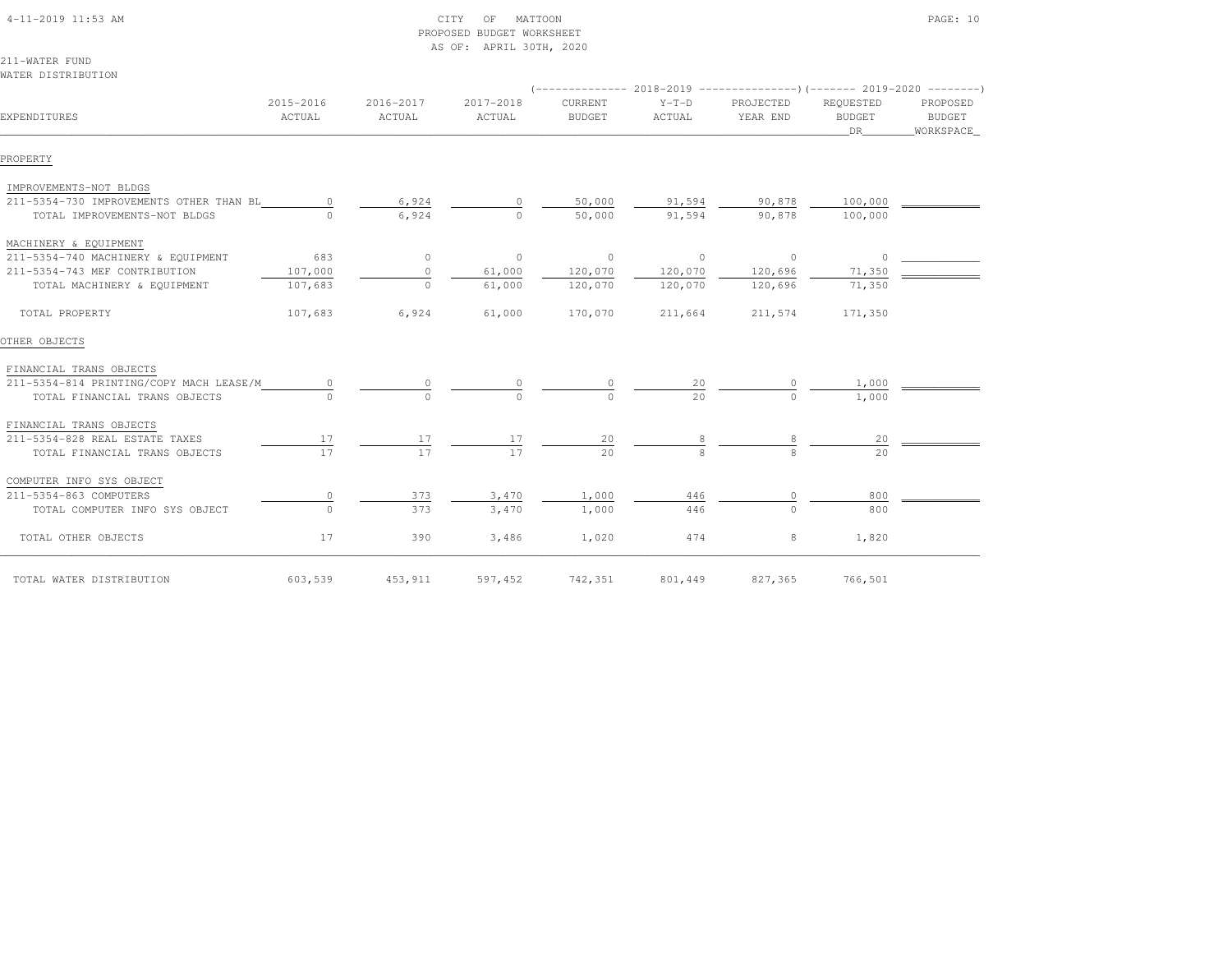| $4-11-2019$ $11:53$ AM |  |
|------------------------|--|

#### $\begin{array}{ccc} \text{CITY} & \text{OF} & \text{MATION} \end{array}$  PROPOSED BUDGET WORKSHEETAS OF: APRIL 30TH, 2020

211-WATER FUNDWATER DISTRIBUTION

| EXPENDITURES                            | 2015-2016<br>ACTUAL | 2016-2017<br>ACTUAL | 2017-2018<br>ACTUAL | CURRENT<br><b>BUDGET</b> | $Y-T-D$<br>ACTUAL | PROJECTED<br>YEAR END | REQUESTED<br><b>BUDGET</b><br>DR | PROPOSED<br><b>BUDGET</b><br>WORKSPACE |
|-----------------------------------------|---------------------|---------------------|---------------------|--------------------------|-------------------|-----------------------|----------------------------------|----------------------------------------|
| PROPERTY                                |                     |                     |                     |                          |                   |                       |                                  |                                        |
| IMPROVEMENTS-NOT BLDGS                  |                     |                     |                     |                          |                   |                       |                                  |                                        |
| 211-5354-730 IMPROVEMENTS OTHER THAN BL | $\circ$             | 6,924               |                     | 50,000                   | 91,594            | 90,878                | 100,000                          |                                        |
| TOTAL IMPROVEMENTS-NOT BLDGS            |                     | 6,924               | $\bigcap$           | 50,000                   | 91,594            | 90,878                | 100,000                          |                                        |
| MACHINERY & EQUIPMENT                   |                     |                     |                     |                          |                   |                       |                                  |                                        |
| 211-5354-740 MACHINERY & EQUIPMENT      | 683                 | $\circ$             | $\overline{0}$      | $\overline{0}$           | $\sim$ 0          | $\overline{0}$        | $\circ$                          |                                        |
| 211-5354-743 MEF CONTRIBUTION           | 107,000             | $\circ$             | 61,000              | 120,070                  | 120,070           | 120,696               | 71,350                           |                                        |
| TOTAL MACHINERY & EQUIPMENT             | 107,683             | $\circ$             | 61,000              | 120,070                  | 120,070           | 120,696               | 71,350                           |                                        |
| TOTAL PROPERTY                          | 107,683             | 6,924               | 61,000              | 170,070                  | 211,664           | 211,574               | 171,350                          |                                        |
| OTHER OBJECTS                           |                     |                     |                     |                          |                   |                       |                                  |                                        |
| FINANCIAL TRANS OBJECTS                 |                     |                     |                     |                          |                   |                       |                                  |                                        |
| 211-5354-814 PRINTING/COPY MACH LEASE/M |                     |                     |                     |                          | 20                |                       | 1,000                            |                                        |
| TOTAL FINANCIAL TRANS OBJECTS           |                     |                     |                     |                          | 2.0               | $\cap$                | 1,000                            |                                        |
| FINANCIAL TRANS OBJECTS                 |                     |                     |                     |                          |                   |                       |                                  |                                        |
| 211-5354-828 REAL ESTATE TAXES          | 17                  | 17                  | 17                  | 20                       |                   |                       | 20                               |                                        |
| TOTAL FINANCIAL TRANS OBJECTS           | 17                  | 17                  | 17                  | 2.0                      |                   |                       | 2.0                              |                                        |
| COMPUTER INFO SYS OBJECT                |                     |                     |                     |                          |                   |                       |                                  |                                        |
| 211-5354-863 COMPUTERS                  | 0                   | 373                 | 3,470               | 1,000                    | 446               |                       | 800                              |                                        |
| TOTAL COMPUTER INFO SYS OBJECT          | $\Omega$            | 373                 | 3,470               | 1,000                    | 446               | $\cap$                | 800                              |                                        |
| TOTAL OTHER OBJECTS                     | 17                  | 390                 | 3,486               | 1,020                    | 474               | 8                     | 1,820                            |                                        |
| TOTAL WATER DISTRIBUTION                | 603,539             | 453,911             | 597,452             | 742,351                  | 801,449           | 827,365               | 766,501                          |                                        |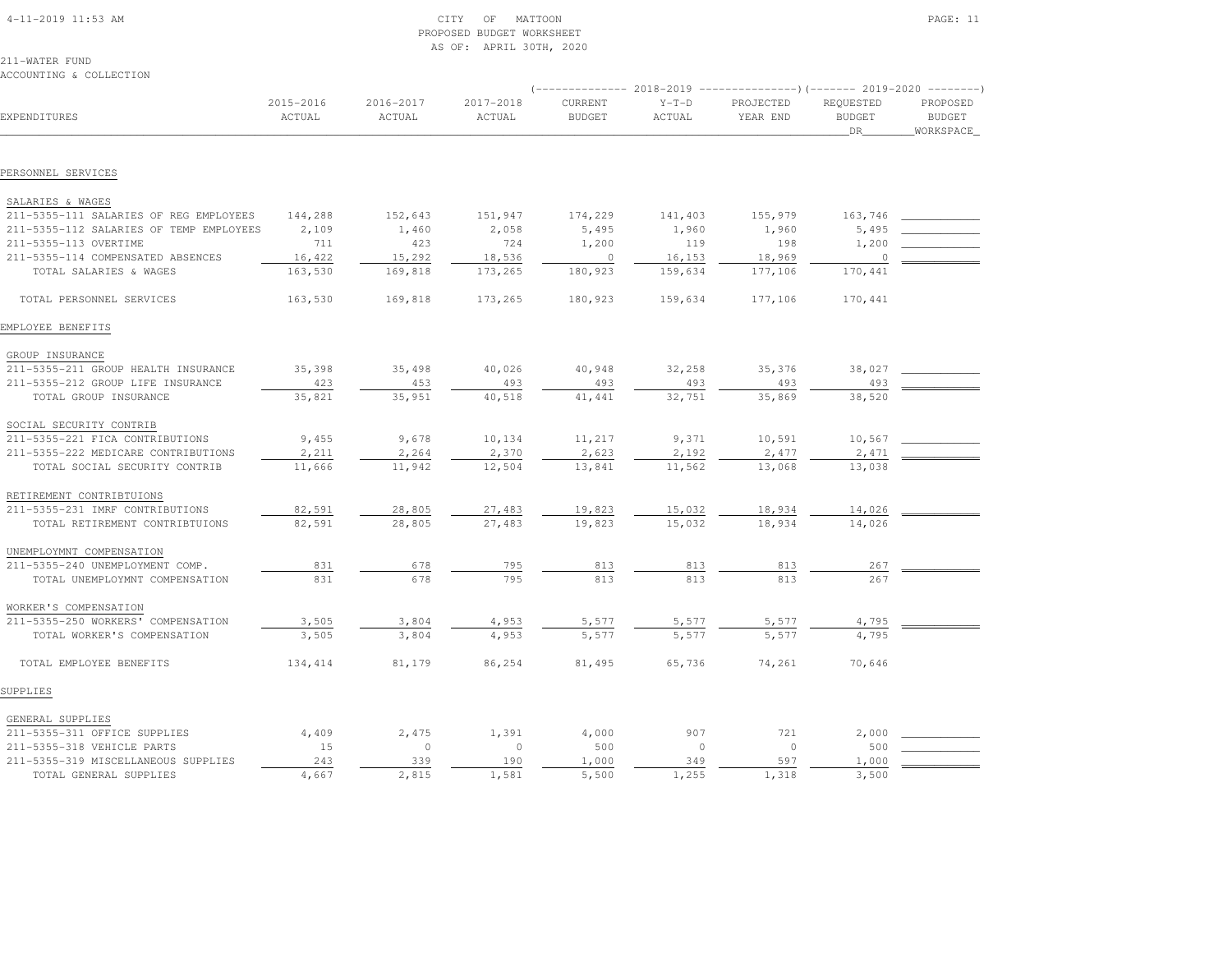| $4-11-2019$ $11:53$ AM |  |
|------------------------|--|

## $\begin{array}{ccc} \text{CITY} & \text{OF} & \text{MATION} \end{array}$  PROPOSED BUDGET WORKSHEETAS OF: APRIL 30TH, 2020

|                                         |                     |                     |                     | -------------- 2018-2019 |                   |                       |                                  |                                         |
|-----------------------------------------|---------------------|---------------------|---------------------|--------------------------|-------------------|-----------------------|----------------------------------|-----------------------------------------|
| EXPENDITURES                            | 2015-2016<br>ACTUAL | 2016-2017<br>ACTUAL | 2017-2018<br>ACTUAL | CURRENT<br><b>BUDGET</b> | $Y-T-D$<br>ACTUAL | PROJECTED<br>YEAR END | REQUESTED<br><b>BUDGET</b><br>DR | PROPOSED<br><b>BUDGET</b><br>WORKSPACE_ |
|                                         |                     |                     |                     |                          |                   |                       |                                  |                                         |
| PERSONNEL SERVICES                      |                     |                     |                     |                          |                   |                       |                                  |                                         |
|                                         |                     |                     |                     |                          |                   |                       |                                  |                                         |
| SALARIES & WAGES                        |                     |                     |                     |                          |                   |                       |                                  |                                         |
| 211-5355-111 SALARIES OF REG EMPLOYEES  | 144,288             | 152,643             | 151,947             | 174,229                  | 141,403           | 155,979               | 163,746                          |                                         |
| 211-5355-112 SALARIES OF TEMP EMPLOYEES | 2,109               | 1,460               | 2,058               | 5,495                    | 1,960             | 1,960                 | 5,495                            |                                         |
| 211-5355-113 OVERTIME                   | 711                 | 423                 | 724                 | 1,200                    | 119               | 198                   | 1,200                            |                                         |
| 211-5355-114 COMPENSATED ABSENCES       | 16,422              | 15,292              | 18,536              | $\circ$                  | 16,153            | 18,969                | $\circ$                          |                                         |
| TOTAL SALARIES & WAGES                  | 163,530             | 169,818             | 173,265             | 180,923                  | 159,634           | 177,106               | 170,441                          |                                         |
| TOTAL PERSONNEL SERVICES                | 163,530             | 169,818             | 173,265             | 180,923                  | 159,634           | 177,106               | 170,441                          |                                         |
| EMPLOYEE BENEFITS                       |                     |                     |                     |                          |                   |                       |                                  |                                         |
| GROUP INSURANCE                         |                     |                     |                     |                          |                   |                       |                                  |                                         |
| 211-5355-211 GROUP HEALTH INSURANCE     | 35,398              | 35,498              | 40,026              | 40,948                   | 32,258            | 35,376                | 38,027                           |                                         |
| 211-5355-212 GROUP LIFE INSURANCE       | 423                 | 453                 | 493                 | 493                      | 493               | 493                   | 493                              |                                         |
| TOTAL GROUP INSURANCE                   | 35,821              | 35,951              | 40,518              | 41,441                   | 32,751            | 35,869                | 38,520                           |                                         |
| SOCIAL SECURITY CONTRIB                 |                     |                     |                     |                          |                   |                       |                                  |                                         |
| 211-5355-221 FICA CONTRIBUTIONS         | 9,455               | 9,678               | 10,134              | 11,217                   | 9,371             | 10,591                | 10,567                           |                                         |
| 211-5355-222 MEDICARE CONTRIBUTIONS     | 2,211               | 2,264               | 2,370               | 2,623                    | 2,192             | 2,477                 | 2,471                            |                                         |
| TOTAL SOCIAL SECURITY CONTRIB           | 11,666              | 11,942              | 12,504              | 13,841                   | 11,562            | 13,068                | 13,038                           |                                         |
| RETIREMENT CONTRIBTUIONS                |                     |                     |                     |                          |                   |                       |                                  |                                         |
| 211-5355-231 IMRF CONTRIBUTIONS         | 82,591              | 28,805              | 27,483              | 19,823                   | 15,032            | 18,934                | 14,026                           |                                         |
| TOTAL RETIREMENT CONTRIBTUIONS          | 82,591              | 28,805              | 27,483              | 19,823                   | 15,032            | 18,934                | 14,026                           |                                         |
| UNEMPLOYMNT COMPENSATION                |                     |                     |                     |                          |                   |                       |                                  |                                         |
| 211-5355-240 UNEMPLOYMENT COMP.         | 831                 | 678                 | 795                 | 813                      | 813               | 813                   | 267                              |                                         |
| TOTAL UNEMPLOYMNT COMPENSATION          | 831                 | 678                 | 795                 | 813                      | 813               | 813                   | 267                              |                                         |
| WORKER'S COMPENSATION                   |                     |                     |                     |                          |                   |                       |                                  |                                         |
| 211-5355-250 WORKERS' COMPENSATION      | 3,505               | 3,804               | 4,953               | 5,577                    | 5,577             | 5,577                 | 4,795                            |                                         |
| TOTAL WORKER'S COMPENSATION             | 3,505               | 3,804               | 4,953               | 5,577                    | 5,577             | 5.577                 | 4,795                            |                                         |
| TOTAL EMPLOYEE BENEFITS                 | 134,414             | 81,179              | 86,254              | 81,495                   | 65,736            | 74,261                | 70,646                           |                                         |
| SUPPLIES                                |                     |                     |                     |                          |                   |                       |                                  |                                         |
| GENERAL SUPPLIES                        |                     |                     |                     |                          |                   |                       |                                  |                                         |
| 211-5355-311 OFFICE SUPPLIES            | 4,409               | 2,475               | 1,391               | 4,000                    | 907               | 721                   | 2,000                            |                                         |
| 211-5355-318 VEHICLE PARTS              | 15                  | $\circ$             | $\circ$             | 500                      | $\circ$           | $\circ$               | 500                              |                                         |
| 211-5355-319 MISCELLANEOUS SUPPLIES     | 243                 | 339                 | 190                 | 1,000                    | 349               | 597                   | 1,000                            |                                         |
| TOTAL GENERAL SUPPLIES                  | 4,667               | 2,815               | 1,581               | 5,500                    | 1,255             | 1,318                 | 3,500                            |                                         |
|                                         |                     |                     |                     |                          |                   |                       |                                  |                                         |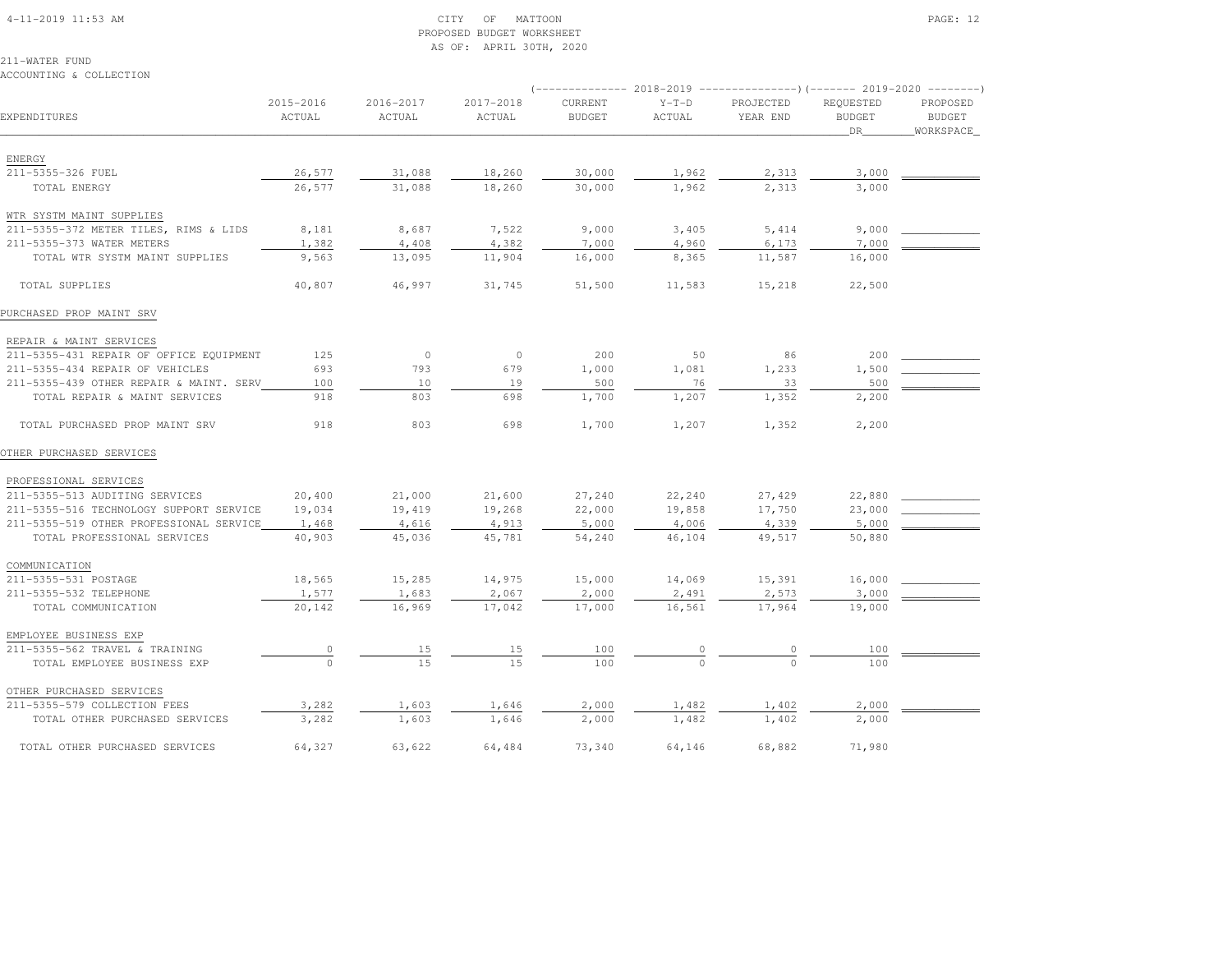#### 4-11-2019 11:53 AM CITY OF MATTOON PAGE: 12 PROPOSED BUDGET WORKSHEETAS OF: APRIL 30TH, 2020

211-WATER FUNDACCOUNTING & COLLECTION

|                                         | 2015-2016 | 2016-2017 | 2017-2018 | CURRENT       | $Y-T-D$ | PROJECTED | REQUESTED     | PROPOSED      |  |
|-----------------------------------------|-----------|-----------|-----------|---------------|---------|-----------|---------------|---------------|--|
| EXPENDITURES                            | ACTUAL    | ACTUAL    | ACTUAL    | <b>BUDGET</b> | ACTUAL  | YEAR END  | <b>BUDGET</b> | <b>BUDGET</b> |  |
|                                         |           |           |           |               |         |           | DR            | _WORKSPACE_   |  |
|                                         |           |           |           |               |         |           |               |               |  |
| ENERGY                                  |           |           |           |               |         |           |               |               |  |
| 211-5355-326 FUEL                       | 26,577    | 31,088    | 18,260    | 30,000        | 1,962   | 2,313     | 3,000         |               |  |
| TOTAL ENERGY                            | 26,577    | 31,088    | 18,260    | 30,000        | 1,962   | 2,313     | 3,000         |               |  |
| WTR SYSTM MAINT SUPPLIES                |           |           |           |               |         |           |               |               |  |
| 211-5355-372 METER TILES, RIMS & LIDS   | 8,181     | 8,687     | 7,522     | 9,000         | 3,405   | 5,414     | 9,000         |               |  |
| 211-5355-373 WATER METERS               | 1,382     | 4,408     | 4,382     | 7,000         | 4,960   | 6,173     | 7,000         |               |  |
| TOTAL WTR SYSTM MAINT SUPPLIES          | 9,563     | 13,095    | 11,904    | 16,000        | 8,365   | 11,587    | 16,000        |               |  |
| TOTAL SUPPLIES                          | 40,807    | 46,997    | 31,745    | 51,500        | 11,583  | 15,218    | 22,500        |               |  |
| PURCHASED PROP MAINT SRV                |           |           |           |               |         |           |               |               |  |
|                                         |           |           |           |               |         |           |               |               |  |
| REPAIR & MAINT SERVICES                 |           |           |           |               |         |           |               |               |  |
| 211-5355-431 REPAIR OF OFFICE EQUIPMENT | 125       | $\circ$   | $\circ$   | 200           | 50      | 86        | 200           |               |  |
| 211-5355-434 REPAIR OF VEHICLES         | 693       | 793       | 679       | 1,000         | 1,081   | 1,233     | 1,500         |               |  |
| 211-5355-439 OTHER REPAIR & MAINT. SERV | 100       | 10        | 19        | 500           | 76      | 33        | 500           |               |  |
| TOTAL REPAIR & MAINT SERVICES           | 918       | 803       | 698       | 1,700         | 1,207   | 1,352     | 2,200         |               |  |
| TOTAL PURCHASED PROP MAINT SRV          | 918       | 803       | 698       | 1,700         | 1,207   | 1,352     | 2,200         |               |  |
| OTHER PURCHASED SERVICES                |           |           |           |               |         |           |               |               |  |
| PROFESSIONAL SERVICES                   |           |           |           |               |         |           |               |               |  |
| 211-5355-513 AUDITING SERVICES          | 20,400    | 21,000    | 21,600    | 27,240        | 22,240  | 27,429    | 22,880        |               |  |
| 211-5355-516 TECHNOLOGY SUPPORT SERVICE | 19,034    | 19,419    | 19,268    | 22,000        | 19,858  | 17,750    | 23,000        |               |  |
| 211-5355-519 OTHER PROFESSIONAL SERVICE | 1,468     | 4,616     | 4,913     | 5,000         | 4,006   | 4,339     | 5,000         |               |  |
| TOTAL PROFESSIONAL SERVICES             | 40,903    | 45,036    | 45,781    | 54,240        | 46,104  | 49,517    | 50,880        |               |  |
| COMMUNICATION                           |           |           |           |               |         |           |               |               |  |
| 211-5355-531 POSTAGE                    | 18,565    | 15,285    | 14,975    | 15,000        | 14,069  | 15,391    | 16,000        |               |  |
| 211-5355-532 TELEPHONE                  | 1,577     | 1,683     | 2,067     | 2,000         | 2,491   | 2,573     | 3,000         |               |  |
| TOTAL COMMUNICATION                     | 20,142    | 16,969    | 17,042    | 17,000        | 16,561  | 17,964    | 19,000        |               |  |
|                                         |           |           |           |               |         |           |               |               |  |
| EMPLOYEE BUSINESS EXP                   |           |           |           |               |         |           |               |               |  |
| 211-5355-562 TRAVEL & TRAINING          |           | 15        | 15        | 100           |         |           | 100           |               |  |
| TOTAL EMPLOYEE BUSINESS EXP             |           | 15        | 1.5       | 100           |         |           | 100           |               |  |
| OTHER PURCHASED SERVICES                |           |           |           |               |         |           |               |               |  |
| 211-5355-579 COLLECTION FEES            | 3,282     | 1,603     | 1,646     | 2,000         | 1,482   | 1,402     | 2,000         |               |  |
| TOTAL OTHER PURCHASED SERVICES          | 3,282     | 1,603     | 1,646     | 2,000         | 1,482   | 1,402     | 2,000         |               |  |
|                                         |           |           |           |               |         |           |               |               |  |

TOTAL OTHER PURCHASED SERVICES 64,327 63,622 64,484 73,340 64,146 68,882 71,980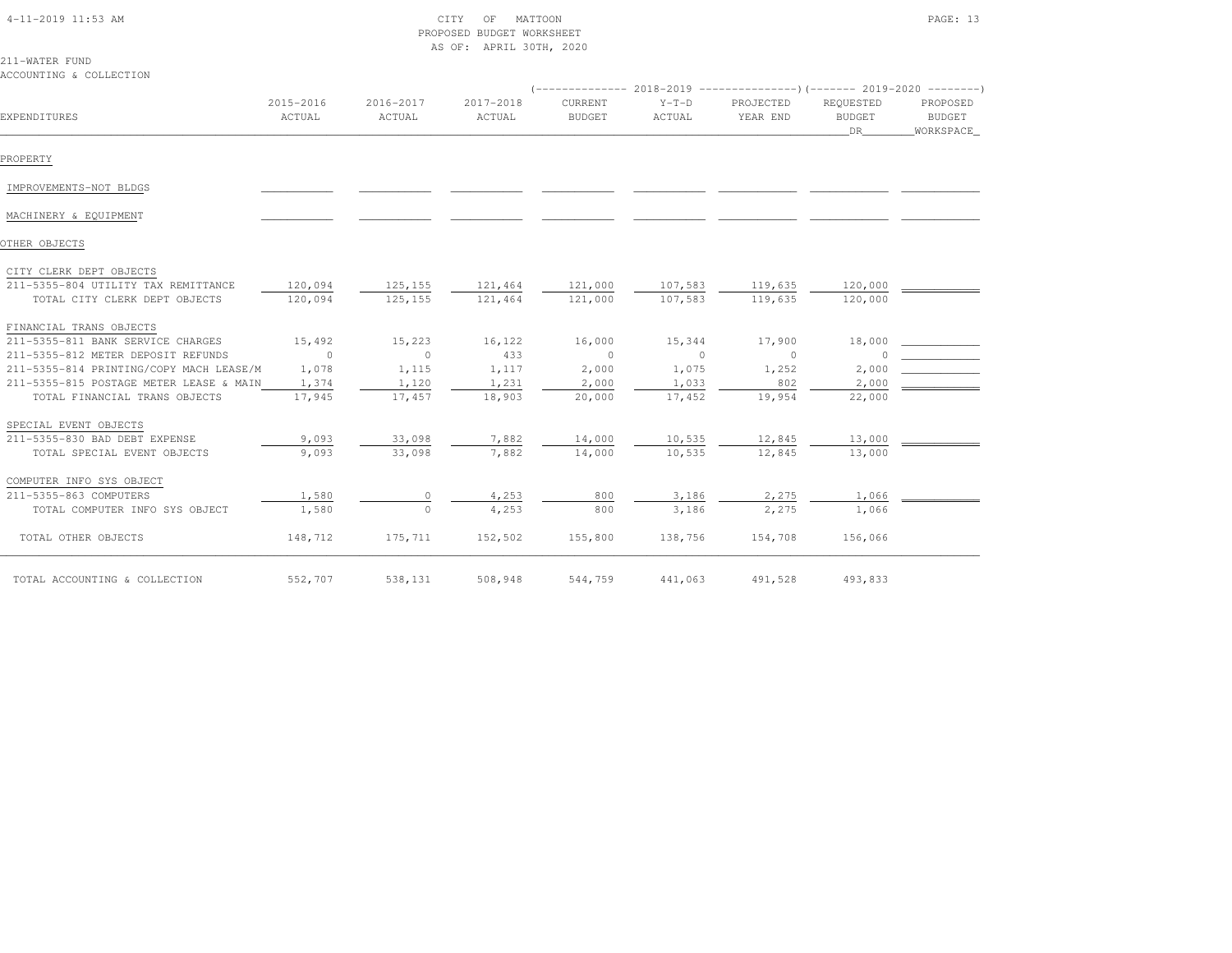#### 4-11-2019 11:53 AM CITY OF MATTOON PAGE: 13 PROPOSED BUDGET WORKSHEETAS OF: APRIL 30TH, 2020

#### 211-WATER FUNDACCOUNTING & COLLECTION

|                                                                      |                     |                     |                     |                          |                    | $($ -------------- 2018-2019 ----------------------- 2019-2020 --------- |                                  |                                 |  |
|----------------------------------------------------------------------|---------------------|---------------------|---------------------|--------------------------|--------------------|--------------------------------------------------------------------------|----------------------------------|---------------------------------|--|
| EXPENDITURES                                                         | 2015-2016<br>ACTUAL | 2016-2017<br>ACTUAL | 2017-2018<br>ACTUAL | CURRENT<br><b>BUDGET</b> | $Y-T-D$<br>ACTUAL  | PROJECTED<br>YEAR END                                                    | REQUESTED<br><b>BUDGET</b><br>DR | PROPOSED<br>BUDGET<br>WORKSPACE |  |
| PROPERTY                                                             |                     |                     |                     |                          |                    |                                                                          |                                  |                                 |  |
| IMPROVEMENTS-NOT BLDGS                                               |                     |                     |                     |                          |                    |                                                                          |                                  |                                 |  |
| MACHINERY & EQUIPMENT                                                |                     |                     |                     |                          |                    |                                                                          |                                  |                                 |  |
| OTHER OBJECTS                                                        |                     |                     |                     |                          |                    |                                                                          |                                  |                                 |  |
| CITY CLERK DEPT OBJECTS                                              |                     |                     |                     |                          |                    |                                                                          |                                  |                                 |  |
| 211-5355-804 UTILITY TAX REMITTANCE<br>TOTAL CITY CLERK DEPT OBJECTS | 120,094<br>120,094  | 125,155<br>125,155  | 121,464<br>121,464  | 121,000<br>121,000       | 107,583<br>107,583 | 119,635<br>119,635                                                       | 120,000<br>120,000               |                                 |  |
| FINANCIAL TRANS OBJECTS                                              |                     |                     |                     |                          |                    |                                                                          |                                  |                                 |  |
| 211-5355-811 BANK SERVICE CHARGES                                    | 15,492              | 15,223              | 16,122              | 16,000                   | 15,344             | 17,900                                                                   | 18,000                           |                                 |  |
| 211-5355-812 METER DEPOSIT REFUNDS                                   | $\overline{0}$      | $\circ$             | 433                 | $\sim$ 0                 | $\circ$            | $\circ$                                                                  |                                  |                                 |  |
| 211-5355-814 PRINTING/COPY MACH LEASE/M                              | 1,078               | 1,115               | 1,117               | 2,000                    | 1,075              | 1,252                                                                    | 2,000                            |                                 |  |
| 211-5355-815 POSTAGE METER LEASE & MAIN                              | 1,374               | 1,120               | 1,231               | 2,000                    | 1,033              | 802                                                                      | 2,000                            |                                 |  |
| TOTAL FINANCIAL TRANS OBJECTS                                        | 17,945              | 17,457              | 18,903              | 20,000                   | 17,452             | 19,954                                                                   | 22,000                           |                                 |  |
| SPECIAL EVENT OBJECTS                                                |                     |                     |                     |                          |                    |                                                                          |                                  |                                 |  |
| 211-5355-830 BAD DEBT EXPENSE                                        | 9,093               | 33,098              | 7,882               | 14,000                   | 10,535             | 12,845                                                                   | 13,000                           |                                 |  |
| TOTAL SPECIAL EVENT OBJECTS                                          | 9,093               | 33,098              | 7,882               | 14,000                   | 10,535             | 12,845                                                                   | 13,000                           |                                 |  |
| COMPUTER INFO SYS OBJECT                                             |                     |                     |                     |                          |                    |                                                                          |                                  |                                 |  |
| 211-5355-863 COMPUTERS                                               | 1,580               | $\circ$             | 4,253               | 800                      | 3,186              | 2,275                                                                    | 1,066                            |                                 |  |
| TOTAL COMPUTER INFO SYS OBJECT                                       | 1,580               | $\circ$             | 4,253               | 800                      | 3,186              | 2,275                                                                    | 1,066                            |                                 |  |
| TOTAL OTHER OBJECTS                                                  | 148,712             | 175,711             | 152,502             | 155,800                  | 138,756            | 154,708                                                                  | 156,066                          |                                 |  |
| TOTAL ACCOUNTING & COLLECTION                                        | 552,707             | 538,131             | 508,948             | 544,759                  | 441,063            | 491,528                                                                  | 493,833                          |                                 |  |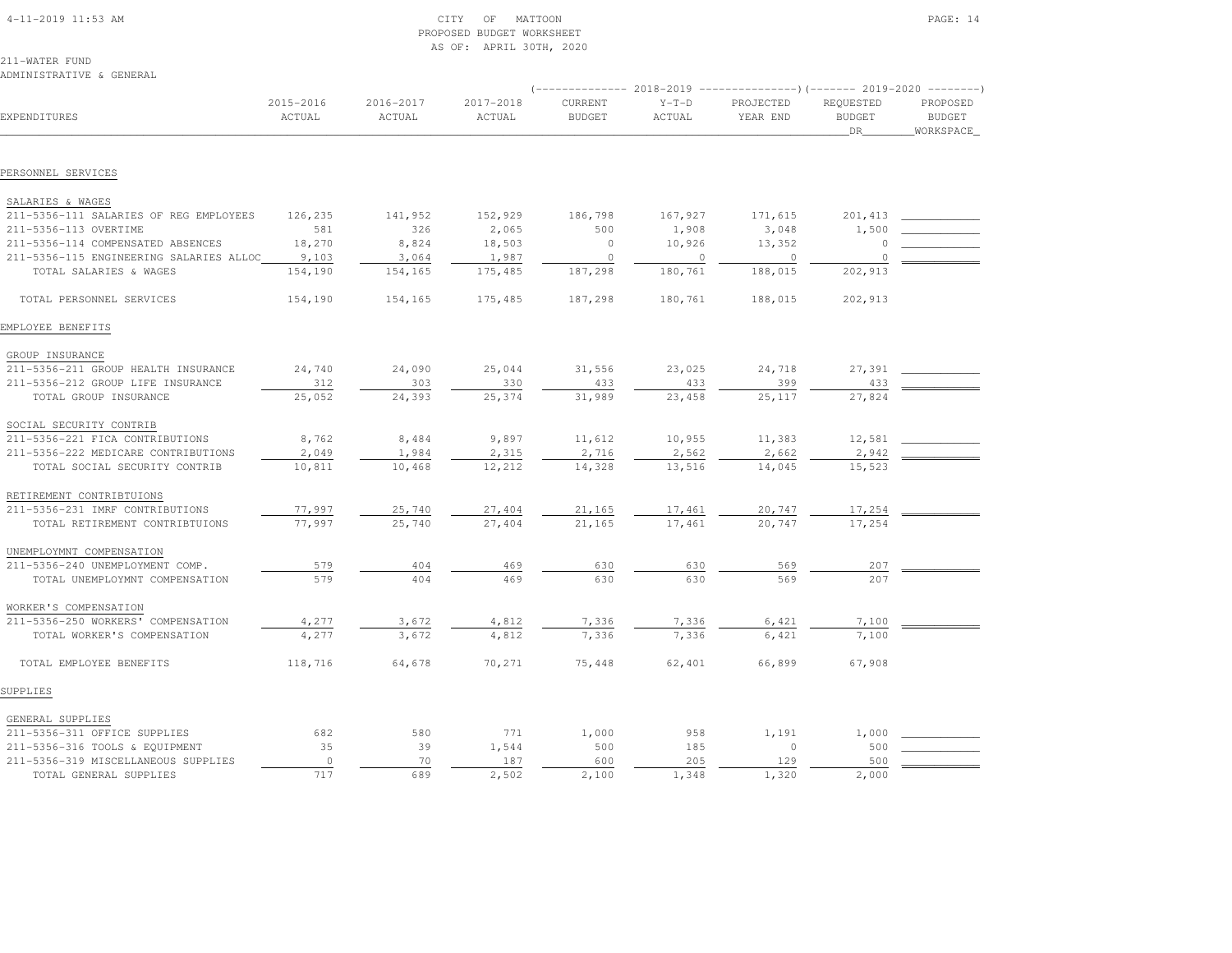| $4-11-2019$ 11:53 AM |  |
|----------------------|--|

## $\begin{array}{ccc} \text{CITY} & \text{OF} & \text{MATTOON} \end{array}$  PROPOSED BUDGET WORKSHEETAS OF: APRIL 30TH, 2020

211-WATER FUND

| ADMINISTRATIVE & GENERAL                |                     |                     |                     |                          |                   |                       | (-------------- 2018-2019 ---------------------- 2019-2020 | $- - - - - - - -$                      |
|-----------------------------------------|---------------------|---------------------|---------------------|--------------------------|-------------------|-----------------------|------------------------------------------------------------|----------------------------------------|
| EXPENDITURES                            | 2015-2016<br>ACTUAL | 2016-2017<br>ACTUAL | 2017-2018<br>ACTUAL | CURRENT<br><b>BUDGET</b> | $Y-T-D$<br>ACTUAL | PROJECTED<br>YEAR END | REQUESTED<br><b>BUDGET</b><br>DR                           | PROPOSED<br><b>BUDGET</b><br>WORKSPACE |
| PERSONNEL SERVICES                      |                     |                     |                     |                          |                   |                       |                                                            |                                        |
|                                         |                     |                     |                     |                          |                   |                       |                                                            |                                        |
| SALARIES & WAGES                        |                     |                     |                     |                          |                   |                       |                                                            |                                        |
| 211-5356-111 SALARIES OF REG EMPLOYEES  | 126,235<br>581      | 141,952             | 152,929             | 186,798                  | 167,927           | 171,615               | 201,413                                                    |                                        |
| 211-5356-113 OVERTIME                   |                     | 326                 | 2,065               | 500                      | 1,908             | 3,048                 | 1,500                                                      |                                        |
| 211-5356-114 COMPENSATED ABSENCES       | 18,270              | 8,824               | 18,503              | $\circ$                  | 10,926            | 13,352                | 0                                                          |                                        |
| 211-5356-115 ENGINEERING SALARIES ALLOC | 9,103               | 3,064               | 1,987               | $\mathbf{0}$             | $\overline{0}$    | $\overline{0}$        | $\circ$                                                    |                                        |
| TOTAL SALARIES & WAGES                  | 154,190             | 154,165             | 175,485             | 187,298                  | 180,761           | 188,015               | 202,913                                                    |                                        |
| TOTAL PERSONNEL SERVICES                | 154,190             | 154,165             | 175,485             | 187,298                  | 180,761           | 188,015               | 202,913                                                    |                                        |
| EMPLOYEE BENEFITS                       |                     |                     |                     |                          |                   |                       |                                                            |                                        |
| GROUP INSURANCE                         |                     |                     |                     |                          |                   |                       |                                                            |                                        |
| 211-5356-211 GROUP HEALTH INSURANCE     | 24,740              | 24,090              | 25,044              | 31,556                   | 23,025            | 24,718                | 27,391                                                     |                                        |
| 211-5356-212 GROUP LIFE INSURANCE       | 312                 | 303                 | 330                 | 433                      | 433               | 399                   | 433                                                        |                                        |
| TOTAL GROUP INSURANCE                   | 25,052              | 24,393              | 25,374              | 31,989                   | 23,458            | 25,117                | 27,824                                                     |                                        |
| SOCIAL SECURITY CONTRIB                 |                     |                     |                     |                          |                   |                       |                                                            |                                        |
| 211-5356-221 FICA CONTRIBUTIONS         | 8,762               | 8,484               | 9,897               | 11,612                   | 10,955            | 11,383                | 12,581                                                     |                                        |
| 211-5356-222 MEDICARE CONTRIBUTIONS     | 2,049               | 1,984               | 2,315               | 2,716                    | 2,562             | 2,662                 | 2,942                                                      |                                        |
| TOTAL SOCIAL SECURITY CONTRIB           | 10,811              | 10,468              | 12,212              | 14,328                   | 13,516            | 14,045                | 15,523                                                     |                                        |
| RETIREMENT CONTRIBTUIONS                |                     |                     |                     |                          |                   |                       |                                                            |                                        |
| 211-5356-231 IMRF CONTRIBUTIONS         | 77,997              | 25,740              | 27,404              | 21,165                   | 17,461            | 20,747                | 17,254                                                     |                                        |
| TOTAL RETIREMENT CONTRIBTUIONS          | 77,997              | 25,740              | 27,404              | 21,165                   | 17,461            | 20,747                | 17,254                                                     |                                        |
| UNEMPLOYMNT COMPENSATION                |                     |                     |                     |                          |                   |                       |                                                            |                                        |
| 211-5356-240 UNEMPLOYMENT COMP.         | 579                 | 404                 | 469                 | 630                      | 630               | 569                   | 207                                                        |                                        |
| TOTAL UNEMPLOYMNT COMPENSATION          | 579                 | 404                 | 469                 | 630                      | 630               | 569                   | 207                                                        |                                        |
| WORKER'S COMPENSATION                   |                     |                     |                     |                          |                   |                       |                                                            |                                        |
| 211-5356-250 WORKERS' COMPENSATION      | 4,277               | 3,672               | 4,812               | 7,336                    | 7,336             | 6,421                 | 7,100                                                      |                                        |
| TOTAL WORKER'S COMPENSATION             | 4,277               | 3,672               | 4,812               | 7,336                    | 7,336             | 6,421                 | 7,100                                                      |                                        |
| TOTAL EMPLOYEE BENEFITS                 | 118,716             | 64,678              | 70,271              | 75,448                   | 62,401            | 66,899                | 67,908                                                     |                                        |
| SUPPLIES                                |                     |                     |                     |                          |                   |                       |                                                            |                                        |
| GENERAL SUPPLIES                        |                     |                     |                     |                          |                   |                       |                                                            |                                        |
| 211-5356-311 OFFICE SUPPLIES            | 682                 | 580                 | 771                 | 1,000                    | 958               | 1,191                 | 1,000                                                      |                                        |
| 211-5356-316 TOOLS & EQUIPMENT          | 35                  | 39                  | 1,544               | 500                      | 185               | $\circ$               | 500                                                        |                                        |
| 211-5356-319 MISCELLANEOUS SUPPLIES     | $\circ$             | 70                  | 187                 | 600                      | 205               | 129                   | 500                                                        |                                        |
| TOTAL GENERAL SUPPLIES                  | 717                 | 689                 | 2,502               | 2,100                    | 1,348             | 1,320                 | 2,000                                                      |                                        |
|                                         |                     |                     |                     |                          |                   |                       |                                                            |                                        |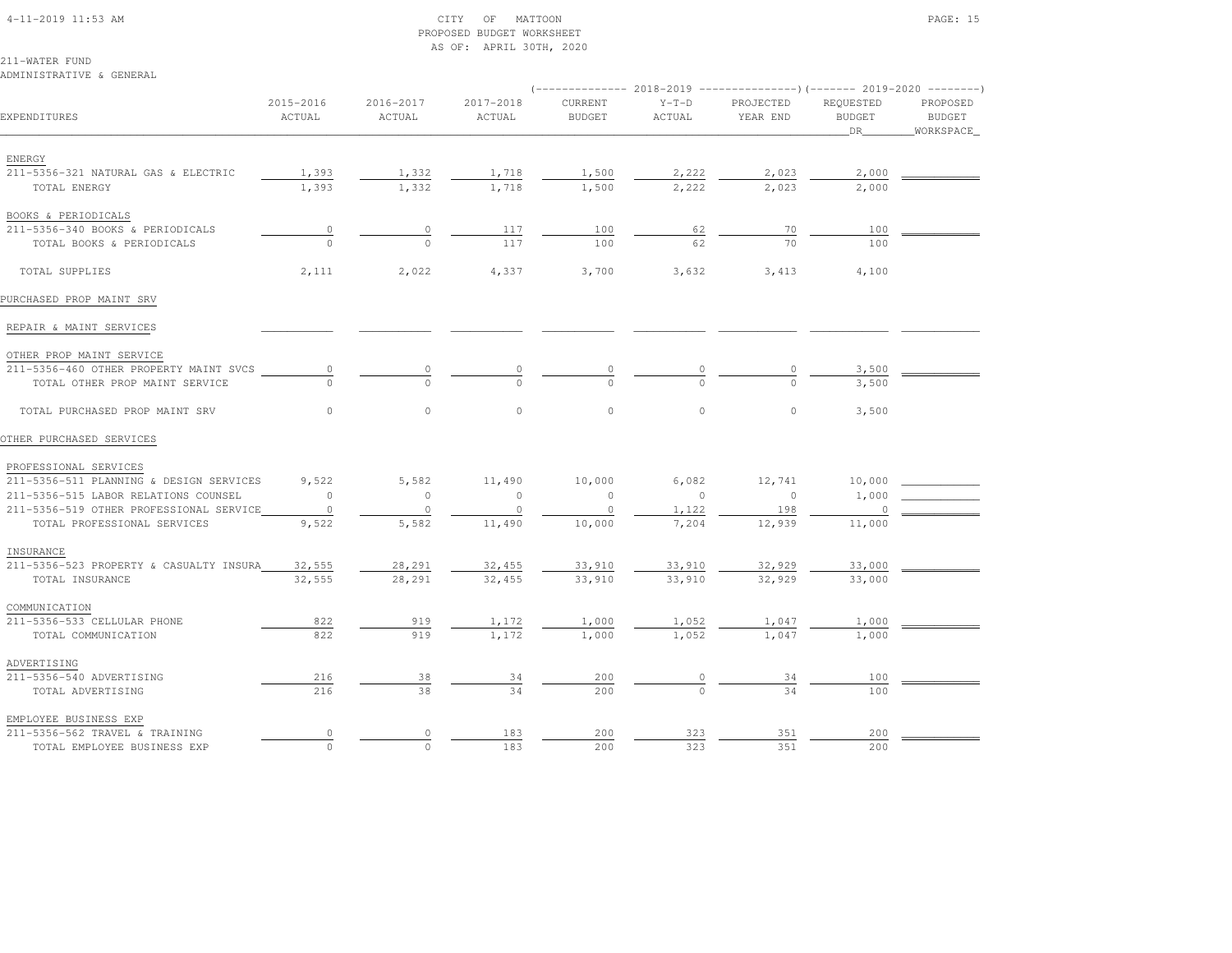### 4-11-2019 11:53 AM CITY OF MATTOON PAGE: 15 PROPOSED BUDGET WORKSHEETAS OF: APRIL 30TH, 2020

211-WATER FUND

# ADMINISTRATIVE & GENERAL

| EXPENDITURES                                            | 2015-2016<br>ACTUAL | 2016-2017<br>ACTUAL | 2017-2018<br>ACTUAL | CURRENT<br><b>BUDGET</b> | $Y-T-D$<br>ACTUAL | PROJECTED<br>YEAR END | REQUESTED<br><b>BUDGET</b><br>DR | PROPOSED<br><b>BUDGET</b> |
|---------------------------------------------------------|---------------------|---------------------|---------------------|--------------------------|-------------------|-----------------------|----------------------------------|---------------------------|
|                                                         |                     |                     |                     |                          |                   |                       |                                  | _WORKSPACE_               |
| ENERGY                                                  |                     |                     |                     |                          |                   |                       |                                  |                           |
| 211-5356-321 NATURAL GAS & ELECTRIC                     | 1,393               | 1,332               | 1,718               | 1,500                    | 2,222             | 2,023                 | 2,000                            |                           |
| TOTAL ENERGY                                            | 1,393               | 1,332               | 1,718               | 1,500                    | 2.222             | 2,023                 | 2,000                            |                           |
| BOOKS & PERIODICALS                                     |                     |                     |                     |                          |                   |                       |                                  |                           |
| 211-5356-340 BOOKS & PERIODICALS                        | $\circ$             | $\circ$             | 117                 | 100                      | 62                | 70                    | 100                              |                           |
| TOTAL BOOKS & PERIODICALS                               | $\cap$              | $\Omega$            | 117                 | 100                      | 62                | 70                    | 100                              |                           |
|                                                         |                     |                     |                     |                          |                   |                       |                                  |                           |
| TOTAL SUPPLIES                                          | 2,111               | 2,022               | 4,337               | 3,700                    | 3,632             | 3,413                 | 4,100                            |                           |
| PURCHASED PROP MAINT SRV                                |                     |                     |                     |                          |                   |                       |                                  |                           |
| REPAIR & MAINT SERVICES                                 |                     |                     |                     |                          |                   |                       |                                  |                           |
| OTHER PROP MAINT SERVICE                                |                     |                     |                     |                          |                   |                       |                                  |                           |
| 211-5356-460 OTHER PROPERTY MAINT SVCS                  | 0                   |                     |                     |                          |                   |                       | 3,500                            |                           |
| TOTAL OTHER PROP MAINT SERVICE                          |                     |                     |                     |                          |                   |                       | 3,500                            |                           |
|                                                         |                     |                     |                     |                          |                   |                       |                                  |                           |
| TOTAL PURCHASED PROP MAINT SRV                          | $\circ$             | $\circ$             | $\circ$             | $\circ$                  | $\circ$           | $\circ$               | 3,500                            |                           |
| OTHER PURCHASED SERVICES                                |                     |                     |                     |                          |                   |                       |                                  |                           |
| PROFESSIONAL SERVICES                                   |                     |                     |                     |                          |                   |                       |                                  |                           |
| 211-5356-511 PLANNING & DESIGN SERVICES                 | 9,522               | 5,582               | 11,490              | 10,000                   | 6,082             | 12,741                | 10,000                           |                           |
| 211-5356-515 LABOR RELATIONS COUNSEL                    | $\circ$             | $\mathbf{0}$        | $\circ$             | $\circ$                  | $\overline{0}$    | $\overline{0}$        | 1,000                            |                           |
| 211-5356-519 OTHER PROFESSIONAL SERVICE                 | $\circ$             | $\circ$             | $\mathbf{0}$        | $\circ$                  | 1,122             | 198                   | $\circ$                          |                           |
| TOTAL PROFESSIONAL SERVICES                             | 9,522               | 5,582               | 11,490              | 10,000                   | 7,204             | 12,939                | 11,000                           |                           |
| INSURANCE                                               |                     |                     |                     |                          |                   |                       |                                  |                           |
| 211-5356-523 PROPERTY & CASUALTY INSURA                 | 32,555              | 28,291              | 32,455              | 33,910                   | 33,910            | 32,929                | 33,000                           |                           |
| TOTAL INSURANCE                                         | 32,555              | 28,291              | 32,455              | 33,910                   | 33,910            | 32,929                | 33,000                           |                           |
| COMMUNICATION                                           |                     |                     |                     |                          |                   |                       |                                  |                           |
| 211-5356-533 CELLULAR PHONE                             | 822                 | 919                 | 1,172               | 1,000                    | 1,052             | 1,047                 | 1,000                            |                           |
| TOTAL COMMUNICATION                                     | 822                 | 919                 | 1,172               | 1,000                    | 1,052             | 1,047                 | 1,000                            |                           |
|                                                         |                     |                     |                     |                          |                   |                       |                                  |                           |
| ADVERTISING<br>211-5356-540 ADVERTISING                 | 216                 | 38                  | 34                  | 200                      | $\circ$           | 34                    | 100                              |                           |
| TOTAL ADVERTISING                                       | 216                 | 38                  | 34                  | 200                      | $\Omega$          | 34                    | 100                              |                           |
|                                                         |                     |                     |                     |                          |                   |                       |                                  |                           |
| EMPLOYEE BUSINESS EXP<br>211-5356-562 TRAVEL & TRAINING | $\circ$             | $\circ$             | 183                 | 200                      | 323               | 351                   | 200                              |                           |
| TOTAL EMPLOYEE BUSINESS EXP                             | $\circ$             | $\circ$             | 183                 | 200                      | 323               | 351                   | 200                              |                           |
|                                                         |                     |                     |                     |                          |                   |                       |                                  |                           |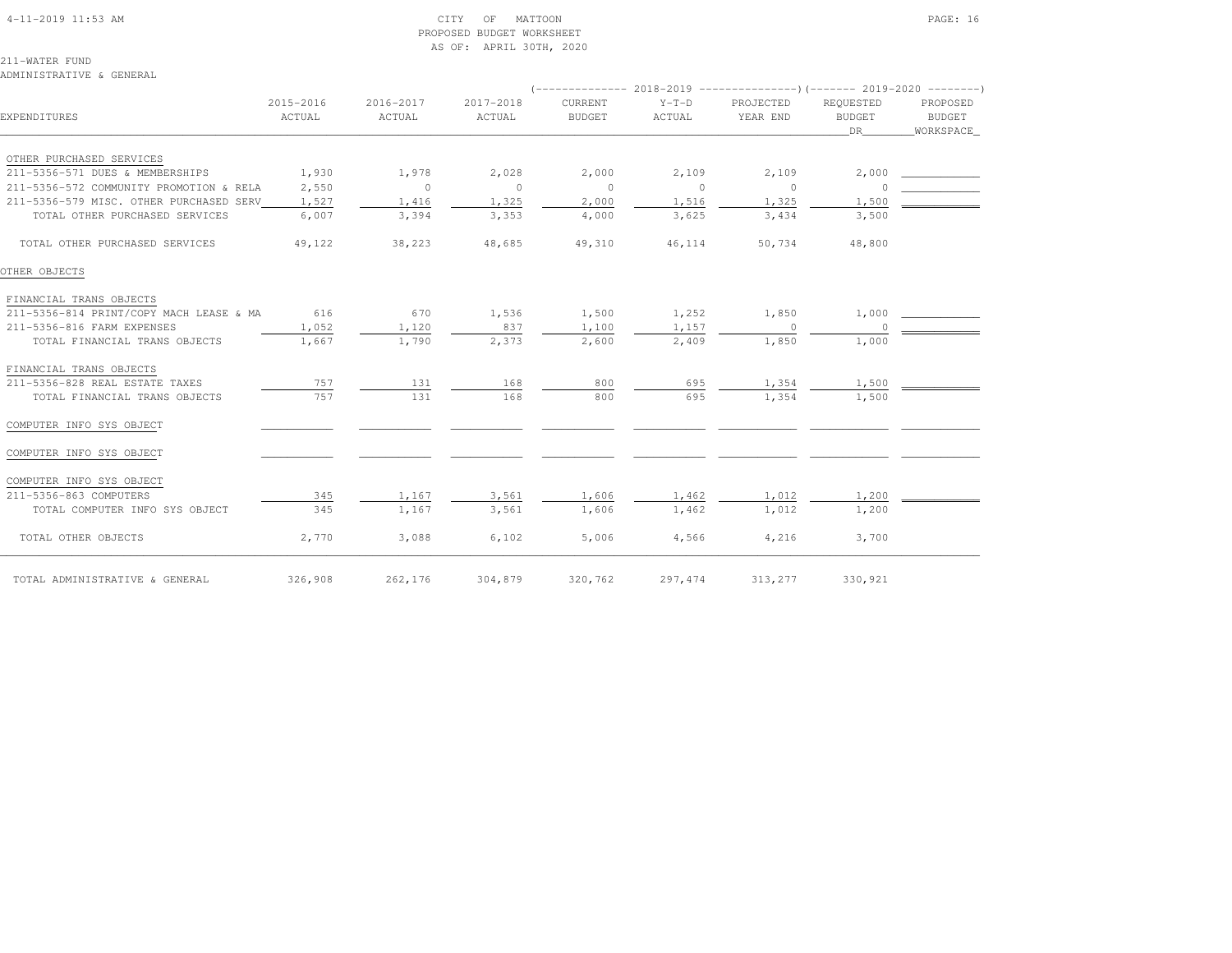#### 4-11-2019 11:53 AM CITY OF MATTOON PAGE: 16 PROPOSED BUDGET WORKSHEETAS OF: APRIL 30TH, 2020

211-WATER FUND

 COMPUTER INFO SYS OBJECT \_\_\_\_\_\_\_\_\_\_\_ \_\_\_\_\_\_\_\_\_\_\_ \_\_\_\_\_\_\_\_\_\_\_ \_\_\_\_\_\_\_\_\_\_\_ \_\_\_\_\_\_\_\_\_\_\_ \_\_\_\_\_\_\_\_\_\_\_\_ \_\_\_\_\_\_\_\_\_\_\_\_ \_\_\_\_\_\_\_\_\_\_\_\_COMPUTER INFO SYS OBJECT

 ADMINISTRATIVE & GENERAL (-------------- 2018-2019 ---------------)(------- 2019-2020 --------) 2015-2016 2016-2017 2017-2018 CURRENT Y-T-D PROJECTED REQUESTED PROPOSED**BUDGET** EXPENDITURES ACTUAL ACTUAL ACTUAL BUDGET ACTUAL YEAR END BUDGET BUDGETWORKSPACE \_\_\_\_\_\_\_\_\_\_\_\_\_\_\_\_\_\_\_\_\_\_\_\_\_\_\_\_\_\_\_\_\_\_\_\_\_\_\_\_\_\_\_\_\_\_\_\_\_\_\_\_\_\_\_\_\_\_\_\_\_\_\_\_\_\_\_\_\_\_\_\_\_\_\_\_\_\_\_\_\_\_\_\_\_\_\_\_\_\_\_\_\_\_\_\_\_\_\_\_\_\_\_\_\_\_\_\_\_\_\_\_\_\_\_\_\_\_\_\_\_\_\_\_\_\_\_\_\_\_DR\_\_\_\_\_\_\_\_WORKSPACE\_ OTHER PURCHASED SERVICES 211-5356-571 DUES & MEMBERSHIPS 1,930 1,978 2,028 2,000 2,109 2,109 2,000 \_\_\_\_\_\_\_\_\_\_\_\_ 211-5356-572 COMMUNITY PROMOTION & RELA 2,550 0 0 0 0 0 0 \_\_\_\_\_\_\_\_\_\_\_\_211-5356-579 MISC. OTHER PURCHASED SERV 1,527 1,416 1,325 2,000 1,516 1,525 1,500 TOTAL OTHER PURCHASED SERVICES  $\overline{6,007}$   $\overline{3,394}$   $\overline{3,353}$   $\overline{4,000}$   $\overline{3,625}$   $\overline{3,635}$   $\overline{3,434}$   $\overline{3,500}$  TOTAL OTHER PURCHASED SERVICES 49,122 38,223 48,685 49,310 46,114 50,734 48,800OTHER OBJECTS FINANCIAL TRANS OBJECTS 211-5356-814 PRINT/COPY MACH LEASE & MA 616 670 1,536 1,500 1,252 1,850 1,000 \_\_\_\_\_\_\_\_\_\_\_\_211-5356-816 FARM EXPENSES 1,052 1,120 837 1,100 1,157 0 TOTAL FINANCIAL TRANS OBJECTS  $\overline{1,667}$   $\overline{1,790}$   $\overline{2,373}$   $\overline{2,600}$   $\overline{2,409}$   $\overline{1,850}$   $\overline{1,850}$   $\overline{1,000}$  FINANCIAL TRANS OBJECTS 211-5356-828 REAL ESTATE TAXES 757 131 168 800 695 1,354 1,500 \_\_\_\_\_\_\_\_\_\_\_\_-5356-828 REAL ESTATE TAXES <br>
TOTAL FINANCIAL TRANS OBJECTS 757 131 168 000 695 1,354 1,500 COMPUTER INFO SYS OBJECT \_\_\_\_\_\_\_\_\_\_\_ \_\_\_\_\_\_\_\_\_\_\_ \_\_\_\_\_\_\_\_\_\_\_ \_\_\_\_\_\_\_\_\_\_\_ \_\_\_\_\_\_\_\_\_\_\_ \_\_\_\_\_\_\_\_\_\_\_\_ \_\_\_\_\_\_\_\_\_\_\_\_ \_\_\_\_\_\_\_\_\_\_\_\_

211-5356-863 COMPUTERS 345 1,167 3,561 1,606 1,462 1,012 1,200 \_\_\_\_\_\_\_\_\_\_\_\_

\_\_\_\_\_\_\_\_\_\_\_\_\_\_\_\_\_\_\_\_\_\_\_\_\_\_\_\_\_\_\_\_\_\_\_\_\_\_\_\_\_\_\_\_\_\_\_\_\_\_\_\_\_\_\_\_\_\_\_\_\_\_\_\_\_\_\_\_\_\_\_\_\_\_\_\_\_\_\_\_\_\_\_\_\_\_\_\_\_\_\_\_\_\_\_\_\_\_\_\_\_\_\_\_\_\_\_\_\_\_\_\_\_\_\_\_\_\_\_\_\_\_\_\_\_\_\_\_\_\_\_\_\_\_\_\_\_\_\_\_\_\_\_\_\_\_\_\_\_\_ TOTAL ADMINISTRATIVE & GENERAL 326,908 262,176 304,879 320,762 297,474 313,277 330,921

 TOTAL COMPUTER INFO SYS OBJECT 345 1,167 3,561 1,606 1,462 1,012 1,200TOTAL OTHER OBJECTS 2,770 3,088 6,102 5,006 4,566 4,216 3,700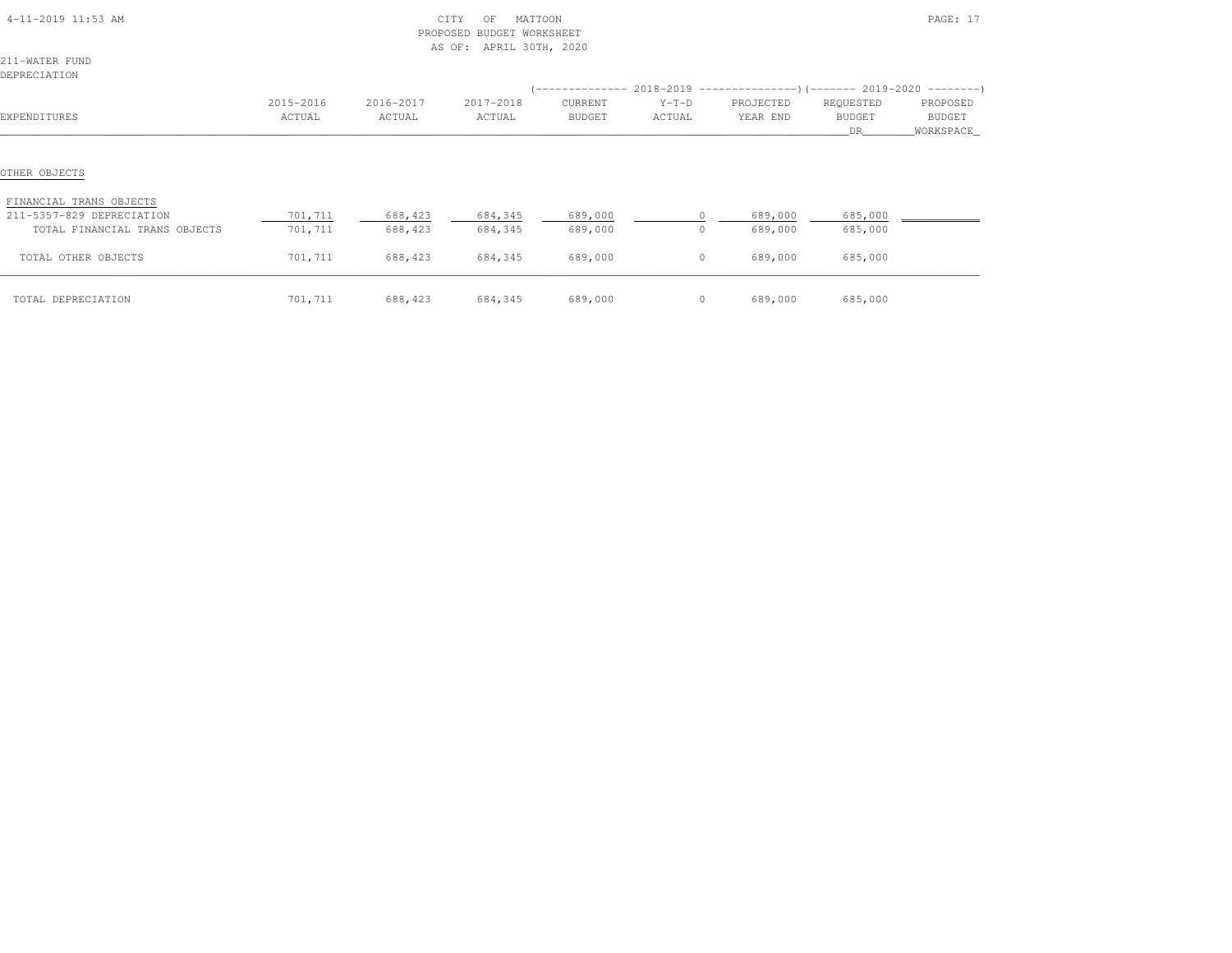| 4-11-2019 11:53 AM                                                                                     | MATTOON<br>CITY<br>OF<br><b>BUDGET WORKSHEET</b><br>PROPOSED<br>AS OF: APRIL 30TH, 2020 |                    |                    |                    |                |                    |                    | PAGE: 17   |
|--------------------------------------------------------------------------------------------------------|-----------------------------------------------------------------------------------------|--------------------|--------------------|--------------------|----------------|--------------------|--------------------|------------|
| 211-WATER FUND                                                                                         |                                                                                         |                    |                    |                    |                |                    |                    |            |
| DEPRECIATION                                                                                           |                                                                                         |                    |                    |                    |                |                    |                    |            |
|                                                                                                        |                                                                                         |                    |                    |                    |                |                    |                    |            |
|                                                                                                        | 2015-2016                                                                               | 2016-2017          | 2017-2018          | CURRENT            | $Y-T-D$        | PROJECTED          | REQUESTED          | PROPOSED   |
| EXPENDITURES                                                                                           | ACTUAL                                                                                  | ACTUAL             | ACTUAL             | BUDGET             | ACTUAL         | YEAR END           | BUDGET             | BUDGET     |
|                                                                                                        |                                                                                         |                    |                    |                    |                |                    | DR.                | WORKSPACE_ |
| OTHER OBJECTS<br>FINANCIAL TRANS OBJECTS<br>211-5357-829 DEPRECIATION<br>TOTAL FINANCIAL TRANS OBJECTS | 701,711<br>701,711                                                                      | 688,423<br>688,423 | 684,345<br>684,345 | 689,000<br>689,000 | $\overline{0}$ | 689,000<br>689,000 | 685,000<br>685,000 |            |
| TOTAL OTHER OBJECTS                                                                                    | 701,711                                                                                 | 688,423            | 684,345            | 689,000            | $\overline{0}$ | 689,000            | 685,000            |            |
| TOTAL DEPRECIATION                                                                                     | 701,711                                                                                 | 688,423            | 684,345            | 689,000            | $\sim$ 0       | 689,000            | 685,000            |            |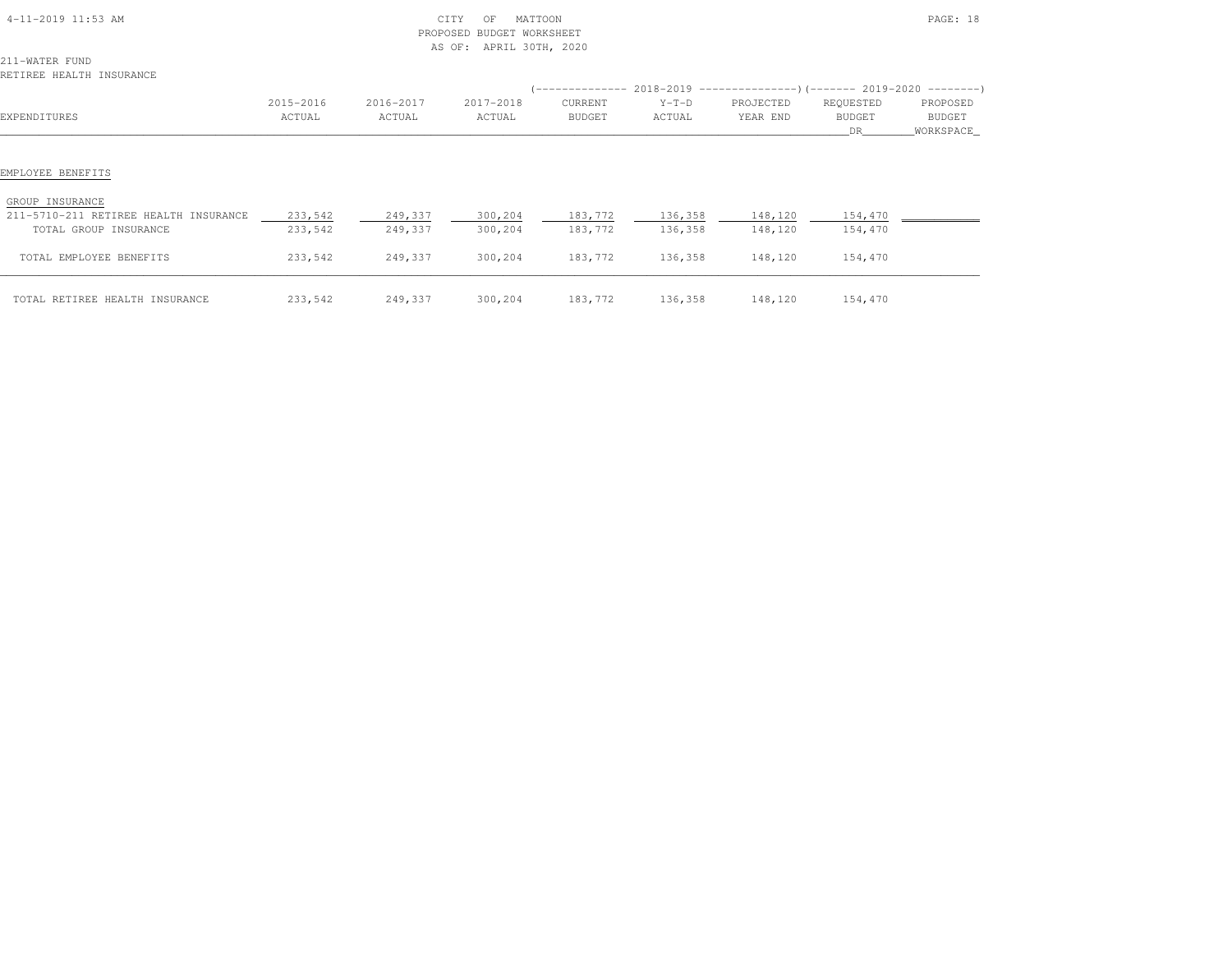| 4-11-2019 11:53 AM |  |
|--------------------|--|

### $\begin{array}{ccc} \textrm{CITY} & \textrm{OF} & \textrm{MATI} & \textrm{MATI} & \textrm{MATI} & \textrm{MATI} & \textrm{MATI} & \textrm{MATI} & \textrm{MATI} & \textrm{MATI} & \textrm{MATI} & \textrm{MATI} & \textrm{MATI} & \textrm{MATI} & \textrm{MATI} & \textrm{MATI} & \textrm{MATI} & \textrm{MATI} & \textrm{MATI} & \textrm{MATI} & \textrm{MATI} & \textrm{MAT$  PROPOSED BUDGET WORKSHEETAS OF: APRIL 30TH, 2020

211-WATER FUNDRETIREE HEALTH INSURANCE

| INSIINSS HEASII INSONANCS             |                     |                     |                     |                          |                   |                       |                                   |                                        |
|---------------------------------------|---------------------|---------------------|---------------------|--------------------------|-------------------|-----------------------|-----------------------------------|----------------------------------------|
| EXPENDITURES                          | 2015-2016<br>ACTUAL | 2016-2017<br>ACTUAL | 2017-2018<br>ACTUAL | CURRENT<br><b>BUDGET</b> | $Y-T-D$<br>ACTUAL | PROJECTED<br>YEAR END | REQUESTED<br><b>BUDGET</b><br>DR. | PROPOSED<br><b>BUDGET</b><br>WORKSPACE |
| EMPLOYEE BENEFITS                     |                     |                     |                     |                          |                   |                       |                                   |                                        |
|                                       |                     |                     |                     |                          |                   |                       |                                   |                                        |
| GROUP INSURANCE                       |                     |                     |                     |                          |                   |                       |                                   |                                        |
| 211-5710-211 RETIREE HEALTH INSURANCE | 233,542             | 249,337             | 300,204             | 183,772                  | 136,358           | 148,120               | 154,470                           |                                        |
| TOTAL GROUP INSURANCE                 | 233,542             | 249,337             | 300,204             | 183,772                  | 136,358           | 148,120               | 154,470                           |                                        |
| TOTAL EMPLOYEE BENEFITS               | 233,542             | 249,337             | 300,204             | 183,772                  | 136,358           | 148,120               | 154,470                           |                                        |
| TOTAL RETIREE HEALTH INSURANCE        | 233,542             | 249,337             | 300,204             | 183,772                  | 136,358           | 148,120               | 154,470                           |                                        |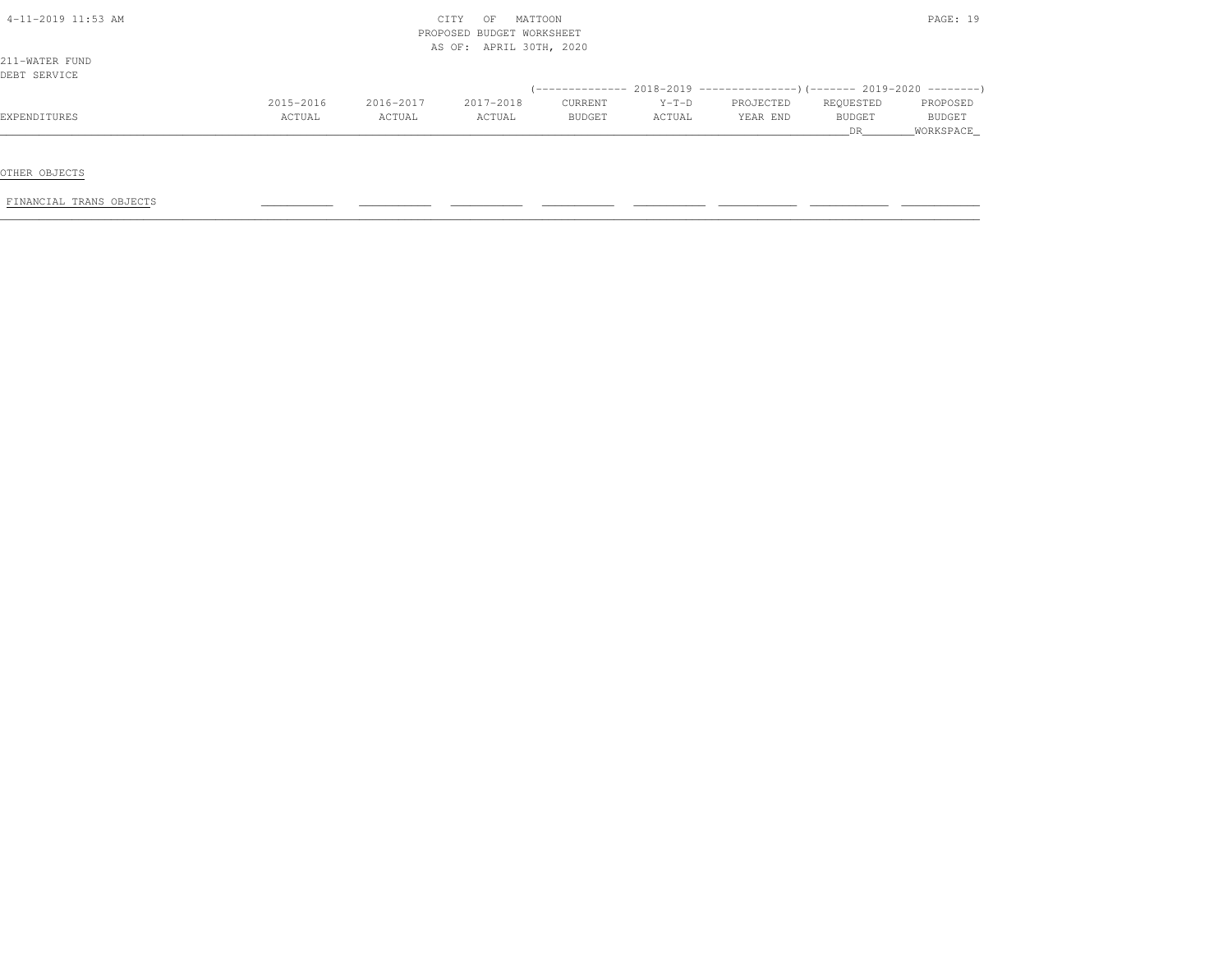| 4-11-2019 11:53 AM |           |           | MATTOON<br>CITY<br>OF     |         |         |                                                                              |           | PAGE: 19      |
|--------------------|-----------|-----------|---------------------------|---------|---------|------------------------------------------------------------------------------|-----------|---------------|
|                    |           |           | PROPOSED BUDGET WORKSHEET |         |         |                                                                              |           |               |
|                    |           |           | AS OF: APRIL 30TH, 2020   |         |         |                                                                              |           |               |
| 211-WATER FUND     |           |           |                           |         |         |                                                                              |           |               |
| DEBT SERVICE       |           |           |                           |         |         |                                                                              |           |               |
|                    |           |           |                           |         |         | $($ -------------- 2018-2019 ----------------) (------- 2019-2020 ---------) |           |               |
|                    | 2015-2016 | 2016-2017 | 2017-2018                 | CURRENT | $Y-T-D$ | PROJECTED                                                                    | REQUESTED | PROPOSED      |
| EXPENDITURES       | ACTUAL    | ACTUAL    | ACTUAL                    | BUDGET  | ACTUAL  | YEAR END                                                                     | BUDGET    | <b>BUDGET</b> |
|                    |           |           |                           |         |         |                                                                              | DR.       | WORKSPACE     |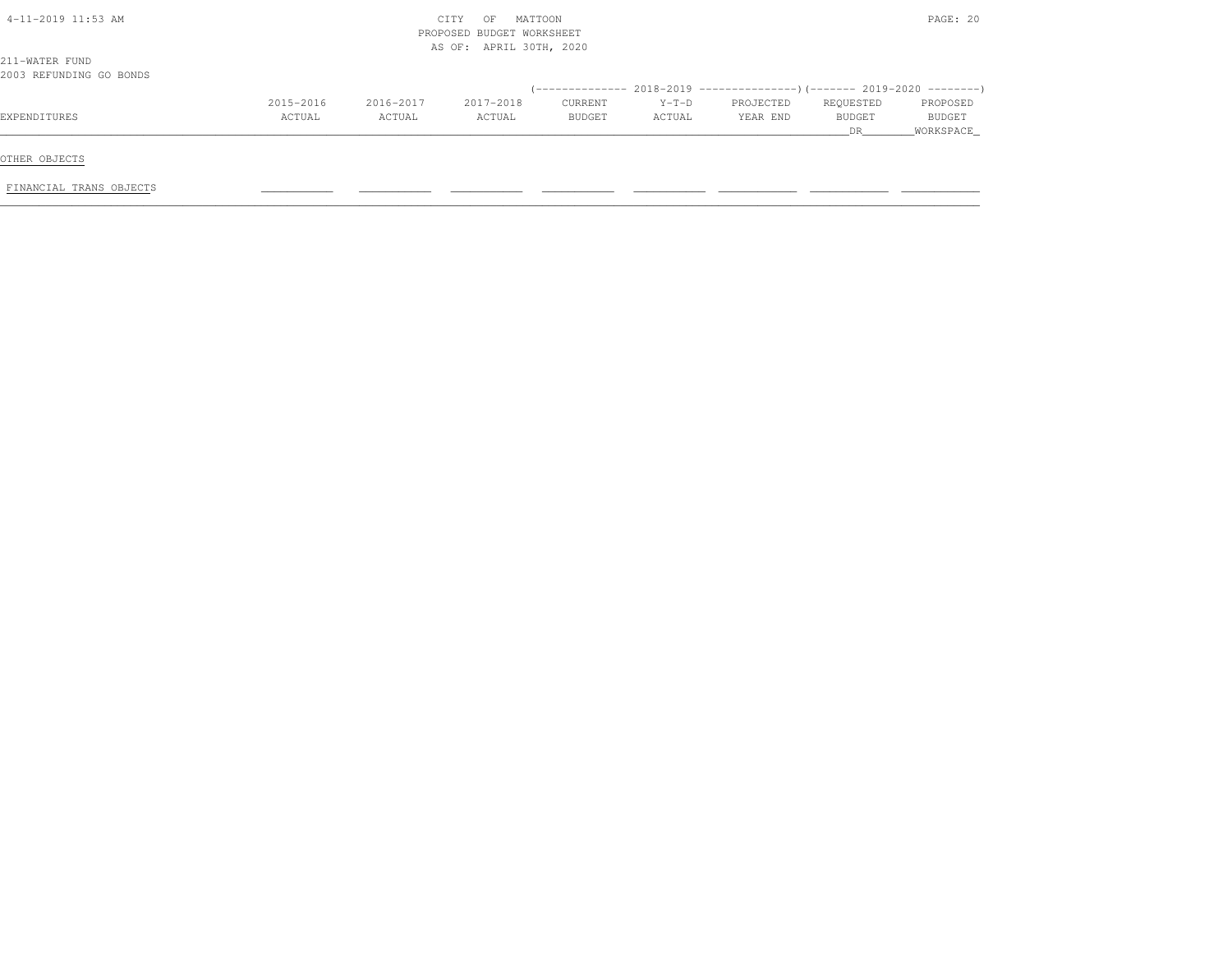| $4-11-2019$ 11:53 AM                      |           |           | MATTOON<br>CITY<br>OF<br>PROPOSED BUDGET WORKSHEET |         |         |           |                      | PAGE: 20            |
|-------------------------------------------|-----------|-----------|----------------------------------------------------|---------|---------|-----------|----------------------|---------------------|
| 211-WATER FUND<br>2003 REFUNDING GO BONDS |           |           | AS OF: APRIL 30TH, 2020                            |         |         |           |                      |                     |
|                                           |           |           |                                                    |         |         |           |                      |                     |
|                                           | 2015-2016 | 2016-2017 | 2017-2018                                          | CURRENT | $Y-T-D$ | PROJECTED | REQUESTED            | PROPOSED            |
| EXPENDITURES                              | ACTUAL    | ACTUAL    | ACTUAL                                             | BUDGET  | ACTUAL  | YEAR END  | <b>BUDGET</b><br>DR. | BUDGET<br>WORKSPACE |
| OTHER OBJECTS                             |           |           |                                                    |         |         |           |                      |                     |
| FINANCIAL TRANS OBJECTS                   |           |           |                                                    |         |         |           |                      |                     |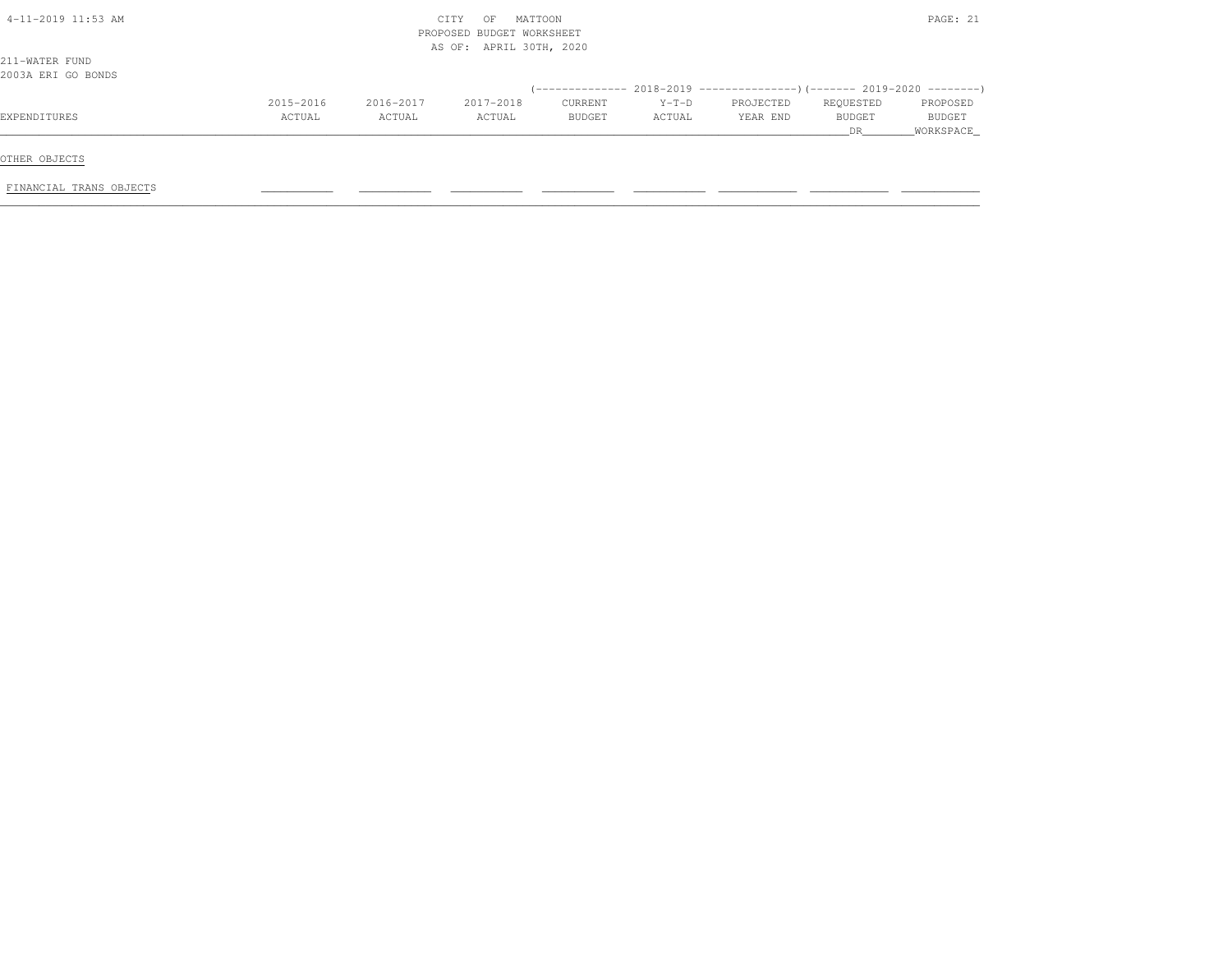| $4-11-2019$ 11:53 AM |           |           | MATTOON<br>CITY<br>OF<br>PROPOSED BUDGET WORKSHEET |         |         |                                                                               |           | PAGE: 21      |
|----------------------|-----------|-----------|----------------------------------------------------|---------|---------|-------------------------------------------------------------------------------|-----------|---------------|
| 211-WATER FUND       |           |           | AS OF: APRIL 30TH, 2020                            |         |         |                                                                               |           |               |
| 2003A ERI GO BONDS   |           |           |                                                    |         |         |                                                                               |           |               |
|                      |           |           |                                                    |         |         | $(-$ -------------- 2018-2019 -----------------)(------- 2019-2020 ---------) |           |               |
|                      | 2015-2016 | 2016-2017 | 2017-2018                                          | CURRENT | $Y-T-D$ | PROJECTED                                                                     | REQUESTED | PROPOSED      |
| EXPENDITURES         | ACTUAL    | ACTUAL    | ACTUAL                                             | BUDGET  | ACTUAL  | YEAR END                                                                      | BUDGET    | <b>BUDGET</b> |
|                      |           |           |                                                    |         |         |                                                                               | DR        | WORKSPACE     |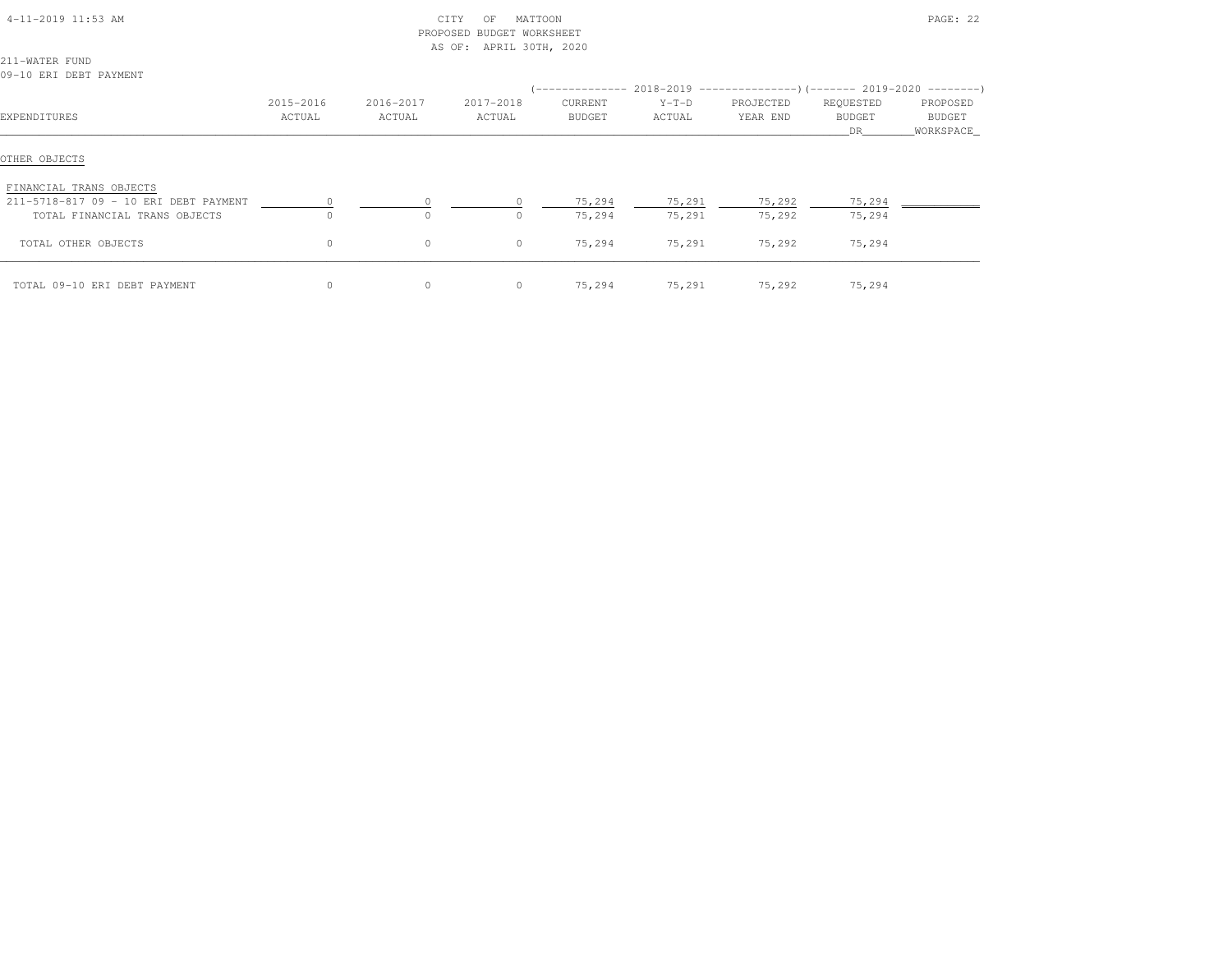| $4 - 11 - 2019$ 11:53 AM |  |  |
|--------------------------|--|--|
|                          |  |  |

# 4-11-2019 CITY OF MATTOON CITY OF MATTOON PAGE: 22 PROPOSED BUDGET WORKSHEETAS OF: APRIL 30TH, 2020

211-WATER FUND09-10 ERI DEBT PAYMENT

| ,, <i>i</i> v <i>mili pada</i> internati |                     |                     |                     |                          |                   | (-------------- 2018-2019 ----------------) (------- 2019-2020 ---------) |                                   |                                        |
|------------------------------------------|---------------------|---------------------|---------------------|--------------------------|-------------------|---------------------------------------------------------------------------|-----------------------------------|----------------------------------------|
| EXPENDITURES                             | 2015-2016<br>ACTUAL | 2016-2017<br>ACTUAL | 2017-2018<br>ACTUAL | CURRENT<br><b>BUDGET</b> | $Y-T-D$<br>ACTUAL | PROJECTED<br>YEAR END                                                     | REQUESTED<br><b>BUDGET</b><br>DR. | PROPOSED<br><b>BUDGET</b><br>WORKSPACE |
| OTHER OBJECTS                            |                     |                     |                     |                          |                   |                                                                           |                                   |                                        |
| FINANCIAL TRANS OBJECTS                  |                     |                     |                     |                          |                   |                                                                           |                                   |                                        |
| 211-5718-817 09 - 10 ERI DEBT PAYMENT    |                     |                     |                     | 75,294                   | 75,291            | 75,292                                                                    | 75,294                            |                                        |
| TOTAL FINANCIAL TRANS OBJECTS            | $\Omega$            | $\Omega$            |                     | 75,294                   | 75,291            | 75,292                                                                    | 75,294                            |                                        |
| TOTAL OTHER OBJECTS                      | $\circ$             | $\circ$             | $\circ$             | 75,294                   | 75,291            | 75,292                                                                    | 75,294                            |                                        |
| TOTAL 09-10 ERI DEBT PAYMENT             | 0                   | $\circ$             |                     | 75,294                   | 75,291            | 75,292                                                                    | 75,294                            |                                        |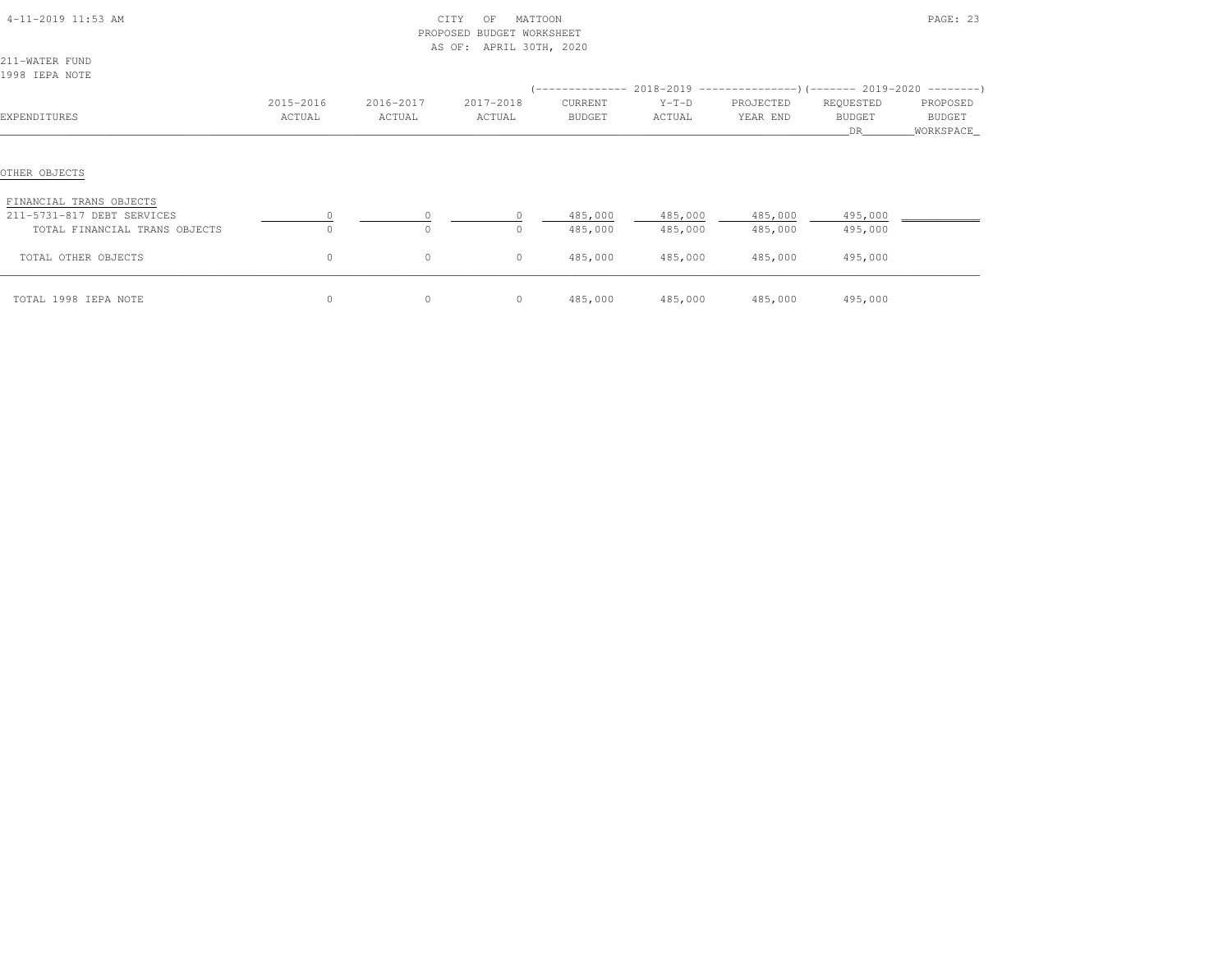| $4-11-2019$ $11:53$ AM                                                                 |                     |                     | CITY<br>MATTOON<br>OF<br>PROPOSED BUDGET WORKSHEET<br>AS OF: APRIL 30TH, 2020 |                          |                    |                                                           |                                   | PAGE: 23                         |  |
|----------------------------------------------------------------------------------------|---------------------|---------------------|-------------------------------------------------------------------------------|--------------------------|--------------------|-----------------------------------------------------------|-----------------------------------|----------------------------------|--|
| 211-WATER FUND<br>1998 IEPA NOTE                                                       |                     |                     |                                                                               | '---------------         |                    | $2018-2019$ ---------------) (------- 2019-2020 --------) |                                   |                                  |  |
| EXPENDITURES                                                                           | 2015-2016<br>ACTUAL | 2016-2017<br>ACTUAL | 2017-2018<br>ACTUAL                                                           | CURRENT<br><b>BUDGET</b> | $Y-T-D$<br>ACTUAL  | PROJECTED<br>YEAR END                                     | REQUESTED<br><b>BUDGET</b><br>DR. | PROPOSED<br>BUDGET<br>WORKSPACE_ |  |
| OTHER OBJECTS                                                                          |                     |                     |                                                                               |                          |                    |                                                           |                                   |                                  |  |
| FINANCIAL TRANS OBJECTS<br>211-5731-817 DEBT SERVICES<br>TOTAL FINANCIAL TRANS OBJECTS | $\Omega$            | 0<br>$\circ$        | $\Omega$<br>0                                                                 | 485,000<br>485,000       | 485,000<br>485,000 | 485,000<br>485,000                                        | 495,000<br>495,000                |                                  |  |
| TOTAL OTHER OBJECTS                                                                    | $\mathbb O$         | 0                   | $\circ$                                                                       | 485,000                  | 485,000            | 485,000                                                   | 495,000                           |                                  |  |
| TOTAL 1998 IEPA NOTE                                                                   | $\circ$             | $\circ$             | $\circ$                                                                       | 485,000                  | 485,000            | 485,000                                                   | 495,000                           |                                  |  |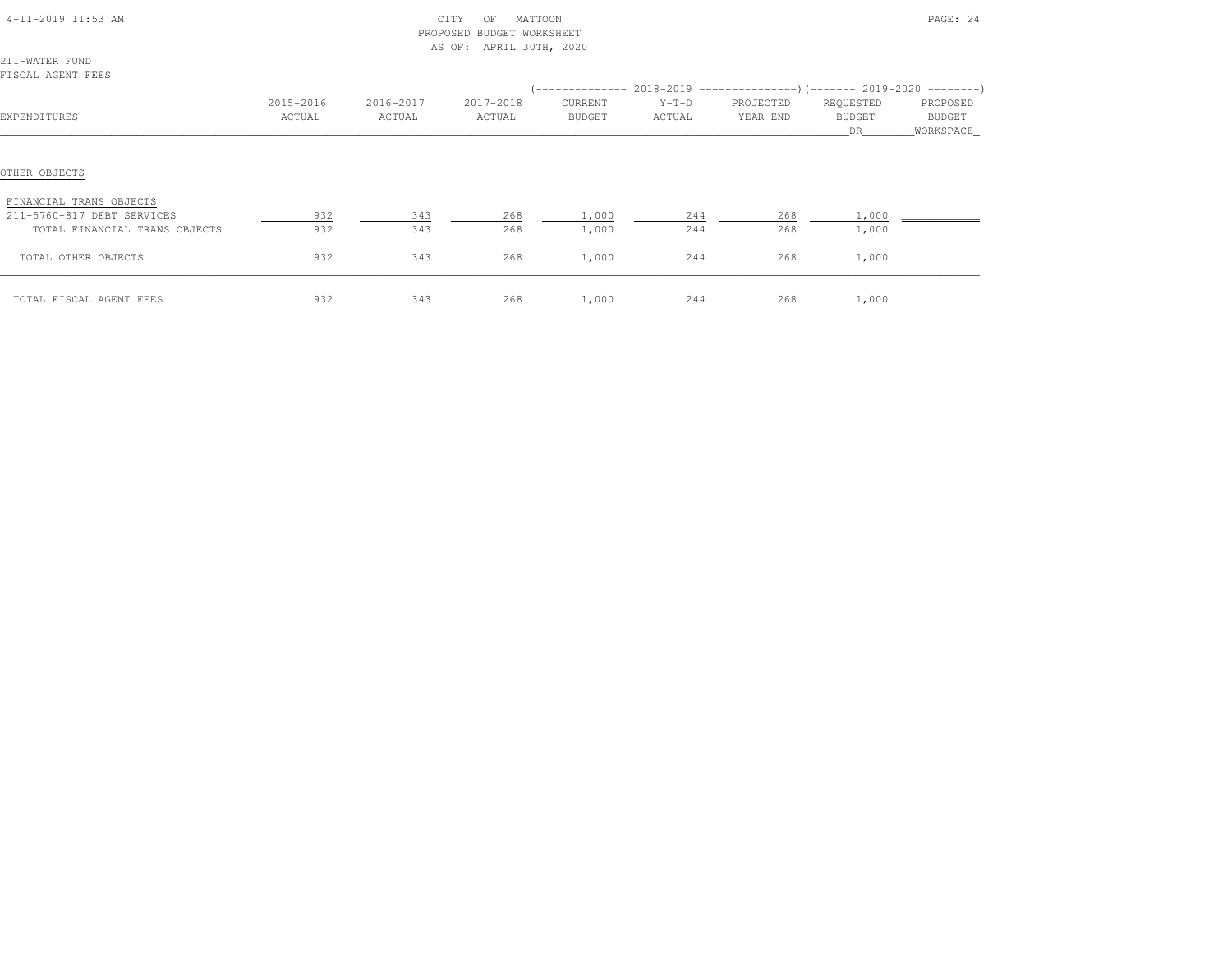| $4-11-2019$ $11:53$ AM |  |
|------------------------|--|

#### $\text{CITY}$  OF MATTOON PAGE: 24 PROPOSED BUDGET WORKSHEETAS OF: APRIL 30TH, 2020

211-WATER FUNDFISCAL AGENT FEES

| LIJUAL AULINI ILLJ                                    |                     |                     |                     |                          |                   | (-------------- 2018-2019 ----------------) (------- 2019-2020 ---------) |                                    |                                 |
|-------------------------------------------------------|---------------------|---------------------|---------------------|--------------------------|-------------------|---------------------------------------------------------------------------|------------------------------------|---------------------------------|
| EXPENDITURES                                          | 2015-2016<br>ACTUAL | 2016-2017<br>ACTUAL | 2017-2018<br>ACTUAL | CURRENT<br><b>BUDGET</b> | $Y-T-D$<br>ACTUAL | PROJECTED<br>YEAR END                                                     | REQUESTED<br><b>BUDGET</b><br>DR . | PROPOSED<br>BUDGET<br>WORKSPACE |
| OTHER OBJECTS                                         |                     |                     |                     |                          |                   |                                                                           |                                    |                                 |
| FINANCIAL TRANS OBJECTS<br>211-5760-817 DEBT SERVICES | 932                 | 343                 | 268                 | 1,000                    | 244               | 268                                                                       | 1,000                              |                                 |
| TOTAL FINANCIAL TRANS OBJECTS                         | 932                 | 343                 | 268                 | 1,000                    | 244               | 268                                                                       | 1,000                              |                                 |
| TOTAL OTHER OBJECTS                                   | 932                 | 343                 | 268                 | 1,000                    | 244               | 268                                                                       | 1,000                              |                                 |
| TOTAL FISCAL AGENT FEES                               | 932                 | 343                 | 268                 | 1,000                    | 244               | 268                                                                       | 1,000                              |                                 |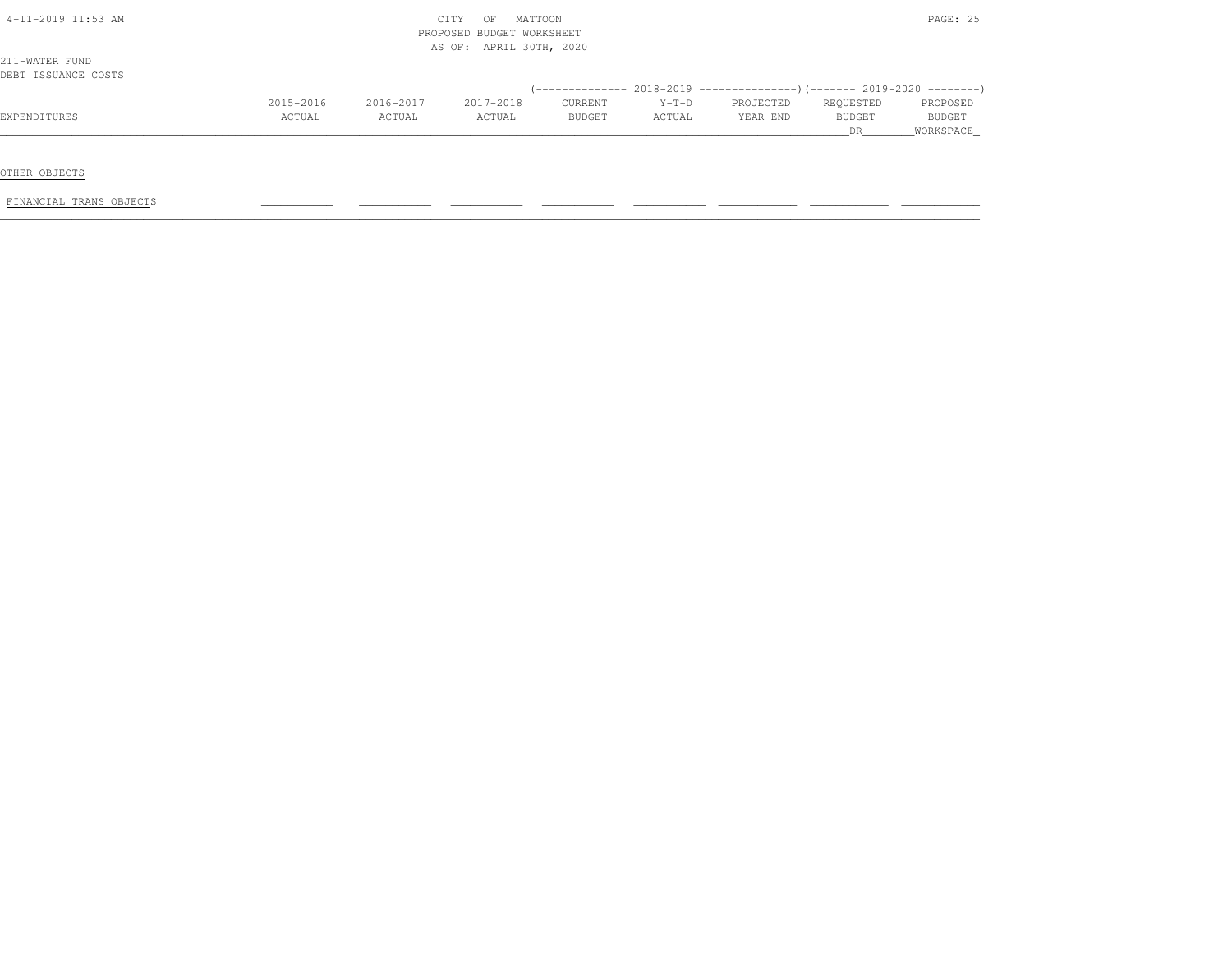| 4-11-2019 11:53 AM                    |           |           | MATTOON<br>CITY<br>OF<br>PROPOSED BUDGET WORKSHEET<br>AS OF: APRIL 30TH, 2020 |               |         |           |               | PAGE: 25      |
|---------------------------------------|-----------|-----------|-------------------------------------------------------------------------------|---------------|---------|-----------|---------------|---------------|
| 211-WATER FUND<br>DEBT ISSUANCE COSTS |           |           |                                                                               |               |         |           |               |               |
|                                       |           |           |                                                                               |               |         |           |               |               |
|                                       | 2015-2016 | 2016-2017 | 2017-2018                                                                     | CURRENT       | $Y-T-D$ | PROJECTED | REQUESTED     | PROPOSED      |
|                                       |           |           |                                                                               |               |         |           |               |               |
| EXPENDITURES                          | ACTUAL    | ACTUAL    | ACTUAL                                                                        | <b>BUDGET</b> | ACTUAL  | YEAR END  | <b>BUDGET</b> | <b>BUDGET</b> |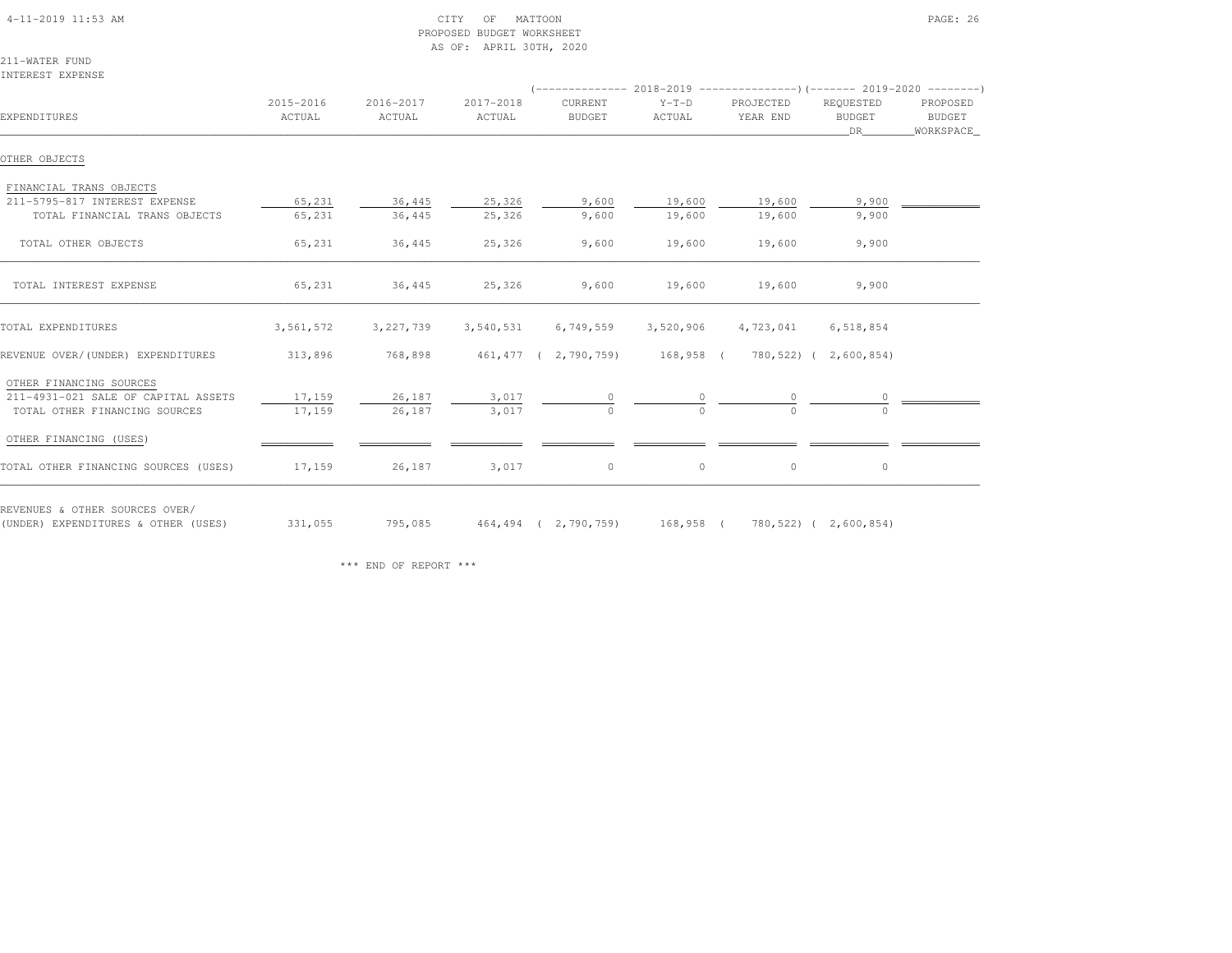| $4 - 11 - 2019$ $11:53$ AM |  |
|----------------------------|--|

#### $\begin{array}{ccc} \text{CITY} & \text{OF} & \text{MATION} \end{array}$  PROPOSED BUDGET WORKSHEETAS OF: APRIL 30TH, 2020

211-WATER FUNDINTEREST EXPENSE

| EXPENDITURES                                                          | 2015-2016<br>ACTUAL | 2016-2017<br>ACTUAL | 2017-2018<br>ACTUAL | CURRENT<br><b>BUDGET</b>                                                      | $Y-T-D$<br>ACTUAL | PROJECTED<br>YEAR END | REQUESTED<br>BUDGET<br>DR 1 | PROPOSED<br>BUDGET<br>WORKSPACE |
|-----------------------------------------------------------------------|---------------------|---------------------|---------------------|-------------------------------------------------------------------------------|-------------------|-----------------------|-----------------------------|---------------------------------|
| OTHER OBJECTS                                                         |                     |                     |                     |                                                                               |                   |                       |                             |                                 |
| FINANCIAL TRANS OBJECTS                                               |                     |                     |                     |                                                                               |                   |                       |                             |                                 |
| 211-5795-817 INTEREST EXPENSE                                         | 65,231              | 36,445              | 25,326              | 9,600                                                                         | 19,600            | 19,600                | 9,900                       |                                 |
| TOTAL FINANCIAL TRANS OBJECTS                                         | 65,231              | 36,445              | 25,326              | 9,600                                                                         | 19,600            | 19,600                | 9,900                       |                                 |
| TOTAL OTHER OBJECTS                                                   | 65,231              | 36,445              | 25,326              | 9,600                                                                         | 19,600            | 19,600                | 9,900                       |                                 |
| TOTAL INTEREST EXPENSE                                                | 65,231              | 36,445              | 25,326              | 9,600                                                                         | 19,600            | 19,600                | 9,900                       |                                 |
| TOTAL EXPENDITURES                                                    | 3,561,572           | 3, 227, 739         | 3,540,531           | 6,749,559                                                                     | 3,520,906         | 4,723,041             | 6,518,854                   |                                 |
| REVENUE OVER/(UNDER) EXPENDITURES                                     | 313,896             |                     |                     | 768,898 461,477 (2,790,759) 168,958 (780,522) (2,600,854)                     |                   |                       |                             |                                 |
| OTHER FINANCING SOURCES                                               |                     |                     |                     |                                                                               |                   |                       |                             |                                 |
| 211-4931-021 SALE OF CAPITAL ASSETS                                   | 17,159              | 26,187              | 3,017               |                                                                               |                   |                       |                             |                                 |
| TOTAL OTHER FINANCING SOURCES                                         | 17,159              | 26,187              | 3,017               |                                                                               |                   |                       |                             |                                 |
| OTHER FINANCING (USES)                                                |                     |                     |                     |                                                                               |                   |                       |                             |                                 |
| TOTAL OTHER FINANCING SOURCES (USES)                                  | 17,159              | 26,187              | 3,017               | $\circ$                                                                       | $\circ$           | $\circ$               | $\circ$                     |                                 |
| REVENUES & OTHER SOURCES OVER/<br>(UNDER) EXPENDITURES & OTHER (USES) |                     |                     |                     | 331,055     795,085    464,494 ( 2,790,759)   168,958 (  780,522)( 2,600,854) |                   |                       |                             |                                 |

\*\*\* END OF REPORT \*\*\*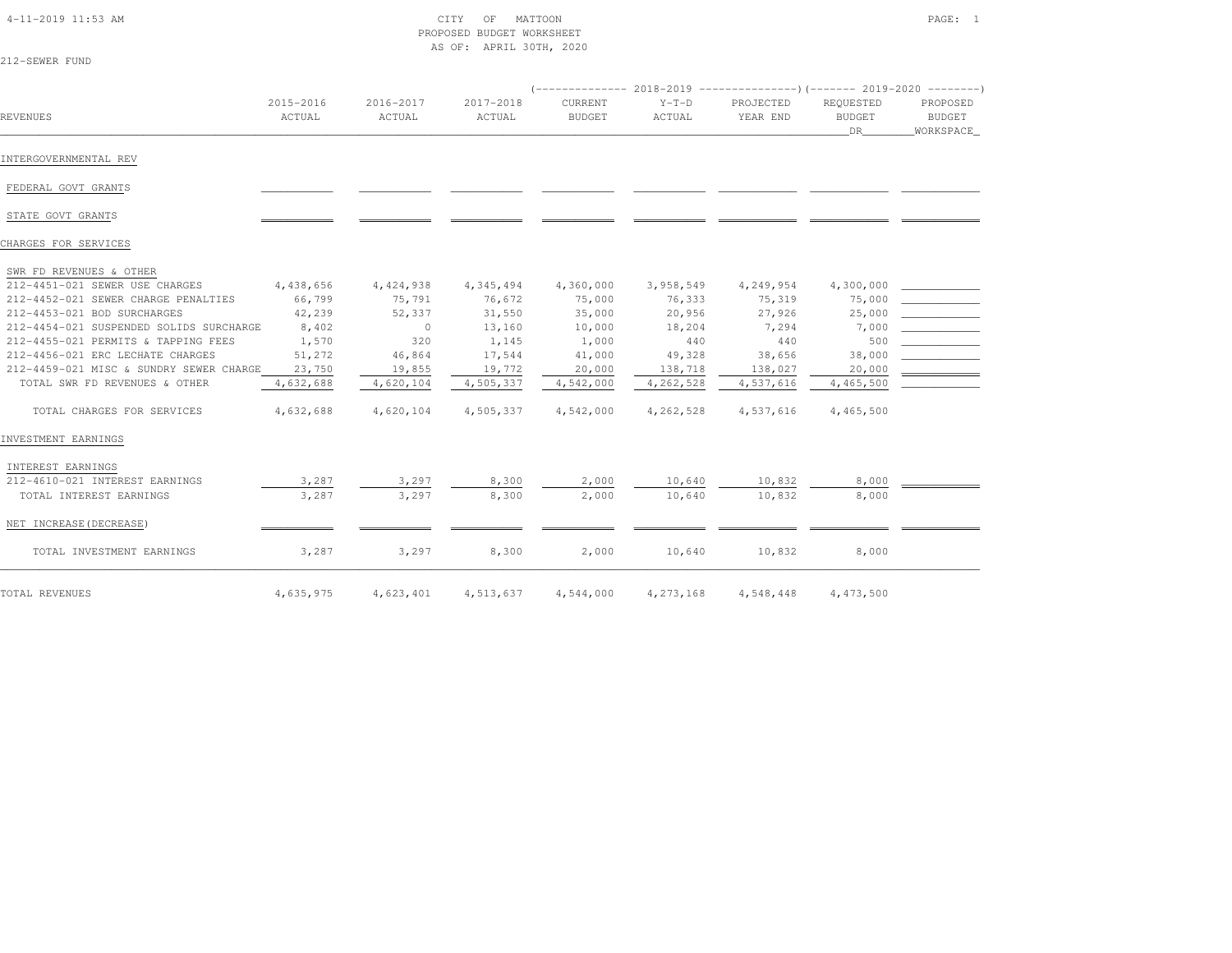#### 4-11-2019 11:53 AM CITY OF MATTOON PAGE: 1 PROPOSED BUDGET WORKSHEETAS OF: APRIL 30TH, 2020

| 212-SEWER FUND                          |                     |                     |                     |                          |                   |                                                                              |                                  |                                              |
|-----------------------------------------|---------------------|---------------------|---------------------|--------------------------|-------------------|------------------------------------------------------------------------------|----------------------------------|----------------------------------------------|
|                                         |                     |                     |                     |                          |                   | $(-$ ------------- 2018-2019 -----------------)(------- 2019-2020 ---------) |                                  |                                              |
| REVENUES                                | 2015-2016<br>ACTUAL | 2016-2017<br>ACTUAL | 2017-2018<br>ACTUAL | CURRENT<br><b>BUDGET</b> | $Y-T-D$<br>ACTUAL | PROJECTED<br>YEAR END                                                        | REQUESTED<br><b>BUDGET</b><br>DR | PROPOSED<br>BUDGET<br>WORKSPACE_             |
| INTERGOVERNMENTAL REV                   |                     |                     |                     |                          |                   |                                                                              |                                  |                                              |
| FEDERAL GOVT GRANTS                     |                     |                     |                     |                          |                   |                                                                              |                                  |                                              |
| STATE GOVT GRANTS                       |                     |                     |                     |                          |                   |                                                                              |                                  |                                              |
| CHARGES FOR SERVICES                    |                     |                     |                     |                          |                   |                                                                              |                                  |                                              |
| SWR FD REVENUES & OTHER                 |                     |                     |                     |                          |                   |                                                                              |                                  |                                              |
| 212-4451-021 SEWER USE CHARGES          | 4,438,656           | 4,424,938           | 4,345,494           | 4,360,000                | 3,958,549         | 4,249,954                                                                    | 4,300,000                        |                                              |
| 212-4452-021 SEWER CHARGE PENALTIES     | 66,799              | 75,791              | 76,672              | 75,000                   | 76,333            | 75,319                                                                       | 75,000                           |                                              |
| 212-4453-021 BOD SURCHARGES             | 42,239              | 52,337              | 31,550              | 35,000                   | 20,956            | 27,926                                                                       | 25,000                           |                                              |
| 212-4454-021 SUSPENDED SOLIDS SURCHARGE | 8,402               | $\Omega$            | 13,160              | 10,000                   | 18,204            | 7,294                                                                        | 7,000                            | <u> 1990 - Jan Barnett, fransk politiker</u> |
| 212-4455-021 PERMITS & TAPPING FEES     | 1,570               | 320                 | 1,145               | 1,000                    | 440               | 440                                                                          | 500                              |                                              |
| 212-4456-021 ERC LECHATE CHARGES        | 51,272              | 46,864              | 17,544              | 41,000                   | 49,328            | 38,656                                                                       | 38,000                           |                                              |
|                                         |                     |                     |                     |                          |                   |                                                                              |                                  |                                              |

| TOTAL REVENUES                                      | 4,635,975 | 4,623,401 | 4,513,637 | 4,544,000 | 4,273,168 | 4,548,448 | 4,473,500 |  |
|-----------------------------------------------------|-----------|-----------|-----------|-----------|-----------|-----------|-----------|--|
| TOTAL INVESTMENT EARNINGS                           | 3,287     | 3,297     | 8,300     | 2,000     | 10,640    | 10,832    | 8,000     |  |
| NET INCREASE (DECREASE)                             |           |           |           |           |           |           |           |  |
| TOTAL INTEREST EARNINGS                             | 3,287     | 3,297     | 8,300     | 2,000     | 10,640    | 10,832    | 8,000     |  |
| INTEREST EARNINGS<br>212-4610-021 INTEREST EARNINGS | 3,287     | 3,297     | 8,300     | 2,000     | 10,640    | 10,832    | 8,000     |  |
| INVESTMENT EARNINGS                                 |           |           |           |           |           |           |           |  |
| TOTAL CHARGES FOR SERVICES                          | 4,632,688 | 4,620,104 | 4,505,337 | 4,542,000 | 4,262,528 | 4,537,616 | 4,465,500 |  |
| TOTAL SWR FD REVENUES & OTHER                       | 4,632,688 | 4,620,104 | 4,505,337 | 4,542,000 | 4,262,528 | 4,537,616 | 4,465,500 |  |
| 212-4459-021 MISC & SUNDRY SEWER CHARGE             | 23,750    | 19,855    | 19,772    | 20,000    | 138,718   | 138,027   | 20,000    |  |
| ZIZ-4456-UZI ERU LEUHAIE UHARGES                    | 51, 212   | 46,864    | 11,544    | 41,000    | 49,328    | 38,050    | 38,000    |  |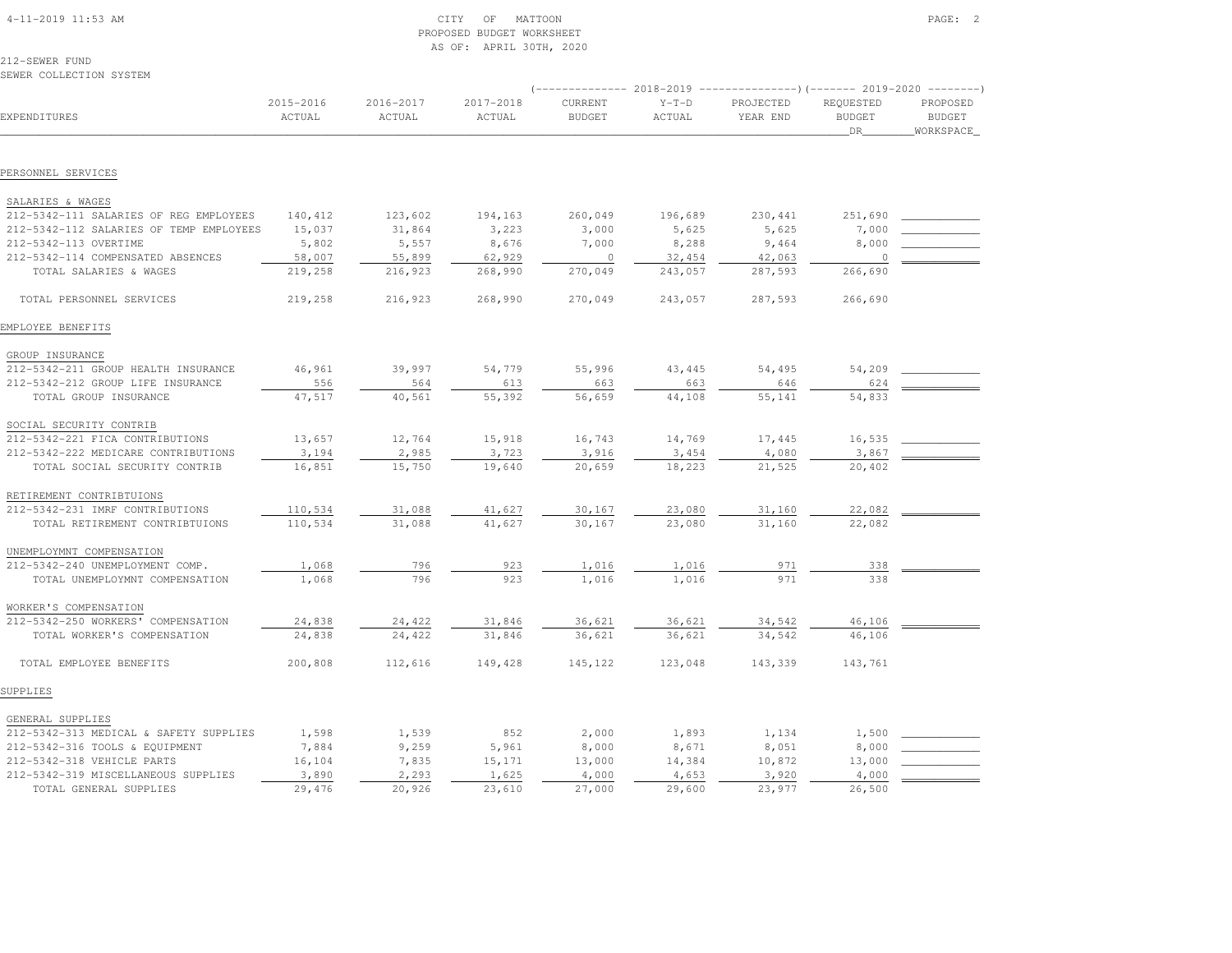| $4-11-2019$ $11:53$ AM |  |  |
|------------------------|--|--|

# $\text{CITY}$  of MATTOON  $\text{PAGE:}$  2 PROPOSED BUDGET WORKSHEETAS OF: APRIL 30TH, 2020

212-SEWER FUNDSEWER COLLECTION SYSTEM

| EXPENDITURES                            | 2015-2016<br>ACTUAL | 2016-2017<br>ACTUAL | 2017-2018<br>ACTUAL | CURRENT<br><b>BUDGET</b> | $Y-T-D$<br>ACTUAL | PROJECTED<br>YEAR END | REQUESTED<br><b>BUDGET</b><br>DR | PROPOSED<br><b>BUDGET</b><br>WORKSPACE_ |
|-----------------------------------------|---------------------|---------------------|---------------------|--------------------------|-------------------|-----------------------|----------------------------------|-----------------------------------------|
|                                         |                     |                     |                     |                          |                   |                       |                                  |                                         |
| PERSONNEL SERVICES                      |                     |                     |                     |                          |                   |                       |                                  |                                         |
| SALARIES & WAGES                        |                     |                     |                     |                          |                   |                       |                                  |                                         |
| 212-5342-111 SALARIES OF REG EMPLOYEES  | 140,412             | 123,602             | 194,163             | 260,049                  | 196,689           | 230, 441              | 251,690                          |                                         |
| 212-5342-112 SALARIES OF TEMP EMPLOYEES | 15,037              | 31,864              | 3,223               | 3,000                    | 5,625             | 5,625                 | 7,000                            |                                         |
| 212-5342-113 OVERTIME                   | 5,802               | 5,557               | 8,676               | 7,000                    | 8,288             | 9,464                 | 8,000                            |                                         |
| 212-5342-114 COMPENSATED ABSENCES       | 58,007              | 55,899              | 62,929              | $\circ$                  | 32,454            | 42,063                | $\overline{0}$                   |                                         |
| TOTAL SALARIES & WAGES                  | 219,258             | 216,923             | 268,990             | 270,049                  | 243,057           | 287,593               | 266,690                          |                                         |
| TOTAL PERSONNEL SERVICES                | 219,258             | 216,923             | 268,990             | 270,049                  | 243,057           | 287,593               | 266,690                          |                                         |
| EMPLOYEE BENEFITS                       |                     |                     |                     |                          |                   |                       |                                  |                                         |
| GROUP INSURANCE                         |                     |                     |                     |                          |                   |                       |                                  |                                         |
| 212-5342-211 GROUP HEALTH INSURANCE     | 46,961              | 39,997              | 54,779              | 55,996                   | 43,445            | 54,495                | 54,209                           |                                         |
| 212-5342-212 GROUP LIFE INSURANCE       | 556                 | 564                 | 613                 | 663                      | 663               | 646                   | 624                              |                                         |
| TOTAL GROUP INSURANCE                   | 47,517              | 40,561              | 55,392              | 56,659                   | 44,108            | 55,141                | 54,833                           |                                         |
| SOCIAL SECURITY CONTRIB                 |                     |                     |                     |                          |                   |                       |                                  |                                         |
| 212-5342-221 FICA CONTRIBUTIONS         | 13,657              | 12,764              | 15,918              | 16,743                   | 14,769            | 17,445                | 16,535                           |                                         |
| 212-5342-222 MEDICARE CONTRIBUTIONS     | 3,194               | 2,985               | 3,723               | 3,916                    | 3,454             | 4,080                 | 3,867                            |                                         |
| TOTAL SOCIAL SECURITY CONTRIB           | 16,851              | 15,750              | 19,640              | 20,659                   | 18,223            | 21,525                | 20,402                           |                                         |
| RETIREMENT CONTRIBTUIONS                |                     |                     |                     |                          |                   |                       |                                  |                                         |
| 212-5342-231 IMRF CONTRIBUTIONS         | 110,534             | 31,088              | 41,627              | 30,167                   | 23,080            | 31,160                | 22,082                           |                                         |
| TOTAL RETIREMENT CONTRIBTUIONS          | 110,534             | 31,088              | 41,627              | 30,167                   | 23,080            | 31,160                | 22,082                           |                                         |
| UNEMPLOYMNT COMPENSATION                |                     |                     |                     |                          |                   |                       |                                  |                                         |
| 212-5342-240 UNEMPLOYMENT COMP.         | 1,068               | 796                 | 923                 | 1,016                    | 1,016             | 971                   | 338                              |                                         |
| TOTAL UNEMPLOYMNT COMPENSATION          | 1,068               | 796                 | 923                 | 1,016                    | 1,016             | 971                   | 338                              |                                         |
| WORKER'S COMPENSATION                   |                     |                     |                     |                          |                   |                       |                                  |                                         |
| 212-5342-250 WORKERS' COMPENSATION      | 24,838              | 24,422              | 31,846              | 36,621                   | 36,621            | 34,542                | 46,106                           |                                         |
| TOTAL WORKER'S COMPENSATION             | 24,838              | 24,422              | 31,846              | 36,621                   | 36,621            | 34,542                | 46,106                           |                                         |
| TOTAL EMPLOYEE BENEFITS                 | 200,808             | 112,616             | 149,428             | 145,122                  | 123,048           | 143,339               | 143,761                          |                                         |
| SUPPLIES                                |                     |                     |                     |                          |                   |                       |                                  |                                         |
| GENERAL SUPPLIES                        |                     |                     |                     |                          |                   |                       |                                  |                                         |
| 212-5342-313 MEDICAL & SAFETY SUPPLIES  | 1,598               | 1,539               | 852                 | 2,000                    | 1,893             | 1,134                 | 1,500                            |                                         |
| 212-5342-316 TOOLS & EQUIPMENT          | 7,884               | 9,259               | 5,961               | 8,000                    | 8,671             | 8,051                 | 8,000                            |                                         |
| 212-5342-318 VEHICLE PARTS              | 16,104              | 7,835               | 15,171              | 13,000                   | 14,384            | 10,872                | 13,000                           |                                         |
| 212-5342-319 MISCELLANEOUS SUPPLIES     | 3,890               | 2,293               | 1,625               | 4,000                    | 4,653             | 3,920                 | 4,000                            |                                         |
| TOTAL GENERAL SUPPLIES                  | 29,476              | 20,926              | 23,610              | 27,000                   | 29,600            | 23,977                | 26,500                           |                                         |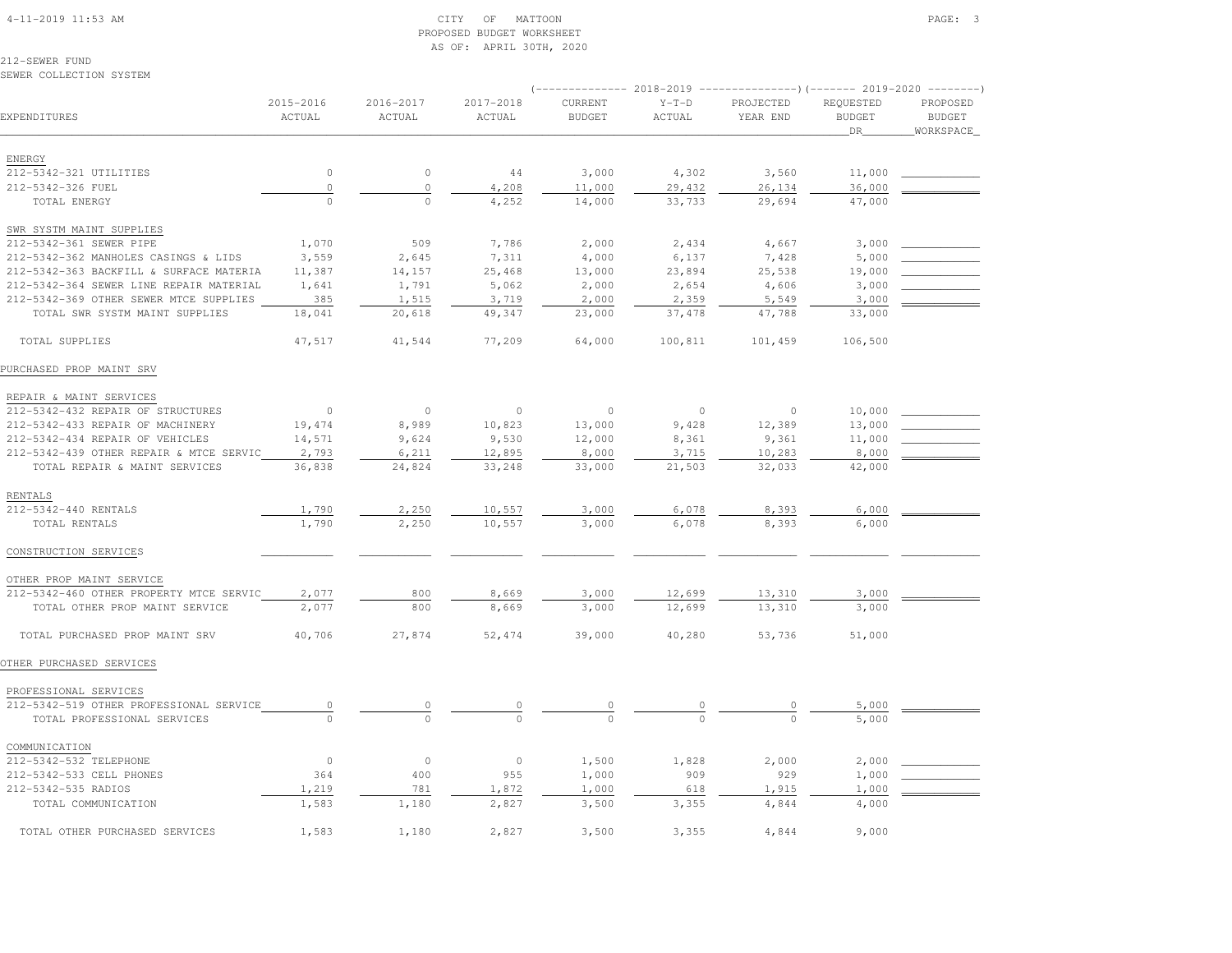#### 4-11-2019 11:53 AM CITY OF MATTOON PAGE: 3 PROPOSED BUDGET WORKSHEETAS OF: APRIL 30TH, 2020

212-SEWER FUNDSEWER COLLECTION SYSTEM

# (-------------- 2018-2019 ---------------)(------- 2019-2020 --------) 2015-2016 2016-2017 2017-2018 CURRENT Y-T-D PROJECTED REQUESTED PROPOSED**BUDGET** EXPENDITURES ACTUAL ACTUAL ACTUAL BUDGET ACTUAL YEAR END BUDGET BUDGETWORKSPACE \_\_\_\_\_\_\_\_\_\_\_\_\_\_\_\_\_\_\_\_\_\_\_\_\_\_\_\_\_\_\_\_\_\_\_\_\_\_\_\_\_\_\_\_\_\_\_\_\_\_\_\_\_\_\_\_\_\_\_\_\_\_\_\_\_\_\_\_\_\_\_\_\_\_\_\_\_\_\_\_\_\_\_\_\_\_\_\_\_\_\_\_\_\_\_\_\_\_\_\_\_\_\_\_\_\_\_\_\_\_\_\_\_\_\_\_\_\_\_\_\_\_\_\_\_\_\_\_\_\_DR\_\_\_\_\_\_\_\_WORKSPACE\_ ENERGY 212-5342-321 UTILITIES 0 0 44 3,000 4,302 3,560 11,000 \_\_\_\_\_\_\_\_\_\_\_\_ 212-5342-326 FUEL 0 0 4,208 11,000 29,432 26,134 36,000 \_\_\_\_\_\_\_\_\_\_\_\_ TOTAL ENERGY 0 0 4,252 14,000 33,733 29,694 47,000 SWR SYSTM MAINT SUPPLIES212-5342-361 SEWER PIPE 1,070 509 7,786 2,000 2,434 4,667 3,000 2 212-5342-362 MANHOLES CASINGS & LIDS 3,559 2,645 7,311 4,000 6,137 7,428 5,000 212-5342-363 BACKFILL & SURFACE MATERIA 11,387 14,157 25,468 13,000 23,894 25,538 19,000 212-5342-364 SEWER LINE REPAIR MATERIAL 1,641 1,791 5,062 2,000 2,654 4,606 3,000 212-5342-369 OTHER SEWER MTCE SUPPLIES 385 1,515 3,719 2,000 2,359 5,549 3,000 TOTAL SWR SYSTM MAINT SUPPLIES 18,041 20,618 49,347 23,000 37,478 47,788 33,000 TOTAL SUPPLIES 47,517 41,544 77,209 64,000 100,811 101,459 106,500PURCHASED PROP MAINT SRV REPAIR & MAINT SERVICES 212-5342-432 REPAIR OF STRUCTURES 0 0 0 0 0 0 10,000 \_\_\_\_\_\_\_\_\_\_\_\_212-5342-433 REPAIR OF MACHINERY 19,474 8,989 10,823 13,000 9,428 12,389 13,000 212-5342-434 REPAIR OF VEHICLES 14,571 9,624 9,530 12,000 8,361 9,361 11,000 212-5342-439 OTHER REPAIR & MTCE SERVIC 2,793 6,211 12,895 8,000 3,715 10,283 8,000 TOTAL REPAIR & MAINT SERVICES 36,838 24,824 33,248 33,000 21,503 32,033 42,000 RENTALS 212-5342-440 RENTALS 1,790 2,250 10,557 3,000 6,078 8,393 6,000 \_\_\_\_\_\_\_\_\_\_\_\_ $\frac{12-5342-440}{16}$  RENTALS  $\frac{1,790}{1,790}$   $\frac{2,250}{2,250}$   $\frac{10,557}{10,557}$   $\frac{3,000}{3,000}$   $\frac{6,078}{6,078}$   $\frac{8,393}{8,393}$   $\frac{6,000}{6,000}$  CONSTRUCTION SERVICES \_\_\_\_\_\_\_\_\_\_\_ \_\_\_\_\_\_\_\_\_\_\_ \_\_\_\_\_\_\_\_\_\_\_ \_\_\_\_\_\_\_\_\_\_\_ \_\_\_\_\_\_\_\_\_\_\_ \_\_\_\_\_\_\_\_\_\_\_\_ \_\_\_\_\_\_\_\_\_\_\_\_ \_\_\_\_\_\_\_\_\_\_\_\_ OTHER PROP MAINT SERVICE 212-5342-460 OTHER PROPERTY MTCE SERVIC 2,077 800 8,669 3,000 12,699 13,310 3,000 \_\_\_\_\_\_\_\_\_\_\_\_TOTAL OTHER PROP MAINT SERVICE 2,077 800 8,669 3,000 12.699 13.310 3,000 TOTAL PURCHASED PROP MAINT SRV 40,706 27,874 52,474 39,000 40,280 53,736 51,000OTHER PURCHASED SERVICES PROFESSIONAL SERVICES 212-5342-519 OTHER PROFESSIONAL SERVICE 0 0 0 0 0 0 5,000 \_\_\_\_\_\_\_\_\_\_\_\_-5342-519 OTHER PROFESSIONAL SERVICE 0 0 0 0 0 0 0 0 0 0 0 0 0 0 5,000<br>TOTAL PROFESSIONAL SERVICES 0 0 0 0 0 0 0 0 0 0 0 0 5,000 COMMUNICATION 212-5342-532 TELEPHONE 0 0 0 1,500 1,828 2,000 2,000 \_\_\_\_\_\_\_\_\_\_\_\_ 212-5342-533 CELL PHONES 364 400 955 1,000 909 929 1,000 \_\_\_\_\_\_\_\_\_\_\_\_ 212-5342-535 RADIOS 1,219 781 1,872 1,000 618 1,915 1,000 \_\_\_\_\_\_\_\_\_\_\_\_TOTAL COMMUNICATION 1,583 1,180 2,827 3,500 3,355 4,844 4,000

TOTAL OTHER PURCHASED SERVICES 1,583 1,180 2,827 3,500 3,355 4,844 9,000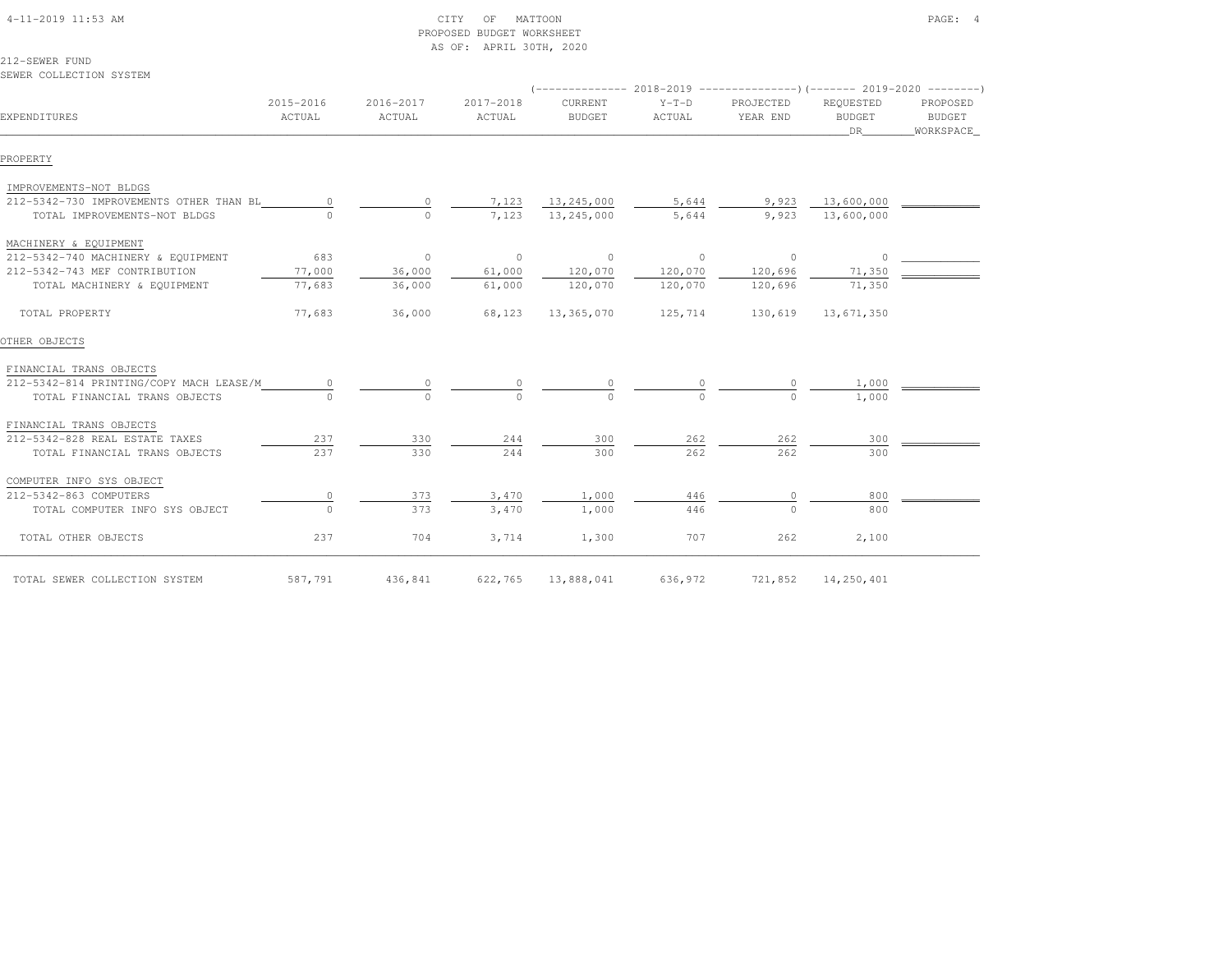|                                         |                     |                     | AS OF: APRIL 30TH, 2020 |                                                                                   |                   |                       |                                   |                                 |
|-----------------------------------------|---------------------|---------------------|-------------------------|-----------------------------------------------------------------------------------|-------------------|-----------------------|-----------------------------------|---------------------------------|
| 212-SEWER FUND                          |                     |                     |                         |                                                                                   |                   |                       |                                   |                                 |
| SEWER COLLECTION SYSTEM                 |                     |                     |                         | (-------------- 2018-2019 ---------------------       2019-2020 ---------       ) |                   |                       |                                   |                                 |
| EXPENDITURES                            | 2015-2016<br>ACTUAL | 2016-2017<br>ACTUAL | 2017-2018<br>ACTUAL     | <b>CURRENT</b><br><b>BUDGET</b>                                                   | $Y-T-D$<br>ACTUAL | PROJECTED<br>YEAR END | REQUESTED<br><b>BUDGET</b><br>DR. | PROPOSED<br>BUDGET<br>WORKSPACE |
| PROPERTY                                |                     |                     |                         |                                                                                   |                   |                       |                                   |                                 |
| IMPROVEMENTS-NOT BLDGS                  |                     |                     |                         |                                                                                   |                   |                       |                                   |                                 |
| 212-5342-730 IMPROVEMENTS OTHER THAN BL | $\circ$             |                     | 7,123                   | 13,245,000                                                                        | 5,644             | 9,923                 | 13,600,000                        |                                 |
| TOTAL IMPROVEMENTS-NOT BLDGS            |                     | $\Omega$            | 7,123                   | 13,245,000                                                                        | 5,644             | 9,923                 | 13,600,000                        |                                 |
| MACHINERY & EQUIPMENT                   |                     |                     |                         |                                                                                   |                   |                       |                                   |                                 |
| 212-5342-740 MACHINERY & EQUIPMENT      | 683                 | $\circ$             | $\circ$                 | $\mathbf{0}$                                                                      | $\circ$           | $\circ$               | $\circ$                           |                                 |
| 212-5342-743 MEF CONTRIBUTION           | 77,000              | 36,000              | 61,000                  | 120,070                                                                           | 120,070           | 120,696               | 71,350                            |                                 |
| TOTAL MACHINERY & EQUIPMENT             | 77,683              | 36,000              | 61,000                  | 120,070                                                                           | 120,070           | 120,696               | 71,350                            |                                 |
| TOTAL PROPERTY                          | 77,683              | 36,000              | 68,123                  | 13,365,070                                                                        | 125,714           | 130,619               | 13,671,350                        |                                 |
| OTHER OBJECTS                           |                     |                     |                         |                                                                                   |                   |                       |                                   |                                 |
| FINANCIAL TRANS OBJECTS                 |                     |                     |                         |                                                                                   |                   |                       |                                   |                                 |
| 212-5342-814 PRINTING/COPY MACH LEASE/M |                     |                     |                         |                                                                                   |                   |                       | 1,000                             |                                 |
| TOTAL FINANCIAL TRANS OBJECTS           |                     |                     |                         |                                                                                   |                   |                       | 1,000                             |                                 |
| FINANCIAL TRANS OBJECTS                 |                     |                     |                         |                                                                                   |                   |                       |                                   |                                 |
| 212-5342-828 REAL ESTATE TAXES          | 237                 | 330                 | 244                     | 300                                                                               | 262               | 262                   | 300                               |                                 |
| TOTAL FINANCIAL TRANS OBJECTS           | 237                 | 330                 | 244                     | 300                                                                               | 262               | 262                   | 300                               |                                 |
| COMPUTER INFO SYS OBJECT                |                     |                     |                         |                                                                                   |                   |                       |                                   |                                 |
| 212-5342-863 COMPUTERS                  | $\circ$             | 373                 | 3,470                   | 1,000                                                                             | 446               | $\circ$               | 800                               |                                 |
| TOTAL COMPUTER INFO SYS OBJECT          | $\Omega$            | 373                 | 3,470                   | 1,000                                                                             | 446               | $\cap$                | 800                               |                                 |
| TOTAL OTHER OBJECTS                     | 237                 | 704                 | 3,714                   | 1,300                                                                             | 707               | 262                   | 2,100                             |                                 |
| TOTAL SEWER COLLECTION SYSTEM           | 587,791             | 436,841             | 622,765                 | 13,888,041                                                                        | 636,972           | 721,852               | 14,250,401                        |                                 |

 4-11-2019 11:53 AM CITY OF MATTOON PAGE: 4PROPOSED BUDGET WORKSHEET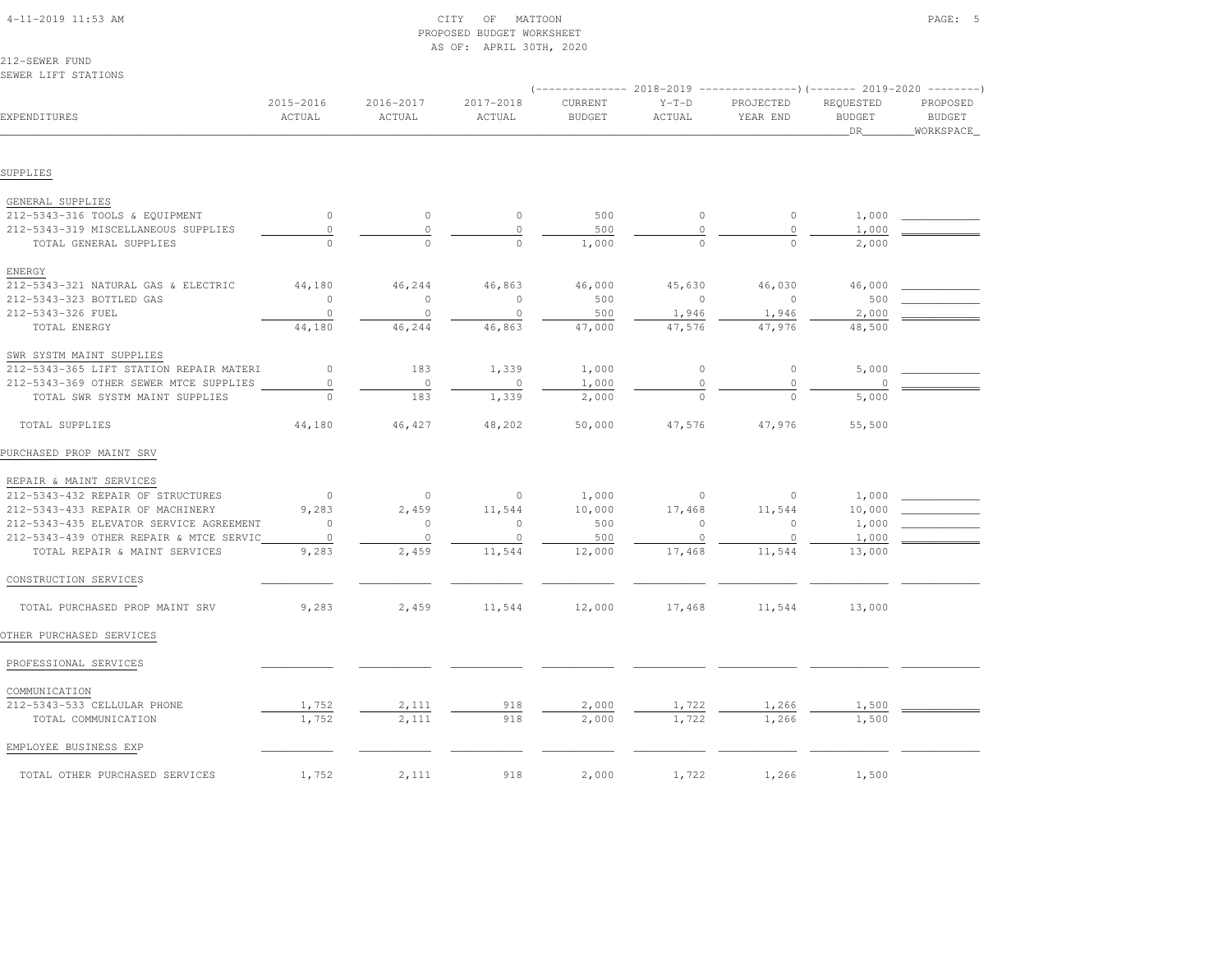| 4-11-2019 11:53 AM |  |
|--------------------|--|

# $\begin{array}{ccc} \text{CITY} & \text{OF} & \text{MATION} \end{array}$  PROPOSED BUDGET WORKSHEETAS OF: APRIL 30TH, 2020

212-SEWER FUNDSEWER LIFT STATIONS

|                                         |                     |                     |                     | $------ 2018-2019$       |                   | ----------------) (------- 2019-2020 ---------) |                                   |                                        |
|-----------------------------------------|---------------------|---------------------|---------------------|--------------------------|-------------------|-------------------------------------------------|-----------------------------------|----------------------------------------|
| EXPENDITURES                            | 2015-2016<br>ACTUAL | 2016-2017<br>ACTUAL | 2017-2018<br>ACTUAL | CURRENT<br><b>BUDGET</b> | $Y-T-D$<br>ACTUAL | PROJECTED<br>YEAR END                           | REQUESTED<br><b>BUDGET</b><br>DR. | PROPOSED<br><b>BUDGET</b><br>WORKSPACE |
|                                         |                     |                     |                     |                          |                   |                                                 |                                   |                                        |
| SUPPLIES                                |                     |                     |                     |                          |                   |                                                 |                                   |                                        |
| GENERAL SUPPLIES                        |                     |                     |                     |                          |                   |                                                 |                                   |                                        |
| 212-5343-316 TOOLS & EQUIPMENT          | $\circ$             | $\circ$             | $\circ$             | 500                      | $\circ$           | $\circ$                                         | 1,000                             |                                        |
| 212-5343-319 MISCELLANEOUS SUPPLIES     | $\mathbb O$         | $\circ$             | $\circ$             | 500                      | $\circ$           | $\circ$                                         | 1,000                             |                                        |
| TOTAL GENERAL SUPPLIES                  | $\cap$              | $\Omega$            | $\Omega$            | 1,000                    | $\Omega$          | $\Omega$                                        | 2,000                             |                                        |
| ENERGY                                  |                     |                     |                     |                          |                   |                                                 |                                   |                                        |
| 212-5343-321 NATURAL GAS & ELECTRIC     | 44,180              | 46,244              | 46,863              | 46,000                   | 45,630            | 46,030                                          | 46,000                            |                                        |
| 212-5343-323 BOTTLED GAS                | $\circ$             | $\circ$             | $\circ$             | 500                      | $\circ$           | $\circ$                                         | 500                               |                                        |
| 212-5343-326 FUEL                       | $\circ$             | $\circ$             | $\circ$             | 500                      | 1,946             | 1,946                                           | 2,000                             |                                        |
| TOTAL ENERGY                            | 44,180              | 46,244              | 46,863              | 47,000                   | 47,576            | 47,976                                          | 48,500                            |                                        |
| SWR SYSTM MAINT SUPPLIES                |                     |                     |                     |                          |                   |                                                 |                                   |                                        |
| 212-5343-365 LIFT STATION REPAIR MATERI | $\circ$             | 183                 | 1,339               | 1,000                    | $\circ$           | $\circ$                                         | 5,000                             |                                        |
| 212-5343-369 OTHER SEWER MTCE SUPPLIES  | $\circ$             | $\circ$             | $\circ$             | 1,000                    | $\Omega$          | $\circ$                                         |                                   |                                        |
| TOTAL SWR SYSTM MAINT SUPPLIES          |                     | 183                 | 1,339               | 2,000                    | $\Omega$          | $\Omega$                                        | 5,000                             |                                        |
| TOTAL SUPPLIES                          | 44,180              | 46,427              | 48,202              | 50,000                   | 47,576            | 47,976                                          | 55,500                            |                                        |
| PURCHASED PROP MAINT SRV                |                     |                     |                     |                          |                   |                                                 |                                   |                                        |
| REPAIR & MAINT SERVICES                 |                     |                     |                     |                          |                   |                                                 |                                   |                                        |
| 212-5343-432 REPAIR OF STRUCTURES       | $\overline{0}$      | $\circ$             | $\circ$             | 1,000                    | $\mathbb O$       | $\circ$                                         | 1,000                             |                                        |
| 212-5343-433 REPAIR OF MACHINERY        | 9,283               | 2,459               | 11,544              | 10,000                   | 17,468            | 11,544                                          | 10,000                            |                                        |
| 212-5343-435 ELEVATOR SERVICE AGREEMENT | $\circ$             | $\circ$             | $\circ$             | 500                      | $\circ$           | $\Omega$                                        | 1,000                             |                                        |
| 212-5343-439 OTHER REPAIR & MTCE SERVIC | $\circ$             | $\circ$             | $\circ$             | 500                      | $\circ$           | $\circ$                                         | 1,000                             |                                        |
| TOTAL REPAIR & MAINT SERVICES           | 9,283               | 2,459               | 11,544              | 12,000                   | 17,468            | 11,544                                          | 13,000                            |                                        |
| CONSTRUCTION SERVICES                   |                     |                     |                     |                          |                   |                                                 |                                   |                                        |
| TOTAL PURCHASED PROP MAINT SRV          | 9,283               | 2,459               | 11,544              | 12,000                   | 17,468            | 11,544                                          | 13,000                            |                                        |
| OTHER PURCHASED SERVICES                |                     |                     |                     |                          |                   |                                                 |                                   |                                        |
| PROFESSIONAL SERVICES                   |                     |                     |                     |                          |                   |                                                 |                                   |                                        |
| COMMUNICATION                           |                     |                     |                     |                          |                   |                                                 |                                   |                                        |
| 212-5343-533 CELLULAR PHONE             | 1,752               | 2,111               | 918                 | 2,000                    | 1,722             | 1,266                                           | 1,500                             |                                        |
| TOTAL COMMUNICATION                     | 1,752               | 2,111               | 918                 | 2,000                    | 1,722             | 1,266                                           | 1,500                             |                                        |
| EMPLOYEE BUSINESS EXP                   |                     |                     |                     |                          |                   |                                                 |                                   |                                        |
| TOTAL OTHER PURCHASED SERVICES          | 1,752               | 2,111               | 918                 | 2,000                    | 1,722             | 1,266                                           | 1,500                             |                                        |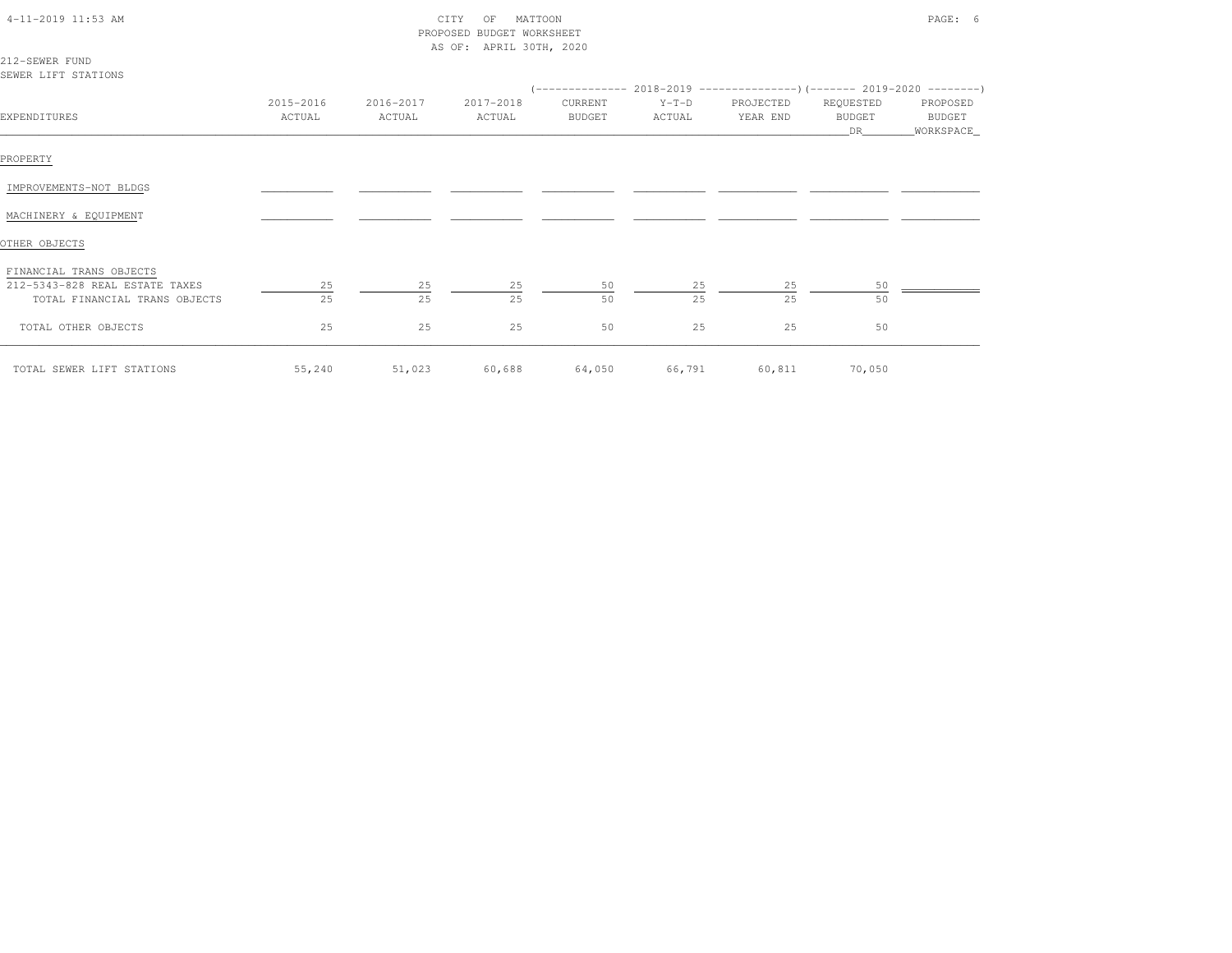| 4-11-2019 11:53 AM<br>212-SEWER FUND                                                       |                     | CITY<br>PROPOSED<br>AS OF: APRIL 30TH, 2020 |                     | PAGE: 6                  |                   |                       |                                  |                                  |
|--------------------------------------------------------------------------------------------|---------------------|---------------------------------------------|---------------------|--------------------------|-------------------|-----------------------|----------------------------------|----------------------------------|
| SEWER LIFT STATIONS                                                                        |                     |                                             |                     |                          |                   |                       |                                  |                                  |
| EXPENDITURES                                                                               | 2015-2016<br>ACTUAL | 2016-2017<br>ACTUAL                         | 2017-2018<br>ACTUAL | CURRENT<br><b>BUDGET</b> | $Y-T-D$<br>ACTUAL | PROJECTED<br>YEAR END | REQUESTED<br><b>BUDGET</b><br>DR | PROPOSED<br>BUDGET<br>WORKSPACE_ |
| PROPERTY                                                                                   |                     |                                             |                     |                          |                   |                       |                                  |                                  |
| IMPROVEMENTS-NOT BLDGS                                                                     |                     |                                             |                     |                          |                   |                       |                                  |                                  |
| MACHINERY & EQUIPMENT                                                                      |                     |                                             |                     |                          |                   |                       |                                  |                                  |
| OTHER OBJECTS                                                                              |                     |                                             |                     |                          |                   |                       |                                  |                                  |
| FINANCIAL TRANS OBJECTS<br>212-5343-828 REAL ESTATE TAXES<br>TOTAL FINANCIAL TRANS OBJECTS | 25<br>25            | 25<br>25                                    | 25<br>25            | 50<br>50                 | 25<br>25          | 25<br>25              | 50<br>50                         |                                  |
| TOTAL OTHER OBJECTS                                                                        | 25                  | 25                                          | 25                  | 50                       | 25                | 25                    | 50                               |                                  |
| TOTAL SEWER LIFT STATIONS                                                                  | 55,240              | 51,023                                      | 60,688              | 64,050                   | 66,791            | 60,811                | 70,050                           |                                  |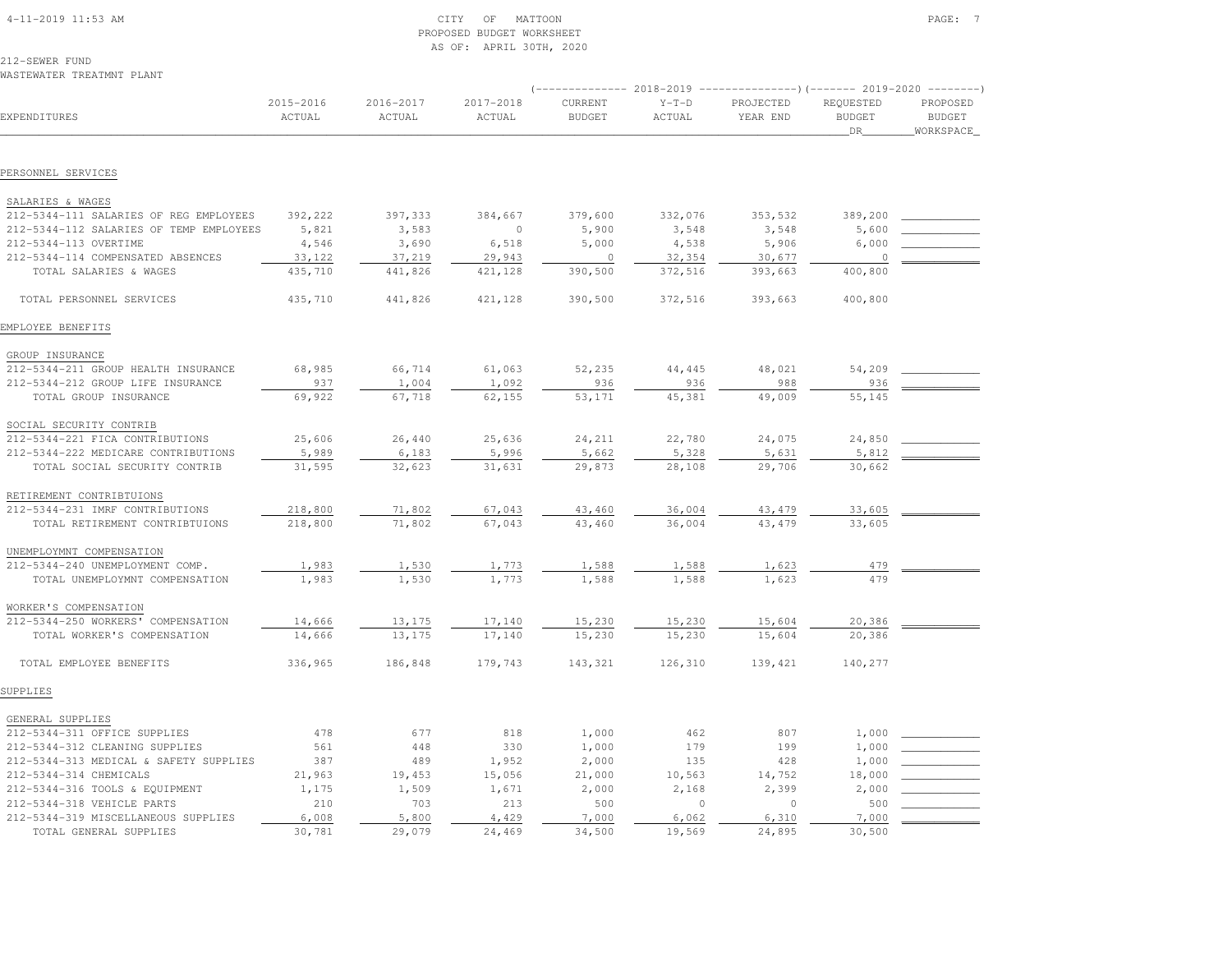| $4 - 11 - 2019$ 11:53 AM |  |
|--------------------------|--|

# 4-11-2019 CITY OF MATTOON CITY OF MATTOON PAGE: 7 PROPOSED BUDGET WORKSHEETAS OF: APRIL 30TH, 2020

212-SEWER FUNDWASTEWATER TREATMNT PLANT

|                                         |                              |                         |                     | $----------- 2018-2019$  |                   | ----------------) (------- 2019-2020 ---------) |                                  |                                        |
|-----------------------------------------|------------------------------|-------------------------|---------------------|--------------------------|-------------------|-------------------------------------------------|----------------------------------|----------------------------------------|
| EXPENDITURES                            | 2015-2016<br>$\verb ACTUAL $ | $2016 - 2017$<br>ACTUAL | 2017-2018<br>ACTUAL | CURRENT<br><b>BUDGET</b> | $Y-T-D$<br>ACTUAL | PROJECTED<br>YEAR END                           | REQUESTED<br><b>BUDGET</b><br>DR | PROPOSED<br><b>BUDGET</b><br>WORKSPACE |
| PERSONNEL SERVICES                      |                              |                         |                     |                          |                   |                                                 |                                  |                                        |
|                                         |                              |                         |                     |                          |                   |                                                 |                                  |                                        |
| SALARIES & WAGES                        |                              |                         |                     |                          |                   |                                                 |                                  |                                        |
| 212-5344-111 SALARIES OF REG EMPLOYEES  | 392,222                      | 397,333                 | 384,667             | 379,600                  | 332,076           | 353,532                                         | 389,200                          |                                        |
| 212-5344-112 SALARIES OF TEMP EMPLOYEES | 5,821                        | 3,583                   | $\circ$             | 5,900                    | 3,548             | 3,548                                           | 5,600                            |                                        |
| 212-5344-113 OVERTIME                   | 4,546                        | 3,690                   | 6,518               | 5,000                    | 4,538             | 5,906                                           | 6,000                            |                                        |
| 212-5344-114 COMPENSATED ABSENCES       | 33,122                       | 37,219                  | 29,943              | $\circ$                  | 32,354            | 30,677                                          | $\circ$                          |                                        |
| TOTAL SALARIES & WAGES                  | 435,710                      | 441,826                 | 421,128             | 390,500                  | 372,516           | 393,663                                         | 400,800                          |                                        |
| TOTAL PERSONNEL SERVICES                | 435,710                      | 441,826                 | 421,128             | 390,500                  | 372,516           | 393,663                                         | 400,800                          |                                        |
| EMPLOYEE BENEFITS                       |                              |                         |                     |                          |                   |                                                 |                                  |                                        |
| GROUP INSURANCE                         |                              |                         |                     |                          |                   |                                                 |                                  |                                        |
| 212-5344-211 GROUP HEALTH INSURANCE     | 68,985                       | 66,714                  | 61,063              | 52,235                   | 44,445            | 48,021                                          | 54,209                           |                                        |
| 212-5344-212 GROUP LIFE INSURANCE       | 937                          | 1,004                   | 1,092               | 936                      | 936               | 988                                             | 936                              |                                        |
| TOTAL GROUP INSURANCE                   | 69,922                       | 67,718                  | 62,155              | 53,171                   | 45,381            | 49,009                                          | 55,145                           |                                        |
| SOCIAL SECURITY CONTRIB                 |                              |                         |                     |                          |                   |                                                 |                                  |                                        |
| 212-5344-221 FICA CONTRIBUTIONS         | 25,606                       | 26,440                  | 25,636              | 24,211                   | 22,780            | 24,075                                          | 24,850                           |                                        |
| 212-5344-222 MEDICARE CONTRIBUTIONS     | 5,989                        | 6,183                   | 5,996               | 5,662                    | 5,328             | 5,631                                           | 5,812                            |                                        |
| TOTAL SOCIAL SECURITY CONTRIB           | 31,595                       | 32,623                  | 31,631              | 29,873                   | 28,108            | 29,706                                          | 30,662                           |                                        |
| RETIREMENT CONTRIBTUIONS                |                              |                         |                     |                          |                   |                                                 |                                  |                                        |
| 212-5344-231 IMRF CONTRIBUTIONS         | 218,800                      | 71,802                  | 67,043              | 43,460                   | 36,004            | 43, 479                                         | 33,605                           |                                        |
| TOTAL RETIREMENT CONTRIBTUIONS          | 218,800                      | 71,802                  | 67,043              | 43,460                   | 36,004            | 43, 479                                         | 33,605                           |                                        |
|                                         |                              |                         |                     |                          |                   |                                                 |                                  |                                        |
| UNEMPLOYMNT COMPENSATION                |                              |                         |                     |                          |                   |                                                 |                                  |                                        |
| 212-5344-240 UNEMPLOYMENT COMP.         | 1,983                        | 1,530                   | 1,773               | 1,588                    | 1,588             | 1,623                                           | 479<br>479                       |                                        |
| TOTAL UNEMPLOYMNT COMPENSATION          | 1,983                        | 1,530                   | 1,773               | 1,588                    | 1,588             | 1,623                                           |                                  |                                        |
| WORKER'S COMPENSATION                   |                              |                         |                     |                          |                   |                                                 |                                  |                                        |
| 212-5344-250 WORKERS' COMPENSATION      | 14,666                       | 13,175                  | 17,140              | 15,230                   | 15,230            | 15,604                                          | 20,386                           |                                        |
| TOTAL WORKER'S COMPENSATION             | 14,666                       | 13,175                  | 17,140              | 15,230                   | 15,230            | 15,604                                          | 20,386                           |                                        |
| TOTAL EMPLOYEE BENEFITS                 | 336,965                      | 186,848                 | 179,743             | 143,321                  | 126,310           | 139,421                                         | 140,277                          |                                        |
| SUPPLIES                                |                              |                         |                     |                          |                   |                                                 |                                  |                                        |
| GENERAL SUPPLIES                        |                              |                         |                     |                          |                   |                                                 |                                  |                                        |
| 212-5344-311 OFFICE SUPPLIES            | 478                          | 677                     | 818                 | 1,000                    | 462               | 807                                             | 1,000                            |                                        |
| 212-5344-312 CLEANING SUPPLIES          | 561                          | 448                     | 330                 | 1,000                    | 179               | 199                                             | 1,000                            |                                        |
| 212-5344-313 MEDICAL & SAFETY SUPPLIES  | 387                          | 489                     | 1,952               | 2,000                    | 135               | 428                                             | 1,000                            |                                        |
| 212-5344-314 CHEMICALS                  | 21,963                       | 19,453                  | 15,056              | 21,000                   | 10,563            | 14,752                                          | 18,000                           |                                        |
| 212-5344-316 TOOLS & EQUIPMENT          | 1,175                        | 1,509                   | 1,671               | 2,000                    | 2,168             | 2,399                                           | 2,000                            |                                        |
| 212-5344-318 VEHICLE PARTS              | 210                          | 703                     | 213                 | 500                      | $\circ$           | $\circ$                                         | 500                              |                                        |
| 212-5344-319 MISCELLANEOUS SUPPLIES     | 6,008                        | 5,800                   | 4,429               | 7,000                    | 6,062             | 6,310                                           | 7,000                            |                                        |
| TOTAL GENERAL SUPPLIES                  | 30,781                       | 29,079                  | 24,469              | 34,500                   | 19,569            | 24,895                                          | 30,500                           |                                        |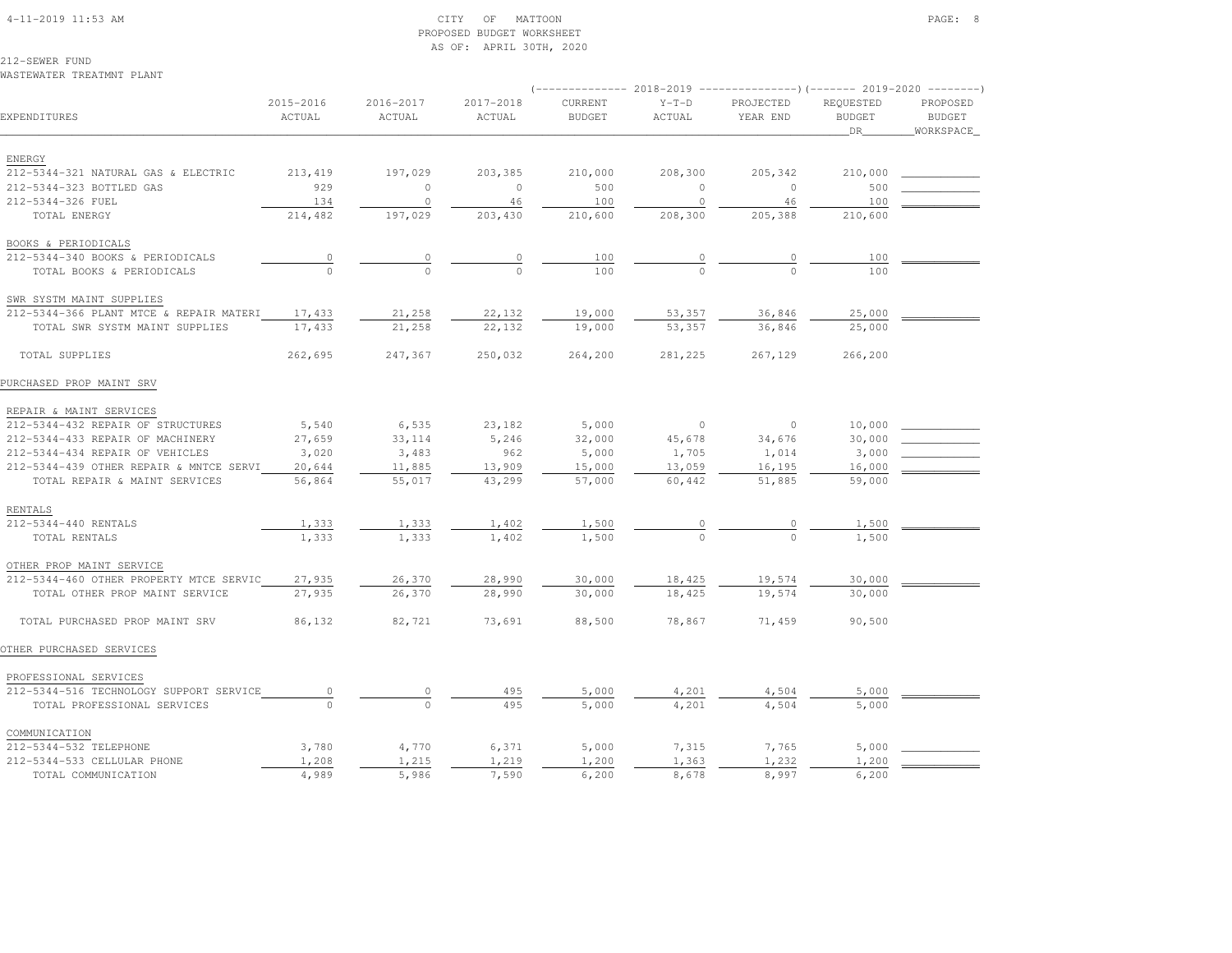# 4-11-2019 11:53 AM CITY OF MATTOON PAGE: 8 PROPOSED BUDGET WORKSHEETAS OF: APRIL 30TH, 2020

212-SEWER FUNDWASTEWATER TREATMNT PLANT

| EXPENDITURES                            | 2015-2016<br>ACTUAL | 2016-2017<br>ACTUAL | 2017-2018<br>ACTUAL | CURRENT<br><b>BUDGET</b> | $Y-T-D$<br>ACTUAL | PROJECTED<br>YEAR END | REQUESTED<br><b>BUDGET</b><br>DR | PROPOSED<br><b>BUDGET</b><br>WORKSPACE |
|-----------------------------------------|---------------------|---------------------|---------------------|--------------------------|-------------------|-----------------------|----------------------------------|----------------------------------------|
| ENERGY                                  |                     |                     |                     |                          |                   |                       |                                  |                                        |
| 212-5344-321 NATURAL GAS & ELECTRIC     | 213,419             | 197,029             | 203,385             | 210,000                  | 208,300           | 205,342               | 210,000                          |                                        |
| 212-5344-323 BOTTLED GAS                | 929                 | $\mathbf{0}$        | $\circ$             | 500                      | $\circ$           | $\circ$               | 500                              |                                        |
| 212-5344-326 FUEL                       | 134                 | $\circ$             | 46                  | 100                      | $\circ$           | 46                    | 100                              |                                        |
| TOTAL ENERGY                            | 214,482             | 197,029             | 203,430             | 210,600                  | 208,300           | 205,388               | 210,600                          |                                        |
| BOOKS & PERIODICALS                     |                     |                     |                     |                          |                   |                       |                                  |                                        |
| 212-5344-340 BOOKS & PERIODICALS        | $\overline{0}$      | $\circ$             | 0                   | 100                      | $\circ$           | 0                     | 100                              |                                        |
| TOTAL BOOKS & PERIODICALS               |                     | $\Omega$            |                     | 100                      |                   | $\Omega$              | 100                              |                                        |
| SWR SYSTM MAINT SUPPLIES                |                     |                     |                     |                          |                   |                       |                                  |                                        |
| 212-5344-366 PLANT MTCE & REPAIR MATERI | 17,433              | 21,258              | 22,132              | 19,000                   | 53,357            | 36,846                | 25,000                           |                                        |
| TOTAL SWR SYSTM MAINT SUPPLIES          | 17,433              | 21,258              | 22,132              | 19,000                   | 53,357            | 36,846                | 25,000                           |                                        |
| TOTAL SUPPLIES                          | 262,695             | 247,367             | 250,032             | 264,200                  | 281,225           | 267,129               | 266,200                          |                                        |
| PURCHASED PROP MAINT SRV                |                     |                     |                     |                          |                   |                       |                                  |                                        |
| REPAIR & MAINT SERVICES                 |                     |                     |                     |                          |                   |                       |                                  |                                        |
| 212-5344-432 REPAIR OF STRUCTURES       | 5,540               | 6,535               | 23,182              | 5,000                    | $\overline{0}$    | $\circ$               | 10,000                           |                                        |
| 212-5344-433 REPAIR OF MACHINERY        | 27,659              | 33,114              | 5,246               | 32,000                   | 45,678            | 34,676                | 30,000                           |                                        |
| 212-5344-434 REPAIR OF VEHICLES         | 3,020               | 3,483               | 962                 | 5,000                    | 1,705             | 1,014                 | 3,000                            |                                        |
| 212-5344-439 OTHER REPAIR & MNTCE SERVI | 20,644              | 11,885              | 13,909              | 15,000                   | 13,059            | 16,195                | 16,000                           |                                        |
| TOTAL REPAIR & MAINT SERVICES           | 56,864              | 55,017              | 43,299              | 57,000                   | 60,442            | 51,885                | 59,000                           |                                        |
| RENTALS                                 |                     |                     |                     |                          |                   |                       |                                  |                                        |
| 212-5344-440 RENTALS                    | 1,333               | 1,333               | 1,402               | 1,500                    |                   |                       | 1,500                            |                                        |
| TOTAL RENTALS                           | 1,333               | 1,333               | 1,402               | 1,500                    |                   | $\Omega$              | 1,500                            |                                        |
| OTHER PROP MAINT SERVICE                |                     |                     |                     |                          |                   |                       |                                  |                                        |
| 212-5344-460 OTHER PROPERTY MTCE SERVIC | 27,935              | 26,370              | 28,990              | 30,000                   | 18,425            | 19,574                | 30,000                           |                                        |
| TOTAL OTHER PROP MAINT SERVICE          | 27,935              | 26,370              | 28,990              | 30,000                   | 18,425            | 19,574                | 30,000                           |                                        |
| TOTAL PURCHASED PROP MAINT SRV          | 86,132              | 82,721              | 73,691              | 88,500                   | 78,867            | 71,459                | 90,500                           |                                        |
| OTHER PURCHASED SERVICES                |                     |                     |                     |                          |                   |                       |                                  |                                        |
| PROFESSIONAL SERVICES                   |                     |                     |                     |                          |                   |                       |                                  |                                        |
| 212-5344-516 TECHNOLOGY SUPPORT SERVICE | $\overline{0}$      | $\circ$             | 495                 | 5,000                    | 4,201             | 4,504                 | 5,000                            |                                        |
| TOTAL PROFESSIONAL SERVICES             |                     |                     | 495                 | 5,000                    | 4,201             | 4,504                 | 5,000                            |                                        |
| COMMUNICATION                           |                     |                     |                     |                          |                   |                       |                                  |                                        |
| 212-5344-532 TELEPHONE                  | 3,780               | 4,770               | 6,371               | 5,000                    | 7,315             | 7,765                 | 5,000                            |                                        |
| 212-5344-533 CELLULAR PHONE             | 1,208               | 1,215               | 1,219               | 1,200                    | 1,363             | 1,232                 | 1,200                            |                                        |
| TOTAL COMMUNICATION                     | 4,989               | 5,986               | 7.590               | 6,200                    | 8,678             | 8,997                 | 6,200                            |                                        |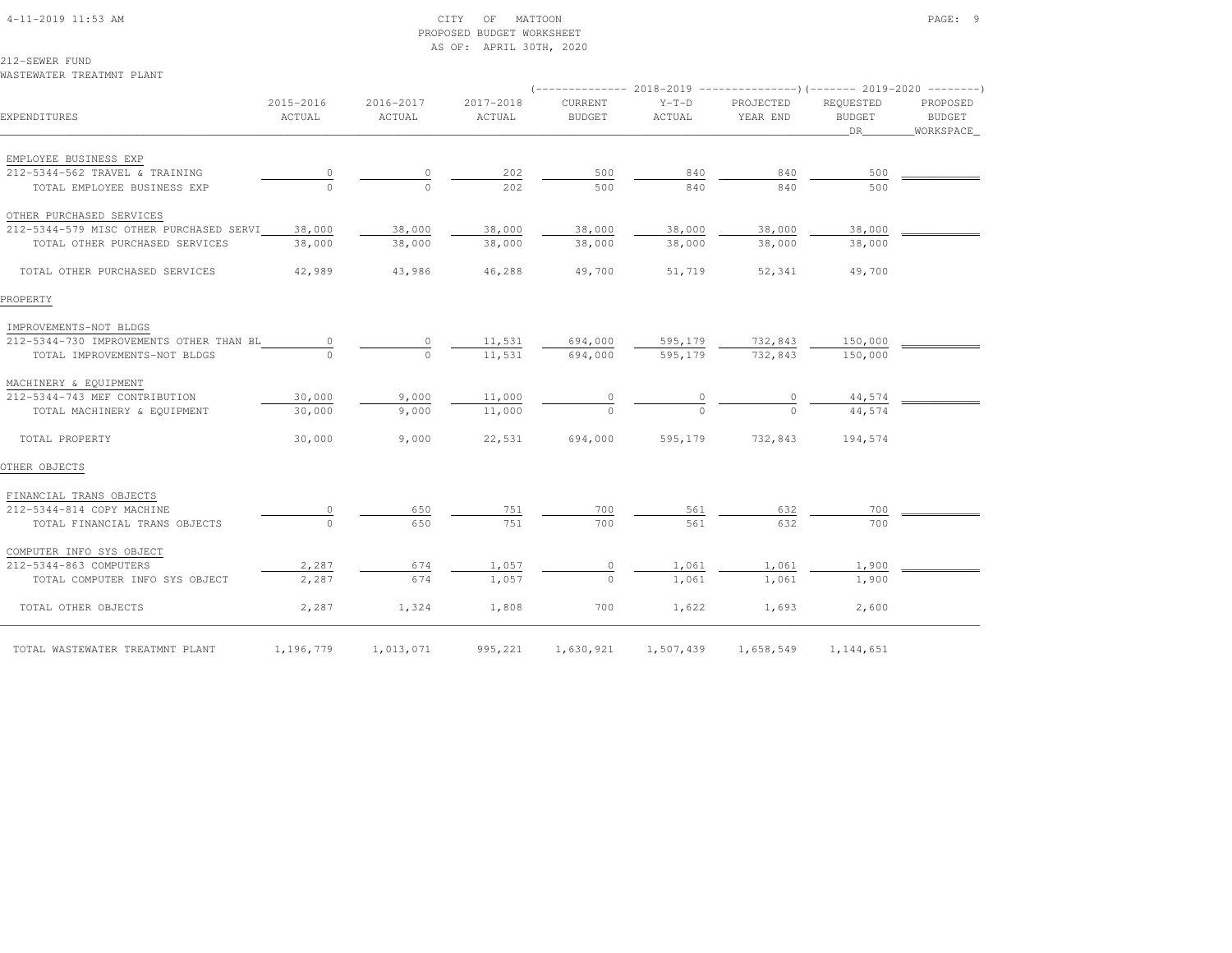#### 4-11-2019 11:53 AM CITY OF MATTOON PAGE: 9 PROPOSED BUDGET WORKSHEETAS OF: APRIL 30TH, 2020

212-SEWER FUNDWASTEWATER TREATMNT PLANT

| EXPENDITURES                            | 2015-2016<br>ACTUAL | 2016-2017<br>ACTUAL | 2017-2018<br>ACTUAL | <b>CURRENT</b><br><b>BUDGET</b> | $Y-T-D$<br>ACTUAL | PROJECTED<br>YEAR END | <b>REOUESTED</b><br><b>BUDGET</b><br>DR. | PROPOSED<br>BUDGET<br>WORKSPACE |  |
|-----------------------------------------|---------------------|---------------------|---------------------|---------------------------------|-------------------|-----------------------|------------------------------------------|---------------------------------|--|
| EMPLOYEE BUSINESS EXP                   |                     |                     |                     |                                 |                   |                       |                                          |                                 |  |
| 212-5344-562 TRAVEL & TRAINING          |                     | 0                   | 202                 | 500                             | 840               | 840                   | 500                                      |                                 |  |
| TOTAL EMPLOYEE BUSINESS EXP             |                     | $\Omega$            | 202                 | 500                             | 840               | 840                   | 500                                      |                                 |  |
| OTHER PURCHASED SERVICES                |                     |                     |                     |                                 |                   |                       |                                          |                                 |  |
| 212-5344-579 MISC OTHER PURCHASED SERVI | 38,000              | 38,000              | 38,000              | 38,000                          | 38,000            | 38,000                | 38,000                                   |                                 |  |
| TOTAL OTHER PURCHASED SERVICES          | 38,000              | 38,000              | 38,000              | 38,000                          | 38,000            | 38,000                | 38,000                                   |                                 |  |
| TOTAL OTHER PURCHASED SERVICES          | 42,989              | 43,986              | 46,288              | 49,700                          | 51,719            | 52,341                | 49,700                                   |                                 |  |
| PROPERTY                                |                     |                     |                     |                                 |                   |                       |                                          |                                 |  |
| IMPROVEMENTS-NOT BLDGS                  |                     |                     |                     |                                 |                   |                       |                                          |                                 |  |
| 212-5344-730 IMPROVEMENTS OTHER THAN BL |                     | $\circ$             | 11,531              | 694,000                         | 595,179           | 732,843               | 150,000                                  |                                 |  |
| TOTAL IMPROVEMENTS-NOT BLDGS            |                     | $\cap$              | 11,531              | 694,000                         | 595,179           | 732,843               | 150,000                                  |                                 |  |
| MACHINERY & EQUIPMENT                   |                     |                     |                     |                                 |                   |                       |                                          |                                 |  |
| 212-5344-743 MEF CONTRIBUTION           | 30,000              | 9,000               | 11,000              |                                 |                   |                       | 44,574                                   |                                 |  |
| TOTAL MACHINERY & EQUIPMENT             | 30,000              | 9,000               | 11,000              | $\Omega$                        |                   |                       | 44,574                                   |                                 |  |
| TOTAL PROPERTY                          | 30,000              | 9,000               | 22,531              | 694,000                         | 595,179           | 732,843               | 194,574                                  |                                 |  |
| OTHER OBJECTS                           |                     |                     |                     |                                 |                   |                       |                                          |                                 |  |
| FINANCIAL TRANS OBJECTS                 |                     |                     |                     |                                 |                   |                       |                                          |                                 |  |
| 212-5344-814 COPY MACHINE               |                     | 650                 | 751                 | 700                             | 561               | 632                   | 700                                      |                                 |  |
| TOTAL FINANCIAL TRANS OBJECTS           | $\Omega$            | 650                 | 751                 | 700                             | 561               | 632                   | 700                                      |                                 |  |
| COMPUTER INFO SYS OBJECT                |                     |                     |                     |                                 |                   |                       |                                          |                                 |  |
| 212-5344-863 COMPUTERS                  | 2,287               | 674                 | 1,057               | 0                               | 1,061             | 1,061                 | 1,900                                    |                                 |  |
| TOTAL COMPUTER INFO SYS OBJECT          | 2,287               | 674                 | 1,057               | $\Omega$                        | 1,061             | 1,061                 | 1,900                                    |                                 |  |
| TOTAL OTHER OBJECTS                     | 2,287               | 1,324               | 1,808               | 700                             | 1,622             | 1,693                 | 2,600                                    |                                 |  |
| TOTAL WASTEWATER TREATMNT PLANT         | 1,196,779           | 1,013,071           | 995,221             | 1,630,921                       | 1,507,439         | 1,658,549             | 1,144,651                                |                                 |  |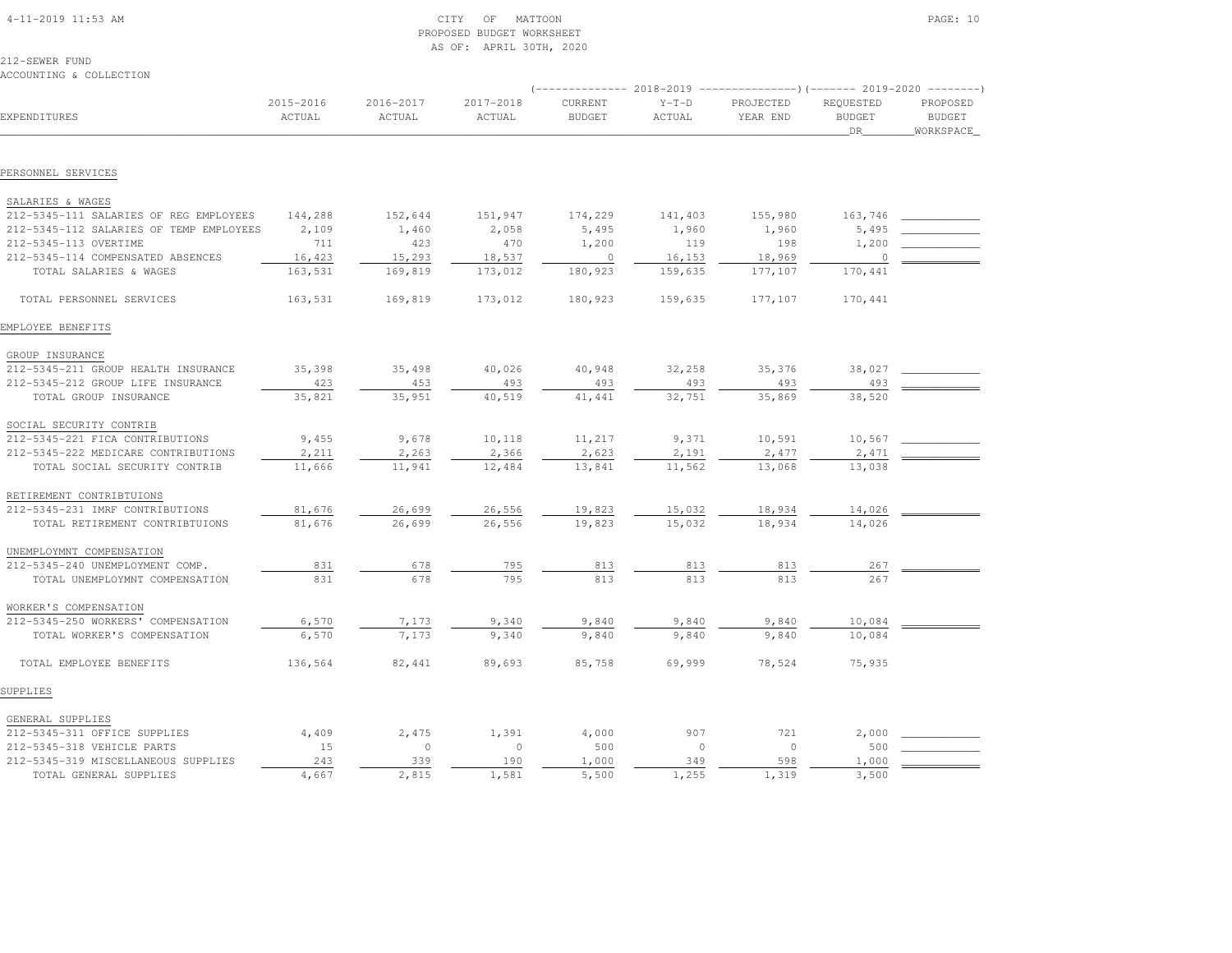| $4-11-2019$ $11:53$ AM |  |
|------------------------|--|
|                        |  |

#### $\begin{array}{ccc} \text{CITY} & \text{OF} & \text{MATION} \end{array}$  PROPOSED BUDGET WORKSHEETAS OF: APRIL 30TH, 2020

212-SEWER FUND

| ACCOUNTING & COLLECTION                                           |                     |                         |                     |                          |                   |                                                                                                  |                                         |                                        |
|-------------------------------------------------------------------|---------------------|-------------------------|---------------------|--------------------------|-------------------|--------------------------------------------------------------------------------------------------|-----------------------------------------|----------------------------------------|
| EXPENDITURES                                                      | 2015-2016<br>ACTUAL | $2016 - 2017$<br>ACTUAL | 2017-2018<br>ACTUAL | CURRENT<br><b>BUDGET</b> | $Y-T-D$<br>ACTUAL | (-------------- 2018-2019 ----------------)(------- 2019-2020 --------)<br>PROJECTED<br>YEAR END | REQUESTED<br><b>BUDGET</b><br><b>DR</b> | PROPOSED<br><b>BUDGET</b><br>WORKSPACE |
| PERSONNEL SERVICES                                                |                     |                         |                     |                          |                   |                                                                                                  |                                         |                                        |
|                                                                   |                     |                         |                     |                          |                   |                                                                                                  |                                         |                                        |
| SALARIES & WAGES                                                  |                     |                         |                     |                          |                   |                                                                                                  |                                         |                                        |
| 212-5345-111 SALARIES OF REG EMPLOYEES                            | 144,288             | 152,644                 | 151,947             | 174,229                  | 141,403           | 155,980                                                                                          | 163,746                                 |                                        |
| 212-5345-112 SALARIES OF TEMP EMPLOYEES                           | 2,109               | 1,460                   | 2,058               | 5,495                    | 1,960             | 1,960                                                                                            | 5,495                                   |                                        |
| 212-5345-113 OVERTIME                                             | 711                 | 423                     | 470                 | 1,200                    | 119               | 198                                                                                              | 1,200                                   |                                        |
| 212-5345-114 COMPENSATED ABSENCES                                 | 16,423              | 15,293                  | 18,537              | $\mathbf{0}$             | 16,153            | 18,969                                                                                           | $\circ$                                 |                                        |
| TOTAL SALARIES & WAGES                                            | 163,531             | 169,819                 | 173,012             | 180,923                  | 159,635           | 177,107                                                                                          | 170,441                                 |                                        |
| TOTAL PERSONNEL SERVICES                                          | 163,531             | 169,819                 | 173,012             | 180,923                  | 159,635           | 177,107                                                                                          | 170,441                                 |                                        |
| EMPLOYEE BENEFITS                                                 |                     |                         |                     |                          |                   |                                                                                                  |                                         |                                        |
| GROUP INSURANCE                                                   |                     |                         |                     |                          |                   |                                                                                                  |                                         |                                        |
| 212-5345-211 GROUP HEALTH INSURANCE                               | 35,398              | 35,498                  | 40,026              | 40,948                   | 32,258            | 35,376                                                                                           | 38,027                                  |                                        |
| 212-5345-212 GROUP LIFE INSURANCE                                 | 423                 | 453                     | 493                 | 493                      | 493               | 493                                                                                              | 493                                     |                                        |
| TOTAL GROUP INSURANCE                                             | 35,821              | 35,951                  | 40,519              | 41, 441                  | 32,751            | 35,869                                                                                           | 38,520                                  |                                        |
| SOCIAL SECURITY CONTRIB                                           |                     |                         |                     |                          |                   |                                                                                                  |                                         |                                        |
| 212-5345-221 FICA CONTRIBUTIONS                                   | 9,455               | 9,678                   | 10,118              | 11,217                   | 9,371             | 10,591                                                                                           | 10,567                                  |                                        |
| 212-5345-222 MEDICARE CONTRIBUTIONS                               | 2,211               | 2,263                   | 2,366               | 2,623                    | 2,191             | 2,477                                                                                            | 2,471                                   |                                        |
| TOTAL SOCIAL SECURITY CONTRIB                                     | 11,666              | 11,941                  | 12,484              | 13,841                   | 11,562            | 13,068                                                                                           | 13,038                                  |                                        |
| RETIREMENT CONTRIBTUIONS                                          |                     |                         |                     |                          |                   |                                                                                                  |                                         |                                        |
| 212-5345-231 IMRF CONTRIBUTIONS                                   | 81,676              | 26,699                  | 26,556              | 19,823                   | 15,032            | 18,934                                                                                           | 14,026                                  |                                        |
| TOTAL RETIREMENT CONTRIBTUIONS                                    | 81,676              | 26,699                  | 26,556              | 19,823                   | 15,032            | 18,934                                                                                           | 14,026                                  |                                        |
|                                                                   |                     |                         |                     |                          |                   |                                                                                                  |                                         |                                        |
| UNEMPLOYMNT COMPENSATION                                          |                     |                         |                     |                          |                   |                                                                                                  |                                         |                                        |
| 212-5345-240 UNEMPLOYMENT COMP.<br>TOTAL UNEMPLOYMNT COMPENSATION | 831<br>831          | 678<br>678              | 795<br>795          | 813<br>813               | 813<br>813        | 813<br>813                                                                                       | 267<br>267                              |                                        |
|                                                                   |                     |                         |                     |                          |                   |                                                                                                  |                                         |                                        |
| WORKER'S COMPENSATION                                             |                     |                         |                     |                          |                   |                                                                                                  |                                         |                                        |
| 212-5345-250 WORKERS' COMPENSATION                                | 6,570               | 7,173                   | 9,340               | 9,840                    | 9,840             | 9,840                                                                                            | 10,084                                  |                                        |
| TOTAL WORKER'S COMPENSATION                                       | 6,570               | 7,173                   | 9,340               | 9,840                    | 9,840             | 9,840                                                                                            | 10,084                                  |                                        |
| TOTAL EMPLOYEE BENEFITS                                           | 136,564             | 82,441                  | 89,693              | 85,758                   | 69,999            | 78,524                                                                                           | 75,935                                  |                                        |
| SUPPLIES                                                          |                     |                         |                     |                          |                   |                                                                                                  |                                         |                                        |
| GENERAL SUPPLIES                                                  |                     |                         |                     |                          |                   |                                                                                                  |                                         |                                        |
| 212-5345-311 OFFICE SUPPLIES                                      | 4,409               | 2,475                   | 1,391               | 4,000                    | 907               | 721                                                                                              | 2,000                                   |                                        |
| 212-5345-318 VEHICLE PARTS                                        | 15                  | $\circ$                 | $\circ$             | 500                      | $\Omega$          | $\circ$                                                                                          | 500                                     |                                        |
| 212-5345-319 MISCELLANEOUS SUPPLIES                               | 243                 | 339                     | 190                 | 1,000                    | 349               | 598                                                                                              | 1,000                                   |                                        |
| TOTAL GENERAL SUPPLIES                                            | 4,667               | 2,815                   | 1,581               | 5,500                    | 1,255             | 1,319                                                                                            | 3,500                                   |                                        |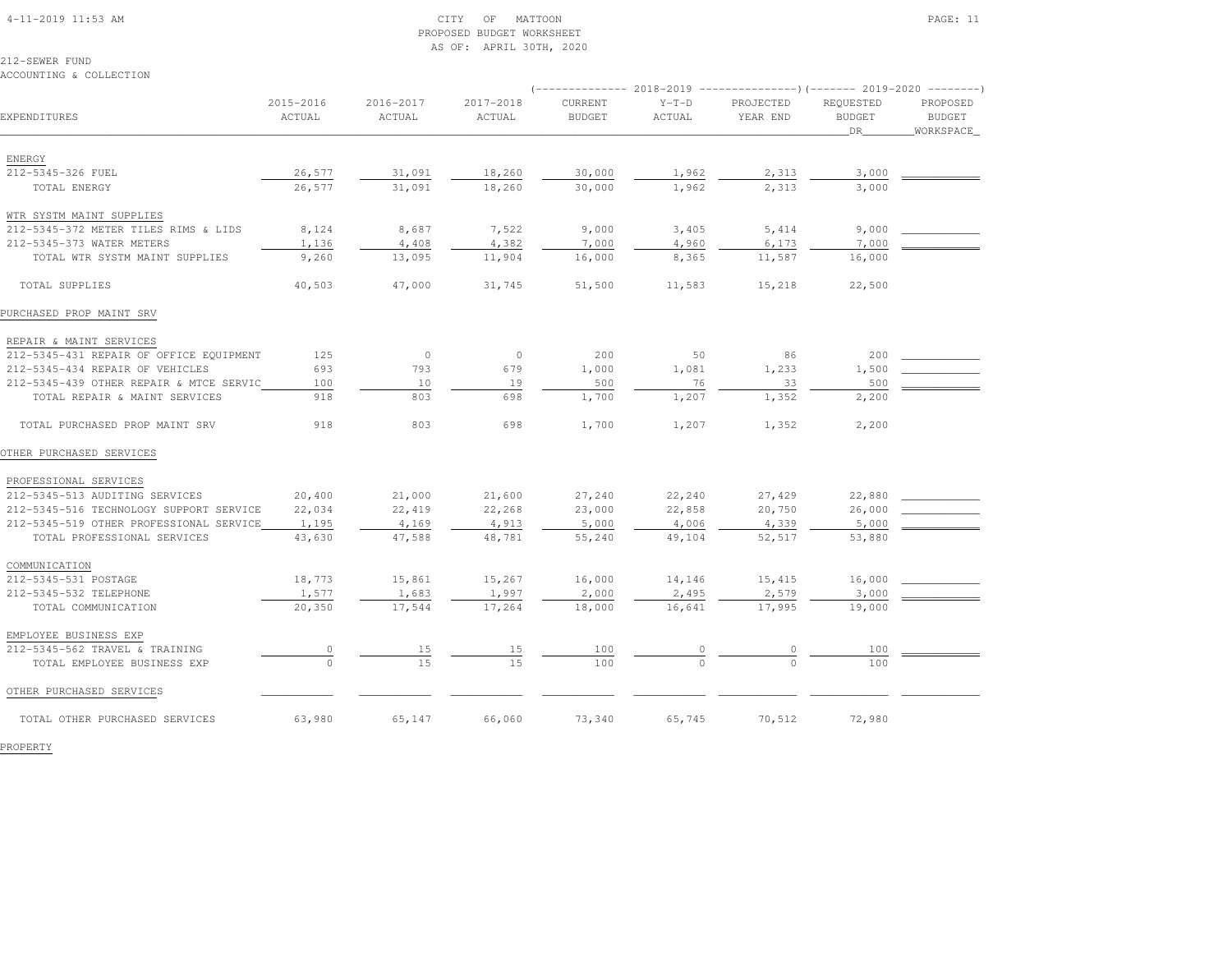#### 4-11-2019 11:53 AM CITY OF MATTOON PAGE: 11 PROPOSED BUDGET WORKSHEETAS OF: APRIL 30TH, 2020

\_\_\_\_\_\_\_\_\_\_\_\_\_\_\_\_\_\_\_\_\_\_\_\_\_\_\_\_\_\_\_\_\_\_\_\_\_\_\_\_\_\_\_\_\_\_\_\_\_\_\_\_\_\_\_\_\_\_\_\_\_\_\_\_\_\_\_\_\_\_\_\_\_\_\_\_\_\_\_\_\_\_\_\_\_\_\_\_\_\_\_\_\_\_\_\_\_\_\_\_\_\_\_\_\_\_\_\_\_\_\_\_\_\_\_\_\_\_\_\_\_\_\_\_\_\_\_\_\_\_DR\_\_\_\_\_\_\_\_WORKSPACE\_

EXPENDITURES ACTUAL ACTUAL ACTUAL BUDGET ACTUAL YEAR END BUDGET BUDGET

212-SEWER FUNDACCOUNTING & COLLECTION

ENERGY

2015-2016 2016-2017 2017-2018 CURRENT Y-T-D PROJECTED REQUESTED PROPOSED

(-------------- 2018-2019 ---------------)(------- 2019-2020 --------)

**BUDGET** 

| 212-5345-326 FUEL                       | 26,577   | 31,091  | 18,260  | 30,000 | 1,962    | 2,313    | 3,000  |  |
|-----------------------------------------|----------|---------|---------|--------|----------|----------|--------|--|
| TOTAL ENERGY                            | 26,577   | 31,091  | 18,260  | 30,000 | 1,962    | 2,313    | 3,000  |  |
| WTR SYSTM MAINT SUPPLIES                |          |         |         |        |          |          |        |  |
| 212-5345-372 METER TILES RIMS & LIDS    | 8,124    | 8,687   | 7,522   | 9,000  | 3,405    | 5, 414   | 9,000  |  |
| 212-5345-373 WATER METERS               | 1,136    | 4,408   | 4,382   | 7,000  | 4,960    | 6,173    | 7,000  |  |
| TOTAL WTR SYSTM MAINT SUPPLIES          | 9,260    | 13,095  | 11,904  | 16,000 | 8,365    | 11,587   | 16,000 |  |
| TOTAL SUPPLIES                          | 40,503   | 47,000  | 31,745  | 51,500 | 11,583   | 15,218   | 22,500 |  |
| PURCHASED PROP MAINT SRV                |          |         |         |        |          |          |        |  |
| REPAIR & MAINT SERVICES                 |          |         |         |        |          |          |        |  |
| 212-5345-431 REPAIR OF OFFICE EQUIPMENT | 125      | $\circ$ | $\circ$ | 200    | 50       | 86       | 200    |  |
| 212-5345-434 REPAIR OF VEHICLES         | 693      | 793     | 679     | 1,000  | 1,081    | 1,233    | 1,500  |  |
| 212-5345-439 OTHER REPAIR & MTCE SERVIC | 100      | 10      | 19      | 500    | 76       | 33       | 500    |  |
| TOTAL REPAIR & MAINT SERVICES           | 918      | 803     | 698     | 1,700  | 1,207    | 1,352    | 2,200  |  |
| TOTAL PURCHASED PROP MAINT SRV          | 918      | 803     | 698     | 1,700  | 1,207    | 1,352    | 2,200  |  |
| OTHER PURCHASED SERVICES                |          |         |         |        |          |          |        |  |
| PROFESSIONAL SERVICES                   |          |         |         |        |          |          |        |  |
| 212-5345-513 AUDITING SERVICES          | 20,400   | 21,000  | 21,600  | 27,240 | 22,240   | 27,429   | 22,880 |  |
| 212-5345-516 TECHNOLOGY SUPPORT SERVICE | 22,034   | 22,419  | 22,268  | 23,000 | 22,858   | 20,750   | 26,000 |  |
| 212-5345-519 OTHER PROFESSIONAL SERVICE | 1,195    | 4,169   | 4,913   | 5,000  | 4,006    | 4,339    | 5,000  |  |
| TOTAL PROFESSIONAL SERVICES             | 43,630   | 47,588  | 48,781  | 55,240 | 49,104   | 52,517   | 53,880 |  |
| COMMUNICATION                           |          |         |         |        |          |          |        |  |
| 212-5345-531 POSTAGE                    | 18,773   | 15,861  | 15,267  | 16,000 | 14,146   | 15,415   | 16,000 |  |
| 212-5345-532 TELEPHONE                  | 1,577    | 1,683   | 1,997   | 2,000  | 2,495    | 2,579    | 3,000  |  |
| TOTAL COMMUNICATION                     | 20,350   | 17,544  | 17,264  | 18,000 | 16,641   | 17,995   | 19,000 |  |
| EMPLOYEE BUSINESS EXP                   |          |         |         |        |          |          |        |  |
| 212-5345-562 TRAVEL & TRAINING          | $\circ$  | 15      | 15      | 100    | 0        | $\circ$  | 100    |  |
| TOTAL EMPLOYEE BUSINESS EXP             | $\Omega$ | 1.5     | 1.5     | 100    | $\Omega$ | $\Omega$ | 100    |  |
| OTHER PURCHASED SERVICES                |          |         |         |        |          |          |        |  |
| TOTAL OTHER PURCHASED SERVICES          | 63,980   | 65,147  | 66,060  | 73,340 | 65,745   | 70,512   | 72,980 |  |

PROPERTY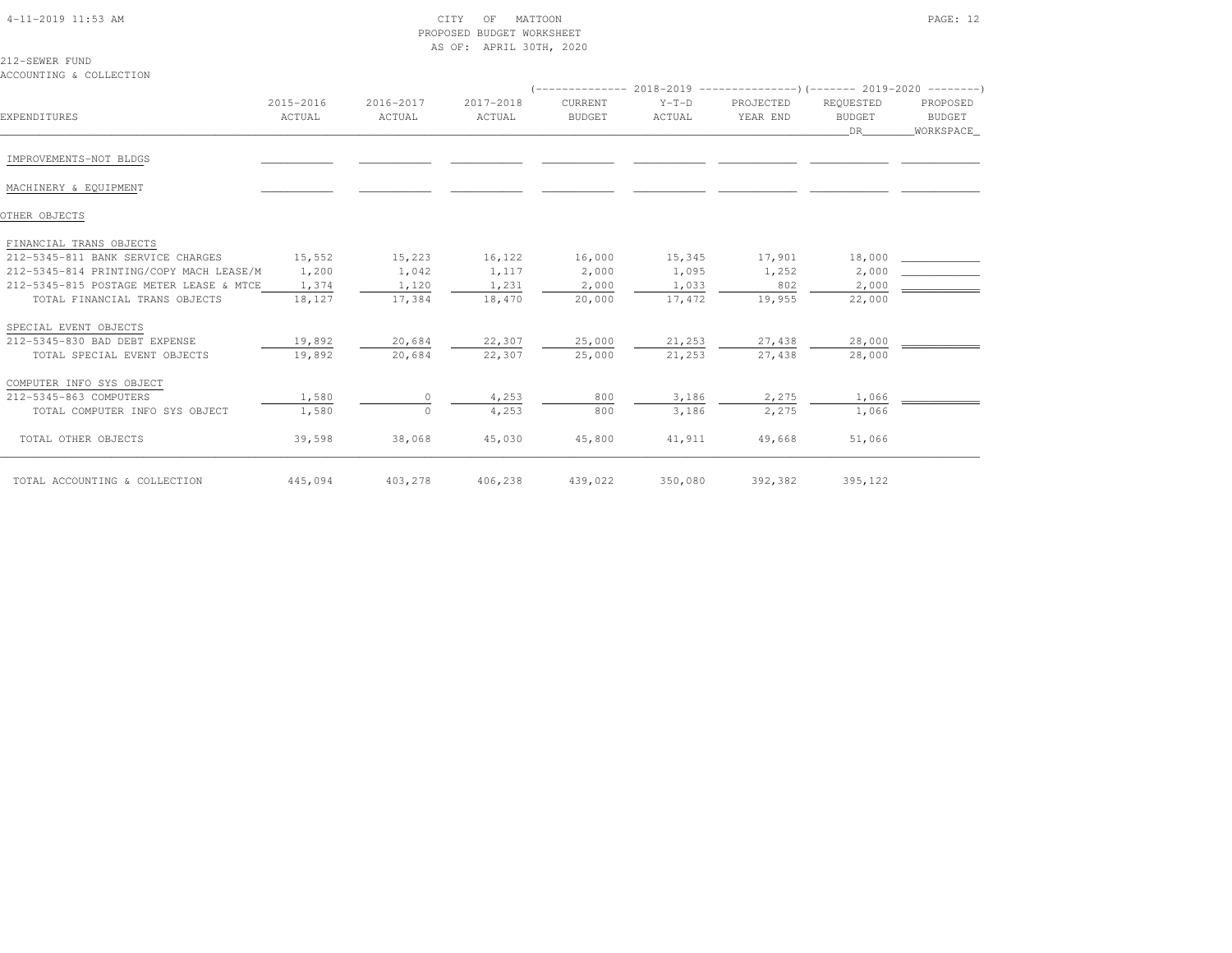| 4-11-2019 11:53 AM |  |
|--------------------|--|

#### 4-11-2019 CITY OF MATTOON PAGE: 12 PROPOSED BUDGET WORKSHEETAS OF: APRIL 30TH, 2020

212-SEWER FUNDACCOUNTING & COLLECTION

|                                         |                     |                     |                     |                          |                   | (-------------- 2018-2019 --------------------- 2019-2020 --------- ) |                                  |                                 |
|-----------------------------------------|---------------------|---------------------|---------------------|--------------------------|-------------------|-----------------------------------------------------------------------|----------------------------------|---------------------------------|
| EXPENDITURES                            | 2015-2016<br>ACTUAL | 2016-2017<br>ACTUAL | 2017-2018<br>ACTUAL | CURRENT<br><b>BUDGET</b> | $Y-T-D$<br>ACTUAL | PROJECTED<br>YEAR END                                                 | REQUESTED<br><b>BUDGET</b><br>DR | PROPOSED<br>BUDGET<br>WORKSPACE |
| IMPROVEMENTS-NOT BLDGS                  |                     |                     |                     |                          |                   |                                                                       |                                  |                                 |
|                                         |                     |                     |                     |                          |                   |                                                                       |                                  |                                 |
| MACHINERY & EQUIPMENT                   |                     |                     |                     |                          |                   |                                                                       |                                  |                                 |
| OTHER OBJECTS                           |                     |                     |                     |                          |                   |                                                                       |                                  |                                 |
| FINANCIAL TRANS OBJECTS                 |                     |                     |                     |                          |                   |                                                                       |                                  |                                 |
| 212-5345-811 BANK SERVICE CHARGES       | 15,552              | 15,223              | 16,122              | 16,000                   | 15,345            | 17,901                                                                | 18,000                           |                                 |
| 212-5345-814 PRINTING/COPY MACH LEASE/M | 1,200               | 1,042               | 1,117               | 2,000                    | 1,095             | 1,252                                                                 | 2,000                            |                                 |
| 212-5345-815 POSTAGE METER LEASE & MTCE | 1,374               | 1,120               | 1,231               | 2,000                    | 1,033             | 802                                                                   | 2,000                            |                                 |
| TOTAL FINANCIAL TRANS OBJECTS           | 18,127              | 17,384              | 18,470              | 20,000                   | 17,472            | 19,955                                                                | 22,000                           |                                 |
| SPECIAL EVENT OBJECTS                   |                     |                     |                     |                          |                   |                                                                       |                                  |                                 |
| 212-5345-830 BAD DEBT EXPENSE           | 19,892              | 20,684              | 22,307              | 25,000                   | 21,253            | 27,438                                                                | 28,000                           |                                 |
| TOTAL SPECIAL EVENT OBJECTS             | 19,892              | 20,684              | 22,307              | 25,000                   | 21,253            | 27,438                                                                | 28,000                           |                                 |
| COMPUTER INFO SYS OBJECT                |                     |                     |                     |                          |                   |                                                                       |                                  |                                 |
| 212-5345-863 COMPUTERS                  | 1,580               | $\circ$             | 4,253               | 800                      | 3,186             | 2,275                                                                 | 1,066                            |                                 |
| TOTAL COMPUTER INFO SYS OBJECT          | 1,580               | $\circ$             | 4,253               | 800                      | 3,186             | 2,275                                                                 | 1,066                            |                                 |
| TOTAL OTHER OBJECTS                     | 39,598              | 38,068              | 45,030              | 45,800                   | 41,911            | 49,668                                                                | 51,066                           |                                 |
| TOTAL ACCOUNTING & COLLECTION           | 445,094             | 403,278             | 406,238             | 439,022                  | 350,080           | 392,382                                                               | 395,122                          |                                 |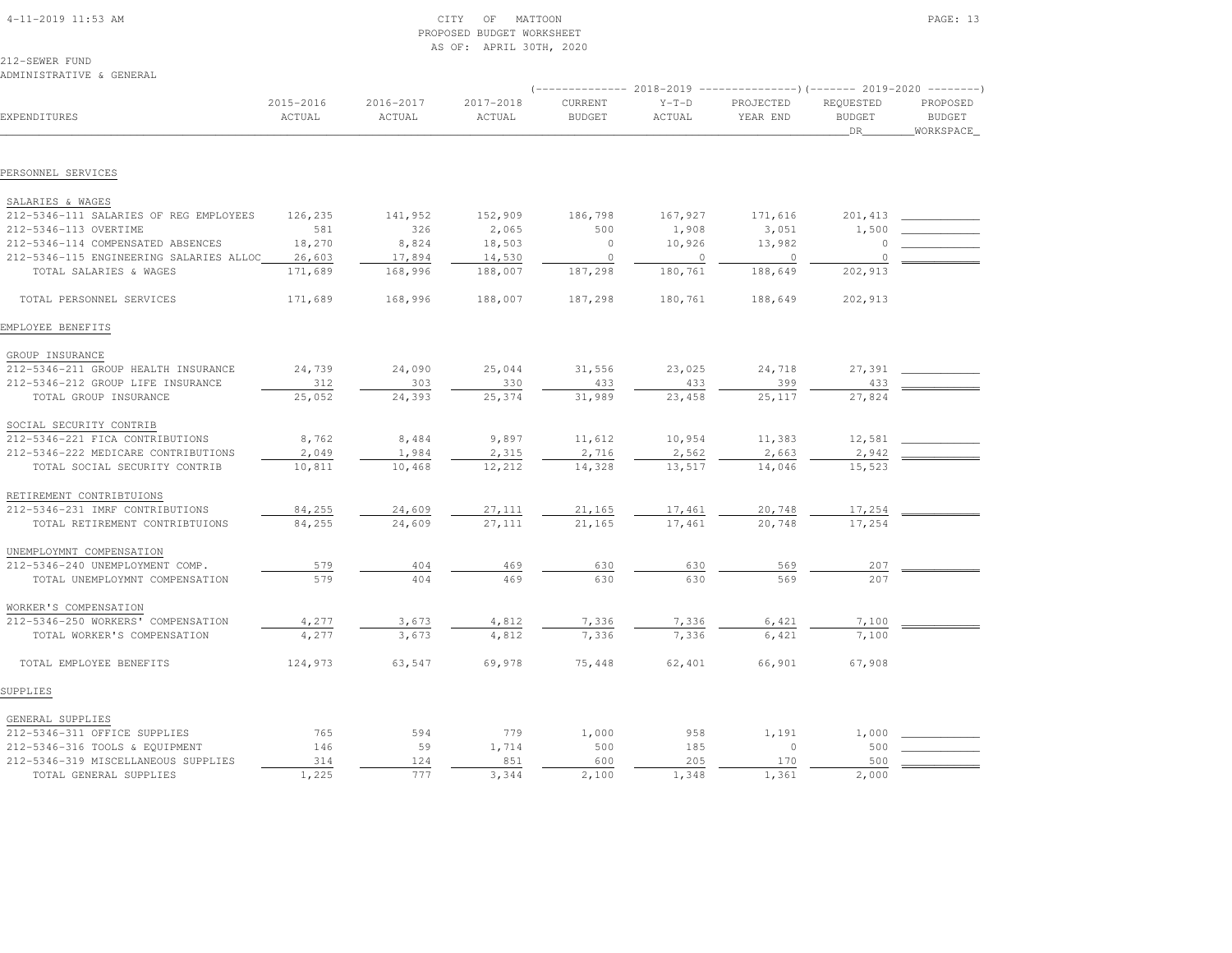| 4-11-2019 11:53 AM |  |
|--------------------|--|

# $\begin{array}{ccc} \text{CITY} & \text{OF} & \text{MATTON} \end{array}$  PROPOSED BUDGET WORKSHEETAS OF: APRIL 30TH, 2020

212-SEWER FUND

ADMINISTRATIVE & GENERAL

|                                         |                     |                     |                     | $-------- 2018-2019$     |                   | ----------------) (------- 2019-2020 ---------) |                                         |                                         |
|-----------------------------------------|---------------------|---------------------|---------------------|--------------------------|-------------------|-------------------------------------------------|-----------------------------------------|-----------------------------------------|
| EXPENDITURES                            | 2015-2016<br>ACTUAL | 2016-2017<br>ACTUAL | 2017-2018<br>ACTUAL | CURRENT<br><b>BUDGET</b> | $Y-T-D$<br>ACTUAL | PROJECTED<br>YEAR END                           | REQUESTED<br><b>BUDGET</b><br><b>DR</b> | PROPOSED<br><b>BUDGET</b><br>WORKSPACE_ |
|                                         |                     |                     |                     |                          |                   |                                                 |                                         |                                         |
| PERSONNEL SERVICES                      |                     |                     |                     |                          |                   |                                                 |                                         |                                         |
| SALARIES & WAGES                        |                     |                     |                     |                          |                   |                                                 |                                         |                                         |
| 212-5346-111 SALARIES OF REG EMPLOYEES  | 126,235             | 141,952             | 152,909             | 186,798                  | 167,927           | 171,616                                         | 201,413                                 |                                         |
| 212-5346-113 OVERTIME                   | 581                 | 326                 | 2,065               | 500                      | 1,908             | 3,051                                           | 1,500                                   |                                         |
| 212-5346-114 COMPENSATED ABSENCES       | 18,270              | 8,824               | 18,503              | $\circ$                  | 10,926            | 13,982                                          |                                         |                                         |
| 212-5346-115 ENGINEERING SALARIES ALLOC | 26,603              | 17,894              | 14,530              | $\circ$                  | $\circ$           | $\circ$                                         | $\Omega$                                |                                         |
| TOTAL SALARIES & WAGES                  | 171,689             | 168,996             | 188,007             | 187,298                  | 180,761           | 188,649                                         | 202,913                                 |                                         |
| TOTAL PERSONNEL SERVICES                | 171,689             | 168,996             | 188,007             | 187,298                  | 180,761           | 188,649                                         | 202,913                                 |                                         |
| EMPLOYEE BENEFITS                       |                     |                     |                     |                          |                   |                                                 |                                         |                                         |
| GROUP INSURANCE                         |                     |                     |                     |                          |                   |                                                 |                                         |                                         |
| 212-5346-211 GROUP HEALTH INSURANCE     | 24,739              | 24,090              | 25,044              | 31,556                   | 23,025            | 24,718                                          | 27,391                                  |                                         |
| 212-5346-212 GROUP LIFE INSURANCE       | 312                 | 303                 | 330                 | 433                      | 433               | 399                                             | 433                                     |                                         |
| TOTAL GROUP INSURANCE                   | 25,052              | 24,393              | 25,374              | 31,989                   | 23,458            | 25,117                                          | 27,824                                  |                                         |
| SOCIAL SECURITY CONTRIB                 |                     |                     |                     |                          |                   |                                                 |                                         |                                         |
| 212-5346-221 FICA CONTRIBUTIONS         | 8,762               | 8,484               | 9,897               | 11,612                   | 10,954            | 11,383                                          | 12,581                                  |                                         |
| 212-5346-222 MEDICARE CONTRIBUTIONS     | 2,049               | 1,984               | 2,315               | 2,716                    | 2,562             | 2,663                                           | 2,942                                   |                                         |
| TOTAL SOCIAL SECURITY CONTRIB           | 10,811              | 10,468              | 12,212              | 14,328                   | 13,517            | 14,046                                          | 15,523                                  |                                         |
| RETIREMENT CONTRIBTUIONS                |                     |                     |                     |                          |                   |                                                 |                                         |                                         |
| 212-5346-231 IMRF CONTRIBUTIONS         | 84,255              | 24,609              | 27,111              | 21,165                   | 17,461            | 20,748                                          | 17,254                                  |                                         |
| TOTAL RETIREMENT CONTRIBTUIONS          | 84,255              | 24,609              | 27,111              | 21,165                   | 17,461            | 20,748                                          | 17,254                                  |                                         |
| UNEMPLOYMNT COMPENSATION                |                     |                     |                     |                          |                   |                                                 |                                         |                                         |
| 212-5346-240 UNEMPLOYMENT COMP.         | 579                 | 404                 | 469                 | 630                      | 630               | 569                                             | 207                                     |                                         |
| TOTAL UNEMPLOYMNT COMPENSATION          | 579                 | 404                 | 469                 | 630                      | 630               | 569                                             | 207                                     |                                         |
| WORKER'S COMPENSATION                   |                     |                     |                     |                          |                   |                                                 |                                         |                                         |
| 212-5346-250 WORKERS' COMPENSATION      | 4,277               | 3,673               | 4,812               | 7,336                    | 7,336             | 6,421                                           | 7,100                                   |                                         |
| TOTAL WORKER'S COMPENSATION             | 4,277               | 3,673               | 4,812               | 7,336                    | 7,336             | 6,421                                           | 7,100                                   |                                         |
| TOTAL EMPLOYEE BENEFITS                 | 124,973             | 63,547              | 69,978              | 75,448                   | 62,401            | 66,901                                          | 67,908                                  |                                         |
| SUPPLIES                                |                     |                     |                     |                          |                   |                                                 |                                         |                                         |
| GENERAL SUPPLIES                        |                     |                     |                     |                          |                   |                                                 |                                         |                                         |
| 212-5346-311 OFFICE SUPPLIES            | 765                 | 594                 | 779                 | 1,000                    | 958               | 1,191                                           | 1,000                                   |                                         |
| 212-5346-316 TOOLS & EQUIPMENT          | 146                 | 59                  | 1,714               | 500                      | 185               | $\circ$                                         | 500                                     |                                         |
| 212-5346-319 MISCELLANEOUS SUPPLIES     | 314                 | 124                 | 851                 | 600                      | 205               | 170                                             | 500                                     |                                         |
| TOTAL GENERAL SUPPLIES                  | 1,225               | 777                 | 3,344               | 2,100                    | 1,348             | 1,361                                           | 2,000                                   |                                         |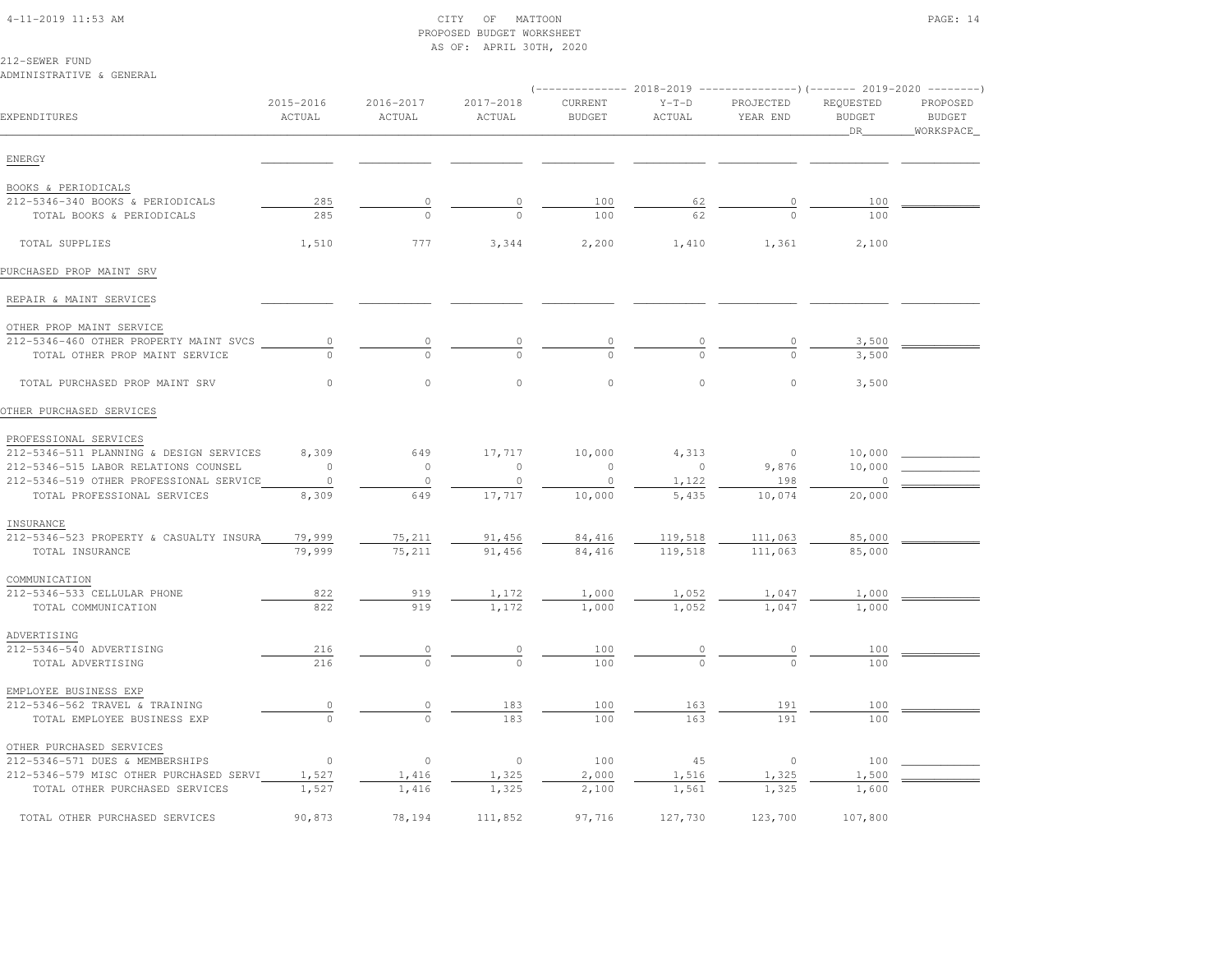#### 4-11-2019 11:53 AM CITY OF MATTOON PAGE: 14 PROPOSED BUDGET WORKSHEETAS OF: APRIL 30TH, 2020

212-SEWER FUND

| ADMINISTRATIVE & GENERAL                |                     |                     |                     |                          |                   |                       | (-------------- 2018-2019 ----------------)(------- 2019-2020 -------- |                                        |
|-----------------------------------------|---------------------|---------------------|---------------------|--------------------------|-------------------|-----------------------|------------------------------------------------------------------------|----------------------------------------|
| EXPENDITURES                            | 2015-2016<br>ACTUAL | 2016-2017<br>ACTUAL | 2017-2018<br>ACTUAL | CURRENT<br><b>BUDGET</b> | $Y-T-D$<br>ACTUAL | PROJECTED<br>YEAR END | REQUESTED<br><b>BUDGET</b><br>_DR_                                     | PROPOSED<br><b>BUDGET</b><br>WORKSPACE |
| ENERGY                                  |                     |                     |                     |                          |                   |                       |                                                                        |                                        |
| BOOKS & PERIODICALS                     |                     |                     |                     |                          |                   |                       |                                                                        |                                        |
| 212-5346-340 BOOKS & PERIODICALS        | 285                 | $\circ$             | $\circ$             | 100                      | 62                | $\circ$               | 100                                                                    |                                        |
| TOTAL BOOKS & PERIODICALS               | 285                 | $\Omega$            |                     | 100                      | 62                |                       | 100                                                                    |                                        |
| TOTAL SUPPLIES                          | 1,510               | 777                 | 3,344               | 2,200                    | 1,410             | 1,361                 | 2,100                                                                  |                                        |
| PURCHASED PROP MAINT SRV                |                     |                     |                     |                          |                   |                       |                                                                        |                                        |
| REPAIR & MAINT SERVICES                 |                     |                     |                     |                          |                   |                       |                                                                        |                                        |
| OTHER PROP MAINT SERVICE                |                     |                     |                     |                          |                   |                       |                                                                        |                                        |
| 212-5346-460 OTHER PROPERTY MAINT SVCS  | $\circ$             | $\circ$             | $\Omega$            | 0                        |                   | $\circ$               | 3,500                                                                  |                                        |
| TOTAL OTHER PROP MAINT SERVICE          | $\cap$              | $\circ$             | $\Omega$            | $\Omega$                 | $\Omega$          | $\Omega$              | 3,500                                                                  |                                        |
| TOTAL PURCHASED PROP MAINT SRV          | $\circ$             | $\circ$             | $\circ$             | $\circ$                  | $\circ$           | $\mathsf{O}\xspace$   | 3,500                                                                  |                                        |
| OTHER PURCHASED SERVICES                |                     |                     |                     |                          |                   |                       |                                                                        |                                        |
| PROFESSIONAL SERVICES                   |                     |                     |                     |                          |                   |                       |                                                                        |                                        |
| 212-5346-511 PLANNING & DESIGN SERVICES | 8,309               | 649                 | 17,717              | 10,000                   | 4,313             | $\circ$               | 10,000                                                                 |                                        |
| 212-5346-515 LABOR RELATIONS COUNSEL    | $\Omega$            | $\circ$             | $\circ$             | $\mathbf{0}$             | $\circ$           | 9,876                 | 10,000                                                                 |                                        |
| 212-5346-519 OTHER PROFESSIONAL SERVICE | $\circ$             | $\circ$             | $\circ$             | $\mathbf{0}$             | 1,122             | 198                   | $\Omega$                                                               |                                        |
| TOTAL PROFESSIONAL SERVICES             | 8,309               | 649                 | 17,717              | 10,000                   | 5,435             | 10,074                | 20,000                                                                 |                                        |
| INSURANCE                               |                     |                     |                     |                          |                   |                       |                                                                        |                                        |
| 212-5346-523 PROPERTY & CASUALTY INSURA | 79,999              | 75,211              | 91,456              | 84,416                   | 119,518           | 111,063               | 85,000                                                                 |                                        |
| TOTAL INSURANCE                         | 79,999              | 75,211              | 91,456              | 84,416                   | 119,518           | 111,063               | 85,000                                                                 |                                        |
| COMMUNICATION                           |                     |                     |                     |                          |                   |                       |                                                                        |                                        |
| 212-5346-533 CELLULAR PHONE             | 822                 | 919                 | 1,172               | 1,000                    | 1,052             | 1,047                 | 1,000                                                                  |                                        |
| TOTAL COMMUNICATION                     | 822                 | 919                 | 1,172               | 1,000                    | 1,052             | 1,047                 | 1,000                                                                  |                                        |
| ADVERTISING<br>212-5346-540 ADVERTISING | 216                 |                     |                     | 100                      |                   |                       |                                                                        |                                        |
| TOTAL ADVERTISING                       | 216                 | 0                   | $\circ$<br>$\Omega$ | 100                      |                   |                       | 100<br>100                                                             |                                        |
| EMPLOYEE BUSINESS EXP                   |                     |                     |                     |                          |                   |                       |                                                                        |                                        |
| 212-5346-562 TRAVEL & TRAINING          | $\overline{0}$      | $\circ$             | 183                 | 100                      | 163               | 191                   | 100                                                                    |                                        |
| TOTAL EMPLOYEE BUSINESS EXP             | $\Omega$            | $\Omega$            | 183                 | 100                      | 163               | 191                   | 100                                                                    |                                        |
| OTHER PURCHASED SERVICES                |                     |                     |                     |                          |                   |                       |                                                                        |                                        |
| 212-5346-571 DUES & MEMBERSHIPS         | $\circ$             | $\circ$             | $\circ$             | 100                      | 45                | $\circ$               | 100                                                                    |                                        |
| 212-5346-579 MISC OTHER PURCHASED SERVI | 1,527               | 1,416               | 1,325               | 2,000                    | 1,516             | 1,325                 | 1,500                                                                  |                                        |
| TOTAL OTHER PURCHASED SERVICES          | 1,527               | 1,416               | 1,325               | 2,100                    | 1,561             | 1,325                 | 1,600                                                                  |                                        |
| TOTAL OTHER PURCHASED SERVICES          | 90,873              | 78,194              | 111,852             | 97,716                   | 127,730           | 123,700               | 107,800                                                                |                                        |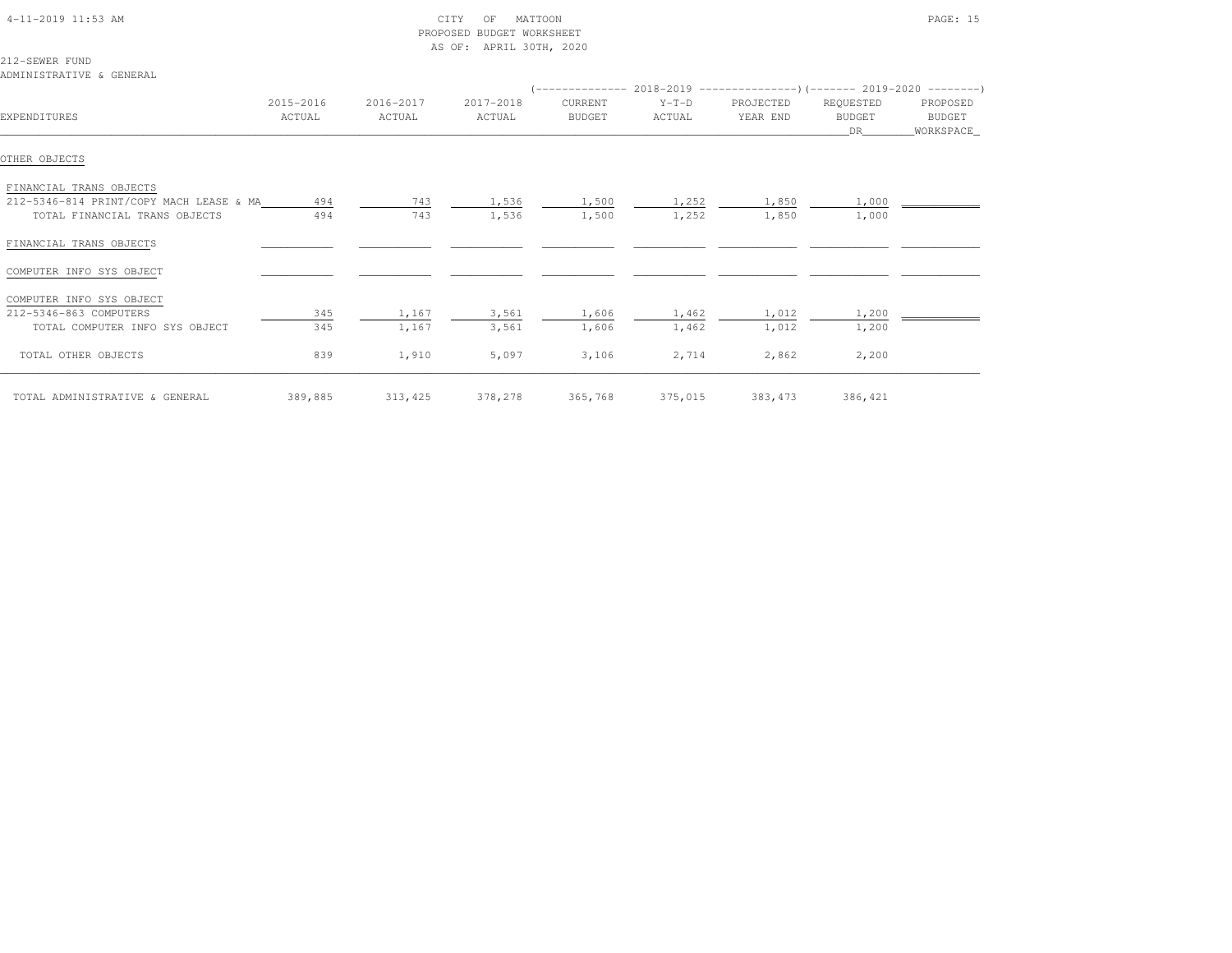| 4-11-2019 11:53 AM                         | CITY<br>OF<br>MATTOON<br>PROPOSED BUDGET WORKSHEET<br>AS OF: APRIL 30TH, 2020 |           |           |                                                                          |         |           |               | PAGE: 15              |
|--------------------------------------------|-------------------------------------------------------------------------------|-----------|-----------|--------------------------------------------------------------------------|---------|-----------|---------------|-----------------------|
| 212-SEWER FUND<br>ADMINISTRATIVE & GENERAL |                                                                               |           |           |                                                                          |         |           |               |                       |
|                                            |                                                                               |           |           | $($ -------------- 2018-2019 ----------------------- 2019-2020 --------- |         |           |               |                       |
|                                            | 2015-2016                                                                     | 2016-2017 | 2017-2018 | CURRENT                                                                  | $Y-T-D$ | PROJECTED | REQUESTED     | PROPOSED              |
| <b>EXPENDITURES</b>                        | ACTUAL                                                                        | ACTUAL    | ACTUAL    | BUDGET                                                                   | ACTUAL  | YEAR END  | BUDGET<br>DR. | BUDGET<br>_WORKSPACE_ |
|                                            |                                                                               |           |           |                                                                          |         |           |               |                       |
| OTHER OBJECTS                              |                                                                               |           |           |                                                                          |         |           |               |                       |
| FINANCIAL TRANS OBJECTS                    |                                                                               |           |           |                                                                          |         |           |               |                       |
| 212-5346-814 PRINT/COPY MACH LEASE & MA    | 494                                                                           | 743       | 1,536     | 1,500                                                                    | 1,252   | 1,850     | 1,000         |                       |
| TOTAL FINANCIAL TRANS OBJECTS              | 494                                                                           | 743       | 1,536     | 1,500                                                                    | 1,252   | 1,850     | 1,000         |                       |
| FINANCIAL TRANS OBJECTS                    |                                                                               |           |           |                                                                          |         |           |               |                       |
| COMPUTER INFO SYS OBJECT                   |                                                                               |           |           |                                                                          |         |           |               |                       |
| COMPUTER INFO SYS OBJECT                   |                                                                               |           |           |                                                                          |         |           |               |                       |
| 212-5346-863 COMPUTERS                     | 345                                                                           | 1,167     | 3,561     | 1,606                                                                    | 1,462   | 1,012     | 1,200         |                       |
| TOTAL COMPUTER INFO SYS OBJECT             | 345                                                                           | 1,167     | 3,561     | 1,606                                                                    | 1,462   | 1,012     | 1,200         |                       |
| TOTAL OTHER OBJECTS                        | 839                                                                           | 1,910     | 5,097     | 3,106                                                                    | 2,714   | 2,862     | 2,200         |                       |
| TOTAL ADMINISTRATIVE & GENERAL             | 389,885                                                                       | 313,425   | 378,278   | 365,768                                                                  | 375,015 | 383, 473  | 386,421       |                       |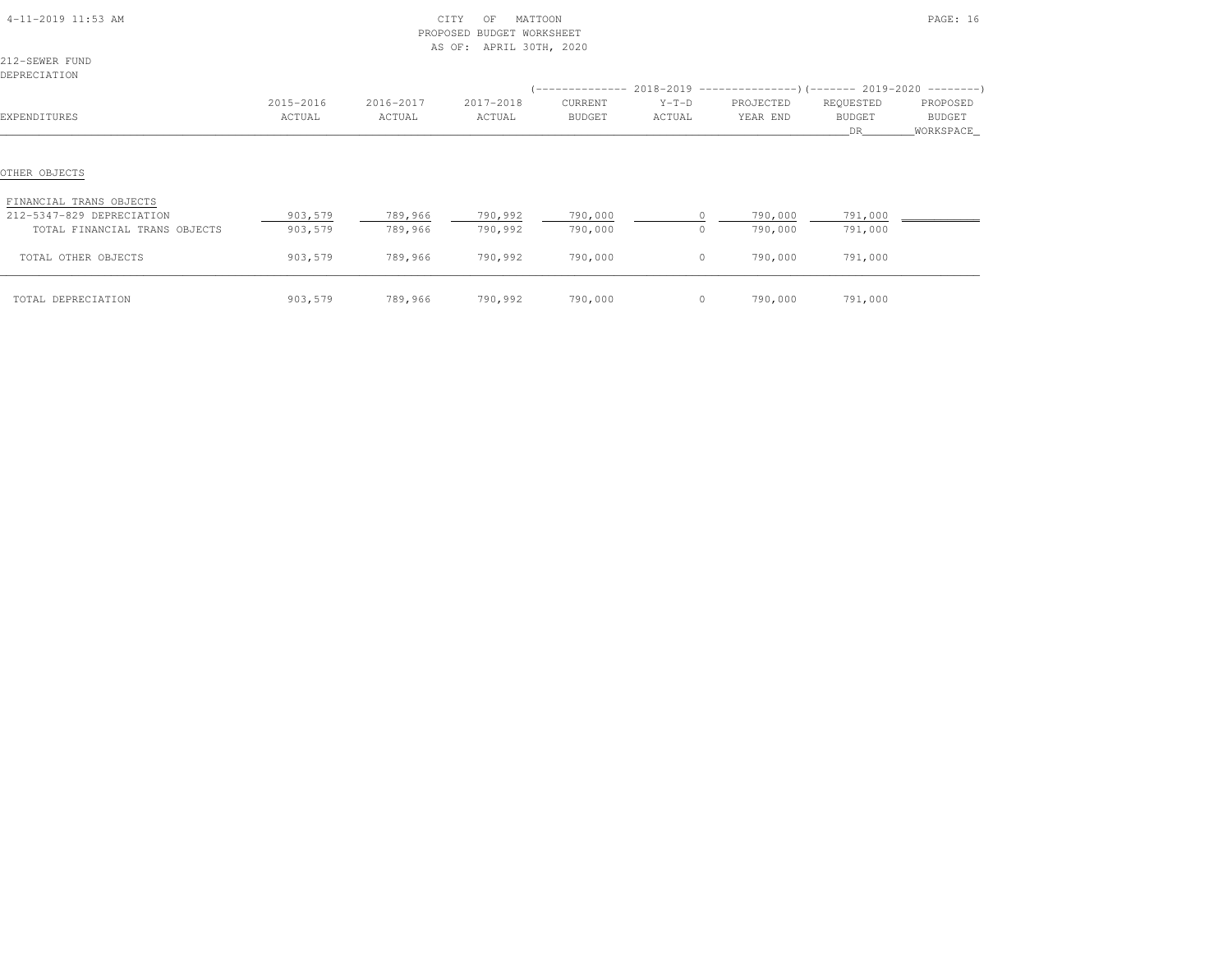| 4-11-2019 11:53 AM                                   |                     | PROPOSED            | CITY<br>MATTOON<br>OF<br>BUDGET WORKSHEET<br>AS OF: APRIL 30TH, 2020 |                    |                    |                       |                            | PAGE: 16                         |
|------------------------------------------------------|---------------------|---------------------|----------------------------------------------------------------------|--------------------|--------------------|-----------------------|----------------------------|----------------------------------|
| 212-SEWER FUND<br>DEPRECIATION                       |                     |                     |                                                                      |                    |                    |                       |                            |                                  |
| EXPENDITURES                                         | 2015-2016<br>ACTUAL | 2016-2017<br>ACTUAL | 2017-2018<br>ACTUAL                                                  | CURRENT<br>BUDGET  | $Y-T-D$<br>ACTUAL  | PROJECTED<br>YEAR END | REQUESTED<br>BUDGET<br>DR. | PROPOSED<br>BUDGET<br>WORKSPACE_ |
| OTHER OBJECTS                                        |                     |                     |                                                                      |                    |                    |                       |                            |                                  |
| FINANCIAL TRANS OBJECTS<br>212-5347-829 DEPRECIATION | 903,579             | 789,966             | 790,992                                                              | 790,000            |                    | 790,000               | 791,000                    |                                  |
| TOTAL FINANCIAL TRANS OBJECTS<br>TOTAL OTHER OBJECTS | 903,579<br>903,579  | 789,966<br>789,966  | 790,992<br>790,992                                                   | 790,000<br>790,000 | $\circ$<br>$\circ$ | 790,000<br>790,000    | 791,000<br>791,000         |                                  |
| TOTAL DEPRECIATION                                   | 903,579             | 789,966             | 790,992                                                              | 790,000            | $\overline{0}$     | 790,000               | 791,000                    |                                  |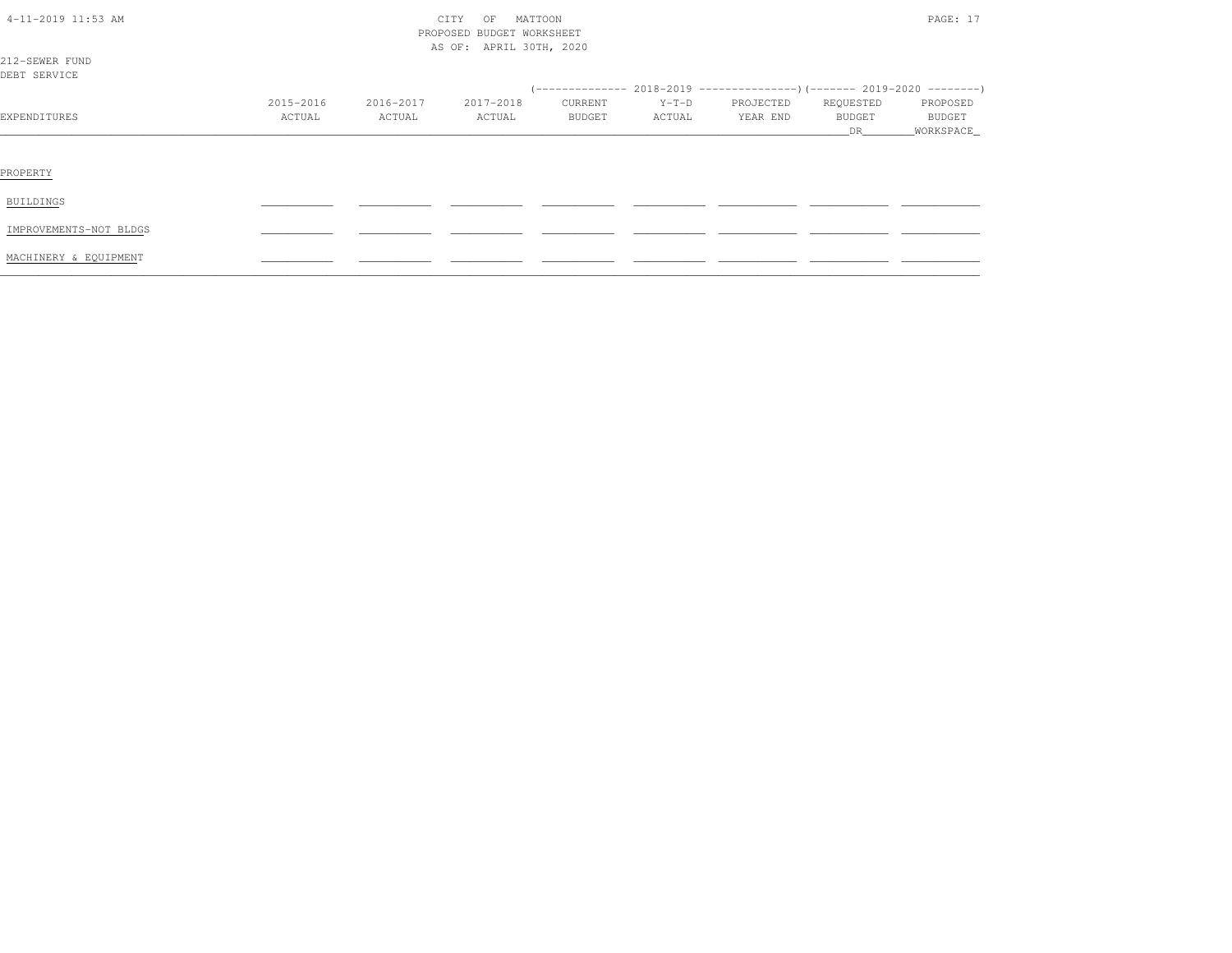| 4-11-2019 11:53 AM             |                     | CITY<br>PROPOSED BUDGET WORKSHEET |                         | PAGE: 17          |                   |                       |                                  |                                   |
|--------------------------------|---------------------|-----------------------------------|-------------------------|-------------------|-------------------|-----------------------|----------------------------------|-----------------------------------|
| 212-SEWER FUND<br>DEBT SERVICE |                     |                                   | AS OF: APRIL 30TH, 2020 |                   |                   |                       |                                  |                                   |
| EXPENDITURES                   | 2015-2016<br>ACTUAL | 2016-2017<br>ACTUAL               | 2017-2018<br>ACTUAL     | CURRENT<br>BUDGET | $Y-T-D$<br>ACTUAL | PROJECTED<br>YEAR END | REQUESTED<br><b>BUDGET</b><br>DR | PROPOSED<br>BUDGET<br>_WORKSPACE_ |
| PROPERTY                       |                     |                                   |                         |                   |                   |                       |                                  |                                   |
| BUILDINGS                      |                     |                                   |                         |                   |                   |                       |                                  |                                   |
| IMPROVEMENTS-NOT BLDGS         |                     |                                   |                         |                   |                   |                       |                                  |                                   |
| MACHINERY & EQUIPMENT          |                     |                                   |                         |                   |                   |                       |                                  |                                   |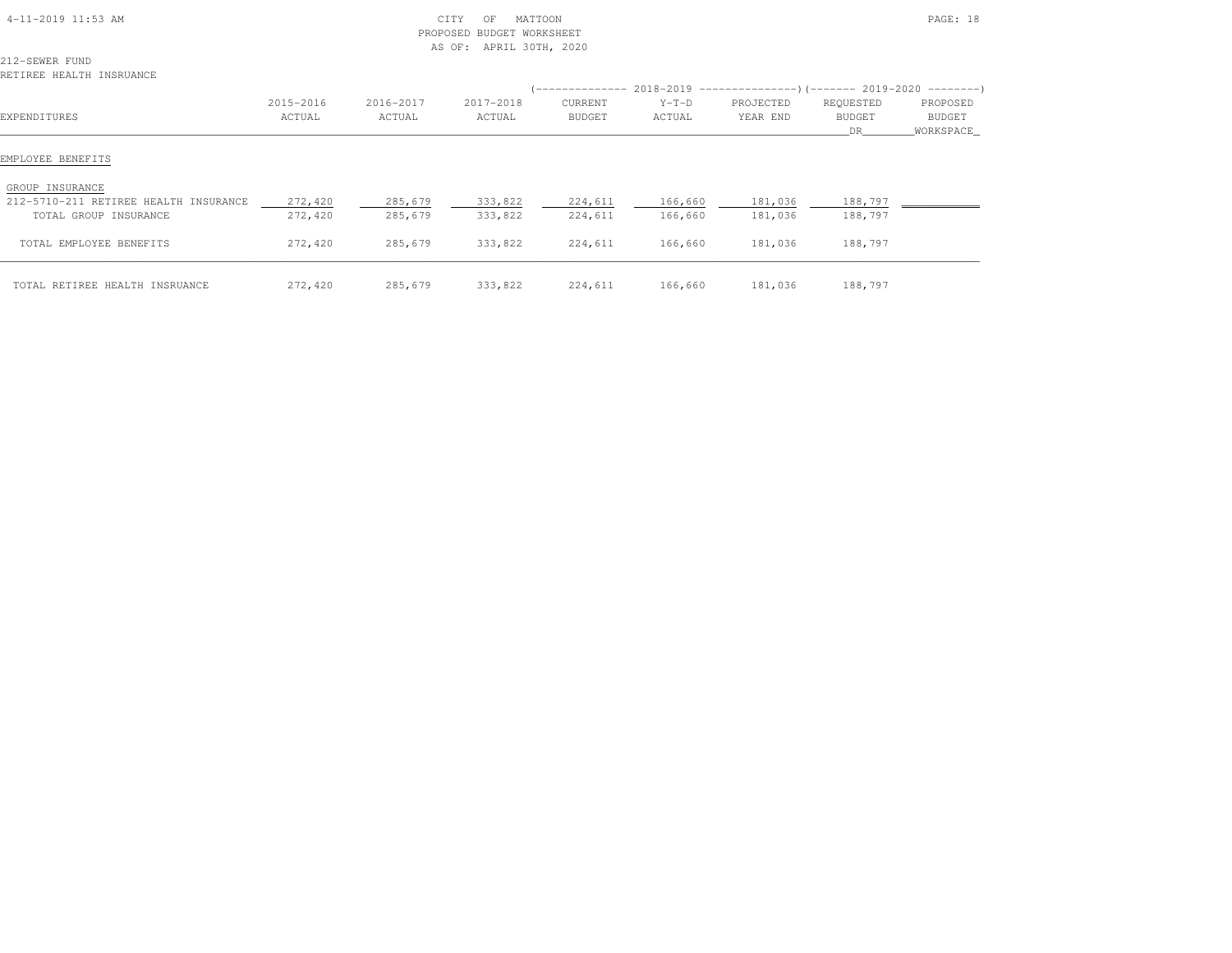| $4-11-2019$ 11:53 AM                                     |                     | PROPOSED            | CITY<br>MATTOON<br>OF<br><b>BUDGET WORKSHEET</b><br>AS OF:<br>APRIL 30TH, 2020 |                          |                                                                                                        |                       |                                   | PAGE: 18                         |
|----------------------------------------------------------|---------------------|---------------------|--------------------------------------------------------------------------------|--------------------------|--------------------------------------------------------------------------------------------------------|-----------------------|-----------------------------------|----------------------------------|
| 212-SEWER FUND<br>RETIREE HEALTH INSRUANCE               |                     |                     |                                                                                |                          |                                                                                                        |                       |                                   |                                  |
| EXPENDITURES                                             | 2015-2016<br>ACTUAL | 2016-2017<br>ACTUAL | 2017-2018<br>ACTUAL                                                            | CURRENT<br><b>BUDGET</b> | (-------------- 2018-2019 ---------------------- 2019-2020 ----------------------<br>$Y-T-D$<br>ACTUAL | PROJECTED<br>YEAR END | REQUESTED<br><b>BUDGET</b><br>DR. | PROPOSED<br>BUDGET<br>WORKSPACE_ |
| EMPLOYEE BENEFITS                                        |                     |                     |                                                                                |                          |                                                                                                        |                       |                                   |                                  |
| GROUP INSURANCE<br>212-5710-211 RETIREE HEALTH INSURANCE | 272,420             | 285,679             | 333,822                                                                        | 224,611                  | 166,660                                                                                                | 181,036               | 188,797                           |                                  |
| TOTAL GROUP INSURANCE                                    | 272,420             | 285,679             | 333,822                                                                        | 224,611                  | 166,660                                                                                                | 181,036               | 188,797                           |                                  |
| TOTAL EMPLOYEE BENEFITS                                  | 272,420             | 285,679             | 333,822                                                                        | 224,611                  | 166,660                                                                                                | 181,036               | 188,797                           |                                  |
| TOTAL RETIREE HEALTH INSRUANCE                           | 272,420             | 285,679             | 333,822                                                                        | 224,611                  | 166,660                                                                                                | 181,036               | 188,797                           |                                  |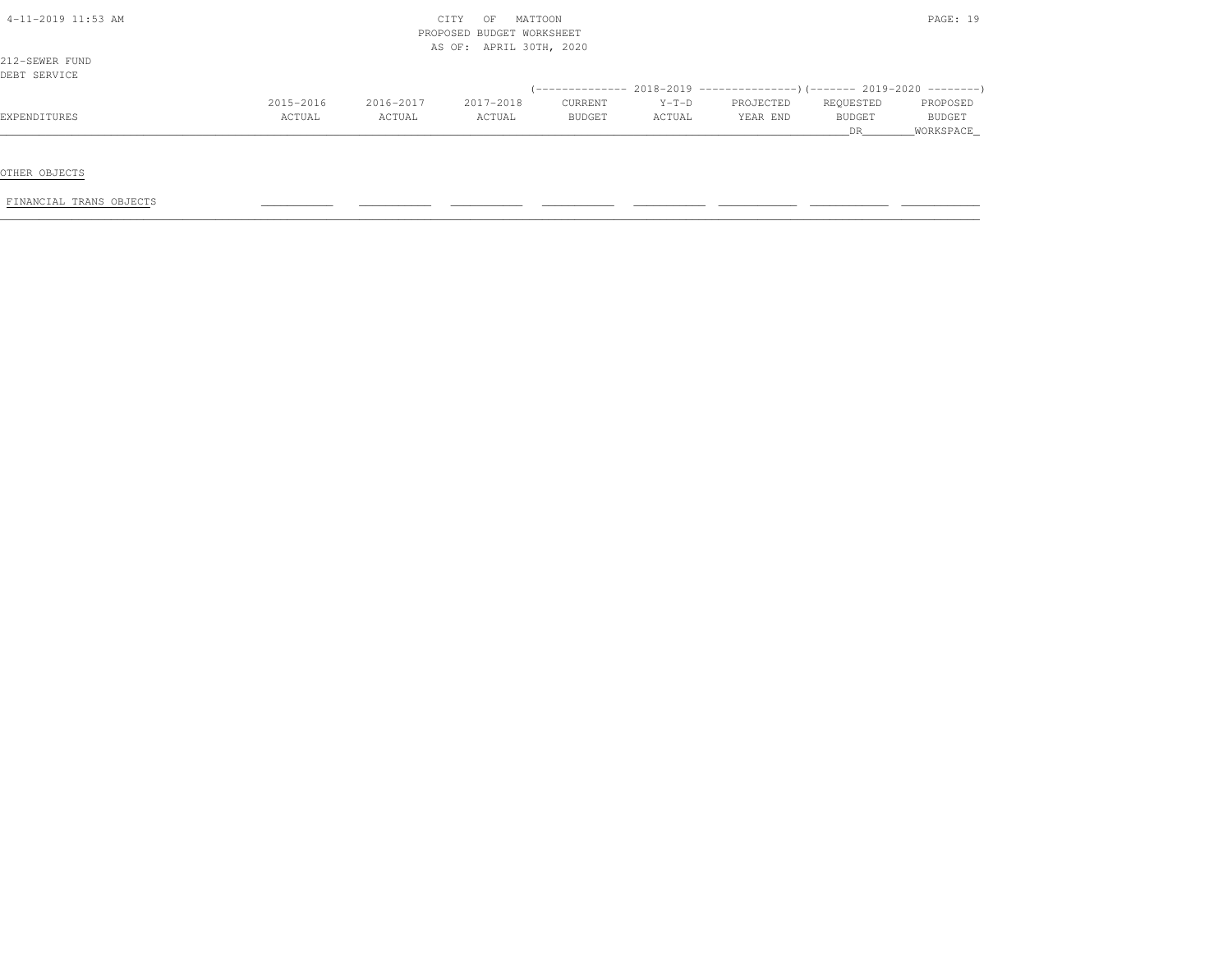|           |           | OF        |               |                                                                 |           |           | PAGE: 19                                                                     |
|-----------|-----------|-----------|---------------|-----------------------------------------------------------------|-----------|-----------|------------------------------------------------------------------------------|
|           |           |           |               |                                                                 |           |           |                                                                              |
|           |           |           |               |                                                                 |           |           |                                                                              |
|           |           |           |               |                                                                 |           |           |                                                                              |
|           |           |           |               |                                                                 |           |           |                                                                              |
|           |           |           |               |                                                                 |           |           |                                                                              |
| 2015-2016 | 2016-2017 | 2017-2018 | CURRENT       | $Y-T-D$                                                         | PROJECTED | REQUESTED | PROPOSED                                                                     |
| ACTUAL    | ACTUAL    | ACTUAL    | <b>BUDGET</b> | ACTUAL                                                          | YEAR END  | BUDGET    | <b>BUDGET</b>                                                                |
|           |           |           |               |                                                                 |           | DR.       | WORKSPACE                                                                    |
|           |           |           | CITY          | MATTOON<br>PROPOSED BUDGET WORKSHEET<br>AS OF: APRIL 30TH, 2020 |           |           | $($ -------------- 2018-2019 ----------------) (------- 2019-2020 ---------) |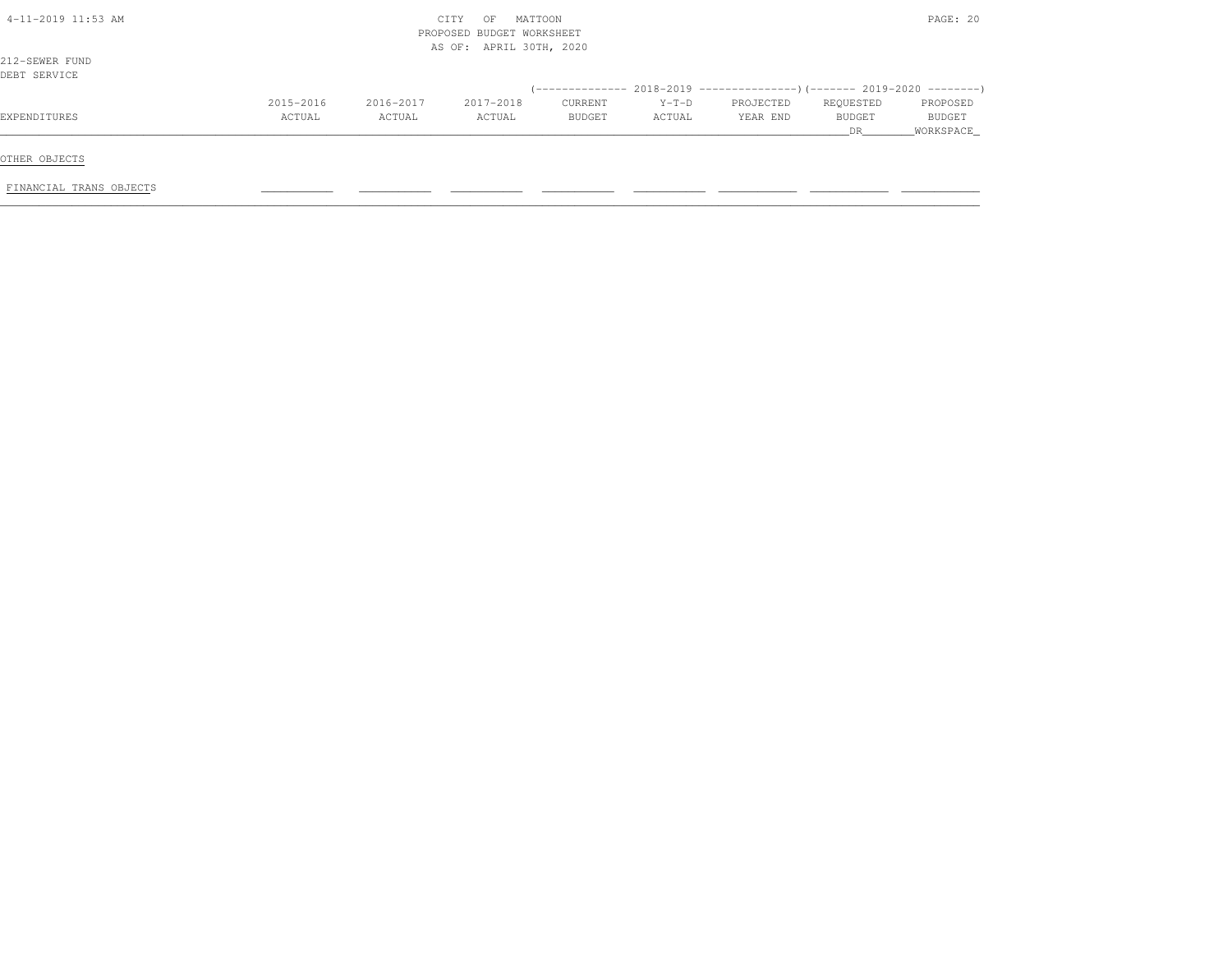| $4-11-2019$ 11:53 AM           |                     |                     | CITY<br>OF<br>PROPOSED BUDGET WORKSHEET<br>AS OF: APRIL 30TH, 2020 | MATTOON           |                   |                       |                           | PAGE: 20                        |
|--------------------------------|---------------------|---------------------|--------------------------------------------------------------------|-------------------|-------------------|-----------------------|---------------------------|---------------------------------|
| 212-SEWER FUND<br>DEBT SERVICE |                     |                     |                                                                    |                   |                   |                       |                           |                                 |
|                                |                     |                     |                                                                    |                   |                   |                       |                           |                                 |
| EXPENDITURES                   | 2015-2016<br>ACTUAL | 2016-2017<br>ACTUAL | 2017-2018<br>ACTUAL                                                | CURRENT<br>BUDGET | $Y-T-D$<br>ACTUAL | PROJECTED<br>YEAR END | REQUESTED<br>BUDGET<br>DR | PROPOSED<br>BUDGET<br>WORKSPACE |
| OTHER OBJECTS                  |                     |                     |                                                                    |                   |                   |                       |                           |                                 |
| FINANCIAL TRANS OBJECTS        |                     |                     |                                                                    |                   |                   |                       |                           |                                 |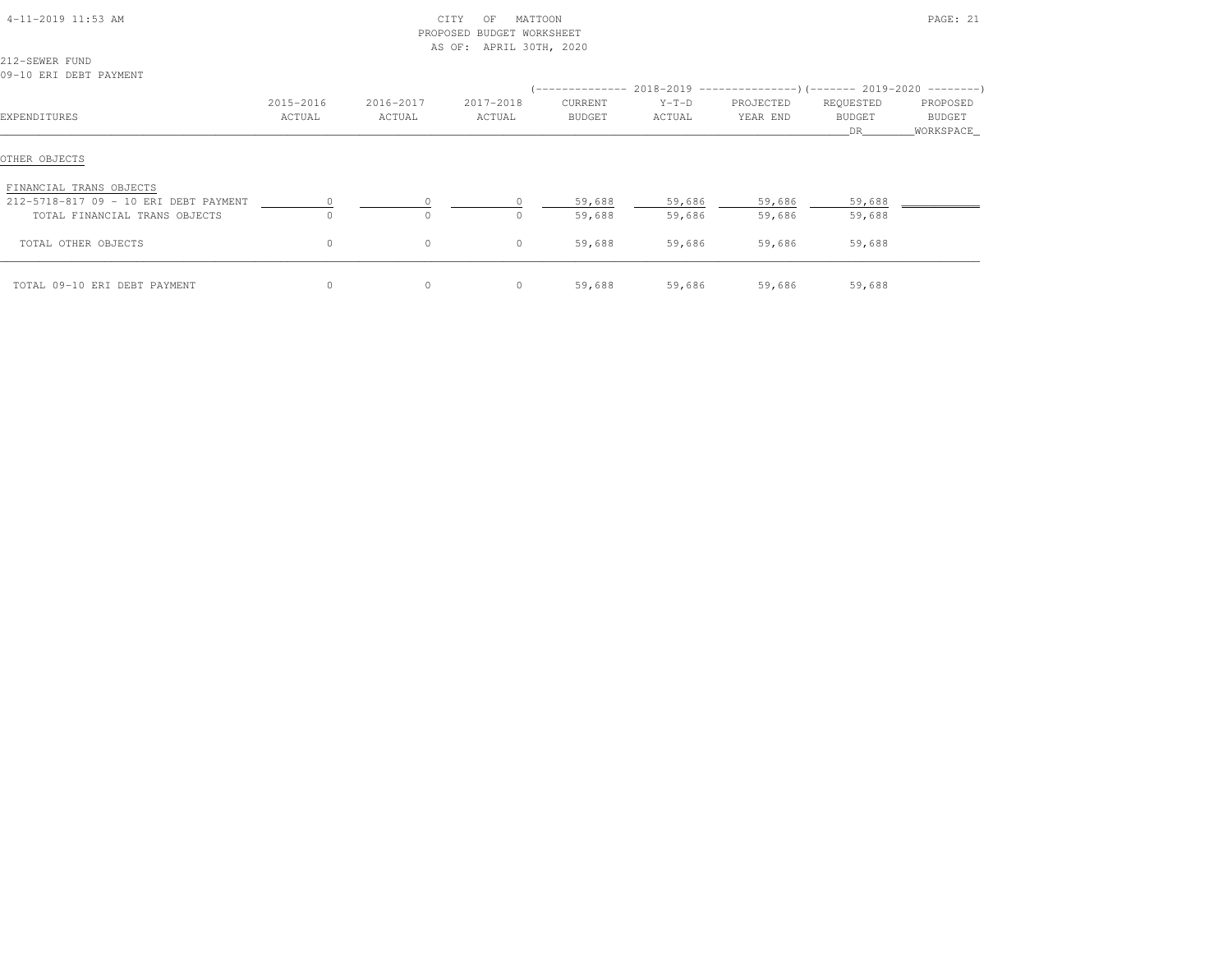| 4-11-2019 11:53 AM                                                                                |                     | PROPOSED            | CITY<br>MATTOON<br>OF<br><b>BUDGET WORKSHEET</b><br>APRIL 30TH, 2020<br>AS OF: |                   |                                                                                                 |                       |                           | PAGE: 21                        |
|---------------------------------------------------------------------------------------------------|---------------------|---------------------|--------------------------------------------------------------------------------|-------------------|-------------------------------------------------------------------------------------------------|-----------------------|---------------------------|---------------------------------|
| 212-SEWER FUND<br>09-10 ERI DEBT PAYMENT                                                          |                     |                     |                                                                                |                   |                                                                                                 |                       |                           |                                 |
| EXPENDITURES                                                                                      | 2015-2016<br>ACTUAL | 2016-2017<br>ACTUAL | 2017-2018<br>ACTUAL                                                            | CURRENT<br>BUDGET | (-------------- 2018-2019 -----------------) (------- 2019-2020 ---------'<br>$Y-T-D$<br>ACTUAL | PROJECTED<br>YEAR END | REQUESTED<br>BUDGET<br>DR | PROPOSED<br>BUDGET<br>WORKSPACE |
| OTHER OBJECTS                                                                                     |                     |                     |                                                                                |                   |                                                                                                 |                       |                           |                                 |
| FINANCIAL TRANS OBJECTS<br>212-5718-817 09 - 10 ERI DEBT PAYMENT<br>TOTAL FINANCIAL TRANS OBJECTS | $\Omega$            | $\circ$<br>$\Omega$ | 0<br>$\Omega$                                                                  | 59,688<br>59,688  | 59,686<br>59,686                                                                                | 59,686<br>59,686      | 59,688<br>59,688          |                                 |
| TOTAL OTHER OBJECTS                                                                               | 0                   | $\circ$             | 0                                                                              | 59,688            | 59,686                                                                                          | 59,686                | 59,688                    |                                 |
| TOTAL 09-10 ERI DEBT PAYMENT                                                                      | $\circ$             | $\circ$             | 0                                                                              | 59,688            | 59,686                                                                                          | 59,686                | 59,688                    |                                 |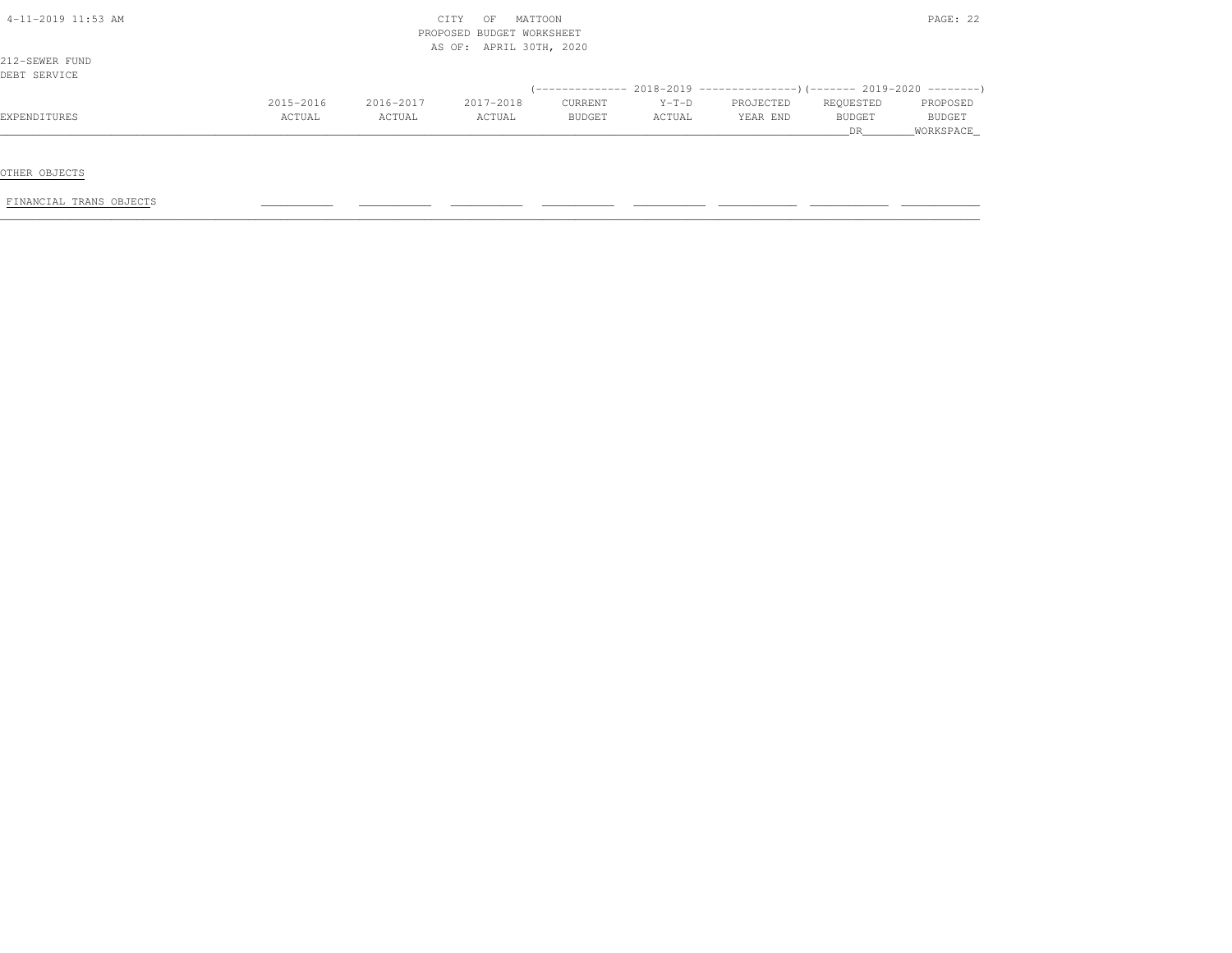| 4-11-2019 11:53 AM |           |           | MATTOON<br>CITY<br>OF     |               |         |                                                                              |               | PAGE: 22  |
|--------------------|-----------|-----------|---------------------------|---------------|---------|------------------------------------------------------------------------------|---------------|-----------|
|                    |           |           | PROPOSED BUDGET WORKSHEET |               |         |                                                                              |               |           |
|                    |           |           | AS OF: APRIL 30TH, 2020   |               |         |                                                                              |               |           |
| 212-SEWER FUND     |           |           |                           |               |         |                                                                              |               |           |
| DEBT SERVICE       |           |           |                           |               |         |                                                                              |               |           |
|                    |           |           |                           |               |         | $($ -------------- 2018-2019 ----------------) (------- 2019-2020 ---------) |               |           |
|                    | 2015-2016 | 2016-2017 | 2017-2018                 | CURRENT       | $Y-T-D$ | PROJECTED                                                                    | REQUESTED     | PROPOSED  |
| EXPENDITURES       | ACTUAL    | ACTUAL    | ACTUAL                    | <b>BUDGET</b> | ACTUAL  | YEAR END                                                                     | <b>BUDGET</b> | BUDGET    |
|                    |           |           |                           |               |         |                                                                              | DR .          | WORKSPACE |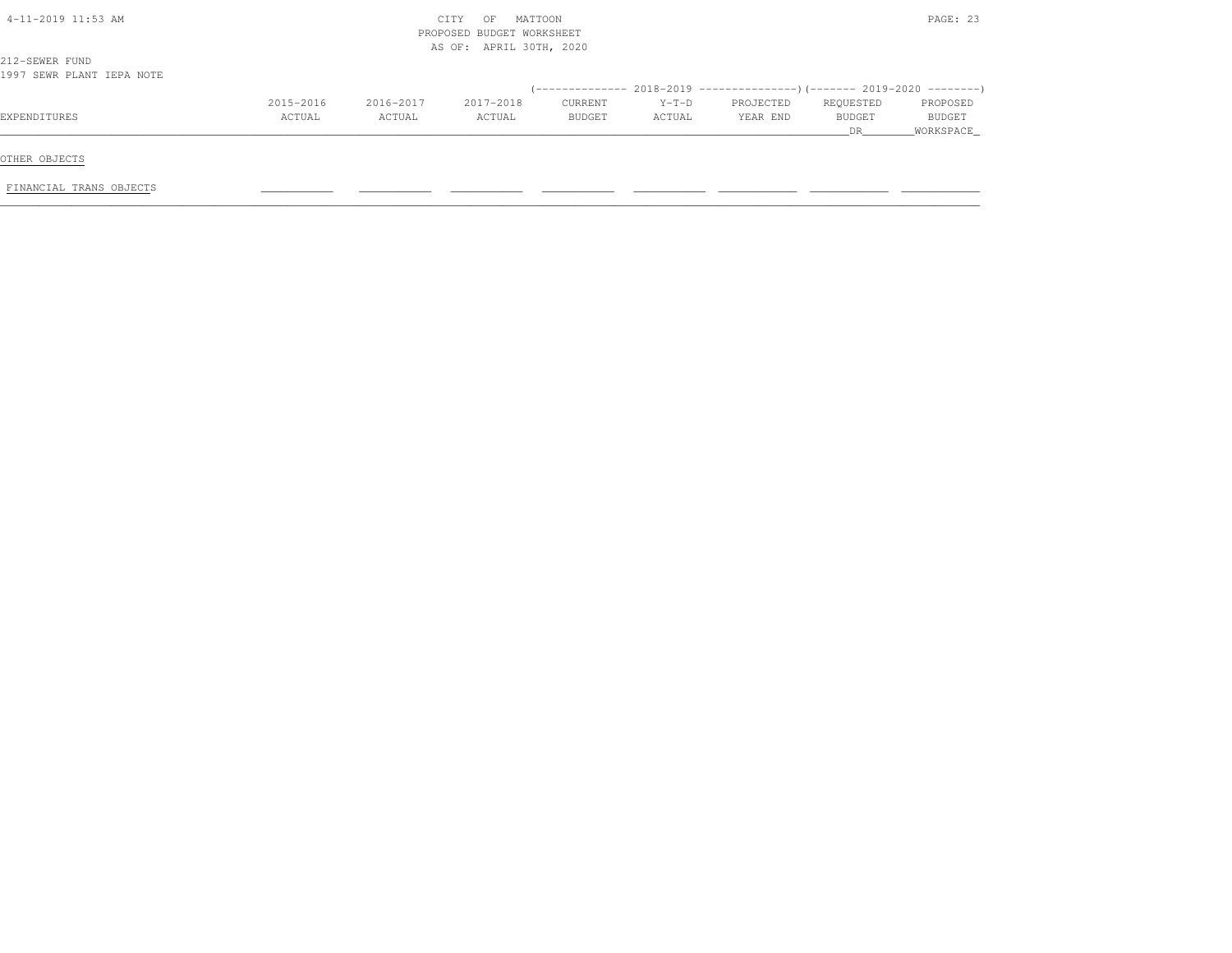| 4-11-2019 11:53 AM                          | MATTOON<br>CITY<br>OF<br>PROPOSED BUDGET WORKSHEET<br>AS OF: APRIL 30TH, 2020 |           |           |         |         |                                                                       |           |               |  |  |
|---------------------------------------------|-------------------------------------------------------------------------------|-----------|-----------|---------|---------|-----------------------------------------------------------------------|-----------|---------------|--|--|
| 212-SEWER FUND<br>1997 SEWR PLANT IEPA NOTE |                                                                               |           |           |         |         |                                                                       |           |               |  |  |
|                                             |                                                                               |           |           |         |         | $(-$ ------------- 2018-2019 ------------------- $2019-2020$ -------- |           |               |  |  |
|                                             | 2015-2016                                                                     | 2016-2017 | 2017-2018 | CURRENT | $Y-T-D$ | PROJECTED                                                             | REQUESTED | PROPOSED      |  |  |
| EXPENDITURES                                | ACTUAL                                                                        | ACTUAL    | ACTUAL    | BUDGET  | ACTUAL  | YEAR END                                                              | BUDGET    | <b>BUDGET</b> |  |  |
|                                             |                                                                               |           |           |         |         |                                                                       | DR.       | WORKSPACE     |  |  |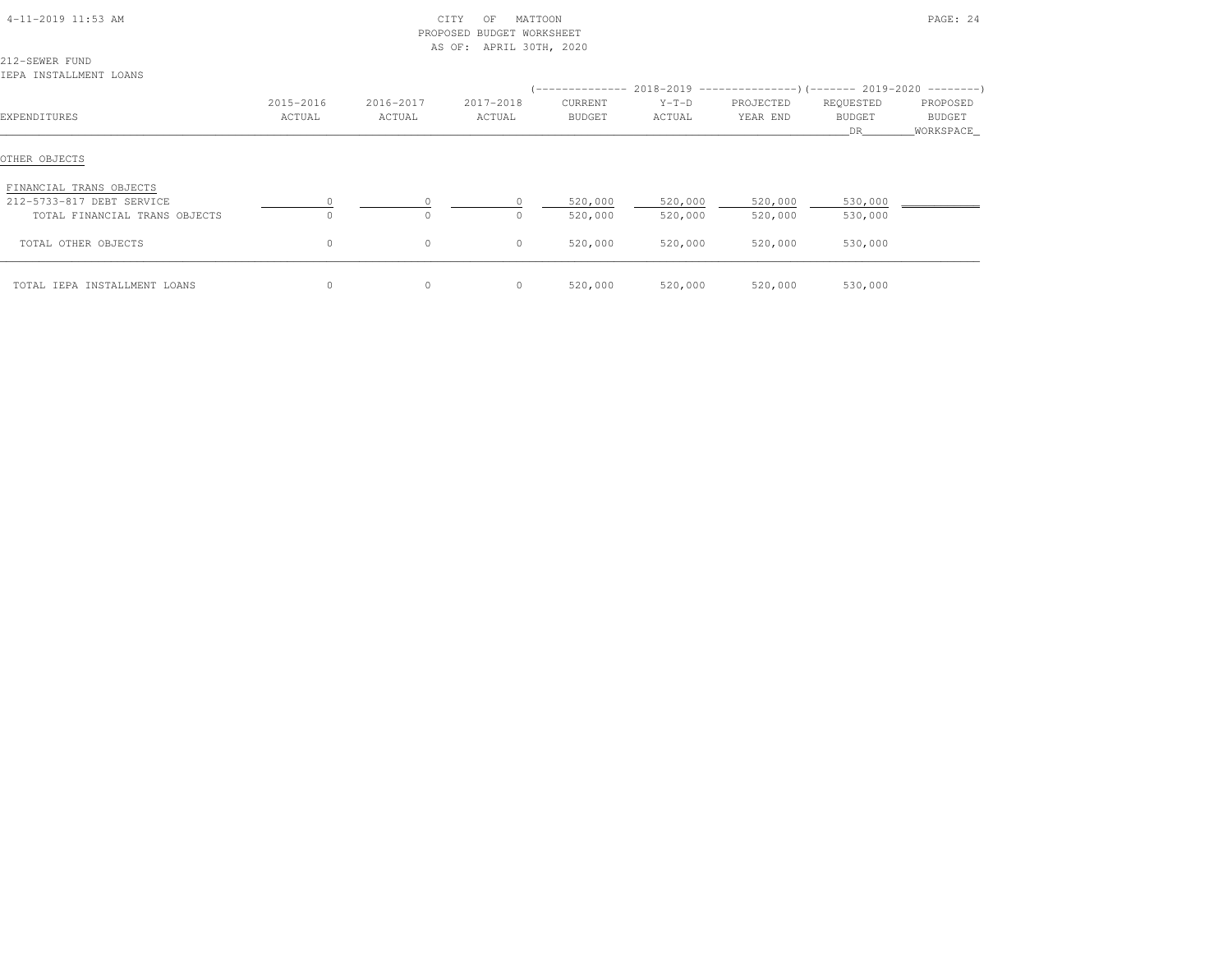|  | 4-11-2019 11:53 AM |  |  |
|--|--------------------|--|--|
|--|--------------------|--|--|

#### $\text{CITY}$  OF MATTOON PAGE: 24 PROPOSED BUDGET WORKSHEETAS OF: APRIL 30TH, 2020

212-SEWER FUNDIEPA INSTALLMENT LOANS

|                               |                     |                     |                     |                          |                   |                       | (-------------- 2018-2019 ----------------) (------- 2019-2020 ---------) |                                 |
|-------------------------------|---------------------|---------------------|---------------------|--------------------------|-------------------|-----------------------|---------------------------------------------------------------------------|---------------------------------|
| EXPENDITURES                  | 2015-2016<br>ACTUAL | 2016-2017<br>ACTUAL | 2017-2018<br>ACTUAL | CURRENT<br><b>BUDGET</b> | $Y-T-D$<br>ACTUAL | PROJECTED<br>YEAR END | REQUESTED<br><b>BUDGET</b><br>DR.                                         | PROPOSED<br>BUDGET<br>WORKSPACE |
| OTHER OBJECTS                 |                     |                     |                     |                          |                   |                       |                                                                           |                                 |
| FINANCIAL TRANS OBJECTS       |                     |                     |                     |                          |                   |                       |                                                                           |                                 |
| 212-5733-817 DEBT SERVICE     | $\Omega$            |                     |                     | 520,000                  | 520,000           | 520,000               | 530,000                                                                   |                                 |
| TOTAL FINANCIAL TRANS OBJECTS | $\circ$             | $\Omega$            | $\Omega$            | 520,000                  | 520,000           | 520,000               | 530,000                                                                   |                                 |
| TOTAL OTHER OBJECTS           | $\circ$             | $\circ$             | 0                   | 520,000                  | 520,000           | 520,000               | 530,000                                                                   |                                 |
| TOTAL IEPA INSTALLMENT LOANS  | $\circ$             | $\circ$             | 0                   | 520,000                  | 520,000           | 520,000               | 530,000                                                                   |                                 |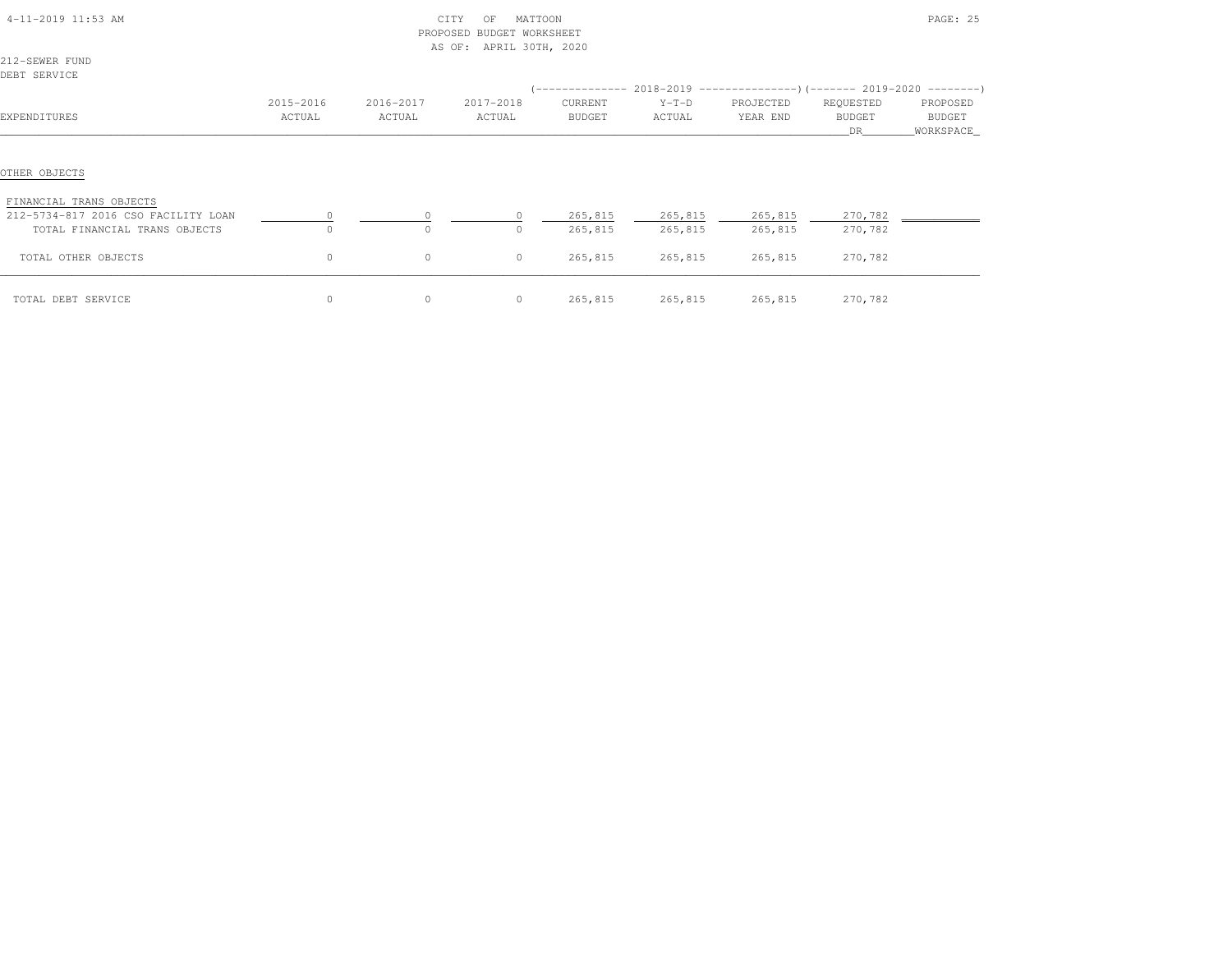| 4-11-2019 11:53 AM                                             |                     | PROPOSED            | MATTOON<br>CITY<br>OF<br>BUDGET WORKSHEET<br>AS OF:<br>APRIL 30TH, 2020 |                          |                    |                       |                                  | PAGE: 25                         |
|----------------------------------------------------------------|---------------------|---------------------|-------------------------------------------------------------------------|--------------------------|--------------------|-----------------------|----------------------------------|----------------------------------|
| 212-SEWER FUND<br>DEBT SERVICE                                 |                     |                     |                                                                         |                          |                    |                       |                                  |                                  |
| EXPENDITURES                                                   | 2015-2016<br>ACTUAL | 2016-2017<br>ACTUAL | 2017-2018<br>ACTUAL                                                     | CURRENT<br><b>BUDGET</b> | $Y-T-D$<br>ACTUAL  | PROJECTED<br>YEAR END | REQUESTED<br><b>BUDGET</b><br>DR | PROPOSED<br>BUDGET<br>WORKSPACE_ |
| OTHER OBJECTS                                                  |                     |                     |                                                                         |                          |                    |                       |                                  |                                  |
| FINANCIAL TRANS OBJECTS<br>212-5734-817 2016 CSO FACILITY LOAN |                     |                     |                                                                         | 265,815                  | 265,815            | 265,815               | 270,782                          |                                  |
| TOTAL FINANCIAL TRANS OBJECTS<br>TOTAL OTHER OBJECTS           | $\circ$             | $\circ$             | $\Omega$<br>$\circ$                                                     | 265,815<br>265,815       | 265,815<br>265,815 | 265,815<br>265,815    | 270,782<br>270,782               |                                  |
| TOTAL DEBT SERVICE                                             | $\circ$             | $\circ$             | $\circ$                                                                 | 265,815                  | 265,815            | 265,815               | 270,782                          |                                  |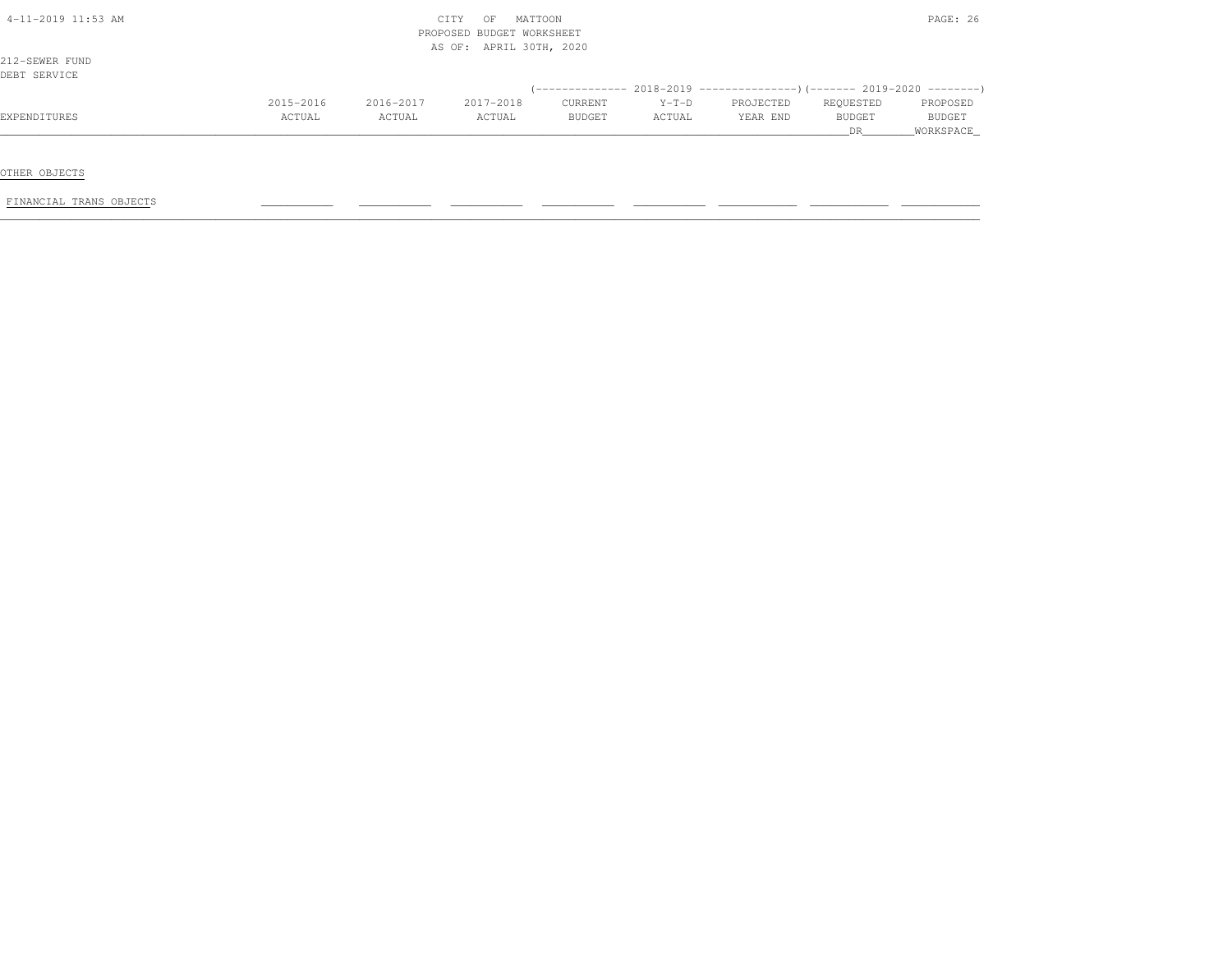| 4-11-2019 11:53 AM |           |           | MATTOON<br>CITY<br>OF     |               |         |                                                                              |           | PAGE: 26      |
|--------------------|-----------|-----------|---------------------------|---------------|---------|------------------------------------------------------------------------------|-----------|---------------|
|                    |           |           | PROPOSED BUDGET WORKSHEET |               |         |                                                                              |           |               |
|                    |           |           | AS OF: APRIL 30TH, 2020   |               |         |                                                                              |           |               |
| 212-SEWER FUND     |           |           |                           |               |         |                                                                              |           |               |
| DEBT SERVICE       |           |           |                           |               |         |                                                                              |           |               |
|                    |           |           |                           |               |         | $($ -------------- 2018-2019 ----------------) (------- 2019-2020 ---------) |           |               |
|                    | 2015-2016 | 2016-2017 | 2017-2018                 | CURRENT       | $Y-T-D$ | PROJECTED                                                                    | REQUESTED | PROPOSED      |
| EXPENDITURES       | ACTUAL    | ACTUAL    | ACTUAL                    | <b>BUDGET</b> | ACTUAL  | YEAR END                                                                     | BUDGET    | <b>BUDGET</b> |
|                    |           |           |                           |               |         |                                                                              | DR.       | WORKSPACE     |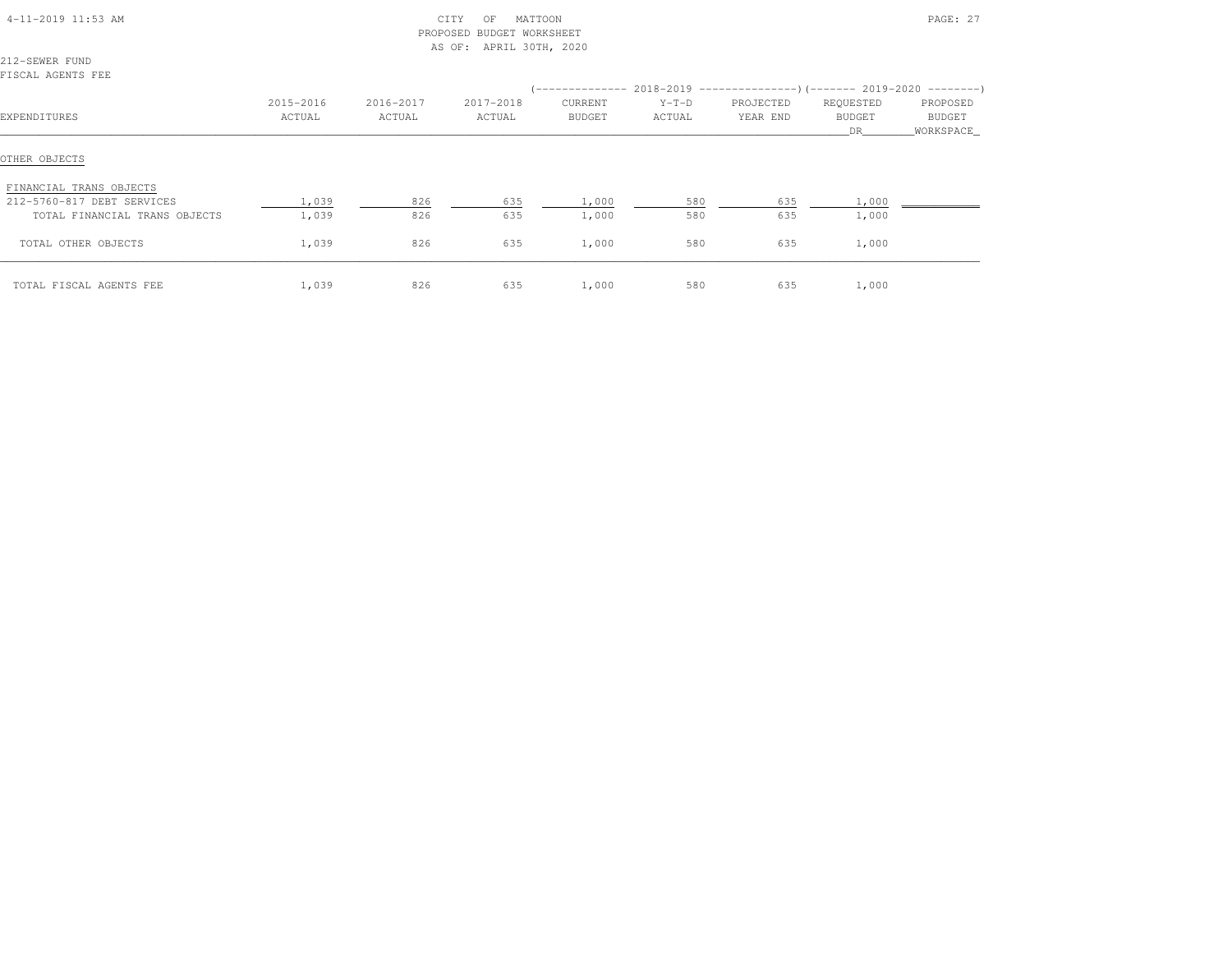| 4-11-2019 11:53 AM            |           | PROPOSED  | MATTOON<br>CITY<br>ΟF<br><b>BUDGET WORKSHEET</b><br>AS OF: APRIL 30TH, 2020 |         |         |           |                     | PAGE: 27            |
|-------------------------------|-----------|-----------|-----------------------------------------------------------------------------|---------|---------|-----------|---------------------|---------------------|
| 212-SEWER FUND                |           |           |                                                                             |         |         |           |                     |                     |
| FISCAL AGENTS FEE             |           |           |                                                                             |         |         |           |                     |                     |
|                               |           |           |                                                                             |         |         |           |                     |                     |
|                               | 2015-2016 | 2016-2017 | 2017-2018                                                                   | CURRENT | $Y-T-D$ | PROJECTED | REQUESTED           | PROPOSED            |
| EXPENDITURES                  | ACTUAL    | ACTUAL    | ACTUAL                                                                      | BUDGET  | ACTUAL  | YEAR END  | <b>BUDGET</b><br>DR | BUDGET<br>WORKSPACE |
| OTHER OBJECTS                 |           |           |                                                                             |         |         |           |                     |                     |
| FINANCIAL TRANS OBJECTS       |           |           |                                                                             |         |         |           |                     |                     |
| 212-5760-817 DEBT SERVICES    | 1,039     | 826       | 635                                                                         | 1,000   | 580     | 635       | 1,000               |                     |
| TOTAL FINANCIAL TRANS OBJECTS | 1,039     | 826       | 635                                                                         | 1,000   | 580     | 635       | 1,000               |                     |
| TOTAL OTHER OBJECTS           | 1,039     | 826       | 635                                                                         | 1,000   | 580     | 635       | 1,000               |                     |
| TOTAL FISCAL AGENTS FEE       | 1,039     | 826       | 635                                                                         | 1,000   | 580     | 635       | 1,000               |                     |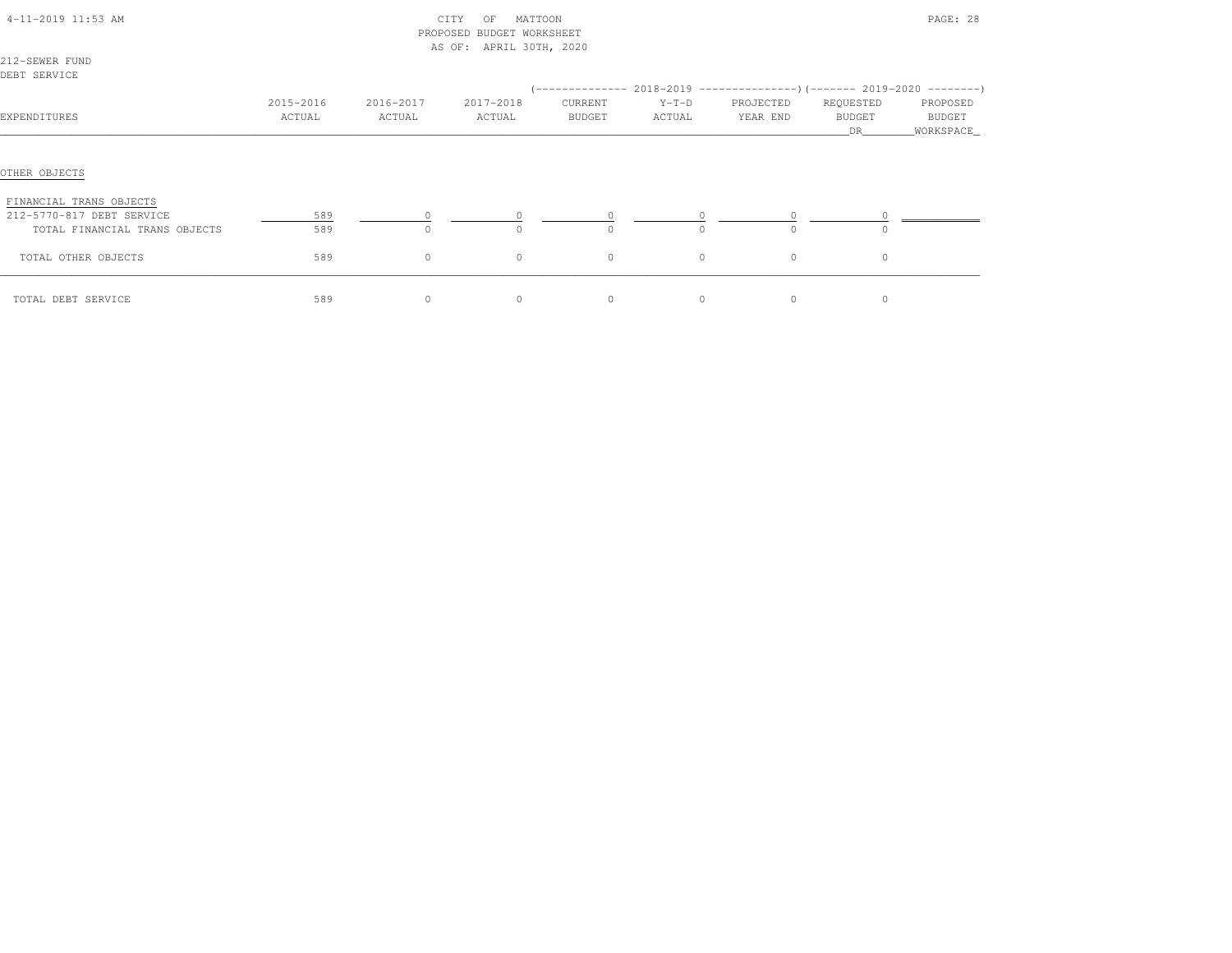| 4-11-2019 11:53 AM<br>212-SEWER FUND                                  |                     |                     | CITY<br>MATTOON<br>OF<br>PROPOSED BUDGET WORKSHEET<br>AS OF: APRIL 30TH, 2020 |                   |                   |                       |                                  | PAGE: 28                         |
|-----------------------------------------------------------------------|---------------------|---------------------|-------------------------------------------------------------------------------|-------------------|-------------------|-----------------------|----------------------------------|----------------------------------|
| DEBT SERVICE                                                          |                     |                     |                                                                               |                   |                   |                       |                                  |                                  |
|                                                                       |                     |                     |                                                                               |                   |                   |                       |                                  |                                  |
| EXPENDITURES                                                          | 2015-2016<br>ACTUAL | 2016-2017<br>ACTUAL | 2017-2018<br>ACTUAL                                                           | CURRENT<br>BUDGET | $Y-T-D$<br>ACTUAL | PROJECTED<br>YEAR END | REQUESTED<br><b>BUDGET</b><br>DR | PROPOSED<br>BUDGET<br>WORKSPACE_ |
| OTHER OBJECTS<br>FINANCIAL TRANS OBJECTS<br>212-5770-817 DEBT SERVICE | 589                 |                     |                                                                               |                   |                   |                       |                                  |                                  |
| TOTAL FINANCIAL TRANS OBJECTS                                         | 589                 | $\Omega$            | $\Omega$                                                                      | $\Omega$          | $\Omega$          | $\bigcap$             | $\Omega$                         |                                  |
| TOTAL OTHER OBJECTS                                                   | 589                 | $\circ$             | $\circ$                                                                       | $\circ$           | $\mathbb O$       | $\circ$               | $\circ$                          |                                  |
| TOTAL DEBT SERVICE                                                    | 589                 | $\circ$             | $\circ$                                                                       | $\circ$           | $\circ$           | $\circ$               | $\circ$                          |                                  |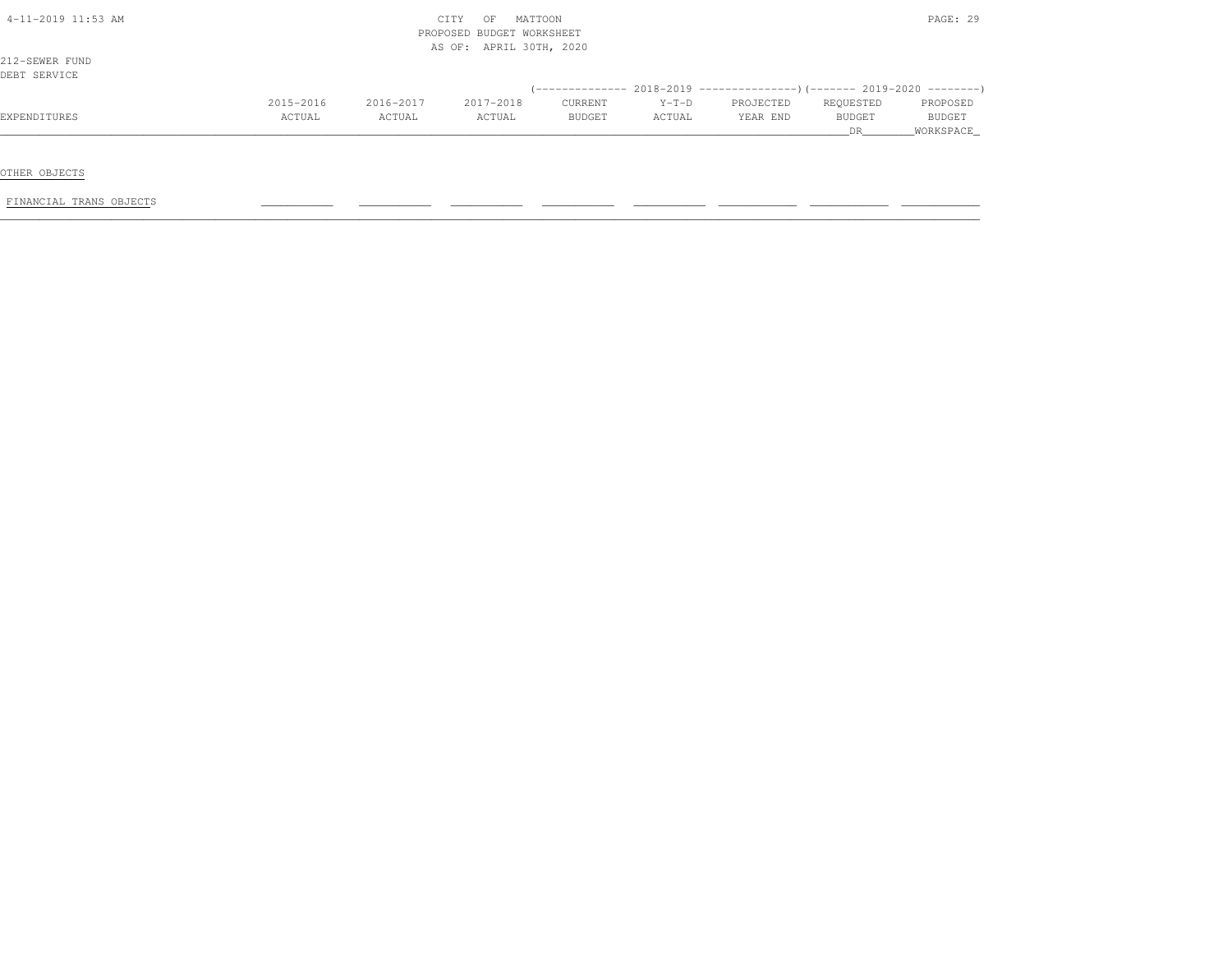|           |           |           | PAGE: 29      |                                                                 |           |               |               |
|-----------|-----------|-----------|---------------|-----------------------------------------------------------------|-----------|---------------|---------------|
|           |           |           |               |                                                                 |           |               |               |
|           |           |           |               |                                                                 |           |               |               |
|           |           |           |               |                                                                 |           |               |               |
|           |           |           |               |                                                                 |           |               |               |
|           |           |           |               |                                                                 |           |               |               |
| 2015-2016 | 2016-2017 | 2017-2018 | CURRENT       | $Y-T-D$                                                         | PROJECTED | REQUESTED     | PROPOSED      |
| ACTUAL    | ACTUAL    | ACTUAL    | <b>BUDGET</b> | ACTUAL                                                          | YEAR END  | <b>BUDGET</b> | <b>BUDGET</b> |
|           |           |           |               |                                                                 |           | DR.           | WORKSPACE     |
|           |           |           | CITY<br>OF    | MATTOON<br>PROPOSED BUDGET WORKSHEET<br>AS OF: APRIL 30TH, 2020 |           |               |               |

OTHER OBJECTS

FINANCIAL TRANS OBJECTS \_\_\_\_\_\_\_\_\_\_\_ \_\_\_\_\_\_\_\_\_\_\_ \_\_\_\_\_\_\_\_\_\_\_ \_\_\_\_\_\_\_\_\_\_\_ \_\_\_\_\_\_\_\_\_\_\_ \_\_\_\_\_\_\_\_\_\_\_\_ \_\_\_\_\_\_\_\_\_\_\_\_ \_\_\_\_\_\_\_\_\_\_\_\_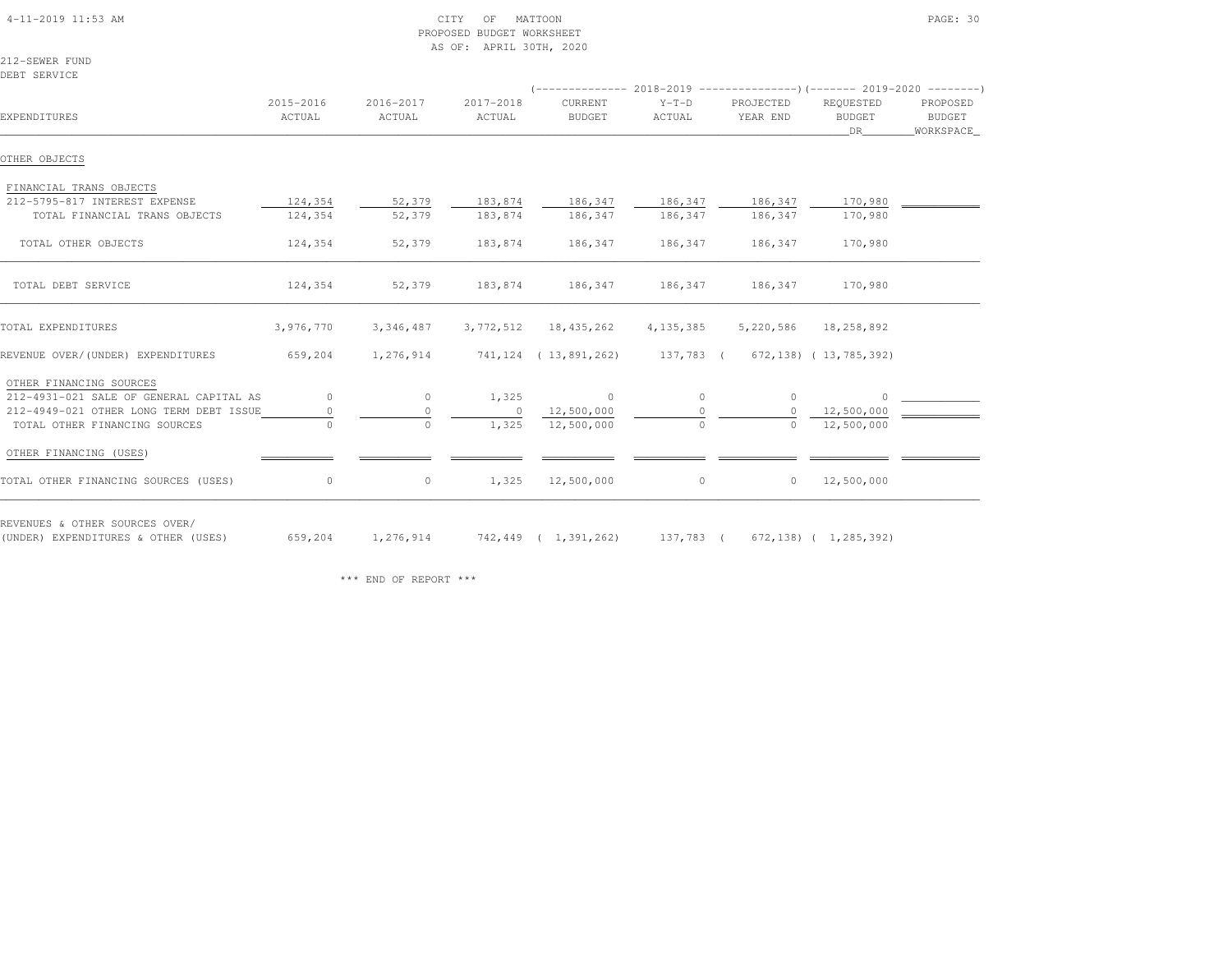| $4-11-2019$ $11:53$ AM |  |
|------------------------|--|

## $\begin{array}{ccc} \text{CITY} & \text{OF} & \text{MATION} \end{array}$  PROPOSED BUDGET WORKSHEETAS OF: APRIL 30TH, 2020

212-SEWER FUNDDEBT SERVICE

| EXPENDITURES                            | 2015-2016<br>ACTUAL | 2016-2017<br>ACTUAL | 2017-2018<br>ACTUAL | CURRENT<br><b>BUDGET</b>                             | $Y-T-D$<br>ACTUAL | PROJECTED<br>YEAR END | REQUESTED<br><b>BUDGET</b><br>DR - | PROPOSED<br>BUDGET<br>WORKSPACE_ |
|-----------------------------------------|---------------------|---------------------|---------------------|------------------------------------------------------|-------------------|-----------------------|------------------------------------|----------------------------------|
| OTHER OBJECTS                           |                     |                     |                     |                                                      |                   |                       |                                    |                                  |
| FINANCIAL TRANS OBJECTS                 |                     |                     |                     |                                                      |                   |                       |                                    |                                  |
| 212-5795-817 INTEREST EXPENSE           | 124,354             | 52,379              | 183,874             | 186,347                                              | 186,347           | 186,347               | 170,980                            |                                  |
| TOTAL FINANCIAL TRANS OBJECTS           | 124,354             | 52,379              | 183,874             | 186,347                                              | 186,347           | 186,347               | 170,980                            |                                  |
| TOTAL OTHER OBJECTS                     | 124,354             | 52,379              | 183,874             | 186,347                                              | 186,347           | 186,347               | 170,980                            |                                  |
| TOTAL DEBT SERVICE                      | 124,354             | 52,379              | 183,874             | 186,347                                              | 186,347           | 186,347               | 170,980                            |                                  |
| TOTAL EXPENDITURES                      | 3,976,770           | 3,346,487           | 3,772,512           | 18,435,262                                           | 4, 135, 385       | 5,220,586             | 18,258,892                         |                                  |
| REVENUE OVER/(UNDER) EXPENDITURES       | 659,204             | 1,276,914           |                     | 741,124 (13,891,262) 137,783 ( 672,138) (13,785,392) |                   |                       |                                    |                                  |
| OTHER FINANCING SOURCES                 |                     |                     |                     |                                                      |                   |                       |                                    |                                  |
| 212-4931-021 SALE OF GENERAL CAPITAL AS | $\circ$             | $\circ$             | 1,325               | $\circ$                                              | $\circ$           | $\circ$               | $\Omega$                           |                                  |
| 212-4949-021 OTHER LONG TERM DEBT ISSUE |                     | $\circ$             | $\circ$             | 12,500,000                                           | $\Omega$          |                       | 12,500,000                         |                                  |
| TOTAL OTHER FINANCING SOURCES           | $\bigcap$           | $\circ$             | 1,325               | 12,500,000                                           | $\circ$           | $\Omega$              | 12,500,000                         |                                  |
| OTHER FINANCING (USES)                  |                     |                     |                     |                                                      |                   |                       |                                    |                                  |
| TOTAL OTHER FINANCING SOURCES (USES)    | $\circ$             | $\circ$             | 1,325               | 12,500,000                                           | $\circ$           | $\circ$               | 12,500,000                         |                                  |

(UNDER) EXPENDITURES & OTHER (USES) 659,204 1,276,914 742,449 ( 1,391,262) 137,783 ( 672,138) ( 1,285,392)

\*\*\* END OF REPORT \*\*\*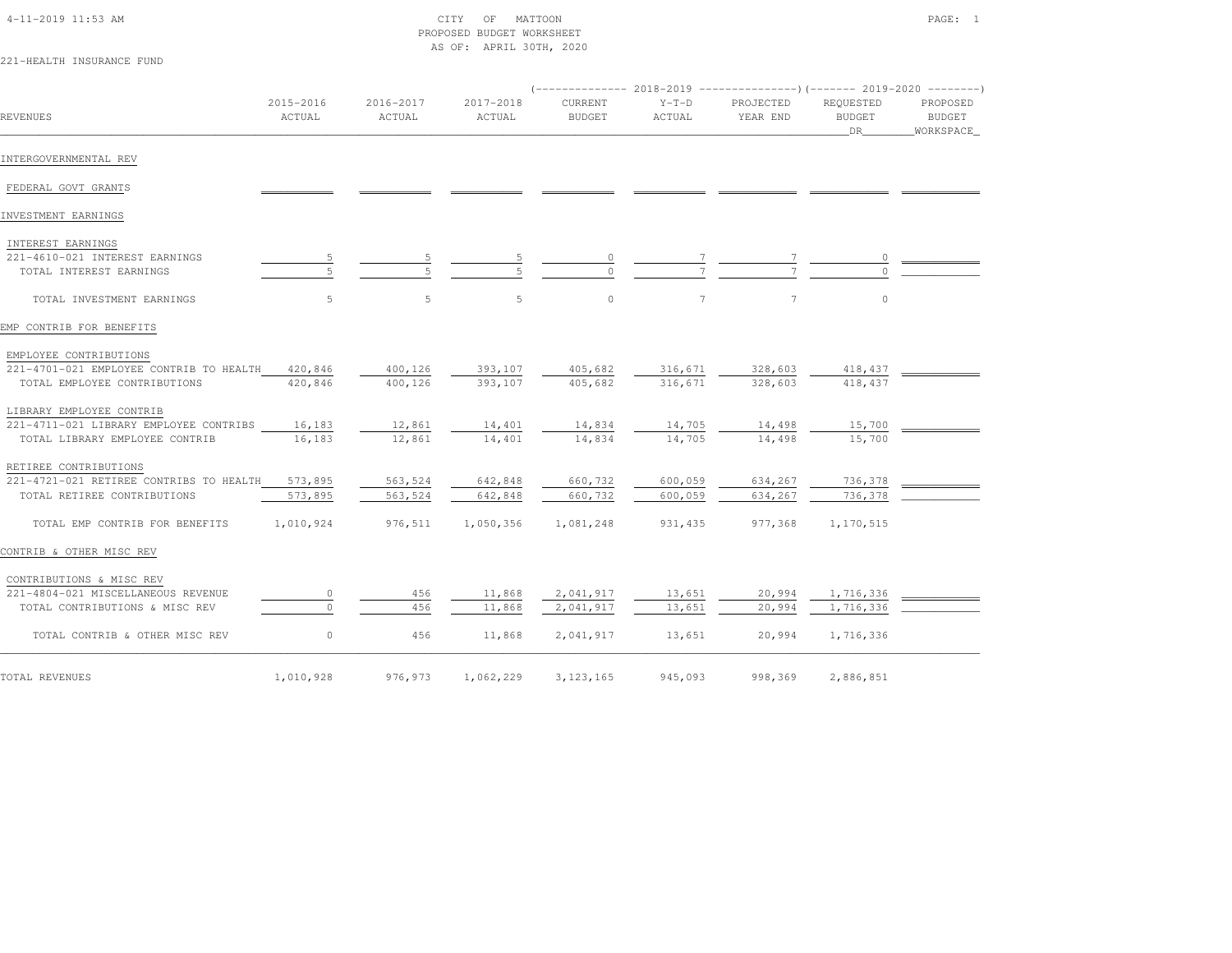## 4-11-2019 11:53 AM CITY OF MATTOON PAGE: 1 PROPOSED BUDGET WORKSHEETAS OF: APRIL 30TH, 2020

# 221-HEALTH INSURANCE FUND

| REVENUES                                        | 2015-2016<br>ACTUAL | 2016-2017<br>ACTUAL | 2017-2018<br>ACTUAL | CURRENT<br><b>BUDGET</b> | $Y-T-D$<br>ACTUAL | PROJECTED<br>YEAR END | REQUESTED<br><b>BUDGET</b><br>DR | PROPOSED<br>BUDGET<br>_WORKSPACE_ |
|-------------------------------------------------|---------------------|---------------------|---------------------|--------------------------|-------------------|-----------------------|----------------------------------|-----------------------------------|
| INTERGOVERNMENTAL REV                           |                     |                     |                     |                          |                   |                       |                                  |                                   |
| FEDERAL GOVT GRANTS                             |                     |                     |                     |                          |                   |                       |                                  |                                   |
| INVESTMENT EARNINGS                             |                     |                     |                     |                          |                   |                       |                                  |                                   |
| INTEREST EARNINGS                               |                     |                     |                     |                          |                   |                       |                                  |                                   |
| 221-4610-021 INTEREST EARNINGS                  |                     |                     |                     |                          |                   |                       |                                  |                                   |
| TOTAL INTEREST EARNINGS                         |                     |                     |                     | $\Omega$                 |                   |                       |                                  |                                   |
| TOTAL INVESTMENT EARNINGS                       | 5                   | 5                   | 5                   | $\circ$                  | $\tau$            | 7                     | $\circ$                          |                                   |
| EMP CONTRIB FOR BENEFITS                        |                     |                     |                     |                          |                   |                       |                                  |                                   |
| EMPLOYEE CONTRIBUTIONS                          |                     |                     |                     |                          |                   |                       |                                  |                                   |
| 221-4701-021 EMPLOYEE CONTRIB TO HEALTH 420,846 |                     | 400,126             | 393,107             | 405,682                  | 316,671           | 328,603               | 418,437                          |                                   |
| TOTAL EMPLOYEE CONTRIBUTIONS                    | 420,846             | 400,126             | 393,107             | 405,682                  | 316,671           | 328,603               | 418, 437                         |                                   |
| LIBRARY EMPLOYEE CONTRIB                        |                     |                     |                     |                          |                   |                       |                                  |                                   |
| 221-4711-021 LIBRARY EMPLOYEE CONTRIBS          | 16,183              | 12,861              | 14,401              | 14,834                   | 14,705            | 14,498                | 15,700                           |                                   |
| TOTAL LIBRARY EMPLOYEE CONTRIB                  | 16,183              | 12,861              | 14,401              | 14,834                   | 14,705            | 14,498                | 15,700                           |                                   |
| RETIREE CONTRIBUTIONS                           |                     |                     |                     |                          |                   |                       |                                  |                                   |
| 221-4721-021 RETIREE CONTRIBS TO HEALTH         | 573,895             | 563,524             | 642,848             | 660,732                  | 600,059           | 634,267               | 736,378                          |                                   |
| TOTAL RETIREE CONTRIBUTIONS                     | 573,895             | 563,524             | 642,848             | 660,732                  | 600,059           | 634,267               | 736,378                          |                                   |
| TOTAL EMP CONTRIB FOR BENEFITS                  | 1,010,924           | 976,511             | 1,050,356           | 1,081,248                | 931, 435          | 977,368               | 1,170,515                        |                                   |
| CONTRIB & OTHER MISC REV                        |                     |                     |                     |                          |                   |                       |                                  |                                   |
| CONTRIBUTIONS & MISC REV                        |                     |                     |                     |                          |                   |                       |                                  |                                   |
| 221-4804-021 MISCELLANEOUS REVENUE              | 0                   | 456                 | 11,868              | 2,041,917                | 13,651            | 20,994                | 1,716,336                        |                                   |
| TOTAL CONTRIBUTIONS & MISC REV                  |                     | 456                 | 11,868              | 2,041,917                | 13,651            | 20,994                | 1,716,336                        |                                   |
| TOTAL CONTRIB & OTHER MISC REV                  | 0                   | 456                 | 11,868              | 2,041,917                | 13,651            | 20,994                | 1,716,336                        |                                   |
| TOTAL REVENUES                                  | 1,010,928           | 976,973             | 1,062,229           | 3, 123, 165              | 945,093           | 998,369               | 2,886,851                        |                                   |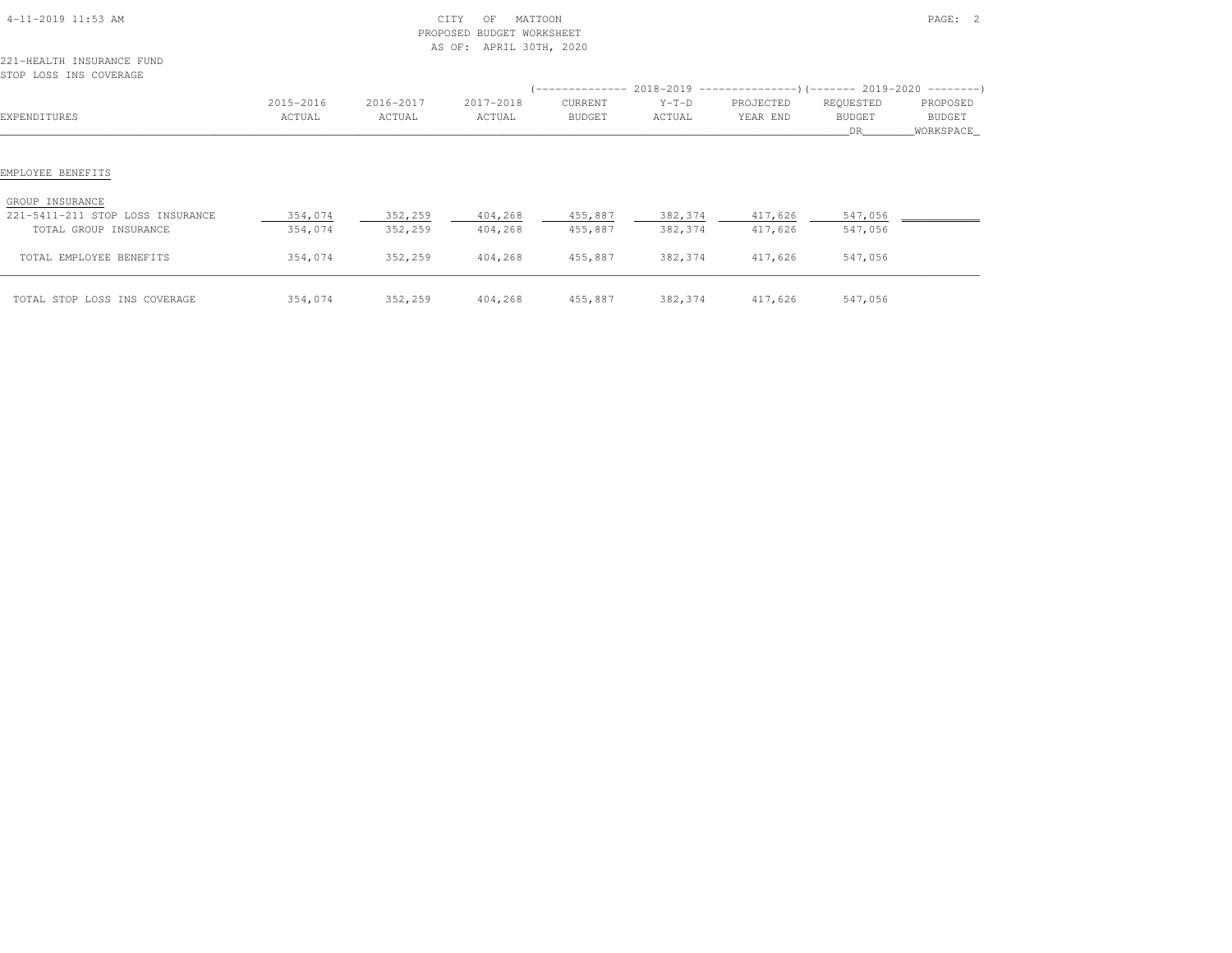| 4-11-2019 11:53 AM                                                                                |                    | CITY<br>PROPOSED<br>AS OF: |                    |                    | PAGE: 2            |                                                                                   |                      |                     |
|---------------------------------------------------------------------------------------------------|--------------------|----------------------------|--------------------|--------------------|--------------------|-----------------------------------------------------------------------------------|----------------------|---------------------|
| 221-HEALTH INSURANCE FUND<br>STOP LOSS INS COVERAGE                                               |                    |                            |                    |                    |                    |                                                                                   |                      |                     |
|                                                                                                   |                    |                            |                    |                    |                    | (-------------- 2018-2019 ---------------------- 2019-2020 ---------------------- |                      |                     |
|                                                                                                   | 2015-2016          | 2016-2017                  | 2017-2018          | CURRENT            | $Y-T-D$            | PROJECTED                                                                         | REQUESTED            | PROPOSED            |
| EXPENDITURES                                                                                      | ACTUAL             | ACTUAL                     | ACTUAL             | <b>BUDGET</b>      | ACTUAL             | YEAR END                                                                          | <b>BUDGET</b><br>DR. | BUDGET<br>WORKSPACE |
| EMPLOYEE BENEFITS<br>GROUP INSURANCE<br>221-5411-211 STOP LOSS INSURANCE<br>TOTAL GROUP INSURANCE | 354,074<br>354,074 | 352,259<br>352,259         | 404,268<br>404,268 | 455,887<br>455,887 | 382,374<br>382,374 | 417,626<br>417,626                                                                | 547,056<br>547,056   |                     |
| TOTAL EMPLOYEE BENEFITS                                                                           | 354,074            | 352,259                    | 404,268            | 455,887            | 382,374            | 417,626                                                                           | 547,056              |                     |
| TOTAL STOP LOSS INS COVERAGE                                                                      | 354,074            | 352,259                    | 404,268            | 455,887            | 382,374            | 417,626                                                                           | 547,056              |                     |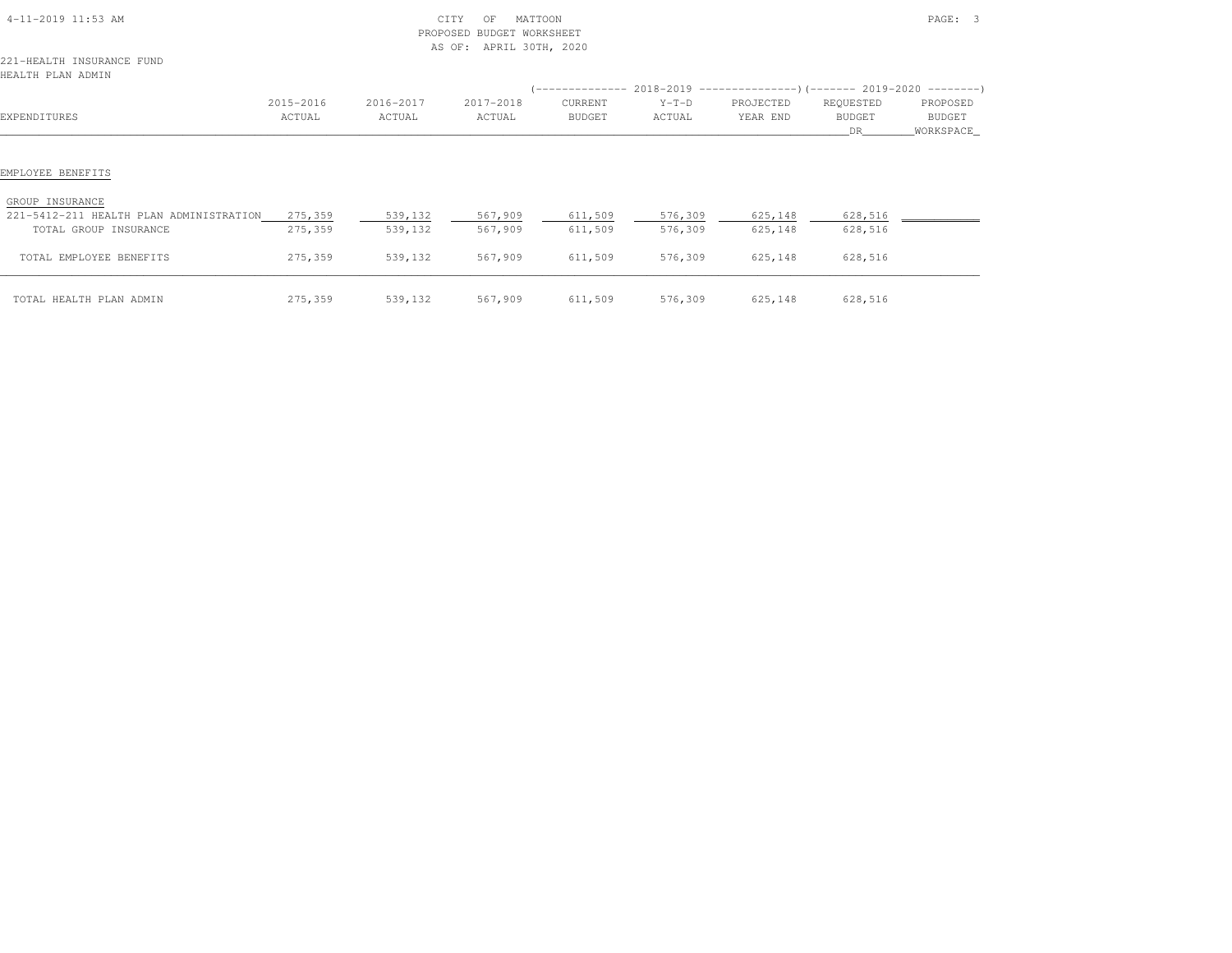| 4-11-2019 11:53 AM |
|--------------------|
|--------------------|

## 4-11-2019 11:53 AM CITY OF MATTOON PAGE: 3 PROPOSED BUDGET WORKSHEETAS OF: APRIL 30TH, 2020

221-HEALTH INSURANCE FUNDHEALTH PLAN ADMIN

| HEALTH PLAN ADMIN                                                                   |                     |                     |                     |                          |                    |                       |                            |                                 |
|-------------------------------------------------------------------------------------|---------------------|---------------------|---------------------|--------------------------|--------------------|-----------------------|----------------------------|---------------------------------|
| EXPENDITURES                                                                        | 2015-2016<br>ACTUAL | 2016-2017<br>ACTUAL | 2017-2018<br>ACTUAL | CURRENT<br><b>BUDGET</b> | $Y-T-D$<br>ACTUAL  | PROJECTED<br>YEAR END | REQUESTED<br>BUDGET<br>DR. | PROPOSED<br>BUDGET<br>WORKSPACE |
| EMPLOYEE BENEFITS                                                                   |                     |                     |                     |                          |                    |                       |                            |                                 |
| GROUP INSURANCE<br>221-5412-211 HEALTH PLAN ADMINISTRATION<br>TOTAL GROUP INSURANCE | 275,359<br>275,359  | 539,132<br>539,132  | 567,909<br>567,909  | 611,509<br>611,509       | 576,309<br>576,309 | 625,148<br>625,148    | 628,516<br>628,516         |                                 |
| TOTAL EMPLOYEE BENEFITS                                                             | 275,359             | 539,132             | 567,909             | 611,509                  | 576,309            | 625,148               | 628,516                    |                                 |
| TOTAL HEALTH PLAN ADMIN                                                             | 275,359             | 539,132             | 567,909             | 611,509                  | 576,309            | 625,148               | 628,516                    |                                 |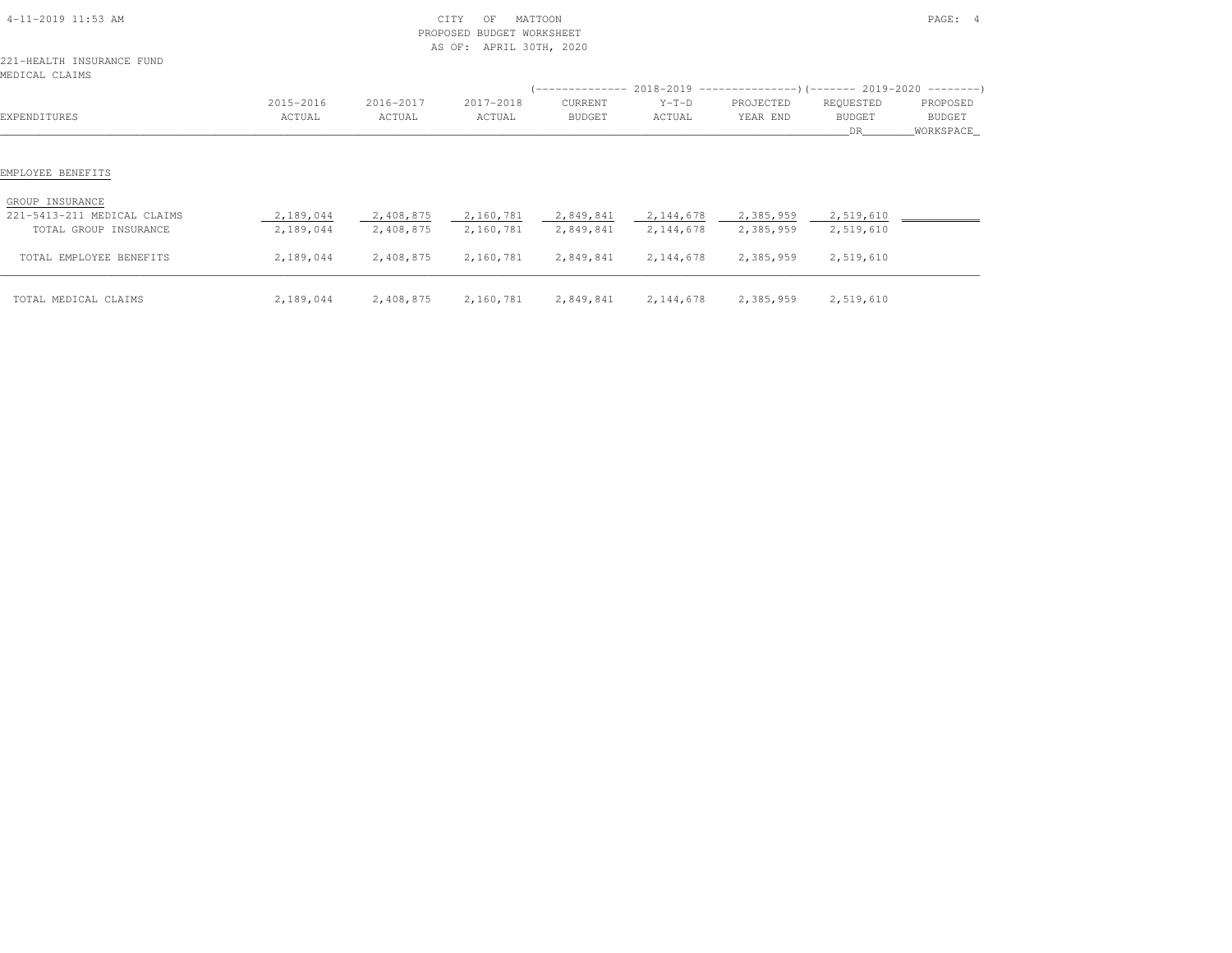| 4-11-2019 11:53 AM                                                  |           |           | PAGE: 4   |           |             |                                                                           |               |             |
|---------------------------------------------------------------------|-----------|-----------|-----------|-----------|-------------|---------------------------------------------------------------------------|---------------|-------------|
| 221-HEALTH INSURANCE FUND<br>MEDICAL CLAIMS                         |           |           |           |           |             |                                                                           |               |             |
|                                                                     |           |           |           |           |             | (-------------- 2018-2019 ----------------) (------- 2019-2020 ---------) |               |             |
|                                                                     | 2015-2016 | 2016-2017 | 2017-2018 | CURRENT   | $Y-T-D$     | PROJECTED                                                                 | REQUESTED     | PROPOSED    |
| EXPENDITURES                                                        | ACTUAL    | ACTUAL    | ACTUAL    | BUDGET    | ACTUAL      | YEAR END                                                                  | <b>BUDGET</b> | BUDGET      |
|                                                                     |           |           |           |           |             |                                                                           | DR.           | _WORKSPACE_ |
| EMPLOYEE BENEFITS<br>GROUP INSURANCE<br>221-5413-211 MEDICAL CLAIMS | 2,189,044 | 2,408,875 | 2,160,781 | 2,849,841 | 2,144,678   | 2,385,959                                                                 | 2,519,610     |             |
| TOTAL GROUP INSURANCE                                               | 2,189,044 | 2,408,875 | 2,160,781 | 2,849,841 | 2,144,678   | 2,385,959                                                                 | 2,519,610     |             |
| TOTAL EMPLOYEE BENEFITS                                             | 2,189,044 | 2,408,875 | 2,160,781 | 2,849,841 | 2, 144, 678 | 2,385,959                                                                 | 2,519,610     |             |
| TOTAL MEDICAL CLAIMS                                                | 2,189,044 | 2,408,875 | 2,160,781 | 2,849,841 | 2, 144, 678 | 2,385,959                                                                 | 2,519,610     |             |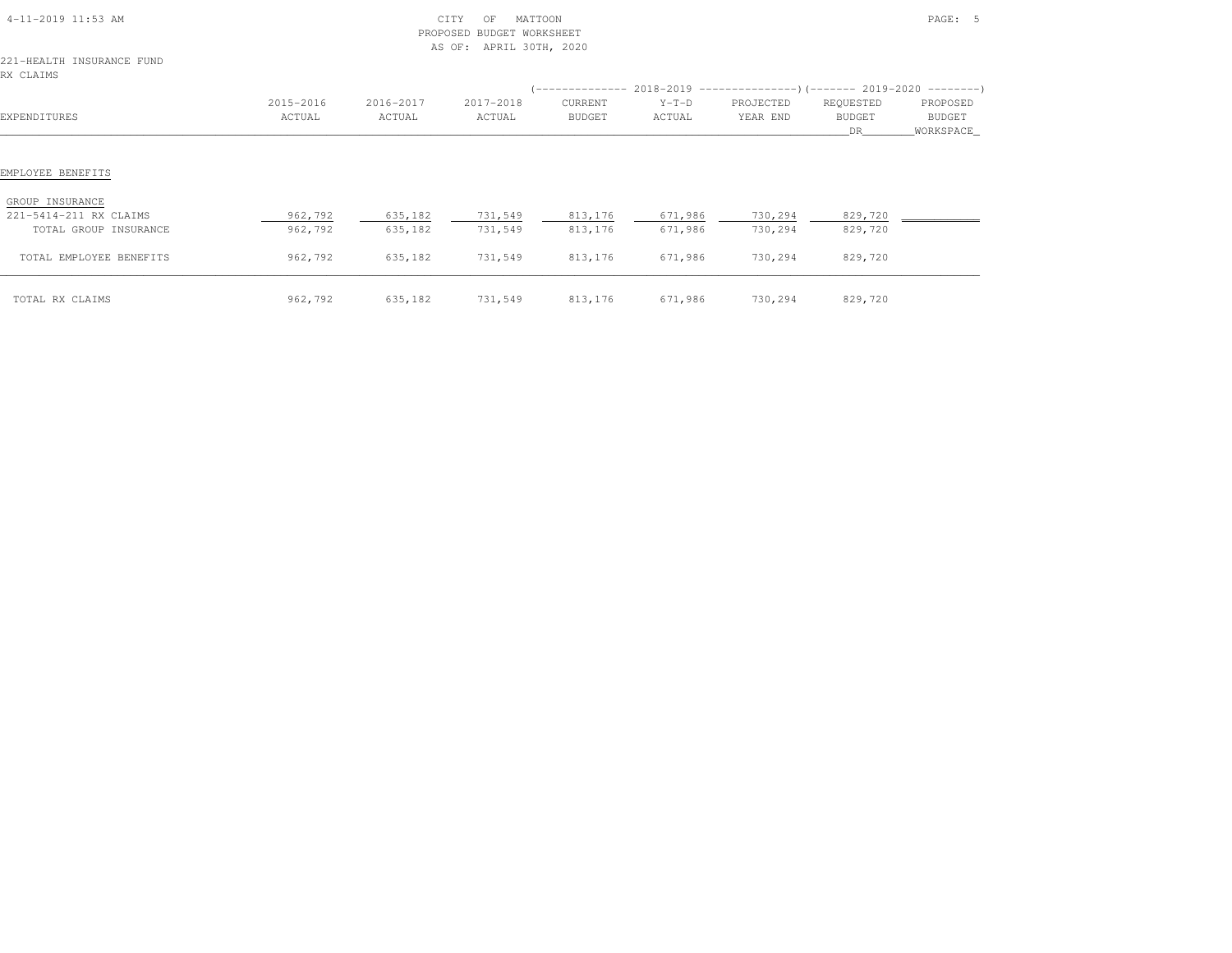| 4-11-2019 11:53 AM<br>221-HEALTH INSURANCE FUND<br>RX CLAIMS                            |                    | PROPOSED           | CITY<br>MATTOON<br>OF<br>BUDGET WORKSHEET<br>AS OF: APRIL 30TH, 2020 |                    |         |                            |                    | PAGE: 5     |
|-----------------------------------------------------------------------------------------|--------------------|--------------------|----------------------------------------------------------------------|--------------------|---------|----------------------------|--------------------|-------------|
|                                                                                         |                    |                    |                                                                      |                    |         |                            |                    |             |
|                                                                                         | 2015-2016          | 2016-2017          | 2017-2018                                                            | CURRENT            | $Y-T-D$ | PROJECTED                  | REQUESTED          | PROPOSED    |
| EXPENDITURES                                                                            | ACTUAL             | ACTUAL             | ACTUAL                                                               | BUDGET             | ACTUAL  | YEAR END                   | <b>BUDGET</b>      | BUDGET      |
|                                                                                         |                    |                    |                                                                      |                    |         |                            | DR.                | _WORKSPACE_ |
| EMPLOYEE BENEFITS<br>GROUP INSURANCE<br>221-5414-211 RX CLAIMS<br>TOTAL GROUP INSURANCE | 962,792<br>962,792 | 635,182<br>635,182 | 731,549<br>731,549                                                   | 813,176<br>813,176 | 671,986 | 671,986 730,294<br>730,294 | 829,720<br>829,720 |             |
| TOTAL EMPLOYEE BENEFITS                                                                 | 962,792            | 635,182            | 731,549                                                              | 813,176            | 671,986 | 730,294                    | 829,720            |             |
| TOTAL RX CLAIMS                                                                         | 962,792            | 635,182            | 731,549 813,176 671,986                                              |                    |         | 730,294                    | 829,720            |             |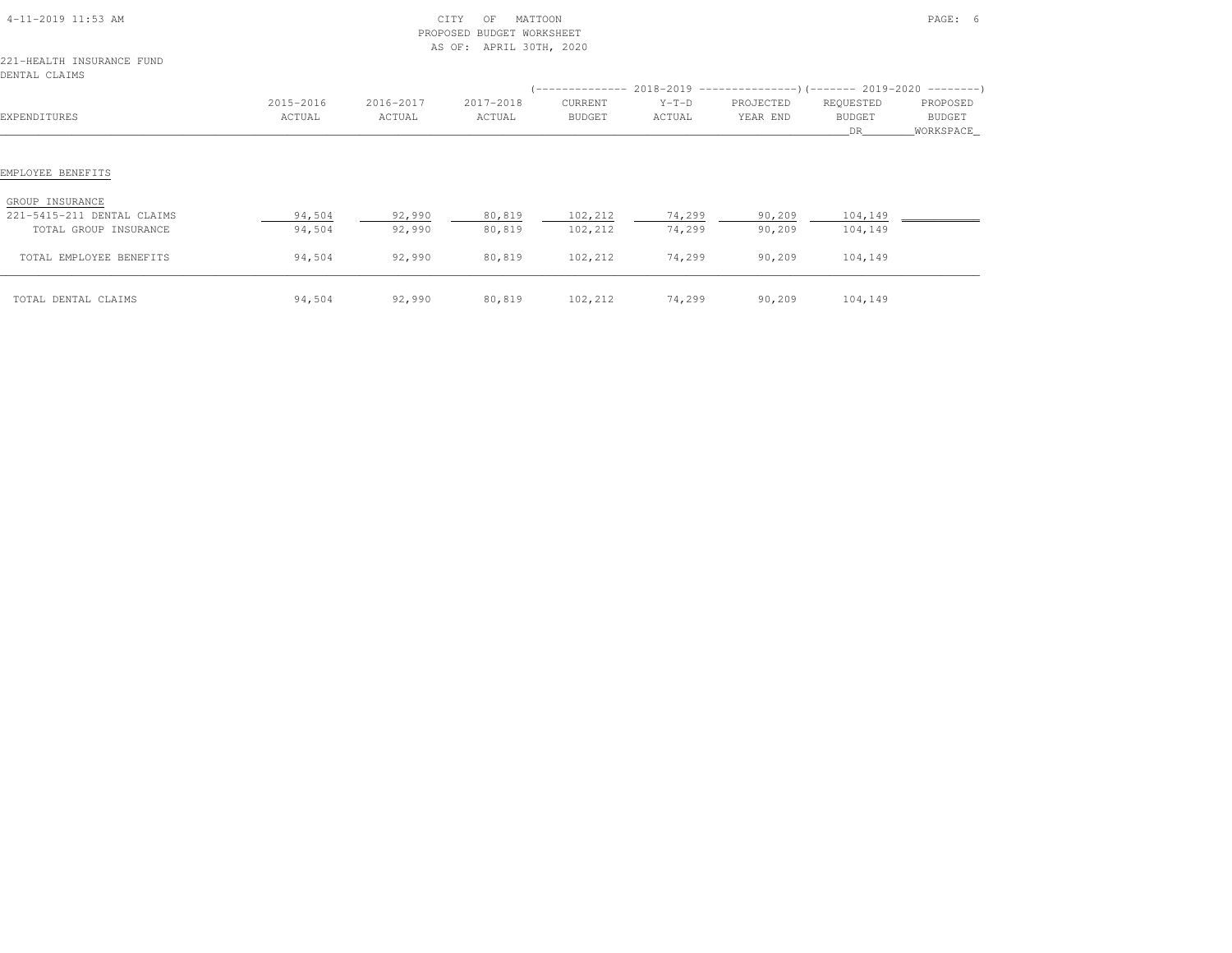| 4-11-2019 11:53 AM                                                 |           | CITY<br>PROPOSED<br>AS OF: APRIL 30TH, 2020 |           | PAGE: 6 |         |           |               |             |
|--------------------------------------------------------------------|-----------|---------------------------------------------|-----------|---------|---------|-----------|---------------|-------------|
| 221-HEALTH INSURANCE FUND<br>DENTAL CLAIMS                         |           |                                             |           |         |         |           |               |             |
|                                                                    |           |                                             |           |         |         |           |               |             |
|                                                                    | 2015-2016 | 2016-2017                                   | 2017-2018 | CURRENT | $Y-T-D$ | PROJECTED | REQUESTED     | PROPOSED    |
| EXPENDITURES                                                       | ACTUAL    | ACTUAL                                      | ACTUAL    | BUDGET  | ACTUAL  | YEAR END  | <b>BUDGET</b> | BUDGET      |
|                                                                    |           |                                             |           |         |         |           | DR.           | _WORKSPACE_ |
| EMPLOYEE BENEFITS<br>GROUP INSURANCE<br>221-5415-211 DENTAL CLAIMS | 94,504    | 92,990                                      | 80,819    | 102,212 | 74,299  | 90,209    | 104,149       |             |
| TOTAL GROUP INSURANCE                                              | 94,504    | 92,990                                      | 80,819    | 102,212 | 74,299  | 90,209    | 104,149       |             |
| TOTAL EMPLOYEE BENEFITS                                            | 94,504    | 92,990                                      | 80,819    | 102,212 | 74,299  | 90,209    | 104,149       |             |
| TOTAL DENTAL CLAIMS                                                | 94,504    | 92,990                                      | 80,819    | 102,212 | 74,299  | 90, 209   | 104,149       |             |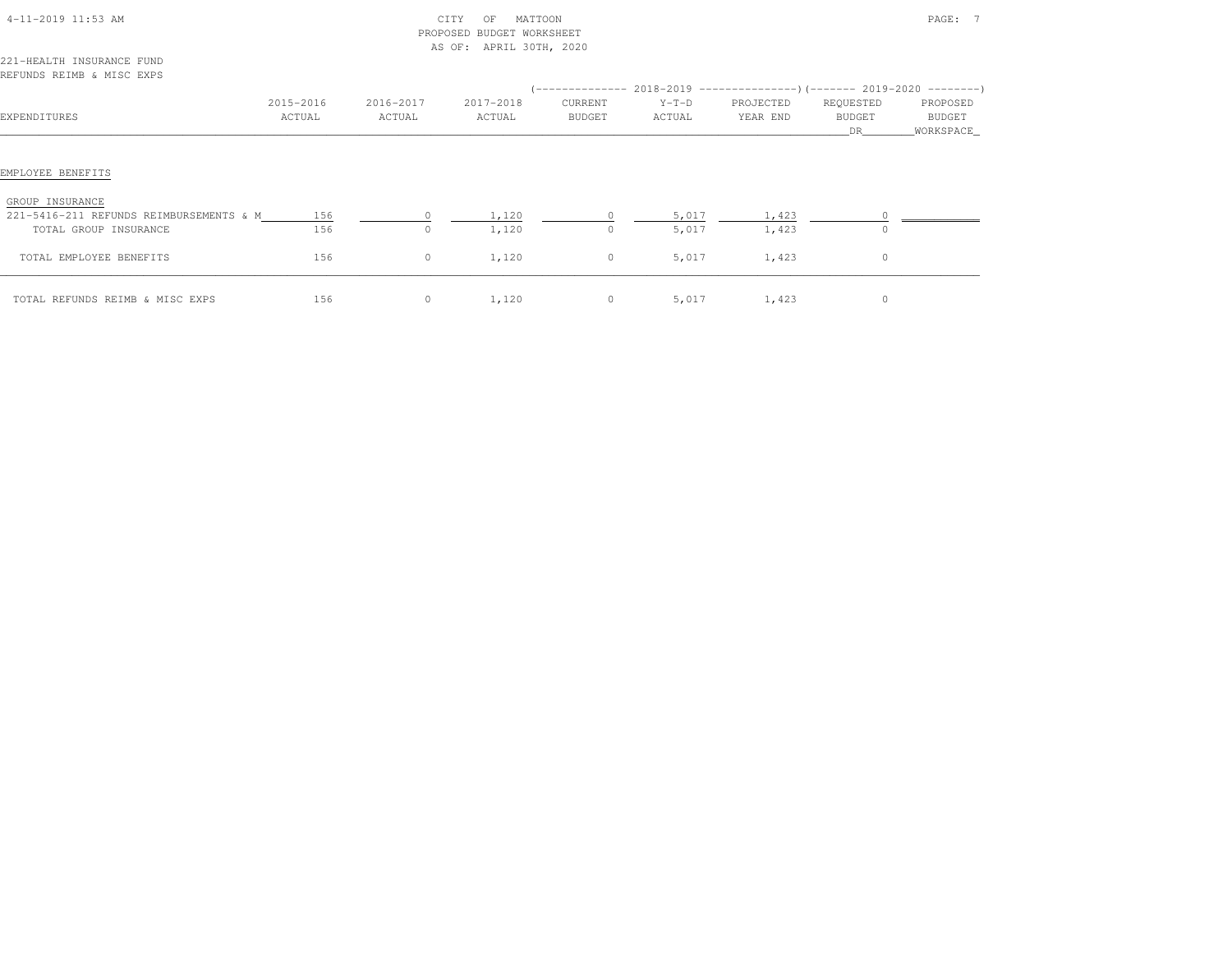| 4-11-2019 11:53 AM                                                                  |                     |                     | MATTOON<br>CITY<br>OF<br>BUDGET WORKSHEET<br>PROPOSED<br>AS OF: APRIL 30TH, 2020 |                   |                   |                       |                                  | PAGE: 7                           |
|-------------------------------------------------------------------------------------|---------------------|---------------------|----------------------------------------------------------------------------------|-------------------|-------------------|-----------------------|----------------------------------|-----------------------------------|
| 221-HEALTH INSURANCE FUND<br>REFUNDS REIMB & MISC EXPS                              |                     |                     |                                                                                  |                   |                   |                       |                                  |                                   |
| EXPENDITURES                                                                        | 2015-2016<br>ACTUAL | 2016-2017<br>ACTUAL | 2017-2018<br>ACTUAL                                                              | CURRENT<br>BUDGET | $Y-T-D$<br>ACTUAL | PROJECTED<br>YEAR END | REQUESTED<br><b>BUDGET</b><br>DR | PROPOSED<br>BUDGET<br>_WORKSPACE_ |
| EMPLOYEE BENEFITS                                                                   |                     |                     |                                                                                  |                   |                   |                       |                                  |                                   |
| GROUP INSURANCE<br>221-5416-211 REFUNDS REIMBURSEMENTS & M<br>TOTAL GROUP INSURANCE | 156<br>156          | $\circ$             | 1,120<br>1,120                                                                   | $\circ$           | 5,017<br>5,017    | 1,423<br>1,423        | $\circ$                          |                                   |
| TOTAL EMPLOYEE BENEFITS                                                             | 156                 | $\circ$             | 1,120                                                                            | $\circ$           | 5,017             | 1,423                 | $\circ$                          |                                   |
| TOTAL REFUNDS REIMB & MISC EXPS                                                     | 156                 | $\circ$             | 1,120                                                                            | $\circ$           |                   | 5,017 1,423           | $\circ$                          |                                   |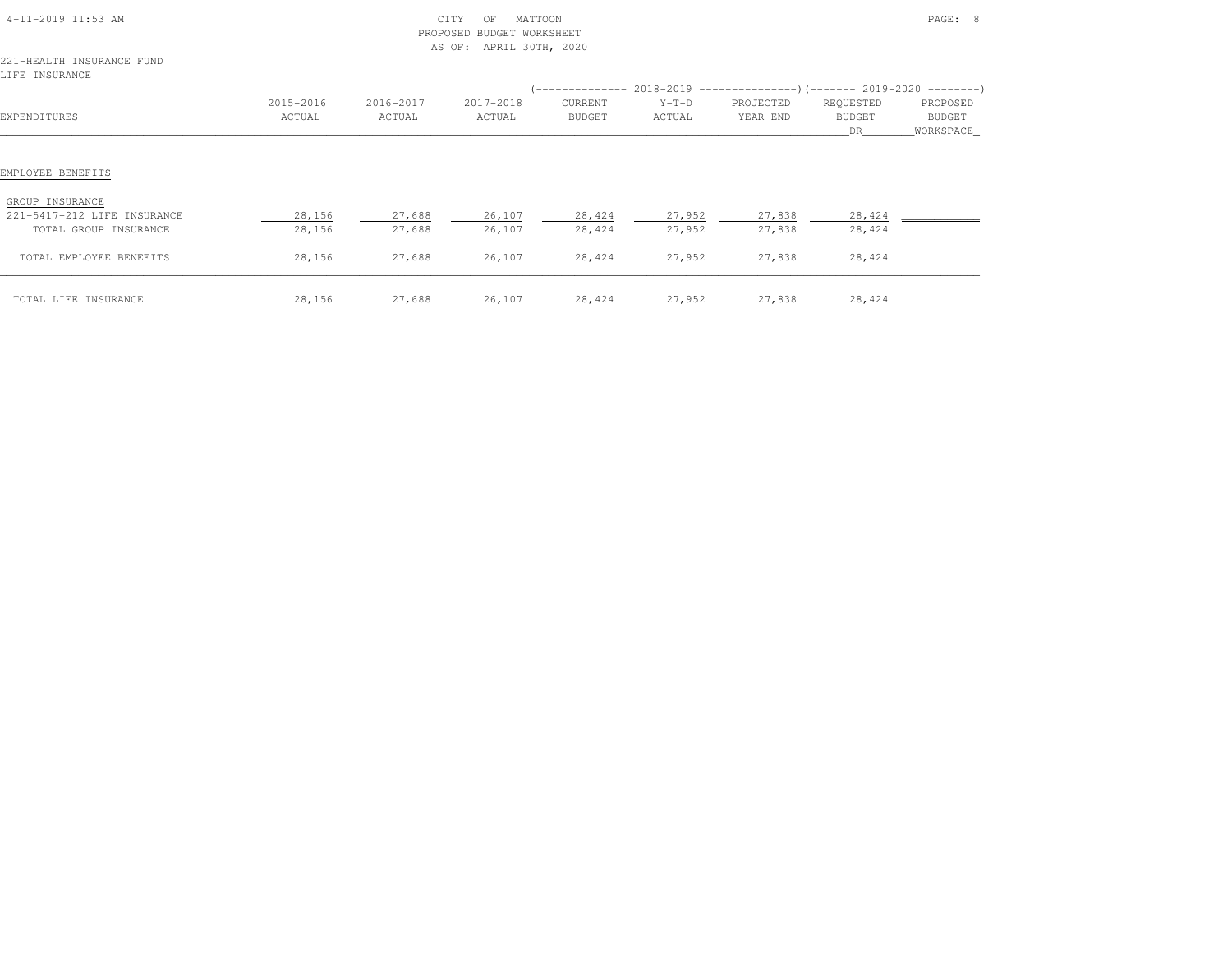| 4-11-2019 11:53 AM                          | CITY<br>MATTOON<br>OF<br>BUDGET WORKSHEET<br>PROPOSED<br>AS OF: APRIL 30TH, 2020 |           |           |         |         |                                                                          |                          | PAGE: 8               |  |
|---------------------------------------------|----------------------------------------------------------------------------------|-----------|-----------|---------|---------|--------------------------------------------------------------------------|--------------------------|-----------------------|--|
| 221-HEALTH INSURANCE FUND<br>LIFE INSURANCE |                                                                                  |           |           |         |         | (-------------- 2018-2019 ----------------)(------- 2019-2020 ---------) |                          |                       |  |
|                                             | 2015-2016                                                                        | 2016-2017 | 2017-2018 | CURRENT | $Y-T-D$ | PROJECTED                                                                | REQUESTED                | PROPOSED              |  |
| EXPENDITURES                                | ACTUAL                                                                           | ACTUAL    | ACTUAL    | BUDGET  | ACTUAL  | YEAR END                                                                 | <b>BUDGET</b><br>DR 1999 | BUDGET<br>_WORKSPACE_ |  |
| EMPLOYEE BENEFITS                           |                                                                                  |           |           |         |         |                                                                          |                          |                       |  |
| GROUP INSURANCE                             |                                                                                  |           |           |         |         |                                                                          |                          |                       |  |
| 221-5417-212 LIFE INSURANCE                 | 28,156                                                                           | 27,688    | 26,107    | 28,424  | 27,952  | 27,838                                                                   | 28,424                   |                       |  |
| TOTAL GROUP INSURANCE                       | 28,156                                                                           | 27,688    | 26,107    | 28,424  | 27,952  | 27,838                                                                   | 28,424                   |                       |  |
| TOTAL EMPLOYEE BENEFITS                     | 28,156                                                                           | 27,688    | 26,107    | 28,424  | 27,952  | 27,838                                                                   | 28,424                   |                       |  |
|                                             |                                                                                  |           |           |         |         |                                                                          |                          |                       |  |

\_\_\_\_\_\_\_\_\_\_\_\_\_\_\_\_\_\_\_\_\_\_\_\_\_\_\_\_\_\_\_\_\_\_\_\_\_\_\_\_\_\_\_\_\_\_\_\_\_\_\_\_\_\_\_\_\_\_\_\_\_\_\_\_\_\_\_\_\_\_\_\_\_\_\_\_\_\_\_\_\_\_\_\_\_\_\_\_\_\_\_\_\_\_\_\_\_\_\_\_\_\_\_\_\_\_\_\_\_\_\_\_\_\_\_\_\_\_\_\_\_\_\_\_\_\_\_\_\_\_\_\_\_\_\_\_\_\_\_\_\_\_\_\_\_\_\_\_\_\_ TOTAL LIFE INSURANCE 28,156 27,688 26,107 28,424 27,952 27,838 28,424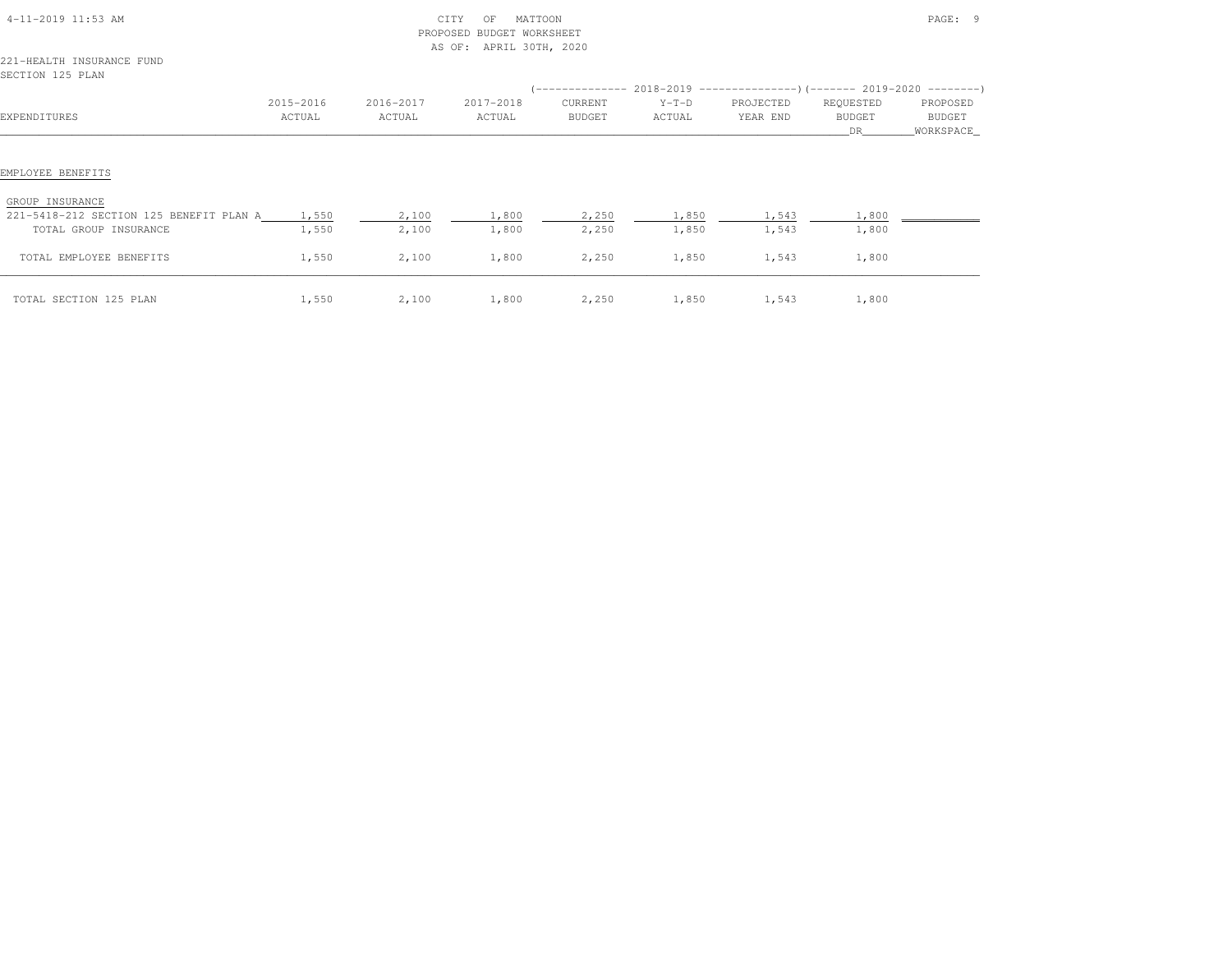| 4-11-2019 11:53 AM<br>221-HEALTH INSURANCE FUND                                       |                | PROPOSED       | MATTOON<br>CITY<br>OF<br><b>BUDGET WORKSHEET</b><br>AS OF: APRIL 30TH, 2020 |                |                |                | PAGE: 9        |                      |
|---------------------------------------------------------------------------------------|----------------|----------------|-----------------------------------------------------------------------------|----------------|----------------|----------------|----------------|----------------------|
| SECTION 125 PLAN                                                                      |                |                |                                                                             |                |                |                |                |                      |
|                                                                                       | 2015-2016      | 2016-2017      | 2017-2018                                                                   | CURRENT        | $Y-T-D$        | PROJECTED      | REQUESTED      | PROPOSED             |
| EXPENDITURES                                                                          | ACTUAL         | ACTUAL         | ACTUAL                                                                      | BUDGET         | ACTUAL         | YEAR END       | BUDGET<br>DR   | BUDGET<br>WORKSPACE_ |
| EMPLOYEE BENEFITS<br>GROUP INSURANCE<br>221-5418-212 SECTION 125 BENEFIT PLAN A 1,550 |                | 2,100          | 1,800                                                                       | 2,250          | 1,850          | 1,543          | 1,800          |                      |
| TOTAL GROUP INSURANCE<br>TOTAL EMPLOYEE BENEFITS                                      | 1,550<br>1,550 | 2,100<br>2,100 | 1,800<br>1,800                                                              | 2,250<br>2,250 | 1,850<br>1,850 | 1,543<br>1,543 | 1,800<br>1,800 |                      |
| TOTAL SECTION 125 PLAN                                                                | 1,550          | 2,100          | 1,800                                                                       | 2,250          | 1,850          | 1,543          | 1,800          |                      |